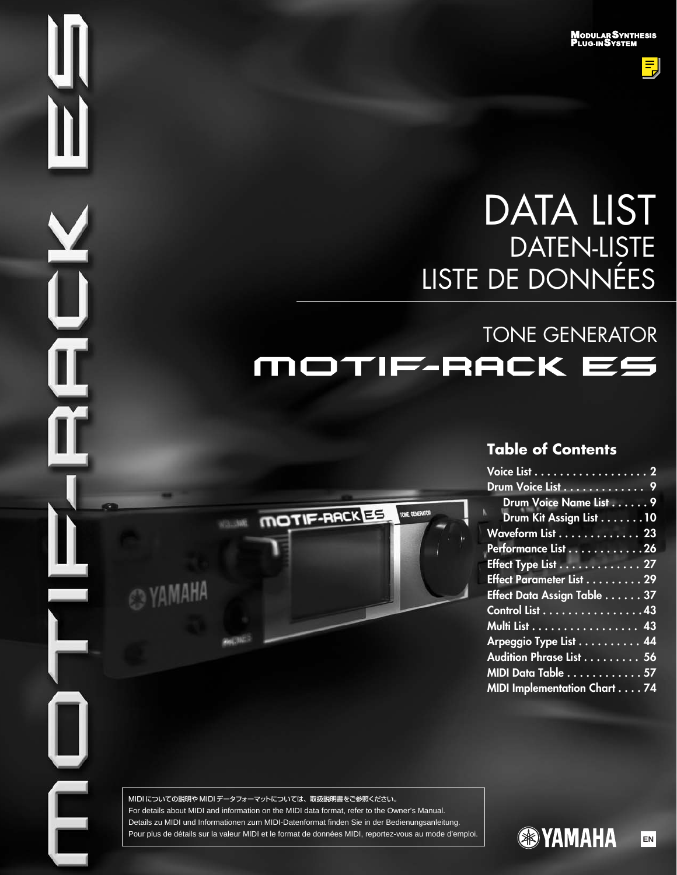**ModularSynthesis<br>Plug-inSystem** 

틳

# DATA LIST DATEN-LISTE LISTE DE DONNÉES

# TONE GENERATOR MOTIF-RACK ES

TONE GENERATOR

# **Table of Contents**

| Voice List 2                       |  |
|------------------------------------|--|
| Drum Voice List 9                  |  |
| Drum Voice Name List 9             |  |
| Drum Kit Assign List 10            |  |
| Waveform List 23                   |  |
| Performance List 26                |  |
| Effect Type List 27                |  |
| Effect Parameter List 29           |  |
| Effect Data Assign Table 37        |  |
| Control List 43                    |  |
| <u>Multi List 43</u>               |  |
| Arpeggio Type List 44              |  |
| Audition Phrase List 56            |  |
| MIDI Data Table 57                 |  |
| <b>MIDI Implementation Chart74</b> |  |

MIDI についての説明や MIDI データフォーマットについては、取扱説明書をご参照ください。 For details about MIDI and information on the MIDI data format, refer to the Owner's Manual. Details zu MIDI und Informationen zum MIDI-Datenformat finden Sie in der Bedienungsanleitung. Pour plus de détails sur la valeur MIDI et le format de données MIDI, reportez-vous au mode d'emploi. **EN TAMAHA** 

MOTIF-RACKES

@YAMAHA

 $\mathsf E$ 

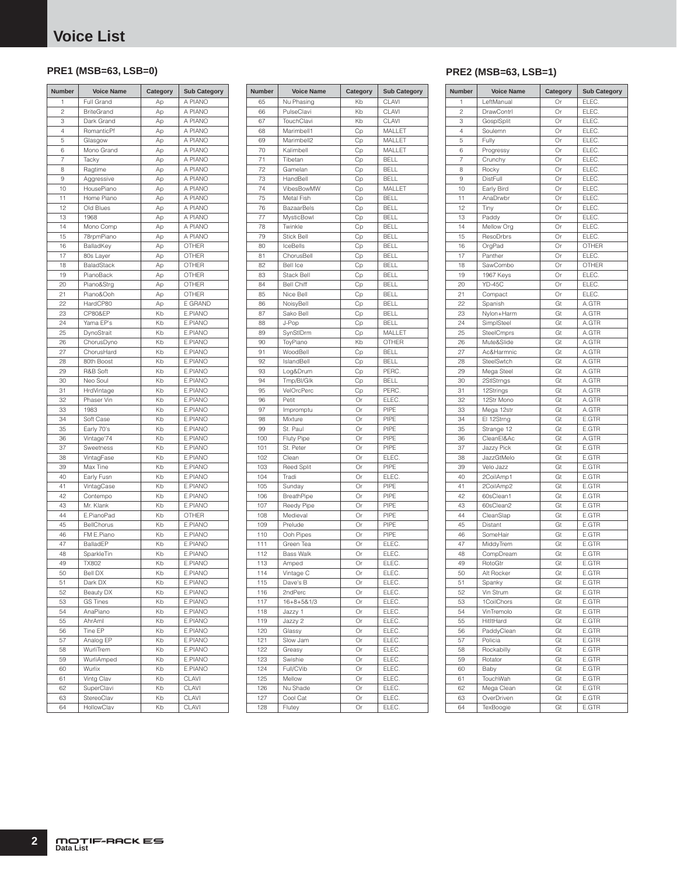### <span id="page-1-0"></span>**PRE1 (MSB=63, LSB=0)**

| <b>Number</b>  | <b>Voice Name</b>        | Category | <b>Sub Category</b> |
|----------------|--------------------------|----------|---------------------|
| 1              | Full Grand               | Ap       | A PIANO             |
| $\overline{c}$ | <b>BriteGrand</b>        | Ap       | A PIANO             |
| 3              | Dark Grand               | Ap       | A PIANO             |
| 4              | RomanticPf               | Ap       | A PIANO             |
| 5              | Glasgow                  | Ap       | A PIANO             |
| 6              | Mono Grand               | Ap       | A PIANO             |
| 7              | Tacky                    | Ap       | A PIANO             |
| 8              | Ragtime                  | Ap       | A PIANO             |
| 9              | Aggressive               | Ap       | A PIANO             |
| 10             | HousePiano               | Ap       | A PIANO             |
| 11             | Home Piano               | Ap       | A PIANO             |
| 12             | Old Blues                | Ap       | A PIANO             |
| 13             | 1968                     | Ap       | A PIANO             |
| 14             | Mono Comp                | Ap       | A PIANO             |
| 15             | 78rpmPiano               | Ap       | A PIANO             |
| 16             | BalladKey                | Ap       | <b>OTHER</b>        |
| 17             | 80s Layer                | Аp       | <b>OTHER</b>        |
| 18             | BaladStack               | Аp       | <b>OTHER</b>        |
| 19             | PianoBack                | Ap       | OTHER               |
| 20             | Piano&Strg               | Ap       | <b>OTHER</b>        |
| 21             | Piano&Ooh                | Ap       | <b>OTHER</b>        |
| 22             | HardCP80                 | Аp       | E GRAND             |
| 23             | <b>CP80&amp;EP</b>       | Kb       | E.PIANO             |
| 24             | Yama EP's                | Kb       | E.PIANO             |
| 25             | DynoStrait               | Kb       | E.PIANO             |
| 26             | ChorusDyno               | Kb       | E.PIANO             |
| 27             | ChorusHard               | Kb       | E.PIANO             |
| 28             | 80th Boost               | Kb       | E.PIANO             |
| 29             | R&B Soft<br>Neo Soul     | Kb       | E.PIANO             |
| 30             |                          | Kb<br>Kb | E.PIANO<br>E.PIANO  |
| 31<br>32       | HrdVintage<br>Phaser Vin | Kb       | E.PIANO             |
| 33             | 1983                     | Kb       | E.PIANO             |
| 34             | Soft Case                | Kb       | E.PIANO             |
| 35             | Early 70's               | Kb       | E.PIANO             |
| 36             | Vintage'74               | Kb       | E.PIANO             |
| 37             | Sweetness                | Kb       | E.PIANO             |
| 38             | VintagFase               | Kb       | E.PIANO             |
| 39             | Max Tine                 | Kb       | E.PIANO             |
| 40             | Early Fusn               | Kb       | E.PIANO             |
| 41             | VintagCase               | Kb       | E.PIANO             |
| 42             | Contempo                 | Kb       | E.PIANO             |
| 43             | Mr. Klank                | Kb       | E.PIANO             |
| 44             | E.PianoPad               | Kb       | OTHER               |
| 45             | BellChorus               | Kb       | E.PIANO             |
| 46             | FM E.Piano               | Kb       | E.PIANO             |
| 47             | BalladEP                 | Kb       | E.PIANO             |
| 48             | SparkleTin               | Kb       | E.PIANO             |
| 49             | TX802                    | Kb       | E.PIANO             |
| 50             | <b>Bell DX</b>           | Kb       | E.PIANO             |
| 51             | Dark DX                  | Kb       | E.PIANO             |
| 52             | Beauty DX                | Kb       | E.PIANO             |
| 53             | <b>GS Tines</b>          | Kb       | E.PIANO             |
| 54             | AnaPiano                 | Kb       | E.PIANO             |
| 55             | AhrAml                   | Kb       | E.PIANO             |
| 56             | Tine EP                  | Kb       | E.PIANO             |
| 57             | Analog EP                | Kb       | E.PIANO             |
| 58             | WurliTrem                | Kb       | E.PIANO             |
| 59             | WurliAmped               | Kb       | E.PIANO             |
| 60             | Wurlix                   | Kb       | E.PIANO             |
| 61             | Vintg Clav               | Kb       | CLAVI               |
| 62             | SuperClavi               | Kb       | CLAVI               |
| 63             | StereoClav               | Kb       | CLAVI               |
| 64             | HollowClav               | Kb       | CLAVI               |

| Number   | <b>Voice Name</b>              | Category | <b>Sub Category</b>        |
|----------|--------------------------------|----------|----------------------------|
| 65       | Nu Phasing                     | Kb       | CLAVI                      |
| 66       | PulseClavi                     | Kb       | <b>CLAVI</b>               |
| 67       | TouchClavi                     | Kb       | CLAVI                      |
| 68       | Marimbell1                     | Cp       | MALLET                     |
| 69       | Marimbell2                     | Cp       | MALLET                     |
| 70       | Kalimbell                      | Cp       | MALLET                     |
| 71       | Tibetan                        | Cp       | <b>BELL</b>                |
| 72       | Gamelan                        | Cp       | <b>BELL</b>                |
| 73       | HandBell                       | Сp       | <b>BELL</b>                |
| 74       | VibesBowMW                     | Cp       | MALLET                     |
| 75       | Metal Fish                     | Cp       | <b>BELL</b>                |
| 76       | <b>BazaarBels</b>              | Cp       | <b>BELL</b>                |
| 77       | <b>MysticBowl</b><br>Twinkle   | Cp       | <b>BELL</b>                |
| 78       |                                | Cp       | <b>BELL</b>                |
| 79       | <b>Stick Bell</b>              | Cp       | <b>BELL</b>                |
| 80       | IceBells                       | Cp       | <b>BELL</b>                |
| 81       | ChorusBell<br>Bell Ice         | Cp       | <b>BELL</b>                |
| 82       |                                | Cp       | <b>BELL</b>                |
| 83       | Stack Bell                     | Cp       | <b>BELL</b>                |
| 84<br>85 | <b>Bell Chiff</b><br>Nice Bell | Cp       | <b>BELL</b><br><b>BELL</b> |
|          | NoisyBell                      | Cp       | <b>BELL</b>                |
| 86<br>87 | Sako Bell                      | Cp       | <b>BELL</b>                |
| 88       | J-Pop                          | Cp       | <b>BELL</b>                |
| 89       |                                | Cp       | MALLET                     |
| 90       | SynStIDrm<br>ToyPiano          | Cp<br>Kb | <b>OTHER</b>               |
| 91       | WoodBell                       | Cp       | <b>BELL</b>                |
| 92       | IslandBell                     | Cp       | <b>BELL</b>                |
| 93       | Log&Drum                       | Сp       | PERC.                      |
| 94       | Tmp/BI/Glk                     | Сp       | <b>BELL</b>                |
| 95       | VelOrcPerc                     | Сp       | PERC.                      |
| 96       | Petit                          | Or       | ELEC.                      |
| 97       | Impromptu                      | Or       | PIPE                       |
| 98       | Mixture                        | Or       | PIPE                       |
| 99       | St. Paul                       | Or       | PIPE                       |
| 100      | Fluty Pipe                     | Or       | PIPE                       |
| 101      | St. Peter                      | Or       | PIPE                       |
| 102      | Clean                          | Or       | ELEC.                      |
| 103      | <b>Reed Split</b>              | Or       | PIPE                       |
| 104      | Tradi                          | Or       | ELEC.                      |
| 105      | Sunday                         | Or       | PIPE                       |
| 106      | BreathPipe                     | Or       | PIPE                       |
| 107      | Reedy Pipe                     | Or       | PIPF                       |
| 108      | Medieval                       | Or       | PIPE                       |
| 109      | Prelude                        | Or       | PIPF                       |
| 110      | Ooh Pipes                      | Or       | PIPE                       |
| 111      | Green Tea                      | Or       | ELEC.                      |
| 112      | <b>Bass Walk</b>               | Or       | ELEC.                      |
| 113      | Amped                          | Or       | ELEC.                      |
| 114      | Vintage C                      | Or       | ELEC.                      |
| 115      | Dave's B                       | Or       | ELEC.                      |
| 116      | 2ndPerc                        | Or       | ELEC.                      |
| 117      | $16 + 8 + 581/3$               | Or       | ELEC.                      |
| 118      | Jazzy 1                        | Or       | ELEC.                      |
| 119      | Jazzy 2                        | Or       | ELEC.                      |
| 120      | Glassy                         | Or       | ELEC.                      |
| 121      | Slow Jam                       | Or       | ELEC.                      |
| 122      | Greasy                         | Or       | ELEC.                      |
| 123      | Swishie                        | Or       | ELEC.                      |
| 124      | Full/CVib                      | Or       | ELEC.                      |
| 125      | Mellow                         | Or       | ELEC.                      |
| 126      | Nu Shade                       | Or       | ELEC.                      |
| 127      | Cool Cat                       | Or       | ELEC.                      |
| 128      | Flutey                         | Or       | ELEC.                      |

### **PRE2 (MSB=63, LSB=1)**

| Number     | <b>Voice Name</b>       | Category | <b>Sub Category</b> | <b>Number</b>  | <b>Voice Name</b>               | Category | <b>Sub Category</b> |
|------------|-------------------------|----------|---------------------|----------------|---------------------------------|----------|---------------------|
| 65         | Nu Phasing              | Kb       | CLAVI               | 1              | LeftManual                      | Or       | ELEC.               |
| 66         | PulseClavi              | Kb       | CLAVI               | $\overline{c}$ | <b>DrawContrl</b>               | Or       | ELEC.               |
| 67         | TouchClavi              | Kb       | CLAVI               | 3              | GosplSplit                      | Or       | ELEC.               |
| 68         | Marimbell1              | Cp       | MALLET              | $\overline{4}$ | Soulemn                         | Or       | ELEC.               |
| 69         | Marimbell2              | Cp       | MALLET              | 5              | Fully                           | Or       | ELEC.               |
| 70         | Kalimbell               | Cp       | MALLET              | 6              | Progressy                       | Or       | ELEC.               |
| 71         | Tibetan                 | Cp       | <b>BELL</b>         | 7              | Crunchy                         | Or       | ELEC.               |
| 72         | Gamelan                 | Cp       | <b>BELL</b>         | 8              | Rocky                           | Or       | ELEC.               |
| 73         | HandBell                | Cp       | <b>BELL</b>         | 9              | DistFull                        | Or       | ELEC.               |
| 74         | VibesBowMW              | Cp       | MALLET              | 10             | Early Bird                      | Or       | ELEC.               |
| 75         | Metal Fish              | Cp       | <b>BELL</b>         | 11             | AnaDrwbr                        | Or       | ELEC.               |
| 76         | <b>BazaarBels</b>       | Cp       | <b>BELL</b>         | 12             | Tiny                            | Or       | ELEC.               |
| 77         | MysticBowl              | Cp       | <b>BELL</b>         | 13             | Paddy                           | Or       | ELEC.               |
| 78         | Twinkle                 | Cp       | <b>BELL</b>         | 14             | Mellow Org                      | Or       | ELEC.               |
| 79         | <b>Stick Bell</b>       | Cp       | <b>BELL</b>         | 15             | ResoDrbrs                       | Or       | ELEC.               |
| 80         | IceBells                | Cp       | <b>BELL</b>         | 16             | OrgPad                          | Or       | <b>OTHER</b>        |
| 81         | ChorusBell              | Cp       | <b>BELL</b>         | 17             | Panther                         | Or       | ELEC.               |
| 82         | Bell Ice                | Cp       | <b>BELL</b>         | 18             | SawCombo                        | Or       | OTHER               |
| 83         | Stack Bell              | Cp       | <b>BELL</b>         | 19             | 1967 Keys                       | Or       | ELEC.               |
| 84         | <b>Bell Chiff</b>       | Cp       | <b>BELL</b>         | 20             | <b>YD-45C</b>                   | Or       | ELEC.               |
| 85         | Nice Bell               | Cp       | <b>BELL</b>         | 21             | Compact                         | Or       | ELEC.               |
| 86         | NoisyBell               | Cp       | <b>BELL</b>         | 22             | Spanish                         | Gt       | A.GTR               |
| 87         | Sako Bell               | Cp       | <b>BELL</b>         | 23             | Nylon+Harm                      | Gt       | A.GTR               |
| 88         | J-Pop                   | Cp       | <b>BELL</b>         | 24             | SimplSteel                      | Gt       | A.GTR               |
| 89         | SynStIDrm               | Cp       | MALLET              | 25             | SteelCmprs                      | Gt       | A.GTR               |
| 90         | ToyPiano                | Kb       | <b>OTHER</b>        | 26             | Mute&Slide                      | Gt       | A.GTR               |
| 91         | WoodBell                | Cp       | <b>BELL</b>         | 27             | Ac&Harmnic                      | Gt       | A.GTR               |
| 92         | IslandBell              | Cp       | <b>BELL</b>         | 28             | SteelSwtch                      | Gt       | A.GTR               |
| 93         | Log&Drum                | Cp       | PERC.               | 29             | Mega Steel                      | Gt       | A.GTR               |
| 94         | Tmp/BI/Glk              | Cp       | <b>BELL</b>         | 30             | 2StlStrngs                      | Gt       | A.GTR               |
| 95         | VelOrcPerc              | Cp       | PERC.               | 31             | 12Strings                       | Gt       | A.GTR               |
| 96         | Petit                   | Or       | ELEC.               | 32             | 12Str Mono                      | Gt       | A.GTR               |
| 97         | Impromptu               | Or       | PIPE<br>PIPE        | 33             | Mega 12str                      | Gt       | A.GTR               |
| 98         | Mixture                 | Or       |                     | 34             | El 12Strng                      | Gt       | E.GTR               |
| 99         | St. Paul                | Or<br>Or | PIPE<br>PIPE        | 35             | Strange 12                      | Gt       | E.GTR               |
| 100<br>101 | Fluty Pipe<br>St. Peter | Or       | PIPE                | 36<br>37       | CleanEl&Ac                      | Gt<br>Gt | A.GTR<br>E.GTR      |
| 102        | Clean                   | Or       | ELEC.               | 38             | <b>Jazzy Pick</b><br>JazzGtMelo | Gt       | E.GTR               |
| 103        | <b>Reed Split</b>       | Or       | PIPE                | 39             | Velo Jazz                       | Gt       | E.GTR               |
| 104        | Tradi                   | Or       | ELEC.               | 40             | 2CoilAmp1                       | Gt       | E.GTR               |
| 105        | Sunday                  | Or       | PIPE                | 41             | 2CoilAmp2                       | Gt       | E.GTR               |
| 106        | BreathPipe              | Or       | PIPE                | 42             | 60sClean1                       | Gt       | E.GTR               |
| 107        | Reedy Pipe              | Or       | PIPE                | 43             | 60sClean2                       | Gt       | E.GTR               |
| 108        | Medieval                | Or       | PIPE                | 44             | CleanSlap                       | Gt       | E.GTR               |
| 109        | Prelude                 | Or       | PIPE                | 45             | Distant                         | Gt       | E.GTR               |
| 110        | Ooh Pipes               | Or       | PIPE                | 46             | SomeHair                        | Gt       | E.GTR               |
| 111        | Green Tea               | Or       | ELEC.               | 47             | MiddyTrem                       | Gt       | E.GTR               |
| 112        | <b>Bass Walk</b>        | Or       | ELEC.               | 48             | CompDream                       | Gt       | E.GTR               |
| 113        | Amped                   | Or       | ELEC.               | 49             | RotoGtr                         | Gt       | E.GTR               |
| 114        | Vintage C               | Or       | ELEC.               | 50             | Alt Rocker                      | Gt       | E.GTR               |
| 115        | Dave's B                | Or       | ELEC.               | 51             | Spanky                          | Gt       | E.GTR               |
| 116        | 2ndPerc                 | Or       | ELEC.               | 52             | Vin Strum                       | Gt       | E.GTR               |
| 117        | $16 + 8 + 5 & 1/3$      | Or       | ELEC.               | 53             | 1CoilChors                      | Gt       | E.GTR               |
| 118        | Jazzy 1                 | Or       | ELEC.               | 54             | VinTremolo                      | Gt       | E.GTR               |
| 119        | Jazzy 2                 | Or       | ELEC.               | 55             | HitltHard                       | Gt       | E.GTR               |
| 120        | Glassy                  | Or       | ELEC.               | 56             | PaddyClean                      | Gt       | E.GTR               |
| 121        | Slow Jam                | Or       | ELEC.               | 57             | Policia                         | Gt       | E.GTR               |
| 122        | Greasy                  | Or       | ELEC.               | 58             | Rockabilly                      | Gt       | E.GTR               |
| 123        | Swishie                 | Or       | ELEC.               | 59             | Rotator                         | Gt       | E.GTR               |
| 124        | Full/CVib               | Or       | ELEC.               | 60             | Baby                            | Gt       | E.GTR               |
| 125        | Mellow                  | Or       | ELEC.               | 61             | TouchWah                        | Gt       | E.GTR               |
| 126        | Nu Shade                | Or       | ELEC.               | 62             | Mega Clean                      | Gt       | E.GTR               |
| 127        | Cool Cat                | Or       | ELEC.               | 63             | OverDriven                      | Gt       | E.GTR               |
| 128        | Flutey                  | Or       | ELEC.               | 64             | TexBoogie                       | Gt       | E.GTR               |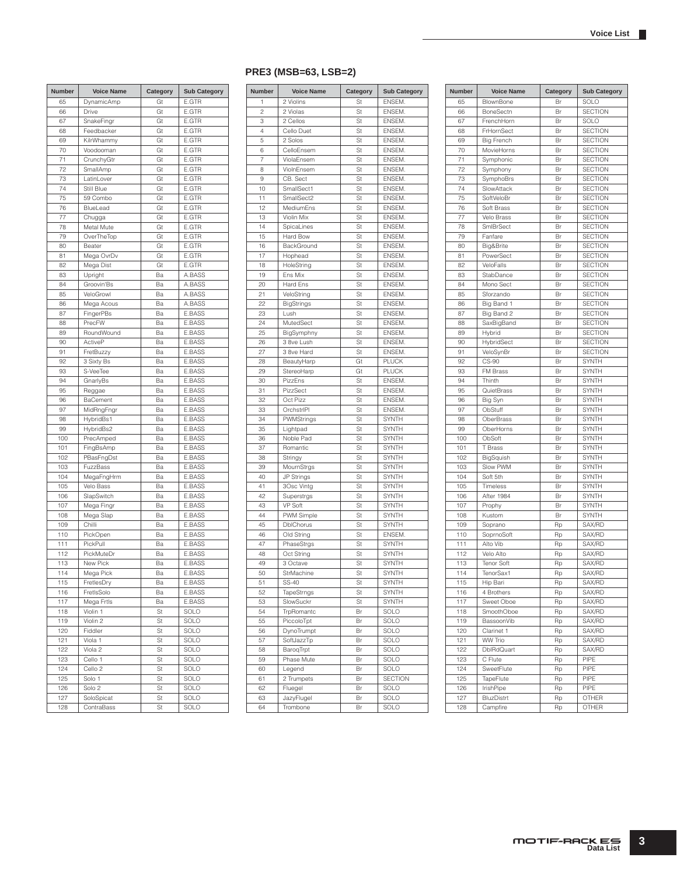#### 65 DynamicAmp Gt E.GTR 66 Drive Gt E.GTR 67 SnakeFingr Gt E.GTR 68 Feedbacker Gt E.GTR 69 KilrWhammy Gt E.GTR 70 Voodooman Gt E.GTR 71 CrunchyGtr Gt E.GTR 72 SmallAmp Gt E.GTR 73 | LatinLover | Gt | E.GTR 74 Still Blue Gt E.GTR 75 59 Combo Gt E.GTR 76 BlueLead Gt E.GTR 77 Chugga Gt E.GTR 78 Metal Mute Gt E.GTR<br>79 OverTheTop Gt E.GTR OverTheTop Gt E.GTR 80 Beater Gt E.GTR 81 | Mega OvrDv | Gt | E.GTR 82 Mega Dist Gt E.GTR 83 Upright Ba A.BASS 84 Groovin'Bs Ba A.BASS 85 VeloGrowl Ba A.BASS<br>86 Mega Acous Ba A.BASS 86 Mega Acous 87 FingerPBs Ba E.BASS 88 PrecFW Ba E.BASS 89 RoundWound Ba E.BASS 90 ActiveP Ba E.BASS 91 FretBuzzy Ra E.BASS 92 3 Sixty Bs Ba E.BASS 93 S-VeeTee Ba E.BASS 94 GnarlyBs Ba E.BASS 95 Reggae Ba E.BASS<br>96 BaCement Ba E.BASS **BaCement** 97 MidRngFngr Ba E.BASS 98 HybridBs1 Ba E.BASS 99 HybridBs2 Ba E.BASS 100 PrecAmped Ba E.BASS 101 FingBsAmp Ba E.BASS 102 PBasFngDst Ba E.BASS 103 FuzzBass Ba E.BASS 104 | MegaFngHrm | Ba | E.BASS 105 Velo Bass Ba E.BASS 106 SlapSwitch Ba E.BASS 107 Mega Fingr Ba E.BASS 108 Mega Slap Ba E.BASS 109 Chilli Ba E.BASS 110 PickOpen Ba E.BASS 111 PickPull Ba E.BASS 112 PickMuteDr Ba E.BASS 113 New Pick Ba E.BASS 114 Mega Pick Ba E.BASS 115 FretlesDry Ba E.BASS 116 FretlsSolo Ba E.BASS 117 Mega Frtls Ba E.BASS 118 Violin 1 St SOLO 119 Violin 2 St SOLO 120 Fiddler St SOLO 121 Viola 1 St SOLO 122 Viola 2 St SOLO 123 Cello 1 St SOLO 124 Cello 2 St SOLO 125 Solo 1 St SOLO 126 Solo 2 St SOLO<br>127 SoloSpicat St SOLO SoloSpicat 128 ContraBass | St | SOLO **Number Voice Name Category Sub Category Number Voice Name Category Sub Category**

#### 2 Violins St ENSEM. 2 2 Violas St ENSEM. 3 2 Cellos St ENSEM 4 Cello Duet St ENSEM. 5 2 Solos St ENSEM 6 CelloEnsem St ENSEM 7 ViolaEnsem St ENSEM 8 ViolnEnsem St ENSEM 9 CB. Sect St ENSEM. 10 SmallSect1 St ENSEM 11 SmallSect2 St ENSEM. 12 MediumEns St ENSEM. 13 Violin Mix St ENSEM. 14 SpicaLines St ENSEM.<br>15 Hard Bow St ENSEM. Hard Bow St ENSEM. 16 BackGround | St | ENSEM. 17 Hophead St ENSEM 18 HoleString St ENSEM. 19 Ens Mix St ENSEM. 20 Hard Ens St ENSEM 21 VeloString St ENSEM. 22 BigStrings St ENSEM. 23 Lush St ENSEM 24 MutedSect St ENSEM. 25 BigSymphny St ENSEM 26 3 8ve Lush St ENSEM. 27 3 8ve Hard St ENSEM 28 BeautyHarp Gt PLUCK 29 StereoHarp Gt PLUCK 30 PizzEns St ENSEM 31 PizzSect St ENSEM.<br>32 Oct Pizz St ENSEM. Oct Pizz 33 OrchstrlPl St ENSEM. 34 PWMStrings St SYNTH 35 Lightpad St SYNTH 36 Noble Pad St SYNTH 37 Romantic St SYNTH<br>38 Stringy St SYNTH 38 Stringy St SYNTH 39 MournStrgs St SYNTH 40 JP Strings St SYNTH 41 3Osc Vintg St SYNTH 42 Superstrgs St SYNTH<br>43 VP Soft St SYNTH 43 VP Soft St SYNTH 44 PWM Simple St SYNTH 45 DblChorus St SYNTH 46 Old String St ENSEM. 47 PhaseStrgs St SYNTH 48 Oct String St SYNTH 49 3 Octave St SYNTH 50 StrMachine St SYNTH 51 SS-40 St SYNTH 52 TapeStrngs St SYNTH<br>53 SlowSuckr St SYNTH SlowSuckr 54 TrpRomantc Br SOLO 55 PiccoloTpt Br SOLO 56 DynoTrumpt Br SOLO 57 SoftJazzTp Br SOLO 58 BaroqTrpt Br SOLO 59 Phase Mute Br SOLO 60 Legend Br SOLO 61 2 Trumpets Br SECTION 62 Fluegel Br SOLO<br>63 JazyFlugel Br SOLO 63 JazyFlugel 64 Trombone Br SOLO **PRE3 (MSB=63, LSB=2)**

| Number     | <b>Voice Name</b>        | Category | <b>Sub Category</b>              |
|------------|--------------------------|----------|----------------------------------|
| 65         | BlownBone                | Br       | SOLO                             |
| 66         | <b>BoneSectn</b>         | Br       | <b>SECTION</b>                   |
| 67         | FrenchHorn               | Br       | SOLO                             |
| 68         | FrHornSect               | Br       | <b>SECTION</b>                   |
| 69         | <b>Big French</b>        | Br       | <b>SECTION</b>                   |
| 70         | MovieHorns               | Br       | <b>SECTION</b>                   |
| 71         | Symphonic                | Br       | <b>SECTION</b>                   |
| 72         | Symphony                 | Br       | <b>SECTION</b>                   |
| 73         | SymphoBrs                | Br       | <b>SECTION</b>                   |
| 74         | SlowAttack               | Br       | <b>SECTION</b>                   |
| 75         | SoftVeloBr               | Br       | <b>SECTION</b>                   |
| 76         | Soft Brass               | Br       | <b>SECTION</b>                   |
| 77         | Velo Brass               | Br       | <b>SECTION</b>                   |
| 78         | SmlBrSect                | Br       | <b>SECTION</b>                   |
| 79         | Fanfare                  | Br       | <b>SECTION</b>                   |
| 80         | Big&Brite                | Br       | <b>SECTION</b>                   |
| 81         | PowerSect                | Br       | <b>SECTION</b>                   |
| 82         | VeloFalls                | Br       | <b>SECTION</b>                   |
| 83         | StabDance                | Br       | <b>SECTION</b>                   |
| 84<br>85   | Mono Sect<br>Sforzando   | Br<br>Br | <b>SECTION</b><br><b>SECTION</b> |
| 86         | Big Band 1               | Br       | <b>SECTION</b>                   |
| 87         | Big Band 2               | Br       | <b>SECTION</b>                   |
| 88         | SaxBigBand               | Br       | <b>SECTION</b>                   |
| 89         | Hybrid                   | Br       | <b>SECTION</b>                   |
| 90         | HybridSect               | Br       | <b>SECTION</b>                   |
| 91         | VeloSynBr                | Br       | <b>SECTION</b>                   |
| 92         | CS-90                    | Br       | <b>SYNTH</b>                     |
| 93         | FM Brass                 | Br       | <b>SYNTH</b>                     |
| 94         | Thinth                   | Br       | <b>SYNTH</b>                     |
| 95         | QuietBrass               | Br       | SYNTH                            |
| 96         | Big Syn                  | Br       | <b>SYNTH</b>                     |
| 97         | ObStuff                  | Br       | <b>SYNTH</b>                     |
| 98         | OberBrass                | Br       | <b>SYNTH</b>                     |
| 99         | OberHorns                | Br       | <b>SYNTH</b>                     |
| 100        | ObSoft                   | Br       | SYNTH                            |
| 101        | T Brass                  | Br       | <b>SYNTH</b>                     |
| 102        | BigSquish                | Br       | <b>SYNTH</b>                     |
| 103        | Slow PWM                 | Br       | <b>SYNTH</b>                     |
| 104        | Soft 5th                 | Br       | <b>SYNTH</b>                     |
| 105        | Timeless                 | Br       | SYNTH                            |
| 106        | After 1984               | Br       | <b>SYNTH</b>                     |
| 107        | Prophy                   | Br       | SYNTH                            |
| 108        | Kustom                   | Br       | <b>SYNTH</b>                     |
| 109        | Soprano                  | Rp       | SAX/RD                           |
| 110        | SoprnoSoft               | Rp       | SAX/RD                           |
| 111        | Alto Vib<br>Velo Alto    | Rp       | SAX/RD                           |
| 112<br>113 | <b>Tenor Soft</b>        | Rp       | SAX/RD<br>SAX/RD                 |
| 114        | TenorSax1                | Rp       | SAX/RD                           |
|            |                          | Rp       |                                  |
| 115        | Hip Bari                 | Rp       | SAX/RD<br>SAX/RD                 |
| 116<br>117 | 4 Brothers<br>Sweet Oboe | Rp<br>Rp | SAX/RD                           |
| 118        | SmoothOboe               | Rp       | SAX/RD                           |
| 119        | BassoonVib               | Rp       | SAX/RD                           |
| 120        | Clarinet 1               | Rp       | SAX/RD                           |
| 121        | <b>WW Trio</b>           | Rp       | SAX/RD                           |
| 122        | <b>DblRdQuart</b>        | Rp       | SAX/RD                           |
| 123        | C Flute                  | Rp       | PIPE                             |
| 124        | SweetFlute               | Rp       | PIPE                             |
| 125        | TapeFlute                | Rp       | PIPE                             |
| 126        | IrishPipe                | Rp       | PIPE                             |
| 127        | BluzDistrt               | Rp       | OTHER                            |
| 128        | Campfire                 | Rp       | OTHER                            |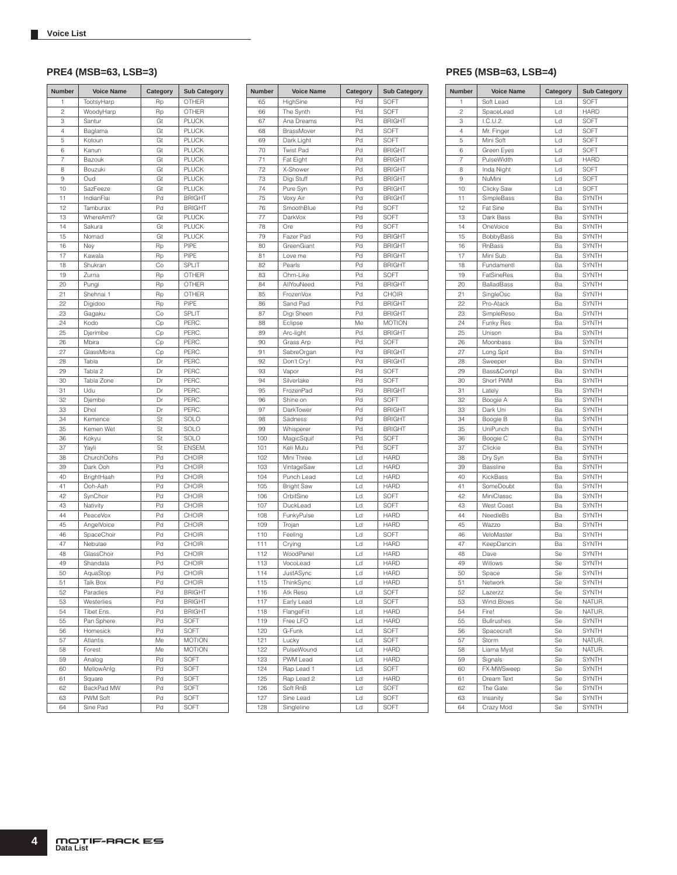| Number         | <b>Voice Name</b>    | Category | <b>Sub Category</b> |
|----------------|----------------------|----------|---------------------|
| 1              | TootsyHarp           | Rp       | OTHER               |
| $\overline{c}$ | WoodyHarp            | Rp       | OTHER               |
| 3              | Santur               | Gt       | <b>PLUCK</b>        |
| 4              | Baglama              | Gt       | <b>PLUCK</b>        |
| 5              | Kotoun               | Gt       | <b>PLUCK</b>        |
| 6              | Kanun                | Gt       | <b>PLUCK</b>        |
| 7              | Bazouk               | Gt       | <b>PLUCK</b>        |
| 8              | Bouzuki              | Gt       | <b>PLUCK</b>        |
| 9              | Oud                  | Gt       | <b>PLUCK</b>        |
| 10             | SazFeeze             | Gt       | <b>PLUCK</b>        |
| 11             | IndianFlai           | Pd       | <b>BRIGHT</b>       |
| 12             | Tamburax             | Pd       | <b>BRIGHT</b>       |
| 13             | WhereAml?            | Gt       | <b>PLUCK</b>        |
| 14             | Sakura               | Gt       | <b>PLUCK</b>        |
| 15             | Nomad                | Gt       | <b>PLUCK</b>        |
| 16             | Ney                  | Rp       | PIPE                |
| 17             | Kawala               | Rp       | PIPE                |
| 18             | Shukran              | Co       | <b>SPLIT</b>        |
| 19             | Zurna                | Rp       | OTHER               |
| 20             | Pungi                | Rp       | OTHER               |
| 21             | Shehnai 1            | Rp       | <b>OTHER</b>        |
| 22             | Digidoo              | Rp       | PIPE                |
| 23             | Gagaku               | Co       | SPLIT               |
| 24             | Kodo                 | Сp       | PERC.               |
| 25             | Djerimbe             | Сp       | PERC.               |
| 26             | Mbira                | Cp       | PERC.               |
| 27             | GlassMbira           | Cp       | PERC.               |
| 28             | Tabla                | Dr       | PERC.               |
| 29             | Tabla <sub>2</sub>   | Dr       | PERC.               |
| 30             | Tabla Zone           | Dr       | PERC.               |
| 31             | Udu                  | Dr       | PERC.               |
| 32             | Djembe               | Dr       | PERC.               |
| 33             | Dhol                 | Dr       | PERC.               |
| 34             | Kemence              | St       | SOLO                |
| 35             | Kemen Wet            | St       | SOLO                |
| 36             | Kokyu                | St       | SOLO                |
| 37             | Yayli                | St       | ENSEM.              |
| 38             | ChurchOohs           | Pd       | CHOIR               |
| 39             | Dark Ooh             | Pd       | CHOIR               |
| 40<br>41       | BrightHaah           | Pd<br>Pd | CHOIR<br>CHOIR      |
| 42             | Ooh-Aah              | Pd       |                     |
| 43             | SynChoir<br>Nativity | Pd       | CHOIR<br>CHOIR      |
| 44             | PeaceVox             | Pd       | CHOIR               |
| 45             | AngelVoice           | Pd       | CHOIR               |
| 46             | SpaceChoir           | Pd       | CHOIR               |
| 47             | Nebulae              | Pd       | CHOIR               |
| 48             | GlassChoir           | Pd       | CHOIR               |
| 49             | Shandala             | Pd       | CHOIR               |
| 50             | AquaStop             | .<br>Pd  | CHOIR               |
| 51             | Talk Box             | Pd       | CHOIR               |
| 52             | Paradies             | Pd       | <b>BRIGHT</b>       |
| 53             | Westerlies           | Pd       | <b>BRIGHT</b>       |
| 54             | Tibet Ens.           | Pd       | <b>BRIGHT</b>       |
| 55             | Pan Sphere           | Pd       | SOFT                |
| 56             | Homesick             | Pd       | SOFT                |
| 57             | Atlantis             | Me       | <b>MOTION</b>       |
| 58             | Forest               | Me       | <b>MOTION</b>       |
| 59             | Analog               | Pd       | SOFT                |
| 60             | MellowAnlg           | Pd       | SOFT                |
| 61             | Square               | Pd       | SOFT                |
| 62             | BackPad MW           | Pd       | SOFT                |
| 63             | PWM Soft             | Pd       | SOFT                |
| 64             | Sine Pad             | Pd       | SOFT                |

| <b>Number</b> | <b>Voice Name</b>     | Category | <b>Sub Category</b> |
|---------------|-----------------------|----------|---------------------|
| 65            | HighSine              | Pd       | SOFT                |
| 66            | The Synth             | Pd       | SOFT                |
| 67            | Ana Dreams            | Pd       | <b>BRIGHT</b>       |
| 68            | BrassMover            | Pd       | SOFT                |
| 69            | Dark Light            | Pd       | SOFT                |
| 70            | <b>Twist Pad</b>      | Pd       | <b>BRIGHT</b>       |
| 71            | Fat Eight             | Pd       | <b>BRIGHT</b>       |
| 72            | X-Shower              | Pd       | <b>BRIGHT</b>       |
| 73            | Digi Stuff            | Pd       | <b>BRIGHT</b>       |
| 74            | Pure Syn              | Pd       | <b>BRIGHT</b>       |
| 75            | Voxy Air              | Pd       | <b>BRIGHT</b>       |
| 76            | SmoothBlue            | Pd       | SOFT                |
| 77            | DarkVox               | Pd       | SOFT                |
| 78            | Ore                   | Pd       | SOFT                |
| 79            | Fazer Pad             | Pd       | <b>BRIGHT</b>       |
| 80            | GreenGiant            | Pd       | <b>BRIGHT</b>       |
| 81            | Love me               | Pd       | <b>BRIGHT</b>       |
| 82            | Pearls                | Pd       | <b>BRIGHT</b>       |
| 83            | Ohm-Like              | Pd       | SOFT                |
| 84            | AllYouNeed            | Pd       | <b>BRIGHT</b>       |
| 85            | FrozenVox             | Pd       | CHOIR               |
| 86            | Sand Pad              | Pd       | <b>BRIGHT</b>       |
| 87            | Digi Sheen            | Pd       | <b>BRIGHT</b>       |
| 88            | Eclipse               | Me       | <b>MOTION</b>       |
| 89            | Arc-light             | Pd       | <b>BRIGHT</b>       |
| 90            | Grass Arp             | Pd       | SOFT                |
| 91            | SabreOrgan            | Pd       | <b>BRIGHT</b>       |
| 92            | Don't Cry!            | Pd       | <b>BRIGHT</b>       |
| 93            | Vapor                 | Pd       | SOFT                |
| 94            | Silverlake            | Pd       | SOFT                |
| 95            | FrozenPad             | Pd       | <b>BRIGHT</b>       |
| 96            | Shine on              | Pd       | SOFT                |
| 97            | DarkTower             | Pd       | <b>BRIGHT</b>       |
| 98            | Sadness               | Pd       | <b>BRIGHT</b>       |
| 99            | Whisperer             | Pd       | <b>BRIGHT</b>       |
| 100           | MagicSquif            | Pd       | SOFT                |
| 101           | Keli Mutu             | Pd       | SOFT                |
| 102           | Mini Three            | Ld       | <b>HARD</b>         |
| 103           | VintageSaw            | Ld       | <b>HARD</b>         |
| 104           | Punch Lead            | Ld       | <b>HARD</b>         |
| 105           | <b>Bright Saw</b>     | Ld       | <b>HARD</b>         |
| 106           | OrbitSine             | Ld       | SOFT                |
| 107           | DuckLead              | Ld       | SOFT                |
| 108           | FunkyPulse            | Ld       | <b>HARD</b>         |
| 109<br>110    | Trojan                | Ld<br>Ld | <b>HARD</b><br>SOFT |
| 111           | Feeling               | Ld       | <b>HARD</b>         |
| 112           | Crying<br>WoodPanel   | Ld       | <b>HARD</b>         |
| 113           | VocoLead              | Ld       | <b>HARD</b>         |
| 114           | JustASync             | Ld       | <b>HARD</b>         |
|               |                       | Ld       | <b>HARD</b>         |
| 115<br>116    | ThinkSync<br>Atk Reso | Ld       | SOFT                |
| 117           | Early Lead            | Ld       | SOFT                |
| 118           | FlangeFilt            | Ld       | <b>HARD</b>         |
| 119           | Free LFO              | Ld       | <b>HARD</b>         |
| 120           | G-Funk                | Ld       | SOFT                |
| 121           | Lucky                 | Ld       | SOFT                |
| 122           | PulseWound            | Ld       | <b>HARD</b>         |
| 123           | PWM Lead              | Ld       | HARD                |
| 124           | Rap Lead 1            | Ld       | SOFT                |
| 125           | Rap Lead 2            | Ld       | <b>HARD</b>         |
| 126           | Soft RnB              | Ld       | SOFT                |
| 127           | Sine Lead             | Ld       | SOFT                |
| 128           | Singleline            | Ld       | SOFT                |

### **PRE4 (MSB=63, LSB=3) PRE5 (MSB=63, LSB=4)**

| Number   | <b>Voice Name</b>     | Category | <b>Sub Category</b>   | <b>Number</b>  | <b>Voice Name</b>  | Category | <b>Sub Category</b>   |
|----------|-----------------------|----------|-----------------------|----------------|--------------------|----------|-----------------------|
| 65       | HighSine              | Pd       | SOFT                  | 1              | Soft Lead          | Ld       | SOFT                  |
| 66       | The Synth             | Pd       | SOFT                  | $\overline{c}$ | SpaceLead          | Ld       | <b>HARD</b>           |
| 67       | Ana Dreams            | Pd       | <b>BRIGHT</b>         | 3              | I.C.U.2.           | Ld       | SOFT                  |
| 68       | BrassMover            | Pd       | SOFT                  | $\overline{4}$ | Mr. Finger         | Ld       | SOFT                  |
| 69       | Dark Light            | Pd       | SOFT                  | 5              | Mini Soft          | Ld       | SOFT                  |
| 70       | <b>Twist Pad</b>      | Pd       | <b>BRIGHT</b>         | 6              | Green Eyes         | Ld       | SOFT                  |
| 71       | Fat Eight             | Pd       | <b>BRIGHT</b>         | $\overline{7}$ | PulseWidth         | Ld       | <b>HARD</b>           |
| 72       | X-Shower              | Pd       | <b>BRIGHT</b>         | 8              | Inda Night         | Ld       | SOFT                  |
| 73       | Digi Stuff            | Pd       | <b>BRIGHT</b>         | 9              | NuMini             | Ld       | SOFT                  |
| 74       | Pure Syn              | Pd       | <b>BRIGHT</b>         | 10             | Clicky Saw         | Ld       | SOFT                  |
| 75       | Voxy Air              | Pd       | <b>BRIGHT</b>         | 11             | SimpleBass         | Ba       | <b>SYNTH</b>          |
| 76       | SmoothBlue            | Pd       | SOFT                  | 12             | <b>Fat Sine</b>    | Ba       | <b>SYNTH</b>          |
| 77       | DarkVox               | Pd       | SOFT                  | 13             | Dark Bass          | Ba       | SYNTH                 |
| 78       | Ore                   | Pd       | SOFT                  | 14             | OneVoice           | Ba       | <b>SYNTH</b>          |
| 79       | Fazer Pad             | Pd       | <b>BRIGHT</b>         | 15             | BobbyBass          | Ba       | <b>SYNTH</b>          |
| 80       | GreenGiant            | Pd       | <b>BRIGHT</b>         | 16             | RnBass             | Ba       | <b>SYNTH</b>          |
| 81       | Love me               | Pd       | <b>BRIGHT</b>         | 17             | Mini Sub           | Ba       | <b>SYNTH</b>          |
| 82       | Pearls                | Pd       | <b>BRIGHT</b>         | 18             | Fundamentl         | Ba       | <b>SYNTH</b>          |
| 83       | Ohm-Like              | Pd       | SOFT                  | 19             | FatSineRes         | Ba       | <b>SYNTH</b>          |
| 84       | AllYouNeed            | Pd       | <b>BRIGHT</b>         | 20             | <b>BalladBass</b>  | Ba       | <b>SYNTH</b>          |
| 85       | FrozenVox             | Pd       | CHOIR                 | 21             | SingleOsc          | Ba       | <b>SYNTH</b>          |
| 86       | Sand Pad              | Pd       | <b>BRIGHT</b>         | 22             | Pro-Atack          | Ba       | SYNTH                 |
| 87       | Digi Sheen            | Pd       | <b>BRIGHT</b>         | 23             | SimpleReso         | Ba       | <b>SYNTH</b>          |
| 88       | Eclipse               | Me       | <b>MOTION</b>         | 24             | Funky Res          | Ba       | <b>SYNTH</b>          |
| 89       | Arc-light             | Pd       | <b>BRIGHT</b>         | 25             | Unison             | Ba       | <b>SYNTH</b>          |
| 90       | Grass Arp             | Pd       | SOFT                  | 26             | Moonbass           | Ba       | <b>SYNTH</b>          |
| 91       | SabreOrgan            | Pd       | <b>BRIGHT</b>         | 27             | Long Spit          | Ba       | <b>SYNTH</b>          |
| 92       | Don't Cry!            | Pd       | <b>BRIGHT</b>         | 28             | Sweeper            | Ba       | <b>SYNTH</b>          |
| 93       | Vapor                 | Pd       | SOFT                  | 29             | Bass&Comp!         | Ba       | <b>SYNTH</b>          |
| 94<br>95 | Silverlake            | Pd       | SOFT                  | 30             | Short PWM          | Ba       | <b>SYNTH</b>          |
| 96       | FrozenPad<br>Shine on | Pd<br>Pd | <b>BRIGHT</b><br>SOFT | 31<br>32       | Lately<br>Boogie A | Ba<br>Ba | <b>SYNTH</b>          |
| 97       | DarkTower             | Pd       | <b>BRIGHT</b>         | 33             | Dark Uni           | Ba       | <b>SYNTH</b><br>SYNTH |
| 98       | Sadness               | Pd       | <b>BRIGHT</b>         | 34             | Boogie B           | Ba       | <b>SYNTH</b>          |
| 99       | Whisperer             | Pd       | <b>BRIGHT</b>         | 35             | UniPunch           | Ba       | <b>SYNTH</b>          |
| 100      | MagicSquif            | Pd       | SOFT                  | 36             | Boogie C           | Ba       | <b>SYNTH</b>          |
| 101      | Keli Mutu             | Pd       | SOFT                  | 37             | Clickie            | Ba       | <b>SYNTH</b>          |
| 102      | Mini Three            | Ld       | <b>HARD</b>           | 38             | Dry Syn            | Ba       | <b>SYNTH</b>          |
| 103      | VintageSaw            | Ld       | <b>HARD</b>           | 39             | Bassline           | Ba       | <b>SYNTH</b>          |
| 104      | Punch Lead            | Ld       | <b>HARD</b>           | 40             | KickBass           | Ba       | <b>SYNTH</b>          |
| 105      | <b>Bright Saw</b>     | Ld       | <b>HARD</b>           | 41             | SomeDoubt          | Ba       | <b>SYNTH</b>          |
| 106      | OrbitSine             | Ld       | SOFT                  | 42             | MiniClassc         | Ba       | SYNTH                 |
| 107      | DuckLead              | Ld       | SOFT                  | 43             | <b>West Coast</b>  | Ba       | SYNTH                 |
| 108      | FunkyPulse            | Ld       | <b>HARD</b>           | 44             | NeedleBs           | Ba       | <b>SYNTH</b>          |
| 109      | Trojan                | Ld       | <b>HARD</b>           | 45             | Wazzo              | Ba       | <b>SYNTH</b>          |
| 110      | Feeling               | Ld       | SOFT                  | 46             | VeloMaster         | Ba       | <b>SYNTH</b>          |
| 111      | Crying                | Ld       | <b>HARD</b>           | 47             | KeepDancin         | Ba       | <b>SYNTH</b>          |
| 112      | WoodPanel             | Ld       | <b>HARD</b>           | 48             | Dave               | Se       | <b>SYNTH</b>          |
| 113      | VocoLead              | Ld       | <b>HARD</b>           | 49             | Willows            | Se       | <b>SYNTH</b>          |
| 114      | JustASync             | Ld       | <b>HARD</b>           | 50             | Space              | Se       | <b>SYNTH</b>          |
| 115      | ThinkSync             | Ld       | <b>HARD</b>           | 51             | Network            | Se       | SYNTH                 |
| 116      | Atk Reso              | Ld       | SOFT                  | 52             | Lazerzz            | Se       | SYNTH                 |
| 117      | Early Lead            | Ld       | SOFT                  | 53             | Wind Blows         | Se       | NATUR.                |
| 118      | FlangeFilt            | Ld       | <b>HARD</b>           | 54             | Fire!              | Se       | NATUR.                |
| 119      | Free LFO              | Ld       | <b>HARD</b>           | 55             | <b>Bullrushes</b>  | Se       | <b>SYNTH</b>          |
| 120      | G-Funk                | Ld       | SOFT                  | 56             | Spacecraft         | Se       | SYNTH                 |
| 121      | Lucky                 | Ld       | SOFT                  | 57             | Storm              | Se       | NATUR.                |
| 122      | PulseWound            | Ld       | <b>HARD</b>           | 58             | Liama Myst         | Se       | NATUR.                |
| 123      | PWM Lead              | Ld       | <b>HARD</b>           | 59             | Signals            | Se       | SYNTH                 |
| 124      | Rap Lead 1            | Ld       | SOFT                  | 60             | FX-MWSweep         | Se       | <b>SYNTH</b>          |
| 125      | Rap Lead 2            | Ld       | <b>HARD</b>           | 61             | Dream Text         | Se       | SYNTH                 |
| 126      | Soft RnB              | Ld       | SOFT                  | 62             | The Gate           | Se       | SYNTH                 |
| 127      | Sine Lead             | Ld       | SOFT                  | 63             | Insanity           | Se       | SYNTH                 |
| 128      | Singleline            | Ld       | SOFT                  | 64             | Crazy Mod          | Se       | SYNTH                 |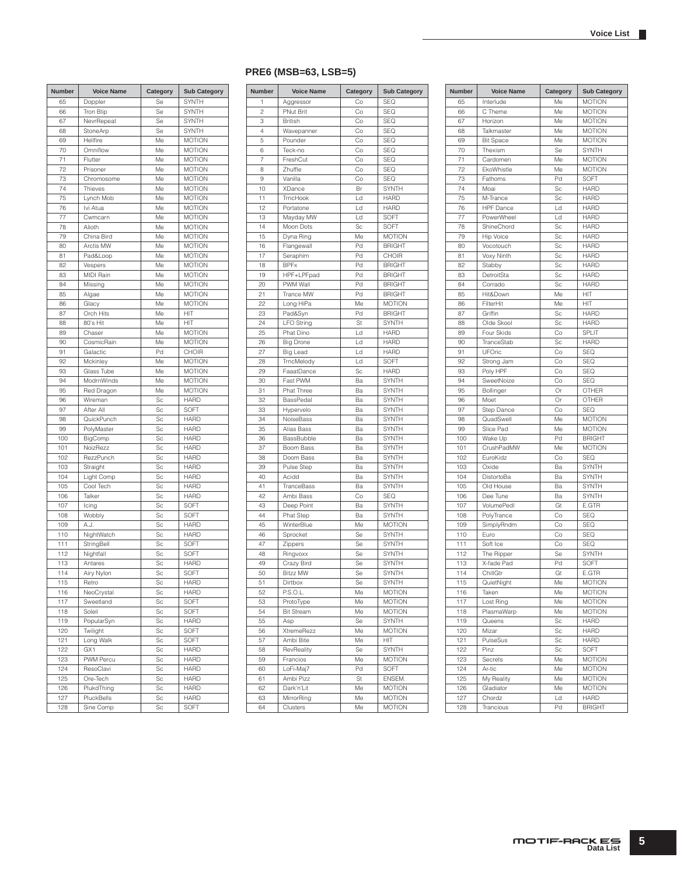#### 65 Doppler Se SYNTH 66 Tron Blip Se SYNTH 67 NevrRepeat Se SYNTH 68 StoneArp Se SYNTH<br>69 Hellfire Me MOTIOI 69 Hellfire Me MOTION 70 Omniflow Me MOTION The Flutter Me MOTION<br>
The Me MOTION<br>
Me MOTION MOTION 73 Chromosome Me MOTION 74 Thieves Me MOTION The Moto Mob Me MOTION<br>
The Motion Me MOTION MOTION 77 Cwmcarn Me MOTION 78 Alioth Me MOTION<br>79 China Bird Me MOTION China Bird 80 | Arctis MW | Me | MOTION 81 Pad&Loop Me MOTION 82 Vespers Me MOTION 83 MIDI Rain Me MOTION 84 Missing Me MOTION 85 Algae Me MOTION<br>86 Glacy Me MOTION Glacy Me MOTION 87 Orch Hits Me HIT 88 80's Hit Me HIT 89 Chaser Me MOTION 90 CosmicRain Me MOTION 91 Galactic Pd CHOIR 92 Mckinley Me MOTION 93 Glass Tube Me MOTION 94 ModrnWinds Me MOTION 95 Red Dragon Me MOTION<br>96 Wireman Sc HARD Wireman 97 After All Sc SOFT 98 QuickPunch Sc HARD 99 PolyMaster Sc HARD 100 BigComp Sc HARD 101 NoizRezz Sc HARD 102 RezzPunch Sc HARD 103 Straight Sc HARD 104 Light Comp Sc HARD 105 Cool Tech Sc HARD 106 Talker Sc HARD<br>107 loing Sc SOFT Icing Sc SOFT 108 Wobbly Sc SOFT 109 A.J. Sc HARD<br>110 NightWatch Sc HARD 110 NightWatch 111 StringBell Sc SOFT 112 Nightfall Sc SOFT 113 Antares Sc HARD 114 Airy Nylon Sc SOFT 115 Retro Sc HARD 116 NeoCrystal Sc HARD<br>117 Sweetland Sc SOFT Sweetland Sc 118 Soleil Sc SOFT 119 PopularSyn Sc HARD 120 Twilight Sc SOFT 121 Long Walk Sc SOFT 122 GX1 Sc HARD 123 PWM Percu Sc HARD<br>124 ResoClavi Sc HARD 124 ResoClavi 125 Ore-Tech Sc HARD 126 PlukdThing Sc HARD<br>127 PluckBells Sc HARD PluckBells 128 | Sine Comp Sc | SOFT **Rumber Voice Name Category Sub Category**

### **PRE6 (MSB=63, LSB=5)**

| Number         | <b>Voice Name</b> | Category | <b>Sub Category</b> |
|----------------|-------------------|----------|---------------------|
| 1              | Aggressor         | Co       | SEQ                 |
| $\overline{c}$ | <b>PNut Brit</b>  | Co       | SEQ                 |
| 3              | <b>British</b>    | Co       | SEQ                 |
| 4              | Wavepanner        | Co       | <b>SEQ</b>          |
| 5              | Pounder           | Co       | SEQ                 |
| 6              | Teck-no           | Co       | SEQ                 |
| 7              | FreshCut          | Co       | SEQ                 |
| 8              | Zhuffle           | Co       | <b>SEQ</b>          |
| 9              | Vanilla           | Co       | <b>SEQ</b>          |
| 10             | XDance            | Br       | <b>SYNTH</b>        |
| 11             | TrncHook          | Ld       | <b>HARD</b>         |
| 12             | Portatone         | Ld       | <b>HARD</b>         |
| 13             |                   | Ld       | SOFT                |
|                | Mayday MW         |          |                     |
| 14             | Moon Dots         | Sc       | SOFT                |
| 15             | Dyna Ring         | Me       | <b>MOTION</b>       |
| 16             | Flangewall        | Pd       | <b>BRIGHT</b>       |
| 17             | Seraphim          | Pd       | CHOIR               |
| 18             | <b>BPFx</b>       | Pd       | <b>BRIGHT</b>       |
| 19             | HPF+LPFpad        | Pd       | <b>BRIGHT</b>       |
| 20             | PWM Wall          | Pd       | <b>BRIGHT</b>       |
| 21             | Trance MW         | Pd       | <b>BRIGHT</b>       |
| 22             | Long HiPa         | Me       | <b>MOTION</b>       |
| 23             | Pad&Syn           | Pd       | <b>BRIGHT</b>       |
| 24             | <b>LFO String</b> | St       | <b>SYNTH</b>        |
| 25             | Phat Dino         | Ld       | <b>HARD</b>         |
| 26             | <b>Big Drone</b>  | Ld       | <b>HARD</b>         |
| 27             | Big Lead          | Ld       | <b>HARD</b>         |
| 28             | TrncMelody        | Ld       | SOFT                |
| 29             | FaaatDance        | Sc       | <b>HARD</b>         |
| 30             | Fast PWM          | Ba       | <b>SYNTH</b>        |
| 31             | Phat Three        | Ba       | <b>SYNTH</b>        |
| 32             | BassPedal         | Ba       | <b>SYNTH</b>        |
| 33             | Hypervelo         | Ba       | <b>SYNTH</b>        |
| 34             | NoiseBass         | Ba       | <b>SYNTH</b>        |
|                |                   |          |                     |
| 35             | Alias Bass        | Ba       | SYNTH               |
| 36             | BassBubble        | Ba       | <b>SYNTH</b>        |
| 37             | Boom Bass         | Ba       | <b>SYNTH</b>        |
| 38             | Doom Bass         | Ba       | <b>SYNTH</b>        |
| 39             | Pulse Step        | Ba       | <b>SYNTH</b>        |
| 40             | Acidd             | Ba       | <b>SYNTH</b>        |
| 41             | TranceBass        | Ba       | <b>SYNTH</b>        |
| 42             | Ambi Bass         | Co       | <b>SEQ</b>          |
| 43             | Deep Point        | Ba       | <b>SYNTH</b>        |
| 44             | Phat Step         | Ba       | <b>SYNTH</b>        |
| 45             | WinterBlue        | Me       | <b>MOTION</b>       |
| 46             | Sprocket          | Se       | <b>SYNTH</b>        |
| 47             | Zippers           | Se       | <b>SYNTH</b>        |
| 48             | Ringvoxx          | Se       | <b>SYNTH</b>        |
| 49             | Crazy Bird        | Se       | SYNTH               |
| 50             | <b>Bitzz MW</b>   | Se       | <b>SYNTH</b>        |
| 51             | Dirthox           | Se       | SYNTH               |
| 52             | P.S.O.L.          | Me       | <b>MOTION</b>       |
| 53             | ProtoType         | Me       | <b>MOTION</b>       |
| 54             | <b>Bit Stream</b> | Me       | <b>MOTION</b>       |
| 55             | Asp               | Se       | SYNTH               |
| 56             | XtremeRezz        | Me       | <b>MOTION</b>       |
|                |                   |          | HIT                 |
| 57             | Ambi Bite         | Me       |                     |
| 58             | RevReality        | Se       | SYNTH               |
| 59             | Francios          | Me       | <b>MOTION</b>       |
| 60             | LoFi-Maj7         | Pd       | SOFT                |
| 61             | Ambi Pizz         | St       | ENSEM.              |
| 62             | Dark'n'Lit        | Me       | <b>MOTION</b>       |
| 63             | MirrorRing        | Me       | <b>MOTION</b>       |
| 64             | Clusters          | Me       | <b>MOTION</b>       |

| Number | <b>Voice Name</b> | Category | <b>Sub Category</b> |
|--------|-------------------|----------|---------------------|
| 65     | Interlude         | Me       | <b>MOTION</b>       |
| 66     | C Theme           | Me       | <b>MOTION</b>       |
| 67     | Horizon           | Me       | <b>MOTION</b>       |
| 68     | Talkmaster        | Me       | <b>MOTION</b>       |
| 69     | <b>Bit Space</b>  | Me       | <b>MOTION</b>       |
| 70     | Thexism           | Se       | <b>SYNTH</b>        |
| 71     | Cardomen          | Me       | <b>MOTION</b>       |
| 72     | EkoWhistle        | Me       | <b>MOTION</b>       |
| 73     | Fathoms           | Pd       | SOFT                |
| 74     | Moai              | Sc       | <b>HARD</b>         |
| 75     | M-Trance          | Sc       | <b>HARD</b>         |
| 76     | <b>HPF</b> Dance  | Ld       | <b>HARD</b>         |
| 77     | PowerWheel        | Ld       | <b>HARD</b>         |
| 78     | ShineChord        | Sc       | <b>HARD</b>         |
| 79     | Hip Voice         | Sc       | <b>HARD</b>         |
| 80     | Vocotouch         | Sc       | <b>HARD</b>         |
| 81     | Voxy Ninth        | Sc       | <b>HARD</b>         |
| 82     | Stabby            | Sc       | <b>HARD</b>         |
| 83     | DetroitSta        | Sc       | <b>HARD</b>         |
| 84     | Corrado           | Sc       | <b>HARD</b>         |
| 85     | Hit&Down          | Me       | HIT                 |
| 86     | FilterHit         | Me       | HIT                 |
| 87     | Griffin           | Sc       | <b>HARD</b>         |
| 88     | Olde Skool        | Sc       | <b>HARD</b>         |
| 89     | Four Skids        | Co       | <b>SPLIT</b>        |
| 90     | TranceStab        | Sc       | <b>HARD</b>         |
| 91     | UFOric            | Co       | <b>SEQ</b>          |
| 92     | Strong Jam        | Co       | <b>SEQ</b>          |
| 93     | Poly HPF          | Co       | <b>SEQ</b>          |
| 94     | SweetNoize        | Co       | <b>SEQ</b>          |
| 95     | Bollinger         | Or       | <b>OTHER</b>        |
| 96     | Moet              | Or       | <b>OTHER</b>        |
| 97     | Step Dance        | Co       | <b>SEQ</b>          |
| 98     | QuadSwell         | Me       | <b>MOTION</b>       |
| 99     | Slice Pad         | Me       | <b>MOTION</b>       |
| 100    | Wake Up           | Pd       | <b>BRIGHT</b>       |
| 101    | CrushPadMW        | Me       | <b>MOTION</b>       |
| 102    | EuroKidz          | Co       | <b>SEQ</b>          |
| 103    | Oxide             | Ba       | <b>SYNTH</b>        |
| 104    | DistortoBa        | Ba       | <b>SYNTH</b>        |
| 105    | Old House         | Ba       | <b>SYNTH</b>        |
| 106    | Dee Tune          | Ba       | <b>SYNTH</b>        |
| 107    | VolumePedl        | Gt       | E.GTR               |
| 108    | PolyTrance        | Co       | <b>SEQ</b>          |
| 109    | SimplyRndm        | Co       | <b>SEQ</b>          |
| 110    | Euro              | Co       | <b>SEQ</b>          |
| 111    | Soft Ice          | Co       | <b>SEQ</b>          |
| 112    | The Ripper        | Se       | <b>SYNTH</b>        |
| 113    | X-fade Pad        | Pd       | SOFT                |
| 114    | ChillGtr          | Gt       | E.GTR               |
| 115    | QuietNight        | Мe       | <b>MOTION</b>       |
| 116    | Taken             | Me       | <b>MOTION</b>       |
| 117    | Lost Ring         | Me       | <b>MOTION</b>       |
| 118    | PlasmaWarp        | Me       | <b>MOTION</b>       |
| 119    | Queens            | Sc       | <b>HARD</b>         |
| 120    | Mizar             | Sc       | <b>HARD</b>         |
| 121    | PulseSus          | Sc       | <b>HARD</b>         |
| 122    | Pinz              | Sc       | SOFT                |
| 123    | Secrets           | Me       | <b>MOTION</b>       |
| 124    | Ar-tic            | Me       | <b>MOTION</b>       |
| 125    | My Reality        | Me       | <b>MOTION</b>       |
| 126    | Gladiator         | Me       | <b>MOTION</b>       |
| 127    | Chordz            | Ld       | <b>HARD</b>         |
| 128    | Trancious         | Pd       | <b>BRIGHT</b>       |
|        |                   |          |                     |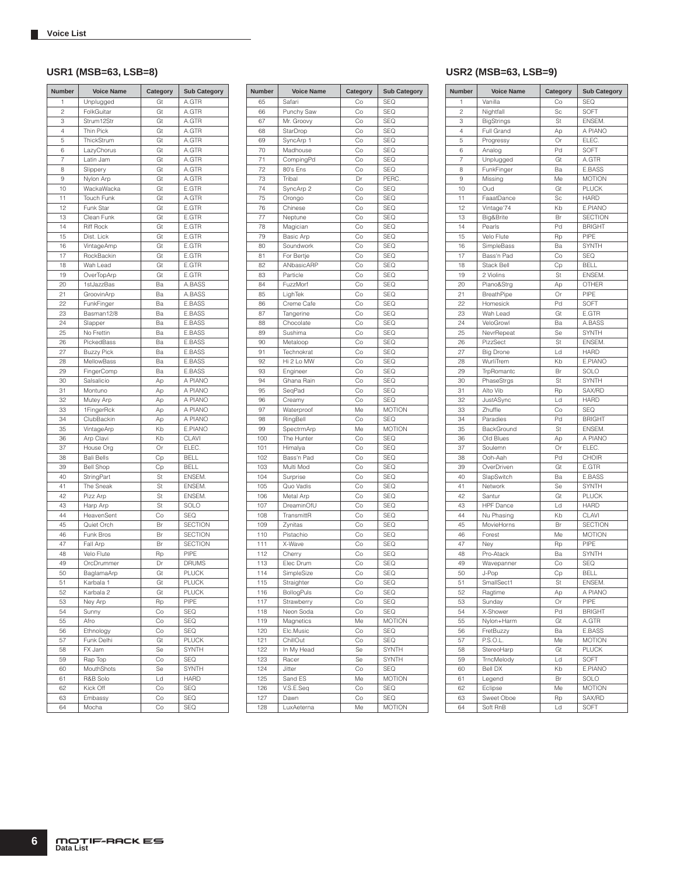| <b>Number</b>  | <b>Voice Name</b>       | Category | <b>Sub Category</b>        |
|----------------|-------------------------|----------|----------------------------|
| 1              | Unplugged               | Gt       | A.GTR                      |
| $\overline{c}$ | FolkGuitar              | Gt       | A.GTR                      |
| 3              | Strum12Str              | Gt       | A.GTR                      |
| 4              | Thin Pick               | Gt       | A.GTR                      |
| 5              | ThickStrum              | Gt       | A.GTR                      |
| 6              | LazyChorus              | Gt       | A.GTR                      |
| 7              | Latin Jam               | Gt       | A.GTR                      |
| 8              | Slippery                | Gt       | A.GTR                      |
| 9              | Nylon Arp               | Gt       | A.GTR                      |
| 10             | WackaWacka              | Gt       | E.GTR                      |
| 11             | Touch Funk              | Gt       | A.GTR                      |
| 12             | Funk Star               | Gt       | E.GTR                      |
| 13             | Clean Funk              | Gt       | E.GTR                      |
| 14             | <b>Riff Rock</b>        | Gt       | E.GTR                      |
| 15             | Dist. Lick              | Gt       | E.GTR                      |
| 16             | VintageAmp              | Gt       | E.GTR                      |
| 17             | RockBackin              | Gt       | E.GTR                      |
| 18             | Wah Lead                | Gt       | E.GTR                      |
| 19             | OverTopArp              | Gt       | E.GTR                      |
| 20             | 1stJazzBas              | Ba       | A.BASS                     |
| 21             | GroovinArp              | Ba       | A.BASS                     |
| 22             | FunkFinger              | Ba       | E.BASS                     |
| 23             | Basman12/8              | Ba       | E.BASS                     |
| 24             | Slapper                 | Ba       | E.BASS                     |
| 25             | No Frettin              | Ba       | E.BASS                     |
| 26             | PickedBass              | Ba       | E.BASS                     |
| 27             | <b>Buzzy Pick</b>       | Ba       | E.BASS                     |
| 28             | MellowBass              | Ba       | E.BASS                     |
| 29             | FingerComp              | Ba       | E.BASS                     |
| 30             | Salsalicio              | Ap       | A PIANO                    |
| 31             | Montuno                 | Ap       | A PIANO                    |
| 32             | Mutey Arp               | Ap       | A PIANO                    |
| 33             | 1FingerRck              | Ap       | A PIANO                    |
| 34             | ClubBackin              | Аp       | A PIANO                    |
| 35             | VintageArp              | Kb       | E.PIANO                    |
| 36             | Arp Clavi               | Kb       | CLAVI                      |
| 37             | House Org               | Or       | ELEC.                      |
| 38             | <b>Bali Bells</b>       | Сp       | <b>BELL</b><br><b>BELL</b> |
| 39             | <b>Bell Shop</b>        | Сp       |                            |
| 40<br>41       | StringPart<br>The Sneak | St<br>St | ENSEM.<br>ENSEM.           |
| 42             | Pizz Arp                | St       | ENSEM.                     |
| 43             | Harp Arp                | St       | SOLO                       |
| 44             | HeavenSent              | Co       | <b>SEQ</b>                 |
| 45             | Quiet Orch              | Br       | <b>SECTION</b>             |
| 46             | Funk Bros               | Br       | <b>SECTION</b>             |
| 47             | Fall Arp                | Br       | <b>SECTION</b>             |
| 48             | Velo Flute              | Rp       | PIPE                       |
| 49             | OrcDrummer              | Dr       | <b>DRUMS</b>               |
| 50             | BaglamaArp              | Gt       | PLUCK                      |
| 51             | Karbala 1               | Gt       | PLUCK                      |
| 52             | Karbala 2               | Gt       | <b>PLUCK</b>               |
| 53             | Ney Arp                 | Rp       | PIPE                       |
| 54             | Sunny                   | Co       | SEQ                        |
| 55             | Afro                    | Co       | SEQ                        |
| 56             | Ethnology               | Co       | SEQ                        |
| 57             | Funk Delhi              | Gt       | <b>PLUCK</b>               |
| 58             | FX Jam                  | Se       | <b>SYNTH</b>               |
| 59             | Rap Top                 | Co       | <b>SEQ</b>                 |
| 60             | MouthShots              | Se       | <b>SYNTH</b>               |
| 61             | R&B Solo                | Ld       | <b>HARD</b>                |
| 62             | Kick Off                | Co       | SEQ                        |
| 63             | Embassy                 | Co       | SEQ                        |
| 64             | Mocha                   | Co       | SEQ                        |

| <b>Number</b> | <b>Voice Name</b>       | Category | <b>Sub Category</b> |
|---------------|-------------------------|----------|---------------------|
| 65            | Safari                  | Co       | <b>SEQ</b>          |
| 66            | Punchy Saw              | Co       | <b>SEQ</b>          |
| 67            | Mr. Groovy              | Ċо       | SEQ                 |
| 68            | StarDrop                | Ċо       | <b>SEQ</b>          |
| 69            | SyncArp 1               | Co       | <b>SEQ</b>          |
| 70            | Madhouse                | Co       | <b>SEQ</b>          |
| 71            | CompingPd               | Co       | <b>SEQ</b>          |
| 72            | 80's Ens                | Co       | <b>SEQ</b>          |
| 73            | Tribal                  | Dr       | PERC.               |
| 74            | SyncArp 2               | Co       | SEQ                 |
| 75            | Orongo                  | Co       | <b>SEQ</b>          |
| 76            | Chinese                 | Co       | SEQ                 |
| 77            | Neptune                 | Co       | <b>SEQ</b>          |
| 78            | Magician                | Ċо       | <b>SEQ</b>          |
| 79            | <b>Basic Arp</b>        | Co       | <b>SEQ</b>          |
| 80            | Soundwork               | Co       | <b>SEQ</b>          |
| 81            | For Bertje              | Co       | <b>SEQ</b>          |
| 82            | ANbasicARP              | Co       | SEQ                 |
| 83            | Particle                | Co       | SEQ                 |
| 84            | FuzzMorf                | Co       | <b>SEQ</b>          |
| 85<br>86      | LighTek<br>Creme Cafe   | Co<br>Co | SEQ<br>SEQ          |
| 87            | Tangerine               | Co       | <b>SEQ</b>          |
| 88            | Chocolate               | Ċо       | <b>SEQ</b>          |
| 89            | Sushima                 | Co       | <b>SEQ</b>          |
| 90            | Metaloop                | Co       | <b>SEQ</b>          |
| 91            | Technokrat              | Co       | <b>SEQ</b>          |
| 92            | Hi 2 Lo MW              | Co       | <b>SEQ</b>          |
| 93            | Engineer                | Co       | SEQ                 |
| 94            | Ghana Rain              | Co       | SEQ                 |
| 95            | SeqPad                  | Co       | <b>SEQ</b>          |
| 96            | Creamy                  | Co       | SEQ                 |
| 97            | Waterproof              | Me       | <b>MOTION</b>       |
| 98            | RingBell                | Ċо       | SEQ                 |
| 99            | SpectrmArp              | Me       | <b>MOTION</b>       |
| 100           | The Hunter              | Ċо       | <b>SEQ</b>          |
| 101           | Himalya                 | Co       | <b>SEQ</b>          |
| 102           | Bass'n Pad              | Co       | <b>SEQ</b>          |
| 103           | Multi Mod               | Co       | <b>SEQ</b>          |
| 104           | Surprise                | Co       | <b>SEQ</b>          |
| 105           | Quo Vadis               | Co       | SEQ                 |
| 106           | Metal Arp               | Co       | <b>SEQ</b>          |
| 107           | DreaminOfU              | Co       | <b>SEQ</b>          |
| 108           | TransmittR              | Ċо       | SEQ                 |
| 109           | Zynitas                 | Ċо       | <b>SEQ</b>          |
| 110           | Pistachio               | Co       | <b>SEQ</b>          |
| 111           | X-Wave                  | Co       | SEQ                 |
| 112           | Cherry                  | Co       | <b>SEQ</b>          |
| 113<br>114    | Elec Drum               | Co       | SEQ                 |
|               | SimpleSize              | Ċо       | SEQ                 |
| 115           | Straighter              | Co       | SEQ                 |
| 116           | <b>BollogPuls</b>       | Co       | SEQ<br><b>SEQ</b>   |
| 117<br>118    | Strawberry<br>Neon Soda | Co<br>Co | SEQ                 |
| 119           | Magnetics               | Me       | <b>MOTION</b>       |
| 120           | Elc.Music               | Co       | <b>SEQ</b>          |
| 121           | ChillOut                | Co       | <b>SEQ</b>          |
| 122           | In My Head              | Se       | SYNTH               |
| 123           | Racer                   | Se       | <b>SYNTH</b>        |
| 124           | Jitter                  | Co       | SEQ                 |
| 125           | Sand ES                 | Me       | <b>MOTION</b>       |
| 126           | V.S.E.Seq               | Co       | <b>SEQ</b>          |
| 127           | Dawn                    | Co       | SEQ                 |
| 128           | LuxAeterna              | Me       | <b>MOTION</b>       |
|               |                         |          |                     |

### **USR1 (MSB=63, LSB=8) USR2 (MSB=63, LSB=9)**

| Number   | <b>Voice Name</b>    | Category | <b>Sub Category</b> | <b>Number</b>  | <b>Voice Name</b>      | Category | <b>Sub Category</b>  |
|----------|----------------------|----------|---------------------|----------------|------------------------|----------|----------------------|
| 65       | Safari               | Co       | <b>SEQ</b>          | 1              | Vanilla                | Co       | <b>SEQ</b>           |
| 66       | Punchy Saw           | Co       | <b>SEQ</b>          | $\overline{c}$ | Nightfall              | Sc       | SOFT                 |
| 67       | Mr. Groovy           | Co       | <b>SEQ</b>          | 3              | <b>BigStrings</b>      | St       | ENSEM.               |
| 68       | StarDrop             | Co       | SEQ                 | $\overline{4}$ | Full Grand             | Ap       | A PIANO              |
| 69       | SyncArp 1            | Co       | SEQ                 | 5              | Progressy              | Or       | ELEC.                |
| 70       | Madhouse             | Co       | <b>SEQ</b>          | 6              | Analog                 | Pd       | SOFT                 |
| 71       | CompingPd            | Co       | <b>SEQ</b>          | $\overline{7}$ | Unplugged              | Gt       | A.GTR                |
| 72       | 80's Ens             | Co       | SEQ                 | 8              | FunkFinger             | Ba       | E.BASS               |
| 73       | Tribal               | Dr       | PERC.               | 9              | Missing                | Me       | <b>MOTION</b>        |
| 74       | SyncArp 2            | Co       | SEQ                 | 10             | Oud                    | Gt       | <b>PLUCK</b>         |
| 75       | Orongo               | Co       | <b>SEQ</b>          | 11             | FaaatDance             | Sc       | <b>HARD</b>          |
| 76       | Chinese              | Co       | <b>SEQ</b>          | 12             | Vintage'74             | Kb       | E.PIANO              |
| 77       | Neptune              | Co       | SEQ                 | 13             | Big&Brite              | Br       | <b>SECTION</b>       |
| 78       | Magician             | Co       | SEQ                 | 14             | Pearls                 | Pd       | <b>BRIGHT</b>        |
| 79       | Basic Arp            | Co       | SEQ                 | 15             | Velo Flute             | Rp       | PIPE                 |
| 80       | Soundwork            | Co       | <b>SEQ</b>          | 16             | SimpleBass             | Ba       | <b>SYNTH</b>         |
| 81       | For Bertje           | Co       | <b>SEQ</b>          | 17             | Bass'n Pad             | Co       | <b>SEQ</b>           |
| 82       | ANbasicARP           | Co       | SEQ                 | 18             | Stack Bell             | Cp       | <b>BELL</b>          |
| 83       | Particle             | Co       | SEQ                 | 19             | 2 Violins              | St       | ENSEM.               |
| 84       | FuzzMorf             | Co       | SEQ                 | 20             | Piano&Strg             | Ap       | OTHER                |
| 85       | LighTek              | Co       | <b>SEQ</b>          | 21             | BreathPipe             | Or       | PIPE                 |
| 86       | Creme Cafe           | Co       | <b>SEQ</b>          | 22             | Homesick               | Pd       | SOFT                 |
| 87       | Tangerine            | Co       | <b>SEQ</b>          | 23             | Wah Lead               | Gt       | E.GTR                |
| 88       | Chocolate            | Co       | SEQ                 | 24             | VeloGrowl              | Ba       | A.BASS               |
| 89       | Sushima              | Co       | SEQ                 | 25             | NevrRepeat             | Se       | <b>SYNTH</b>         |
| 90       | Metaloop             | Co       | SEQ                 | 26             | PizzSect               | St       | ENSEM.               |
| 91       | Technokrat           | Co       | <b>SEQ</b>          | 27             | <b>Big Drone</b>       | Ld       | <b>HARD</b>          |
| 92       | Hi 2 Lo MW           | Co       | SEQ                 | 28             | WurliTrem              | Kb       | E.PIANO              |
| 93       | Engineer             | Co       | SEQ                 | 29             | TrpRomantc             | Br       | SOLO<br><b>SYNTH</b> |
| 94<br>95 | Ghana Rain<br>SeqPad | Co<br>Co | SEQ<br><b>SEQ</b>   | 30<br>31       | PhaseStrgs<br>Alto Vib | St       | SAX/RD               |
| 96       | Creamy               | Co       | <b>SEQ</b>          | 32             | JustASync              | Rp<br>Ld | <b>HARD</b>          |
| 97       | Waterproof           | Me       | <b>MOTION</b>       | 33             | Zhuffle                | Co       | SEQ                  |
| 98       | RingBell             | Co       | SEQ                 | 34             | Paradies               | Pd       | <b>BRIGHT</b>        |
| 99       | SpectrmArp           | Me       | <b>MOTION</b>       | 35             | BackGround             | St       | ENSEM.               |
| 100      | The Hunter           | Co       | <b>SEQ</b>          | 36             | Old Blues              | Ap       | A PIANO              |
| 101      | Himalya              | Co       | SEQ                 | 37             | Soulemn                | Or       | ELEC.                |
| 102      | Bass'n Pad           | Co       | SEQ                 | 38             | Ooh-Aah                | Pd       | CHOIR                |
| 103      | Multi Mod            | Co       | SEQ                 | 39             | OverDriven             | Gt       | E.GTR                |
| 104      | Surprise             | Co       | SEQ                 | 40             | SlapSwitch             | Ba       | E.BASS               |
| 105      | Quo Vadis            | Co       | SEQ                 | 41             | Network                | Se       | <b>SYNTH</b>         |
| 106      | Metal Arp            | Co       | <b>SEQ</b>          | 42             | Santur                 | Gt       | <b>PLUCK</b>         |
| 107      | DreaminOfU           | Co       | <b>SEQ</b>          | 43             | <b>HPF</b> Dance       | Ld       | <b>HARD</b>          |
| 108      | TransmittR           | Co       | SEQ                 | 44             | Nu Phasing             | Kb       | CLAVI                |
| 109      | Zynitas              | Co       | SEQ                 | 45             | MovieHorns             | Br       | <b>SECTION</b>       |
| 110      | Pistachio            | Co       | SEQ                 | 46             | Forest                 | Me       | <b>MOTION</b>        |
| 111      | X-Wave               | Co       | <b>SEQ</b>          | 47             | Ney                    | Rp       | PIPE                 |
| 112      | Cherry               | Co       | SEQ                 | 48             | Pro-Atack              | Ba       | <b>SYNTH</b>         |
| 113      | Elec Drum            | Co       | SEQ                 | 49             | Wavepanner             | Co       | SEQ                  |
| 114      | SimpleSize           | Co       | SEQ                 | 50             | J-Pop                  | Cp       | <b>BELL</b>          |
| 115      | Straighter           | Co       | SEQ                 | 51             | SmallSect1             | St       | ENSEM.               |
| 116      | <b>BollogPuls</b>    | Co       | SEQ                 | 52             | Ragtime                | Ap       | A PIANO              |
| 117      | Strawberry           | Co       | SEQ                 | 53             | Sunday                 | Or       | PIPE                 |
| 118      | Neon Soda            | Co       | SEQ                 | 54             | X-Shower               | Pd       | <b>BRIGHT</b>        |
| 119      | Magnetics            | Me       | <b>MOTION</b>       | 55             | Nylon+Harm             | Gt       | A.GTR                |
| 120      | Elc.Music            | Co       | SEQ                 | 56             | FretBuzzy              | Ba       | E.BASS               |
| 121      | ChillOut             | Co       | SEQ                 | 57             | P.S.O.L.               | Me       | <b>MOTION</b>        |
| 122      | In My Head           | Se       | SYNTH               | 58             | StereoHarp             | Gt       | <b>PLUCK</b>         |
| 123      | Racer                | Se       | SYNTH               | 59             | TrncMelody             | Ld       | SOFT                 |
| 124      | Jitter               | Co       | SEQ                 | 60             | <b>Bell DX</b>         | Kb       | E.PIANO              |
| 125      | Sand ES              | Me       | <b>MOTION</b>       | 61             | Legend                 | Br       | SOLO                 |
| 126      | V.S.E.Seq            | Co       | SEQ                 | 62             | Eclipse                | Me       | <b>MOTION</b>        |
| 127      | Dawn                 | Co       | SEQ                 | 63             | Sweet Oboe             | Rp       | SAX/RD               |
| 128      | LuxAeterna           | Me       | <b>MOTION</b>       | 64             | Soft RnB               | Ld       | SOFT                 |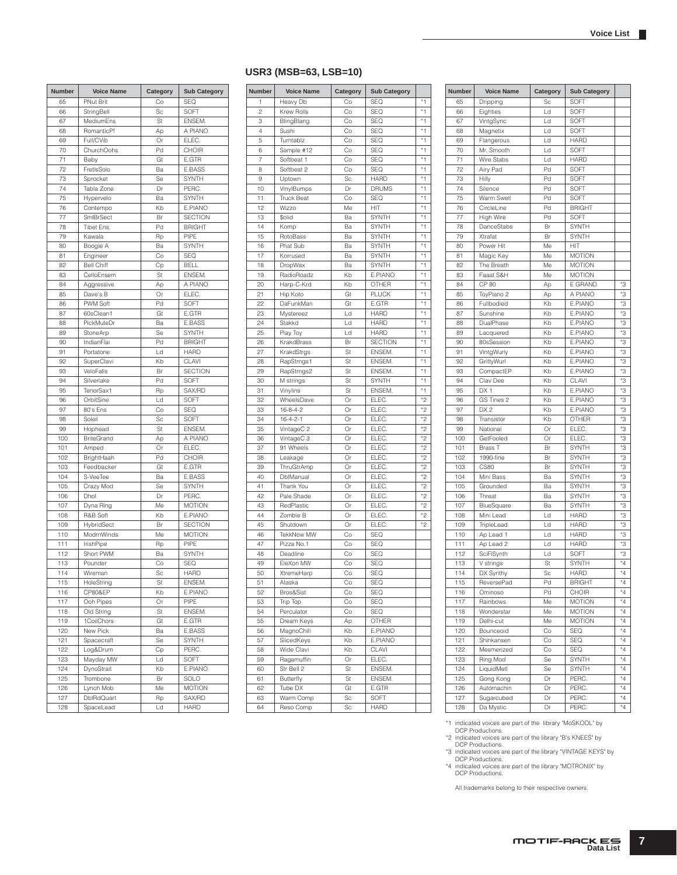### **USR3 (MSB=63, LSB=10)**

| Number | <b>Voice Name</b>     | Category | <b>Sub Category</b> | Number         | <b>Voice Name</b> | Category | <b>Sub Category</b> |
|--------|-----------------------|----------|---------------------|----------------|-------------------|----------|---------------------|
| 65     | <b>PNut Brit</b>      | Co       | <b>SEQ</b>          | 1              | Heavy Db          | Co       | <b>SEQ</b>          |
| 66     | StringBell            | Sc       | SOFT                | $\overline{c}$ | Krew Rolls        | Co       | <b>SEQ</b>          |
| 67     | MediumEns             | St       | ENSEM.              | 3              | BlingBlang        | Co       | <b>SEQ</b>          |
| 68     | RomanticPf            | Ap       | A PIANO             | 4              | Sushi             | Co       | <b>SEQ</b>          |
| 69     | Full/CVib             | Or       | ELEC.               | 5              | Turntablz         | Co       | <b>SEQ</b>          |
| 70     | ChurchOohs            | Pd       | CHOIR               | 6              | Sample #12        | Co       | <b>SEQ</b>          |
| 71     | Baby                  | Gt       | E.GTR               | $\overline{7}$ | Softbeat 1        | Co       | <b>SEQ</b>          |
| 72     | FretIsSolo            | Ba       | E.BASS              | 8              | Softbeat 2        | Co       | <b>SEQ</b>          |
| 73     | Sprocket              | Se       | <b>SYNTH</b>        | 9              | Uptown            | Sc       | <b>HARD</b>         |
| 74     | Tabla Zone            | Dr       | PERC.               | 10             | VinylBumps        | Dr       | <b>DRUMS</b>        |
| 75     | Hypervelo             | Ba       | <b>SYNTH</b>        | 11             | <b>Truck Beat</b> | Co       | <b>SEQ</b>          |
| 76     | Contempo              | Kb       | E.PIANO             | 12             | Wizzo             | Me       | HIT                 |
| 77     | SmIBrSect             | Br       | <b>SECTION</b>      | 13             | \$olid            | Ba       | <b>SYNTH</b>        |
| 78     | Tibet Ens.            | Pd       | <b>BRIGHT</b>       | 14             | Komp              | Ba       | <b>SYNTH</b>        |
| 79     | Kawala                | Rp       | PIPE                | 15             | RotoBass          | Ba       | <b>SYNTH</b>        |
| 80     | Boogie A              | Ba       | <b>SYNTH</b>        | 16             | Phat Sub          | Ba       | <b>SYNTH</b>        |
| 81     | Engineer              | Co       | <b>SEQ</b>          | 17             | Korrused          | Ba       | <b>SYNTH</b>        |
| 82     | <b>Bell Chiff</b>     | Cp       | <b>BELL</b>         | 18             | DropWax           | Ba       | <b>SYNTH</b>        |
| 83     | CelloEnsem            | St       | ENSEM.              | 19             | RadioRoadz        | Kb       | E.PIANO             |
|        |                       |          | A PIANO             |                |                   | Kb       |                     |
| 84     | Aggressive            | Ap       |                     | 20             | Harp-C-Krd        |          | <b>OTHER</b>        |
| 85     | Dave's B              | Or       | ELEC.               | 21             | Hip Koto          | Gt       | <b>PLUCK</b>        |
| 86     | <b>PWM Soft</b>       | Pd       | SOFT                | 22             | DaFunkMan         | Gt       | E.GTR               |
| 87     | 60sClean1             | Gt       | E.GTR               | 23             | Mystereez         | Ld       | <b>HARD</b>         |
| 88     | PickMuteDr            | Ba       | E.BASS              | 24             | Stakkd            | Ld       | <b>HARD</b>         |
| 89     | StoneArp              | Se       | <b>SYNTH</b>        | 25             | Play Toy          | Ld       | <b>HARD</b>         |
| 90     | IndianFlai            | Pd       | <b>BRIGHT</b>       | 26             | KrakdBrass        | Br       | <b>SECTION</b>      |
| 91     | Portatone             | Ld       | <b>HARD</b>         | 27             | KrakdStrgs        | St       | ENSEM.              |
| 92     | SuperClavi            | Kb       | CLAVI               | 28             | RapStrngs1        | St       | ENSEM.              |
| 93     | VeloFalls             | Br       | <b>SECTION</b>      | 29             | RapStrngs2        | St       | ENSEM.              |
| 94     | Silverlake            | Pd       | SOFT                | 30             | M strings         | St       | <b>SYNTH</b>        |
| 95     | TenorSax1             | Rp       | SAX/RD              | 31             | Vinylins          | St       | ENSEM.              |
| 96     | OrbitSine             | Ld       | SOFT                | 32             | WheelsDave        | Or       | ELEC.               |
| 97     | 80's Ens              | Co       | <b>SEQ</b>          | 33             | $16 - 8 - 4 - 2$  | Or       | ELEC.               |
| 98     | Soleil                | Sc       | SOFT                | 34             | $16 - 4 - 2 - 1$  | Or       | ELEC.               |
| 99     | Hophead               | St       | ENSEM.              | 35             | VintageC 2        | Or       | ELEC.               |
| 100    | <b>BriteGrand</b>     | Ap       | A PIANO             | 36             | VintageC 3        | Or       | ELEC.               |
| 101    | Amped                 | Or       | ELEC.               | 37             | 91 Wheels         | Or       | ELEC.               |
| 102    | BrightHaah            | Pd       | CHOIR               | 38             | Leakage           | Or       | ELEC.               |
| 103    | Feedbacker            | Gt       | E.GTR               | 39             | ThruGtrAmp        | Or       | ELEC.               |
| 104    | S-VeeTee              | Ba       | E.BASS              | 40             | DblManual         | Or       | ELEC.               |
| 105    | Crazy Mod             | Se       | <b>SYNTH</b>        | 41             | Thank You         | Or       | ELEC.               |
| 106    | Dhol                  | Dr       | PERC.               | 42             | Pale Shade        | Or       | ELEC.               |
| 107    | Dyna Ring             | Me       | <b>MOTION</b>       | 43             | RedPlastic        | Or       | ELEC.               |
| 108    | R&B Soft              | Kb       | E.PIANO             | 44             | Zombie B          | Or       | ELEC.               |
| 109    | HybridSect            | Br       | <b>SECTION</b>      | 45             | Shutdown          | Or       | ELEC.               |
| 110    | ModrnWinds            | Me       | <b>MOTION</b>       | 46             | <b>TekkNow MW</b> | Co       | <b>SEQ</b>          |
| 111    | IrishPipe             | Rp       | PIPE                | 47             | Pizza No.1        | Co       | <b>SEQ</b>          |
| 112    | Short PWM             | Ba       | <b>SYNTH</b>        | 48             | Deadline          | Co       | <b>SEQ</b>          |
| 113    | Pounder               | Co       | <b>SEQ</b>          | 49             | EleXon MW         | Co       | <b>SEQ</b>          |
| 114    | Wireman               | Sc       | <b>HARD</b>         | 50             | XtremeHarp        | Co       | <b>SEQ</b>          |
|        |                       |          | ENSEM.              |                | Alaska            |          |                     |
| 115    | HoleString<br>CP80&EP | St       |                     | 51             |                   | Co       | <b>SEQ</b>          |
| 116    |                       | Kb       | E.PIANO             | 52             | Bros&Sist         | Co       | SEQ                 |
| 117    | Ooh Pipes             | Or       | PIPE                | 53             | Trip Top          | Co       | SEQ                 |
| 118    | Old String            | St       | ENSEM.              | 54             | Perculator        | Co       | SEQ                 |
| 119    | 1CoilChors            | Gt       | E.GTR               | 55             | Dream Keys        | Ap       | OTHER               |
| 120    | New Pick              | Ba       | E.BASS              | 56             | MagnoChill        | Kb       | E.PIANO             |
| 121    | Spacecraft            | Se       | SYNTH               | 57             | SlicedKeys        | Kb       | E.PIANO             |
| 122    | Log&Drum              | Cp       | PERC.               | 58             | Wide Clavi        | Kb       | CLAVI               |
| 123    | Mayday MW             | Ld       | SOFT                | 59             | Ragamuffin        | Or       | ELEC.               |
| 124    | DynoStrait            | Kb       | E.PIANO             | 60             | Str Bell 2        | St       | ENSEM.              |
| 125    | Trombone              | Br       | SOLO                | 61             | Butterfly         | St       | ENSEM.              |
| 126    | Lynch Mob             | Me       | <b>MOTION</b>       | 62             | Tube DX           | Gt       | E.GTR               |
| 127    | <b>DblRdQuart</b>     | Rp       | SAX/RD              | 63             | Warm Comp         | Sc       | SOFT                |
| 128    | SpaceLead             | Ld       | <b>HARD</b>         | 64             | Reso Comp         | Sc       | <b>HARD</b>         |

| <b>Number</b>  | <b>Voice Name</b> | Category | <b>Sub Category</b> |      |
|----------------|-------------------|----------|---------------------|------|
| 1              | Heavy Db          | Co       | <b>SEQ</b>          | *1   |
| $\overline{c}$ | Krew Rolls        | Co       | SEQ                 | *1   |
| 3              | BlingBlang        | Co       | <b>SEQ</b>          | *1   |
| 4              | Sushi             | Co       | SEQ                 | *1   |
| 5              | Turntablz         | Co       | <b>SEQ</b>          | *1   |
| 6              | Sample #12        | Co       | <b>SEQ</b>          | $*1$ |
| 7              | Softbeat 1        | Co       | <b>SEQ</b>          | *1   |
| 8              | Softbeat 2        | Co       | <b>SEQ</b>          | *1   |
| 9              | Uptown            | Sc       | <b>HARD</b>         | $*1$ |
| 10             | VinylBumps        | Dr       | <b>DRUMS</b>        | *1   |
| 11             | <b>Truck Beat</b> | Co       | <b>SEQ</b>          | $*1$ |
| 12             | Wizzo             | Me       | HIT                 | *1   |
| 13             | \$olid            | Ba       | <b>SYNTH</b>        | *1   |
| 14             | Komp              | Ba       | <b>SYNTH</b>        | *1   |
| 15             | RotoBass          | Ba       | <b>SYNTH</b>        | *1   |
| 16             | Phat Sub          | Ba       | <b>SYNTH</b>        | *1   |
| 17             | Korrused          | Ba       | <b>SYNTH</b>        | *1   |
| 18             | DropWax           | Ba       | <b>SYNTH</b>        | *1   |
| 19             | RadioRoadz        | Kb       | E.PIANO             | *1   |
| 20             | Harp-C-Krd        | Kb       | <b>OTHER</b>        | *1   |
| 21             | Hip Koto          | Gt       | <b>PLUCK</b>        | *1   |
| 22             | DaFunkMan         | Gt       | E.GTR               | *1   |
| 23             | Mystereez         | Ld       | <b>HARD</b>         | *1   |
| 24             | Stakkd            | Ld       | <b>HARD</b>         | *1   |
|                |                   |          | <b>HARD</b>         | $*1$ |
| 25             | Play Toy          | Ld       | <b>SECTION</b>      | *1   |
| 26             | KrakdBrass        | Br       | ENSEM.              | *1   |
| 27             | KrakdStrgs        | St       |                     | *1   |
| 28             | RapStrngs1        | St       | ENSEM.              | $*1$ |
| 29             | RapStrngs2        | St       | ENSEM.              |      |
| 30             | M strings         | St       | <b>SYNTH</b>        | *1   |
| 31             | Vinylins          | St       | ENSEM.              | $*1$ |
| 32             | WheelsDave        | Or       | ELEC.               | *2   |
| 33             | $16 - 8 - 4 - 2$  | Or       | ELEC.               | *2   |
| 34             | $16 - 4 - 2 - 1$  | Or       | ELEC.               | *2   |
| 35             | VintageC 2        | Or       | ELEC.               | *2   |
| 36             | VintageC 3        | Or       | ELEC.               | *2   |
| 37             | 91 Wheels         | Or       | ELEC.               | *2   |
| 38             | Leakage           | Or       | ELEC.               | $*2$ |
| 39             | ThruGtrAmp        | Or       | ELEC.               | *2   |
| 40             | DblManual         | Or       | ELEC.               | *2   |
| 41             | Thank You         | Or       | ELEC.               | *2   |
| 42             | Pale Shade        | Or       | ELEC.               | *2   |
| 43             | RedPlastic        | Or       | ELEC.               | *2   |
| 44             | Zombie B          | Or       | ELEC.               | *2   |
| 45             | Shutdown          | Or       | ELEC.               | *2   |
| 46             | TekkNow MW        | Co       | <b>SEQ</b>          |      |
| 47             | Pizza No.1        | Co       | <b>SEQ</b>          |      |
| 48             | Deadline          | Co       | <b>SEQ</b>          |      |
| 49             | EleXon MW         | Co       | SEQ                 |      |
| 50             | XtremeHarp        | Co       | <b>SEQ</b>          |      |
| 51             | Alaska            | Co       | <b>SEQ</b>          |      |
| 52             | Bros&Sist         | Co       | SEQ                 |      |
| 53             | Trip Top          | Co       | SEQ                 |      |
| 54             | Perculator        | Co       | SEQ                 |      |
| 55             | Dream Keys        | Ap       | OTHER               |      |
| 56             | MagnoChill        | Kb       | E.PIANO             |      |
| 57             | SlicedKeys        | Kb       | E.PIANO             |      |
| 58             | Wide Clavi        | Kb       | CLAVI               |      |
| 59             | Ragamuffin        | Or       | ELEC.               |      |
| 60             | Str Bell 2        | St       | ENSEM.              |      |
| 61             | Butterfly         | St       | ENSEM.              |      |
| 62             | Tube DX           | Gt       | E.GTR               |      |
| 63             | Warm Comp         | Sc       | SOFT                |      |
| 64             | Reso Comp         | Sc       | <b>HARD</b>         |      |
|                |                   |          |                     |      |

| Number     | <b>Voice Name</b>        | Category       | <b>Sub Category</b> |             |
|------------|--------------------------|----------------|---------------------|-------------|
| 65         | Dripping                 | Sc             | SOFT                |             |
| 66         | Eighties                 | Ld             | SOFT                |             |
| 67         | VintgSync                | $\overline{d}$ | SOFT                |             |
| 68         | Magnetix                 | Ld             | SOFT                |             |
| 69         | Flangerous               | Ld             | <b>HARD</b>         |             |
| 70         | Mr. Smooth               | Ld             | SOFT                |             |
| 71         | <b>Wire Stabs</b>        | Ld             | <b>HARD</b>         |             |
| 72         | Airy Pad                 | Pd             | SOFT                |             |
| 73         | Hilly                    | Pd             | SOFT                |             |
| 74         | Silence                  | Pd             | SOFT                |             |
| 75         | Warm Swell               | Pd             | SOFT                |             |
| 76         | CircleLine               | Pd             | <b>BRIGHT</b>       |             |
| 77         | High Wire                | Pd             | SOFT                |             |
| 78         | DanceStabs               | Br             | <b>SYNTH</b>        |             |
| 79         | Xtrafat                  | Br             | <b>SYNTH</b>        |             |
| 80         | Power Hit                | Me             | HIT                 |             |
| 81         | Magic Key                | Me             | <b>MOTION</b>       |             |
| 82         | The Breath               | Me             | <b>MOTION</b>       |             |
| 83         | Faaat S&H                | Me             | <b>MOTION</b>       |             |
| 84         | CP 80                    |                | E GRAND             | *3          |
| 85         |                          | Ap             | A PIANO             | *З          |
|            | ToyPiano 2<br>Fullbodied | Ap             |                     |             |
| 86         |                          | Kb             | E.PIANO             | *З          |
| 87         | Sunshine                 | Kb             | E.PIANO             | *З          |
| 88         | DualPhase                | Kb             | E.PIANO             | *З          |
| 89         | Lacquered                | Kb             | E.PIANO             | *З          |
| 90         | 80sSession               | Kb             | E.PIANO             | *З          |
| 91         | VintgWurly               | Kb             | E.PIANO             | *З          |
| 92         | GrittyWurl               | Kb             | E.PIANO             | *3          |
| 93         | CompactEP                | Kb             | E.PIANO             | *3          |
| 94         | Clav Dee                 | Kb             | <b>CLAVI</b>        | *3          |
| 95         | DX1                      | Kb             | E.PIANO             | *З          |
| 96         | GS Tines 2               | Kb             | E.PIANO             | *З          |
| 97         | DX <sub>2</sub>          | Kb             | E.PIANO             | *З          |
| 98         | Transistor               | Kb             | <b>OTHER</b>        | *З          |
| 99         | National                 | Or             | ELEC.               | *З          |
| 100        | GetFooled                | Or             | ELEC.               | *З          |
| 101        | <b>Brass T</b>           | Br             | <b>SYNTH</b>        | *З          |
| 102        | 1990-fine                | Br             | <b>SYNTH</b>        | *3          |
| 103        | <b>CS80</b>              | Br             | SYNTH               | *3          |
| 104        | Mini Bass                | Ba             | <b>SYNTH</b>        | *3          |
| 105        | Grounded                 | Ba             | <b>SYNTH</b>        | *З          |
| 106        | Threat                   | Ba             | SYNTH               | *З          |
| 107        | BlueSquare               | Ba             | SYNTH               | *З          |
| 108        | Mini Lead                | Ld             | <b>HARD</b>         | *З          |
| 109        | TripleLead               | Ld             | <b>HARD</b>         | *З          |
| 110        | Ap Lead 1                | Ld             | <b>HARD</b>         | *З          |
|            | Ap Lead 2                |                | <b>HARD</b>         | *З          |
| 111<br>112 |                          | Ld<br>Ld       |                     | *3          |
|            | SciFiSynth               |                | SOFT                | $*_{4}$     |
| 113        | V strings                | St             | <b>SYNTH</b>        |             |
| 114        | DX Synthy                | Sc             | <b>HARD</b>         | $*_{4}$     |
| 115        | ReversePad               | Pd             | <b>BRIGHT</b>       | $*_{4}$     |
| 116        | Ominoso                  | Pd             | CHOIR               | $*_{4}$     |
| 117        | Rainbows                 | Me             | <b>MOTION</b>       | $*_{4}$     |
| 118        | Wonderstar               | Me             | <b>MOTION</b>       | *4          |
| 119        | Delhi-cut                | Me             | <b>MOTION</b>       | *4          |
| 120        | Bounceoid                | Co             | SEQ                 | *4          |
| 121        | Shinkansen               | Co             | <b>SEQ</b>          | *4          |
| 122        | Mesmerized               | Co             | <b>SEQ</b>          | $*_{4}$     |
| 123        | Ring Mod                 | Se             | SYNTH               | $*_{4}$     |
| 124        | LiquidMetl               | Se             | SYNTH               | $*_{4}$     |
| 125        | Gong Kong                | Dr             | PERC.               | $^{\star}4$ |
| 126        | Automachin               | Dr             | PERC.               | $*_{4}$     |
| 127        | Sugarcubed               | Dr             | PERC.               | $*_{4}$     |
| 128        | Da Mystic                | Dr             | PERC.               | *4          |

<sup>\*1</sup> indicated voices are part of the library "MoSKOOL" by<br><sup>\*2</sup> iDCP Productions.<br><sup>\*2</sup> indicated voices are part of the library "B's KNEES" by<br><sup>2</sup> DCP Productions.<br>\*3 indicated voices are part of the library "VINTAGE KEYS"

All trademarks belong to their respective owners.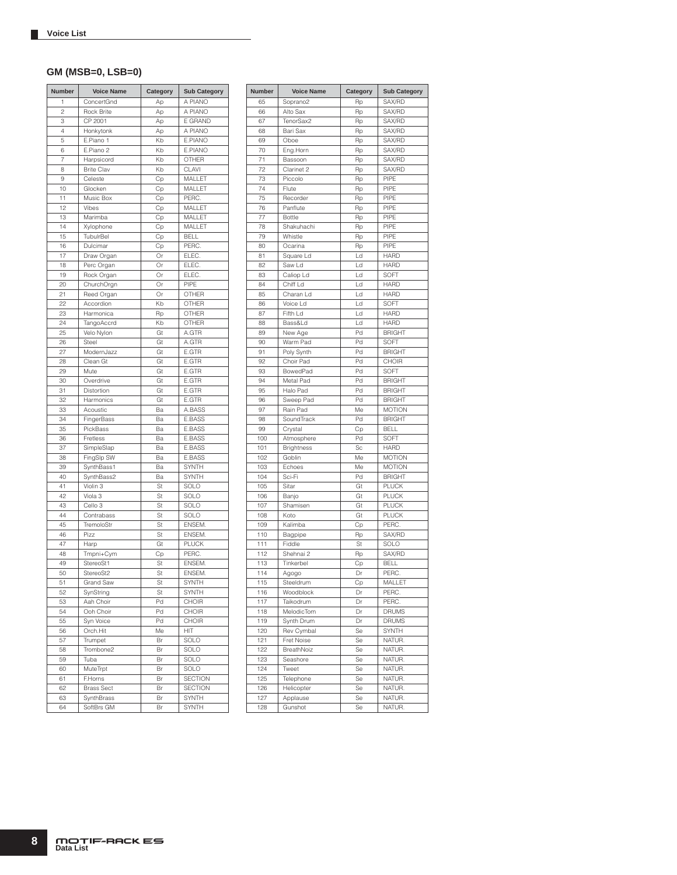### **GM (MSB=0, LSB=0)**

| <b>Number</b>  | <b>Voice Name</b>  | Category | <b>Sub Category</b> |
|----------------|--------------------|----------|---------------------|
| 1              | ConcertGnd         | Аp       | A PIANO             |
| $\overline{c}$ | Rock Brite         | Аp       | A PIANO             |
| 3              | CP 2001            | Ap       | E GRAND             |
| 4              | Honkytonk          | Ap       | A PIANO             |
| 5              | E.Piano 1          | Kb       | E.PIANO             |
| 6              | E.Piano 2          | Kb       | E.PIANO             |
| $\overline{7}$ | Harpsicord         | Kb       | OTHER               |
| 8              | <b>Brite Clav</b>  | Kb       | CLAVI               |
| 9              | Celeste            | Сp       | MALLET              |
| 10             | Glocken            | Сp       | MALLET              |
| 11             | Music Box          | Сp       | PERC.               |
| 12             | Vibes              | Сp       | MALLET              |
| 13             | Marimba            | Сp       | MALLET              |
| 14             | Xylophone          | Cp       | MALLET              |
| 15             | TubulrBel          | Сp       | <b>BELL</b>         |
| 16             | Dulcimar           | Сp       | PERC.               |
| 17             | Draw Organ         | Or       | ELEC.               |
| 18             | Perc Organ         | Or       | ELEC.               |
| 19             | Rock Organ         | Or       | ELEC.               |
| 20             | ChurchOrgn         | Or       | PIPE                |
| 21             | Reed Organ         | Or       | OTHER               |
| 22             | Accordion          | Kb       | OTHER               |
| 23             | Harmonica          | Rp       | <b>OTHER</b>        |
| 24             | <b>TangoAccrd</b>  | Kb       | OTHER               |
| 25             | Velo Nylon         | Gt       | A.GTR               |
| 26             | Steel              | Gt       | A.GTR               |
| 27             | ModernJazz         | Gt       | E.GTR               |
| 28             | Clean Gt           | Gt       | E.GTR               |
| 29             | Mute               | Gt       | E.GTR               |
| 30             | Overdrive          | Gt       | E.GTR               |
| 31             | Distortion         | Gt       | E.GTR               |
| 32             | Harmonics          | Gt       | E.GTR               |
| 33             | Acoustic           | Ba       | A.BASS              |
| 34             | FingerBass         | Ba       | E.BASS              |
| 35             | PickBass           | Ba       | E.BASS              |
| 36             | Fretless           | Ba       | E.BASS              |
| 37             | SimpleSlap         | Ba       | E.BASS              |
| 38             | FingSlp SW         | Ba       | E.BASS              |
| 39             | SynthBass1         | Ba       | <b>SYNTH</b>        |
| 40             | SynthBass2         | Ba       | <b>SYNTH</b>        |
| 41             | Violin 3           | St       | SOLO                |
| 42             | Viola <sub>3</sub> | St       | SOLO                |
| 43             | Cello 3            | St       | SOLO                |
| 44             | Contrabass         | St       | SOLO                |
| 45             | TremoloStr         | St       | ENSEM.              |
| 46             | Pizz               | St       | ENSEM.              |
| 47             | Harp               | Gt       | <b>PLUCK</b>        |
| 48             | Tmpni+Cym          | Сp       | PERC.               |
| 49             | StereoSt1          | St       | ENSEM.              |
| 50             | StereoSt2          | St       | ENSEM.              |
| 51             | Grand Saw          | St       | SYNTH               |
| 52             | SynString          | St       | SYNTH               |
| 53             | Aah Choir          | Pd       | CHOIR               |
| 54             | Ooh Choir          | Pd       | CHOIR               |
| 55             | Syn Voice          | Pd       | CHOIR               |
| 56             | Orch.Hit           | Me       | HIT                 |
| 57             | Trumpet            | Br       | SOLO                |
| 58             | Trombone2          | Br       | SOLO                |
| 59             | Tuba               | Br       | SOLO                |
| 60             | <b>MuteTrpt</b>    | Br       | SOLO                |
| 61             | F.Horns            | Br       | <b>SECTION</b>      |
| 62             | <b>Brass Sect</b>  | Br       | <b>SECTION</b>      |
| 63             | SynthBrass         | Br       | SYNTH               |
| 64             | SoftBrs GM         | Br       | <b>SYNTH</b>        |

| Number | <b>Voice Name</b> | Category       | <b>Sub Category</b> |
|--------|-------------------|----------------|---------------------|
| 65     | Soprano2          | Rp             | SAX/RD              |
| 66     | Alto Sax          | Rp             | SAX/RD              |
| 67     | TenorSax2         | Rp             | SAX/RD              |
| 68     | Bari Sax          | Rp             | SAX/RD              |
| 69     | Oboe              | Rp             | SAX/RD              |
| 70     | Eng.Horn          | Rp             | SAX/RD              |
| 71     | Bassoon           | Rp             | SAX/RD              |
| 72     | Clarinet 2        | Rp             | SAX/RD              |
| 73     | Piccolo           | Rp             | PIPE                |
| 74     | Flute             | Rp             | PIPE                |
| 75     | Recorder          | Rp             | PIPE                |
| 76     | Panflute          | Rp             | PIPE                |
| 77     | <b>Bottle</b>     | Rp             | PIPE                |
| 78     | Shakuhachi        | Rp             | PIPE                |
| 79     | Whistle           | Rp             | PIPF                |
| 80     | Ocarina           | Rp             | PIPE                |
| 81     | Square Ld         | Ld             | <b>HARD</b>         |
| 82     | Saw Ld            | Ld             | <b>HARD</b>         |
| 83     | Caliop Ld         | Ld             | SOFT                |
| 84     | Chiff Ld          | Ld             | <b>HARD</b>         |
| 85     | Charan Ld         | Ld             | <b>HARD</b>         |
| 86     | Voice Ld          | Ld             | SOFT                |
| 87     | Fifth Ld          | $\overline{a}$ | <b>HARD</b>         |
| 88     | Bass&Ld           | Ld             | <b>HARD</b>         |
| 89     | New Age           | Pd             | <b>BRIGHT</b>       |
| 90     | Warm Pad          | Pd             | SOFT                |
| 91     | Poly Synth        | Pd             | <b>BRIGHT</b>       |
| 92     | Choir Pad         | Pd             | CHOIR               |
| 93     | BowedPad          | Pd             | SOFT                |
| 94     | Metal Pad         | Pd             | <b>BRIGHT</b>       |
| 95     | Halo Pad          | Pd             | <b>BRIGHT</b>       |
| 96     | Sweep Pad         | Pd             | <b>BRIGHT</b>       |
| 97     | Rain Pad          | Me             | <b>MOTION</b>       |
| 98     | SoundTrack        | Pd             | <b>BRIGHT</b>       |
| 99     | Crystal           | Cp             | <b>BELL</b>         |
| 100    | Atmosphere        | Pd             | SOFT                |
| 101    | <b>Brightness</b> | Sc             | <b>HARD</b>         |
| 102    | Goblin            | Me             | <b>MOTION</b>       |
| 103    | Echoes            | Me             | <b>MOTION</b>       |
| 104    | Sci-Fi            | Pd             | <b>BRIGHT</b>       |
| 105    | Sitar             | Gt             | <b>PLUCK</b>        |
| 106    | Banjo             | Gt             | <b>PLUCK</b>        |
| 107    | Shamisen          | Gt             | <b>PLUCK</b>        |
| 108    | Koto              | Gt             | <b>PLUCK</b>        |
| 109    | Kalimba           | Сp             | PERC.               |
| 110    | Bagpipe           | Rp             | SAX/RD              |
| 111    | Fiddle            | St             | SOLO                |
| 112    | Shehnai 2         | Rp             | SAX/RD              |
| 113    | Tinkerbel         | Сp             | <b>BELL</b>         |
| 114    | Agogo             | Dr             | PERC.               |
| 115    | Steeldrum         | Cp             | MALLET              |
| 116    | Woodblock         | Dr             | PERC.               |
| 117    | Taikodrum         | Dr             | PERC.               |
| 118    | MelodicTom        | Dr             | DRUMS               |
| 119    | Synth Drum        | Dr             | <b>DRUMS</b>        |
| 120    | Rev Cymbal        | Se             | SYNTH               |
| 121    | Fret Noise        | Se             | NATUR.              |
| 122    | BreathNoiz        | Se             | NATUR.              |
| 123    | Seashore          | Se             | NATUR.              |
| 124    | Tweet             | Se             | NATUR.              |
| 125    | Telephone         | Se             | NATUR.              |
| 126    | Helicopter        | Se             | NATUR.              |
| 127    | Applause          | Se             | NATUR.              |
| 128    | Gunshot           | Se             | NATUR.              |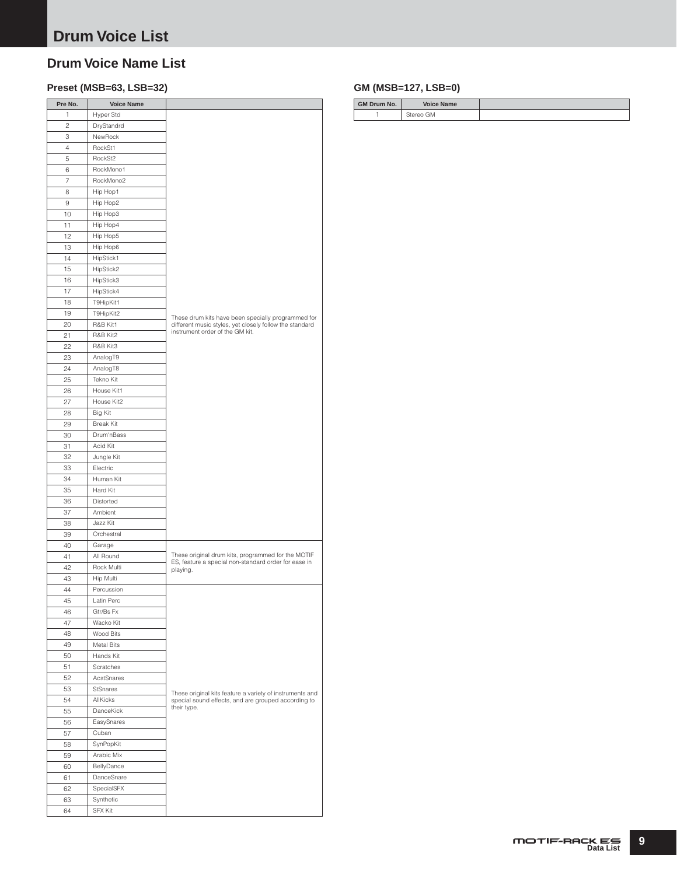# <span id="page-8-0"></span>**Drum Voice Name List**

## **Preset (MSB=63, LSB=32) GM (MSB=127, LSB=0)**

| Pre No.        | <b>Voice Name</b> |                                                                                                                 |
|----------------|-------------------|-----------------------------------------------------------------------------------------------------------------|
| 1              | Hyper Std         |                                                                                                                 |
| $\overline{c}$ | DryStandrd        |                                                                                                                 |
| 3              | NewRock           |                                                                                                                 |
| $\overline{4}$ | RockSt1           |                                                                                                                 |
| 5              | RockSt2           |                                                                                                                 |
| 6              | RockMono1         |                                                                                                                 |
| $\overline{7}$ | RockMono2         |                                                                                                                 |
| 8              | Hip Hop1          |                                                                                                                 |
| 9              | Hip Hop2          |                                                                                                                 |
| 10             | Hip Hop3          |                                                                                                                 |
| 11             | Hip Hop4          |                                                                                                                 |
| 12             | Hip Hop5          |                                                                                                                 |
|                |                   |                                                                                                                 |
| 13             | Hip Hop6          |                                                                                                                 |
| 14             | HipStick1         |                                                                                                                 |
| 15             | HipStick2         |                                                                                                                 |
| 16             | HipStick3         |                                                                                                                 |
| 17             | HipStick4         |                                                                                                                 |
| 18             | T9HipKit1         |                                                                                                                 |
| 19             | T9HipKit2         | These drum kits have been specially programmed for                                                              |
| 20             | R&B Kit1          | different music styles, yet closely follow the standard                                                         |
| 21             | R&B Kit2          | instrument order of the GM kit.                                                                                 |
| 22             | R&B Kit3          |                                                                                                                 |
| 23             | AnalogT9          |                                                                                                                 |
| 24             | AnalogT8          |                                                                                                                 |
| 25             | Tekno Kit         |                                                                                                                 |
| 26             | House Kit1        |                                                                                                                 |
| 27             | House Kit2        |                                                                                                                 |
| 28             | Big Kit           |                                                                                                                 |
| 29             | <b>Break Kit</b>  |                                                                                                                 |
| 30             | Drum'nBass        |                                                                                                                 |
| 31             | Acid Kit          |                                                                                                                 |
| 32             | Jungle Kit        |                                                                                                                 |
| 33             | Electric          |                                                                                                                 |
| 34             | Human Kit         |                                                                                                                 |
| 35             | Hard Kit          |                                                                                                                 |
| 36             | Distorted         |                                                                                                                 |
|                | Ambient           |                                                                                                                 |
| 37             |                   |                                                                                                                 |
| 38             | Jazz Kit          |                                                                                                                 |
| 39             | Orchestral        |                                                                                                                 |
| 40             | Garage            |                                                                                                                 |
| 41             | All Round         | These original drum kits, programmed for the MOTIF<br>ES, feature a special non-standard order for ease in      |
| 42             | Rock Multi        | playing.                                                                                                        |
| 43             | Hip Multi         |                                                                                                                 |
| 44             | Percussion        |                                                                                                                 |
| 45             | Latin Perc        |                                                                                                                 |
| 46             | Gtr/Bs Fx         |                                                                                                                 |
| 47             | Wacko Kit         |                                                                                                                 |
| 48             | Wood Bits         |                                                                                                                 |
| 49             | <b>Metal Bits</b> |                                                                                                                 |
| 50             | Hands Kit         |                                                                                                                 |
| 51             | Scratches         |                                                                                                                 |
| 52             | AcstSnares        |                                                                                                                 |
| 53             | <b>StSnares</b>   |                                                                                                                 |
| 54             | AllKicks          | These original kits feature a variety of instruments and<br>special sound effects, and are grouped according to |
| 55             | DanceKick         | their type.                                                                                                     |
| 56             | EasySnares        |                                                                                                                 |
| 57             | Cuban             |                                                                                                                 |
| 58             | SynPopKit         |                                                                                                                 |
|                |                   |                                                                                                                 |
| 59             | Arabic Mix        |                                                                                                                 |
| 60             | BellyDance        |                                                                                                                 |
| 61             | DanceSnare        |                                                                                                                 |
| 62             | SpecialSFX        |                                                                                                                 |
| 63             | Synthetic         |                                                                                                                 |
| 64             | <b>SFX Kit</b>    |                                                                                                                 |

| <b>GM Drum No.</b> | <b>Voice Name</b> |  |
|--------------------|-------------------|--|
|                    | Stereo GM         |  |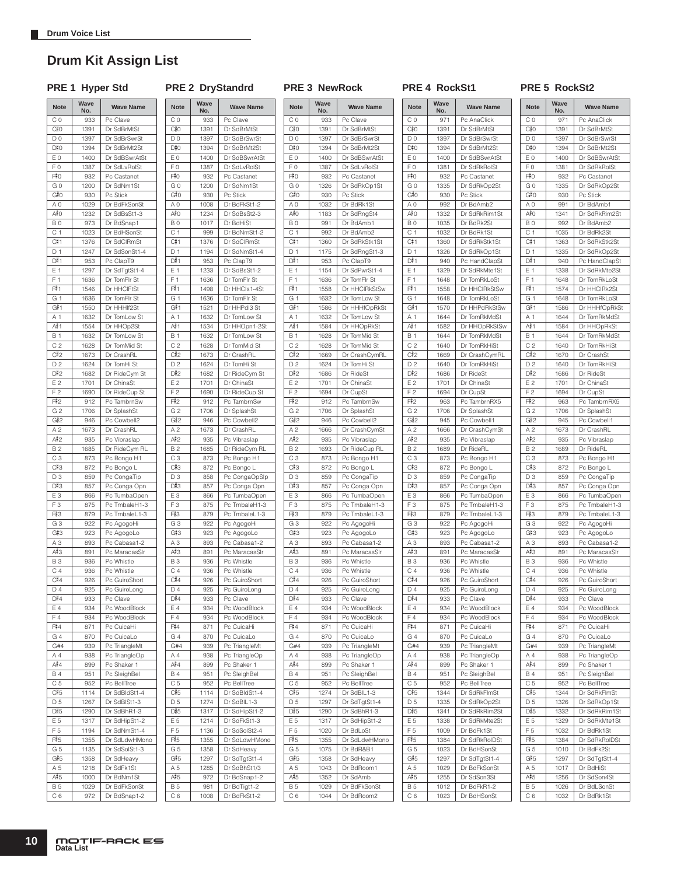### <span id="page-9-0"></span>**Drum Kit Assign List**

PRE 1 Hyper Std PRE 2 DryStandrd PRE 3 NewRock PRE 4 RockSt1 PRE 5 RockSt2

| <b>Note</b>    | Wave<br>No. | <b>Wave Name</b> |
|----------------|-------------|------------------|
| C <sub>0</sub> | 933         | Pc Clave         |
| C‡0            | 1391        | Dr SdBrMtSt      |
| D <sub>0</sub> | 1397        | Dr SdBrSwrSt     |
| D#0            | 1394        | Dr SdBrMt2St     |
| E <sub>0</sub> | 1400        | Dr SdBSwrAtSt    |
| F0             | 1387        | Dr SdLvRolSt     |
| F#0            | 932         | Pc Castanet      |
| G <sub>0</sub> | 1200        | Dr SdNm1St       |
| G#0            | 930         | Pc Stick         |
| A <sub>0</sub> | 1029        | Dr BdFkSonSt     |
| A‡O            | 1232        | Dr SdBsSt1-3     |
| B <sub>0</sub> | 973         |                  |
|                |             | Dr BdSnap1       |
| C <sub>1</sub> | 1023        | Dr BdHSonSt      |
| C#1            | 1376        | Dr SdCIRmSt      |
| D <sub>1</sub> | 1247        | Dr SdSonSt1-4    |
| D#1            | 953         | Pc ClapT9        |
| E 1            | 1297        | Dr SdTgtSt1-4    |
| F <sub>1</sub> | 1636        | Dr TomFIr St     |
| F#1            | 1546        | Dr HHCIFtSt      |
| G <sub>1</sub> | 1636        | Dr TomFlr St     |
| G#1            | 1550        | Dr HHHIf2St      |
| A 1            | 1632        | Dr TomLow St     |
| A‡1            | 1554        | Dr HHOp2St       |
|                |             |                  |
| <b>B</b> 1     | 1632        | Dr TomLow St     |
| C <sub>2</sub> | 1628        | Dr TomMid St     |
| C#2            | 1673        | Dr CrashRL       |
| D <sub>2</sub> | 1624        | Dr TomHi St      |
| D#2            | 1682        | Dr RideCym St    |
| E2             | 1701        | Dr ChinaSt       |
| F <sub>2</sub> | 1690        | Dr RideCup St    |
| F#2            | 912         | Pc TambrnSw      |
| G <sub>2</sub> | 1706        | Dr SplashSt      |
| G#2            | 946         | Pc Cowbell2      |
| A <sub>2</sub> | 1673        | Dr CrashRL       |
| A‡2            |             | Pc Vibraslap     |
|                | 935         |                  |
| <b>B2</b>      | 1685        | Dr RideCym RL    |
| C <sub>3</sub> | 873         | Pc Bongo H1      |
| C#3            | 872         | Pc Bongo L       |
| D <sub>3</sub> | 859         | Pc CongaTip      |
| D#3            | 857         | Pc Conga Opn     |
| E <sub>3</sub> | 866         | Pc TumbaOpen     |
| F <sub>3</sub> | 875         | Pc TmbaleH1-3    |
| F#3            | 879         | Pc TmbaleL1-3    |
| G <sub>3</sub> | 922         | Pc AgogoHi       |
| G#3            | 923         | Pc AgogoLo       |
| A <sub>3</sub> | 893         | Pc Cabasa1-2     |
| A#3            | 891         | Pc MaracasSIr    |
|                |             | Pc Whistle       |
| <b>B3</b>      | 936         |                  |
| C <sub>4</sub> | 936         | Pc Whistle       |
| C#4            | 926         | Pc GuiroShort    |
| D 4            | 925         | Pc GuiroLona     |
| D#4            | 933         | Pc Clave         |
| E 4            | 934         | Pc WoodBlock     |
| F4             | 934         | Pc WoodBlock     |
| F#4            | 871         | Pc CuicaHi       |
| G 4            | 870         | Pc CuicaLo       |
| G#4            | 939         | Pc TriangleMt    |
| A 4            | 938         | Pc TriangleOp    |
| A#4            | 899         | Pc Shaker 1      |
| <b>B4</b>      | 951         | Pc SleighBel     |
| C <sub>5</sub> | 952         | Pc BellTree      |
|                |             |                  |
| C#5            | 1114        | Dr SdBldSt1-4    |
| D <sub>5</sub> | 1267        | Dr SdBISt1-3     |
| D#5            | 1290        | Dr SdBhR1-3      |
| E 5            | 1317        | Dr SdHipSt1-2    |
| F <sub>5</sub> | 1194        | Dr SdNmSt1-4     |
| F#5            | 1355        | Dr SdLdwHMono    |
| G 5            | 1135        | Dr SdSolSt1-3    |
| G#5            | 1358        | Dr SdHeavy       |
| A 5            | 1218        | Dr SdFk1St       |
| A#5            |             | Dr BdNm1St       |
|                | 1000        |                  |
| <b>B5</b>      | 1029        | Dr BdFkSonSt     |
| C 6            | 972         | Dr BdSnap1-2     |

|                | No.  |                              |
|----------------|------|------------------------------|
| C <sub>0</sub> | 933  | Pc Clave                     |
| C#0            | 1391 | Dr SdBrMtSt                  |
| D <sub>0</sub> | 1397 | Dr SdBrSwrSt                 |
| D#0            | 1394 | Dr SdBrMt2St                 |
|                |      |                              |
| E <sub>0</sub> | 1400 | Dr SdBSwrAtSt                |
| F <sub>0</sub> | 1387 | Dr SdLvRolSt                 |
| F#0            | 932  | Pc Castanet                  |
| G <sub>0</sub> | 1200 | Dr SdNm1St                   |
| G#0            | 930  | Pc Stick                     |
|                |      |                              |
| A <sub>0</sub> | 1008 | Dr BdFkSt1-2                 |
| A#0            | 1234 | Dr SdBsSt2-3                 |
| B <sub>0</sub> | 1017 | Dr BdHiSt                    |
| C <sub>1</sub> | 999  | Dr BdNmSt1-2                 |
|                |      |                              |
| C#1            | 1376 | Dr SdCIRmSt                  |
| D <sub>1</sub> | 1194 | Dr SdNmSt1-4                 |
| D#1            | 953  | Pc ClapT9                    |
| E 1            | 1233 | Dr SdBsSt1-2                 |
| F <sub>1</sub> |      |                              |
|                | 1636 | Dr TomFIr St                 |
| F#1            | 1498 | Dr HHCls1-4St                |
| G 1            | 1636 | Dr TomFIr St                 |
| G#1            | 1521 | Dr HHPdI3 St                 |
| A 1            |      | Dr TomLow St                 |
|                | 1632 |                              |
| A#1            | 1534 | Dr HHOpn1-2St                |
| <b>B</b> 1     | 1632 | Dr TomLow St                 |
| C <sub>2</sub> | 1628 | Dr TomMid St                 |
| C#2            |      | Dr CrashRL                   |
|                | 1673 |                              |
| D <sub>2</sub> | 1624 | Dr TomHi St                  |
| D#2            | 1682 | Dr RideCym St                |
| E <sub>2</sub> | 1701 | Dr ChinaSt                   |
| F <sub>2</sub> | 1690 | Dr RideCup St                |
|                |      |                              |
| F#2            | 912  | Pc TambrnSw                  |
| G <sub>2</sub> | 1706 | Dr SplashSt                  |
| G#2            | 946  | Pc Cowbell2                  |
| A <sub>2</sub> | 1673 | Dr CrashRL                   |
|                |      |                              |
| A#2            | 935  | Pc Vibraslap                 |
| <b>B2</b>      | 1685 | Dr RideCym RL                |
| CЗ             | 873  | Pc Bongo H1                  |
| C#3            | 872  | Pc Bongo L                   |
|                |      |                              |
| D3             | 858  | Pc CongaOpSlp                |
| D#3            | 857  | Pc Conga Opn                 |
| EЗ             | 866  | Pc TumbaOpen                 |
| F <sub>3</sub> | 875  | Pc TmbaleH1-3                |
| F#3            | 879  | Pc TmbaleL1-3                |
|                |      |                              |
| G <sub>3</sub> | 922  | Pc AgogoHi                   |
| G#3            | 923  | Pc AgogoLo                   |
| A <sub>3</sub> | 893  | Pc Cabasa1-2                 |
| A#3            | 891  | Pc MaracasSIr                |
|                |      |                              |
| <b>B3</b>      | 936  | Pc Whistle                   |
| C <sub>4</sub> | 936  | Pc Whistle                   |
| C#4            | 926  | Pc GuiroShort                |
| $D_4$          | 925  | Pc GuiroLong                 |
| D#4            | 933  | Pc Clave                     |
|                |      |                              |
| E 4            | 934  | Pc WoodBlock                 |
| F <sub>4</sub> | 934  | Pc WoodBlock                 |
| F#4            | 871  | Pc CuicaHi                   |
| G4             | 870  | Pc CuicaLo                   |
|                |      |                              |
| G#4            | 939  | Pc TriangleMt                |
| A 4            | 938  | Pc TriangleOp                |
| A#4            | 899  | Pc Shaker 1                  |
| <b>B4</b>      | 951  | Pc SleighBel                 |
|                |      |                              |
| C <sub>5</sub> | 952  | Pc BellTree                  |
| C#5            | 1114 | Dr SdBldSt1-4                |
| D <sub>5</sub> | 1274 | Dr SdBIL1-3                  |
| D#5            | 1317 | Dr SdHipSt1-2                |
|                |      |                              |
| E 5            | 1214 | Dr SdFkSt1-3                 |
| F 5            | 1136 | Dr SdSolSt2-4                |
| F#5            | 1355 | Dr SdLdwHMono                |
| G <sub>5</sub> | 1358 | Dr SdHeavy                   |
|                |      |                              |
| G#5            | 1297 | Dr SdTgtSt1-4                |
|                | 1285 | Dr SdBhSt1/3                 |
| A 5            |      |                              |
| A#5            | 972  |                              |
| <b>B5</b>      | 981  | Dr BdSnap1-2<br>Dr BdTigt1-2 |

| Note           | Wave<br>No. | <b>Wave Name</b> | <b>Note</b>    | Wave<br>No. | <b>Wave Name</b> |
|----------------|-------------|------------------|----------------|-------------|------------------|
| CO             | 933         | Pc Clave         | C <sub>0</sub> | 933         | Pc Clave         |
| C#0            | 1391        | Dr SdBrMtSt      | C‡0            | 1391        | Dr SdBrMtSt      |
|                |             |                  |                |             |                  |
| DO             | 1397        | Dr SdBrSwrSt     | D <sub>0</sub> | 1397        | Dr SdBrSwrSt     |
| D#0            | 1394        | Dr SdBrMt2St     | D#0            | 1394        | Dr SdBrMt2St     |
| E 0            | 1400        | Dr SdBSwrAtSt    | E <sub>0</sub> | 1400        | Dr SdBSwrAtSt    |
| F <sub>0</sub> | 1387        | Dr SdLvRolSt     | F <sub>0</sub> | 1387        | Dr SdLvRolSt     |
| F‡0            | 932         | Pc Castanet      | F#0            | 932         | Pc Castanet      |
| G O            | 1200        | Dr SdNm1St       | G 0            | 1326        | Dr SdRkOp1St     |
| G‡0            | 930         | Pc Stick         | G#0            | 930         | Pc Stick         |
| A 0            | 1008        | Dr BdFkSt1-2     | ΑO             | 1032        | Dr BdRk1St       |
| A#O            | 1234        | Dr SdBsSt2-3     | A≢O            | 1183        | Dr SdRngSt4      |
| BO             | 1017        | Dr BdHiSt        | B <sub>0</sub> | 991         | Dr BdAmb1        |
| C 1            | 999         | Dr BdNmSt1-2     | C <sub>1</sub> | 992         | Dr BdAmb2        |
| C#1            | 1376        | Dr SdCIRmSt      | C#1            | 1360        | Dr SdRkStk1St    |
| D <sub>1</sub> | 1194        | Dr SdNmSt1-4     | D 1            | 1175        | Dr SdRngSt1-3    |
| D#1            | 953         | Pc ClapT9        | D#1            | 953         | Pc ClapT9        |
|                |             |                  |                |             |                  |
| Ε1             | 1233        | Dr SdBsSt1-2     | E 1            | 1154        | Dr SdPwrSt1-4    |
| $F_1$          | 1636        | Dr TomFIr St     | F <sub>1</sub> | 1636        | Dr TomFlr St     |
| F#1            | 1498        | Dr HHCls1-4St    | F#1            | 1558        | Dr HHCIRkStSw    |
| G 1            | 1636        | Dr TomFIr St     | G 1            | 1632        | Dr TomLow St     |
| G#1            | 1521        | Dr HHPdI3 St     | G#1            | 1586        | Dr HHHfOpRkSt    |
| A 1            | 1632        | Dr TomLow St     | A 1            | 1632        | Dr TomLow St     |
| A# 1           | 1534        | Dr HHOpn1-2St    | A#≀1           | 1584        | Dr HHOpRkSt      |
| B 1            | 1632        | Dr TomLow St     | <b>B1</b>      | 1628        | Dr TomMid St     |
| C <sub>2</sub> | 1628        | Dr TomMid St     | C <sub>2</sub> | 1628        | Dr TomMid St     |
|                |             |                  |                |             |                  |
| C#2            | 1673        | Dr CrashRL       | C#2            | 1669        | Dr CrashCymRL    |
| D2             | 1624        | Dr TomHi St      | D <sub>2</sub> | 1624        | Dr TomHi St      |
| D#2            | 1682        | Dr RideCym St    | D#2            | 1686        | Dr RideSt        |
| E2             | 1701        | Dr ChinaSt       | E 2            | 1701        | Dr ChinaSt       |
| F <sub>2</sub> | 1690        | Dr RideCup St    | F <sub>2</sub> | 1694        | Dr CupSt         |
| F‡2            | 912         | Pc TambrnSw      | F#2            | 912         | Pc TambrnSw      |
| G <sub>2</sub> | 1706        | Dr SplashSt      | G <sub>2</sub> | 1706        | Dr SplashSt      |
| G#2            | 946         | Pc Cowbell2      | G#2            | 946         | Pc Cowbell2      |
| A <sub>2</sub> | 1673        | Dr CrashRL       | A <sub>2</sub> | 1666        | Dr CrashCymSt    |
| A#2            | 935         | Pc Vibraslap     | A#2            | 935         | Pc Vibraslap     |
|                |             |                  |                |             |                  |
| B <sub>2</sub> | 1685        | Dr RideCym RL    | <b>B2</b>      | 1693        | Dr RideCup RL    |
| CЗ             | 873         | Pc Bongo H1      | C <sub>3</sub> | 873         | Pc Bongo H1      |
| C#3            | 872         | Pc Bongo L       | C#3            | 872         | Pc Bongo L       |
| D <sub>3</sub> | 858         | Pc CongaOpSlp    | D <sub>3</sub> | 859         | Pc CongaTip      |
| D#3            | 857         | Pc Conga Opn     | D#3            | 857         | Pc Conga Opn     |
| EЗ             | 866         | Pc TumbaOpen     | E <sub>3</sub> | 866         | Pc TumbaOpen     |
| F <sub>3</sub> | 875         | Pc TmbaleH1-3    | F <sub>3</sub> | 875         | Pc TmbaleH1-3    |
| F‡3            | 879         | Pc TmbaleL1-3    | F#3            | 879         | Pc TmbaleL1-3    |
| G3             | 922         | Pc AgogoHi       | G <sub>3</sub> | 922         | Pc AgogoHi       |
| G#3            | 923         | Pc AgogoLo       | G#3            | 923         | Pc AgogoLo       |
| ΑЗ             | 893         | Pc Cabasa1-2     | A <sub>3</sub> | 893         | Pc Cabasa1-2     |
| А#З            |             |                  | A#3            |             |                  |
|                | 891         | Pc MaracasSIr    |                | 891         | Pc MaracasSIr    |
| <b>B3</b>      | 936         | Pc Whistle       | <b>B3</b>      | 936         | Pc Whistle       |
| C <sub>4</sub> | 936         | Pc Whistle       | C <sub>4</sub> | 936         | Pc Whistle       |
| C#4            | 926         | Pc GuiroShort    | C#4            | 926         | Pc GuiroShort    |
| $D_4$          | 925         | Pc GuiroLong     | D <sub>4</sub> | 925         | Pc GuiroLong     |
| D#4            | 933         | Pc Clave         | D#4            | 933         | Pc Clave         |
| Ε4             | 934         | Pc WoodBlock     | Ε4             | 934         | Pc WoodBlock     |
| F4             | 934         | Pc WoodBlock     | F4             | 934         | Pc WoodBlock     |
| F‡4            | 871         | Pc CuicaHi       | F#4            | 871         | Pc CuicaHi       |
| G 4            | 870         | Pc CuicaLo       | G 4            | 870         | Pc CuicaLo       |
|                |             |                  |                |             |                  |
| G#4            | 939         | Pc TriangleMt    | G#4            | 939         | Pc TriangleMt    |
| Α4             | 938         | Pc TriangleOp    | A 4            | 938         | Pc TriangleOp    |
| A#4            | 899         | Pc Shaker 1      | A#4            | 899         | Pc Shaker 1      |
| B 4            | 951         | Pc SleighBel     | <b>B4</b>      | 951         | Pc SleighBel     |
| C 5            | 952         | Pc BellTree      | C <sub>5</sub> | 952         | Pc BellTree      |
| C#5            | 1114        | Dr SdBldSt1-4    | C#5            | 1274        | Dr SdBIL1-3      |
| D <sub>5</sub> | 1274        | Dr SdBIL1-3      | D 5            | 1297        | Dr SdTgtSt1-4    |
| D#5            | 1317        | Dr SdHipSt1-2    | D#5            | 1290        | Dr SdBhR1-3      |
| E 5            | 1214        | Dr SdFkSt1-3     | E 5            | 1317        | Dr SdHipSt1-2    |
| F 5            | 1136        | Dr SdSolSt2-4    | F <sub>5</sub> | 1020        | Dr BdLoSt        |
| F#5            |             |                  |                |             |                  |
|                | 1355        | Dr SdLdwHMono    | F#5            | 1355        | Dr SdLdwHMono    |
| G 5            | 1358        | Dr SdHeavy       | G 5            | 1075        | Dr BdR&B1        |
| G#5            | 1297        | Dr SdTgtSt1-4    | G#5            | 1358        | Dr SdHeavy       |
| A 5            | 1285        | Dr SdBhSt1/3     | A 5            | 1043        | Dr BdRoom1       |
| A#5            | 972         | Dr BdSnap1-2     | A#5            | 1352        | Dr SdAmb         |
| B 5            | 981         | Dr BdTigt1-2     | <b>B5</b>      | 1029        | Dr BdFkSonSt     |
| C 6            | 1008        | Dr BdFkSt1-2     | C <sub>6</sub> | 1044        | Dr BdRoom2       |
|                |             |                  |                |             |                  |

| <b>Note</b>                 | Wave<br>No.  | <b>Wave Name</b>              |
|-----------------------------|--------------|-------------------------------|
| C <sub>0</sub>              | 971          | Pc AnaClick                   |
| C#0                         | 1391         | Dr SdBrMtSt                   |
| D <sub>0</sub>              | 1397         | Dr SdBrSwrSt                  |
| D#0                         | 1394         | Dr SdBrMt2St                  |
| E <sub>0</sub>              | 1400         | Dr SdBSwrAtSt                 |
| F <sub>0</sub><br>F#0       | 1381<br>932  | Dr SdRkRolSt<br>Pc Castanet   |
| GO                          | 1335         | Dr SdRkOp2St                  |
| G#O                         | 930          | Pc Stick                      |
| A <sub>0</sub>              | 992          | Dr BdAmb2                     |
| A#O                         | 1332         | Dr SdRkRim1St                 |
| B <sub>0</sub>              | 1035         | Dr BdRk2St                    |
| C <sub>1</sub>              | 1032         | Dr BdRk1St                    |
| C#1<br>D <sub>1</sub>       | 1360<br>1326 | Dr SdRkStk1St<br>Dr SdRkOp1St |
| D#1                         | 940          | Pc HandClapSt                 |
| E 1                         | 1329         | Dr SdRkMte1St                 |
| F <sub>1</sub>              | 1648         | Dr TomRkLoSt                  |
| F#1                         | 1558         | Dr HHCIRkStSw                 |
| G 1                         | 1648         | Dr TomRkLoSt                  |
| G#1                         | 1570         | Dr HHPdRkStSw                 |
| A <sub>1</sub><br>A#≀1      | 1644<br>1582 | Dr TomRkMdSt                  |
| <b>B</b> 1                  | 1644         | Dr HHOpRkStSw<br>Dr TomRkMdSt |
| C <sub>2</sub>              | 1640         | Dr TomRkHiSt                  |
| C#2                         | 1669         | Dr CrashCymRL                 |
| D <sub>2</sub>              | 1640         | Dr TomRkHiSt                  |
| D#2                         | 1686         | Dr RideSt                     |
| E 2                         | 1701         | Dr ChinaSt                    |
| .<br>F 2                    | 1694         | Dr CupSt                      |
| F#2<br>G <sub>2</sub>       | 963<br>1706  | Pc TambrnRX5<br>Dr SplashSt   |
| G#2                         | 945          | Pc Cowbell1                   |
| A <sub>2</sub>              | 1666         | Dr CrashCymSt                 |
| A#2                         | 935          | Pc Vibraslap                  |
| <b>B2</b>                   | 1689         | Dr RideRL                     |
| C <sub>3</sub>              | 873          | Pc Bongo H1                   |
| C#3                         | 872          | Pc Bongo L                    |
| D3                          | 859          | Pc CongaTip                   |
| D#3<br>E <sub>3</sub>       | 857<br>866   | Pc Conga Opn<br>Pc TumbaOpen  |
| F <sub>3</sub>              | 875          | Pc TmbaleH1-3                 |
| F#3                         | 879          | Pc TmbaleL1-3                 |
| G <sub>3</sub>              | 922          | Pc AgogoHi                    |
| G#3                         | 923          | Pc AgogoLo                    |
| A <sub>3</sub>              | 893          | Pc Cabasa1-2                  |
| А#З                         | 891<br>936   | Pc MaracasSIr<br>Pc Whistle   |
| <b>B3</b><br>C <sub>4</sub> | 936          | Pc Whistle                    |
| C#4                         | 926          | Pc GuiroShort                 |
| D <sub>4</sub>              | 925          | Pc GuiroLong                  |
| D#4                         | 933          | Pc Clave                      |
| E 4                         | 934          | Pc WoodBlock                  |
| F4                          | 934          | Pc WoodBlock                  |
| F44                         | 871          | Pc CuicaHi                    |
| G4<br>G#4                   | 870<br>939   | Pc CuicaLo<br>Pc TriangleMt   |
| A 4                         | 938          | Pc TriangleOp                 |
| A#4                         | 899          | Pc Shaker 1                   |
| <b>B4</b>                   | 951          | Pc SleighBel                  |
| C <sub>5</sub>              | 952          | Pc BellTree                   |
| C#5                         | 1344         | Dr SdRkFlmSt                  |
| D <sub>5</sub>              | 1335         | Dr SdRkOp2St                  |
| D#5                         | 1341         | Dr SdRkRim2St                 |
| E 5<br>F <sub>5</sub>       | 1338<br>1009 | Dr SdRkMte2St<br>Dr BdFk1St   |
| F#5                         | 1384         | Dr SdRkRolDSt                 |
| G <sub>5</sub>              | 1023         | Dr BdHSonSt                   |
| G#5                         | 1297         | Dr SdTgtSt1-4                 |
| A 5                         | 1029         | Dr BdFkSonSt                  |
| A#5                         | 1255         | Dr SdSon3St                   |
| <b>B5</b>                   | 1012         | Dr BdFkR1-2                   |
| C <sub>6</sub>              | 1023         | Dr BdHSonSt                   |

#### **Note Wave No. Wave Name** C 0 971 Pc AnaClick  $C_{0}^{\frac{1}{2}}O$ 1391 Dr SdBrMtSt D 0 1397 Dr SdBrSwrSt  $D_{0}^{\sharp}0$ 1394 Dr SdBrMt2St E 0 1400 Dr SdBSwrAtSt F 0 1381 Dr SdRkRolSt  $F#0$ 932 Pc Castanet G 0 1335 Dr SdRkOp2St  $G#O$ 930 Pc Stick A 0 991 Dr BdAmb1  $A#O$ 1341 Dr SdRkRim2St  $BD = 992$  Dr BdAmb2 C 1 | 1035 | Dr BdRk2St  $C^{\frac{p}{p}}1$ 1363 Dr SdRkStk2St D 1 1335 Dr SdRkOp2St  $\overline{D^{\frac{1}{2}}1}$ 940 Pc HandClapSt E 1 | 1338 | Dr SdRkMte2St F 1 1648 Dr TomRkLoSt F#1 1574 Dr HHClRk2St G 1 1648 Dr TomRkLoSt  $G#1$ 1586 Dr HHHfOpRkSt A 1 1644 Dr TomRkMdSt<br>
A#1 1584 Dr HHOpRkSt  $A#1$ Dr HHOpRkSt B 1 1644 Dr TomRkMdSt C 2 | 1640 Dr TomRkHiSt  $C#2$ 1670 Dr CrashSt D 2 1640 Dr TomRkHiSt  $\frac{D}{E}$ <br>E 2 1686 Dr RideSt 1701 Dr ChinaSt F 2 1694 Dr CupSt  $F12$ 963 Pc TambrnRX5 G 2 1706 Dr SplashSt  $G#2$ 945 Pc Cowbell1 A 2 | 1673 | Dr CrashRL  $A#2$ 935 Pc Vibraslap B 2 1689 Dr RideRL C 3 873 Pc Bongo H1  $C<sup>2</sup>3$ 872 | Pc Bongo L D 3 859 Pc CongaTip  $D#3$ 857 Pc Conga Opn E 3 866 Pc TumbaOpen<br>F 3 875 Pc TmbaleH1-3 875 Pc TmbaleH1-3  $F#3$  $879$  Pc Tmbalel 1-3 G 3 922 Pc AgogoHi  $G#3$ 923 Pc AgogoLo A 3 893 Pc Cabasa1-2<br>A 3 891 Pc MaracasSli  $A#3$ Pc MaracasSlr B 3 936 Pc Whistle C 4 936 Pc Whistle  $rac{C}{D}$ 926 Pc GuiroShort 925 Pc GuiroLong  $D_1^{\sharp}4$ 933 Pc Clave E 4 | 934 | Pc WoodBlock F 4 934 Pc WoodBlock  $\frac{F#4}{G4}$ 871 Pc CuicaHi 870 Pc CuicaLo G#4 939 Pc TriangleMt A 4 938 Pc TriangleOp  $\frac{A#4}{B4}$ 899 Pc Shaker 1 951 Pc SleighBel C 5 952 Pc BellTree  $C\sharp 5$ 1344 Dr SdRkFlmSt D 5 1326 Dr SdRkOp1St  $D_7^2$ 1332 Dr SdRkRim1St E 5 1329 Dr SdRkMte1St F 5 1032 Dr BdRk1St  $F\overline{5}$ 1384 Dr SdRkRolDSt G 5 1010 Dr BdFk2St  $G#5$ 1297 Dr SdTgtSt1-4 A 5 | 1017 | Dr BdHiSt  $A#5$ 1256 Dr SdSon4St B 5 1026 Dr BdLSonSt

C 6 | 1032 | Dr BdRk1St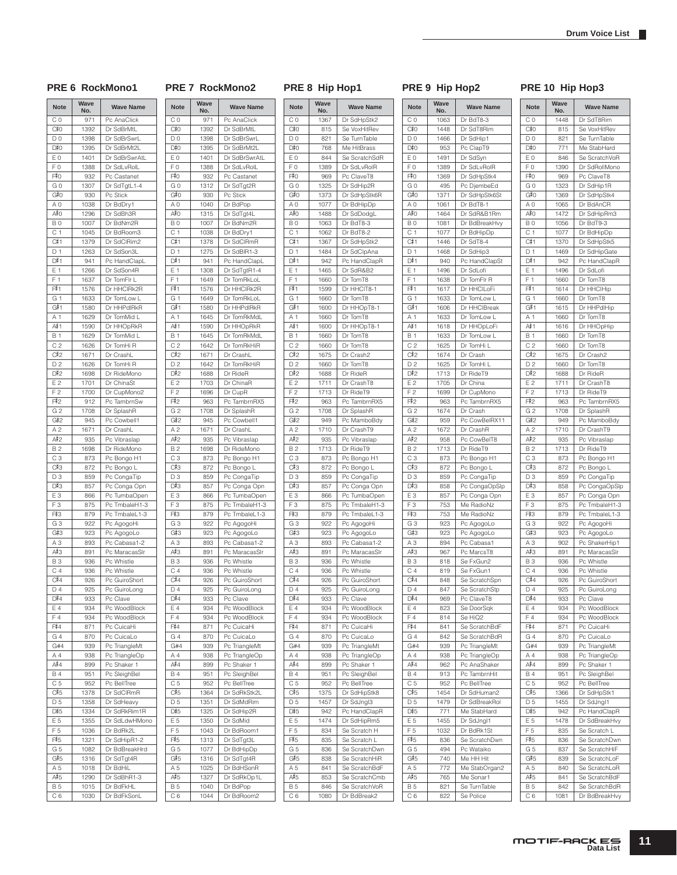# PRE 6 RockMono1 PRE 7 RockMono2 PRE 8 Hip Hop1 PRE 9 Hip Hop2 PRE 10 Hip Hop3

C 0 971 Pc AnaClick

1392 Dr SdBrMtL D 0 1398 Dr SdBrSwrL

1395 Dr SdBrMt2L E 0 1401 Dr SdBrSwrAtL F 0 1388 Dr SdLvRolL

932 Pc Castanet G 0 | 1312 | Dr SdTgt2R

930 Pc Stick A 0 1040 Dr BdPop

1315 Dr SdTgt4L B 0 1007 Dr BdNm2R C 1 | 1038 Dr BdDry1

1378 Dr SdClRmR D 1 1275 Dr SdBIR1-3

941 Pc HandClapl E 1 1308 Dr SdTgtR1-4 F 1 1649 Dr TomRkLoL

1576 Dr HHClRk2R G 1 | 1649 Dr TomRkLoL

1580 Dr HHPdlRkR A 1 1645 Dr TomRkMdL

1590 Dr HHOpRkR B 1 1645 Dr TomRkMdL C 2 1642 Dr TomRkHiR

1671 Dr CrashL D 2 1642 Dr TomRkHiR

1688 Dr RideR E 2 1703 Dr ChinaR F 2 1696 Dr CupR

G 2 1708 Dr SplashR

A 2 1671 Dr Crash

G 3 922 Pc AgogoHi

B 3 936 Pc Whistle C 4 936 Pc Whistle

963 Pc TambrnRX5

945 Pc Cowbell1

935 Pc Vibraslap B 2 1698 Dr RideMono C 3 873 Pc Bongo H1

872 Pc Bongo L D 3 859 Pc CongaTip

857 Pc Conga Opn E 3 866 Pc TumbaOpen<br>F 3 875 Pc TmbaleH1-3 875 Pc TmbaleH1-3

879 Pc TmbaleL1-3

Pc MaracasSlr

923 Pc AgogoLo A 3 893 Pc Cabasa1-2<br>A #3 891 Pc MaracasSI

926 Pc GuiroShort D 4 925 Pc GuiroLong

933 Pc Clave E 4 934 Pc WoodBlock F 4 934 Pc WoodBlock

871 Pc CuicaHi G 4 870 Pc CuicaLo G#4 939 Pc TriangleMt A 4 938 Pc TriangleOp

899 Pc Shaker 951 Pc SleighBel C 5 952 Pc BellTree

1364 Dr SdRkStk2L D 5 1351 Dr SdMdRim

1325 Dr SdHip2R E 5 1350 Dr SdMid F 5 1043 Dr BdRoom1

1313 Dr SdTgt3L G 5 1077 Dr BdHipDp

1316 Dr SdTgt4R A 5 1025 Dr BdHSonR

1327 Dr SdRkOp1L

B 5 1040 Dr BdPop C 6 1044 Dr BdRoom2

**No. Wave Name**

**Note Wave** 

 $C#O$ 

 $D#O$ 

 $F^2 = 0$ 

 $G#O$ 

 $A#0$ 

 $C#1$ 

 $\overline{D^{*}_{n}}$ 

F#1

 $G#1$ 

 $A#1$ 

 $C#2$ 

 $D#2$ 

F#2

 $G#2$ 

 $A#2$ 

 $C#3$ 

 $D#3$ 

 $F33$ 

 $G#3$ 

 $A#3$ 

 $C#4$ 

 $D#4$ 

 $F\frac{4}{3}4$ 

 $\frac{\mathsf{A}^{\sharp}4}{\mathsf{B}4}$ 

 $C#5$ 

 $D#5$ 

 $F5$ 

 $G#5$ 

 $A#5$ 

| <b>Note</b>           | Wave<br>No.  | <b>Wave Name</b>               | Note                  |
|-----------------------|--------------|--------------------------------|-----------------------|
| C <sub>0</sub>        | 1367         | Dr SdHpStk2                    | CΟ                    |
| C#0                   | 815          | Se VoxHitRev                   | C#0                   |
| D <sub>0</sub>        | 821          | Se TurnTable                   | D <sub>0</sub>        |
| D#0                   | 768          | Me HitBrass                    | D#0                   |
| E <sub>0</sub>        | 844          | Se ScratchSdR                  | E <sub>0</sub>        |
| F <sub>0</sub><br>F#0 | 1389<br>969  | Dr SdLvRolR<br>Pc ClaveT8      | F <sub>0</sub><br>F#0 |
| GO                    | 1325         | Dr SdHip2R                     | GO                    |
| G#0                   | 1373         | Dr SdHpStk6R                   | G#0                   |
| A <sub>0</sub>        | 1077         | Dr BdHipDp                     | A <sub>0</sub>        |
| A‡O                   | 1488         | Dr SdDodgL                     | A#O                   |
| <b>B0</b>             | 1063         | Dr BdT8-3                      | B <sub>0</sub>        |
| C <sub>1</sub>        | 1062         | Dr BdT8-2                      | C <sub>1</sub>        |
| C#1                   | 1367         | Dr SdHpStk2                    | C#1                   |
| D <sub>1</sub>        | 1484         | Dr SdClpAna                    | D <sub>1</sub>        |
| D#1                   | 942          | Pc HandClapR                   | D#1                   |
| E 1<br>F <sub>1</sub> | 1465         | Dr SdR&B2                      | E 1                   |
| F#1                   | 1660<br>1599 | Dr TomT8<br>Dr HHCIT8-1        | F <sub>1</sub><br>F#1 |
| G 1                   | 1660         | Dr TomT8                       | G 1                   |
| G#1                   | 1600         | Dr HHOpT8-1                    | G#1                   |
| A 1                   | 1660         | Dr TomT8                       | A 1                   |
| A#≀1                  | 1600         | Dr HHOpT8-1                    | A#≀1                  |
| <b>B</b> 1            | 1660         | Dr TomT8                       | <b>B1</b>             |
| C <sub>2</sub>        | 1660         | Dr TomT8                       | C <sub>2</sub>        |
| C#2                   | 1675         | Dr Crash2                      | C#2                   |
| D <sub>2</sub>        | 1660         | Dr TomT8                       | D <sub>2</sub>        |
| D#2                   | 1688         | Dr RideR                       | D#2                   |
| E <sub>2</sub>        | 1711         | Dr CrashT8                     | E 2                   |
| F <sub>2</sub><br>F#2 | 1713         | Dr RideT9                      | F <sub>2</sub><br>F#2 |
| G <sub>2</sub>        | 963<br>1708  | Pc TambrnRX5<br>Dr SplashR     | G <sub>2</sub>        |
| G#2                   | 949          | Pc MamboBdy                    | G#2                   |
| A <sub>2</sub>        | 1710         | Dr CrashT9                     | A 2                   |
| A#2                   | 935          | Pc Vibraslap                   | A#2                   |
| B <sub>2</sub>        | 1713         | Dr RideT9                      | B <sub>2</sub>        |
| C <sub>3</sub>        | 873          | Pc Bongo H1                    | C <sub>3</sub>        |
| C#3                   | 872          | Pc Bongo L                     | C#3                   |
| D <sub>3</sub>        | 859          | Pc CongaTip                    | D <sub>3</sub>        |
| D#3                   | 857          | Pc Conga Opn                   | D#3                   |
| E <sub>3</sub>        | 866          | Pc TumbaOpen                   | E <sub>3</sub>        |
| F <sub>3</sub>        | 875          | Pc TmbaleH1-3                  | F <sub>3</sub>        |
| F#3<br>G <sub>3</sub> | 879<br>922   | Pc TmbaleL1-3                  | F#3                   |
| G#3                   | 923          | Pc AgogoHi<br>Pc AgogoLo       | G3<br>G#3             |
| A <sub>3</sub>        | 893          | Pc Cabasa1-2                   | A <sub>3</sub>        |
| A#3                   | 891          | Pc MaracasSIr                  | A#3                   |
| <b>B3</b>             | 936          | Pc Whistle                     | B <sub>3</sub>        |
| C <sub>4</sub>        | 936          | Pc Whistle                     | C <sub>4</sub>        |
| C#4                   | 926          | Pc GuiroShort                  | C#4                   |
| D <sub>4</sub>        | 925          | Pc GuiroLong                   | D <sub>4</sub>        |
| D#4                   | 933          | Pc Clave                       | D#4                   |
| E 4                   | 934          | Pc WoodBlock                   | E 4                   |
| F4                    | 934          | Pc WoodBlock                   | F4                    |
| F#4                   | 871          | Pc CuicaHi<br>Pc CuicaLo       | F#4                   |
| G4<br>G#4             | 870<br>939   | Pc TriangleMt                  | G4<br>G#4             |
| A 4                   | 938          | Pc TriangleOp                  | A 4                   |
| A#4                   | 899          | Pc Shaker 1                    | A#4                   |
| <b>B4</b>             | 951          | Pc SleighBel                   | <b>B4</b>             |
| C <sub>5</sub>        | 952          | Pc BellTree                    | C <sub>5</sub>        |
| C#5                   | 1375         | Dr SdHipStk8                   | C#5                   |
| D <sub>5</sub>        | 1457         | Dr SdJngl3                     | D <sub>5</sub>        |
| D#5                   | 942          | Pc HandClapR                   | D#5                   |
| E 5                   | 1474         | Dr SdHipRm5                    | E 5                   |
| F <sub>5</sub>        | 834          | Se Scratch H                   | F <sub>5</sub>        |
| F#5                   | 835          | Se Scratch L                   | F#5                   |
| G <sub>5</sub>        | 836          | Se ScratchDwn                  | G <sub>5</sub>        |
| G#5<br>A 5            | 838<br>841   | Se ScratchHiR<br>Se ScratchBdF | G#5<br>A 5            |
| A#5                   | 853          | Se ScratchCmb                  | A#5                   |
|                       |              |                                |                       |
| <b>B5</b>             | 846          | Se ScratchVoR                  | <b>B5</b>             |

| 'RE 9            |                    | Hip Hop2         |  |  |
|------------------|--------------------|------------------|--|--|
| <b>Note</b>      | <b>Wave</b><br>No. | <b>Wave Name</b> |  |  |
| $\overline{C} 0$ | 1063               | Dr BdT8-3        |  |  |
| C#0              | 1448               | Dr SdT8Rim       |  |  |
| D <sub>0</sub>   | 1466               | Dr SdHip1        |  |  |
| D#0              | 953                | Pc ClapT9        |  |  |
| E 0              | 1491               | Dr SdSyn         |  |  |
| F <sub>0</sub>   | 1389               | Dr SdLvRoIR      |  |  |
| F‡O              | 1369               | Dr SdHpStk4      |  |  |
| GO               | 495                | Pc DjembeEd      |  |  |
| G#0              | 1371               | Dr SdHpStk6St    |  |  |
| A <sub>0</sub>   | 1061               | Dr BdT8-1        |  |  |
| A#O              | 1464               | Dr SdR&B1Rm      |  |  |
| B <sub>0</sub>   | 1081               | Dr BdBreakHvy    |  |  |
| C 1              | 1077               | Dr BdHipDp       |  |  |
| C# 1             | 1446               | Dr SdT8-4        |  |  |
| D <sub>1</sub>   | 1468               | Dr SdHip3        |  |  |
| D#1              | 940                | Pc HandClapSt    |  |  |
| E 1              | 1496               | Dr SdLofi        |  |  |
| F <sub>1</sub>   | 1638               | Dr TomFlr R      |  |  |
| F#1              | 1617               | Dr HHCILoFi      |  |  |
| G <sub>1</sub>   | 1633               | Dr TomLow L      |  |  |
| G#1              | 1606               | Dr HHClBreak     |  |  |
| A 1              | 1633               | Dr TomLow L      |  |  |
| A#1              | 1618               | Dr HHOpLoFi      |  |  |
| <b>B</b> 1       | 1633               | Dr TomLow L      |  |  |
| C <sub>2</sub>   | 1625               | Dr TomHi L       |  |  |
| C#2              | 1674               | Dr Crash         |  |  |
| D <sub>2</sub>   | 1625               | Dr TomHi L       |  |  |
| D#2              | 1713               | Dr RideT9        |  |  |
| E2               | 1705               | Dr China         |  |  |
| F <sub>2</sub>   | 1699               | Dr CupMono       |  |  |
| F‡2              | 963                | Pc TambrnRX5     |  |  |
| G <sub>2</sub>   | 1674               | Dr Crash         |  |  |
| G#2              | 959                | Pc CowBelRX11    |  |  |
| A <sub>2</sub>   | 1672               | Dr CrashR        |  |  |
| A#2              | 958                | Pc CowBelT8      |  |  |
| B <sub>2</sub>   | 1713               | Dr RideT9        |  |  |
| C <sub>3</sub>   | 873                | Pc Bongo H1      |  |  |
| C#3              | 872                | Pc Bongo L       |  |  |
| D3               | 859                | Pc CongaTip      |  |  |
| D#3              | 858                | Pc CongaOpSlp    |  |  |
| E <sub>3</sub>   | 857                | Pc Conga Opn     |  |  |
| F <sub>3</sub>   | 753                | Me RadioNz       |  |  |
| F#3              | 753                | Me RadioNz       |  |  |
| G <sub>3</sub>   | 923                | Pc AgogoLo       |  |  |
| G#3              | 923                | Pc AgogoLo       |  |  |
| AЗ               | 894                | Pc Cabasa1       |  |  |
| A#3              | 967                | Pc MarcsT8       |  |  |
| <b>B3</b>        | 818                | Se FxGun2        |  |  |
| C <sub>4</sub>   | 819                | Se FxGun1        |  |  |

848 Se ScratchSpn 847 Se ScratchStp

841 Se ScratchBdF 842 Se ScratchBdR 939 Pc TriangleMt 938 Pc TriangleOp

962 | Pc AnaShaker 913 Pc TambrnHit 952 Pc BellTree

1454 Dr SdHuman2 1479 Dr SdBreakRol

771 Me StabHard 1455 Dr SdJngl1 1032 Dr BdRk1St

836 Se ScratchDwn 494 Pc Wataiko

5 740 Me HH Hit 772 Me StabOrgan2

765 Me Sonar1 821 Se TurnTable 822 Se Police

969 Pc ClaveT8 823 Se DoorSqk  $814$  Se HiQ2

| <b>Note</b>           | Wave<br>No.  | <b>Wave Name</b>              |
|-----------------------|--------------|-------------------------------|
| C <sub>0</sub>        | 1448         | Dr SdT8Rim                    |
| C‡0                   | 815          | Se VoxHitRev                  |
| D <sub>0</sub>        | 821          | Se TurnTable                  |
| D#0                   | 771          | Me StabHard                   |
| E 0                   | 846          | Se ScratchVoR                 |
| F <sub>0</sub>        | 1390         | Dr SdRollMono                 |
| F#0                   | 969          | Pc ClaveT8                    |
| G <sub>0</sub>        | 1323         | Dr SdHip1R                    |
| G#0                   | 1369         | Dr SdHpStk4                   |
| A <sub>0</sub><br>A#0 | 1065         | Dr BdAnCR                     |
| B <sub>0</sub>        | 1472<br>1056 | Dr SdHipRm3<br>Dr BdT9-3      |
| C <sub>1</sub>        | 1077         | Dr BdHipDp                    |
| C#1                   | 1370         | Dr SdHpStk5                   |
| D <sub>1</sub>        | 1469         | Dr SdHipGate                  |
| D#1                   | 942          | Pc HandClapR                  |
| E 1                   | 1496         | Dr SdLofi                     |
| F 1                   | 1660         | Dr TomT8                      |
| F#1                   | 1614         | Dr HHClHip                    |
| G <sub>1</sub>        | 1660         | Dr TomT8                      |
| G#1                   | 1615         | Dr HHPdlHip                   |
| A 1                   | 1660         | Dr TomT8                      |
| A#1                   | 1616         | Dr HHOpHip                    |
| <b>B</b> 1            | 1660         | Dr TomT8                      |
| C <sub>2</sub>        | 1660         | Dr TomT8                      |
| C#2                   | 1675         | Dr Crash2                     |
| D <sub>2</sub>        | 1660         | Dr TomT8                      |
| D‡2                   | 1688         | Dr RideR                      |
| E 2<br>F <sub>2</sub> | 1711         | Dr CrashT8                    |
| F#2                   | 1713<br>963  | Dr RideT9<br>Pc TambrnRX5     |
| G <sub>2</sub>        | 1708         | Dr SplashR                    |
| G#2                   | 949          | Pc MamboBdy                   |
| A <sub>2</sub>        | 1710         | Dr CrashT9                    |
| A#2                   | 935          | Pc Vibraslap                  |
| <b>B2</b>             | 1713         | Dr RideT9                     |
| CЗ                    | 873          | Pc Bongo H1                   |
| C#3                   | 872          | Pc Bongo L                    |
| D3                    | 859          | Pc CongaTip                   |
| D#3                   | 858          | Pc CongaOpSlp                 |
| E <sub>3</sub>        | 857          | Pc Conga Opn                  |
| F <sub>3</sub>        | 875          | Pc TmbaleH1-3                 |
| F#3                   | 879          | Pc TmbaleL1-3                 |
| G <sub>3</sub>        | 922          | Pc AgogoHi                    |
| G#3                   | 923          | Pc AgogoLo                    |
| A <sub>3</sub><br>A#3 | 902<br>891   | Pc ShakerHip1                 |
| <b>B3</b>             | 936          | Pc MaracasSlr<br>Pc Whistle   |
| C <sub>4</sub>        | 936          | Pc Whistle                    |
| C#4                   | 926          | Pc GuiroShort                 |
| D 4                   | 925          | Pc GuiroLong                  |
| D#4                   | 933          | Pc Clave                      |
| Ε4                    | 934          | Pc WoodBlock                  |
| F <sub>4</sub>        | 934          | Pc WoodBlock                  |
| F#4                   | 871          | Pc CuicaHi                    |
| G 4                   | 870          | Pc CuicaLo                    |
| G#4                   | 939          | Pc TriangleMt                 |
| A 4                   | 938          | Pc TriangleOp                 |
| A#4                   | 899          | Pc Shaker 1                   |
| <b>B4</b>             | 951          | Pc SleighBel                  |
| C <sub>5</sub>        | 952          | Pc BellTree                   |
| C#5                   | 1366         | Dr SdHpStk1                   |
| D <sub>5</sub><br>D#5 | 1455         | Dr SdJngl1                    |
| E 5                   | 942          | Pc HandClapR                  |
| F <sub>5</sub>        | 1478<br>835  | Dr SdBreakHvy<br>Se Scratch L |
| F#5                   | 836          | Se ScratchDwn                 |
| G <sub>5</sub>        | 837          | Se ScratchHiF                 |
| G#5                   | 839          | Se ScratchLoF                 |
| A 5                   | 840          | Se ScratchLoR                 |
| A#5                   | 841          | Se ScratchBdF                 |
| <b>B5</b>             | 842          | Se ScratchBdR                 |
| C <sub>6</sub>        | 1081         | Dr BdBreakHvy                 |

| <b>Note</b>                 | Wave<br>No. | <b>Wave Name</b>            |
|-----------------------------|-------------|-----------------------------|
| CO                          | 971         | Pc AnaClick                 |
| C‡0                         | 1392        | Dr SdBrMtL                  |
| D <sub>0</sub>              | 1398        | Dr SdBrSwrL                 |
| D#0                         | 1395        | Dr SdBrMt2L                 |
| E <sub>0</sub>              | 1401        | Dr SdBrSwrAtL               |
| FΟ                          | 1388        | Dr SdLvRolL                 |
| F#0                         | 932         | Pc Castanet                 |
| GO                          | 1307        | Dr SdTgtL1-4                |
| G#0                         | 930         | Pc Stick                    |
| A <sub>0</sub>              | 1038        | Dr BdDry1                   |
| A#0                         | 1296        | Dr SdBh3R                   |
| BO                          | 1007        | Dr BdNm2R                   |
|                             | 1045        | Dr BdRoom3                  |
| C 1<br>C#1                  |             | Dr SdClRim2                 |
|                             | 1379        | Dr SdSon3L                  |
| D <sub>1</sub><br>D#1       | 1263        |                             |
|                             | 941         | Pc HandClapL                |
| E 1                         | 1266        | Dr SdSon4R                  |
| F 1                         | 1637        | Dr TomFIr L                 |
| F#1                         | 1576        | Dr HHCIRk2R                 |
| G 1                         | 1633        | Dr TomLow L                 |
| G#1                         | 1580        | Dr HHPdIRkR                 |
| A <sub>1</sub>              | 1629        | Dr TomMid L                 |
| A#1                         | 1590        | Dr HHOpRkR                  |
| <b>B</b> 1                  | 1629        | Dr TomMid L                 |
| C <sub>2</sub>              | 1626        | Dr TomHi R                  |
| C#2                         | 1671        | Dr CrashL                   |
| D <sub>2</sub>              | 1626        | Dr TomHi R                  |
| D#2                         | 1698        | Dr RideMono                 |
| E <sub>2</sub>              | 1701        | Dr ChinaSt                  |
| F2                          | 1700        | Dr CupMono2                 |
| F#2                         | 912         | Pc TambrnSw                 |
| G <sub>2</sub>              | 1708        | Dr SplashR                  |
| G#2                         | 945         | Pc Cowbell1                 |
| A <sub>2</sub>              | 1671        | Dr CrashL                   |
| $A^{\sharp}2$               | 935         | Pc Vibraslap                |
|                             |             |                             |
| <b>B2</b>                   | 1698        | Dr RideMono                 |
| CЗ                          | 873         | Pc Bongo H1                 |
| C#3                         | 872         | Pc Bongo L                  |
| D3                          | 859         | Pc CongaTip                 |
| D#3                         | 857         | Pc Conga Opn                |
| E <sub>3</sub>              | 866         | Pc TumbaOpen                |
| FЗ                          | 875         | Pc TmbaleH1-3               |
| F#3                         | 879         | Pc TmbaleL1-3               |
| G <sub>3</sub>              | 922         | Pc AgogoHi                  |
| G#3                         | 923         | Pc AgogoLo                  |
| A <sub>3</sub>              | 893         | Pc Cabasa1-2                |
| А#З                         | 891         | Pc MaracasSlr               |
| <b>B3</b>                   | 936         | Pc Whistle                  |
| C 4                         | 936         | Pc Whistle                  |
| C#4                         | 926         | Pc GuiroShort               |
| D <sub>4</sub>              | 925         | Pc GuiroLong                |
| D#4                         | 933         | Pc Clave                    |
| E 4                         | 934         | Pc WoodBlock                |
| F4                          | 934         | Pc WoodBlock                |
| F#4                         | 871         | Pc CuicaHi                  |
| G4                          | 870         | Pc CuicaLo                  |
| G#4                         | 939         | Pc TriangleMt               |
| A 4                         |             | Pc TriangleOp               |
| A#4                         | 938         | Pc Shaker 1                 |
|                             | 899         |                             |
| <b>B4</b><br>C <sub>5</sub> | 951         | Pc SleighBel<br>Pc BellTree |
|                             | 952         |                             |
| C#5                         | 1378        | Dr SdCIRmR                  |
| D <sub>5</sub>              | 1358        | Dr SdHeavy                  |
| D#5                         | 1334        | Dr SdRkRim1R                |
| E 5                         | 1355        | Dr SdLdwHMono               |
| F 5                         | 1036        | Dr BdRk2L                   |
| F#5                         | 1321        | Dr SdHipR1-2                |
| G <sub>5</sub>              | 1082        | Dr BdBreakHrd               |
| G#5                         | 1316        | Dr SdTgt4R                  |
| A 5                         | 1018        | Dr BdHiL                    |
| A#5                         | 1290        | Dr SdBhR1-3                 |
| <b>B5</b>                   | 1015        | Dr BdFkHL                   |
| C <sub>6</sub>              | 1030        | Dr BdFkSonL                 |

| MOTIF-RACK ES<br>Data List | 11 |
|----------------------------|----|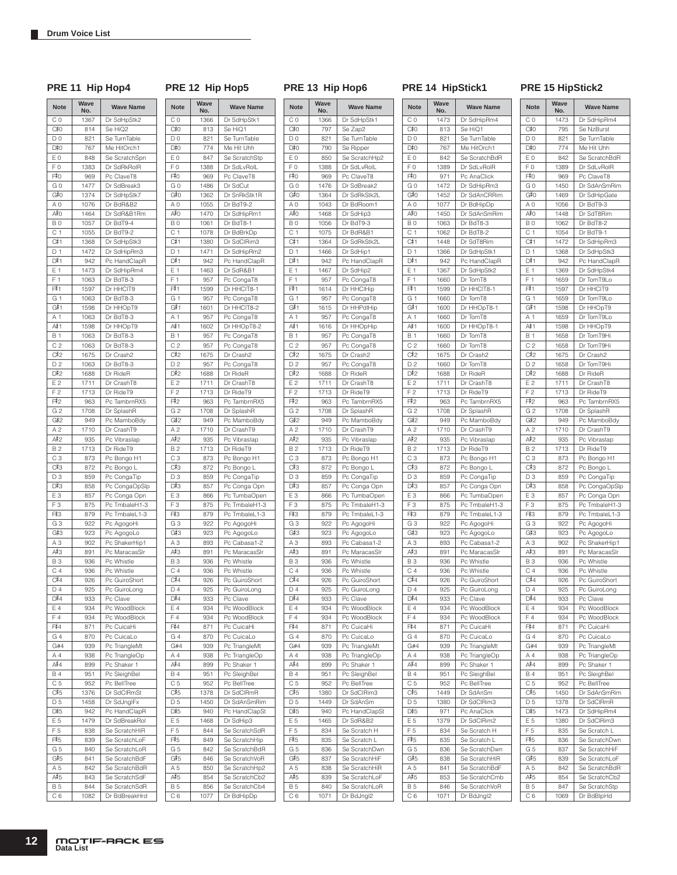PRE 11 Hip Hop4 PRE 12 Hip Hop5 PRE 13 Hip Hop6 PRE 14 HipStick1 PRE 15 HipStick2

D

| <b>Note</b>    | Wave<br>No. | <b>Wave Name</b> | Not            |
|----------------|-------------|------------------|----------------|
| C <sub>0</sub> | 1367        | Dr SdHpStk2      | C <sub>0</sub> |
| C#0            | 814         | Se HiQ2          | C#C            |
| D <sub>0</sub> | 821         | Se TurnTable     | D <sub>0</sub> |
| D#0            | 767         | Me HitOrch1      | D#C            |
| E <sub>0</sub> | 848         | Se ScratchSpn    | E0             |
| F <sub>0</sub> | 1383        | Dr SdRkRolR      | F <sub>0</sub> |
|                |             |                  | F#0            |
| F#0            | 969         | Pc ClaveT8       |                |
| GO             | 1477        | Dr SdBreak3      | G 0            |
| G#0            | 1374        | Dr SdHpStk7      | G#C            |
| A <sub>0</sub> | 1076        | Dr BdR&B2        | A <sub>0</sub> |
| A#0            | 1464        | Dr SdR&B1Rm      | A#0            |
| B <sub>0</sub> | 1057        | Dr BdT9-4        | B <sub>0</sub> |
| C <sub>1</sub> | 1055        | Dr BdT9-2        | C 1            |
| C#1            | 1368        | Dr SdHpStk3      | C#1            |
| D <sub>1</sub> | 1472        | Dr SdHipRm3      | D <sub>1</sub> |
| D#1            | 942         | Pc HandClapR     | D#1            |
| E 1            | 1473        | Dr SdHipRm4      | E 1            |
| F <sub>1</sub> | 1063        | Dr BdT8-3        | F <sub>1</sub> |
| F#1            | 1597        | Dr HHCIT9        | F#1            |
|                |             |                  |                |
| G 1            | 1063        | Dr BdT8-3        | G 1            |
| G#1            | 1598        | Dr HHOpT9        | G#1            |
| A <sub>1</sub> | 1063        | Dr BdT8-3        | A 1            |
| A#1            | 1598        | Dr HHOpT9        | A#1            |
| <b>B</b> 1     | 1063        | Dr BdT8-3        | <b>B1</b>      |
| C <sub>2</sub> | 1063        | Dr BdT8-3        | C <sub>2</sub> |
| C#2            | 1675        | Dr Crash2        | C#2            |
| D <sub>2</sub> | 1063        | Dr BdT8-3        | D <sub>2</sub> |
| D#2            | 1688        | Dr RideR         | D#2            |
| E <sub>2</sub> | 1711        | Dr CrashT8       | E2             |
| F <sub>2</sub> | 1713        | Dr RideT9        | F <sub>2</sub> |
| F#2            | 963         | Pc TambrnRX5     | F#2            |
| G <sub>2</sub> |             | Dr SplashR       | G <sub>2</sub> |
|                | 1708        |                  |                |
| G#2            | 949         | Pc MamboBdy      | G#2            |
| A <sub>2</sub> | 1710        | Dr CrashT9       | A <sub>2</sub> |
| A#2            | 935         | Pc Vibraslap     | A#2            |
| <b>B2</b>      | 1713        | Dr RideT9        | <b>B2</b>      |
| C <sub>3</sub> | 873         | Pc Bongo H1      | C <sub>3</sub> |
| C#3            | 872         | Pc Bongo L       | C#3            |
| D3             | 859         | Pc CongaTip      | D3             |
| D#3            | 858         | Pc CongaOpSlp    | D#3            |
| E <sub>3</sub> | 857         | Pc Conga Opn     | E <sub>3</sub> |
| F <sub>3</sub> | 875         | Pc TmbaleH1-3    | F <sub>3</sub> |
| F#3            | 879         | Pc TmbaleL1-3    | F‡3            |
| $G_3$          | 922         | Pc AgogoHi       | G 3            |
| G#3            | 923         | Pc AgogoLo       | G#3            |
| A3             | 902         | Pc ShakerHip1    | A <sub>3</sub> |
| A#3            | 891         | Pc MaracasSlr    | A#3            |
| B <sub>3</sub> | 936         | Pc Whistle       | B <sub>3</sub> |
|                |             |                  |                |
| C <sub>4</sub> | 936         | Pc Whistle       | C <sub>4</sub> |
| C#4            | 926         | Pc GuiroShort    | C#4            |
| D <sub>4</sub> | 925         | Pc GuiroLong     | D <sub>4</sub> |
| D#4            | 933         | Pc Clave         | D#4            |
| E 4            | 934         | Pc WoodBlock     | E 4            |
| F4             | 934         | Pc WoodBlock     | F4             |
| F#4            | 871         | Pc CuicaHi       | F#4            |
| G <sub>4</sub> | 870         | Pc CuicaLo       | G4             |
| G#4            | 939         | Pc TriangleMt    | G#             |
| A 4            | 938         | Pc TriangleOp    | A 4            |
| A#4            | 899         | Pc Shaker 1      | A#4            |
| <b>B4</b>      | 951         | Pc SleighBel     | <b>B4</b>      |
| C <sub>5</sub> | 952         | Pc BellTree      | C <sub>5</sub> |
| C#5            | 1376        | Dr SdCIRmSt      | C#5            |
| D <sub>5</sub> | 1458        | Dr SdJnglFx      | D <sub>5</sub> |
|                |             |                  |                |
| D#5            | 942         | Pc HandClapR     | D#5            |
| E 5            | 1479        | Dr SdBreakRol    | E 5            |
| F <sub>5</sub> | 838         | Se ScratchHiR    | F <sub>5</sub> |
| F#5            | 839         | Se ScratchLoF    | F#5            |
| G <sub>5</sub> | 840         | Se ScratchLoR    | G <sub>5</sub> |
| G#5            | 841         | Se ScratchBdF    | G#5            |
| A 5            | 842         | Se ScratchBdR    | A 5            |
| A#5            | 843         | Se ScratchSdF    | A#5            |
| <b>B5</b>      | 844         | Se ScratchSdR    | <b>B5</b>      |
| C 6            | 1082        | Dr BdBreakHrd    | C 6            |
|                |             |                  |                |

| <b>Note</b>    | Wave<br>No. | <b>Wave Name</b> |
|----------------|-------------|------------------|
| СO             | 1366        | Dr SdHpStk1      |
| C#0            | 813         | Se HiQ1          |
| DO             | 821         | Se TurnTable     |
| D#0            | 774         | Me Hit Uhh       |
| EΟ             | 847         | Se ScratchStp    |
| FΟ             | 1388        | Dr SdLvRolL      |
| F‡O            | 969         | Pc ClaveT8       |
| G 0            | 1486        | Dr SdCut         |
| G#0            | 1362        | Dr SnRkStk1R     |
| ΑO             | 1055        | Dr BdT9-2        |
| A#O            | 1470        | Dr SdHipRm1      |
| B <sub>0</sub> | 1061        | Dr BdT8-1        |
| C 1            |             |                  |
| C#1            | 1078        | Dr BdBrkDp       |
|                | 1380        | Dr SdClRim3      |
| D 1            | 1471        | Dr SdHipRm2      |
| D#1            | 942         | Pc HandClapR     |
| E 1            | 1463        | Dr SdR&B1        |
| F<br>1         | 957         | Pc CongaT8       |
| F#1            | 1599        | Dr HHCIT8-1      |
| G 1            | 957         | Pc CongaT8       |
| G#1            | 1601        | Dr HHCIT8-2      |
| Α1             | 957         | Pc CongaT8       |
| A# 1           | 1602        | Dr HHOpT8-2      |
| <b>B</b> 1     | 957         | Pc CongaT8       |
| C <sub>2</sub> | 957         | Pc CongaT8       |
| C#2            | 1675        | Dr Crash2        |
| D <sub>2</sub> | 957         | Pc CongaT8       |
| D#2            | 1688        | Dr RideR         |
| Ε2             | 1711        | Dr CrashT8       |
| F <sub>2</sub> | 1713        | Dr RideT9        |
| F‡2            | 963         | Pc TambrnRX5     |
| G <sub>2</sub> | 1708        | Dr SplashR       |
| G#2            | 949         | Pc MamboBdy      |
| A 2            | 1710        | Dr CrashT9       |
| A#2            | 935         | Pc Vibraslap     |
|                |             |                  |
| B 2            | 1713        | Dr RideT9        |
| CЗ             | 873         | Pc Bongo H1      |
| C#3            | 872         | Pc Bongo L       |
| D <sub>3</sub> | 859         | Pc CongaTip      |
| D#3            | 857         | Pc Conga Opn     |
| EЗ             | 866         | Pc TumbaOpen     |
| FЗ             | 875         | Pc TmbaleH1-3    |
| F#3            | 879         | Pc TmbaleL1-3    |
| G3             | 922         | Pc AgogoHi       |
| G#3            | 923         | Pc AgogoLo       |
| ΑЗ             | 893         | Pc Cabasa1-2     |
| А#З            | 891         | Pc MaracasSIr    |
| BЗ             | 936         | Pc Whistle       |
| C4             | 936         | Pc Whistle       |
| C#4            | 926         | Pc GuiroShort    |
| D4             | 925         | Pc GuiroLong     |
| D#4            | 933         | Pc Clave         |
| Ε4             | 934         | Pc WoodBlock     |
| F4             | 934         | Pc WoodBlock     |
| F‡4            | 871         | Pc CuicaHi       |
| G 4            | 870         | Pc CuicaLo       |
| G#4            | 939         | Pc TriangleMt    |
| Α4             | 938         | Pc TriangleOp    |
| A#4            | 899         | Pc Shaker 1      |
| <b>B4</b>      | 951         | Pc SleighBel     |
| C 5            | 952         | Pc BellTree      |
| C#5            |             |                  |
|                | 1378        | Dr SdCIRmR       |
| D 5            | 1450        | Dr SdAnSmRim     |
| D#5            | 940         | Pc HandClapSt    |
| Ε5             | 1468        | Dr SdHip3        |
| F <sub>5</sub> | 844         | Se ScratchSdR    |
| F#5            | 849         | Se ScratchHip    |
| G 5            | 842         | Se ScratchBdR    |
| G#5            | 846         | Se ScratchVoR    |
| A 5            | 850         | Se ScratchHp2    |
| A#5            | 854         | Se ScratchCb2    |
| <b>B5</b>      | 856         | Se ScratchCb4    |
|                | 1077        | Dr BdHipDp       |

| <b>Note</b>      | Wave<br>No. | <b>Wave Name</b> |
|------------------|-------------|------------------|
| $\overline{C} 0$ | 1366        | Dr SdHpStk1      |
| C‡0              | 797         | Se Zap2          |
| D <sub>0</sub>   | 821         | Se TurnTable     |
| D‡0              | 790         | Se Ripper        |
| E <sub>0</sub>   | 850         | Se ScratchHp2    |
| F <sub>0</sub>   | 1388        | Dr SdLvRolL      |
| F#0              | 969         | Pc ClaveT8       |
| G <sub>0</sub>   | 1476        | Dr SdBreak2      |
| G#0              | 1364        | Dr SdRkStk2L     |
| ΑO               | 1043        | Dr BdRoom1       |
| A≢O              | 1468        | Dr SdHip3        |
| B <sub>0</sub>   | 1056        | Dr BdT9-3        |
| C <sub>1</sub>   | 1075        | Dr BdR&B1        |
| C#1              | 1364        | Dr SdRkStk2L     |
| D <sub>1</sub>   | 1466        | Dr SdHip1        |
| D#1              | 942         | Pc HandClapR     |
| E 1              | 1467        | Dr SdHip2        |
| F <sub>1</sub>   | 957         | Pc CongaT8       |
| F#1              | 1614        | Dr HHClHip       |
| G <sub>1</sub>   | 957         | Pc CongaT8       |
| G#1              | 1615        | Dr HHPdlHip      |
| A 1              | 957         | Pc CongaT8       |
| A#≀1             | 1616        | Dr HHOpHip       |
| <b>B1</b>        | 957         | Pc CongaT8       |
| C <sub>2</sub>   | 957         | Pc CongaT8       |
| C#2              | 1675        | Dr Crash2        |
| D <sub>2</sub>   | 957         | Pc CongaT8       |
| D#2              | 1688        | Dr RideR         |
| E <sub>2</sub>   | 1711        | Dr CrashT8       |
| F <sub>2</sub>   | 1713        | Dr RideT9        |
| F#2              | 963         | Pc TambrnRX5     |
| G <sub>2</sub>   | 1708        | Dr SplashR       |
| G#2              | 949         | Pc MamboBdy      |
| A 2              | 1710        | Dr CrashT9       |
| A#2              | 935         | Pc Vibraslap     |
| <b>B2</b>        | 1713        | Dr RideT9        |
| C <sub>3</sub>   | 873         | Pc Bongo H1      |
| C#3              | 872         | Pc Bongo L       |
| D <sub>3</sub>   | 859         | Pc CongaTip      |
| D#3              | 857         | Pc Conga Opn     |
| E <sub>3</sub>   | 866         | Pc TumbaOpen     |
| F <sub>3</sub>   | 875         | Pc TmbaleH1-3    |
| F#3              | 879         | Pc TmbaleL1-3    |
| G <sub>3</sub>   | 922         | Pc AgogoHi       |
| G#3              | 923         | Pc AgogoLo       |
| AЗ               | 893         | Pc Cabasa1-2     |
| A#3              | 891         | Pc MaracasSlr    |
| <b>B3</b>        | 936         | Pc Whistle       |
| C <sub>4</sub>   | 936         | Pc Whistle       |
| C#4              | 926         | Pc GuiroShort    |
| D <sub>4</sub>   | 925         | Pc GuiroLong     |
| D‡4              | 933         | Pc Clave         |
| E 4              | 934         | Pc WoodBlock     |
| F4               | 934         | Pc WoodBlock     |
| F#4              | 871         | Pc CuicaHi       |
| G4               | 870         | Pc CuicaLo       |
| G#4              | 939         | Pc TriangleMt    |
| A 4              | 938         | Pc TriangleOp    |
| A#4              | 899         | Pc Shaker 1      |
| <b>B4</b>        | 951         | Pc SleighBel     |
| C <sub>5</sub>   | 952         | Pc BellTree      |
| C#5              | 1380        | Dr SdClRim3      |
| D <sub>5</sub>   | 1449        | Dr SdAnSm        |
| D#5              | 940         | Pc HandClapSt    |
| E 5              | 1465        | Dr SdR&B2        |
| F 5              | 834         | Se Scratch H     |
| F#5              | 835         | Se Scratch L     |
| G <sub>5</sub>   | 836         | Se ScratchDwn    |
| G#5              | 837         | Se ScratchHiF    |
| A 5              | 838         | Se ScratchHiR    |
| A#5              | 839         | Se ScratchLoF    |
| <b>B5</b>        | 840         | Se ScratchLoR    |
| C 6              | 1071        | Dr BdJngl2       |

| <b>Note</b>           | Wave<br>No.  | <b>Wave Name</b>               |
|-----------------------|--------------|--------------------------------|
| C <sub>0</sub>        | 1473         | Dr SdHipRm4                    |
| C#0                   | 813          | Se HiQ1                        |
| D <sub>0</sub>        | 821          | Se TurnTable                   |
| D#0                   | 767          | Me HitOrch1                    |
| E <sub>0</sub>        | 842          | Se ScratchBdR                  |
| F <sub>0</sub><br>F#0 | 1389         | Dr SdLvRolR                    |
| GO                    | 971<br>1472  | Pc AnaClick<br>Dr SdHipRm3     |
| G#0                   | 1452         | Dr SdAnCRRim                   |
| A <sub>0</sub>        | 1077         | Dr BdHipDp                     |
| A#O                   | 1450         | Dr SdAnSmRim                   |
| B <sub>0</sub>        | 1063         | Dr BdT8-3                      |
| C <sub>1</sub>        | 1062         | Dr BdT8-2                      |
| C#1                   | 1448         | Dr SdT8Rim                     |
| D <sub>1</sub>        | 1366         | Dr SdHpStk1                    |
| D#1                   | 942          | Pc HandClapR                   |
| Ε1                    | 1367         | Dr SdHpStk2                    |
| F <sub>1</sub>        | 1660         | Dr TomT8                       |
| F#1<br>G 1            | 1599         | Dr HHCIT8-1<br>Dr TomT8        |
| G#1                   | 1660<br>1600 | Dr HHOpT8-1                    |
| A 1                   | 1660         | Dr TomT8                       |
| A#≀1                  | 1600         | Dr HHOpT8-1                    |
| <b>B1</b>             | 1660         | Dr TomT8                       |
| C <sub>2</sub>        | 1660         | Dr TomT8                       |
| C#2                   | 1675         | Dr Crash2                      |
| D <sub>2</sub>        | 1660         | Dr TomT8                       |
| D#2                   | 1688         | Dr RideR                       |
| E2                    | 1711         | Dr CrashT8                     |
| F <sub>2</sub><br>F#2 | 1713         | Dr RideT9                      |
| G <sub>2</sub>        | 963<br>1708  | Pc TambrnRX5<br>Dr SplashR     |
| G#2                   | 949          | Pc MamboBdy                    |
| A <sub>2</sub>        | 1710         | Dr CrashT9                     |
| A#2                   | 935          | Pc Vibraslap                   |
| <b>B2</b>             | 1713         | Dr RideT9                      |
| C <sub>3</sub>        | 873          | Pc Bongo H1                    |
| C#3                   | 872          | Pc Bongo L                     |
| D <sub>3</sub>        | 859          | Pc CongaTip                    |
| D#3                   | 857          | Pc Conga Opn                   |
| E <sub>3</sub>        | 866          | Pc TumbaOpen                   |
| FЗ<br>F#3             | 875          | Pc TmbaleH1-3                  |
| G <sub>3</sub>        | 879<br>922   | Pc TmbaleL1-3<br>Pc AgogoHi    |
| G#3                   | 923          | Pc AgogoLo                     |
| AЗ                    | 893          | Pc Cabasa1-2                   |
| А#З                   | 891          | Pc MaracasSIr                  |
| <b>B3</b>             | 936          | Pc Whistle                     |
| C <sub>4</sub>        | 936          | Pc Whistle                     |
| C#4                   | 926          | Pc GuiroShort                  |
| D4                    | 925          | Pc GuiroLong                   |
| D#4                   | 933          | Pc Clave                       |
| E 4                   | 934          | Pc WoodBlock                   |
| F4<br>F#4             | 934          | Pc WoodBlock<br>Pc CuicaHi     |
| G4                    | 871<br>870   | Pc CuicaLo                     |
| G#4                   | 939          | Pc TriangleMt                  |
| Α4                    | 938          | Pc TriangleOp                  |
| A#4                   | 899          | Pc Shaker 1                    |
| <b>B4</b>             | 951          | Pc SleighBel                   |
| C <sub>5</sub>        | 952          | Pc BellTree                    |
| C#5                   | 1449         | Dr SdAnSm                      |
| D <sub>5</sub>        | 1380         | Dr SdClRim3                    |
| D#5                   | 971          | Pc AnaClick                    |
| E 5                   | 1379         | Dr SdClRim2                    |
| F 5                   | 834          | Se Scratch H                   |
| F#5                   | 835          | Se Scratch L                   |
| G <sub>5</sub>        | 836          | Se ScratchDwn                  |
| G#5                   | 838          | Se ScratchHiR                  |
| A 5                   | 841          | Se ScratchBdF                  |
| A#5<br><b>B5</b>      | 853<br>846   | Se ScratchCmb<br>Se ScratchVoR |
| C 6                   | 1071         | Dr BdJngl2                     |
|                       |              |                                |

| <b>Note</b>           | Wave<br>No.  | <b>Wave Name</b>              |
|-----------------------|--------------|-------------------------------|
| C 0                   | 1473         | Dr SdHipRm4                   |
| C#0                   | 795          | Se NzBurst                    |
| D <sub>0</sub>        | 821          | Se TurnTable                  |
| D#0                   | 774          | Me Hit Uhh                    |
| E0                    | 842          | Se ScratchBdR                 |
| F0                    | 1389         | Dr SdLvRolR                   |
| F#0                   | 969          | Pc ClaveT8                    |
| GO<br>G‡0             | 1450         | Dr SdAnSmRim                  |
| A <sub>0</sub>        | 1469<br>1056 | Dr SdHipGate<br>Dr BdT9-3     |
| A#0                   | 1448         | Dr SdT8Rim                    |
| B <sub>0</sub>        | 1062         | Dr BdT8-2                     |
| C <sub>1</sub>        | 1054         | Dr BdT9-1                     |
| C#1                   | 1472         | Dr SdHipRm3                   |
| D <sub>1</sub>        | 1368         | Dr SdHpStk3                   |
| D#1                   | 942          | Pc HandClapR                  |
| E 1                   | 1369         | Dr SdHpStk4                   |
| F <sub>1</sub>        | 1659         | Dr TomT9Lo                    |
| F#1                   | 1597         | Dr HHCIT9                     |
| G <sub>1</sub><br>G#1 | 1659         | Dr TomT9Lo                    |
| A 1                   | 1598<br>1659 | Dr HHOpT9<br>Dr TomT9Lo       |
| A#1                   | 1598         | Dr HHOpT9                     |
| <b>B</b> 1            | 1658         | Dr TomT9Hi                    |
| C <sub>2</sub>        | 1658         | Dr TomT9Hi                    |
| C#2                   | 1675         | Dr Crash2                     |
| D <sub>2</sub>        | 1658         | Dr TomT9Hi                    |
| D#2                   | 1688         | Dr RideR                      |
| E <sub>2</sub>        | 1711         | Dr CrashT8                    |
| F <sub>2</sub>        | 1713         | Dr RideT9                     |
| F#2                   | 963          | Pc TambrnRX5                  |
| G <sub>2</sub>        | 1708         | Dr SplashR                    |
| G‡2                   | 949          | Pc MamboBdy                   |
| A <sub>2</sub>        | 1710         | Dr CrashT9                    |
| A#2                   | 935          | Pc Vibraslap                  |
| <b>B2</b>             | 1713         | Dr RideT9                     |
| C <sub>3</sub>        | 873          | Pc Bongo H1                   |
| C#3                   | 872          | Pc Bongo L                    |
| D3<br>D#3             | 859<br>858   | Pc CongaTip                   |
| E <sub>3</sub>        | 857          | Pc CongaOpSlp<br>Pc Conga Opn |
| F <sub>3</sub>        | 875          | Pc TmbaleH1-3                 |
| F#3                   | 879          | Pc TmbaleL1-3                 |
| G <sub>3</sub>        | 922          | Pc AgogoHi                    |
| G#3                   | 923          | Pc AgogoLo                    |
| A <sub>3</sub>        | 902          | Pc ShakerHip1                 |
| А#З                   | 891          | Pc MaracasSlr                 |
| <b>B3</b>             | 936          | Pc Whistle                    |
| C <sub>4</sub>        | 936          | Pc Whistle                    |
| C#4                   | 926          | Pc GuiroShort                 |
| D <sub>4</sub>        | 925          | Pc GuiroLong                  |
| D#4                   | 933          | Pc Clave                      |
| E 4                   | 934          | Pc WoodBlock                  |
| F4<br>F#4             | 934          | Pc WoodBlock                  |
|                       | 871          | Pc CuicaHi                    |
| G4<br>G#4             | 870<br>939   | Pc CuicaLo<br>Pc TriangleMt   |
| A 4                   | 938          | Pc TriangleOp                 |
| A#4                   | 899          | Pc Shaker 1                   |
| <b>B4</b>             | 951          | Pc SleighBel                  |
| C <sub>5</sub>        | 952          | Pc BellTree                   |
| C#5                   | 1450         | Dr SdAnSmRim                  |
| D <sub>5</sub>        | 1378         | Dr SdCIRmR                    |
| D#5                   | 1473         | Dr SdHipRm4                   |
| E 5                   | 1380         | Dr SdClRim3                   |
| F 5                   | 835          | Se Scratch L                  |
| F#5                   | 836          | Se ScratchDwn                 |
| G <sub>5</sub>        | 837          | Se ScratchHiF                 |
| G#5                   | 839          | Se ScratchLoF                 |
| A 5                   | 842          | Se ScratchBdR                 |
| A#5                   | 854          | Se ScratchCb2                 |
| <b>B5</b>             | 847          | Se ScratchStp                 |
| C 6                   | 1069         | Dr BdBlpHd                    |

**MOTIF-RACK ES**<br>Data List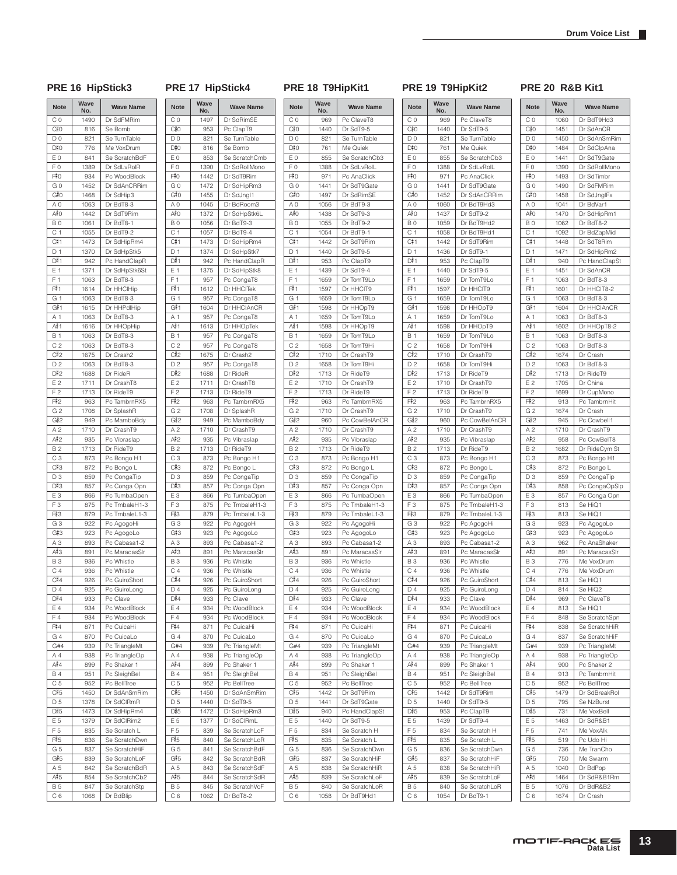$816$  $\overline{D0}$  821  $D#0$ 

776  $\begin{array}{|c|c|c|c|}\n\hline\n\text{E0} & \text{841} \\
\hline\n\text{F0} & \text{1389}\n\end{array}$  $1389$ 

 $\overline{934}$  $G_0$  1452  $G#0$ 

 $1442$ B 0 1061  $C 1$  1055  $rac{C#1}{D 1}$ 

942 E 1 1371  $F1$  1063

 $1616$  $\overline{1063}$  $C 2$  1063  $C#2$ 

1675  $D 2$  1063

1688  $1711$  $F 2$  1713 F#2

935 B 2 1713  $C3$  873

857 E 3 866<br>F 3 875  $875$ 

 $879$ G 3  $922$  $G#3$ 

 $891$ B 3 936 C 4 936  $rac{C}{D}$ 

 $\overline{933}$  $E 4$  934  $F 4$  934  $F#4$ <br>G 4

899  $951$  $C 5$  952  $C#5$ 

1450  $D 5$  1378  $D#5$ 

 $1473$  $E 5$  1379  $F 5$  835  $F#5$ 

854 B 5 847  $CG 1068$ 

 $\begin{array}{|c|c|c|}\n\hline\n\text{G4} & \text{870} \\
\hline\n\text{G#4} & \text{939}\n\end{array}$ 939 A 4 938

 $F#O$ 

 $D#1$ 

 $F#1$ <br>G 1

 $G#1$ 

 $\frac{A\#1}{B\ 1}$ 

 $\frac{D#2}{E 2}$ 

 $rac{C#3}{D 3}$ 

 $D#3$ 

 $F#3$ 

 $D#4$ 

 $\frac{\mathsf{A}^{\sharp}4}{\mathsf{B}4}$ 

### PRE 16 HipStick3 PRE 17 HipStick4 PRE 18 T9HipKit1 PRE 19 T9HipKit2 PRE 20 R&B Kit1

| <b>Note</b>    | Wave<br>No.  | <b>Wave Name</b>               | <b>Note</b>      | Wave<br>No.  | <b>Wave Name</b>               | <b>Note</b>           | Wave<br>No.  | <b>Wave Name</b>               |
|----------------|--------------|--------------------------------|------------------|--------------|--------------------------------|-----------------------|--------------|--------------------------------|
| СO             | 1490         | Dr SdFMRim                     | C <sub>0</sub>   | 1497         | Dr SdRimSE                     | C <sub>0</sub>        | 969          | Pc ClaveT8                     |
| C#0            | 816          | Se Bomb                        | C#0              | 953          | Pc ClapT9                      | C‡0                   | 1440         | Dr SdT9-5                      |
| D 0            | 821          | Se TurnTable                   | D <sub>0</sub>   | 821          | Se TurnTable                   | D <sub>0</sub>        | 821          | Se TurnTable                   |
| D#0            | 776          | Me VoxDrum                     | D#0              | 816          | Se Bomb                        | D#0                   | 761          | Me Quiek                       |
| EΟ             | 841          | Se ScratchBdF                  | E0               | 853          | Se ScratchCmb                  | E <sub>0</sub>        | 855          | Se ScratchCb;                  |
| F0             | 1389         | Dr SdLvRolR                    | F <sub>0</sub>   | 1390         | Dr SdRollMono                  | F <sub>0</sub>        | 1388         | Dr SdLvRolL                    |
| F‡0            | 934          | Pc WoodBlock                   | F#0              | 1442         | Dr SdT9Rim                     | F#0                   | 971          | Pc AnaClick                    |
| G O<br>G#0     | 1452<br>1468 | Dr SdAnCRRim<br>Dr SdHip3      | GO<br>G#0        | 1472<br>1455 | Dr SdHipRm3<br>Dr SdJngl1      | G <sub>0</sub><br>G#0 | 1441<br>1497 | Dr SdT9Gate<br>Dr SdRimSE      |
| ΑO             | 1063         | Dr BdT8-3                      | A <sub>0</sub>   | 1045         | Dr BdRoom3                     | A <sub>0</sub>        | 1056         | Dr BdT9-3                      |
| A#O            | 1442         | Dr SdT9Rim                     | A#O              | 1372         | Dr SdHpStk6L                   | A≢O                   | 1438         | Dr SdT9-3                      |
| ΒO             | 1061         | Dr BdT8-1                      | B <sub>0</sub>   | 1056         | Dr BdT9-3                      | B <sub>0</sub>        | 1055         | Dr BdT9-2                      |
| C 1            | 1055         | Dr BdT9-2                      | C <sub>1</sub>   | 1057         | Dr BdT9-4                      | C <sub>1</sub>        | 1054         | Dr BdT9-1                      |
| C# 1           | 1473         | Dr SdHipRm4                    | C#1              | 1473         | Dr SdHipRm4                    | C#1                   | 1442         | Dr SdT9Rim                     |
| D 1            | 1370         | Dr SdHpStk5                    | D <sub>1</sub>   | 1374         | Dr SdHpStk7                    | D <sub>1</sub>        | 1440         | Dr SdT9-5                      |
| D#1            | 942          | Pc HandClapR                   | D#1              | 942          | Pc HandClapR                   | D#1                   | 953          | Pc ClapT9                      |
| Ε1             | 1371         | Dr SdHpStk6St                  | E 1              | 1375         | Dr SdHipStk8                   | E 1                   | 1439         | Dr SdT9-4                      |
| F <sub>1</sub> | 1063         | Dr BdT8-3                      | F <sub>1</sub>   | 957          | Pc CongaT8                     | F <sub>1</sub>        | 1659         | Dr TomT9Lo                     |
| F#1            | 1614         | Dr HHClHip                     | F#1              | 1612         | Dr HHCITek                     | F#1                   | 1597         | Dr HHCIT9                      |
| G 1            | 1063         | Dr BdT8-3                      | G 1              | 957          | Pc CongaT8                     | G 1                   | 1659         | Dr TomT9Lo                     |
| G#1            | 1615         | Dr HHPdlHip                    | G#1              | 1604         | Dr HHClAnCR                    | G#1                   | 1598         | Dr HHOpT9                      |
| A 1            | 1063         | Dr BdT8-3                      | A 1              | 957          | Pc CongaT8                     | A 1                   | 1659         | Dr TomT9Lo                     |
| A#1            | 1616         | Dr HHOpHip                     | A# 1             | 1613         | Dr HHOpTek                     | A#≀1                  | 1598         | Dr HHOpT9                      |
| B 1            | 1063         | Dr BdT8-3                      | <b>B</b> 1       | 957          | Pc CongaT8                     | <b>B1</b>             | 1659         | Dr TomT9Lo                     |
| C <sub>2</sub> | 1063         | Dr BdT8-3                      | C <sub>2</sub>   | 957          | Pc CongaT8                     | C <sub>2</sub>        | 1658         | Dr TomT9Hi                     |
| C#2            | 1675         | Dr Crash2                      | C#2              | 1675         | Dr Crash2                      | C#2                   | 1710         | Dr CrashT9                     |
| D2             | 1063         | Dr BdT8-3                      | D <sub>2</sub>   | 957          | Pc CongaT8                     | D <sub>2</sub>        | 1658         | Dr TomT9Hi                     |
| D#2            | 1688         | Dr RideR                       | D#2              | 1688         | Dr RideR                       | D#2                   | 1713         | Dr RideT9                      |
| E2             | 1711         | Dr CrashT8                     | E 2              | 1711         | Dr CrashT8                     | E 2                   | 1710         | Dr CrashT9                     |
| F <sub>2</sub> | 1713         | Dr RideT9                      | F <sub>2</sub>   | 1713         | Dr RideT9                      | F <sub>2</sub>        | 1713         | Dr RideT9                      |
| F#2            | 963          | Pc TambrnRX5                   | F#2              | 963          | Pc TambrnRX5                   | F#2                   | 963          | Pc TambrnRX5                   |
| G <sub>2</sub> | 1708         | Dr SplashR                     | G <sub>2</sub>   | 1708         | Dr SplashR                     | G <sub>2</sub>        | 1710         | Dr CrashT9                     |
| G#2            | 949          | Pc MamboBdy                    | G#2              | 949          | Pc MamboBdy                    | G#2                   | 960          | Pc CowBelAn                    |
| A 2            | 1710         | Dr CrashT9                     | A <sub>2</sub>   | 1710         | Dr CrashT9                     | A 2                   | 1710         | Dr CrashT9                     |
| A#2            | 935          | Pc Vibraslap                   | A#2<br><b>B2</b> | 935<br>1713  | Pc Vibraslap                   | A#2<br><b>B2</b>      | 935          | Pc Vibraslap                   |
| B 2<br>CЗ      | 1713<br>873  | Dr RideT9<br>Pc Bongo H1       | C <sub>3</sub>   | 873          | Dr RideT9<br>Pc Bongo H1       | C <sub>3</sub>        | 1713<br>873  | Dr RideT9<br>Pc Bongo H1       |
| C#3            | 872          | Pc Bongo L                     | C#3              | 872          | Pc Bongo L                     | C#3                   | 872          | Pc Bongo L                     |
| D <sub>3</sub> | 859          | Pc CongaTip                    | D <sub>3</sub>   | 859          | Pc CongaTip                    | D <sub>3</sub>        | 859          | Pc CongaTip                    |
| D#3            | 857          | Pc Conga Opn                   | D#3              | 857          | Pc Conga Opn                   | D#3                   | 857          | Pc Conga Opr                   |
| EЗ             | 866          | Pc TumbaOpen                   | E <sub>3</sub>   | 866          | Pc TumbaOpen                   | E <sub>3</sub>        | 866          | Pc TumbaOpe                    |
| F <sub>3</sub> | 875          | Pc TmbaleH1-3                  | F <sub>3</sub>   | 875          | Pc TmbaleH1-3                  | F <sub>3</sub>        | 875          | Pc TmbaleH1-                   |
| F#3            | 879          | Pc TmbaleL1-3                  | F#3              | 879          | Pc TmbaleL1-3                  | F#3                   | 879          | Pc TmbaleL1-                   |
| G3             | 922          | Pc AgogoHi                     | G <sub>3</sub>   | 922          | Pc AgogoHi                     | G <sub>3</sub>        | 922          | Pc AgogoHi                     |
| G#3            | 923          | Pc AgogoLo                     | G#3              | 923          | Pc AgogoLo                     | G#3                   | 923          | Pc AgogoLo                     |
| AЗ             | 893          | Pc Cabasa1-2                   | A <sub>3</sub>   | 893          | Pc Cabasa1-2                   | A <sub>3</sub>        | 893          | Pc Cabasa1-2                   |
| А#З            | 891          | Pc MaracasSIr                  | A#3              | 891          | Pc MaracasSIr                  | A#3                   | 891          | Pc MaracasSlr                  |
| BЗ             | 936          | Pc Whistle                     | <b>B3</b>        | 936          | Pc Whistle                     | <b>B3</b>             | 936          | Pc Whistle                     |
| C4             | 936          | Pc Whistle                     | C <sub>4</sub>   | 936          | Pc Whistle                     | C <sub>4</sub>        | 936          | Pc Whistle                     |
| C#4            | 926          | Pc GuiroShort                  | C#4              | 926          | Pc GuiroShort                  | C#4                   | 926          | Pc GuiroShort                  |
| D 4            | 925          | Pc GuiroLong                   | D <sub>4</sub>   | 925          | Pc GuiroLong                   | D <sub>4</sub>        | 925          | Pc GuiroLong                   |
| D#4            | 933          | Pc Clave                       | D#4              | 933          | Pc Clave                       | D#4                   | 933          | Pc Clave                       |
| Ε4             | 934          | Pc WoodBlock                   | E 4              | 934          | Pc WoodBlock                   | E 4                   | 934          | Pc WoodBlock                   |
| F4             | 934          | Pc WoodBlock                   | F4               | 934          | Pc WoodBlock                   | F4                    | 934          | Pc WoodBlock                   |
| F#4            | 871          | Pc CuicaHi                     | F#4              | 871          | Pc CuicaHi                     | F#4                   | 871          | Pc CuicaHi                     |
| G4             | 870          | Pc CuicaLo                     | G 4              | 870          | Pc CuicaLo                     | G4                    | 870          | Pc CuicaLo                     |
| G#4            | 939          | Pc TriangleMt                  | G#4              | 939          | Pc TriangleMt                  | G#4                   | 939          | Pc TriangleMt                  |
| Α4             | 938          | Pc TriangleOp                  | A 4              | 938          | Pc TriangleOp                  | Α4                    | 938          | Pc TriangleOp                  |
| A#4            | 899          | Pc Shaker 1                    | A#4              | 899          | Pc Shaker 1                    | A#4                   | 899          | Pc Shaker 1                    |
| B 4            | 951          | Pc SleighBel                   | <b>B4</b>        | 951          | Pc SleighBel                   | <b>B4</b>             | 951          | Pc SleighBel                   |
| C 5            | 952          | Pc BellTree                    | C <sub>5</sub>   | 952          | Pc BellTree                    | C <sub>5</sub>        | 952          | Pc BellTree                    |
| C#5            | 1450         | Dr SdAnSmRim                   | C#5              | 1450         | Dr SdAnSmRim                   | C#5                   | 1442         | Dr SdT9Rim                     |
| D 5            | 1378         | Dr SdCIRmR                     | D 5              | 1440         | Dr SdT9-5                      | D 5                   | 1441         | Dr SdT9Gate                    |
| D#5            | 1473         | Dr SdHipRm4                    | D#5              | 1472         | Dr SdHipRm3                    | D#5                   | 940          | Pc HandClapS                   |
| E 5            | 1379         | Dr SdClRim2                    | E 5              | 1377         | Dr SdCIRmL                     | E 5                   | 1440         | Dr SdT9-5                      |
| F <sub>5</sub> | 835          | Se Scratch L                   | F <sub>5</sub>   | 839          | Se ScratchLoF                  | F 5                   | 834          | Se Scratch H                   |
| F#5            | 836          | Se ScratchDwn                  | F#5              | 840          | Se ScratchLoR                  | F#5                   | 835          | Se Scratch L                   |
| G 5            | 837          | Se ScratchHiF                  | G 5              | 841          | Se ScratchBdF                  | G 5                   | 836          | Se ScratchDw                   |
| G#5            | 839<br>842   | Se ScratchLoF                  | G#5              | 842          | Se ScratchBdR                  | G#5                   | 837          | Se ScratchHiF                  |
| A 5<br>A#5     | 854          | Se ScratchBdR<br>Se ScratchCb2 | A 5<br>A#5       | 843<br>844   | Se ScratchSdF<br>Se ScratchSdR | A 5<br>A#5            | 838<br>839   | Se ScratchHiR<br>Se ScratchLoF |
| B 5            | 847          | Se ScratchStp                  | B 5              | 845          | Se ScratchVoF                  | B 5                   | 840          | Se ScratchLoF                  |
| C 6            | 1068         | Dr BdBlip                      | C 6              | 1062         | Dr BdT8-2                      | C 6                   | 1058         | Dr BdT9Hd1                     |
|                |              |                                |                  |              |                                |                       |              |                                |

| <b>Wave Name</b>         | <b>Note</b>                 | Wave<br>No.  | <b>Wave Name</b>           |
|--------------------------|-----------------------------|--------------|----------------------------|
| ClaveT8                  | C <sub>0</sub>              | 969          | Pc ClaveT8                 |
| SdT9-5                   | C#0                         | 1440         | Dr SdT9-5                  |
| <b>TurnTable</b>         | D <sub>0</sub>              | 821          | Se TurnTable               |
| e Quiek                  | D#0                         | 761          | Me Quiek                   |
| ScratchCb3               | E <sub>0</sub>              | 855          | Se ScratchCb3              |
| SdLvRolL                 | F <sub>0</sub>              | 1388         | Dr SdLvRolL                |
| : AnaClick               | F#0                         | 971          | Pc AnaClick                |
| SdT9Gate                 | GO                          | 1441         | Dr SdT9Gate                |
| SdRimSE                  | G#0                         | 1452         | Dr SdAnCRRim               |
| BdT9-3                   | A <sub>0</sub>              | 1060         | Dr BdT9Hd3                 |
| SdT9-3                   | A#O                         | 1437         | Dr SdT9-2                  |
| BdT9-2                   | B <sub>0</sub>              | 1059         | Dr BdT9Hd2                 |
| <b>BdT9-1</b><br>SdT9Rim | C <sub>1</sub><br>C#1       | 1058<br>1442 | Dr BdT9Hd1<br>Dr SdT9Rim   |
| SdT9-5                   | D <sub>1</sub>              | 1436         | Dr SdT9-1                  |
| ClapT9                   | D#1                         | 953          | Pc ClapT9                  |
| SdT9-4                   | E 1                         | 1440         | Dr SdT9-5                  |
| TomT9Lo                  | F <sub>1</sub>              | 1659         | Dr TomT9Lo                 |
| HHCIT9                   | F#1                         | 1597         | Dr HHCIT9                  |
| TomT9Lo                  | G 1                         | 1659         | Dr TomT9Lo                 |
| HHOpT9                   | G#1                         | 1598         | Dr HHOpT9                  |
| TomT9Lo                  | A 1                         | 1659         | Dr TomT9Lo                 |
| HHOpT9                   | A#≀1                        | 1598         | Dr HHOpT9                  |
| TomT9Lo                  | <b>B</b> 1                  | 1659         | Dr TomT9Lo                 |
| TomT9Hi                  | C <sub>2</sub>              | 1658         | Dr TomT9Hi                 |
| CrashT9                  | C#2                         | 1710         | Dr CrashT9                 |
| TomT9Hi                  | D <sub>2</sub>              | 1658         | Dr TomT9Hi                 |
| RideT9                   | D#2                         | 1713         | Dr RideT9                  |
| CrashT9                  | E 2                         | 1710         | Dr CrashT9                 |
| RideT9                   | F <sub>2</sub>              | 1713         | Dr RideT9                  |
| : TambrnRX5              | F#2                         | 963          | Pc TambrnRX5               |
| CrashT9                  | G <sub>2</sub>              | 1710         | Dr CrashT9                 |
| CowBelAnCR               | G#2                         | 960          | Pc CowBelAnCR              |
| CrashT9<br>: Vibraslap   | A <sub>2</sub><br>A#2       | 1710<br>935  | Dr CrashT9<br>Pc Vibraslap |
| RideT9                   | B <sub>2</sub>              | 1713         | Dr RideT9                  |
| Bongo H1                 | C <sub>3</sub>              | 873          | Pc Bongo H1                |
| Bongo L                  | C#3                         | 872          | Pc Bongo L                 |
| CongaTip                 | D3                          | 859          | Pc CongaTip                |
| Conga Opn                | D#3                         | 857          | Pc Conga Opn               |
| : TumbaOpen              | E <sub>3</sub>              | 866          | Pc TumbaOpen               |
| TmbaleH1-3               | F <sub>3</sub>              | 875          | Pc TmbaleH1-3              |
| TmbaleL1-3               | F#3                         | 879          | Pc TmbaleL1-3              |
| : AgogoHi                | G <sub>3</sub>              | 922          | Pc AgogoHi                 |
| : AgogoLo                | G#3                         | 923          | Pc AgogoLo                 |
| Cabasa1-2                | A <sub>3</sub>              | 893          | Pc Cabasa1-2               |
| MaracasSir               | А#З                         | 891          | Pc MaracasSIr              |
| Whistle                  | <b>B3</b>                   | 936          | Pc Whistle                 |
| Whistle                  | C <sub>4</sub>              | 936          | Pc Whistle                 |
| GuiroShort               | C#4<br>D <sub>4</sub>       | 926          | Pc GuiroShort              |
| GuiroLong                |                             | 925          | Pc GuiroLong               |
| : Clave<br>WoodBlock     | D#4<br>E 4                  | 933<br>934   | Pc Clave<br>Pc WoodBlock   |
| WoodBlock                | F4                          | 934          | Pc WoodBlock               |
| CuicaHi                  | F#4                         | 871          | Pc CuicaHi                 |
| CuicaLo                  | G 4                         | 870          | Pc CuicaLo                 |
| : TriangleMt             | G#4                         | 939          | Pc TriangleMt              |
| : TriangleOp             | A 4                         | 938          | Pc TriangleOp              |
| Shaker 1                 | A#4                         | 899          | Pc Shaker 1                |
| SleighBel                | <b>B4</b>                   | 951          | Pc SleighBel               |
| BellTree                 | C <sub>5</sub>              | 952          | Pc BellTree                |
| SdT9Rim                  | C#5                         | 1442         | Dr SdT9Rim                 |
| SdT9Gate                 | D <sub>5</sub>              | 1440         | Dr SdT9-5                  |
| <b>HandClapSt</b>        | D#5                         | 953          | Pc ClapT9                  |
| SdT9-5                   | E 5                         | 1439         | Dr SdT9-4                  |
| Scratch H                | F <sub>5</sub>              | 834          | Se Scratch H               |
| Scratch L                | F#5                         | 835          | Se Scratch L               |
| <b>ScratchDwn</b>        | G <sub>5</sub>              | 836          | Se ScratchDwn              |
| ScratchHiF               | G#5                         | 837          | Se ScratchHiF              |
| <b>ScratchHiR</b>        | A 5                         | 838          | Se ScratchHiR              |
| ScratchLoF               | A#5                         | 839          | Se ScratchLoF              |
| ScratchLoR<br>BdT9Hd1    | <b>B5</b><br>C <sub>6</sub> | 840<br>1054  | Se ScratchLoR<br>Dr BdT9-1 |
|                          |                             |              |                            |
|                          |                             |              |                            |

| <b>Note</b>    | Wave<br>No. | <b>Wave Name</b> |  |  |
|----------------|-------------|------------------|--|--|
| СO             | 1060        | Dr BdT9Hd3       |  |  |
| C#0            | 1451        | Dr SdAnCR        |  |  |
| D <sub>0</sub> | 1450        | Dr SdAnSmRim     |  |  |
| D#0            | 1484        | Dr SdClpAna      |  |  |
| E <sub>0</sub> | 1441        | Dr SdT9Gate      |  |  |
| F <sub>0</sub> | 1390        | Dr SdRollMono    |  |  |
| F#0            | 1493        | Dr SdTimbr       |  |  |
| G 0            | 1490        | Dr SdFMRim       |  |  |
| G#0            | 1458        | Dr SdJngIFx      |  |  |
| A <sub>0</sub> | 1041        | Dr BdVar1        |  |  |
| A#O            | 1470        | Dr SdHipRm1      |  |  |
| B <sub>0</sub> | 1062        | Dr BdT8-2        |  |  |
| C 1            | 1092        | Dr BdZapMid      |  |  |
| C#1            | 1448        | Dr SdT8Rim       |  |  |
| D <sub>1</sub> | 1471        | Dr SdHipRm2      |  |  |
| D#1            | 940         | Pc HandClapSt    |  |  |
| E 1            | 1451        | Dr SdAnCR        |  |  |
| F <sub>1</sub> | 1063        | Dr BdT8-3        |  |  |
| F#1            | 1601        | Dr HHCIT8-2      |  |  |
| G 1            | 1063        | Dr BdT8-3        |  |  |
| G#1            | 1604        | Dr HHClAnCR      |  |  |
| A <sub>1</sub> | 1063        | Dr BdT8-3        |  |  |
| A#1            | 1602        | Dr HHOpT8-2      |  |  |
| <b>B</b> 1     | 1063        | Dr BdT8-3        |  |  |
| C <sub>2</sub> | 1063        | Dr BdT8-3        |  |  |
| C#2            | 1674        | Dr Crash         |  |  |
| D <sub>2</sub> | 1063        | Dr BdT8-3        |  |  |
| D#2            | 1713        | Dr RideT9        |  |  |
| E <sub>2</sub> | 1705        | Dr China         |  |  |
| F <sub>2</sub> | 1699        | Dr CupMono       |  |  |
| F#2            | 913         | Pc TambrnHit     |  |  |
| G <sub>2</sub> | 1674        | Dr Crash         |  |  |
| G#2            | 945         | Pc Cowbell1      |  |  |
| A <sub>2</sub> | 1710        | Dr CrashT9       |  |  |
| A#2            | 958         | Pc CowBelT8      |  |  |
| <b>B2</b>      | 1682        | Dr RideCym St    |  |  |
| CЗ             | 873         | Pc Bongo H1      |  |  |
| C#3            | 872         | Pc Bongo L       |  |  |
| D <sub>3</sub> | 859         | Pc CongaTip      |  |  |
| D#3            | 858         | Pc CongaOpSlp    |  |  |
| E <sub>3</sub> | 857         | Pc Conga Opn     |  |  |
| F <sub>3</sub> | 813         | Se HiQ1          |  |  |
| F#3            | 813         | Se HiQ1          |  |  |
| GЗ             | 923         | Pc AgogoLo       |  |  |
| G#3            | 923         | Pc AgogoLo       |  |  |
| A <sub>3</sub> | 962         | Pc AnaShaker     |  |  |
| A#3            | 891         | Pc MaracasSIr    |  |  |
| <b>B3</b>      | 776         | Me VoxDrum       |  |  |
| С4             | 776         | Me VoxDrum       |  |  |
| C#4            | 813         | Se HiQ1          |  |  |
| D <sub>4</sub> | 814         | Se HiQ2          |  |  |
| D#4            | 969         | Pc ClaveT8       |  |  |
| E 4            | 813         | Se HiQ1          |  |  |
| F4             | 848         | Se ScratchSpn    |  |  |
| F#4            | 838         | Se ScratchHiR    |  |  |
| G 4            | 837         | Se ScratchHiF    |  |  |
| G#4            | 939         | Pc TriangleMt    |  |  |
| A 4            | 938         | Pc TriangleOp    |  |  |
| A#4            | 900         | Pc Shaker 2      |  |  |
| <b>B4</b>      | 913         | Pc TambrnHit     |  |  |
| C <sub>5</sub> | 952         | Pc BellTree      |  |  |
| C#5            | 1479        | Dr SdBreakRol    |  |  |
| D <sub>5</sub> | 795         | Se NzBurst       |  |  |
| D#5            | 731         | Me VoxBell       |  |  |
| E 5            | 1463        | Dr SdR&B1        |  |  |
| F <sub>5</sub> | 741         | Me VoxAlk        |  |  |
| F#5            | 519         | Pc Udo Hi        |  |  |
| G <sub>5</sub> | 736         | Me TranCho       |  |  |
| G#5            | 750         | Me Swarm         |  |  |
| A 5            | 1040        | Dr BdPop         |  |  |
| A#5            | 1464        | Dr SdR&B1Rm      |  |  |
| <b>B5</b>      | 1076        | Dr BdR&B2        |  |  |
| C 6            | 1674        | Dr Crash         |  |  |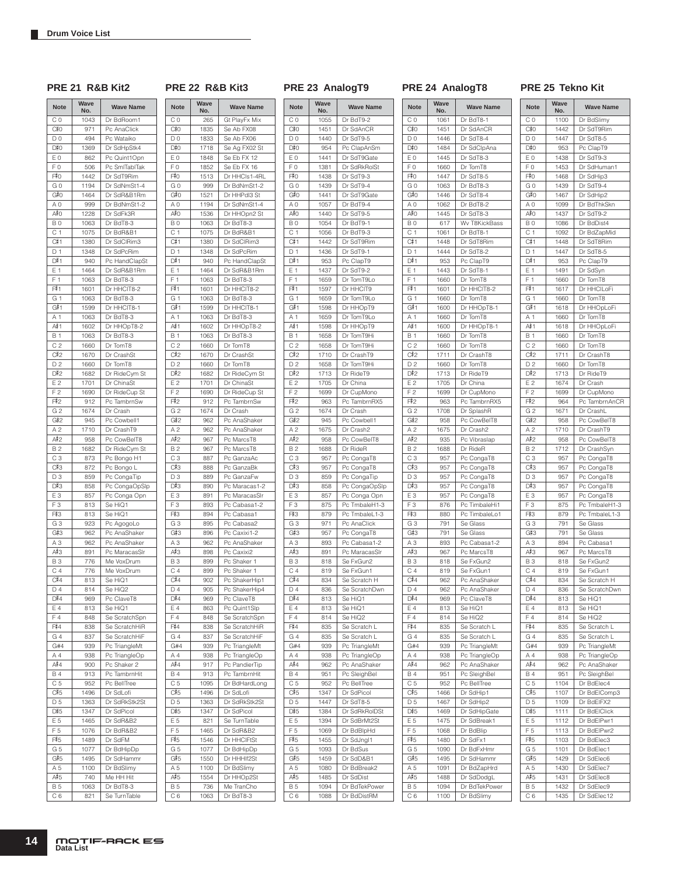### **PRE 21 R&B Kit2 PRE 22 R&B Kit3 PRE 23 AnalogT9 PRE 24 AnalogT8 PRE 25 Tekno Kit**

 $\Gamma$ ٦

| <b>Note</b>           | Wave<br>No. | <b>Wave Name</b>             | <b>Note</b>                 |  |
|-----------------------|-------------|------------------------------|-----------------------------|--|
| СO                    | 1043        | Dr BdRoom1                   | C <sub>0</sub>              |  |
| C#0                   | 971         | Pc AnaClick                  | C#0                         |  |
| D <sub>0</sub>        | 494         | Pc Wataiko                   | D <sub>0</sub>              |  |
| D‡0                   | 1369        | Dr SdHpStk4                  | D#0                         |  |
| E <sub>0</sub>        | 862         | Pc Quint1Opn                 | E <sub>0</sub>              |  |
| F <sub>0</sub>        | 506         | Pc SmlTablTak                | F0                          |  |
| F#0                   | 1442        | Dr SdT9Rim                   | F#0                         |  |
| GO                    | 1194        | Dr SdNmSt1-4                 | G <sub>0</sub>              |  |
| G#0                   | 1464        | Dr SdR&B1Rm                  | G#0                         |  |
| A0                    | 999         | Dr BdNmSt1-2                 | A <sub>0</sub>              |  |
| A≢O                   | 1228        | Dr SdFk3R                    | A#0                         |  |
| ΒO                    | 1063        | Dr BdT8-3                    | B <sub>0</sub>              |  |
| C <sub>1</sub>        | 1075        | Dr BdR&B1                    | C <sub>1</sub>              |  |
| C#1                   | 1380        | Dr SdClRim3                  | C#1                         |  |
| D 1                   | 1348        | Dr SdPcRim                   | D <sub>1</sub>              |  |
| D#1                   | 940         | Pc HandClapSt                | D#1                         |  |
| E 1                   | 1464        | Dr SdR&B1Rm                  | E 1                         |  |
| F <sub>1</sub>        | 1063        | Dr BdT8-3                    | F <sub>1</sub>              |  |
| F#1                   | 1601        | Dr HHCIT8-2                  | F#1                         |  |
| G 1                   | 1063        | Dr BdT8-3                    | G 1                         |  |
| G#1                   | 1599        | Dr HHCIT8-1                  | G#1                         |  |
| A 1                   | 1063        | Dr BdT8-3                    | A <sub>1</sub>              |  |
| A#1                   | 1602        | Dr HHOpT8-2                  | A#1                         |  |
| Β1                    | 1063        | Dr BdT8-3                    | <b>B1</b>                   |  |
| C <sub>2</sub>        | 1660        | Dr TomT8                     | C <sub>2</sub>              |  |
| C#2                   | 1670        | Dr CrashSt                   | C#2                         |  |
| D <sub>2</sub>        | 1660        | Dr TomT8                     | D <sub>2</sub>              |  |
| D#2                   | 1682        | Dr RideCym St                | D#2                         |  |
| E2                    | 1701        | Dr ChinaSt                   | E <sub>2</sub>              |  |
| F <sub>2</sub>        | 1690        |                              | F <sub>2</sub>              |  |
| F#2                   | 912         | Dr RideCup St<br>Pc TambrnSw | F#2                         |  |
|                       | 1674        | Dr Crash                     | G <sub>2</sub>              |  |
| G <sub>2</sub>        |             |                              |                             |  |
| G#2<br>A <sub>2</sub> | 945         | Pc Cowbell1                  | G#2                         |  |
|                       | 1710        | Dr CrashT9                   | A <sub>2</sub>              |  |
| A#2                   | 958         | Pc CowBelT8                  | A#2                         |  |
| B 2<br>C <sub>3</sub> | 1682        | Dr RideCym St                | <b>B2</b>                   |  |
| C#3                   | 873<br>872  | Pc Bongo H1<br>Pc Bongo L    | C <sub>3</sub><br>C#3       |  |
| D3                    |             |                              | D3                          |  |
| D#3                   | 859         | Pc CongaTip                  |                             |  |
| E <sub>3</sub>        | 858         | Pc CongaOpSlp                | D#3                         |  |
| F <sub>3</sub>        | 857         | Pc Conga Opn                 | E <sub>3</sub>              |  |
| F#3                   | 813         | Se HiQ1                      | F <sub>3</sub><br>F#3       |  |
|                       | 813         | Se HiQ1                      |                             |  |
| GЗ<br>G#3             | 923         | Pc AgogoLo                   | G <sub>3</sub>              |  |
|                       | 962         | Pc AnaShaker                 | G#3<br>A <sub>3</sub>       |  |
| AЗ<br>A#3             | 962<br>891  | Pc AnaShaker                 | A#3                         |  |
|                       | 776         | Pc MaracasSIr                |                             |  |
| BЗ                    | 776         | Me VoxDrum                   | <b>B3</b><br>C <sub>4</sub> |  |
| C <sub>4</sub>        |             | Me VoxDrum                   | C#4                         |  |
| C#4                   | 813         | Se HiQ1                      |                             |  |
| $D_4$                 | 814         | Se HiQ2                      | D 4                         |  |
| D#4<br>E4             | 969         | Pc ClaveT8                   | D#4                         |  |
|                       | 813         | Se HiQ1                      | E 4                         |  |
| F4                    | 848         | Se ScratchSpn                | F4                          |  |
| F#4                   | 838         | Se ScratchHiR                | F#4                         |  |
| G 4                   | 837         | Se ScratchHiF                | G4                          |  |
| G#4                   | 939         | Pc TriangleMt                | G#4                         |  |
| A 4                   | 938         | Pc TriangleOp                | A 4                         |  |
| A#4                   | 900         | Pc Shaker 2                  | A#4                         |  |
| B 4                   | 913         | Pc TambrnHit                 | <b>B4</b>                   |  |
| C <sub>5</sub>        | 952         | Pc BellTree                  | C <sub>5</sub>              |  |
| C#5                   | 1496        | Dr SdLofi                    | C#5                         |  |
| D <sub>5</sub>        | 1363        | Dr SdRkStk2St                | D <sub>5</sub>              |  |
| D#5                   | 1347        | Dr SdPicol                   | D#5                         |  |
| E 5                   | 1465        | Dr SdR&B2                    | E <sub>5</sub>              |  |
| F 5                   | 1076        | Dr BdR&B2                    | F <sub>5</sub>              |  |
| F#5                   | 1489        | Dr SdFM                      | F#5                         |  |
| G 5                   | 1077        | Dr BdHipDp                   | G <sub>5</sub>              |  |
| G#5                   | 1495        | Dr SdHammr                   | G#5                         |  |
| A 5                   | 1100        | Dr BdSlimy                   | A 5                         |  |
| A#5                   | 740         | Me HH Hit                    | A#5                         |  |
| B 5                   | 1063        | Dr BdT8-3                    | <b>B5</b>                   |  |
| C 6                   | 821         | Se TurnTable                 | C <sub>6</sub>              |  |

| <b>Note</b>    | Wave<br>No.  | <b>Wave Name</b>               | <b>Note</b>                 | <b>Way</b><br>No |
|----------------|--------------|--------------------------------|-----------------------------|------------------|
| CO             | 265          | Gt PlayFx Mix                  | C 0                         | 10 <sub>i</sub>  |
| C#0            | 1835         | Se Ab FX08                     | C‡0                         | 14               |
| D <sub>0</sub> | 1833         | Se Ab FX06                     | D <sub>0</sub>              | 14               |
| D#0            | 1718         | Se Ag FX02 St                  | D#0                         | 9                |
| EΟ             | 1848         | Se Eb FX 12                    | E <sub>0</sub>              | 14               |
| FΟ             | 1852         | Se Eb FX 16                    | F <sub>0</sub>              | 13               |
| F‡O            | 1513         | Dr HHCls1-4RL                  | F#0                         | 14               |
| G O            | 999          | Dr BdNmSt1-2                   | G <sub>0</sub>              | 14               |
| G#0            | 1521         | Dr HHPdI3 St                   | G#0                         | 14               |
| ΑO             | 1194         | Dr SdNmSt1-4                   | ΑO                          | 10 <sub>i</sub>  |
| A#O            | 1536         | Dr HHOpn2 St                   | A#0                         | 14               |
| BO             | 1063         | Dr BdT8-3                      | B <sub>0</sub>              | 10 <sub>i</sub>  |
| C 1            | 1075         | Dr BdR&B1                      | C <sub>1</sub>              | 10 <sub>i</sub>  |
| C#1<br>D 1     | 1380<br>1348 | Dr SdClRim3<br>Dr SdPcRim      | C#1<br>D <sub>1</sub>       | 14               |
| D#1            | 940          | Pc HandClapSt                  | D#1                         | 14<br>9          |
| E 1            | 1464         | Dr SdR&B1Rm                    | E 1                         | 14               |
| F <sub>1</sub> | 1063         | Dr BdT8-3                      | F <sub>1</sub>              | 16               |
| F#1            | 1601         | Dr HHCIT8-2                    | F#1                         | 15 <sub>2</sub>  |
| G 1            | 1063         | Dr BdT8-3                      | G <sub>1</sub>              | 16               |
| G#1            | 1599         | Dr HHCIT8-1                    | G#1                         | 15 <sub>2</sub>  |
| A 1            | 1063         | Dr BdT8-3                      | A 1                         | 16               |
| A# 1           | 1602         | Dr HHOpT8-2                    | A#≀1                        | 15 <sub>2</sub>  |
| B 1            | 1063         | Dr BdT8-3                      | <b>B1</b>                   | 16               |
| C2             | 1660         | Dr TomT8                       | C <sub>2</sub>              | 16               |
| C#2            | 1670         | Dr CrashSt                     | $C\frac{1}{2}$              | 17               |
| D <sub>2</sub> | 1660         | Dr TomT8                       | D <sub>2</sub>              | 16               |
| D#2            | 1682         | Dr RideCym St                  | D#2                         | 17               |
| E 2            | 1701         | Dr ChinaSt                     | E <sub>2</sub>              | 17               |
| F <sub>2</sub> | 1690         | Dr RideCup St                  | F <sub>2</sub>              | 16               |
| F‡2            | 912          | Pc TambrnSw                    | F#2                         | $\overline{9}$   |
| G <sub>2</sub> | 1674         | Dr Crash                       | G <sub>2</sub>              | 16               |
| G#2            | 962          | Pc AnaShaker                   | G#2                         | 9                |
| A 2            | 962          | Pc AnaShaker                   | A <sub>2</sub>              | 16               |
| A#2            | 967          | Pc MarcsT8                     | A#2                         | 9                |
| B 2<br>CЗ      | 967<br>887   | Pc MarcsT8<br>Pc GanzaAc       | <b>B2</b><br>C <sub>3</sub> | 16<br>9          |
| C#3            | 888          | Pc GanzaBk                     | C#3                         | 9                |
| D <sub>3</sub> | 889          | Pc GanzaFw                     | D <sub>3</sub>              | 8                |
| D#3            | 890          | Pc Maracas1-2                  | D#3                         | 8                |
| EЗ             | 891          | Pc MaracasSIr                  | E <sub>3</sub>              | 8                |
| F <sub>3</sub> | 893          | Pc Cabasa1-2                   | F <sub>3</sub>              | 8                |
| F#3            | 894          | Pc Cabasa1                     | F#3                         | 8                |
| G3             | 895          | Pc Cabasa2                     | G <sub>3</sub>              | 9                |
| G#3            | 896          | Pc Caxixi1-2                   | G#3                         | 9                |
| A <sub>3</sub> | 962          | Pc AnaShaker                   | A <sub>3</sub>              | 8                |
| А#З            | 898          | Pc Caxixi2                     | A#3                         | 8                |
| BЗ             | 899          | Pc Shaker 1                    | <b>B3</b>                   | 8                |
| C 4            | 899          | Pc Shaker 1                    | C <sub>4</sub>              | 8                |
| C#4            | 902          | Pc ShakerHip1                  | C#4                         | 8                |
| D 4            | 905          | Pc ShakerHip4                  | D <sub>4</sub>              | 8                |
| D#4            | 969          | Pc ClaveT8                     | D#4                         | 8                |
| Ε4             | 863          | Pc Quint1Slp                   | E 4                         | 8                |
| F4             | 848          | Se ScratchSpn                  | F4                          | 8                |
| F‡4            | 838          | Se ScratchHiR                  | F#4                         | 8                |
| G 4            | 837          | Se ScratchHiF<br>Pc TriangleMt | G4                          | 8                |
| G#4<br>Α4      | 939<br>938   | Pc TriangleOp                  | G#4<br>A 4                  | 9<br>9           |
| A#4            | 917          | Pc PandierTip                  | $A^{\sharp}4$               | 9                |
| <b>B4</b>      | 913          | Pc TambrnHit                   | <b>B4</b>                   | 9                |
| C <sub>5</sub> | 1095         | Dr BdHardLong                  | C <sub>5</sub>              | 9                |
| C#5            | 1496         | Dr SdLofi                      | C#5                         | 13               |
| D <sub>5</sub> | 1363         | Dr SdRkStk2St                  | D <sub>5</sub>              | 14               |
| D#5            | 1347         | Dr SdPicol                     | D#5                         | 13               |
| E 5            | 821          | Se TurnTable                   | E 5                         | 13 <sub>5</sub>  |
| F <sub>5</sub> | 1465         | Dr SdR&B2                      | F <sub>5</sub>              | 10 <sub>1</sub>  |
| F#5            | 1546         | Dr HHCIFtSt                    | F#5                         | 14               |
| G 5            | 1077         | Dr BdHipDp                     | G <sub>5</sub>              | 10 <sub>2</sub>  |
| G#5            | 1550         | Dr HHHIf2St                    | G#5                         | 14               |
| A 5            | 1100         | Dr BdSlimy                     | A 5                         | 10 <sub>i</sub>  |
| A#5            | 1554         | Dr HHOp2St                     | A#5                         | 14               |
| <b>B5</b>      | 736          | Me TranCho                     | <b>B5</b>                   | 10 <sub>2</sub>  |
| C 6            | 1063         | Dr BdT8-3                      | C6                          | 10 <sub>i</sub>  |
|                |              |                                |                             |                  |

| <b>Note</b>           | Wave<br>No.  | <b>Wave Name</b>             | I                                                    |
|-----------------------|--------------|------------------------------|------------------------------------------------------|
| C 0                   | 1055         | Dr BdT9-2                    | $\overline{\phantom{a}}$                             |
| C‡0                   | 1451         | Dr SdAnCR                    | $\overline{\mathcal{L}}$                             |
| D0                    | 1440         | Dr SdT9-5                    | D                                                    |
| D‡0                   | 954          | Pc ClapAnSm                  | ſ                                                    |
| E <sub>0</sub>        | 1441         | Dr SdT9Gate                  | E                                                    |
| FΟ<br>F#0             | 1381         | Dr SdRkRolSt                 | F                                                    |
| G 0                   | 1438<br>1439 | Dr SdT9-3<br>Dr SdT9-4       | F<br>$\overline{\phantom{a}}$                        |
| G#0                   | 1441         | Dr SdT9Gate                  | $\overline{a}$                                       |
| ΑO                    | 1057         | Dr BdT9-4                    | ł                                                    |
| A≢O                   | 1440         | Dr SdT9-5                    | $\overline{1}$                                       |
| B <sub>0</sub>        | 1054         | Dr BdT9-1                    | E                                                    |
| C <sub>1</sub>        | 1056         | Dr BdT9-3                    | $\overline{\phantom{a}}$                             |
| C#1                   | 1442         | Dr SdT9Rim                   | $\overline{a}$                                       |
| D 1<br>D‡1            | 1436         | Dr SdT9-1                    | D                                                    |
| Ε1                    | 953<br>1437  | Pc ClapT9<br>Dr SdT9-2       | ſ<br>E                                               |
| F<br>1                | 1659         | Dr TomT9Lo                   | F                                                    |
| F#1                   | 1597         | Dr HHCIT9                    | F                                                    |
| G 1                   | 1659         | Dr TomT9Lo                   | $\overline{\phantom{a}}$                             |
| G#1                   | 1598         | Dr HHOpT9                    | $\overline{\phantom{a}}$                             |
| Α1                    | 1659         | Dr TomT9Lo                   | ł                                                    |
| A#≀1                  | 1598         | Dr HHOpT9                    | $\overline{1}$                                       |
| <b>B</b> 1            | 1658         | Dr TomT9Hi                   | E                                                    |
| C <sub>2</sub><br>C‡2 | 1658<br>1710 | Dr TomT9Hi<br>Dr CrashT9     | $\overline{\phantom{a}}$<br>$\overline{\mathcal{L}}$ |
| D <sub>2</sub>        | 1658         | Dr TomT9Hi                   | D                                                    |
| D‡2                   | 1713         | Dr RideT9                    | ſ                                                    |
| Ε2                    | 1705         | Dr China                     | E                                                    |
| F <sub>2</sub>        | 1699         | Dr CupMono                   | F                                                    |
| F#2                   | 963          | Pc TambrnRX5                 | F                                                    |
| G <sub>2</sub>        | 1674         | Dr Crash                     | $\overline{\phantom{a}}$                             |
| G#2                   | 945          | Pc Cowbell1                  | $\overline{a}$                                       |
| A 2<br>A‡2            | 1675<br>958  | Dr Crash2<br>Pc CowBelT8     | ł<br>$\overline{1}$                                  |
| <b>B2</b>             | 1688         | Dr RideR                     | E                                                    |
| CЗ                    | 957          | Pc CongaT8                   | $\overline{\phantom{a}}$                             |
| C#3                   | 957          | Pc CongaT8                   | $\overline{a}$                                       |
| D3                    | 859          | Pc CongaTip                  | D                                                    |
| D#3                   | 858          | Pc CongaOpSIp                | ſ                                                    |
| EЗ                    | 857          | Pc Conga Opn                 | E                                                    |
| F <sub>3</sub><br>F#3 | 875          | Pc TmbaleH1-3                | F                                                    |
| GЗ                    | 879<br>971   | Pc TmbaleL1-3<br>Pc AnaClick | F<br>$\overline{\phantom{a}}$                        |
| G#3                   | 957          | Pc CongaT8                   | $\overline{\phantom{a}}$                             |
| ΑЗ                    | 893          | Pc Cabasa1-2                 | $\overline{y}$                                       |
| А#З                   | 891          | Pc MaracasSIr                | $\overline{1}$                                       |
| <b>B3</b>             | 818          | Se FxGun2                    | E                                                    |
| C <sub>4</sub>        | 819          | Se FxGun1                    | $\overline{\phantom{a}}$                             |
| C#4                   | 834          | Se Scratch H                 | $\overline{a}$                                       |
| D <sub>4</sub><br>D‡4 | 836<br>813   | Se ScratchDwn<br>Se HiO1     | D<br>ſ                                               |
| Ε4                    | 813          | Se HiQ1                      | E                                                    |
| F4                    | 814          | Se HiQ2                      | F                                                    |
| F#4                   | 835          | Se Scratch L                 | F                                                    |
| G4                    | 835          | Se Scratch L                 | $\overline{\phantom{a}}$                             |
| G#4                   | 939          | Pc TriangleMt                | $\overline{\mathcal{L}}$                             |
| Α4                    | 938          | Pc TriangleOp                | ł                                                    |
| A‡4<br><b>B4</b>      | 962          | Pc AnaShaker                 | $\overline{v}$<br>E                                  |
| C <sub>5</sub>        | 951<br>952   | Pc SleighBel<br>Pc BellTree  | $\overline{\phantom{a}}$                             |
| C#5                   | 1347         | Dr SdPicol                   | $\mathcal{L}$                                        |
| D 5                   | 1447         | Dr SdT8-5                    | ſ                                                    |
| D#5                   | 1384         | Dr SdRkRoIDSt                | ſ                                                    |
| E 5                   | 1394         | Dr SdBrMt2St                 | E                                                    |
| F <sub>5</sub>        | 1069         | Dr BdBlpHd                   | F                                                    |
| F#5                   | 1455         | Dr SdJngl1                   | F                                                    |
| G 5                   | 1093         | Dr BdSus                     | $\mathcal{L}$                                        |
| G#5<br>A 5            | 1459<br>1080 | Dr SdD&B1<br>Dr BdBreak2     | $\overline{\mathcal{L}}$<br>ł                        |
| A#5                   | 1485         | Dr SdDist                    | $\overline{v}$                                       |
| B 5                   | 1094         | Dr BdTekPower                | E                                                    |
| C 6                   | 1088         | Dr BdDistRM                  | $\overline{\phantom{a}}$                             |
|                       |              |                              |                                                      |

| <b>Note</b>                      | Wave<br>No.  | <b>Wave Name</b>             |  |  |  |
|----------------------------------|--------------|------------------------------|--|--|--|
| C <sub>0</sub>                   | 1061         | Dr BdT8-1                    |  |  |  |
| C#0                              | 1451         | Dr SdAnCR                    |  |  |  |
| D <sub>0</sub>                   | 1446         | Dr SdT8-4                    |  |  |  |
| D#0                              | 1484         | Dr SdClpAna                  |  |  |  |
| E <sub>0</sub><br>F <sub>0</sub> | 1445         | Dr SdT8-3                    |  |  |  |
| F#0                              | 1660<br>1447 | Dr TomT8<br>Dr SdT8-5        |  |  |  |
| GO                               | 1063         | Dr BdT8-3                    |  |  |  |
| G#O                              | 1446         | Dr SdT8-4                    |  |  |  |
| A <sub>0</sub>                   | 1062         | Dr BdT8-2                    |  |  |  |
| A#0                              | 1445         | Dr SdT8-3                    |  |  |  |
| B <sub>0</sub>                   | 617          | Wv T8KickBass                |  |  |  |
| C <sub>1</sub><br>C#1            | 1061<br>1448 | Dr BdT8-1<br>Dr SdT8Rim      |  |  |  |
| D <sub>1</sub>                   | 1444         | Dr SdT8-2                    |  |  |  |
| D#1                              | 953          | Pc ClapT9                    |  |  |  |
| E 1                              | 1443         | Dr SdT8-1                    |  |  |  |
| F <sub>1</sub>                   | 1660         | Dr TomT8                     |  |  |  |
| F#1                              | 1601         | Dr HHCIT8-2                  |  |  |  |
| G 1                              | 1660         | Dr TomT8                     |  |  |  |
| G#1<br>A 1                       | 1600<br>1660 | Dr HHOpT8-1<br>Dr TomT8      |  |  |  |
| A#≀1                             | 1600         | Dr HHOpT8-1                  |  |  |  |
| <b>B1</b>                        | 1660         | Dr TomT8                     |  |  |  |
| C <sub>2</sub>                   | 1660         | Dr TomT8                     |  |  |  |
| C#2                              | 1711         | Dr CrashT8                   |  |  |  |
| D <sub>2</sub>                   | 1660         | Dr TomT8                     |  |  |  |
| D#2                              | 1713         | Dr RideT9                    |  |  |  |
| E 2<br>.<br>F 2                  | 1705<br>1699 | Dr China                     |  |  |  |
| F12                              | 963          | Dr CupMono<br>Pc TambrnRX5   |  |  |  |
| G <sub>2</sub>                   | 1708         | Dr SplashR                   |  |  |  |
| G#2                              | 958          | Pc CowBelT8                  |  |  |  |
| A <sub>2</sub>                   | 1675         | Dr Crash2                    |  |  |  |
| A#2                              | 935          | Pc Vibraslap                 |  |  |  |
| <b>B2</b>                        | 1688         | Dr RideR                     |  |  |  |
| C <sub>3</sub><br>C#3            | 957<br>957   | Pc CongaT8<br>Pc CongaT8     |  |  |  |
| D <sub>3</sub>                   | 957          | Pc CongaT8                   |  |  |  |
| D#3                              | 957          | Pc CongaT8                   |  |  |  |
| E <sub>3</sub>                   | 957          | Pc CongaT8                   |  |  |  |
| F <sub>3</sub>                   | 876          | Pc TimbaleHi1                |  |  |  |
| F#3                              | 880          | Pc TimbaleLo1                |  |  |  |
| G <sub>3</sub><br>G#3            | 791<br>791   | Se Glass<br>Se Glass         |  |  |  |
| A <sub>3</sub>                   | 893          | Pc Cabasa1-2                 |  |  |  |
| А#З                              | 967          | Pc MarcsT8                   |  |  |  |
| <b>B3</b>                        | 818          | Se FxGun2                    |  |  |  |
| C <sub>4</sub>                   | 819          | Se FxGun1                    |  |  |  |
| C#4                              | 962          | Pc AnaShaker                 |  |  |  |
| D <sub>4</sub><br>$\square$ #4   | 962<br>969   | Pc AnaShaker                 |  |  |  |
| E 4                              | 813          | Pc ClaveT8<br>Se HiQ1        |  |  |  |
| F 4                              | 814          | Se HiQ2                      |  |  |  |
| F#4                              | 835          | Se Scratch L                 |  |  |  |
| G4                               | 835          | Se Scratch L                 |  |  |  |
| G#4                              | 939          | Pc TriangleMt                |  |  |  |
| A 4<br>A#4                       | 938          | Pc TriangleOp                |  |  |  |
| <b>B4</b>                        | 962<br>951   | Pc AnaShaker<br>Pc SleighBel |  |  |  |
| C <sub>5</sub>                   | 952          | Pc BellTree                  |  |  |  |
| C#5                              | 1466         | Dr SdHip1                    |  |  |  |
| D.5                              | 1467         | Dr SdHip2                    |  |  |  |
| D#5                              | 1469         | Dr SdHipGate                 |  |  |  |
| E 5                              | 1475         | Dr SdBreak1                  |  |  |  |
| F <sub>5</sub><br>F#5            | 1068         | Dr BdBlip                    |  |  |  |
| G <sub>5</sub>                   | 1480<br>1090 | Dr SdFx1<br>Dr BdFxHmr       |  |  |  |
| G#5                              | 1495         | Dr SdHammr                   |  |  |  |
| A 5                              | 1091         | Dr BdZapHrd                  |  |  |  |
| A#5                              | 1488         | Dr SdDodgL                   |  |  |  |
| <b>B5</b>                        | 1094         | Dr BdTekPower                |  |  |  |
| C <sub>6</sub>                   | 1100         | Dr BdSlimy                   |  |  |  |

| <b>Note</b>                 | Wave<br>No.  | <b>Wave Name</b>             |
|-----------------------------|--------------|------------------------------|
| C <sub>0</sub>              | 1100         | Dr BdSlimy                   |
| C#0                         | 1442         | Dr SdT9Rim                   |
| D <sub>0</sub>              | 1447         | Dr SdT8-5                    |
| D#0                         | 953          | Pc ClapT9                    |
| E0                          | 1438         | Dr SdT9-3                    |
| F <sub>0</sub>              | 1453         | Dr SdHuman1                  |
| F#0<br>G <sub>0</sub>       | 1468<br>1439 | Dr SdHip3<br>Dr SdT9-4       |
| G‡0                         | 1467         | Dr SdHip2                    |
| A <sub>0</sub>              | 1099         | Dr BdThkSkn                  |
| A#0                         | 1437         | Dr SdT9-2                    |
| B <sub>0</sub>              | 1086         | Dr BdDist4                   |
| C <sub>1</sub>              | 1092         | Dr BdZapMid                  |
| C#1                         | 1448         | Dr SdT8Rim                   |
| D <sub>1</sub>              | 1447         | Dr SdT8-5                    |
| D#1                         | 953          | Pc ClapT9                    |
| E 1<br>F <sub>1</sub>       | 1491<br>1660 | Dr SdSyn<br>Dr TomT8         |
| F#1                         | 1617         | Dr HHCILoFi                  |
| G 1                         | 1660         | Dr TomT8                     |
| G#1                         | 1618         | Dr HHOpLoFi                  |
| A 1                         | 1660         | Dr TomT8                     |
| A#1                         | 1618         | Dr HHOpLoFi                  |
| <b>B</b> 1                  | 1660         | Dr TomT8                     |
| C <sub>2</sub>              | 1660         | Dr TomT8                     |
| C#2                         | 1711         | Dr CrashT8                   |
| D <sub>2</sub>              | 1660         | Dr TomT8                     |
| D#2<br>E 2                  | 1713<br>1674 | Dr RideT9<br>Dr Crash        |
| F 2                         | 1699         | Dr CupMono                   |
| F#2                         | 964          | Pc TambrnAnCR                |
| G <sub>2</sub>              | 1671         | Dr CrashL                    |
| G#2                         | 958          | Pc CowBelT8                  |
| A <sub>2</sub>              | 1710         | Dr CrashT9                   |
| A#2                         | 958          | Pc CowBelT8                  |
| <b>B2</b>                   | 1712         | Dr CrashSyn                  |
| C <sub>3</sub>              | 957          | Pc CongaT8                   |
| C#3<br>D <sub>3</sub>       | 957<br>957   | Pc CongaT8<br>Pc CongaT8     |
| D#3                         | 957          | Pc CongaT8                   |
| E <sub>3</sub>              | 957          | Pc CongaT8                   |
| FЗ                          | 875          | Pc TmbaleH1-3                |
| F#3                         | 879          | Pc TmbaleL1-3                |
| G <sub>3</sub>              | 791          | Se Glass                     |
| G#3                         | 791          | Se Glass                     |
| A <sub>3</sub>              | 894          | Pc Cabasa1                   |
| A#3                         | 967<br>818   | Pc MarcsT8<br>Se FxGun2      |
| <b>B3</b><br>C <sub>4</sub> | 819          | Se FxGun1                    |
| C#4                         | 834          | Se Scratch H                 |
| D 4                         | 836          | Se ScratchDwn                |
| D#4                         | 813          | Se HiQ1                      |
| E 4                         | 813          | Se HiQ1                      |
| F4                          | 814          | Se HiQ2                      |
| F#4                         | 835          | Se Scratch L                 |
| G4                          | 835          | Se Scratch L                 |
| G#4                         | 939          | Pc TriangleMt                |
| A 4                         | 938          | Pc TriangleOp                |
| A#4<br><b>B4</b>            | 962<br>951   | Pc AnaShaker<br>Pc SleighBel |
| C <sub>5</sub>              | 1104         | Dr BdElec4                   |
| C#5                         | 1107         | Dr BdElComp3                 |
| D <sub>5</sub>              | 1109         | Dr BdEIFX2                   |
| D#5                         | 1111         | Dr BdElClick                 |
| E 5                         | 1112         | Dr BdElPwr1                  |
| F 5                         | 1113         | Dr BdElPwr2                  |
| F#5                         | 1103         | Dr BdElec3                   |
| G <sub>5</sub>              | 1101         | Dr BdElec1                   |
| G#5                         | 1429         | Dr SdElec6                   |
| A 5                         | 1430         | Dr SdElec7                   |
| A#5<br><b>B5</b>            | 1431<br>1432 | Dr SdElec8<br>Dr SdElec9     |
| C <sub>6</sub>              | 1435         | Dr SdElec12                  |
|                             |              |                              |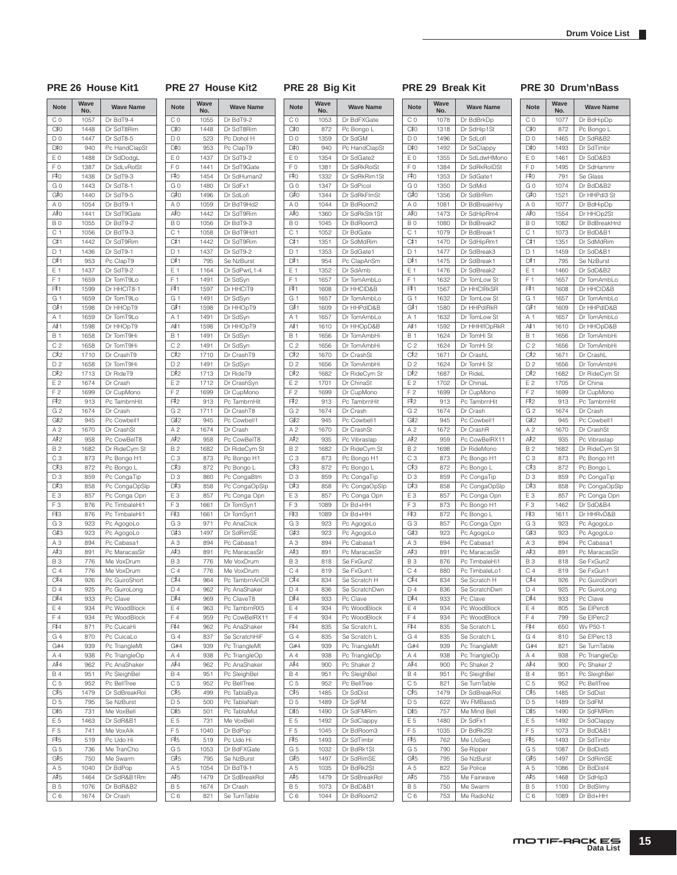**No. Wave Name**

**PRE 26 House Kit1 PRE 27 House Kit2 PRE 28 Big Kit PRE 29 Break Kit PRE 30 Drum'nBass**

C 0 1077 Dr BdHipDp

**Note Wave** 

| <b>Note</b>    | Wave<br>No.  | <b>Wave Name</b>             |  |  |
|----------------|--------------|------------------------------|--|--|
| C <sub>0</sub> | 1057         | Dr BdT9-4                    |  |  |
| C#0            | 1448         | Dr SdT8Rim                   |  |  |
| D <sub>0</sub> | 1447         | Dr SdT8-5                    |  |  |
| D#0            | 940          | Pc HandClapSt                |  |  |
| E <sub>0</sub> | 1488         | Dr SdDodgL                   |  |  |
| F <sub>0</sub> | 1387         | Dr SdLvRolSt                 |  |  |
| F#0            | 1438         | Dr SdT9-3                    |  |  |
| GO             | 1443         | Dr SdT8-1                    |  |  |
| G#0            | 1440         | Dr SdT9-5                    |  |  |
| A <sub>0</sub> | 1054         | Dr BdT9-1                    |  |  |
| A‡O            | 1441         | Dr SdT9Gate                  |  |  |
| B <sub>0</sub> | 1055         | Dr BdT9-2                    |  |  |
| C 1            | 1056         | Dr BdT9-3                    |  |  |
| C#1            | 1442         | Dr SdT9Rim                   |  |  |
| D <sub>1</sub> | 1436         | Dr SdT9-1                    |  |  |
| D#1            | 953          | Pc ClapT9                    |  |  |
| E 1            | 1437         | Dr SdT9-2                    |  |  |
| F 1<br>F#1     | 1659         | Dr TomT9Lo<br>Dr HHCIT8-1    |  |  |
| G 1            | 1599         |                              |  |  |
| G#1            | 1659<br>1598 | Dr TomT9Lo<br>Dr HHOpT9      |  |  |
| A 1            | 1659         | Dr TomT9Lo                   |  |  |
| A#1            | 1598         | Dr HHOpT9                    |  |  |
| <b>B</b> 1     | 1658         | Dr TomT9Hi                   |  |  |
| C <sub>2</sub> | 1658         | Dr TomT9Hi                   |  |  |
| C#2            | 1710         | Dr CrashT9                   |  |  |
| D <sub>2</sub> | 1658         | Dr TomT9Hi                   |  |  |
| D#2            | 1713         | Dr RideT9                    |  |  |
| E <sub>2</sub> | 1674         | Dr Crash                     |  |  |
| F <sub>2</sub> | 1699         | Dr CupMono                   |  |  |
| F#2            | 913          | Pc TambrnHit                 |  |  |
| G <sub>2</sub> | 1674         | Dr Crash                     |  |  |
| G#2            | 945          | Pc Cowbell1                  |  |  |
| A <sub>2</sub> | 1670         | Dr CrashSt                   |  |  |
| A‡2            | 958          | Pc CowBelT8                  |  |  |
| <b>B2</b>      | 1682         | Dr RideCym St                |  |  |
| C <sub>3</sub> | 873          | Pc Bongo H1                  |  |  |
| C#3            | 872          | Pc Bongo L                   |  |  |
| D3             | 859          | Pc CongaTip                  |  |  |
| D#3            | 858          | Pc CongaOpSlp                |  |  |
| E <sub>3</sub> | 857          | Pc Conga Opn                 |  |  |
| F <sub>3</sub> | 876          | Pc TimbaleHi1                |  |  |
| F#3            | 876          | Pc TimbaleHi1                |  |  |
| G <sub>3</sub> | 923          | Pc AgogoLo                   |  |  |
| G#3            | 923          | Pc AgogoLo                   |  |  |
| A <sub>3</sub> | 894          | Pc Cabasa1                   |  |  |
| А#З            | 891          | Pc MaracasSIr                |  |  |
| <b>B3</b>      | 776          | Me VoxDrum                   |  |  |
| C <sub>4</sub> | 776          | Me VoxDrum                   |  |  |
| C#4            | 926          | Pc GuiroShort                |  |  |
| D <sub>4</sub> | 925          | Pc GuiroLong                 |  |  |
| D#4<br>E 4     | 933          | Pc Clave                     |  |  |
| F4             | 934          | Pc WoodBlock<br>Pc WoodBlock |  |  |
| F#4            | 934<br>871   | Pc CuicaHi                   |  |  |
| G <sub>4</sub> | 870          | Pc CuicaLo                   |  |  |
| G#4            | 939          | Pc TriangleMt                |  |  |
| A 4            | 938          | Pc TriangleOp                |  |  |
| A#4            | 962          | Pc AnaShaker                 |  |  |
| <b>B4</b>      | 951          | Pc SleighBel                 |  |  |
| C 5            | 952          | Pc BellTree                  |  |  |
| C#5            | 1479         | Dr SdBreakRol                |  |  |
| D <sub>5</sub> | 795          | Se NzBurst                   |  |  |
| D#5            | 731          | Me VoxBell                   |  |  |
| E 5            | 1463         | Dr SdR&B1                    |  |  |
| F <sub>5</sub> | 741          | Me VoxAlk                    |  |  |
| F#5            | 519          | Pc Udo Hi                    |  |  |
| G <sub>5</sub> | 736          | Me TranCho                   |  |  |
| G#5            | 750          | Me Swarm                     |  |  |
| A 5            | 1040         | Dr BdPop                     |  |  |
| A#5            | 1464         | Dr SdR&B1Rm                  |  |  |
| <b>B5</b>      | 1076         | Dr BdR&B2                    |  |  |
| C 6            | 1674         | Dr Crash                     |  |  |

| <b>Note</b>                      | Wave<br>No. | <b>Wave Name</b>          |
|----------------------------------|-------------|---------------------------|
| CO                               | 1055        | Dr BdT9-2                 |
| C#0                              | 1448        | Dr SdT8Rim                |
| DO                               | 523         | Pc Dohol H                |
| D#0                              | 953         | Pc ClapT9                 |
| EΟ                               | 1437        | Dr SdT9-2                 |
| FΟ                               | 1441        | Dr SdT9Gate               |
| F‡O                              | 1454        | Dr SdHuman2               |
| G 0                              | 1480        | Dr SdFx1                  |
| G#0                              | 1496        | Dr SdLofi                 |
| ΑO                               | 1059        | Dr BdT9Hd2                |
| A#O                              | 1442        |                           |
|                                  |             | Dr SdT9Rim                |
| B <sub>0</sub><br>C <sub>1</sub> | 1056        | Dr BdT9-3                 |
|                                  | 1058        | Dr BdT9Hd1                |
| C#1                              | 1442        | Dr SdT9Rim                |
| D 1                              | 1437        | Dr SdT9-2                 |
| D#1                              | 795         | Se NzBurst                |
| E 1                              | 1164        | Dr SdPwrL1-4              |
| F<br>1                           | 1491        | Dr SdSyn                  |
| F#1                              | 1597        | Dr HHCIT9                 |
| G 1                              | 1491        | Dr SdSyn                  |
| G#1                              | 1598        | Dr HHOpT9                 |
| Α1                               | 1491        | Dr SdSyn                  |
| A# 1                             | 1598        | Dr HHOpT9                 |
| <b>B</b> 1                       | 1491        | Dr SdSyn                  |
| C2                               | 1491        | Dr SdSyn                  |
| C#2                              | 1710        | Dr CrashT9                |
| D <sub>2</sub>                   | 1491        | Dr SdSyn                  |
| D#2                              | 1713        | Dr RideT9                 |
| Ε2                               | 1712        | Dr CrashSyn               |
| F <sub>2</sub>                   | 1699        | Dr CupMono                |
| F‡2                              | 913         | Pc TambrnHit              |
| G <sub>2</sub>                   | 1711        |                           |
|                                  |             | Dr CrashT8                |
| G#2                              | 945         | Pc Cowbell1               |
| A 2                              | 1674        | Dr Crash                  |
| A#2                              | 958         | Pc CowBelT8               |
| B 2                              | 1682        | Dr RideCym St             |
| CЗ                               | 873         | Pc Bongo H1               |
| С#3                              | 872         | Pc Bongo L                |
| D <sub>3</sub>                   | 860         | Pc CongaBtm               |
| D#3                              | 858         | Pc CongaOpSIp             |
| E3                               | 857         | Pc Conga Opn              |
| FЗ                               | 1661        | Dr TomSyn1                |
| F‡3                              | 1661        | Dr TomSyn1                |
| GЗ                               | 971         | Pc AnaClick               |
| G#3                              | 1497        | Dr SdRimSE                |
| ΑЗ                               | 894         | Pc Cabasa1                |
| А#З                              | 891         | Pc MaracasSIr             |
| BЗ                               | 776         | Me VoxDrum                |
| C 4                              | 776         | Me VoxDrum                |
| C#4                              | 964         | Pc TambrnAnCR             |
| D <sub>4</sub>                   | 962         | Pc AnaShaker              |
| D#4                              | 969         | Pc ClaveT8                |
| Ε4                               | 963         | Pc TambrnRX5              |
| F4                               | 959         | Pc CowBelRX11             |
| F‡4                              | 962         | Pc AnaShaker              |
| G 4                              | 837         |                           |
|                                  |             | Se ScratchHiF             |
| G#4<br>A <sub>4</sub>            | 939         | Pc TriangleMt             |
|                                  | 938         | Pc TriangleOp             |
| A#4                              | 962         | Pc AnaShaker              |
| <b>B</b> 4                       | 951         | Pc SleighBel              |
| C 5                              | 952         | Pc BellTree               |
| C#5                              | 499         | Pc TablaBya               |
| D <sub>5</sub>                   | 500         | Pc TablaNah               |
| D#5                              | 501         | Pc TablaMut               |
| Ε5                               | 731         | Me VoxBell                |
| F <sub>5</sub>                   | 1040        | Dr BdPop                  |
| F#5                              | 519         | Pc Udo Hi                 |
|                                  | 1053        | Dr BdFXGate               |
| G 5                              |             |                           |
| G#5                              | 795         | Se NzBurst                |
| A 5                              | 1054        | Dr BdT9-1                 |
| A#5                              | 1479        |                           |
| <b>B5</b>                        | 1674        | Dr SdBreakRol<br>Dr Crash |

| <b>Note</b>           | Wave<br>No.  | <b>Wave Name</b>             |  |  |
|-----------------------|--------------|------------------------------|--|--|
| C <sub>0</sub>        | 1053         | Dr BdFXGate                  |  |  |
| C‡0                   | 872          | Pc Bongo L                   |  |  |
| D <sub>0</sub>        | 1359         | Dr SdGM                      |  |  |
| D#0                   | 940          | Pc HandClapSt                |  |  |
| E <sub>0</sub>        | 1354         | Dr SdGate2                   |  |  |
| F <sub>0</sub>        | 1381         | Dr SdRkRolSt                 |  |  |
| F#0<br>GO             | 1332<br>1347 | Dr SdRkRim1St<br>Dr SdPicol  |  |  |
| G#0                   | 1344         | Dr SdRkFlmSt                 |  |  |
| A <sub>0</sub>        | 1044         | Dr BdRoom2                   |  |  |
| A≢O                   | 1360         | Dr SdRkStk1St                |  |  |
| B <sub>0</sub>        | 1045         | Dr BdRoom3                   |  |  |
| C <sub>1</sub>        | 1052         | Dr BdGate                    |  |  |
| C#1                   | 1351         | Dr SdMdRim                   |  |  |
| D <sub>1</sub>        | 1353         | Dr SdGate1                   |  |  |
| D#1                   | 954          | Pc ClapAnSm                  |  |  |
| E 1                   | 1352         | Dr SdAmb                     |  |  |
| F <sub>1</sub><br>F#1 | 1657         | Dr TomAmbLo                  |  |  |
| G 1                   | 1608<br>1657 | Dr HHCID&B<br>Dr TomAmbLo    |  |  |
| G#1                   | 1609         | Dr HHPdID&B                  |  |  |
| A 1                   | 1657         | Dr TomAmbLo                  |  |  |
| A#≀1                  | 1610         | Dr HHOpD&B                   |  |  |
| <b>B</b> 1            | 1656         | Dr TomAmbHi                  |  |  |
| C <sub>2</sub>        | 1656         | Dr TomAmbHi                  |  |  |
| C#2                   | 1670         | Dr CrashSt                   |  |  |
| D <sub>2</sub>        | 1656         | Dr TomAmbHi                  |  |  |
| D#2                   | 1682         | Dr RideCym St                |  |  |
| E <sub>2</sub>        | 1701         | Dr ChinaSt                   |  |  |
| F <sub>2</sub>        | 1699         | Dr CupMono                   |  |  |
| F#2<br>G <sub>2</sub> | 913<br>1674  | Pc TambrnHit<br>Dr Crash     |  |  |
| G#2                   | 945          | Pc Cowbell1                  |  |  |
| A <sub>2</sub>        | 1670         | Dr CrashSt                   |  |  |
| A#2                   | 935          | Pc Vibraslap                 |  |  |
| <b>B2</b>             | 1682         | Dr RideCym St                |  |  |
| C <sub>3</sub>        | 873          | Pc Bongo H1                  |  |  |
| C#3                   | 872          | Pc Bongo L                   |  |  |
| D <sub>3</sub>        | 859          | Pc CongaTip                  |  |  |
| D#3                   | 858          | Pc CongaOpSIp                |  |  |
| E <sub>3</sub>        | 857          | Pc Conga Opn                 |  |  |
| F <sub>3</sub><br>F#3 | 1089<br>1089 | Dr Bd+HH<br>Dr Bd+HH         |  |  |
| G <sub>3</sub>        | 923          | Pc AgogoLo                   |  |  |
| G#3                   | 923          | Pc AgogoLo                   |  |  |
| A <sub>3</sub>        | 894          | Pc Cabasa1                   |  |  |
| A#3                   | 891          | Pc MaracasSIr                |  |  |
| <b>B3</b>             | 818          | Se FxGun2                    |  |  |
| C <sub>4</sub>        | 819          | Se FxGun1                    |  |  |
| C#4                   | 834          | Se Scratch H                 |  |  |
| D <sub>4</sub>        | 836          | Se ScratchDwn                |  |  |
| D#4                   | 933          | Pc Clave                     |  |  |
| E 4                   | 934          | Pc WoodBlock                 |  |  |
| F 4<br>F#4            | 934<br>835   | Pc WoodBlock<br>Se Scratch L |  |  |
| G <sub>4</sub>        | 835          | Se Scratch L                 |  |  |
| G#4                   | 939          | Pc TriangleMt                |  |  |
| A 4                   | 938          | Pc TriangleOp                |  |  |
| A#4                   | 900          | Pc Shaker 2                  |  |  |
| <b>B4</b>             | 951          | Pc SleighBel                 |  |  |
| C <sub>5</sub>        | 952          | Pc BellTree                  |  |  |
| C#5                   | 1485         | Dr SdDist                    |  |  |
| D <sub>5</sub>        | 1489         | Dr SdFM                      |  |  |
| D#5                   | 1490         | Dr SdFMRim                   |  |  |
| E 5                   | 1492<br>1045 | Dr SdClappy                  |  |  |
| F <sub>5</sub><br>F#5 | 1493         | Dr BdRoom3<br>Dr SdTimbr     |  |  |
| G <sub>5</sub>        | 1032         | Dr BdRk1St                   |  |  |
| G#5                   | 1497         | Dr SdRimSE                   |  |  |
| A <sub>5</sub>        | 1035         | Dr BdRk2St                   |  |  |
| A#5                   | 1479         | Dr SdBreakRol                |  |  |
| <b>B5</b>             | 1073         | Dr BdD&B1                    |  |  |
| C6                    | 1044         | Dr BdRoom2                   |  |  |

| <b>Note</b>                 | Wave<br>No.  | <b>Wave Name</b>           |
|-----------------------------|--------------|----------------------------|
| C <sub>0</sub>              | 1078         | Dr BdBrkDp                 |
| C#0                         | 1318         | Dr SdHip1St                |
| D <sub>0</sub>              | 1496         | Dr SdLofi                  |
| D#0                         | 1492         | Dr SdClappy                |
| E 0                         | 1355         | Dr SdLdwHMono              |
| F <sub>0</sub>              | 1384         | Dr SdRkRolDSt              |
| F#0                         | 1353         | Dr SdGate1                 |
| GO                          | 1350         | Dr SdMid                   |
| G#0                         | 1356         | Dr SdBrRim                 |
| A <sub>0</sub>              | 1081         | Dr BdBreakHvy              |
| A‡0                         | 1473         | Dr SdHipRm4                |
| B <sub>0</sub>              | 1080         | Dr BdBreak2                |
| C <sub>1</sub>              | 1079         | Dr BdBreak1                |
| C#1<br>D 1                  | 1470<br>1477 | Dr SdHipRm1                |
| D#1                         | 1475         | Dr SdBreak3<br>Dr SdBreak1 |
| E 1                         | 1476         | Dr SdBreak2                |
| F <sub>1</sub>              | 1632         | Dr TomLow St               |
| F#1                         | 1567         | Dr HHCIRkSR                |
| G <sub>1</sub>              | 1632         | Dr TomLow St               |
| G#1                         | 1580         | Dr HHPdIRkR                |
| A 1                         | 1632         | Dr TomLow St               |
| A#≀1                        | 1592         | Dr HHHIfOpRkR              |
| <b>B1</b>                   | 1624         | Dr TomHi St                |
| C <sub>2</sub>              | 1624         | Dr TomHi St                |
| C#2                         | 1671         | Dr CrashL                  |
| D <sub>2</sub>              | 1624         | Dr TomHi St                |
| D#2                         | 1687         | Dr RideL                   |
| E 2                         | 1702         | Dr ChinaL                  |
| F <sub>2</sub>              | 1699         | Dr CupMono                 |
| F#2                         | 913          | Pc TambrnHit               |
| G <sub>2</sub>              | 1674         | Dr Crash                   |
| G#2                         | 945          | Pc Cowbell1                |
| A <sub>2</sub>              | 1672         | Dr CrashR                  |
| A#2<br><b>B2</b>            | 959          | Pc CowBelRX11              |
| C <sub>3</sub>              | 1698<br>873  | Dr RideMono<br>Pc Bongo H1 |
| C#3                         | 872          | Pc Bongo L                 |
| D <sub>3</sub>              | 859          | Pc CongaTip                |
| D#3                         | 858          | Pc CongaOpSIp              |
| E <sub>3</sub>              | 857          | Pc Conga Opn               |
| F <sub>3</sub>              | 873          | Pc Bongo H1                |
| F#3                         | 872          | Pc Bongo L                 |
| G <sub>3</sub>              | 857          | Pc Conga Opn               |
| G#3                         | 923          | Pc AgogoLo                 |
| A <sub>3</sub>              | 894          | Pc Cabasa1                 |
| A#3                         | 891          | Pc MaracasSIr              |
| <b>B3</b>                   | 876          | Pc TimbaleHi1              |
| C <sub>4</sub>              | 880          | Pc TimbaleLo1              |
| C#4                         | 834          | Se Scratch H               |
| D4<br>D#4                   | 836          | Se ScratchDwn<br>Pc Clave  |
| Ε4                          | 933<br>934   | Pc WoodBlock               |
| F4                          | 934          | Pc WoodBlock               |
| F#4                         | 835          | Se Scratch L               |
| G <sub>4</sub>              | 835          | Se Scratch L               |
| G#4                         | 939          | Pc TriangleMt              |
| A 4                         | 938          | Pc TriangleOp              |
| A#4                         | 900          | Pc Shaker 2                |
| <b>B</b> 4                  | 951          | Pc SleighBel               |
| C <sub>5</sub>              | 821          | Se TurnTable               |
| C#5                         | 1479         | Dr SdBreakRol              |
| D <sub>5</sub>              | 622          | Wv FMBass5                 |
| D#5                         | 757          | Me Mind Bell               |
| E <sub>5</sub>              | 1480         | Dr SdFx1                   |
| F <sub>5</sub>              | 1035         | Dr BdRk2St                 |
| F <sub>5</sub>              | 762          | Me LfoSeq                  |
| G 5                         | 790          | Se Ripper                  |
| G#5                         | 795          | Se NzBurst                 |
| A 5                         | 822          | Se Police                  |
| A#5                         | 755          | Me Fairwave                |
| <b>B5</b><br>C <sub>6</sub> | 750<br>753   | Me Swarm<br>Me RadioNz     |
|                             |              |                            |

#### $C_{0}^{\frac{1}{2}}O$ 872 | Pc Bongo L  $\overline{D}$  0 1465 Dr SdR&B2  $D_{\tau}^{\sharp}0$ 1493 Dr SdTimbr E 0 1461 Dr SdD&B3 F 0 1495 Dr SdHammr  $F#0$ 791 Se Glass G 0 | 1074 | Dr BdD&B2  $G#O$ 1521 Dr HHPdl3 St A 0 1077 Dr BdHipDp  $A#O$ 1554 Dr HHOp2St B 0 1082 Dr BdBreakHrd C 1 | 1073 | Dr BdD&B1  $C_{1}^{\frac{1}{2}}1$ 1351 Dr SdMdRim D 1 1459 Dr SdD&B1  $\overline{D^{\frac{1}{2}}1}$ 795 Se NzBurst E 1 | 1460 | Dr SdD&B2 F 1 1657 Dr TomAmbLo F#1 1608 Dr HHClD&B G 1 1657 Dr TomAmbLo  $G#1$ 1609 Dr HHPdID&B A 1 1657 Dr TomAmbLo<br>
A#1 1610 Dr HHOpD&B  $\frac{A#1}{B}$ Dr HHOpD&B 1656 Dr TomAmbHi C 2 | 1656 | Dr TomAmbHi  $C#2$ 1671 Dr CrashL D 2 1656 Dr TomAmbHi  $\frac{D_{1}^{\frac{1}{2}}}{E_{2}}$ 1682 Dr RideCym St 1705 Dr China F 2 1699 Dr CupMono 913 Pc TambrnHit G 2 1674 Dr Crash  $G#2$ 945 Pc Cowbell1 A 2 1670 Dr CrashSt  $A#2$ 935 Pc Vibraslap B 2 1682 Dr RideCym St C 3 873 Pc Bongo H1  $C<sup>\frac{1}{2}</sup>3$ 872 Pc Bongo L D 3 859 Pc CongaTip  $D#3$ 858 Pc CongaOpSlp E 3 857 Pc Conga Opn<br>F 3 1462 Dr SdD&B4 1462 Dr SdD&B4  $F#3$ 1611 Dr HHRvD&B G 3 923 Pc AgogoLo  $G#3$ 923 Pc AgogoLo A 3 894 Pc Cabasa1<br>A #3 891 Pc Maracas  $A#3$ Pc MaracasSlr B 3 818 Se FxGun2 C 4 819 Se FxGun1  $\frac{C}{D}$ 4 926 Pc GuiroShort 925 Pc GuiroLong  $D_1^{\frac{1}{2}}4$ 933 Pc Clave E 4 805 Se ElPerc8 F 4 799 Se FIPerc2  $\frac{F#4}{G4}$ 650 Wv P50-1 810 Se ElPerc13 G#4 821 Se TurnTable A 4 938 Pc TriangleOp  $\frac{A#4}{B4}$ 900 Pc Shaker 2 951 Pc SleighBel C 5 952 Pc BellTree  $C\overline{5}5$ 1485 Dr SdDist

 $F12$ 

D 5 1489 Dr SdFM

1490 Dr SdFMRim E 5 1492 Dr SdClappy F 5 1073 Dr BdD&B1

1493 Dr SdTimbr G 5 1087 Dr BdDist5

1497 Dr SdRimSE A 5 1086 Dr BdDist4

1468 Dr SdHip3 B 5 1100 Dr BdSlimy C 6 | 1089 Dr Bd+HH

 $D#5$ 

 $F\overline{5}$ 

 $G#5$ 

 $A#5$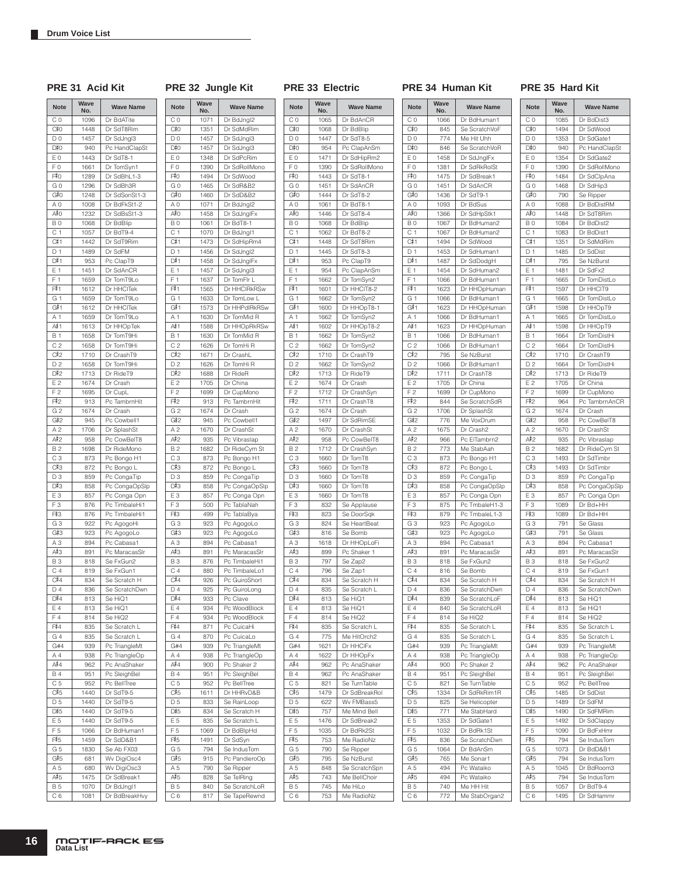**PRE 31 Acid Kit PRE 32 Jungle Kit PRE 33 Electric PRE 34 Human Kit PRE 35 Hard Kit**

| <b>Note</b>           | Wave<br>No.  | <b>Wave Name</b>               | <b>Note</b>           | Wave<br>No.  | <b>Wave Name</b>               | <b>Note</b>           | Wave<br>No.  | <b>Wave Name</b>              |
|-----------------------|--------------|--------------------------------|-----------------------|--------------|--------------------------------|-----------------------|--------------|-------------------------------|
| C <sub>0</sub>        | 1096         | Dr BdATite                     | CO                    | 1071         | Dr BdJngl2                     | C 0                   | 1065         | Dr BdAnCR                     |
| C‡0                   | 1448         | Dr SdT8Rim                     | C#0                   | 1351         | Dr SdMdRim                     | C‡0                   | 1068         | Dr BdBlip                     |
| D <sub>0</sub>        | 1457         | Dr SdJngl3                     | D <sub>0</sub>        | 1457         | Dr SdJngl3                     | D <sub>0</sub>        | 1447         | Dr SdT8-5                     |
| D#0                   | 940          | Pc HandClapSt                  | D#0                   | 1457         | Dr SdJngl3                     | D#0                   | 954          | Pc ClapAnSm                   |
| E <sub>0</sub>        | 1443         | Dr SdT8-1                      | E <sub>0</sub>        | 1348         | Dr SdPcRim                     | ΕO                    | 1471         | Dr SdHipRm2                   |
| F <sub>0</sub>        | 1661         | Dr TomSyn1                     | F <sub>0</sub>        | 1390         | Dr SdRollMono                  | F <sub>0</sub>        | 1390         | Dr SdRollMono                 |
| F#0                   | 1289         | Dr SdBhL1-3                    | F#0                   | 1494         | Dr SdWood                      | F#0                   | 1443         | Dr SdT8-1                     |
| G <sub>0</sub><br>G#0 | 1296<br>1248 | Dr SdBh3R                      | G <sub>0</sub><br>G#0 | 1465<br>1460 | Dr SdR&B2                      | G <sub>0</sub><br>G#0 | 1451<br>1444 | Dr SdAnCR                     |
| A <sub>0</sub>        | 1008         | Dr SdSonSt1-3<br>Dr BdFkSt1-2  | A 0                   | 1071         | Dr SdD&B2<br>Dr BdJngl2        | ΑO                    | 1061         | Dr SdT8-2<br>Dr BdT8-1        |
| A‡O                   | 1232         | Dr SdBsSt1-3                   | A#0                   | 1458         | Dr SdJngIFx                    | A≢O                   | 1446         | Dr SdT8-4                     |
| B <sub>0</sub>        | 1068         | Dr BdBlip                      | B <sub>0</sub>        | 1061         | Dr BdT8-1                      | B <sub>0</sub>        | 1068         | Dr BdBlip                     |
| C <sub>1</sub>        | 1057         | Dr BdT9-4                      | C <sub>1</sub>        | 1070         | Dr BdJngl1                     | C <sub>1</sub>        | 1062         | Dr BdT8-2                     |
| C#1                   | 1442         | Dr SdT9Rim                     | C#1                   | 1473         | Dr SdHipRm4                    | C#1                   | 1448         | Dr SdT8Rim                    |
| D <sub>1</sub>        | 1489         | Dr SdFM                        | D <sub>1</sub>        | 1456         | Dr SdJngl2                     | D <sub>1</sub>        | 1445         | Dr SdT8-3                     |
| D#1                   | 953          | Pc ClapT9                      | D#1                   | 1458         | Dr SdJnglFx                    | D#1                   | 953          | Pc ClapT9                     |
| E 1                   | 1451         | Dr SdAnCR                      | E 1                   | 1457         | Dr SdJngl3                     | E 1                   | 954          | Pc ClapAnSm                   |
| F <sub>1</sub>        | 1659         | Dr TomT9Lo                     | F <sub>1</sub>        | 1637         | Dr TomFlr L                    | F 1                   | 1662         | Dr TomSyn2                    |
| F#1<br>G <sub>1</sub> | 1612<br>1659 | Dr HHCITek<br>Dr TomT9Lo       | F#1<br>G 1            | 1565<br>1633 | Dr HHCIRkRSw<br>Dr TomLow L    | F#1<br>G 1            | 1601<br>1662 | Dr HHCIT8-2<br>Dr TomSyn2     |
| G#1                   | 1612         | Dr HHCITek                     | G#1                   | 1573         | Dr HHPdIRkRSw                  | G#1                   | 1600         | Dr HHOpT8-1                   |
| A 1                   | 1659         | Dr TomT9Lo                     | A 1                   | 1630         | Dr TomMid R                    | A 1                   | 1662         | Dr TomSyn2                    |
| A#≀1                  | 1613         | Dr HHOpTek                     | A#1                   | 1588         | Dr HHOpRkRSw                   | A#≀1                  | 1602         | Dr HHOpT8-2                   |
| <b>B1</b>             | 1658         | Dr TomT9Hi                     | <b>B</b> 1            | 1630         | Dr TomMid R                    | <b>B</b> 1            | 1662         | Dr TomSyn2                    |
| C <sub>2</sub>        | 1658         | Dr TomT9Hi                     | C <sub>2</sub>        | 1626         | Dr TomHi R                     | C <sub>2</sub>        | 1662         | Dr TomSyn2                    |
| C#2                   | 1710         | Dr CrashT9                     | C#2                   | 1671         | Dr CrashL                      | C#2                   | 1710         | Dr CrashT9                    |
| D <sub>2</sub>        | 1658         | Dr TomT9Hi                     | D <sub>2</sub>        | 1626         | Dr TomHi R                     | D <sub>2</sub>        | 1662         | Dr TomSyn2                    |
| D#2                   | 1713         | Dr RideT9                      | D#2                   | 1688         | Dr RideR                       | D#2                   | 1713         | Dr RideT9                     |
| E <sub>2</sub>        | 1674         | Dr Crash                       | E <sub>2</sub>        | 1705         | Dr China                       | E <sub>2</sub>        | 1674         | Dr Crash                      |
| F <sub>2</sub>        | 1695         | Dr CupL                        | F <sub>2</sub>        | 1699         | Dr CupMono                     | F 2                   | 1712         | Dr CrashSyn                   |
| F#2                   | 913          | Pc TambrnHit                   | F#2                   | 913          | Pc TambrnHit                   | F#2                   | 1711         | Dr CrashT8                    |
| G <sub>2</sub><br>G#2 | 1674<br>945  | Dr Crash<br>Pc Cowbell1        | G 2<br>G#2            | 1674<br>945  | Dr Crash<br>Pc Cowbell1        | G <sub>2</sub><br>G#2 | 1674<br>1497 | Dr Crash<br>Dr SdRimSE        |
| A <sub>2</sub>        | 1706         | Dr SplashSt                    | A <sub>2</sub>        | 1670         | Dr CrashSt                     | A <sub>2</sub>        | 1670         | Dr CrashSt                    |
| A#2                   | 958          | Pc CowBelT8                    | A#2                   | 935          | Pc Vibraslap                   | A#2                   | 958          | Pc CowBelT8                   |
| <b>B2</b>             | 1698         | Dr RideMono                    | <b>B2</b>             | 1682         | Dr RideCym St                  | <b>B2</b>             | 1712         | Dr CrashSyn                   |
| C <sub>3</sub>        | 873          | Pc Bongo H1                    | C <sub>3</sub>        | 873          | Pc Bongo H1                    | C <sub>3</sub>        | 1660         | Dr TomT8                      |
| C#3                   | 872          | Pc Bongo L                     | C#3                   | 872          | Pc Bongo L                     | C#3                   | 1660         | Dr TomT8                      |
| D3                    | 859          | Pc CongaTip                    | D3                    | 859          | Pc CongaTip                    | D3                    | 1660         | Dr TomT8                      |
| D#3                   | 858          | Pc CongaOpSlp                  | D#3                   | 858          | Pc CongaOpSlp                  | D#3                   | 1660         | Dr TomT8                      |
| E <sub>3</sub>        | 857          | Pc Conga Opn                   | E <sub>3</sub>        | 857          | Pc Conga Opn                   | E <sub>3</sub>        | 1660         | Dr TomT8                      |
| F <sub>3</sub>        | 876          | Pc TimbaleHi1                  | F <sub>3</sub>        | 500          | Pc TablaNah                    | F <sub>3</sub>        | 832          | Se Applause                   |
| F#3                   | 876<br>922   | Pc TimbaleHi1                  | F#3<br>G <sub>3</sub> | 499<br>923   | Pc TablaBya                    | F#3<br>G <sub>3</sub> | 823<br>824   | Se DoorSqk<br>Se HeartBeat    |
| G <sub>3</sub><br>G#3 | 923          | Pc AgogoHi<br>Pc AgogoLo       | G#3                   | 923          | Pc AgogoLo<br>Pc AgogoLo       | G#3                   | 816          | Se Bomb                       |
| A <sub>3</sub>        | 894          | Pc Cabasa1                     | A <sub>3</sub>        | 894          | Pc Cabasa1                     | A <sub>3</sub>        | 1618         | Dr HHOpLoFi                   |
| A#3                   | 891          | Pc MaracasSIr                  | A#3                   | 891          | Pc MaracasSIr                  | А#З                   | 899          | Pc Shaker 1                   |
| <b>B3</b>             | 818          | Se FxGun2                      | <b>B3</b>             | 876          | Pc TimbaleHi1                  | <b>B3</b>             | 797          | Se Zap2                       |
| C <sub>4</sub>        | 819          | Se FxGun1                      | C <sub>4</sub>        | 880          | Pc TimbaleLo1                  | C <sub>4</sub>        | 796          | Se Zap1                       |
| C#4                   | 834          | Se Scratch H                   | C#4                   | 926          | Pc GuiroShort                  | C#4                   | 834          | Se Scratch H                  |
| D 4                   | 836          | Se ScratchDwn                  | D 4                   | 925          | Pc GuiroLong                   | D 4                   | 835          | Se Scratch L                  |
| D#4                   | 813          | Se HiQ1                        | D#4                   | 933          | Pc Clave                       | D#4                   | 813          | Se HiQ1                       |
| Ε4                    | 813          | Se HiQ1                        | E 4                   | 934          | Pc WoodBlock                   | Ε4                    | 813          | Se HiQ1                       |
| F4                    | 814          | Se HiQ2                        | F4                    | 934          | Pc WoodBlock                   | F4                    | 814          | Se HiQ2                       |
| F#4                   | 835          | Se Scratch L                   | F#4                   | 871          | Pc CuicaHi                     | F#4                   | 835          | Se Scratch L                  |
| G 4<br>G#4            | 835          | Se Scratch L                   | G4<br>G#4             | 870<br>939   | Pc CuicaLo                     | G 4<br>G#4            | 775<br>1621  | Me HitOrch2                   |
| Α4                    | 939<br>938   | Pc TriangleMt<br>Pc TriangleOp | A 4                   | 938          | Pc TriangleMt<br>Pc TriangleOp | Α4                    | 1622         | Dr HHCIFx<br>Dr HHOpFx        |
| A#4                   | 962          | Pc AnaShaker                   | A#4                   | 900          | Pc Shaker 2                    | A#4                   | 962          | Pc AnaShaker                  |
| <b>B4</b>             | 951          | Pc SleighBel                   | B 4                   | 951          | Pc SleighBel                   | B 4                   | 962          | Pc AnaShaker                  |
| C 5                   | 952          | Pc BellTree                    | C 5                   | 952          | Pc BellTree                    | C 5                   | 821          | Se TurnTable                  |
| C#5                   | 1440         | Dr SdT9-5                      | C#5                   | 1611         | Dr HHRvD&B                     | C#5                   | 1479         | Dr SdBreakRol                 |
| D <sub>5</sub>        | 1440         | Dr SdT9-5                      | D <sub>5</sub>        | 833          | Se RainLoop                    | D <sub>5</sub>        | 622          | Wv FMBass5                    |
| D#5                   | 1440         | Dr SdT9-5                      | D#5                   | 834          | Se Scratch H                   | D#5                   | 757          | Me Mind Bell                  |
| E 5                   | 1440         | Dr SdT9-5                      | E 5                   | 835          | Se Scratch L                   | E 5                   | 1476         | Dr SdBreak2                   |
| F <sub>5</sub>        | 1066         | Dr BdHuman1                    | F <sub>5</sub>        | 1069         | Dr BdBlpHd                     | F 5                   | 1035         | Dr BdRk2St                    |
| F#5                   | 1459         | Dr SdD&B1                      | F#5                   | 1491         | Dr SdSyn                       | F#5                   | 753          | Me RadioNz                    |
| G 5                   | 1830         | Se Ab FX03                     | G 5                   | 794          | Se IndusTom                    | G 5                   | 790          | Se Ripper                     |
| G#5                   | 681          | Wv DigiOsc4                    | G#5                   | 915<br>790   | Pc PandieroOp                  | G#5                   | 795          | Se NzBurst                    |
| A 5<br>A#5            | 680<br>1475  | Wv DigiOsc3<br>Dr SdBreak1     | A 5<br>A#5            | 828          | Se Ripper<br>Se TelRing        | A 5<br>A#5            | 848<br>743   | Se ScratchSpn<br>Me BellChoir |
| B 5                   | 1070         | Dr BdJngl1                     | <b>B5</b>             | 840          | Se ScratchLoR                  | <b>B5</b>             | 745          | Me HiLo                       |
| C 6                   | 1081         | Dr BdBreakHvy                  | C 6                   | 817          | Se TapeRewnd                   | C 6                   | 753          | Me RadioNz                    |
|                       |              |                                |                       |              |                                |                       |              |                               |

| <b>Note</b>           | Wave<br>No.  | <b>Wave Name</b>               |  |  |
|-----------------------|--------------|--------------------------------|--|--|
| C <sub>0</sub>        | 1066         | Dr BdHuman1                    |  |  |
| C#0                   | 845          | Se ScratchVoF                  |  |  |
| D <sub>0</sub>        | 774          | Me Hit Uhh                     |  |  |
| D#0                   | 846          | Se ScratchVoR                  |  |  |
| E <sub>0</sub>        | 1458         | Dr SdJngIFx                    |  |  |
| F <sub>0</sub>        | 1381         | Dr SdRkRolSt                   |  |  |
| F#0                   | 1475         | Dr SdBreak1                    |  |  |
| GO<br>G#O             | 1451<br>1436 | Dr SdAnCR<br>Dr SdT9-1         |  |  |
| A <sub>0</sub>        | 1093         | Dr BdSus                       |  |  |
| A#O                   | 1366         | Dr SdHpStk1                    |  |  |
| B O                   | 1067         | Dr BdHuman2                    |  |  |
| C <sub>1</sub>        | 1067         | Dr BdHuman2                    |  |  |
| C#1                   | 1494         | Dr SdWood                      |  |  |
| D <sub>1</sub>        | 1453         | Dr SdHuman1                    |  |  |
| D#1                   | 1487         | Dr SdDodgH                     |  |  |
| E 1                   | 1454         | Dr SdHuman2                    |  |  |
| F <sub>1</sub><br>F#1 | 1066         | Dr BdHuman1                    |  |  |
| G <sub>1</sub>        | 1623<br>1066 | Dr HHOpHuman<br>Dr BdHuman1    |  |  |
| G#1                   | 1623         | Dr HHOpHuman                   |  |  |
| A 1                   | 1066         | Dr BdHuman1                    |  |  |
| A#≀1                  | 1623         | Dr HHOpHuman                   |  |  |
| <b>B1</b>             | 1066         | Dr BdHuman1                    |  |  |
| C <sub>2</sub>        | 1066         | Dr BdHuman1                    |  |  |
| C#2                   | 795          | Se NzBurst                     |  |  |
| D <sub>2</sub>        | 1066         | Dr BdHuman1                    |  |  |
| D#2                   | 1711         | Dr CrashT8                     |  |  |
| E 2                   | 1705         | Dr China                       |  |  |
| F <sub>2</sub><br>F.2 | 1699         | Dr CupMono                     |  |  |
| G <sub>2</sub>        | 844<br>1706  | Se ScratchSdR<br>Dr SplashSt   |  |  |
| G#2                   | 776          | Me VoxDrum                     |  |  |
| A <sub>2</sub>        | 1675         | Dr Crash2                      |  |  |
| A#2                   | 966          | Pc ElTambrn2                   |  |  |
| <b>B2</b>             | 773          | Me StabAah                     |  |  |
| C <sub>3</sub>        | 873          | Pc Bongo H1                    |  |  |
| C#3                   | 872          | Pc Bongo L                     |  |  |
| D3                    | 859          | Pc CongaTip                    |  |  |
| D#3                   | 858          | Pc CongaOpSIp                  |  |  |
| E <sub>3</sub>        | 857          | Pc Conga Opn                   |  |  |
| F <sub>3</sub><br>F#3 | 875<br>879   | Pc TmbaleH1-3<br>Pc TmbaleL1-3 |  |  |
| G <sub>3</sub>        | 923          | Pc AgogoLo                     |  |  |
| G#3                   | 923          | Pc AgogoLo                     |  |  |
| A <sub>3</sub>        | 894          | Pc Cabasa1                     |  |  |
| А#З                   | 891          | Pc MaracasSIr                  |  |  |
| B <sub>3</sub>        | 818          | Se FxGun2                      |  |  |
| C <sub>4</sub>        | 816          | Se Bomb                        |  |  |
| C#4                   | 834          | Se Scratch H                   |  |  |
| D4                    | 836          | Se ScratchDwn                  |  |  |
| D#4                   | 839          | Se ScratchLoF                  |  |  |
| Ε4<br>F 4             | 840<br>814   | Se ScratchLoR<br>Se HiQ2       |  |  |
| F#4                   | 835          | Se Scratch L                   |  |  |
| G4                    | 835          | Se Scratch L                   |  |  |
| G#4                   | 939          | Pc TriangleMt                  |  |  |
| A <sub>4</sub>        | 938          | Pc TriangleOp                  |  |  |
| A#4                   | 900          | Pc Shaker 2                    |  |  |
| <b>B4</b>             | 951          | Pc SleighBel                   |  |  |
| C <sub>5</sub>        | 821          | Se TurnTable                   |  |  |
| C#5                   | 1334         | Dr SdRkRim1R                   |  |  |
| D <sub>5</sub>        | 825          | Se Helicopter                  |  |  |
| D#5<br>E <sub>5</sub> | 771          | Me StabHard                    |  |  |
| F 5                   | 1353<br>1032 | Dr SdGate1<br>Dr BdRk1St       |  |  |
| F#5                   | 836          | Se ScratchDwn                  |  |  |
| G <sub>5</sub>        | 1064         | Dr BdAnSm                      |  |  |
| G#5                   | 765          | Me Sonar1                      |  |  |
| A 5                   | 494          | Pc Wataiko                     |  |  |
| A#5                   | 494          | Pc Wataiko                     |  |  |
| .<br>В 5              | 740          | Me HH Hit                      |  |  |
| C 6                   | 772          | Me StabOrgan2                  |  |  |

| <b>Note</b>      | Wave<br>No. | <b>Wave Name</b>            |  |
|------------------|-------------|-----------------------------|--|
| $\overline{C} 0$ | 1085        | Dr BdDist3                  |  |
| C‡0              | 1494        | Dr SdWood                   |  |
| D <sub>0</sub>   | 1353        | Dr SdGate1                  |  |
| D#0              | 940         | Pc HandClapSt               |  |
| E0               | 1354        | Dr SdGate2                  |  |
| F <sub>0</sub>   | 1390        | Dr SdRollMono               |  |
| F#0              | 1484        | Dr SdClpAna                 |  |
| G <sub>0</sub>   | 1468        | Dr SdHip3                   |  |
| G#0              | 790         | Se Ripper                   |  |
| A <sub>0</sub>   | 1088        | Dr BdDistRM                 |  |
| A#0              | 1448        | Dr SdT8Rim                  |  |
| B <sub>0</sub>   | 1084        | Dr BdDist2                  |  |
| C <sub>1</sub>   | 1083        | Dr BdDist1                  |  |
| C#1              | 1351        | Dr SdMdRim                  |  |
| D <sub>1</sub>   | 1485        | Dr SdDist                   |  |
| D#1              | 795         | Se NzBurst                  |  |
| E 1              | 1481        | Dr SdFx2                    |  |
| Ē1               | 1665        | Dr TomDistLo                |  |
| F#1              | 1597        | Dr HHCIT9                   |  |
| G <sub>1</sub>   | 1665        | Dr TomDistLo                |  |
| G#1              | 1598        | Dr HHOpT9                   |  |
| A 1              | 1665        | Dr TomDistLo                |  |
| A#1              | 1598        | Dr HHOpT9                   |  |
| <b>B</b> 1       | 1664        | Dr TomDistHi                |  |
| C <sub>2</sub>   | 1664        | Dr TomDistHi                |  |
| C#2              | 1710        | Dr CrashT9                  |  |
| D <sub>2</sub>   | 1664        | Dr TomDistHi                |  |
| D#2              | 1713        | Dr RideT9                   |  |
| E <sub>2</sub>   | 1705        | Dr China                    |  |
| F 2<br>F#2       | 1699<br>964 | Dr CupMono<br>Pc TambrnAnCR |  |
| G <sub>2</sub>   | 1674        | Dr Crash                    |  |
| G#2              | 958         | Pc CowBelT8                 |  |
| A <sub>2</sub>   | 1670        | Dr CrashSt                  |  |
| A#2              | 935         | Pc Vibraslap                |  |
| <b>B2</b>        | 1682        | Dr RideCym St               |  |
| C <sub>3</sub>   | 1493        | Dr SdTimbr                  |  |
| C#3              | 1493        | Dr SdTimbr                  |  |
| D3               | 859         | Pc CongaTip                 |  |
| D#3              | 858         | Pc CongaOpSlp               |  |
| E <sub>3</sub>   | 857         | Pc Conga Opn                |  |
| FЗ               | 1089        | Dr Bd+HH                    |  |
| F#3              | 1089        | Dr Bd+HH                    |  |
| G <sub>3</sub>   | 791         | Se Glass                    |  |
| G#3              | 791         | Se Glass                    |  |
| A <sub>3</sub>   | 894         | Pc Cabasa1                  |  |
| A#3              | 891         | Pc MaracasSlr               |  |
| B <sub>3</sub>   | 818         | Se FxGun2                   |  |
| C <sub>4</sub>   | 819         | Se FxGun1                   |  |
| C#4              | 834         | Se Scratch H                |  |
| D <sub>4</sub>   | 836         | Se ScratchDwn               |  |
| D#4              | 813         | Se HiQ1                     |  |
| Ε4               | 813         | Se HiQ1                     |  |
| F4               | 814         | Se HiQ2                     |  |
| F#4              | 835         | Se Scratch L                |  |
| G 4              | 835         | Se Scratch L                |  |
| G#4              | 939         | Pc TriangleMt               |  |
| A <sub>4</sub>   | 938         | Pc TriangleOp               |  |
| A#4              | 962         | Pc AnaShaker                |  |
| <b>B4</b>        | 951         | Pc SleighBel                |  |
| C <sub>5</sub>   | 952         | Pc BellTree                 |  |
| C#5              | 1485        | Dr SdDist                   |  |
| D <sub>5</sub>   | 1489        | Dr SdFM                     |  |
| D#5              | 1490        | Dr SdFMRim                  |  |
| E 5              | 1492        | Dr SdClappy                 |  |
| F <sub>5</sub>   | 1090        | Dr BdFxHmr                  |  |
| F#5              | 794         | Se IndusTom                 |  |
| G <sub>5</sub>   | 1073        | Dr BdD&B1                   |  |
| G#5              | 794         | Se IndusTom                 |  |
| A 5              | 1045        | Dr BdRoom3                  |  |
| A#5              | 794         | Se IndusTom                 |  |
| <b>B5</b>        | 1057        | Dr BdT9-4                   |  |

C 6 | 1495 | Dr SdHammr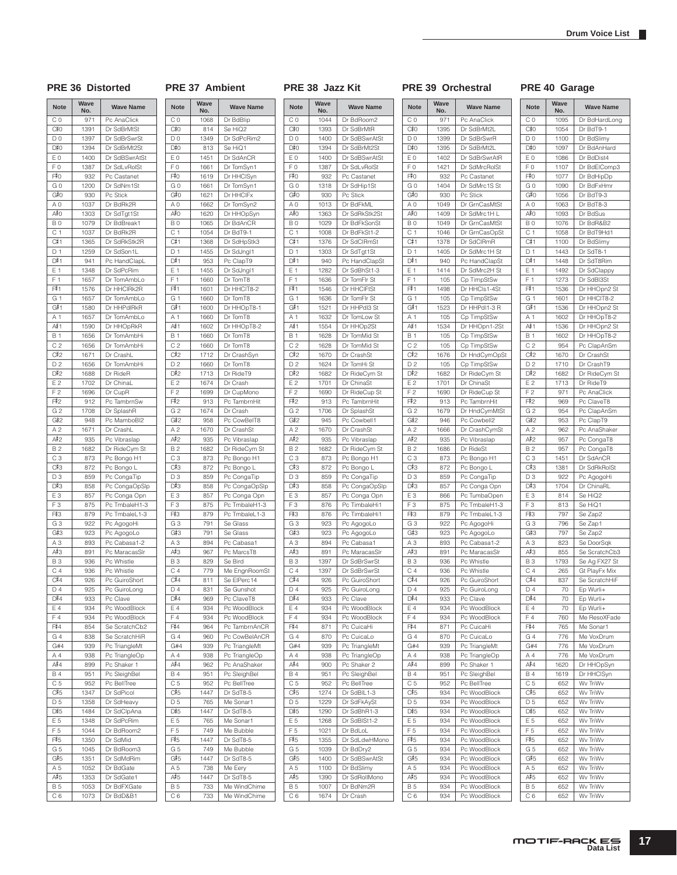T

 $\mathbf{r}$ 

### PRE 36 Distorted PRE 37 Ambient PRE 38 Jazz Kit PRE 39 Orchestral PRE 40 Garage

| <b>Note</b>                      | Wave<br><b>Wave Name</b><br>No. |                                |
|----------------------------------|---------------------------------|--------------------------------|
| C <sub>0</sub>                   | 971                             | Pc AnaClick                    |
| C‡0                              | 1391                            | Dr SdBrMtSt                    |
| D <sub>0</sub>                   | 1397                            | Dr SdBrSwrSt                   |
| D#0                              | 1394                            | Dr SdBrMt2St                   |
| E <sub>0</sub>                   | 1400                            | Dr SdBSwrAtSt                  |
| F <sub>0</sub>                   | 1387                            | Dr SdLvRolSt                   |
| F#0                              | 932                             | Pc Castanet                    |
| G <sub>0</sub>                   | 1200                            | Dr SdNm1St                     |
| G#0                              | 930                             | Pc Stick<br>Dr BdRk2R          |
| A <sub>0</sub><br>A≢O            | 1037<br>1303                    | Dr SdTgt1St                    |
| BO                               | 1079                            | Dr BdBreak1                    |
| C <sub>1</sub>                   | 1037                            | Dr BdRk2R                      |
| C#1                              | 1365                            | Dr SdRkStk2R                   |
| D <sub>1</sub>                   | 1259                            | Dr SdSon1L                     |
| D#1                              | 941                             | Pc HandClapL                   |
| E 1                              | 1348                            | Dr SdPcRim                     |
| F <sub>1</sub>                   | 1657                            | Dr TomAmbLo                    |
| F#1                              | 1576                            | Dr HHCIRk2R                    |
| G 1                              | 1657                            | Dr TomAmbLo                    |
| G#1                              | 1580                            | Dr HHPdIRkR                    |
| A 1                              | 1657                            | Dr TomAmbLo                    |
| A#1                              | 1590                            | Dr HHOpRkR                     |
| <b>B</b> 1                       | 1656                            | Dr TomAmbHi                    |
| C <sub>2</sub>                   | 1656                            | Dr TomAmbHi                    |
| C#2                              | 1671                            | Dr CrashL                      |
| D <sub>2</sub>                   | 1656                            | Dr TomAmbHi                    |
| D#2                              | 1688                            | Dr RideR                       |
| E <sub>2</sub>                   | 1702                            | Dr ChinaL                      |
| F <sub>2</sub>                   | 1696                            | Dr CupR                        |
| F#2                              | 912                             | Pc TambrnSw                    |
| G <sub>2</sub>                   | 1708                            | Dr SplashR                     |
| G#2                              | 948                             | Pc MamboBI2                    |
| A <sub>2</sub>                   | 1671                            | Dr CrashL                      |
| A‡2                              | 935                             | Pc Vibraslap                   |
| <b>B2</b>                        | 1682                            | Dr RideCym St                  |
| C <sub>3</sub>                   | 873                             | Pc Bongo H1                    |
| C#3                              | 872                             | Pc Bongo L                     |
| D3                               | 859                             | Pc CongaTip                    |
| D#3                              | 858                             | Pc CongaOpSlp                  |
| E <sub>3</sub><br>F <sub>3</sub> | 857                             | Pc Conga Opn                   |
| F#3                              | 875<br>879                      | Pc TmbaleH1-3<br>Pc TmbaleL1-3 |
| G <sub>3</sub>                   | 922                             | Pc AgogoHi                     |
| G#3                              | 923                             | Pc AgogoLo                     |
| A <sub>3</sub>                   | 893                             | Pc Cabasa1-2                   |
| A#3                              | 891                             | Pc MaracasSIr                  |
| <b>B3</b>                        | 936                             | Pc Whistle                     |
| C <sub>4</sub>                   | 936                             | Pc Whistle                     |
| C#4                              | 926                             | Pc GuiroShort                  |
| D 4                              | 925                             | Pc GuiroLong                   |
| D#4                              | 933                             | Pc Clave                       |
| E 4                              | 934                             | Pc WoodBlock                   |
| F4                               | 934                             | Pc WoodBlock                   |
| F#4                              | 854                             | Se ScratchCb2                  |
| G 4                              | 838                             | Se ScratchHiR                  |
| G#4                              | 939                             | Pc TriangleMt                  |
| A 4                              | 938                             | Pc TriangleOp                  |
| A#4                              | 899                             | Pc Shaker 1                    |
| B 4                              | 951                             | Pc SleighBel                   |
| C <sub>5</sub>                   | 952                             | Pc BellTree                    |
| C#5                              | 1347                            | Dr SdPicol                     |
| D <sub>5</sub>                   | 1358                            | Dr SdHeavy                     |
| D#5                              | 1484                            | Dr SdClpAna                    |
| E 5                              | 1348                            | Dr SdPcRim                     |
| F <sub>5</sub>                   | 1044                            | Dr BdRoom2                     |
| F#5                              | 1350                            | Dr SdMid                       |
| G 5                              | 1045                            | Dr BdRoom3                     |
| G#5                              | 1351                            | Dr SdMdRim                     |
| A 5                              | 1052                            | Dr BdGate                      |
| A#5                              | 1353                            | Dr SdGate1                     |
| <b>B5</b><br>C <sub>6</sub>      | 1053<br>1073                    | Dr BdFXGate<br>Dr BdD&B1       |
|                                  |                                 |                                |

| <b>Note</b>              | Wave<br>No. | <b>Wave Name</b> |
|--------------------------|-------------|------------------|
| СO                       | 1068        | Dr BdBlip        |
| C#0                      | 814         | Se HiQ2          |
| D <sub>0</sub>           | 1349        | Dr SdPcRim2      |
| D#0                      | 813         | Se HiQ1          |
| E0                       | 1451        | Dr SdAnCR        |
| F <sub>0</sub>           | 1661        | Dr TomSyn1       |
| F‡O                      | 1619        | Dr HHClSyn       |
| GO                       | 1661        | Dr TomSyn1       |
| G‡0                      | 1621        | Dr HHCIFx        |
| A O                      | 1662        | Dr TomSyn2       |
| A#O                      | 1620        | Dr HHOpSyn       |
| B <sub>0</sub>           | 1065        | Dr BdAnCR        |
| C 1                      | 1054        | Dr BdT9-1        |
| C#1                      |             |                  |
| D <sub>1</sub>           | 1368        | Dr SdHpStk3      |
|                          | 1455        | Dr SdJngl1       |
| D#1                      | 953         | Pc ClapT9        |
| E 1                      | 1455        | Dr SdJngl1       |
| F<br>1                   | 1660        | Dr TomT8         |
| F#1                      | 1601        | Dr HHCIT8-2      |
| G 1                      | 1660        | Dr TomT8         |
| G# 1                     | 1600        | Dr HHOpT8-1      |
| A 1                      | 1660        | Dr TomT8         |
| A# 1                     | 1602        | Dr HHOpT8-2      |
| Β1                       | 1660        | Dr TomT8         |
| C <sub>2</sub>           | 1660        | Dr TomT8         |
| C#2                      | 1712        | Dr CrashSyn      |
| D <sub>2</sub>           | 1660        | Dr TomT8         |
| D#2                      | 1713        | Dr RideT9        |
| E2                       | 1674        | Dr Crash         |
| F <sub>2</sub>           | 1699        | Dr CupMono       |
| F‡2                      | 913         | Pc TambrnHit     |
|                          |             |                  |
| G <sub>2</sub>           | 1674        | Dr Crash         |
| G#2                      | 958         | Pc CowBelT8      |
| A <sub>2</sub>           | 1670        | Dr CrashSt       |
| A#2                      | 935         | Pc Vibraslap     |
| B 2                      | 1682        | Dr RideCym St    |
| C <sub>3</sub>           | 873         | Pc Bongo H1      |
| C#3                      | 872         | Pc Bongo L       |
| D <sub>3</sub>           | 859         | Pc CongaTip      |
| D#3                      | 858         | Pc CongaOpSIp    |
| E <sub>3</sub>           | 857         | Pc Conga Opn     |
| F <sub>3</sub>           | 875         | Pc TmbaleH1-3    |
| F‡3                      | 879         | Pc TmbaleL1-3    |
| G 3                      | 791         | Se Glass         |
| G#3                      | 791         | Se Glass         |
| A <sub>3</sub>           | 894         | Pc Cabasa1       |
| А#З                      | 967         | Pc MarcsT8       |
|                          |             | Se Bird          |
| BЗ                       | 829         |                  |
| C <sub>4</sub>           | 779         | Me EngnRoomSt    |
| C#4                      | 811         | Se ElPerc14      |
| D 4                      | 831         | Se Gunshot       |
| D#4                      | 969         | Pc ClaveT8       |
| E 4                      | 934         | Pc WoodBlock     |
| F4                       | 934         | Pc WoodBlock     |
| F‡4                      | 964         | Pc TambrnAnCR    |
| G 4                      | 960         | Pc CowBelAnCR    |
| G#4                      | 939         | Pc TriangleMt    |
| A <sub>4</sub>           | 938         | Pc TriangleOp    |
| A#4                      | 962         | Pc AnaShaker     |
| <b>B4</b>                | 951         | Pc SleighBel     |
| C <sub>5</sub>           | 952         | Pc BellTree      |
| C#5                      | 1447        | Dr SdT8-5        |
| D <sub>5</sub>           | 765         | Me Sonar1        |
| D#5                      | 1447        | Dr SdT8-5        |
|                          |             |                  |
| E 5                      | 765         | Me Sonar1        |
| F <sub>5</sub>           | 749         | Me Bubble        |
| F#5                      | 1447        | Dr SdT8-5        |
|                          | 749         | Me Bubble        |
|                          |             | Dr SdT8-5        |
|                          | 1447        |                  |
|                          | 738         | Me Eery          |
| G 5<br>G#5<br>A 5<br>A#5 | 1447        | Dr SdT8-5        |
| B 5                      | 733         | Me WindChime     |

| <b>Note</b>           | Wave<br>No.  | <b>Wave Name</b>               |
|-----------------------|--------------|--------------------------------|
| СO                    | 1044         | Dr BdRoom2                     |
| C‡0                   | 1393         | Dr SdBrMtR                     |
| D <sub>0</sub>        | 1400         | Dr SdBSwrAtSt                  |
| D‡0                   | 1394         | Dr SdBrMt2St                   |
| E <sub>0</sub>        | 1400         | Dr SdBSwrAtSt                  |
| FΟ                    | 1387         | Dr SdLvRolSt                   |
| F#0                   | 932          | Pc Castanet                    |
| G <sub>0</sub>        | 1318         | Dr SdHip1St                    |
| G#0                   | 930          | Pc Stick                       |
| A <sub>0</sub>        | 1013         | Dr BdFkML                      |
| A≢O                   | 1363         | Dr SdRkStk2St                  |
| B <sub>0</sub>        | 1029         | Dr BdFkSonSt                   |
| C <sub>1</sub>        | 1008         | Dr BdFkSt1-2                   |
| C#1                   | 1376         | Dr SdClRmSt                    |
| D <sub>1</sub>        | 1303         | Dr SdTgt1St                    |
| D#1                   | 940          | Pc HandClapSt                  |
| E 1                   | 1282         | Dr SdBhSt1-3                   |
| F <sub>1</sub>        | 1636         | Dr TomFlr St                   |
| F#1                   | 1546         | Dr HHCIFtSt                    |
| G <sub>1</sub><br>G#1 | 1636         | Dr TomFlr St                   |
|                       | 1521         | Dr HHPdI3 St                   |
| A 1<br>A#≀1           | 1632         | Dr TomLow St                   |
| B 1                   | 1554         | Dr HHOp2St<br>Dr TomMid St     |
| C <sub>2</sub>        | 1628<br>1628 | Dr TomMid St                   |
| C#2                   | 1670         | Dr CrashSt                     |
| D <sub>2</sub>        | 1624         | Dr TomHi St                    |
| D‡2                   | 1682         | Dr RideCym St                  |
| E2                    | 1701         | Dr ChinaSt                     |
| F <sub>2</sub>        | 1690         | Dr RideCup St                  |
| F#2                   | 913          | Pc TambrnHit                   |
| G <sub>2</sub>        | 1706         | Dr SplashSt                    |
| G#2                   | 945          | Pc Cowbell1                    |
| A <sub>2</sub>        | 1670         | Dr CrashSt                     |
| A#2                   | 935          | Pc Vibraslap                   |
| <b>B2</b>             | 1682         | Dr RideCym St                  |
| C <sub>3</sub>        | 873          | Pc Bongo H1                    |
| C#3                   | 872          | Pc Bongo L                     |
| D3                    | 859          | Pc CongaTip                    |
| D#3                   | 858          | Pc CongaOpSIp                  |
| E <sub>3</sub>        | 857          | Pc Conga Opn                   |
| F3                    | 876          | Pc TimbaleHi1                  |
| F#3                   | 876          | Pc TimbaleHi1                  |
| G <sub>3</sub>        | 923          | Pc AgogoLo                     |
| G#3                   | 923          | Pc AgogoLo                     |
| A <sub>3</sub>        | 894          | Pc Cabasa1                     |
| A#3                   | 891          | Pc MaracasSIr                  |
| <b>B3</b>             | 1397         | Dr SdBrSwrSt                   |
| C <sub>4</sub>        | 1397         | Dr SdBrSwrSt                   |
| C#4                   | 926          | Pc GuiroShort                  |
| D <sub>4</sub>        | 925          | Pc GuiroLong                   |
| D#4                   | 933          | Pc Clave                       |
| E 4                   | 934          | Pc WoodBlock                   |
| F4                    | 934          | Pc WoodBlock                   |
| F#4                   | 871          | Pc CuicaHi                     |
| G4                    | 870          | Pc CuicaLo                     |
| G#4<br>A 4            | 939<br>938   | Pc TriangleMt<br>Pc TriangleOp |
| A#4                   | 900          | Pc Shaker 2                    |
| <b>B4</b>             | 951          | Pc SleighBel                   |
| C <sub>5</sub>        | 952          | Pc BellTree                    |
| C#5                   | 1274         | Dr SdBIL1-3                    |
| D <sub>5</sub>        | 1229         | Dr SdFkAySt                    |
| D#5                   | 1290         | Dr SdBhR1-3                    |
| E <sub>5</sub>        | 1268         | Dr SdBISt1-2                   |
| F 5                   | 1021         | Dr BdLoL                       |
| F#5                   | 1355         | Dr SdLdwHMono                  |
| G <sub>5</sub>        | 1039         | Dr BdDry2                      |
| G#5                   | 1400         | Dr SdBSwrAtSt                  |
| A <sub>5</sub>        | 1100         | Dr BdSlimy                     |
| A#5                   | 1390         | Dr SdRollMono                  |
| <b>B5</b>             | 1007         | Dr BdNm2R                      |
| C 6                   | 1674         | Dr Crash                       |
|                       |              |                                |

| <b>Note</b>           | Wave<br><b>Wave Name</b><br>No. |                              |
|-----------------------|---------------------------------|------------------------------|
| C <sub>0</sub>        | 971                             | Pc AnaClick                  |
| C#O                   | 1395                            | Dr SdBrMt2L                  |
| D <sub>0</sub>        | 1399                            | Dr SdBrSwrR                  |
| D#0                   | 1395                            | Dr SdBrMt2L                  |
| E <sub>0</sub>        | 1402                            | Dr SdBrSwrAtR                |
| F <sub>0</sub>        | 1421                            | Dr SdMrcRolSt                |
| F#0                   | 932                             | Pc Castanet                  |
| G <sub>0</sub>        | 1404                            | Dr SdMrc1S St                |
| G#O                   | 930                             | Pc Stick                     |
| A <sub>0</sub>        | 1049                            | Dr GrnCasMtSt                |
| A‡0                   | 1409                            | Dr SdMrc1H L                 |
| B <sub>0</sub>        | 1049                            | Dr GrnCasMtSt                |
| C <sub>1</sub>        | 1046                            | Dr GrnCasOpSt                |
| C#1                   | 1378                            | Dr SdCIRmR                   |
| D <sub>1</sub>        | 1405                            | Dr SdMrc1H St                |
| D#1                   | 940                             | Pc HandClapSt                |
| E 1                   | 1414                            | Dr SdMrc2H St                |
| F <sub>1</sub>        | 105                             | Cp TimpStSw                  |
| F#1                   | 1498                            | Dr HHCls1-4St                |
| G 1                   | 105                             | Cp TimpStSw                  |
| G#1                   | 1523                            | Dr HHPdI1-3 R                |
| A 1                   | 105                             | Cp TimpStSw                  |
| A#≀1                  | 1534                            | Dr HHOpn1-2St                |
| <b>B</b> 1            | 105                             | Cp TimpStSw                  |
| C <sub>2</sub>        | 105                             | Cp TimpStSw                  |
| C#2                   | 1676                            | Dr HndCymOpSt                |
| D <sub>2</sub>        | 105                             | Cp TimpStSw                  |
| D#2                   | 1682                            | Dr RideCym St                |
| E 2                   | 1701                            | Dr ChinaSt                   |
| F <sub>2</sub>        | 1690                            | Dr RideCup St                |
| F#2                   | 913                             | Pc TambrnHit                 |
| G <sub>2</sub><br>G#2 | 1679                            | Dr HndCymMtSt                |
| A <sub>2</sub>        | 946<br>1666                     | Pc Cowbell2<br>Dr CrashCymSt |
| A#2                   | 935                             | Pc Vibraslap                 |
| B <sub>2</sub>        | 1686                            | Dr RideSt                    |
| CЗ                    | 873                             | Pc Bongo H1                  |
| C#3                   | 872                             | Pc Bongo L                   |
| D <sub>3</sub>        | 859                             | Pc CongaTip                  |
| D#3                   | 857                             | Pc Conga Opn                 |
| .<br>Е З              | 866                             | Pc TumbaOpen                 |
| F <sub>3</sub>        | 875                             | Pc TmbaleH1-3                |
| F#3                   | 879                             | Pc TmbaleL1-3                |
| G <sub>3</sub>        | 922                             | Pc AgogoHi                   |
| G#3                   | 923                             | Pc AgogoLo                   |
| A <sub>3</sub>        | 893                             | Pc Cabasa1-2                 |
| A#3                   | 891                             | Pc MaracasSIr                |
| B <sub>3</sub>        | 936                             | Pc Whistle                   |
| C <sub>4</sub>        | 936                             | Pc Whistle                   |
| C#4                   | 926                             | Pc GuiroShort                |
| D4                    | 925                             | Pc GuiroLong                 |
| D#4<br>E 4            | 933                             | Pc Clave                     |
| F <sub>4</sub>        | 934<br>934                      | Pc WoodBlock<br>Pc WoodBlock |
| F#4                   | 871                             | Pc CuicaHi                   |
| G4                    | 870                             | Pc CuicaLo                   |
| G#4                   | 939                             | Pc TriangleMt                |
| $A_4$                 | 938                             | Pc TriangleOp                |
| A#4                   | 899                             | Pc Shaker 1                  |
| <b>B4</b>             | 951                             | Pc SleighBel                 |
| C 5                   | 952                             | Pc BellTree                  |
| C#5                   | 934                             | Pc WoodBlock                 |
| D <sub>5</sub>        | 934                             | Pc WoodBlock                 |
| D#5                   | 934                             | Pc WoodBlock                 |
| E 5                   | 934                             | Pc WoodBlock                 |
| F <sub>5</sub>        | 934                             | Pc WoodBlock                 |
| F#5                   | 934                             | Pc WoodBlock                 |
| G <sub>5</sub>        | 934                             | Pc WoodBlock                 |
| G#5                   | 934                             | Pc WoodBlock                 |
| A 5                   | 934                             | Pc WoodBlock                 |
| A#5                   | 934                             | Pc WoodBlock                 |
| <b>B5</b>             | 934                             | Pc WoodBlock                 |
| C <sub>6</sub>        | 934                             | Pc WoodBlock                 |

| <b>Note</b>           | Wave<br>No.  | <b>Wave Name</b>               |
|-----------------------|--------------|--------------------------------|
| C <sub>0</sub>        | 1095         | Dr BdHardLong                  |
| C#0                   | 1054         | Dr BdT9-1                      |
| D <sub>0</sub>        | 1100         | Dr BdSlimy                     |
| D#0                   | 1097         | Dr BdAnHard                    |
| E <sub>0</sub>        | 1086         | Dr BdDist4                     |
| F <sub>0</sub>        | 1107         | Dr BdElComp3                   |
| F#0                   | 1077         | Dr BdHipDp                     |
| GO                    | 1090         | Dr BdFxHmr                     |
| G‡0                   | 1056         | Dr BdT9-3                      |
| A <sub>0</sub>        | 1063         | Dr BdT8-3                      |
| A#O                   | 1093         | Dr BdSus                       |
| B <sub>0</sub>        | 1076         | Dr BdR&B2                      |
| C <sub>1</sub>        | 1058         | Dr BdT9Hd1                     |
| C#1<br>D <sub>1</sub> | 1100<br>1443 | Dr BdSlimy<br>Dr SdT8-1        |
| D#1                   | 1448         | Dr SdT8Rim                     |
| E 1                   | 1492         | Dr SdClappy                    |
| F <sub>1</sub>        | 1273         | Dr SdBI3St                     |
| F#1                   | 1536         | Dr HHOpn2 St                   |
| G 1                   | 1601         | Dr HHCIT8-2                    |
| G#1                   | 1536         | Dr HHOpn2 St                   |
| A 1                   | 1602         | Dr HHOpT8-2                    |
| A#1                   | 1536         | Dr HHOpn2 St                   |
| <b>B</b> 1            | 1602         | Dr HHOpT8-2                    |
| C <sub>2</sub>        | 954          | Pc ClapAnSm                    |
| $C_{12}$              | 1670         | Dr CrashSt                     |
| D <sub>2</sub>        | 1710         | Dr CrashT9                     |
| D#2                   | 1682         | Dr RideCym St                  |
| E <sub>2</sub>        | 1713         | Dr RideT9                      |
| F <sub>2</sub>        | 971          | Pc AnaClick                    |
| F#2                   | 969          | Pc ClaveT8                     |
| G <sub>2</sub>        | 954          | Pc ClapAnSm                    |
| G#2                   | 953          | Pc ClapT9                      |
| A <sub>2</sub><br>A#2 | 962<br>957   | Pc AnaShaker<br>Pc CongaT8     |
| <b>B2</b>             | 957          | Pc CongaT8                     |
| C <sub>3</sub>        | 1451         | Dr SdAnCR                      |
| C#3                   | 1381         | Dr SdRkRolSt                   |
| D3                    | 922          | Pc AgogoHi                     |
| D#3                   | 1704         | Dr ChinaRL                     |
| E <sub>3</sub>        | 814          | Se HiQ2                        |
| FЗ                    | 813          | Se HiQ1                        |
| F#3                   | 797          | Se Zap2                        |
| G <sub>3</sub>        | 796          | Se Zap1                        |
| G#3                   | 797          | Se Zap2                        |
| A <sub>3</sub>        | 823          | Se DoorSqk                     |
| A#3                   | 855          | Se ScratchCb3                  |
| <b>B3</b>             | 1793         | Se Ag FX27 St                  |
| C <sub>4</sub><br>C#4 | 265          | Gt PlayFx Mix<br>Se ScratchHiF |
| $\mathsf{D}$ 4        | 837<br>70    | Ep Wurli+                      |
| D#4                   | 70           | Ep Wurli+                      |
| E 4                   | 70           | Ep Wurli+                      |
| F4                    | 760          | Me ResoXFade                   |
| F#4                   | 765          | Me Sonar1                      |
| G4                    | 776          | Me VoxDrum                     |
| G#4                   | 776          | Me VoxDrum                     |
| A 4                   | 776          | Me VoxDrum                     |
| A#4                   | 1620         | Dr HHOpSyn                     |
| <b>B4</b>             | 1619         | Dr HHClSyn                     |
| C <sub>5</sub>        | 652          | Wv TriWv                       |
| C#5                   | 652          | Wv TriWv                       |
| D <sub>5</sub>        | 652          | Wy TriWy                       |
| D#5                   | 652          | Wv TriWv<br>Wv TriWv           |
| E 5                   | 652<br>652   | Wv TriWv                       |
| F 5<br>F#5            | 652          | Wv TriWv                       |
| G <sub>5</sub>        | 652          | Wv TriWv                       |
| G#5                   | 652          | Wv TriWv                       |
| A 5                   | 652          | Wv TriWv                       |
| A#5                   | 652          | Wv TriWv                       |
| <b>B5</b>             | 652          | Wv TriWv                       |

#### **MOTIF-RACK ES**<br>Data List **17**

B 5 652 Wv TriWv C 6 652 Wv TriWv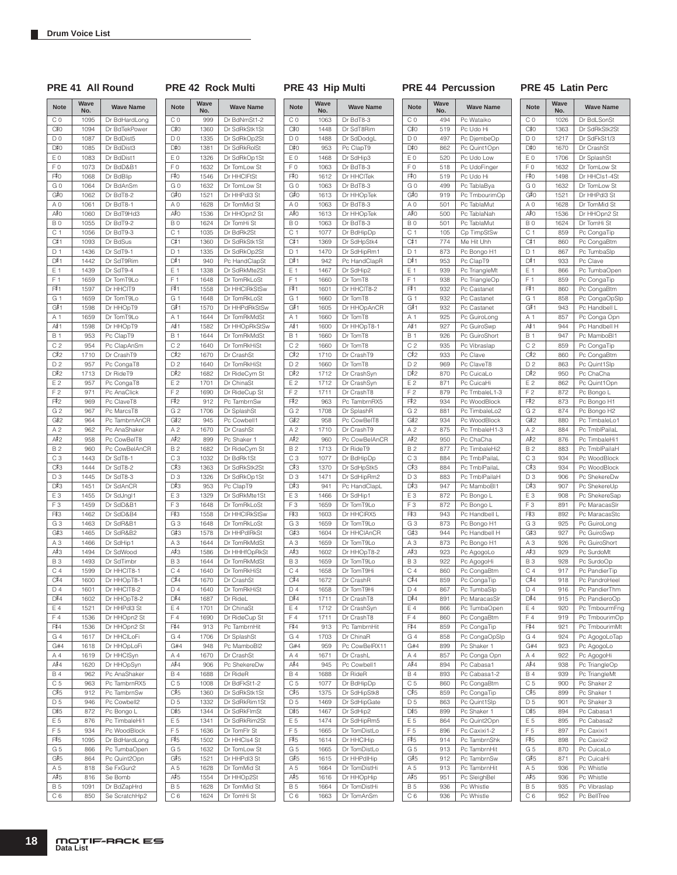# $M<sub>2</sub>$ <sub>Wave</sub>

**PRE 41 All Round PRE 42 Rock Multi PRE 43 Hip Multi PRE 44 Percussion PRE 45 Latin Perc**

|                       | Wave         |                              |        |
|-----------------------|--------------|------------------------------|--------|
| <b>Note</b>           | No.          | <b>Wave Name</b>             | N      |
| C <sub>0</sub>        | 1095         | Dr BdHardLong                | C      |
| C‡0                   | 1094         | Dr BdTekPower                | C      |
| D <sub>0</sub>        | 1087         | Dr BdDist5                   | D      |
| D#0                   | 1085         | Dr BdDist3                   | D      |
| E <sub>0</sub>        | 1083         | Dr BdDist1                   | Е      |
| F <sub>0</sub>        | 1073         | Dr BdD&B1                    | F      |
| F#0                   | 1068         | Dr BdBlip                    | Fi     |
| G <sub>0</sub>        | 1064         | Dr BdAnSm                    | G      |
| G#0<br>A <sub>0</sub> | 1062         | Dr BdT8-2<br>Dr BdT8-1       | G<br>Α |
| A#0                   | 1061<br>1060 | Dr BdT9Hd3                   | Аł     |
| B <sub>0</sub>        | 1055         | Dr BdT9-2                    | B      |
| C 1                   | 1056         | Dr BdT9-3                    | C      |
| C#1                   | 1093         | Dr BdSus                     | C      |
| D <sub>1</sub>        | 1436         | Dr SdT9-1                    | D      |
| D#1                   | 1442         | Dr SdT9Rim                   | D      |
| E 1                   | 1439         | Dr SdT9-4                    | Е      |
| F <sub>1</sub>        | 1659         | Dr TomT9Lo                   | F      |
| F#1                   | 1597         | Dr HHCIT9                    | Fį     |
| G 1                   | 1659         | Dr TomT9Lo                   | G      |
| G#1                   | 1598         | Dr HHOpT9                    | G      |
| A <sub>1</sub>        | 1659         | Dr TomT9Lo                   | Α      |
| A#1                   | 1598         | Dr HHOpT9                    | Аł     |
| <b>B</b> 1            | 953          | Pc ClapT9                    | В      |
| C <sub>2</sub>        | 954          | Pc ClapAnSm                  | C      |
| C#2                   | 1710         | Dr CrashT9                   | C      |
| D <sub>2</sub>        | 957          | Pc CongaT8                   | D      |
| D#2                   | 1713         | Dr RideT9                    | D      |
| E 2                   | 957          | Pc CongaT8                   | Ε      |
| F <sub>2</sub>        | 971          | Pc AnaClick                  | F      |
| F#2                   | 969          | Pc ClaveT8                   | Fi     |
| G <sub>2</sub>        | 967          | Pc MarcsT8                   | G      |
| G#2                   | 964          | Pc TambrnAnCR                | G      |
| A <sub>2</sub>        | 962          | Pc AnaShaker                 | Α      |
| A#2                   | 958          | Pc CowBelT8                  | Аł     |
| <b>B2</b>             | 960          | Pc CowBelAnCR                | B      |
| C <sub>3</sub>        | 1443         | Dr SdT8-1                    | C      |
| C#3                   | 1444         | Dr SdT8-2                    | C      |
| D <sub>3</sub>        | 1445         | Dr SdT8-3                    | D      |
| D#3                   | 1451         | Dr SdAnCR                    | D      |
| E <sub>3</sub>        | 1455         | Dr SdJngl1                   | Е      |
| F <sub>3</sub>        | 1459         | Dr SdD&B1                    | F      |
| F#3                   | 1462         | Dr SdD&B4                    | Fį     |
| G <sub>3</sub>        | 1463         | Dr SdR&B1                    | G      |
| G#3                   | 1465         | Dr SdR&B2                    | G      |
| A <sub>3</sub>        | 1466         | Dr SdHip1                    | Α      |
| A#3                   | 1494         | Dr SdWood                    | Ął     |
| <b>B3</b>             | 1493         | Dr SdTimbr                   | В      |
| C <sub>4</sub>        | 1599         | Dr HHCIT8-1                  | C      |
| C#4                   | 1600         | Dr HHOpT8-1                  | C      |
| D4<br>D#4             | 1601         | Dr HHCIT8-2                  | D      |
| E 4                   | 1602         | Dr HHOpT8-2                  | D      |
| F4                    | 1521         | Dr HHPdI3 St                 | Ε<br>F |
| F#4                   | 1536<br>1536 | Dr HHOpn2 St<br>Dr HHOpn2 St | Fį     |
| G4                    | 1617         | Dr HHCILoFi                  | G      |
| G#4                   | 1618         | Dr HHOpLoFi                  | G      |
| A 4                   | 1619         | Dr HHClSyn                   | Α      |
| A#4                   | 1620         | Dr HHOpSyn                   | Ął     |
| <b>B4</b>             | 962          | Pc AnaShaker                 | B      |
| C <sub>5</sub>        | 963          | Pc TambrnRX5                 | C      |
| C#5                   | 912          | Pc TambrnSw                  | C      |
| D <sub>5</sub>        | 946          | Pc Cowbell2                  | D      |
| D#5                   | 872          | Pc Bongo L                   | D      |
| E 5                   | 876          | Pc TimbaleHi1                | Е      |
| F <sub>5</sub>        | 934          | Pc WoodBlock                 | F      |
| F#5                   | 1095         | Dr BdHardLong                | Fi     |
| G <sub>5</sub>        | 866          | Pc TumbaOpen                 | G      |
| G#5                   | 864          | Pc Quint2Opn                 | G      |
| A 5                   | 818          | Se FxGun2                    | Α      |
| A#5                   | 816          | Se Bomb                      | Ął     |
| <b>B5</b>             | 1091         | Dr BdZapHrd                  | В      |

| <b>Note</b>    | Wave<br>No. | <b>Wave Name</b> |
|----------------|-------------|------------------|
| СO             | 999         | Dr BdNmSt1-2     |
| C#0            | 1360        | Dr SdRkStk1St    |
| DO             | 1335        | Dr SdRkOp2St     |
| D#0            | 1381        | Dr SdRkRolSt     |
| ΕO             | 1326        | Dr SdRkOp1St     |
| F <sub>0</sub> | 1632        | Dr TomLow St     |
| F≢O            | 1546        | Dr HHCIFtSt      |
| G 0            | 1632        | Dr TomLow St     |
|                |             |                  |
| G#0            | 1521        | Dr HHPdI3 St     |
| ΑO             | 1628        | Dr TomMid St     |
| A#O            | 1536        | Dr HHOpn2 St     |
| BO             | 1624        | Dr TomHi St      |
| C 1            | 1035        | Dr BdRk2St       |
| C#1            | 1360        | Dr SdRkStk1St    |
| D <sub>1</sub> | 1335        | Dr SdRkOp2St     |
| D#1            | 940         | Pc HandClapSt    |
| Ε1             | 1338        | Dr SdRkMte2St    |
| F<br>1         | 1648        | Dr TomRkLoSt     |
| F#1            | 1558        | Dr HHCIRkStSw    |
| G 1            | 1648        | Dr TomRkLoSt     |
| G#1            | 1570        | Dr HHPdRkStSw    |
| Α1             | 1644        | Dr TomRkMdSt     |
| A# 1           | 1582        | Dr HHOpRkStSw    |
| B 1            | 1644        | Dr TomRkMdSt     |
| C <sub>2</sub> | 1640        | Dr TomRkHiSt     |
| C#2            | 1670        |                  |
|                |             | Dr CrashSt       |
| D2             | 1640        | Dr TomRkHiSt     |
| D#2            | 1682        | Dr RideCym St    |
| Ε2             | 1701        | Dr ChinaSt       |
| F <sub>2</sub> | 1690        | Dr RideCup St    |
| F‡2            | 912         | Pc TambrnSw      |
| G <sub>2</sub> | 1706        | Dr SplashSt      |
| G#2            | 945         | Pc Cowbell1      |
| A 2            | 1670        | Dr CrashSt       |
| A#2            | 899         | Pc Shaker 1      |
| <b>B2</b>      | 1682        | Dr RideCym St    |
| CЗ             | 1032        | Dr BdRk1St       |
| C#3            | 1363        | Dr SdRkStk2St    |
|                |             |                  |
| D <sub>3</sub> | 1326        | Dr SdRkOp1St     |
| D#3            | 953         | Pc ClapT9        |
| EЗ             | 1329        | Dr SdRkMte1St    |
| F 3            | 1648        | Dr TomRkLoSt     |
| F#3            | 1558        | Dr HHCIRkStSw    |
| GЗ             | 1648        | Dr TomRkLoSt     |
| G#3            | 1578        | Dr HHPdIRkSt     |
| A <sub>3</sub> | 1644        | Dr TomRkMdSt     |
| А#З            | 1586        | Dr HHHfOpRkSt    |
| <b>B3</b>      | 1644        | Dr TomRkMdSt     |
| C4             | 1640        | Dr TomRkHiSt     |
| C#4            | 1670        | Dr CrashSt       |
| D <sub>4</sub> | 1640        | Dr TomRkHiSt     |
| D#4            | 1687        | Dr RideL         |
| Ε4             | 1701        | Dr ChinaSt       |
| F4             |             |                  |
|                | 1690        | Dr RideCup St    |
| F‡4            | 913         | Pc TambrnHit     |
| G4             | 1706        | Dr SplashSt      |
| G#4            | 948         | Pc MamboBI2      |
| Α4             | 1670        | Dr CrashSt       |
| A#4            | 906         | Pc ShekereDw     |
| <b>B</b> 4     | 1688        | Dr RideR         |
| C 5            | 1008        | Dr BdFkSt1-2     |
| C#5            | 1360        | Dr SdRkStk1St    |
| D <sub>5</sub> | 1332        | Dr SdRkRim1St    |
| D#5            | 1344        | Dr SdRkFlmSt     |
| Ε5             | 1341        | Dr SdRkRim2St    |
|                |             |                  |
| F <sub>5</sub> | 1636        | Dr TomFlr St     |
| F#5            | 1502        | Dr HHCls4 St     |
| G 5            | 1632        | Dr TomLow St     |
|                | 1521        | Dr HHPdI3 St     |
|                |             | Dr TomMid St     |
| G#5<br>A 5     | 1628        |                  |
| A#5            | 1554        | Dr HHOp2St       |
| <b>B5</b>      | 1628        | Dr TomMid St     |

| <b>Note</b>    | No.  | <b>Wave Name</b> |
|----------------|------|------------------|
| C <sub>0</sub> | 1063 | Dr BdT8-3        |
| C‡0            | 1448 | Dr SdT8Rim       |
| D0             | 1488 | Dr SdDodgL       |
| D#0            | 953  | Pc ClapT9        |
| ΕO             | 1468 | Dr SdHip3        |
| F <sub>0</sub> | 1063 | Dr BdT8-3        |
| F#0            | 1612 | Dr HHCITek       |
| G 0            | 1063 | Dr BdT8-3        |
| G#0            | 1613 | Dr HHOpTek       |
| A O            | 1063 | Dr BdT8-3        |
| A#O            |      |                  |
|                | 1613 | Dr HHOpTek       |
| ΒO             | 1063 | Dr BdT8-3        |
| C 1            | 1077 | Dr BdHipDp       |
| C#1            | 1369 | Dr SdHpStk4      |
| D 1            | 1470 | Dr SdHipRm1      |
| D‡1            | 942  | Pc HandClapR     |
| E 1            | 1467 | Dr SdHip2        |
| F <sub>1</sub> | 1660 | Dr TomT8         |
| F# 1           | 1601 | Dr HHCIT8-2      |
| G 1            | 1660 | Dr TomT8         |
| G#1            | 1605 | Dr HHOpAnCR      |
| A 1            | 1660 | Dr TomT8         |
| A#≀1           | 1600 | Dr HHOpT8-1      |
| <b>B</b> 1     | 1660 | Dr TomT8         |
| С2             | 1660 | Dr TomT8         |
| C‡2            | 1710 | Dr CrashT9       |
| D <sub>2</sub> | 1660 | Dr TomT8         |
| D#2            | 1712 | Dr CrashSyn      |
| E2             | 1712 |                  |
|                |      | Dr CrashSyn      |
| F <sub>2</sub> | 1711 | Dr CrashT8       |
| F#2            | 963  | Pc TambrnRX5     |
| G <sub>2</sub> | 1708 | Dr SplashR       |
| G#2            | 958  | Pc CowBelT8      |
| A <sub>2</sub> | 1710 | Dr CrashT9       |
| A‡2            | 960  | Pc CowBelAnCR    |
| B 2            | 1713 | Dr RideT9        |
| C <sub>3</sub> | 1077 | Dr BdHipDp       |
| C#3            | 1370 | Dr SdHpStk5      |
| DЗ             | 1471 | Dr SdHipRm2      |
| D#3            | 941  | Pc HandClapl     |
| EЗ             | 1466 | Dr SdHip1        |
| F <sub>3</sub> | 1659 | Dr TomT9Lo       |
| F#3            | 1603 | Dr HHCIRX5       |
| GЗ             | 1659 | Dr TomT9Lo       |
| G#3            | 1604 | Dr HHCIAnCR      |
| AЗ             | 1659 | Dr TomT9Lo       |
| A#3            | 1602 | Dr HHOpT8-2      |
|                | 1659 | Dr TomT9Lo       |
| B 3            |      | Dr TomT9Hi       |
| С4             | 1658 |                  |
| C#4            | 1672 | Dr CrashR        |
| D4             | 1658 | Dr TomT9Hi       |
| D#4            | 1711 | Dr CrashT8       |
| Ε4             | 1712 | Dr CrashSyn      |
| F4             | 1711 | Dr CrashT8       |
| F#4            | 913  | Pc TambrnHit     |
| G 4            | 1703 | Dr ChinaR        |
| G#4            | 959  | Pc CowBelRX11    |
| A 4            | 1671 | Dr CrashL        |
| A#4            | 945  | Pc Cowbell1      |
| <b>B4</b>      | 1688 | Dr RideR         |
| C <sub>5</sub> | 1077 | Dr BdHipDp       |
| C‡5            | 1375 | Dr SdHipStk8     |
| D <sub>5</sub> | 1469 | Dr SdHipGate     |
| D#5            | 1467 | Dr SdHip2        |
| Ε5             | 1474 | Dr SdHipRm5      |
| F <sub>5</sub> |      | Dr TomDistLo     |
|                | 1665 |                  |
| F#5            | 1614 | Dr HHClHip       |
| G 5            | 1665 | Dr TomDistLo     |
| G#5            | 1615 | Dr HHPdlHip      |
| A 5            | 1664 | Dr TomDistHi     |
| A#5            | 1616 | Dr HHOpHip       |
| <b>B5</b>      | 1664 | Dr TomDistHi     |
| C <sub>6</sub> | 1663 | Dr TomAnSm       |
|                |      |                  |

| <b>Note</b>                 | Wave<br>No. | <b>Wave Name</b>               |
|-----------------------------|-------------|--------------------------------|
| C <sub>0</sub>              | 494         | Pc Wataiko                     |
| C#0                         | 519         | Pc Udo Hi                      |
| D <sub>0</sub>              | 497         | Pc DjembeOp                    |
| D#0                         | 862         | Pc Quint1Opn                   |
| E <sub>0</sub>              | 520         | Pc Udo Low                     |
| F <sub>0</sub>              | 518         | Pc UdoFinger                   |
| F#0                         | 519         | Pc Udo Hi                      |
| GO                          | 499         | Pc TablaBya                    |
| G#0                         | 919         | Pc TmbourimOp                  |
| A <sub>0</sub><br>A#O       | 501         | Pc TablaMut<br>Pc TablaNah     |
| B <sub>0</sub>              | 500<br>501  | Pc TablaMut                    |
| C <sub>1</sub>              | 105         | Cp TimpStSw                    |
| C#1                         | 774         | Me Hit Uhh                     |
| D <sub>1</sub>              | 873         | Pc Bongo H1                    |
| D#1                         | 953         | Pc ClapT9                      |
| Ε1                          | 939         | Pc TriangleMt                  |
| F 1                         | 938         | Pc TriangleOp                  |
| F#1                         | 932         | Pc Castanet                    |
| G 1                         | 932         | Pc Castanet                    |
| G#1                         | 932         | Pc Castanet                    |
| Α1                          | 925         | Pc GuiroLong                   |
| A#≀1                        | 927         | Pc GuiroSwp                    |
| <b>B1</b><br>C <sub>2</sub> | 926<br>935  | Pc GuiroShort<br>Pc Vibraslap  |
| C#2                         | 933         | Pc Clave                       |
| D <sub>2</sub>              | 969         | Pc ClaveT8                     |
| D#2                         | 870         | Pc CuicaLo                     |
| E2                          | 871         | Pc CuicaHi                     |
| F <sub>2</sub>              | 879         | Pc TmbaleL1-3                  |
| F#2                         | 934         | Pc WoodBlock                   |
| G <sub>2</sub>              | 881         | Pc TimbaleLo2                  |
| G#2                         | 934         | Pc WoodBlock                   |
| A <sub>2</sub>              | 875         | Pc TmbaleH1-3                  |
| A#2                         | 950         | Pc ChaCha                      |
| <b>B2</b>                   | 877         | Pc TimbaleHi2                  |
| C <sub>3</sub><br>C#3       | 884         | Pc TmblPailaL                  |
| D3                          | 884<br>883  | Pc TmblPailaL<br>Pc TmblPailaH |
| D#3                         | 947         | Pc MamboBI1                    |
| E <sub>3</sub>              | 872         | Pc Bongo L                     |
| F <sub>3</sub>              | 872         | Pc Bongo L                     |
| F#3                         | 943         | Pc Handbell L                  |
| G <sub>3</sub>              | 873         | Pc Bongo H1                    |
| G#3                         | 944         | Pc Handbell H                  |
| AЗ                          | 873         | Pc Bongo H1                    |
| A#3                         | 923         | Pc AgogoLo                     |
| <b>B3</b>                   | 922         | Pc AgogoHi                     |
| C <sub>4</sub><br>C#4       | 860<br>859  | Pc CongaBtm                    |
| D4                          | 867         | Pc CongaTip<br>Pc TumbaSlp     |
| D#4                         | 891         | Pc MaracasSIr                  |
| Ε4                          | 866         | Pc TumbaOpen                   |
| F4                          | 860         | Pc CongaBtm                    |
| F#4                         | 859         | Pc CongaTip                    |
| G 4                         | 858         | Pc CongaOpSIp                  |
| G#4                         | 899         | Pc Shaker 1                    |
| Α4                          | 857         | Pc Conga Opn                   |
| A#4                         | 894         | Pc Cabasa1                     |
| <b>B4</b>                   | 893         | Pc Cabasa1-2                   |
| C <sub>5</sub>              | 860         | Pc CongaBtm                    |
| C#5                         | 859         | Pc CongaTip                    |
| D <sub>5</sub><br>D#5       | 863<br>899  | Pc Quint1Slp<br>Pc Shaker 1    |
| E 5                         | 864         | Pc Quint2Opn                   |
| F 5                         | 896         | Pc Caxixi1-2                   |
| F#5                         | 914         | Pc TambrnShk                   |
| G <sub>5</sub>              | 913         | Pc TambrnHit                   |
| G#5                         | 912         | Pc TambrnSw                    |
| A 5                         | 913         | Pc TambrnHit                   |
| A#5                         | 951         | Pc SleighBel                   |
| <b>B5</b>                   | 936         | Pc Whistle                     |
| C 6                         | 936         | Pc Whistle                     |

#### **Note Wave No. Wave Name** C 0 1026 Dr BdLSonSt  $C_{0}^{\frac{1}{2}}O$ 1363 Dr SdRkStk2St D 0 1217 Dr SdEkSt1/3  $D_{\tau}^{\sharp}0$ 1670 Dr CrashSt E 0 1706 Dr SplashSt F 0 1632 Dr TomLow St  $F#0$ 1498 Dr HHCls1-4St G 0 | 1632 Dr TomLow St  $G#O$ 1521 Dr HHPdl3 St A 0 1628 Dr TomMid St  $A#O$ 1536 Dr HHOpn2 St B 0 1624 Dr TomHi St C 1 859 Pc CongaTip  $C_{1}^{\frac{1}{2}}1$ 860 Pc CongaBtm D 1 867 Pc TumbaSlp  $\overline{D^{\frac{1}{2}}1}$ 933 | Pc Clave E 1 | 866 | Pc TumbaOpen F 1 859 Pc CongaTip F#1 860 Pc CongaBtm G 1 858 Pc CongaOpSlp  $G#1$ 943 Pc Handbell L A 1 857 Pc Conga Opn<br>A#1 944 Pc Handbell H  $A#1$ Pc Handbell H B 1 947 Pc MamboBl1 C 2 859 Pc CongaTip  $C#2$ 860 Pc CongaBtm D 2 863 Pc Quint1Slp  $D_1^2$ 950 | Pc ChaCha E 2 862 Pc Quint1Opn F 2 872 Pc Bongo L  $F12$ 873 Pc Bongo H1 G 2 874 Pc Bongo H2  $G#2$ 880 Pc TimbaleLo1 A 2 884 Pc TmblPailaL  $A#2$ 876 | Pc TimbaleHi1 B 2 883 Pc TmblPailaH C 3 934 Pc WoodBlock  $C<sup>\frac{1}{2}</sup>3$ 934 Pc WoodBlock D 3 906 Pc ShekereDw  $D#3$ 907 Pc ShekereUp E 3 908 Pc ShekereSap<br>F 3 891 Pc MaracasSlr 891 Pc MaracasSlr  $F#3$ 892 Pc MaracasStc G 3 925 Pc GuiroLong  $G#3$ 927 Pc GuiroSwp A 3 926 Pc GuiroShort<br>A #3 929 Pc SurdoMt  $A#3$ Pc SurdoMt B 3 928 Pc SurdoOp C 4 917 Pc PandierTip  $\frac{C}{D}$ 4 918 Pc PandroHeel 916 Pc PandierThm  $D_1^{\frac{1}{2}}4$ 915 Pc PandieroOp E 4 920 Pc TmbourmFng F 4 919 Pc TmbourimOp  $\frac{F#4}{G4}$ 921 Pc TmbourimMt 924 | Pc AgogoLoTap G#4 923 Pc AgogoLo A 4 922 Pc AgogoHi  $\frac{A#4}{B4}$ 938 Pc TriangleOp 939 Pc TriangleMt C 5 | 900 | Pc Shaker 2  $C_{\rm 55}$ 899 | Pc Shaker 1 D 5 901 Pc Shaker 3  $D#5$ 894 Pc Cabasa1 E 5 895 Pc Cabasa2 F 5 897 Pc Caxixi1  $F\overline{5}$ 898 Pc Caxixi2 G 5 870 Pc CuicaLo  $G#5$ 871 Pc CuicaHi A 5 936 Pc Whistle  $A#5$ 936 Pc Whistle B 5 935 Pc Vibraslap

C 6 952 Pc BellTree

C 6 | 850 | Se ScratchHp2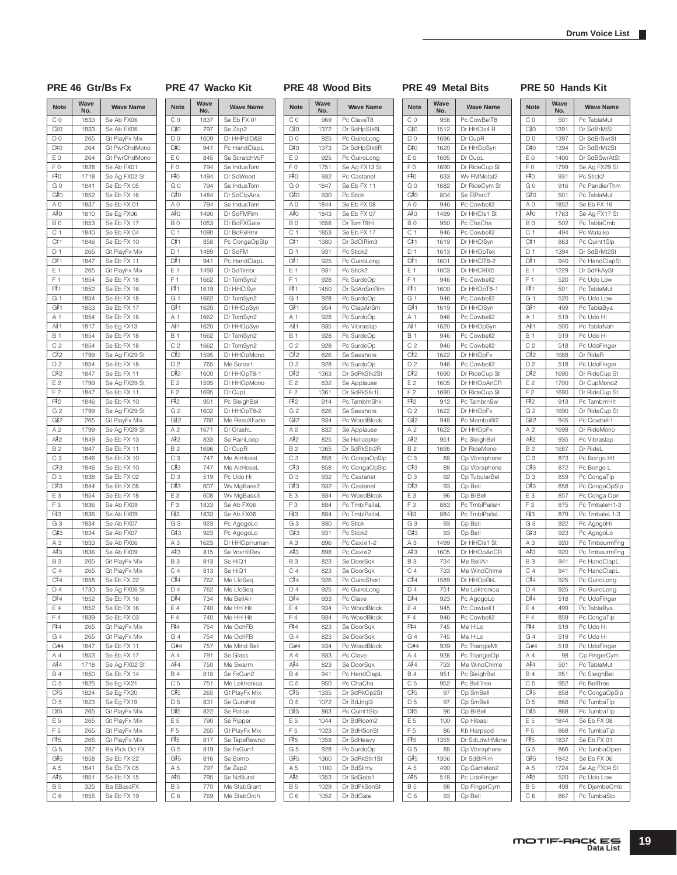### **PRE 46 Gtr/Bs Fx PRE 47 Wacko Kit PRE 48 Wood Bits PRE 49 Metal Bits PRE 50 Hands Kit**

| <b>Note</b>    | Wave<br>No. | <b>Wave Name</b> |
|----------------|-------------|------------------|
| CO             | 1833        | Se Ab FX06       |
| C#0            | 1833        | Se Ab FX06       |
| D <sub>0</sub> | 265         | Gt PlayFx Mix    |
| D#0            | 264         | Gt PwrChdMono    |
| E <sub>0</sub> | 264         | Gt PwrChdMono    |
| F <sub>0</sub> | 1828        | Se Ab FX01       |
| F#0            | 1718        | Se Ag FX02 St    |
| G 0            | 1841        | Se Eb FX 05      |
| G#0            | 1852        | Se Eb FX 16      |
| A <sub>0</sub> | 1837        | Se Eb FX 01      |
| A≢o            | 1810        | Se Eg FX06       |
| B <sub>0</sub> | 1853        | Se Eb FX 17      |
| C <sub>1</sub> | 1840        | Se Eb FX 04      |
| C#1            | 1846        | Se Eb FX 10      |
| D <sub>1</sub> | 265         | Gt PlayFx Mix    |
| D#1            | 1847        | Se Eb FX 11      |
| E 1            | 265         | Gt PlayFx Mix    |
| F <sub>1</sub> | 1854        | Se Eb FX 18      |
| F#1            | 1852        | Se Eb FX 16      |
| G 1            | 1854        | Se Eb FX 18      |
| G#1            | 1853        | Se Eb FX 17      |
| A 1            | 1854        | Se Eb FX 18      |
| A‡1            | 1817        | Se Eg FX13       |
| <b>B</b> 1     | 1854        | Se Eb FX 18      |
| C 2            | 1854        | Se Eb FX 18      |
| C#2            | 1799        | Se Ag FX29 St    |
| D <sub>2</sub> | 1854        | Se Eb FX 18      |
| D#2            | 1847        | Se Eb FX 11      |
| E2             | 1799        | Se Ag FX29 St    |
| F <sub>2</sub> | 1847        | Se Eb FX 11      |
| F#2            | 1846        | Se Eb FX 10      |
| G <sub>2</sub> | 1799        | Se Ag FX29 St    |
| G#2            | 265         | Gt PlayFx Mix    |
| A <sub>2</sub> | 1799        | Se Ag FX29 St    |
| A‡2            |             |                  |
|                | 1849        | Se Eb FX 13      |
| <b>B2</b>      | 1847        | Se Eb FX 11      |
| CЗ             | 1846        | Se Eb FX 10      |
| C#3            | 1846        | Se Eb FX 10      |
| D <sub>3</sub> | 1838        | Se Eb FX 02      |
| D#3            | 1844        | Se Eb FX 08      |
| E <sub>3</sub> | 1854        | Se Eb FX 18      |
| F <sub>3</sub> | 1836        | Se Ab FX09       |
| F#3            | 1836        | Se Ab FX09       |
| G <sub>3</sub> | 1834        | Se Ab FX07       |
| G#3            | 1834        | Se Ab FX07       |
| A <sub>3</sub> | 1833        | Se Ab FX06       |
| A#3            | 1836        | Se Ab FX09       |
| <b>B3</b>      | 265         | Gt PlayFx Mix    |
| С4             | 265         | Gt PlayFx Mix    |
| C#4            | 1858        | Se Eb FX 22      |
| D 4            | 1730        | Se Ag FXU6 St    |
| D#4            | 1852        | Se Eb FX 16      |
| Ε4             | 1852        | Se Eb FX 16      |
| F4             | 1839        | Se Eb FX 03      |
| F#4            | 265         | Gt PlayFx Mix    |
| G4             | 265         | Gt PlayFx Mix    |
| G#4            | 1847        | Se Eb FX 11      |
| Α4             | 1853        | Se Eb FX 17      |
| A#4            | 1718        | Se Ag FX02 St    |
| <b>B4</b>      | 1850        | Se Eb FX 14      |
| C 5            | 1825        | Se Eg FX21       |
| C#5            | 1824        | Se Eg FX20       |
| D <sub>5</sub> | 1823        | Se Eg FX19       |
| D#5            | 265         | Gt PlayFx Mix    |
| E 5            | 265         | Gt PlayFx Mix    |
| F <sub>5</sub> | 265         | Gt PlayFx Mix    |
| F#5            | 265         | Gt PlayFx Mix    |
| G 5            | 287         | Ba Pick Dd FX    |
| G#5            | 1858        | Se Eb FX 22      |
| A <sub>5</sub> | 1841        | Se Eb FX 05      |
| A#5            | 1851        | Se Eb FX 15      |
| <b>B5</b>      | 325         | Ba EBassFX       |
| C 6            | 1855        | Se Eb FX 19      |
|                |             |                  |

| <b>Note</b>      | Wave<br>No. | <b>Wave Name</b> |
|------------------|-------------|------------------|
| C <sub>0</sub>   | 1837        | Se Eb FX 01      |
| C#0              | 797         | Se Zap2          |
| D <sub>0</sub>   | 1609        | Dr HHPdID&B      |
| D#0              | 941         | Pc HandClapL     |
| E <sub>0</sub>   | 845         | Se ScratchVoF    |
| F <sub>0</sub>   | 794         | Se IndusTom      |
| F#0              | 1494        | Dr SdWood        |
| G <sub>0</sub>   | 794         | Se IndusTom      |
| G#0              | 1484        | Dr SdClpAna      |
| A <sub>0</sub>   | 794         | Se IndusTom      |
| A#O              | 1490        | Dr SdFMRim       |
| B <sub>0</sub>   | 1053        | Dr BdFXGate      |
| C <sub>1</sub>   |             |                  |
| C#1              | 1090        | Dr BdFxHmr       |
|                  | 858         | Pc CongaOpSlp    |
| D <sub>1</sub>   | 1489        | Dr SdFM          |
| D#1              | 941         | Pc HandClapL     |
| E 1              | 1493        | Dr SdTimbr       |
| F <sub>1</sub>   | 1662        | Dr TomSyn2       |
| F#1              | 1619        | Dr HHClSyn       |
| G <sub>1</sub>   | 1662        | Dr TomSyn2       |
| G#1              | 1620        | Dr HHOpSyn       |
| A <sub>1</sub>   | 1662        | Dr TomSyn2       |
| A#1              | 1620        | Dr HHOpSyn       |
| B 1              | 1662        | Dr TomSyn2       |
| C <sub>2</sub>   | 1662        | Dr TomSyn2       |
| C#2              | 1595        |                  |
|                  |             | Dr HHOpMono      |
| D <sub>2</sub>   | 765         | Me Sonar1        |
| D#2              | 1600        | Dr HHOpT8-1      |
| E <sub>2</sub>   | 1595        | Dr HHOpMono      |
| F <sub>2</sub>   | 1695        | Dr CupL          |
| F#2              | 951         | Pc SleighBel     |
| G <sub>2</sub>   | 1602        | Dr HHOpT8-2      |
| G#2              | 760         | Me ResoXFade     |
| A <sub>2</sub>   | 1671        | Dr CrashL        |
| A#2              | 833         | Se RainLoop      |
| <b>B2</b>        | 1696        | Dr CupR          |
| C <sub>3</sub>   | 747         | Me AirHoseL      |
| C#3              | 747         | Me AirHoseL      |
| D3               | 519         | Pc Udo Hi        |
| D#3              | 607         | Wv MgBass2       |
| E <sub>3</sub>   | 608         |                  |
|                  |             | Wv MgBass3       |
| F <sub>3</sub>   | 1833        | Se Ab FX06       |
| F#3              | 1833        | Se Ab FX06       |
| G <sub>3</sub>   | 923         | Pc AgogoLo       |
| G#3              | 923         | Pc AgogoLo       |
| A <sub>3</sub>   | 1623        | Dr HHOpHuman     |
| A#3              | 815         | Se VoxHitRev     |
| <b>B3</b>        | 813         | Se HiQ1          |
| C <sub>4</sub>   | 813         | Se HiQ1          |
| C#4              | 762         | Me LfoSeq        |
| D <sub>4</sub>   | 762         | Me LfoSeg        |
| D#4              | 734         | Me BellAir       |
| E 4              | 740         | Me HH Hit        |
| F4               | 740         | Me HH Hit        |
| F#4              | 754         | Me OohFB         |
| G 4              | 754         | Me OohFB         |
| G#4              | 757         | Me Mind Bell     |
| A 4              | 791         |                  |
|                  |             | Se Glass         |
| A#4              | 750         | Me Swarm         |
| <b>B4</b>        | 818         | Se FxGun2        |
| C <sub>5</sub>   | 751         | Me Lektronica    |
| C#5              | 265         | Gt PlayFx Mix    |
| D 5              | 831         | Se Gunshot       |
| D#5              | 822         | Se Police        |
| E <sub>5</sub>   | 790         | Se Ripper        |
| F <sub>5</sub>   | 265         | Gt PlayFx Mix    |
| F#5              | 817         | Se TapeRewnd     |
| G <sub>5</sub>   | 819         | Se FxGun1        |
| G#5              | 816         | Se Bomb          |
| A 5              | 797         | Se Zap2          |
| A#5              | 795         | Se NzBurst       |
|                  | 770         |                  |
|                  |             | Me StabGiant     |
| <b>B5</b><br>C 6 | 769         | Me StabOrch      |

| <b>Note</b>        | Wave<br>No. | <b>Wave Name</b> |
|--------------------|-------------|------------------|
| C <sub>0</sub>     | 969         | Pc ClaveT8       |
| C#0                | 1372        | Dr SdHpStk6L     |
|                    |             |                  |
| D <sub>0</sub>     | 925         | Pc GuiroLong     |
| D#0                | 1373        | Dr SdHpStk6R     |
| ΕO                 | 925         | Pc GuiroLong     |
| F <sub>0</sub>     | 1751        | Se Ag FX13 St    |
| F#0                | 932         | Pc Castanet      |
| G 0                | 1847        | Se Eb FX 11      |
| G#0                | 930         | Pc Stick         |
| A <sub>0</sub>     | 1844        | Se Eb FX 08      |
| A#0                | 1843        | Se Eb FX 07      |
|                    |             |                  |
| B <sub>0</sub>     | 1658        | Dr TomT9Hi       |
| C <sub>1</sub>     | 1853        | Se Eb FX 17      |
| C#1                | 1380        | Dr SdClRim3      |
| D 1                | 931         | Pc Stick2        |
| D#1                | 925         | Pc GuiroLong     |
| E 1                | 931         | Pc Stick2        |
| F <sub>1</sub>     |             |                  |
|                    | 928         | Pc SurdoOp       |
| F#1                | 1450        | Dr SdAnSmRim     |
| G <sub>1</sub>     | 928         | Pc SurdoOp       |
| G#1                | 954         | Pc ClapAnSm      |
| A 1                | 928         | Pc SurdoOp       |
| A#1                | 935         | Pc Vibraslap     |
|                    |             |                  |
| <b>B</b> 1         | 928         | Pc SurdoOp       |
| C <sub>2</sub>     | 928         | Pc SurdoOp       |
| C#2                | 826         | Se Seashore      |
| D <sub>2</sub>     | 928         | Pc SurdoOp       |
| D#2                | 1363        | Dr SdRkStk2St    |
| E2                 | 832         | Se Applause      |
| F <sub>2</sub>     |             |                  |
|                    | 1361        | Dr SdRkStk1L     |
| F#2                | 914         | Pc TambrnShk     |
| G <sub>2</sub>     | 826         | Se Seashore      |
| G#2                | 934         | Pc WoodBlock     |
| A <sub>2</sub>     | 832         | Se Applause      |
| A#2                | 825         | Se Helicopter    |
| <b>B2</b>          | 1365        | Dr SdRkStk2R     |
|                    |             |                  |
| C <sub>3</sub>     | 858         | Pc CongaOpSlp    |
| C#3                | 858         | Pc CongaOpSIp    |
| D <sub>3</sub>     | 932         | Pc Castanet      |
| D#3                | 932         | Pc Castanet      |
| E <sub>3</sub>     | 934         | Pc WoodBlock     |
| .<br>F 3           | 884         | Pc TmblPailaL    |
| F#3                | 884         | Pc TmblPailaL    |
|                    |             |                  |
| G <sub>3</sub>     | 930         | Pc Stick         |
| G#3                | 931         | Pc Stick2        |
| A <sub>3</sub>     | 896         | Pc Caxixi1-2     |
| А#З                | 898         | Pc Caxixi2       |
| <b>B3</b>          | 823         | Se DoorSqk       |
| C <sub>4</sub>     | 823         | Se DoorSqk       |
| C#4                |             | Pc GuiroShort    |
|                    | 926         |                  |
| D <sub>4</sub>     | 925         | Pc GuiroLong     |
| D#4                | 933         | Pc Clave         |
| Ε4                 | 934         | Pc WoodBlock     |
| F <sub>4</sub>     | 934         | Pc WoodBlock     |
| F#4                | 823         | Se DoorSqk       |
| G4                 | 823         | Se DoorSqk       |
| G#4                | 934         | Pc WoodBlock     |
|                    |             |                  |
| A 4                | 933         | Pc Clave         |
| $A^{\frac{1}{2}}A$ | 823         | Se DoorSqk       |
| <b>B4</b>          | 941         | Pc HandClapL     |
| C <sub>5</sub>     | 950         | Pc ChaCha        |
| C#5                | 1335        | Dr SdRkOp2St     |
| D <sub>5</sub>     | 1072        | Dr BdJngl3       |
|                    |             |                  |
| D#5                | 863         | Pc Quint1Slp     |
| E 5                | 1044        | Dr BdRoom2       |
| F <sub>5</sub>     | 1023        | Dr BdHSonSt      |
| F#5                | 1358        | Dr SdHeavy       |
| G <sub>5</sub>     | 928         | Pc SurdoOp       |
| G#5                | 1360        | Dr SdRkStk1St    |
|                    |             |                  |
| A 5                | 1100        | Dr BdSlimy       |
| A#5                | 1353        | Dr SdGate1       |
| <b>B5</b>          | 1029        | Dr BdFkSonSt     |
| C <sub>6</sub>     | 1052        | Dr BdGate        |

| <b>Note</b>           | Wave<br>No.  | <b>Wave Name</b>               |
|-----------------------|--------------|--------------------------------|
| C 0                   | 958          | Pc CowBelT8                    |
| C#0                   | 1512         | Dr HHCls4 R                    |
| D <sub>0</sub>        | 1696         | Dr CupR                        |
| D#0                   | 1620         | Dr HHOpSyn                     |
| E0                    | 1695         | Dr CupL                        |
| F <sub>0</sub><br>F‡O | 1690<br>633  | Dr RideCup St<br>Wv FMMetal2   |
| GO                    | 1682         | Dr RideCym St                  |
| G#0                   | 804          | Se ElPerc7                     |
| ΑO                    | 946          | Pc Cowbell2                    |
| A#O                   | 1499         | Dr HHCls1 St                   |
| B <sub>0</sub>        | 950          | Pc ChaCha                      |
| C 1                   | 946          | Pc Cowbell2                    |
| C#1                   | 1619         | Dr HHClSyn                     |
| D 1                   | 1613         | Dr HHOpTek                     |
| D#1                   | 1601         | Dr HHCIT8-2                    |
| Ε1                    | 1603         | Dr HHCIRX5                     |
| F<br>1<br>F#1         | 946          | Pc Cowbell2<br>Dr HHOpT8-1     |
| G 1                   | 1600<br>946  | Pc Cowbell2                    |
| G#1                   | 1619         | Dr HHClSyn                     |
| A 1                   | 946          | Pc Cowbell2                    |
| A# 1                  | 1620         | Dr HHOpSyn                     |
| B 1                   | 946          | Pc Cowbell2                    |
| C <sub>2</sub>        | 946          | Pc Cowbell2                    |
| C#2                   | 1622         | Dr HHOpFx                      |
| D <sub>2</sub>        | 946          | Pc Cowbell2                    |
| D#2                   | 1690         | Dr RideCup St                  |
| E 2                   | 1605<br>1690 | Dr HHOpAnCR                    |
| F <sub>2</sub><br>F‡2 | 912          | Dr RideCup St<br>Pc TambrnSw   |
| G <sub>2</sub>        | 1622         | Dr HHOpFx                      |
| G#2                   | 948          | Pc MamboBI2                    |
| A 2                   | 1622         | Dr HHOpFx                      |
| A#2                   | 951          | Pc SleighBel                   |
| B 2                   | 1698         | Dr RideMono                    |
| CЗ                    | 88           | Cp Vibraphone                  |
| C#3                   | 88           | Cp Vibraphone                  |
| D3                    | 92           | Cp TubularBel                  |
| D#3                   | 93           | Cp Bell                        |
| EЗ<br>F3              | 96           | Cp BrBell<br>Pc TmblPailaH     |
| F#3                   | 883<br>884   | Pc TmblPailaL                  |
| G <sub>3</sub>        | 93           | Cp Bell                        |
| G#3                   | 93           | Cp Bell                        |
| ΑЗ                    | 1499         | Dr HHCls1 St                   |
| А#З                   | 1605         | Dr HHOpAnCR                    |
| <b>B3</b>             | 734          | Me BellAir                     |
| C 4                   | 733          | Me WindChime                   |
| C#4                   | 1589         | Dr HHOpRkL                     |
| D <sub>4</sub>        | 751          | Me Lektronica                  |
| D#4                   | 923          | Pc AgogoLo                     |
| E 4<br>F4             | 945<br>946   | Pc Cowbell1<br>Pc Cowbell2     |
| F#4                   | 745          | Me HiLo                        |
| G 4                   | 745          | Me HiLo                        |
| G#4                   | 939          | Pc TriangleMt                  |
| Α4                    | 938          | Pc TriangleOp                  |
| A#4                   | 733          | Me WindChime                   |
| <b>B</b> 4            | 951          | Pc SleighBel                   |
| C <sub>5</sub>        | 952          | Pc BellTree                    |
| C#5                   | 97           | Cp SmBell                      |
| D 5                   | 97           | Cp SmBell                      |
| D#5                   | 96           | Cp BrBell                      |
| E 5                   | 100          | Cp Hibasi                      |
| F 5<br>F#5            | 86           | Kb Harpscd                     |
| G <sub>5</sub>        | 1355<br>88   | Dr SdLdwHMono<br>Cp Vibraphone |
| G#5                   | 1356         | Dr SdBrRim                     |
| A 5                   | 490          | Cp Gamelan2                    |
| A#5                   | 518          | Pc UdoFinger                   |
| <b>B5</b>             | 98           | Cp FingerCym                   |
| C 6                   | 93           | Cp Bell                        |

t

#### **Note Wave No. Wave Name** C 0 501 Pc TablaMut  $C_{0}^{\frac{1}{2}}O$ 1391 Dr SdBrMtSt D 0 1397 Dr SdBrSwrSt  $D_{0}^{\sharp}0$ 1394 Dr SdBrMt2St E 0 1400 Dr SdBSwrAtSt F 0 1799 Se Ag FX29 St  $F#0$ 931 Pc Stick2 G 0 916 Pc PandierThm  $G#O$ 501 Pc TablaMut A 0 1852 Se Eb FX 16  $A#O$ 1763 Se Ag FX17 St B 0 502 Pc TablaCmb C 1 494 Pc Wataiko<br>C 1 863 Pc Quint 1S  $C^{\frac{p}{p}}1$ Pc Quint1Slp D 1 1394 Dr SdBrMt2St  $\overline{D^2}$ 1 940 Pc HandClapSt E 1 | 1229 | Dr SdFkAySt F 1 520 Pc Udo Low F#1 501 Pc TablaMut G 1 520 Pc Udo Low  $G#1$ 499 Pc TablaBya A 1 519 Pc Udo Hi  $A#1$ 500 Pc TablaNah B 1 519 Pc Udo Hi C 2 518 Pc UdoFinger  $C_{12}$ 1688 Dr RideR D 2 518 Pc UdoFinger  $D#2$ 1690 Dr RideCup St E 2 1700 Dr CupMono2 F 2 1690 Dr RideCup St  $F12$ 913 Pc TambrnHit G 2 1690 Dr RideCup St  $G#2$ 945 Pc Cowbell1 A 2 | 1698 | Dr RideMono  $A#2$ 935 Pc Vibraslap **B 2** 1687 Dr RideL C 3 873 Pc Bongo H1  $C#3$ 872 | Pc Bongo L D 3 859 Pc CongaTip  $D#3$ 858 Pc CongaOpSlp E 3 857 Pc Conga Opn<br>F 3 875 Pc TmbaleH1-3 875 Pc TmbaleH1-3  $F*3$  $879$  Pc Tmbalel 1-3 G 3 922 Pc AgogoHi  $G#3$ 923 Pc AgogoLo A 3 920 Pc TmbourmFng<br>A#3 920 Pc TmbourmFng  $A#3$ Pc TmbourmFng B 3 941 Pc HandClapL C 4 941 Pc HandClapL  $rac{C}{D}$ 925 Pc GuiroLong 925 Pc GuiroLong  $D_1^{\frac{1}{2}}4$ 518 Pc UdoFinger E 4 499 Pc TablaBya F 4 859 Pc CongaTip  $\frac{F#4}{G4}$ 519 Pc Udo Hi 519 Pc Udo Hi G#4 518 Pc UdoFinger A 4 98 Cp FingerCym  $\frac{A#4}{B4}$ 501 Pc TablaMut 951 Pc SleighBel C 5 952 Pc BellTree  $C\overline{5}5$ 858 Pc CongaOpSlp D 5 868 Pc TumbaTip  $D#5$ 868 Pc TumbaTip E 5 1844 Se Eb FX 08 F 5 868 Pc TumbaTip  $F\overline{5}$ 1837 Se Eb FX 01 G 5 866 Pc TumbaOpen  $G#5$ 1842 Se Eb FX 06 A 5 | 1724 | Se Ag FX04 St

520 | Pc Udo Low B 5 498 Pc DjembeCmb C 6 867 Pc TumbaSlp

 $A#5$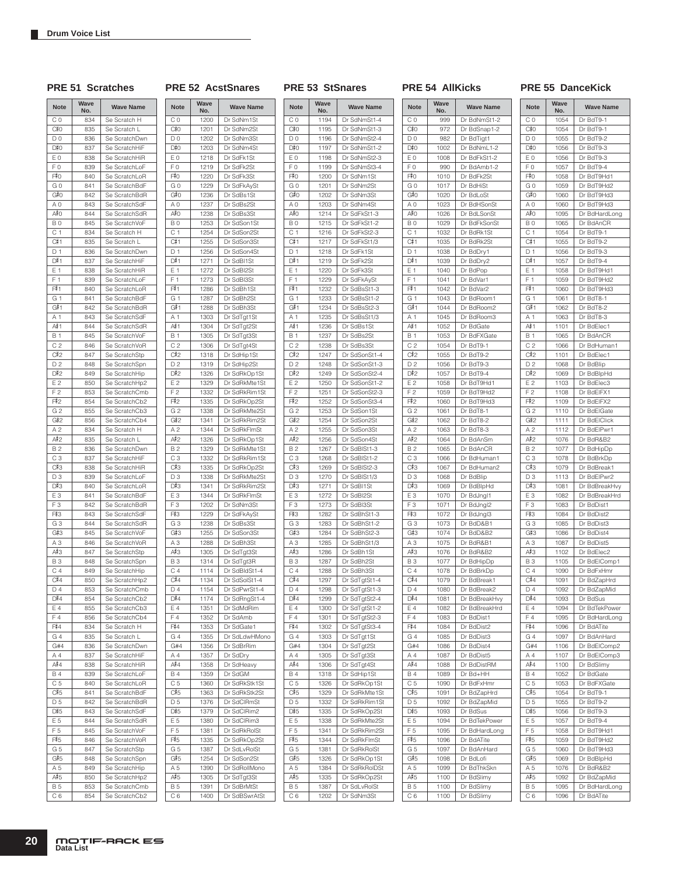### **PRE 51 Scratches PRE 52 AcstSnares PRE 53 StSnares PRE 54 AllKicks PRE 55 DanceKick**

| <b>Note</b>           | Wave<br>No. | <b>Wave Name</b>              | <b>Note</b>           | Wave<br>No.  | <b>Wave Name</b>               |
|-----------------------|-------------|-------------------------------|-----------------------|--------------|--------------------------------|
| C 0                   | 834         | Se Scratch H                  | CΟ                    | 1200         | Dr SdNm1St                     |
| C#0                   | 835         | Se Scratch L                  | C#0                   | 1201         | Dr SdNm2St                     |
| D <sub>0</sub>        | 836         | Se ScratchDwn                 | D <sub>0</sub>        | 1202         | Dr SdNm3St                     |
| D#0                   | 837         | Se ScratchHiF                 | D#0                   | 1203         | Dr SdNm4St                     |
| E <sub>0</sub>        | 838         | Se ScratchHiR                 | ΕO                    | 1218         | Dr SdFk1St                     |
| F <sub>0</sub>        | 839         | Se ScratchLoF                 | F <sub>0</sub>        | 1219         | Dr SdFk2St                     |
| F#0                   | 840         | Se ScratchLoR                 | F#0                   | 1220         | Dr SdFk3St                     |
| G <sub>0</sub>        | 841         | Se ScratchBdF                 | GO                    | 1229         | Dr SdFkAySt                    |
| G#0                   | 842         | Se ScratchBdR                 | G#0                   | 1236         | Dr SdBs1St                     |
| ΑO                    | 843         | Se ScratchSdF                 | A 0                   | 1237         | Dr SdBs2St                     |
| A#0                   | 844         | Se ScratchSdR                 | A#O                   | 1238         | Dr SdBs3St                     |
| B <sub>0</sub>        | 845         | Se ScratchVoF                 | B <sub>0</sub>        | 1253         | Dr SdSon1St                    |
| C <sub>1</sub>        | 834         | Se Scratch H                  | C <sub>1</sub>        | 1254         | Dr SdSon2St                    |
| C#1                   | 835         | Se Scratch L                  | C#1                   | 1255         | Dr SdSon3St                    |
| D <sub>1</sub>        | 836         | Se ScratchDwn                 | D 1                   | 1256         | Dr SdSon4St                    |
| D#1                   | 837         | Se ScratchHiF                 | D#1                   | 1271         | Dr SdBI1St                     |
| E 1                   | 838         | Se ScratchHiR                 | E 1                   | 1272         | Dr SdBI2St                     |
| F <sub>1</sub>        | 839         | Se ScratchLoF                 | F <sub>1</sub>        | 1273         | Dr SdBI3St                     |
| F#1                   | 840         | Se ScratchLoR                 | F#1                   | 1286         | Dr SdBh1St                     |
| G <sub>1</sub>        | 841         | Se ScratchBdF                 | G 1                   | 1287         | Dr SdBh2St                     |
| G#1                   | 842         | Se ScratchBdR                 | G#1                   | 1288         | Dr SdBh3St                     |
| Α1                    | 843         | Se ScratchSdF                 | Α1                    | 1303         | Dr SdTgt1St                    |
| A#1                   | 844         | Se ScratchSdR                 | A#1                   | 1304         | Dr SdTgt2St                    |
| <b>B</b> 1            | 845         | Se ScratchVoF                 | <b>B</b> 1            | 1305         | Dr SdTgt3St                    |
| C <sub>2</sub>        | 846         | Se ScratchVoR                 | C <sub>2</sub>        | 1306         | Dr SdTgt4St                    |
| C#2                   | 847         | Se ScratchStp                 | C#2                   | 1318         | Dr SdHip1St                    |
| D <sub>2</sub>        | 848         | Se ScratchSpn                 | D <sub>2</sub>        | 1319         | Dr SdHip2St                    |
| D#2                   | 849         | Se ScratchHip                 | D#2                   | 1326         | Dr SdRkOp1St                   |
| E <sub>2</sub>        | 850         | Se ScratchHp2                 | E <sub>2</sub>        | 1329         | Dr SdRkMte1St                  |
| F <sub>2</sub>        | 853         | Se ScratchCmb                 | F <sub>2</sub>        | 1332         | Dr SdRkRim1St                  |
| F#2                   | 854         | Se ScratchCb2                 | F#2                   | 1335         | Dr SdRkOp2St                   |
| G <sub>2</sub><br>G#2 | 855         | Se ScratchCb3                 | G <sub>2</sub><br>G#2 | 1338<br>1341 | Dr SdRkMte2St<br>Dr SdRkRim2St |
| A <sub>2</sub>        | 856<br>834  | Se ScratchCb4<br>Se Scratch H | A <sub>2</sub>        | 1344         | Dr SdRkFlmSt                   |
| A#2                   | 835         | Se Scratch L                  | A#2                   | 1326         | Dr SdRkOp1St                   |
| <b>B2</b>             | 836         | Se ScratchDwn                 | <b>B2</b>             | 1329         | Dr SdRkMte1St                  |
| C <sub>3</sub>        | 837         | Se ScratchHiF                 | C <sub>3</sub>        | 1332         | Dr SdRkRim1St                  |
| C#3                   | 838         | Se ScratchHiR                 | C#3                   | 1335         | Dr SdRkOp2St                   |
| D3                    | 839         | Se ScratchLoF                 | D <sub>3</sub>        | 1338         | Dr SdRkMte2St                  |
| D#3                   | 840         | Se ScratchLoR                 | D#3                   | 1341         | Dr SdRkRim2St                  |
| E <sub>3</sub>        | 841         | Se ScratchBdF                 | E <sub>3</sub>        | 1344         | Dr SdRkFlmSt                   |
| F <sub>3</sub>        | 842         | Se ScratchBdR                 | F <sub>3</sub>        | 1202         | Dr SdNm3St                     |
| F#3                   | 843         | Se ScratchSdF                 | F#3                   | 1229         | Dr SdFkAySt                    |
| G <sub>3</sub>        | 844         | Se ScratchSdR                 | G <sub>3</sub>        | 1238         | Dr SdBs3St                     |
| G#3                   | 845         | Se ScratchVoF                 | G#3                   | 1255         | Dr SdSon3St                    |
| A <sub>3</sub>        | 846         | Se ScratchVoR                 | A3                    | 1288         | Dr SdBh3St                     |
| A#3                   | 847         | Se ScratchStp                 | A#3                   | 1305         | Dr SdTgt3St                    |
| <b>B3</b>             | 848         | Se ScratchSpn                 | <b>B3</b>             | 1314         | Dr SdTgt3R                     |
| C <sub>4</sub>        | 849         | Se ScratchHip                 | C 4                   | 1114         | Dr SdBldSt1-4                  |
| C#4                   | 850         | Se ScratchHp2                 | C#4                   | 1134         | Dr SdSolSt1-4                  |
| D <sub>4</sub>        | 853         | Se ScratchCmb                 | D <sub>4</sub>        | 1154         | Dr SdPwrSt1-4                  |
| D#4                   | 854         | Se ScratchCb2                 | D#4                   | 1174         | Dr SdRngSt1-4                  |
| E 4                   | 855         | Se ScratchCb3                 | E 4                   | 1351         | Dr SdMdRim                     |
| F4                    | 856         | Se ScratchCb4<br>Se Scratch H | F4                    | 1352         | Dr SdAmb<br>Dr SdGate1         |
| F#4<br>G4             | 834<br>835  | Se Scratch L                  | F#4<br>G4             | 1353<br>1355 | Dr SdLdwHMono                  |
| G#4                   | 836         | Se ScratchDwn                 | G#4                   | 1356         | Dr SdBrRim                     |
| Α4                    | 837         | Se ScratchHiF                 | A 4                   | 1357         | Dr SdDry                       |
| $A^{\frac{1}{2}}4$    | 838         | Se ScratchHiR                 | A#4                   | 1358         | Dr SdHeavy                     |
| <b>B4</b>             | 839         | Se ScratchLoF                 | <b>B4</b>             | 1359         | Dr SdGM                        |
| C 5                   | 840         | Se ScratchLoR                 | C 5                   | 1360         | Dr SdRkStk1St                  |
| C#5                   | 841         | Se ScratchBdF                 | C#5                   | 1363         | Dr SdRkStk2St                  |
| D <sub>5</sub>        | 842         | Se ScratchBdR                 | D <sub>5</sub>        | 1376         | Dr SdCIRmSt                    |
| D#5                   | 843         | Se ScratchSdF                 | D#5                   | 1379         | Dr SdClRim2                    |
| E 5                   | 844         | Se ScratchSdR                 | E 5                   | 1380         | Dr SdClRim3                    |
| F <sub>5</sub>        | 845         | Se ScratchVoF                 | F <sub>5</sub>        | 1381         | Dr SdRkRolSt                   |
| F#5                   | 846         | Se ScratchVoR                 | F#5                   | 1335         | Dr SdRkOp2St                   |
| G <sub>5</sub>        | 847         | Se ScratchStp                 | G <sub>5</sub>        | 1387         | Dr SdLvRolSt                   |
| G#5                   | 848         | Se ScratchSpn                 | G#5                   | 1254         | Dr SdSon2St                    |
| A 5                   | 849         | Se ScratchHip                 | A 5                   | 1390         | Dr SdRollMono                  |
| A#5                   | 850         | Se ScratchHp2                 | A#5                   | 1305         | Dr SdTgt3St                    |
| <b>B5</b>             | 853         | Se ScratchCmb                 | <b>B5</b>             | 1391         | Dr SdBrMtSt                    |
| C 6                   | 854         | Se ScratchCb2                 | C 6                   | 1400         | Dr SdBSwrAtSt                  |

| Vave<br>No.  | <b>Wave Name</b>              | <b>Note</b>           | Wave<br>No.  | <b>Wave Name</b>             |
|--------------|-------------------------------|-----------------------|--------------|------------------------------|
| 1200         | Dr SdNm1St                    | C <sub>0</sub>        | 1194         | Dr SdNmSt1-4                 |
| 1201         | Dr SdNm2St                    | C‡0                   | 1195         | Dr SdNmSt1-3                 |
| 1202         | Dr SdNm3St                    | D <sub>0</sub>        | 1196         | Dr SdNmSt2-4                 |
| 1203         | Dr SdNm4St                    | D#0                   | 1197         | Dr SdNmSt1-2                 |
| 1218         | Dr SdFk1St                    | E <sub>0</sub>        | 1198         | Dr SdNmSt2-3                 |
| 1219         | Dr SdFk2St                    | F <sub>0</sub>        | 1199         | Dr SdNmSt3-4                 |
| 1220         | Dr SdFk3St                    | F#0                   | 1200         | Dr SdNm1St                   |
| 1229         | Dr SdFkAySt                   | G <sub>0</sub>        | 1201         | Dr SdNm2St                   |
| 1236         | Dr SdBs1St                    | G#0                   | 1202         | Dr SdNm3St                   |
| 1237         | Dr SdBs2St                    | ΑO                    | 1203         | Dr SdNm4St                   |
| 1238         | Dr SdBs3St                    | A≢O                   | 1214         | Dr SdFkSt1-3                 |
| 1253         | Dr SdSon1St                   | B <sub>0</sub>        | 1215         | Dr SdFkSt1-2                 |
| 1254         | Dr SdSon2St                   | C <sub>1</sub>        | 1216         | Dr SdFkSt2-3                 |
| 1255         | Dr SdSon3St<br>Dr SdSon4St    | C#1                   | 1217         | Dr SdFkSt1/3                 |
| 1256<br>1271 | Dr SdBI1St                    | D <sub>1</sub><br>D#1 | 1218<br>1219 | Dr SdFk1St<br>Dr SdFk2St     |
| 1272         | Dr SdBI2St                    | E 1                   | 1220         | Dr SdFk3St                   |
| 1273         | Dr SdBI3St                    | F <sub>1</sub>        | 1229         | Dr SdFkAySt                  |
| 1286         | Dr SdBh1St                    | F#1                   | 1232         | Dr SdBsSt1-3                 |
| 1287         | Dr SdBh2St                    | G 1                   | 1233         | Dr SdBsSt1-2                 |
| 1288         | Dr SdBh3St                    | G#1                   | 1234         | Dr SdBsSt2-3                 |
| 1303         | Dr SdTgt1St                   | A 1                   | 1235         | Dr SdBsSt1/3                 |
| 1304         | Dr SdTgt2St                   | A#≀1                  | 1236         | Dr SdBs1St                   |
| 1305         | Dr SdTqt3St                   | <b>B1</b>             | 1237         | Dr SdBs2St                   |
| 1306         | Dr SdTgt4St                   | C <sub>2</sub>        | 1238         | Dr SdBs3St                   |
| 1318         | Dr SdHip1St                   | C#2                   | 1247         | Dr SdSonSt1-4                |
| 1319         | Dr SdHip2St                   | D <sub>2</sub>        | 1248         | Dr SdSonSt1-3                |
| 1326         | Dr SdRkOp1St                  | D#2                   | 1249         | Dr SdSonSt2-4                |
| 1329         | Dr SdRkMte1St                 | E <sub>2</sub>        | 1250         | Dr SdSonSt1-2                |
| 1332         | Dr SdRkRim1St                 | F 2                   | 1251         | Dr SdSonSt2-3                |
| 1335         | Dr SdRkOp2St                  | F#2                   | 1252         | Dr SdSonSt3-4                |
| 1338         | Dr SdRkMte2St                 | G <sub>2</sub>        | 1253         | Dr SdSon1St                  |
| 1341         | Dr SdRkRim2St                 | G#2                   | 1254         | Dr SdSon2St                  |
| 1344         | Dr SdRkFlmSt                  | A <sub>2</sub>        | 1255         | Dr SdSon3St                  |
| 1326         | Dr SdRkOp1St                  | A#2                   | 1256         | Dr SdSon4St                  |
| 1329         | Dr SdRkMte1St                 | <b>B2</b>             | 1267         | Dr SdBISt1-3                 |
| 1332         | Dr SdRkRim1St                 | C <sub>3</sub><br>C#3 | 1268         | Dr SdBISt1-2                 |
| 1335<br>1338 | Dr SdRkOp2St<br>Dr SdRkMte2St | D3                    | 1269<br>1270 | Dr SdBISt2-3<br>Dr SdBISt1/3 |
| 1341         | Dr SdRkRim2St                 | D#3                   | 1271         | Dr SdBI1St                   |
| 1344         | Dr SdRkFlmSt                  | E <sub>3</sub>        | 1272         | Dr SdBI2St                   |
| 1202         | Dr SdNm3St                    | F <sub>3</sub>        | 1273         | Dr SdBI3St                   |
| 1229         | Dr SdFkAySt                   | F#3                   | 1282         | Dr SdBhSt1-3                 |
| 1238         | Dr SdBs3St                    | G <sub>3</sub>        | 1283         | Dr SdBhSt1-2                 |
| 1255         | Dr SdSon3St                   | G#3                   | 1284         | Dr SdBhSt2-3                 |
| 1288         | Dr SdBh3St                    | A3                    | 1285         | Dr SdBhSt1/3                 |
| 1305         | Dr SdTgt3St                   | A#3                   | 1286         | Dr SdBh1St                   |
| 1314         | Dr SdTgt3R                    | <b>B3</b>             | 1287         | Dr SdBh2St                   |
| 1114         | Dr SdBldSt1-4                 | C <sub>4</sub>        | 1288         | Dr SdBh3St                   |
| 1134         | Dr SdSolSt1-4                 | C#4                   | 1297         | Dr SdTgtSt1-4                |
| 1154         | Dr SdPwrSt1-4                 | D <sub>4</sub>        | 1298         | Dr SdTgtSt1-3                |
| 1174         | Dr SdRngSt1-4                 | D#4                   | 1299         | Dr SdTgtSt2-4                |
| 1351         | Dr SdMdRim                    | Ε4                    | 1300         | Dr SdTgtSt1-2                |
| 1352         | Dr SdAmb                      | F4                    | 1301         | Dr SdTgtSt2-3                |
| 1353         | Dr SdGate1                    | F#4                   | 1302         | Dr SdTgtSt3-4                |
| 1355         | Dr SdLdwHMono                 | G 4                   | 1303         | Dr SdTgt1St                  |
| 1356<br>1357 | Dr SdBrRim<br>Dr SdDry        | G#4<br>A 4            | 1304<br>1305 | Dr SdTgt2St<br>Dr SdTgt3St   |
| 1358         | Dr SdHeavy                    | A#4                   | 1306         | Dr SdTgt4St                  |
| 1359         | Dr SdGM                       | <b>B4</b>             | 1318         | Dr SdHip1St                  |
| 1360         | Dr SdRkStk1St                 | C <sub>5</sub>        | 1326         | Dr SdRkOp1St                 |
| 1363         | Dr SdRkStk2St                 | C#5                   | 1329         | Dr SdRkMte1St                |
| 1376         | Dr SdCIRmSt                   | D <sub>5</sub>        | 1332         | Dr SdRkRim1St                |
| 1379         | Dr SdClRim2                   | D#5                   | 1335         | Dr SdRkOp2St                 |
| 1380         | Dr SdClRim3                   | E 5                   | 1338         | Dr SdRkMte2St                |
| 1381         | Dr SdRkRolSt                  | F <sub>5</sub>        | 1341         | Dr SdRkRim2St                |
| 1335         | Dr SdRkOp2St                  | F#5                   | 1344         | Dr SdRkFlmSt                 |
| 1387         | Dr SdLvRolSt                  | G <sub>5</sub>        | 1381         | Dr SdRkRolSt                 |
| 1254         | Dr SdSon2St                   | G#5                   | 1326         | Dr SdRkOp1St                 |
| 1390         | Dr SdRollMono                 | A 5                   | 1384         | Dr SdRkRoIDSt                |
| 1305         | Dr SdTgt3St                   | A#5                   | 1335         | Dr SdRkOp2St                 |
| 1391         | Dr SdBrMtSt                   | <b>B5</b>             | 1387         | Dr SdLvRolSt                 |
| 1400         | Dr SdBSwrAtSt                 | C 6                   | 1202         | Dr SdNm3St                   |

 $\overline{\phantom{a}}$ 

| <b>Note</b>           | Wave<br>No.  | <b>Wave Name</b>           |
|-----------------------|--------------|----------------------------|
| C <sub>0</sub>        | 999          | Dr BdNmSt1-2               |
| C#0                   | 972          | Dr BdSnap1-2               |
| D <sub>0</sub>        | 982          | Dr BdTigt1                 |
| D#0                   | 1002         | Dr BdNmL1-2                |
| E <sub>0</sub>        | 1008         | Dr BdFkSt1-2               |
| F <sub>0</sub><br>F#0 | 990<br>1010  | Dr BdAmb1-2<br>Dr BdFk2St  |
| GO                    | 1017         | Dr BdHiSt                  |
| G#O                   | 1020         | Dr BdLoSt                  |
| A <sub>0</sub>        | 1023         | Dr BdHSonSt                |
| A#O                   | 1026         | Dr BdLSonSt                |
| B <sub>0</sub>        | 1029         | Dr BdFkSonSt               |
| C <sub>1</sub>        | 1032         | Dr BdRk1St                 |
| C#1                   | 1035         | Dr BdRk2St                 |
| D <sub>1</sub>        | 1038         | Dr BdDrv1                  |
| D#1                   | 1039         | Dr BdDry2                  |
| E 1<br>F <sub>1</sub> | 1040<br>1041 | Dr BdPop<br>Dr BdVar1      |
| F#1                   | 1042         | Dr BdVar2                  |
| G 1                   | 1043         | Dr BdRoom1                 |
| G#1                   | 1044         | Dr BdRoom2                 |
| A 1                   | 1045         | Dr BdRoom3                 |
| A#≀1                  | 1052         | Dr BdGate                  |
| <b>B1</b>             | 1053         | Dr BdFXGate                |
| C <sub>2</sub>        | 1054         | Dr BdT9-1                  |
| C#2                   | 1055         | Dr BdT9-2                  |
| D <sub>2</sub>        | 1056         | Dr BdT9-3                  |
| D#2<br>E 2            | 1057         | Dr BdT9-4<br>Dr BdT9Hd1    |
| .<br>F 2              | 1058<br>1059 | Dr BdT9Hd2                 |
| F#2                   | 1060         | Dr BdT9Hd3                 |
| G <sub>2</sub>        | 1061         | Dr BdT8-1                  |
| G#2                   | 1062         | Dr BdT8-2                  |
| A <sub>2</sub>        | 1063         | Dr BdT8-3                  |
| A#2                   | 1064         | Dr BdAnSm                  |
| <b>B2</b>             | 1065         | Dr BdAnCR                  |
| C <sub>3</sub>        | 1066         | Dr BdHuman1                |
| C#3                   | 1067         | Dr BdHuman2                |
| D <sub>3</sub><br>D#3 | 1068<br>1069 | Dr BdBlip<br>Dr BdBlpHd    |
| E <sub>3</sub>        | 1070         | Dr BdJngl1                 |
| F <sub>3</sub>        | 1071         | Dr BdJngl2                 |
| F#3                   | 1072         | Dr BdJngl3                 |
| G <sub>3</sub>        | 1073         | Dr BdD&B1                  |
| G#3                   | 1074         | Dr BdD&B2                  |
| A <sub>3</sub>        | 1075         | Dr BdR&B1                  |
| A#3                   | 1076         | Dr BdR&B2                  |
| <b>B3</b>             | 1077         | Dr BdHipDp                 |
| C <sub>4</sub>        | 1078         | Dr BdBrkDp                 |
| C#4<br>D4             | 1079<br>1080 | Dr BdBreak1<br>Dr BdBreak2 |
| $\square$ #4          | 1081         | Dr BdBreakHvy              |
| E 4                   | 1082         | Dr BdBreakHrd              |
| F4                    | 1083         | Dr BdDist1                 |
| F#4                   | 1084         | Dr BdDist2                 |
| G4                    | 1085         | Dr BdDist3                 |
| G#4                   | 1086         | Dr BdDist4                 |
| A 4                   | 1087         | Dr BdDist5                 |
| A#4                   | 1088         | Dr BdDistRM                |
| <b>B4</b>             | 1089         | Dr Bd+HH                   |
| C <sub>5</sub>        | 1090         | Dr BdFxHmr                 |
| C#5                   | 1091<br>1092 | Dr BdZapHrd                |
| D <sub>5</sub><br>D#5 | 1093         | Dr BdZapMid<br>Dr BdSus    |
| E 5                   | 1094         | Dr BdTekPower              |
| F <sub>5</sub>        | 1095         | Dr BdHardLong              |
| F#5                   | 1096         | Dr BdATite                 |
| G <sub>5</sub>        | 1097         | Dr BdAnHard                |
| G#5                   | 1098         | Dr BdLofi                  |
| A 5                   | 1099         | Dr BdThkSkn                |
| A#5                   | 1100         | Dr BdSlimy                 |
| .<br>В 5              | 1100         | Dr BdSlimy                 |
| C <sub>6</sub>        | 1100         | Dr BdSlimy                 |

| <b>Note</b>                      | Wave<br>No.  | <b>Wave Name</b>            |
|----------------------------------|--------------|-----------------------------|
| C <sub>0</sub>                   | 1054         | Dr BdT9-1                   |
| C#0                              | 1054         | Dr BdT9-1                   |
| D <sub>0</sub>                   | 1055         | Dr BdT9-2                   |
| D#0                              | 1056         | Dr BdT9-3                   |
| E <sub>0</sub>                   | 1056         | Dr BdT9-3                   |
| F <sub>0</sub>                   | 1057         | Dr BdT9-4                   |
| F#0                              | 1058         | Dr BdT9Hd1                  |
| G 0                              | 1059         | Dr BdT9Hd2                  |
| G#O                              | 1060         | Dr BdT9Hd3                  |
| A <sub>0</sub>                   | 1060         | Dr BdT9Hd3                  |
| A#0                              | 1095         | Dr BdHardLong               |
| B <sub>0</sub>                   | 1065         | Dr BdAnCR                   |
| C <sub>1</sub><br>C#1            | 1054         | Dr BdT9-1                   |
| D 1                              | 1055<br>1056 | Dr BdT9-2<br>Dr BdT9-3      |
| D#1                              | 1057         | Dr BdT9-4                   |
| E 1                              | 1058         | Dr BdT9Hd1                  |
| F <sub>1</sub>                   | 1059         | Dr BdT9Hd2                  |
| F#1                              | 1060         | Dr BdT9Hd3                  |
| G 1                              | 1061         | Dr BdT8-1                   |
| G#1                              | 1062         | Dr BdT8-2                   |
| A 1                              | 1063         | Dr BdT8-3                   |
| A#1                              | 1101         | Dr BdElec1                  |
| <b>B</b> 1                       | 1065         | Dr BdAnCR                   |
| C <sub>2</sub>                   | 1066         | Dr BdHuman1                 |
| $C_{12}$                         | 1101         | Dr BdElec1                  |
| D <sub>2</sub>                   | 1068         | Dr BdBlip                   |
| D#2<br>E <sub>2</sub>            | 1069<br>1103 | Dr BdBlpHd<br>Dr BdElec3    |
| F <sub>2</sub>                   | 1108         | Dr BdEIFX1                  |
| F#2                              | 1109         | Dr BdEIFX2                  |
| G <sub>2</sub>                   | 1110         | Dr BdElGate                 |
| G#2                              | 1111         | Dr BdElClick                |
| A <sub>2</sub>                   | 1112         | Dr BdElPwr1                 |
| A#2                              | 1076         | Dr BdR&B2                   |
| <b>B2</b>                        | 1077         | Dr BdHipDp                  |
| CЗ                               | 1078         | Dr BdBrkDp                  |
| C#3                              | 1079         | Dr BdBreak1                 |
| D <sub>3</sub>                   | 1113         | Dr BdElPwr2                 |
| D#3                              | 1081         | Dr BdBreakHvy               |
| E <sub>3</sub><br>F <sub>3</sub> | 1082         | Dr BdBreakHrd<br>Dr BdDist1 |
| F#3                              | 1083<br>1084 | Dr BdDist2                  |
| G3                               | 1085         | Dr BdDist3                  |
| G#3                              | 1086         | Dr BdDist4                  |
| A <sub>3</sub>                   | 1087         | Dr BdDist5                  |
| A#3                              | 1102         | Dr BdElec2                  |
| <b>B3</b>                        | 1105         | Dr BdElComp1                |
| C <sub>4</sub>                   | 1090         | Dr BdFxHmr                  |
| C#4                              | 1091         | Dr BdZapHrd                 |
| D <sub>4</sub>                   | 1092         | Dr BdZapMid                 |
| D#4                              | 1093         | Dr BdSus                    |
| E 4                              | 1094         | Dr BdTekPower               |
| F 4<br>F#4                       | 1095<br>1096 | Dr BdHardLong<br>Dr BdATite |
| G 4                              | 1097         | Dr BdAnHard                 |
| G#4                              | 1106         | Dr BdElComp2                |
| A 4                              | 1107         | Dr BdElComp3                |
| A#4                              | 1100         | Dr BdSlimy                  |
| <b>B4</b>                        | 1052         | Dr BdGate                   |
| C 5                              | 1053         | Dr BdFXGate                 |
| C#5                              | 1054         | Dr BdT9-1                   |
| D <sub>5</sub>                   | 1055         | Dr BdT9-2                   |
| D#5                              | 1056         | Dr BdT9-3                   |
| E 5                              | 1057         | Dr BdT9-4                   |
| F <sub>5</sub><br>F#5            | 1058<br>1059 | Dr BdT9Hd1<br>Dr BdT9Hd2    |
| G 5                              | 1060         | Dr BdT9Hd3                  |
| G#5                              | 1069         | Dr BdBlpHd                  |
| $\overline{A}5$                  | 1076         | Dr BdR&B2                   |
| A#5                              | 1092         | Dr BdZapMid                 |
| <b>B5</b>                        | 1095         | Dr BdHardLong               |
| C 6                              | 1096         | Dr BdATite                  |

MOTIF-RACK ES **Data List**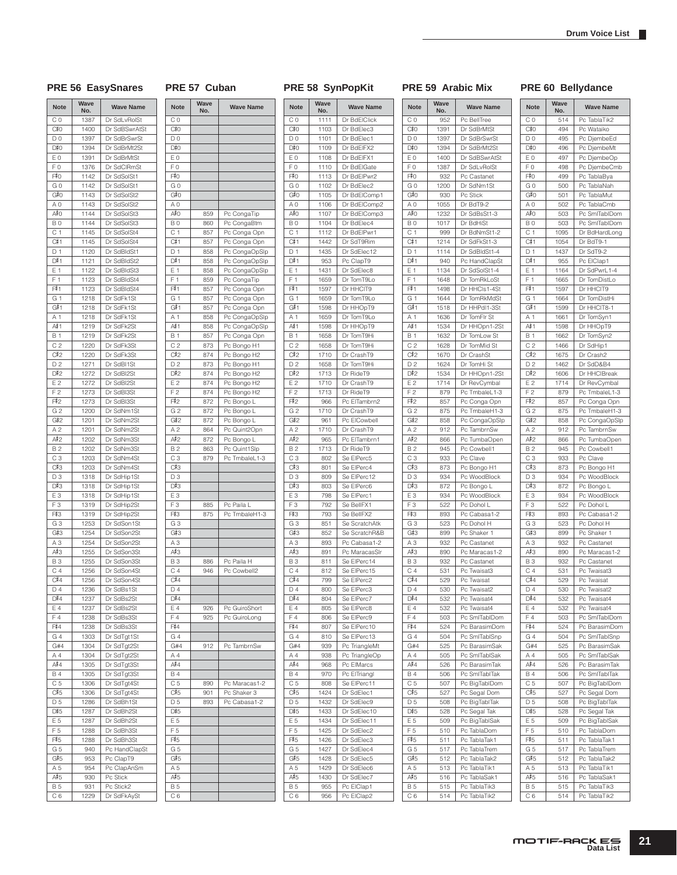#### PRE 56 EasySnares PRE 57 Cuban PRE 58 SynPopKit PRE 59 Arabic Mix PRE 60 Bellydance

# **Note Wave**

 $C<sub>0</sub>$ 

**No. Wave Name**

 $M$ <sup>No</sup>

C 0 952 Pc BellTree

1391 Dr SdBrMtSt D 0 1397 Dr SdBrSwrSt

1394 Dr SdBrMt2St<br>1400 Dr SdBSwrAtS E 0 1400 Dr SdBSwrAtSt F 0 1387 Dr SdLvRolSt

932 Pc Castanet G 0 1200 Dr SdNm1St

1232 Dr SdBsSt1-3

940 Pc HandClapSt E 1 1134 Dr SdSolSt1-4 F 1 1648 Dr TomRkLoSt

1498 Dr HHCls1-4St G 1 | 1644 Dr TomRkMdSt

1518 Dr HHPdI1-3St A 1 1636 Dr TomFlr St

1534 Dr HHOpn1-2St B 1 1632 Dr TomLow St C 2 1628 Dr TomMid St

1670 Dr CrashSt D 2 1624 Dr TomHi St

1534 Dr HHOpn1-2St E 2 1714 Dr RevCymbal F 2 879 Pc Tmbalel 1-3

857 Pc Conga Opn G 2 875 Pc TmbaleH1-3

858 Pc CongaOpSlp A 2 912 Pc TambrnSw

866 Pc TumbaOpen B 2 945 Pc Cowbell1 C 3 933 Pc Clave

873 Pc Bongo H1 D 3 934 Pc WoodBlock

872 Pc Bongo L E 3 934 Pc WoodBlock<br>F 3 522 Pc Dohol L 522 Pc Dohol L

899 Pc Shaker 1 A 3 932 Pc Castanet

890 Pc Maracas1-2 B 3 932 Pc Castanet C 4 531 Pc Twaisat3

529 Pc Twaisat D 4 530 Pc Twaisat2

532 Pc Twaisat4 E 4 532 Pc Twaisat4 F 4 503 Pc SmlTablDom

5 527 Pc Segal Dom D 5 508 Pc BigTablTak

528 Pc Segal Tak E 5 509 Pc BigTablSak F 5 510 Pc TablaDom

511 Pc TablaTak1 G 5 517 Pc TablaTrem

512 Pc TablaTak2 A 5 | 513 | Pc TablaTik1

516 Pc TablaSak1 B 515 Pc TablaTik3 C 6 514 Pc TablaTik2

G 4 504 Pc SmlTablSnp G#4 525 Pc BarasimSak A 4 505 Pc SmlTablSak

C 5 | 507 | Pc BigTablDom

G 3 523 Pc Dohol H

930 Pc Stick A 0 1055 Dr BdT9-2

**B 0 1017 Dr BdHiSt** C 1 999 Dr BdNmSt1-2<br>
C#1 1214 Dr SdFkSt1-3

D 1 1114 Dr SdBldSt1-4

**Note Wave** 

 $C#0$ 

 $D#O$ 

 $F^*$ 0

 $G#O$ 

 $A#O$ 

 $C#1$ 

 $\overline{D#1}$ 

F#1

 $G#1$ 

 $A^{\frac{1}{2}}$ 1

 $C#2$ 

 $D#2$ 

F#2

 $G#2$ 

A#2

 $C#3$ 

 $D#3$ 

 $F3$ 

 $G#3$ 

 $A#3$ 

 $C#4$ 

 $D#4$ 

 $F\frac{4}{3}4$ 

 $\frac{A}{\cancel{B}}4$ 

 $C#5$ 

 $D#5$ 

 $F5$ 

 $G#5$ 

 $A#5$ 

| ave | <b>Wave Name</b> | <b>Note</b>    | Wave | <b>Wave Name</b> |
|-----|------------------|----------------|------|------------------|
| ٧o. |                  |                | No.  |                  |
| 952 | Pc BellTree      | C <sub>0</sub> | 514  | Pc TablaTik2     |
| 391 | Dr SdBrMtSt      | C#0            | 494  | Pc Wataiko       |
| 397 | Dr SdBrSwrSt     | D <sub>0</sub> | 495  | Pc DjembeEd      |
| 394 | Dr SdBrMt2St     | D#0            | 496  | Pc DjembeMt      |
| 400 | Dr SdBSwrAtSt    | E <sub>0</sub> | 497  | Pc DjembeOp      |
| 387 |                  |                |      |                  |
|     | Dr SdLvRolSt     | F0             | 498  | Pc DjembeCmb     |
| 932 | Pc Castanet      | F#0            | 499  | Pc TablaBya      |
| 200 | Dr SdNm1St       | G 0            | 500  | Pc TablaNah      |
| 930 | Pc Stick         | G#O            | 501  | Pc TablaMut      |
| 055 | Dr BdT9-2        | ΑO             | 502  | Pc TablaCmb      |
| 232 | Dr SdBsSt1-3     | A#0            | 503  | Pc SmlTablDom    |
| 017 | Dr BdHiSt        | B <sub>0</sub> | 503  | Pc SmlTablDom    |
| 999 | Dr BdNmSt1-2     | C <sub>1</sub> | 1095 | Dr BdHardLong    |
| 214 | Dr SdFkSt1-3     | C#1            | 1054 | Dr BdT9-1        |
| 114 | Dr SdBldSt1-4    | D <sub>1</sub> | 1437 | Dr SdT9-2        |
| 940 | Pc HandClapSt    | D#1            | 955  | Pc ElClap1       |
| 134 |                  |                |      |                  |
|     | Dr SdSolSt1-4    | E 1            | 1164 | Dr SdPwrL1-4     |
| 648 | Dr TomRkLoSt     | F <sub>1</sub> | 1665 | Dr TomDistLo     |
| 498 | Dr HHCls1-4St    | F#1            | 1597 | Dr HHCIT9        |
| 644 | Dr TomRkMdSt     | G 1            | 1664 | Dr TomDistHi     |
| 518 | Dr HHPdI1-3St    | G#1            | 1599 | Dr HHCIT8-1      |
| 636 | Dr TomFlr St     | A 1            | 1661 | Dr TomSyn1       |
| 534 | Dr HHOpn1-2St    | A#1            | 1598 | Dr HHOpT9        |
| 632 | Dr TomLow St     | <b>B</b> 1     | 1662 | Dr TomSyn2       |
| 628 | Dr TomMid St     | C <sub>2</sub> | 1466 | Dr SdHip1        |
| 670 | Dr CrashSt       | C#2            | 1675 | Dr Crash2        |
|     |                  |                |      |                  |
| 624 | Dr TomHi St      | D <sub>2</sub> | 1462 | Dr SdD&B4        |
| 534 | Dr HHOpn1-2St    | D#2            | 1606 | Dr HHClBreak     |
| 714 | Dr RevCymbal     | F <sub>2</sub> | 1714 | Dr RevCymbal     |
| 879 | Pc TmbaleL1-3    | F <sub>2</sub> | 879  | Pc TmbaleL1-3    |
| 857 | Pc Conga Opn     | F#2            | 857  | Pc Conga Opn     |
| 875 | Pc TmbaleH1-3    | G <sub>2</sub> | 875  | Pc TmbaleH1-3    |
| 858 | Pc CongaOpSlp    | G#2            | 858  | Pc CongaOpSlp    |
| 912 | Pc TambrnSw      | A <sub>2</sub> | 912  | Pc TambrnSw      |
| 866 | Pc TumbaOpen     | A#2            | 866  | Pc TumbaOpen     |
| 945 | Pc Cowbell1      | <b>B2</b>      | 945  | Pc Cowbell1      |
|     |                  |                |      |                  |
| 933 | Pc Clave         | C <sub>3</sub> | 933  | Pc Clave         |
| 873 | Pc Bongo H1      | C#3            | 873  | Pc Bongo H1      |
| 934 | Pc WoodBlock     | D <sub>3</sub> | 934  | Pc WoodBlock     |
| 872 | Pc Bongo L       | D#3            | 872  | Pc Bongo L       |
| 934 | Pc WoodBlock     | E <sub>3</sub> | 934  | Pc WoodBlock     |
| 522 | Pc Dohol L       | FЗ             | 522  | Pc Dohol L       |
| 893 | Pc Cabasa1-2     | F#3            | 893  | Pc Cabasa1-2     |
| 523 | Pc Dohol H       | G <sub>3</sub> | 523  | Pc Dohol H       |
| 899 | Pc Shaker 1      | G#3            | 899  | Pc Shaker 1      |
| 932 | Pc Castanet      | A <sub>3</sub> | 932  | Pc Castanet      |
| 890 | Pc Maracas1-2    | A#3            | 890  | Pc Maracas1-2    |
|     |                  |                |      |                  |
| 932 | Pc Castanet      | <b>B3</b>      | 932  | Pc Castanet      |
| 531 | Pc Twaisat3      | C <sub>4</sub> | 531  | Pc Twaisat3      |
| 529 | Pc Twaisat       | C#4            | 529  | Pc Twaisat       |
| 530 | Pc Twaisat2      | D 4            | 530  | Pc Twaisat2      |
| 532 | Pc Twaisat4      | D#4            | 532  | Pc Twaisat4      |
| 532 | Pc Twaisat4      | Ε4             | 532  | Pc Twaisat4      |
| 503 | Pc SmlTablDom    | F4             | 503  | Pc SmlTablDom    |
| 524 | Pc BarasimDom    | F#4            | 524  | Pc BarasimDom    |
| 504 | Pc SmlTabISnp    | G 4            | 504  | Pc SmlTablSnp    |
| 525 | Pc BarasimSak    | G#4            | 525  | Pc BarasimSak    |
| 505 | Pc SmlTablSak    | Α4             | 505  | Pc SmlTablSak    |
|     |                  |                |      |                  |
| 526 | Pc BarasimTak    | A#4            | 526  | Pc BarasimTak    |
| 506 | Pc SmlTablTak    | <b>B4</b>      | 506  | Pc SmlTablTak    |
| 507 | Pc BigTablDom    | C <sub>5</sub> | 507  | Pc BigTablDom    |
| 527 | Pc Segal Dom     | C#5            | 527  | Pc Segal Dom     |
| 508 | Pc BigTablTak    | D 5            | 508  | Pc BigTablTak    |
| 528 | Pc Segal Tak     | D#5            | 528  | Pc Segal Tak     |
| 509 | Pc BigTablSak    | E 5            | 509  | Pc BigTablSak    |
| 510 | Pc TablaDom      | F 5            | 510  | Pc TablaDom      |
| 511 | Pc TablaTak1     | F#5            | 511  | Pc TablaTak1     |
|     |                  |                |      |                  |
| 517 | Pc TablaTrem     | G 5            | 517  | Pc TablaTrem     |
| 512 | Pc TablaTak2     | G#5            | 512  | Pc TablaTak2     |
| 513 | Pc TablaTik1     | A 5            | 513  | Pc TablaTik1     |
| 516 | Pc TablaSak1     | A#5            | 516  | Pc TablaSak1     |
| 515 | Pc TablaTik3     | <b>B5</b>      | 515  | Pc TablaTik3     |
| 514 | Pc TablaTik2     | C <sub>6</sub> | 514  | Pc TablaTik2     |

| <b>Note</b>                 | Wave<br>No.  | <b>Wave Name</b>           |
|-----------------------------|--------------|----------------------------|
| CO                          | 1387         | Dr SdLvRolSt               |
| C#0                         | 1400         | Dr SdBSwrAtSt              |
| D <sub>0</sub>              | 1397         | Dr SdBrSwrSt               |
| D#0                         | 1394         | Dr SdBrMt2St               |
| ΕO                          | 1391         | Dr SdBrMtSt                |
| FΟ                          | 1376         | Dr SdCIRmSt                |
| F#0                         | 1142         | Dr SdSolSt1<br>Dr SdSolSt1 |
| GO<br>G#0                   | 1142<br>1143 | Dr SdSolSt2                |
| A <sub>0</sub>              | 1143         | Dr SdSolSt2                |
| A‡0                         | 1144         | Dr SdSolSt3                |
| B0                          | 1144         | Dr SdSolSt3                |
| C 1                         | 1145         | Dr SdSolSt4                |
| C#1                         | 1145         | Dr SdSolSt4                |
| D <sub>1</sub>              | 1120         | Dr SdBldSt1                |
| D#1                         | 1121         | Dr SdBldSt2                |
| E 1                         | 1122         | Dr SdBldSt3                |
| F <sub>1</sub>              | 1123         | Dr SdBldSt4                |
| F#1<br>G 1                  | 1123<br>1218 | Dr SdBldSt4<br>Dr SdFk1St  |
| G#1                         | 1218         | Dr SdFk1St                 |
| A 1                         | 1218         | Dr SdFk1St                 |
| A#1                         | 1219         | Dr SdFk2St                 |
| <b>B</b> 1                  | 1219         | Dr SdFk2St                 |
| C <sub>2</sub>              | 1220         | Dr SdFk3St                 |
| C#2                         | 1220         | Dr SdFk3St                 |
| D <sub>2</sub>              | 1271         | Dr SdBI1St                 |
| D#2                         | 1272         | Dr SdBI2St                 |
| E <sub>2</sub>              | 1272         | Dr SdBI2St                 |
| F2<br>F#2                   | 1273<br>1273 | Dr SdBI3St<br>Dr SdBI3St   |
| G <sub>2</sub>              | 1200         | Dr SdNm1St                 |
| G#2                         | 1201         | Dr SdNm2St                 |
| A 2                         | 1201         | Dr SdNm2St                 |
| A‡2                         | 1202         | Dr SdNm3St                 |
| <b>B2</b>                   | 1202         | Dr SdNm3St                 |
| CЗ                          | 1203         | Dr SdNm4St                 |
| C#3                         | 1203         | Dr SdNm4St                 |
| D3<br>D#3                   | 1318<br>1318 | Dr SdHip1St<br>Dr SdHip1St |
| E <sub>3</sub>              | 1318         | Dr SdHip1St                |
| FЗ                          | 1319         | Dr SdHip2St                |
| F#3                         | 1319         | Dr SdHip2St                |
| -<br>G 3                    | 1253         | Dr SdSon1St                |
| G#3                         | 1254         | Dr SdSon2St                |
| A <sub>3</sub>              | 1254<br>1255 | Dr SdSon2St                |
| A#3<br><b>B3</b>            | 1255         | Dr SdSon3St<br>Dr SdSon3St |
| C <sub>4</sub>              | 1256         | Dr SdSon4St                |
| C#4                         | 1256         | Dr SdSon4St                |
| D 4                         | 1236         | Dr SdBs1St                 |
| D#4                         | 1237         | Dr SdBs2St                 |
| E 4                         | 1237         | Dr SdBs2St                 |
| F <sub>4</sub>              | 1238         | Dr SdBs3St                 |
| F#4                         | 1238<br>1303 | Dr SdBs3St                 |
| $G_4$<br>G#4                | 1304         | Dr SdTgt1St<br>Dr SdTgt2St |
| A 4                         | 1304         | Dr SdTgt2St                |
| A#4                         | 1305         | Dr SdTgt3St                |
| <b>B4</b>                   | 1305         | Dr SdTgt3St                |
| C 5                         | 1306         | Dr SdTgt4St                |
| C#5                         | 1306         | Dr SdTgt4St                |
| D <sub>5</sub>              | 1286         | Dr SdBh1St                 |
| D#5<br>E 5                  | 1287<br>1287 | Dr SdBh2St<br>Dr SdBh2St   |
| F <sub>5</sub>              | 1288         | Dr SdBh3St                 |
| F#5                         | 1288         | Dr SdBh3St                 |
| G 5                         | 940          | Pc HandClapSt              |
| G#5                         | 953          | Pc ClapT9                  |
| A 5                         | 954          | Pc ClapAnSm                |
| A#5                         | 930          | Pc Stick                   |
| <b>B5</b><br>C <sub>6</sub> | 931<br>1229  | Pc Stick2<br>Dr SdFkAySt   |
|                             |              |                            |

| C#O                         |     |               |
|-----------------------------|-----|---------------|
| D <sub>0</sub>              |     |               |
| D#0                         |     |               |
| E 0                         |     |               |
| F <sub>0</sub>              |     |               |
| F#0                         |     |               |
| GO                          |     |               |
| G#0                         |     |               |
| A <sub>0</sub>              |     |               |
| A#O                         | 859 | Pc CongaTip   |
| B <sub>0</sub>              | 860 | Pc CongaBtm   |
| C <sub>1</sub>              | 857 | Pc Conga Opn  |
| C#1                         | 857 | Pc Conga Opn  |
| D <sub>1</sub>              | 858 | Pc CongaOpSlp |
| D#1                         | 858 | Pc CongaOpSlp |
| E 1                         |     |               |
| F <sub>1</sub>              | 858 | Pc CongaOpSlp |
|                             | 859 | Pc CongaTip   |
| F#1                         | 857 | Pc Conga Opn  |
| G 1                         | 857 | Pc Conga Opn  |
| G#1                         | 857 | Pc Conga Opn  |
| A 1                         | 858 | Pc CongaOpSlp |
| A#1                         | 858 | Pc CongaOpSlp |
| B 1                         | 857 | Pc Conga Opn  |
| C <sub>2</sub>              | 873 | Pc Bongo H1   |
| C#2                         | 874 | Pc Bongo H2   |
| D <sub>2</sub>              | 873 | Pc Bongo H1   |
| D#2                         | 874 | Pc Bongo H2   |
| E 2                         | 874 | Pc Bongo H2   |
| F <sub>2</sub>              | 874 | Pc Bongo H2   |
| F#2                         | 872 | Pc Bongo L    |
| G <sub>2</sub>              | 872 | Pc Bongo L    |
| G#2                         | 872 | Pc Bongo L    |
| A <sub>2</sub>              | 864 | Pc Quint2Opn  |
| A#2                         | 872 | Pc Bongo L    |
| B <sub>2</sub>              | 863 | Pc Quint1Slp  |
| C <sub>3</sub>              | 879 | Pc TmbaleL1-3 |
| C#3                         |     |               |
|                             |     |               |
|                             |     |               |
| D <sub>3</sub>              |     |               |
| D#3                         |     |               |
| E <sub>3</sub>              |     |               |
| F <sub>3</sub>              | 885 | Pc Paila L    |
| F#3                         | 875 | Pc TmbaleH1-3 |
| G <sub>3</sub>              |     |               |
| G#3                         |     |               |
| A <sub>3</sub>              |     |               |
| A#3                         |     |               |
| B <sub>3</sub>              | 886 | Pc Paila H    |
| C <sub>4</sub>              | 946 | Pc Cowbell2   |
| C#4                         |     |               |
| D <sub>4</sub>              |     |               |
| D#4                         |     |               |
| E 4                         | 926 | Pc GuiroShort |
| F <sub>4</sub>              | 925 | Pc GuiroLong  |
| F#4                         |     |               |
| G 4                         |     |               |
| G#4                         | 912 | Pc TambrnSw   |
| A 4                         |     |               |
| A#4                         |     |               |
| <b>B4</b>                   |     |               |
| C <sub>5</sub>              |     |               |
|                             | 890 | Pc Maracas1-2 |
| C#5                         | 901 | Pc Shaker 3   |
| D <sub>5</sub>              | 893 | Pc Cabasa1-2  |
| D#5                         |     |               |
| E 5                         |     |               |
| F <sub>5</sub>              |     |               |
| F#5                         |     |               |
| G <sub>5</sub>              |     |               |
| G#5                         |     |               |
| A 5                         |     |               |
| A#5                         |     |               |
| <b>B5</b><br>C <sub>6</sub> |     |               |

| <b>Note</b>     | No.  | <b>Wave Name</b> |
|-----------------|------|------------------|
| C <sub>0</sub>  | 1111 | Dr BdElClick     |
| C#0             | 1103 | Dr BdElec3       |
| D <sub>0</sub>  | 1101 | Dr BdElec1       |
| D#0             | 1109 | Dr BdEIFX2       |
| ΕO              | 1108 | Dr BdEIFX1       |
| F <sub>0</sub>  | 1110 | Dr BdElGate      |
| F#0             | 1113 | Dr BdElPwr2      |
| G <sub>0</sub>  | 1102 | Dr BdElec2       |
| G#0             | 1105 | Dr BdElComp1     |
|                 |      |                  |
| A <sub>0</sub>  | 1106 | Dr BdElComp2     |
| A‡O             | 1107 | Dr BdElComp3     |
| <b>B0</b>       | 1104 | Dr BdElec4       |
| C <sub>1</sub>  | 1112 | Dr BdElPwr1      |
| C#1             | 1442 | Dr SdT9Rim       |
| D 1             | 1435 | Dr SdElec12      |
| D#1             | 953  | Pc ClapT9        |
| E 1             | 1431 | Dr SdElec8       |
| F <sub>1</sub>  | 1659 | Dr TomT9Lo       |
| F#1             | 1597 | Dr HHCIT9        |
| G 1             | 1659 | Dr TomT9Lo       |
|                 |      |                  |
| G#1             | 1598 | Dr HHOpT9        |
| A 1             | 1659 | Dr TomT9Lo       |
| A#≀1            | 1598 | Dr HHOpT9        |
| <b>B</b> 1      | 1658 | Dr TomT9Hi       |
| C <sub>2</sub>  | 1658 | Dr TomT9Hi       |
| $C_{12}$        | 1710 | Dr CrashT9       |
| D <sub>2</sub>  | 1658 | Dr TomT9Hi       |
| D#2             | 1713 | Dr RideT9        |
| E2              | 1710 | Dr CrashT9       |
| F <sub>2</sub>  | 1713 | Dr RideT9        |
| F#2             | 966  | Pc ElTambrn2     |
| G <sub>2</sub>  | 1710 | Dr CrashT9       |
|                 |      |                  |
| G#2             | 961  | Pc ElCowbell     |
| A <sub>2</sub>  | 1710 | Dr CrashT9       |
| A#2             | 965  | Pc ElTambrn1     |
| <b>B2</b>       | 1713 | Dr RideT9        |
| C <sub>3</sub>  | 802  | Se ElPerc5       |
| C#3             | 801  | Se ElPerc4       |
| D <sub>3</sub>  | 809  | Se ElPerc12      |
| D#3             | 803  | Se ElPerc6       |
| E <sub>3</sub>  | 798  | Se ElPerc1       |
| F <sub>3</sub>  | 792  | Se BellFX1       |
| F#3             | 793  | Se BellFX2       |
|                 | 851  |                  |
| G <sub>3</sub>  |      | Se ScratchAtk    |
| G#3             | 852  | Se ScratchR&B    |
| A <sub>3</sub>  | 893  | Pc Cabasa1-2     |
| A#3             | 891  | Pc MaracasSlr    |
| <b>B3</b>       | 811  | Se ElPerc14      |
| C <sub>4</sub>  | 812  | Se ElPerc15      |
| C <sub>14</sub> | 799  | Se ElPerc2       |
| D 4             | 800  | Se ElPerc3       |
| D#4             | 804  | Se ElPerc7       |
| E 4             | 805  | Se ElPerc8       |
| F4              | 806  | Se ElPerc9       |
| F#4             | 807  | Se ElPerc10      |
|                 |      |                  |
| G4              | 810  | Se ElPerc13      |
| G#4             | 939  | Pc TriangleMt    |
| A 4             | 938  | Pc TriangleOp    |
| A#4             | 968  | Pc ElMarcs       |
| <b>B4</b>       | 970  | Pc ElTriangl     |
| C <sub>5</sub>  | 808  | Se ElPerc11      |
| C#5             | 1424 | Dr SdElec1       |
| D <sub>5</sub>  | 1432 | Dr SdElec9       |
| D#5             | 1433 | Dr SdElec10      |
| E 5             | 1434 | Dr SdElec11      |
| F <sub>5</sub>  | 1425 | Dr SdElec2       |
| F#5             |      | Dr SdElec3       |
|                 | 1426 |                  |
| G <sub>5</sub>  | 1427 | Dr SdElec4       |
| G#5             | 1428 | Dr SdElec5       |
| A 5             | 1429 | Dr SdElec6       |
| A#5             | 1430 | Dr SdElec7       |
| <b>B5</b>       | 955  | Pc ElClap1       |
| C <sub>6</sub>  | 956  | Pc ElClap2       |

#### **MOTIF-RACK ES**<br>Data List **21**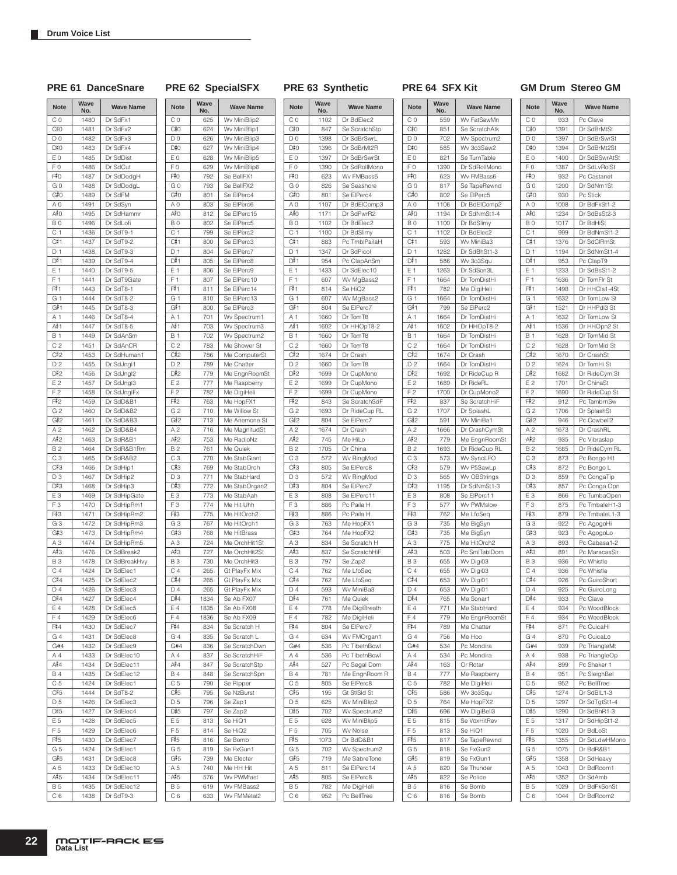### PRE 61 DanceSnare PRE 62 SpecialSFX PRE 63 Synthetic PRE 64 SFX Kit GM Drum Stereo GM

| <b>Note</b>           | Wave<br>No.  | <b>Wave Name</b>           | <b>Note</b>           | Wav<br>No. |
|-----------------------|--------------|----------------------------|-----------------------|------------|
| CO                    | 1480         | Dr SdFx1                   | CO                    | 62         |
| C‡0                   | 1481         | Dr SdFx2                   | C#0                   | 62         |
| D <sub>0</sub>        | 1482         | Dr SdFx3                   | D <sub>0</sub>        | 62         |
| D#0                   | 1483         | Dr SdFx4                   | D#0                   | 62         |
| E <sub>0</sub>        | 1485         | Dr SdDist                  | E <sub>0</sub>        | 62         |
| F <sub>0</sub>        | 1486         | Dr SdCut                   | F <sub>0</sub>        | 62         |
| F#0                   | 1487         | Dr SdDodgH                 | F#0                   | 79         |
| GO<br>G#0             | 1488<br>1489 | Dr SdDodgL                 | GO<br>G#0             | 79<br>80   |
| A <sub>0</sub>        | 1491         | Dr SdFM<br>Dr SdSyn        | A <sub>0</sub>        | 80         |
| A#O                   | 1495         | Dr SdHammr                 | A#0                   | 81         |
| B <sub>0</sub>        | 1496         | Dr SdLofi                  | B <sub>0</sub>        | 80         |
| C <sub>1</sub>        | 1436         | Dr SdT9-1                  | C <sub>1</sub>        | 79         |
| C#1                   | 1437         | Dr SdT9-2                  | C#1                   | 80         |
| D <sub>1</sub>        | 1438         | Dr SdT9-3                  | D <sub>1</sub>        | 80         |
| D#1                   | 1439         | Dr SdT9-4                  | D#1                   | 80         |
| E 1                   | 1440         | Dr SdT9-5                  | E 1                   | 80         |
| F <sub>1</sub>        | 1441         | Dr SdT9Gate                | F <sub>1</sub>        | 80         |
| F#1                   | 1443         | Dr SdT8-1                  | F#1                   | 81         |
| G 1<br>G#1            | 1444         | Dr SdT8-2                  | G 1                   | 81         |
| A 1                   | 1445<br>1446 | Dr SdT8-3<br>Dr SdT8-4     | G#1<br>A 1            | 80<br>70   |
| A#1                   | 1447         | Dr SdT8-5                  | A#1                   | 70         |
| <b>B</b> 1            | 1449         | Dr SdAnSm                  | <b>B</b> 1            | 70         |
| C <sub>2</sub>        | 1451         | Dr SdAnCR                  | C <sub>2</sub>        | 78         |
| C#2                   | 1453         | Dr SdHuman1                | C#2                   | 78         |
| D <sub>2</sub>        | 1455         | Dr SdJngl1                 | D <sub>2</sub>        | 78         |
| D#2                   | 1456         | Dr SdJngl2                 | D#2                   | 77         |
| E <sub>2</sub>        | 1457         | Dr SdJngl3                 | E <sub>2</sub>        | 77         |
| F <sub>2</sub>        | 1458         | Dr SdJnglFx                | F <sub>2</sub>        | 78         |
| F#2                   | 1459         | Dr SdD&B1                  | F#2                   | 76         |
| G <sub>2</sub>        | 1460         | Dr SdD&B2                  | G <sub>2</sub>        | 71         |
| G#2                   | 1461         | Dr SdD&B3                  | G#2                   | 71         |
| A <sub>2</sub><br>A#2 | 1462<br>1463 | Dr SdD&B4                  | A <sub>2</sub><br>A#2 | 71         |
| <b>B2</b>             | 1464         | Dr SdR&B1<br>Dr SdR&B1Rm   | <b>B2</b>             | 75<br>76   |
| C <sub>3</sub>        | 1465         | Dr SdR&B2                  | C <sub>3</sub>        | 77         |
| C#3                   | 1466         | Dr SdHip1                  | C#3                   | 76         |
| D3                    | 1467         | Dr SdHip2                  | D <sub>3</sub>        | 77         |
| D#3                   | 1468         | Dr SdHip3                  | D#3                   | 77         |
| E <sub>3</sub>        | 1469         | Dr SdHipGate               | E <sub>3</sub>        | 77         |
| F <sub>3</sub>        | 1470         | Dr SdHipRm1                | F <sub>3</sub>        | 77         |
| F#3                   | 1471         | Dr SdHipRm2                | F#3                   | 77         |
| G <sub>3</sub>        | 1472         | Dr SdHipRm3                | G <sub>3</sub>        | 76         |
| G#3                   | 1473         | Dr SdHipRm4                | G#3<br>A <sub>3</sub> | 76         |
| A <sub>3</sub><br>A#3 | 1474<br>1476 | Dr SdHipRm5<br>Dr SdBreak2 | A#3                   | 72<br>72   |
| B <sub>3</sub>        | 1478         | Dr SdBreakHvy              | <b>B3</b>             | 73         |
| C <sub>4</sub>        | 1424         | Dr SdElec1                 | C <sub>4</sub>        | 26         |
| C#4                   | 1425         | Dr SdElec2                 | C#4                   | 26         |
| D 4                   | 1426         | Dr SdElec3                 | D4                    | 26         |
| D#4                   | 1427         | Dr SdElec4                 | D#4                   | 183        |
| E 4                   | 1428         | Dr SdElec5                 | E 4                   | 183        |
| F4                    | 1429         | Dr SdElec6                 | F <sub>4</sub>        | 183        |
| F#4                   | 1430         | Dr SdElec7                 | F#4                   | 83         |
| G4                    | 1431         | Dr SdElec8                 | G4                    | 83         |
| G#4                   | 1432         | Dr SdElec9                 | G#4                   | 83         |
| A 4<br>A#4            | 1433<br>1434 | Dr SdElec10<br>Dr SdElec11 | A 4<br>A#4            | 83<br>84   |
| <b>B4</b>             | 1435         | Dr SdElec12                | <b>B4</b>             | 84         |
| C 5                   | 1424         | Dr SdElec1                 | C <sub>5</sub>        | 79         |
| C#5                   | 1444         | Dr SdT8-2                  | C#5                   | 79         |
| D <sub>5</sub>        | 1426         | Dr SdElec3                 | D <sub>5</sub>        | 79         |
| D#5                   | 1427         | Dr SdElec4                 | D#5                   | 79         |
| E 5                   | 1428         | Dr SdElec5                 | E 5                   | 81         |
| F <sub>5</sub>        | 1429         | Dr SdElec6                 | F <sub>5</sub>        | 81         |
| F#5                   | 1430         | Dr SdElec7                 | F#5                   | 81         |
| G <sub>5</sub>        | 1424         | Dr SdElec1                 | G <sub>5</sub>        | 81         |
| G#5                   | 1431         | Dr SdElec8                 | G#5                   | 73         |
| A 5                   | 1433         | Dr SdElec10                | A 5                   | 74         |
| A#5                   | 1434         | Dr SdElec11                | A#5                   | 57         |
| <b>B5</b><br>C 6      | 1435<br>1438 | Dr SdElec12<br>Dr SdT9-3   | <b>B5</b><br>C 6      | 61<br>63   |
|                       |              |                            |                       |            |

| <b>Note</b>    | Wave<br>No. | <b>Wave Name</b>               | <b>Note</b>           | Wave<br>No. |
|----------------|-------------|--------------------------------|-----------------------|-------------|
| CO             | 625         | Wv MiniBlip2                   | C 0                   | 1102        |
| C#0            | 624         | Wv MiniBlip1                   | C‡0                   | 847         |
| D <sub>0</sub> | 626         | Wv MiniBlip3                   | D <sub>0</sub>        | 1398        |
| D#0            | 627         | Wv MiniBlip4                   | D#0                   | 1396        |
| ΕO             | 628         | Wv MiniBlip5                   | E <sub>0</sub>        | 1397        |
| FΟ             | 629         | Wv MiniBlip6                   | F <sub>0</sub>        | 1390        |
| F≢O            | 792         | Se BellFX1                     | F#0                   | 623         |
| G O            | 793         | Se BellFX2                     | GO                    | 826         |
| G#0            | 801         | Se ElPerc4                     | G#0                   | 801         |
| ΑO             | 803         | Se ElPerc6                     | A <sub>0</sub>        | 1107        |
| A#O            | 812         | Se ElPerc15                    | A≢O                   | 1171        |
| BO             | 802         | Se ElPerc5                     | B <sub>0</sub>        | 1102        |
| C 1            | 799         | Se ElPerc2                     | C <sub>1</sub>        | 1100        |
| C#1<br>D 1     | 800<br>804  | Se ElPerc3<br>Se ElPerc7       | C#1<br>D <sub>1</sub> | 883<br>1347 |
| D#1            | 805         | Se ElPerc8                     | D#1                   | 954         |
| E 1            | 806         | Se ElPerc9                     | E 1                   | 1433        |
| F <sub>1</sub> | 807         | Se ElPerc10                    | F <sub>1</sub>        | 607         |
| F#1            | 811         | Se ElPerc14                    | F#1                   | 814         |
| G 1            | 810         | Se ElPerc13                    | G 1                   | 607         |
| G#1            | 800         | Se ElPerc3                     | G#1                   | 804         |
| A 1            | 701         | Wv Spectrum1                   | A 1                   | 1660        |
| A# 1           | 703         | Wv Spectrum3                   | A#≀1                  | 1602        |
| B 1            | 702         | Wv Spectrum2                   | <b>B1</b>             | 1660        |
| C2             | 783         | Me Shower St                   | C <sub>2</sub>        | 1660        |
| C#2            | 786         | Me ComputerSt                  | C#2                   | 1674        |
| D <sub>2</sub> | 789         | Me Chatter                     | D <sub>2</sub>        | 1660        |
| D#2            | 779         | Me EngnRoomSt                  | D#2                   | 1699        |
| E <sub>2</sub> | 777         | Me Raspberry                   | E <sub>2</sub>        | 1699        |
| F <sub>2</sub> | 782         | Me DigiHeli                    | F <sub>2</sub>        | 1699        |
| F‡2            | 763         | Me HopFX1                      | F#2                   | 843         |
| G <sub>2</sub> | 710         | Me Willow St                   | G <sub>2</sub>        | 1693        |
| G#2            | 713         | Me Anemone St                  | G#2                   | 804         |
| A 2<br>A#2     | 716<br>753  | Me MagnitudSt<br>Me RadioNz    | A <sub>2</sub><br>A#2 | 1674<br>745 |
| B 2            | 761         | Me Quiek                       | <b>B2</b>             | 1705        |
| CЗ             | 770         | Me StabGiant                   | C <sub>3</sub>        | 572         |
| C#3            | 769         | Me StabOrch                    | C#3                   | 805         |
| D <sub>3</sub> | 771         | Me StabHard                    | D3                    | 572         |
| D#3            | 772         | Me StabOrgan2                  | D#3                   | 804         |
| E <sub>3</sub> | 773         | Me StabAah                     | E <sub>3</sub>        | 808         |
| FЗ             | 774         | Me Hit Uhh                     | FЗ                    | 886         |
| F#3            | 775         | Me HitOrch2                    | F#3                   | 886         |
| G3             | 767         | Me HitOrch1                    | G <sub>3</sub>        | 763         |
| G#3            | 768         | Me HitBrass                    | G#3                   | 764         |
| ΑЗ             | 724         | Me OrchHit1St                  | A <sub>3</sub>        | 834         |
| А#З            | 727         | Me OrchHit2St                  | A#3                   | 837         |
| BЗ             | 730         | Me OrchHit3                    | <b>B3</b>             | 797         |
| C 4<br>C#4     | 265         | Gt PlayFx Mix<br>Gt PlayFx Mix | C <sub>4</sub>        | 762         |
| D4             | 265<br>265  | Gt PlayFx Mix                  | C#4<br>D <sub>4</sub> | 762<br>593  |
| D#4            | 1834        | Se Ab FX07                     | D#4                   | 761         |
| Ε4             | 1835        | Se Ab FX08                     | E 4                   | 778         |
| F4             | 1836        | Se Ab FX09                     | F4                    | 782         |
| F#4            | 834         | Se Scratch H                   | F#4                   | 804         |
| G 4            | 835         | Se Scratch L                   | G 4                   | 634         |
| G#4            | 836         | Se ScratchDwn                  | G#4                   | 536         |
| Α4             | 837         | Se ScratchHiF                  | A 4                   | 536         |
| A#4            | 847         | Se ScratchStp                  | A#4                   | 527         |
| B 4            | 848         | Se ScratchSpn                  | <b>B4</b>             | 781         |
| C 5            | 790         | Se Ripper                      | C <sub>5</sub>        | 805         |
| C#5            | 795         | Se NzBurst                     | C#5                   | 195         |
| D <sub>5</sub> | 796         | Se Zap1                        | D 5                   | 625         |
| D#5            | 797         | Se Zap2                        | D#5                   | 702         |
| E 5            | 813         | Se HiQ1                        | E 5                   | 628         |
| F <sub>5</sub> | 814         | Se HiQ2                        | F <sub>5</sub>        | 705         |
| F#5            | 816         | Se Bomb                        | F#5                   | 1073        |
| G 5            | 819         | Se FxGun1                      | G <sub>5</sub>        | 702         |
| G#5<br>A 5     | 739<br>740  | Me Electer<br>Me HH Hit        | G#5<br>A 5            | 719<br>811  |
| A#5            | 576         | Wv PWMfast                     | A#5                   | 805         |
| B 5            | 619         | Wv FMBass2                     | <b>B5</b>             | 782         |
| C 6            | 633         | Wv FMMetal2                    | C <sub>6</sub>        | 952         |
|                |             |                                |                       |             |

| <b>Note</b>           | Wave<br>No.  | <b>Wave Name</b>               | <b>Not</b>            |
|-----------------------|--------------|--------------------------------|-----------------------|
| C 0                   | 1102         | Dr BdElec2                     | C <sub>0</sub>        |
| C‡O                   | 847          | Se ScratchStp                  | C#O                   |
| D0                    | 1398         | Dr SdBrSwrL                    | D <sub>0</sub>        |
| D#0                   | 1396         | Dr SdBrMt2R                    | D#0                   |
| ΕO                    | 1397         | Dr SdBrSwrSt                   | E0                    |
| F <sub>0</sub><br>F#0 | 1390<br>623  | Dr SdRollMono<br>Wv FMBass6    | F <sub>0</sub><br>F#0 |
| G 0                   | 826          | Se Seashore                    | GO                    |
| G#0                   | 801          | Se ElPerc4                     | G#0                   |
| ΑO                    | 1107         | Dr BdElComp3                   | ΑO                    |
| A≢O                   | 1171         | Dr SdPwrR2                     | A#O                   |
| B <sub>0</sub>        | 1102         | Dr BdElec2                     | B <sub>0</sub>        |
| С<br>1                | 1100         | Dr BdSlimy                     | C <sub>1</sub>        |
| C#1                   | 883          | Pc TmblPailaH                  | C#1                   |
| D <sub>1</sub><br>D#1 | 1347         | Dr SdPicol                     | D <sub>1</sub>        |
| Ε1                    | 954<br>1433  | Pc ClapAnSm<br>Dr SdElec10     | D#1<br>Ε1             |
| F 1                   | 607          | Wv MgBass2                     | F1                    |
| F#1                   | 814          | Se HiQ2                        | F#1                   |
| G 1                   | 607          | Wv MgBass2                     | G 1                   |
| G#1                   | 804          | Se ElPerc7                     | G#1                   |
| Α1                    | 1660         | Dr TomT8                       | Α1                    |
| A# 1                  | 1602         | Dr HHOpT8-2                    | A#≀1                  |
| <b>B</b> 1            | 1660         | Dr TomT8                       | <b>B1</b>             |
| C <sub>2</sub>        | 1660         | Dr TomT8                       | C <sub>2</sub>        |
| C‡2                   | 1674         | Dr Crash                       | C#2                   |
| D <sub>2</sub><br>D‡2 | 1660<br>1699 | Dr TomT8<br>Dr CupMono         | D <sub>2</sub><br>D#2 |
| Ε2                    | 1699         | Dr CupMono                     | E2                    |
| F <sub>2</sub>        | 1699         | Dr CupMono                     | F <sub>2</sub>        |
| F#2                   | 843          | Se ScratchSdF                  | F#2                   |
| G <sub>2</sub>        | 1693         | Dr RideCup RL                  | G <sub>2</sub>        |
| G#2                   | 804          | Se ElPerc7                     | G#2                   |
| A <sub>2</sub>        | 1674         | Dr Crash                       | A 2                   |
| A#2                   | 745          | Me HiLo                        | A#2                   |
| <b>B2</b>             | 1705         | Dr China                       | <b>B2</b>             |
| CЗ<br>C#3             | 572<br>805   | Wv RingMod<br>Se ElPerc8       | C <sub>3</sub><br>C#3 |
| D3                    | 572          | Wv RingMod                     | D3                    |
| D#3                   | 804          | Se ElPerc7                     | D#3                   |
| EЗ                    | 808          | Se ElPerc11                    | E <sub>3</sub>        |
| F <sub>3</sub>        | 886          | Pc Paila H                     | FЗ                    |
| F#3                   | 886          | Pc Paila H                     | F#3                   |
| GЗ                    | 763          | Me HopFX1                      | G <sub>3</sub>        |
| G#3                   | 764          | Me HopFX2                      | G#3                   |
| AЗ<br>А#З             | 834          | Se Scratch H                   | ΑЗ<br>А#З             |
| <b>B3</b>             | 837<br>797   | Se ScratchHiF<br>Se Zap2       | <b>B3</b>             |
| С4                    | 762          | Me LfoSeg                      | C <sub>4</sub>        |
| C#4                   | 762          | Me LfoSeq                      | C#4                   |
| D <sub>4</sub>        | 593          | Wv MiniBa3                     | D 4                   |
| D‡4                   | 761          | Me Quiek                       | D#4                   |
| Ε4                    | 778          | Me DigiBreath                  | E 4                   |
| F4                    | 782          | Me DigiHeli                    | F4                    |
| F#4                   | 804          | Se ElPerc7                     | F#4                   |
| G 4                   | 634          | Wv FMOrgan1                    | G4                    |
| G#4<br>A 4            | 536<br>536   | Pc TibetnBowl<br>Pc TibetnBowl | G#4<br>Α4             |
| A‡4                   | 527          | Pc Segal Dom                   | A#4                   |
| <b>B</b> 4            | 781          | Me EngnRoom R                  | <b>B4</b>             |
| С5                    | 805          | Se ElPerc8                     | C <sub>5</sub>        |
| C#5                   | 195          | Gt StISId St                   | C#5                   |
| D <sub>5</sub>        | 625          | Wv MiniBlip2                   | D 5                   |
| D#5                   | 702          | Wv Spectrum2                   | D#5                   |
| E 5                   | 628          | Wv MiniBlip5                   | E 5                   |
| F <sub>5</sub>        | 705          | Wv Noise                       | F <sub>5</sub>        |
| F#5                   | 1073         | Dr BdD&B1                      | F#5                   |
| G 5<br>G#5            | 702<br>719   | Wv Spectrum2<br>Me SabreTone   | G <sub>5</sub><br>G#5 |
| A 5                   | 811          | Se ElPerc14                    | A 5                   |
| A#5                   | 805          | Se ElPerc8                     | A#5                   |
| B 5                   | 782          | Me DigiHeli                    | <b>B5</b>             |
| C 6                   | 952          | Pc BellTree                    | C 6                   |
|                       |              |                                |                       |

| <b>Note</b>           | Wave<br>No.  | <b>Wave Name</b>           |
|-----------------------|--------------|----------------------------|
| CO                    | 559          | Wv FatSawMn                |
| C#0                   | 851          | Se ScratchAtk              |
| D <sub>0</sub>        | 702          | Wv Spectrum2               |
| D#0                   | 585          | Wv 3o3Saw2                 |
| E <sub>0</sub>        | 821          | Se TurnTable               |
| FΟ                    | 1390         | Dr SdRollMono              |
| F‡O                   | 623          | Wv FMBass6                 |
| G 0                   | 817          | Se TapeRewnd               |
| G#0                   | 802          | Se ElPerc5                 |
| A <sub>0</sub><br>A#O | 1106         | Dr BdElComp2               |
| B <sub>0</sub>        | 1194<br>1100 | Dr SdNmSt1-4<br>Dr BdSlimy |
| C <sub>1</sub>        | 1102         | Dr BdElec2                 |
| C# 1                  | 593          | Wv MiniBa3                 |
| D <sub>1</sub>        | 1282         | Dr SdBhSt1-3               |
| D#1                   | 586          | Wv 3o3Squ                  |
| E 1                   | 1263         | Dr SdSon3L                 |
| F<br>1                | 1664         | Dr TomDistHi               |
| F#1                   | 782          | Me DigiHeli                |
| G 1                   | 1664         | Dr TomDistHi               |
| G#1                   | 799          | Se ElPerc2                 |
| A 1                   | 1664         | Dr TomDistHi               |
| A#≀1                  | 1602         | Dr HHOpT8-2                |
| <b>B</b> 1            | 1664         | Dr TomDistHi               |
| C <sub>2</sub>        | 1664         | Dr TomDistHi               |
| C#2                   | 1674         | Dr Crash                   |
| D <sub>2</sub>        | 1664         | Dr TomDistHi               |
| D#2                   | 1692         | Dr RideCup R               |
| E2                    | 1689         | Dr RideRL                  |
| F <sub>2</sub>        | 1700         | Dr CupMono2                |
| F‡2                   | 837          | Se ScratchHiF              |
| G <sub>2</sub>        | 1707         | Dr SplashL                 |
| G#2                   | 591          | Wv MiniBa1                 |
| A <sub>2</sub>        | 1666         | Dr CrashCymSt              |
| A#2                   | 779          | Me EngnRoomSt              |
| B <sub>2</sub>        | 1693         | Dr RideCup RL              |
| CЗ                    | 573          | Wv SyncLFO                 |
| C#3                   | 579          | Wv P5SawLp                 |
| D <sub>3</sub>        | 565          | Wv OBStrings               |
| D#3                   | 1195         | Dr SdNmSt1-3               |
| E <sub>3</sub>        | 808          | Se ElPerc11                |
| FЗ                    | 577          | Wv PWMslow                 |
| F#3                   | 762          | Me LfoSeq                  |
| G <sub>3</sub><br>G#3 | 735<br>735   | Me BigSyn                  |
| AЗ                    | 775          | Me BigSyn<br>Me HitOrch2   |
| А#З                   | 503          | Pc SmlTablDom              |
| <b>B3</b>             | 655          | Wv Digi03                  |
| C <sub>4</sub>        | 655          | Wv Digi03                  |
| C#4                   | 653          | Wv Digi01                  |
| D4                    | 653          | Wv Digi01                  |
| D#4                   | 765          | Me Sonar1                  |
| E 4                   | 771          | Me StabHard                |
| $F_4$                 | 779          | Me EngnRoomSt              |
| F#4                   | 789          | Me Chatter                 |
| G 4                   | 756          | Me Hoo                     |
| G#4                   | 534          | Pc Mondira                 |
| A 4                   | 534          | Pc Mondira                 |
| A#4                   | 163          | Or Rotar                   |
| B 4                   | 777          | Me Raspberry               |
| C <sub>5</sub>        | 782          | Me DigiHeli                |
| C#5                   | 586          | Wv 3o3Squ                  |
| D <sub>5</sub>        | 764          | Me HopFX2                  |
| D#5                   | 696          | Wv DigiBell3               |
| E 5                   | 815          | Se VoxHitRev               |
| F 5                   | 813          | Se HiQ1                    |
| F#5                   | 817          | Se TapeRewnd               |
| G <sub>5</sub>        | 818          | Se FxGun2                  |
| G#5                   | 819          | Se FxGun1                  |
| A 5                   | 820          | Se Thunder                 |
| A#5                   | 822          | Se Police                  |
| <b>B5</b>             | 816          | Se Bomb                    |
| C 6                   | 816          | Se Bomb                    |

| <b>Note</b>                              | Wave         | <b>Wave Name</b>              |
|------------------------------------------|--------------|-------------------------------|
| C <sub>0</sub>                           | No.<br>933   | Pc Clave                      |
| C‡0                                      | 1391         | Dr SdBrMtSt                   |
| D <sub>0</sub>                           | 1397         | Dr SdBrSwrSt                  |
| D#0                                      | 1394         | Dr SdBrMt2St                  |
| E <sub>0</sub>                           | 1400         | Dr SdBSwrAtSt                 |
| FΟ                                       | 1387         | Dr SdLvRolSt                  |
| F‡0                                      | 932          | Pc Castanet                   |
| GO                                       | 1200         | Dr SdNm1St                    |
| G#0                                      | 930          | Pc Stick                      |
| A <sub>0</sub>                           | 1008         | Dr BdFkSt1-2                  |
| A#0                                      | 1234         | Dr SdBsSt2-3                  |
| B <sub>0</sub>                           | 1017         | Dr BdHiSt                     |
| C 1                                      | 999          | Dr BdNmSt1-2                  |
| C#1                                      | 1376         | Dr SdClRmSt                   |
| D <sub>1</sub>                           | 1194         | Dr SdNmSt1-4                  |
| D#1                                      | 953          | Pc ClapT9                     |
| E 1                                      | 1233         | Dr SdBsSt1-2                  |
| F 1                                      | 1636         | Dr TomFlr St                  |
| F#1                                      | 1498         | Dr HHCls1-4St                 |
| G <sub>1</sub>                           | 1632         | Dr TomLow St                  |
| G#1                                      | 1521         | Dr HHPdI3 St                  |
| A 1                                      | 1632         | Dr TomLow St                  |
| A#1                                      | 1536         | Dr HHOpn2 St                  |
| <b>B1</b>                                | 1628         | Dr TomMid St                  |
| C <sub>2</sub><br>$C_{12}^{\frac{1}{2}}$ | 1628<br>1670 | Dr TomMid St<br>Dr CrashSt    |
| D <sub>2</sub>                           | 1624         | Dr TomHi St                   |
| D#2                                      | 1682         | Dr RideCym St                 |
| E 2                                      | 1701         | Dr ChinaSt                    |
| F <sub>2</sub>                           | 1690         | Dr RideCup St                 |
| F#2                                      | 912          | Pc TambrnSw                   |
| -<br>G 2                                 | 1706         | Dr SplashSt                   |
| G#2                                      | 946          | Pc Cowbell2                   |
| A <sub>2</sub>                           | 1673         | Dr CrashRL                    |
| A#2                                      | 935          | Pc Vibraslap                  |
| B <sub>2</sub>                           | 1685         | Dr RideCym RL                 |
| C <sub>3</sub>                           | 873          | Pc Bongo H1                   |
| C#3                                      | 872          | Pc Bongo L                    |
| D <sub>3</sub>                           | 859          | Pc CongaTip                   |
| D#3                                      | 857          | Pc Conga Opn                  |
| E <sub>3</sub>                           | 866          | Pc TumbaOpen                  |
| FЗ                                       | 875          | Pc TmbaleH1-3                 |
| F#3                                      | 879          | Pc TmbaleL1-3                 |
| $\overline{G}$ 3                         | 922          | Pc AgogoHi                    |
| G#3<br>A <sub>3</sub>                    | 923<br>893   | Pc AgogoLo                    |
| A#3                                      |              | Pc Cabasa1-2<br>Pc MaracasSlr |
| <b>B3</b>                                | 891<br>936   | Pc Whistle                    |
| C <sub>4</sub>                           | 936          | Pc Whistle                    |
| C#4                                      | 926          | Pc GuiroShort                 |
| D <sub>4</sub>                           | 925          | Pc GuiroLong                  |
| $D=4$                                    | 933          | Pc Clave                      |
| E 4                                      | 934          | Pc WoodBlock                  |
| F4                                       | 934          | Pc WoodBlock                  |
| F#4                                      | 871          | Pc CuicaHi                    |
| G <sub>4</sub>                           | 870          | Pc CuicaLo                    |
| G#4                                      | 939          | Pc TriangleMt                 |
| A 4                                      | 938          | Pc TriangleOp                 |
| A#4                                      | 899          | Pc Shaker 1                   |
| <b>B4</b>                                | 951          | Pc SleighBel                  |
| C <sub>5</sub>                           | 952          | Pc BellTree                   |
| C#5                                      | 1274         | Dr SdBIL1-3                   |
| D <sub>5</sub><br>D#5                    | 1297         | Dr SdTgtSt1-4                 |
| E 5                                      | 1290<br>1317 | Dr SdBhR1-3                   |
| F <sub>5</sub>                           | 1020         | Dr SdHipSt1-2                 |
| F#5                                      | 1355         | Dr BdLoSt<br>Dr SdLdwHMono    |
| G 5                                      | 1075         | Dr BdR&B1                     |
| G#5                                      | 1358         | Dr SdHeavy                    |
| A 5                                      | 1043         | Dr BdRoom1                    |
| A#5                                      | 1352         | Dr SdAmb                      |
| <b>B5</b>                                | 1029         | Dr BdFkSonSt                  |
| C6                                       | 1044         | Dr BdRoom2                    |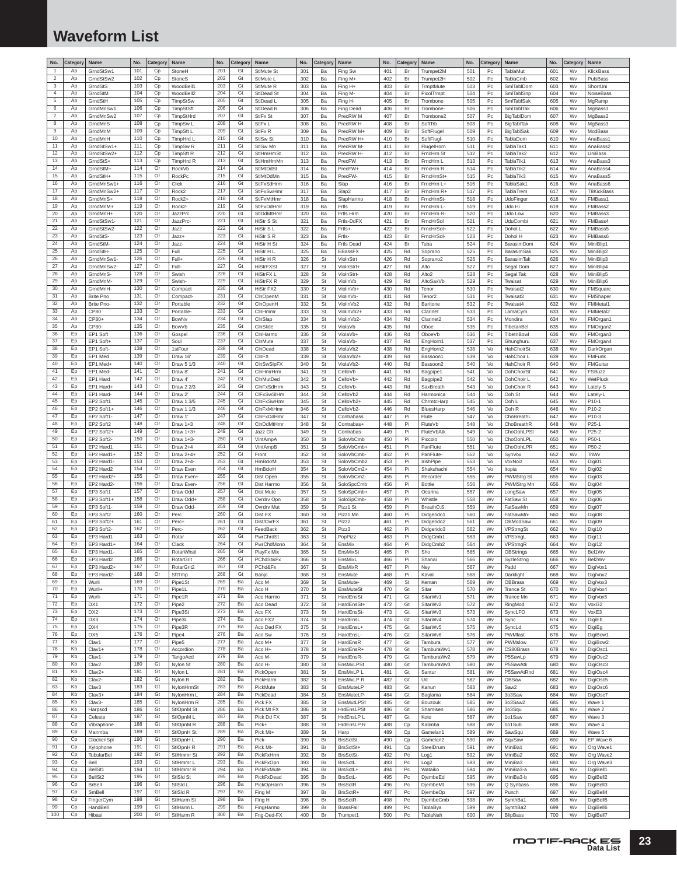# <span id="page-22-0"></span>**Waveform List**

| No.                 | Category | <b>Name</b>             | No.        | Categor  | Name                            | No.        | Category | Name                                      | No.        | Category  | Name                            | No.        | Category       | Name                     | No.        | Category       | Name                     | No.        | Categor  | Name                   |
|---------------------|----------|-------------------------|------------|----------|---------------------------------|------------|----------|-------------------------------------------|------------|-----------|---------------------------------|------------|----------------|--------------------------|------------|----------------|--------------------------|------------|----------|------------------------|
| $\overline{1}$      | Ap       | GrndStSw1               | 101        | Cp       | StoneH                          | 201        | Gt       | StlMute St                                | 301        | Ba        | Fing Sw                         | 401        | Br             | Trumpet2M                | 501        | Pc             | <b>TablaMut</b>          | 601        | Wv       | KlickBass              |
| $\overline{2}$      | Ap       | GrndStSw2               | 102        | Cp       | StoneS                          | 202        | Gt       | StlMute L                                 | 302        | Ba        | Fing M+                         | 402        | Br             | Trumpet2H                | 502        | P <sub>C</sub> | TablaCmb                 | 602        | Wv       | PulsBass               |
| 3                   | Ap       | GrndStS                 | 103        | Cp       | WoodBell1                       | 203        | Gt       | StlMute <sub>R</sub>                      | 303        | Ba        | Fing H+                         | 403        | Br             | TrmptMute                | 503        | Pc             | SmlTablDom               | 603        | Wv       | ShortUni               |
| $\overline{4}$      | Ap       | GrndStM                 | 104        | Cp       | WoodBell2                       | 204        | Gt       | StIDead St                                | 304        | Ba        | Fing M-                         | 404        | Br             | PicolTrmpt               | 504        | Pc             | SmlTablSnp               | 604        | Wv       | NoiseBass              |
| $\,$ 5 $\,$         | Ap       | GrndStH                 | 105        | Cp       | TimpStSw                        | 205        | Gt       | StIDead I                                 | 305        | Ba        | Fing H-                         | 405        | Br             | Trombone                 | 505        | Pc             | SmlTablSak               | 605        | Wv       | MgRamp                 |
| $\,6\,$             | Ap       | GrndMnSw1               | 106        | Cp       | TimpStSft                       | 206        | Gt       | StIDead R                                 | 306        | Ba        | Fing Dead                       | 406        | Br             | Trombone                 | 506        | Pc             | SmlTablTak               | 606        | Wv       | MgBass1                |
| $\overline{7}$<br>8 | Ap       | GrndMnSw2               | 107<br>108 | Cp       | TimpStHrd                       | 207<br>208 | Gt<br>Gt | StIFx St                                  | 307        | Ba        | PrecRW <sub>M</sub>             | 407        | Br             | Trombone2                | 507        | Pc             | BigTablDom               | 607        | Wv       | MgBass2                |
| 9                   | Ap<br>Ap | GrndMnS<br>GrndMnM      | 109        | Cp<br>Cp | TimpSw L<br>TimpSft L           | 209        | Gt       | StIF <sub>xL</sub><br>StIF <sub>x</sub> R | 308<br>309 | Ba<br>Ba  | PrecRW H<br>PrecRW M+           | 408<br>409 | Br<br>Br       | SoftTrb<br>SoftFlugel    | 508<br>509 | Pc<br>Pc       | BigTablTak<br>BigTablSak | 608<br>609 | Wv<br>Wv | MgBass3<br>ModBass     |
| 10                  | Ap       | GrndMnH                 | 110        | Cp       | TimpHrd L                       | 210        | Gt       | StISw <sub>St</sub>                       | 310        | Ba        | PrecRW H+                       | 410        | Br             | SoftFlugl                | 510        | Pc             | <b>TablaDom</b>          | 610        | Wv       | AnaBass1               |
| 11                  | Ap       | GrndStSw1+              | 111        | Cp       | TimpSw <sub>R</sub>             | 211        | Gt       | StlSw Mn                                  | 311        | Ba        | PrecRW M-                       | 411        | Br             | FlugelHorn               | 511        | Pc             | TablaTak1                | 611        | Wv       | AnaBass2               |
| 12                  | Ap       | GrndStSw2-              | 112        | Cp       | TimpSft R                       | 212        | Gt       | StlHmHmSt                                 | 312        | Ba        | PrecRW H                        | 412        | Br             | FrncHrn St               | 512        | Pc             | TablaTak2                | 612        | Wv       | UniBass                |
| 13                  | Ap       | GrndStS+                | 113        | Cp       | TimpHrd R                       | 213        | Gt       | StlHmHmMn                                 | 313        | Ba        | PrecFW                          | 413        | Br             | FrncHrn I                | 513        | Pc             | TablaTik1                | 613        | Wv       | AnaBass3               |
| 14                  | Ap       | GrndStM+                | 114        | Or       | RockVb                          | 214        | Gt       | StIMtDdSt                                 | 314        | Ba        | PrecFW+                         | 414        | Br             | FrncHrn R                | 514        | Pc             | TablaTik2                | 614        | Wv       | AnaBass4               |
| 15                  | Ap       | GrndStH+                | 115        | Or       | RockPc                          | 215        | Gt       | StIMtDdMn                                 | 315        | Ba        | PrecFW-                         | 415        | Br             | FrncHrnSt+               | 515        | Pc             | TablaTik3                | 615        | Wv       | AnaBass5               |
| 16                  | Ap       | GrndMnSw1+              | 116        | Or       | Click                           | 216        | Gt       | StlFxSdHrm                                | 316        | Ba        | Slap                            | 416        | Br             | FrncHrn L+               | 516        | Pc             | TablaSak1                | 616        | Wv       | AnaBass6               |
| 17                  | Ap       | GrndMnSw2+              | 117        | Or       | Rock2                           | 217        | Gt       | StlFxSwHmr                                | 317        | Ba        | Slap2                           | 417        | Br             | FrncHrn R+               | 517        | Pc             | <b>TablaTrem</b>         | 617        | Wv       | <b>T8KickBass</b>      |
| 18                  | Ap       | GrndMnS+                | 118        | Or       | Rock2+                          | 218        | Gt       | StlFxMtHmr                                | 318        | Ba        | SlapHarmo                       | 418        | Br             | FrncHrnSt-               | 518        | Pc             | UdoFinger                | 618        | Wv       | FMBass1                |
| 19                  | Ap       | GrndMnM+                | 119        | Or       | Rock <sub>2</sub>               | 219        | Gt       | StlFxDdHmr                                | 319        | Ba        | Frtls                           | 419        | Br             | FrncHrn L                | 519        | Pc             | Udo Hi                   | 619        | Wv       | FMBass2                |
| 20                  | Ap       | GrndMnH+                | 120        | Or       | JazzPrc                         | 220        | Gt       | StIDdMtHmr                                | 320        | Ba        | Frtls Hrm                       | 420        | Br             | FrncHrn R-               | 520        | Pc             | Udo Low                  | 620        | Wv       | FMBass3                |
| 21                  | Ap       | GrndStSw1               | 121        | Or       | JazzPrc                         | 221        | Gt       | HiStr S St                                | 321        | Ba        | Frtls-DdFX                      | 421        | Br             | FrncHrSol                | 521        | Pc             | UduCombi                 | 621        | Wv       | FMBass4                |
| 22                  | Ap       | GrndStSw2-              | 122        | Or       | Jazz                            | 222        | Gt       | HiStr SL                                  | 322        | Ba        | Frtls+                          | 422        | Br             | FrncHrSol+               | 522        | Pc             | Dohol L                  | 622        | Wv       | FMBass5                |
| 23<br>24            | Ap       | GrndStS-                | 123<br>124 | Or<br>Or | Jazz+                           | 223<br>224 | Gt<br>Gt | HiStr S R                                 | 323        | Ba        | Frtls-                          | 423        | Br             | FrncHrSol                | 523        | Pc             | Dohol H                  | 623        | Wv       | FMBass6                |
| 25                  | Ap<br>Ap | GrndStM                 | 125        | Or       | Jazz-                           | 225        | Gt       | HiStr H St                                | 324        | Ba        | Frtls Dead                      | 424        | Br             | Tuba                     | 524        | Pc             | BarasimDom               | 624        | Wv       | MiniBlip1              |
| 26                  | Ap       | GrndStH-<br>GrndMnSw1-  | 126        | Or       | Full<br>Full+                   | 226        | Gt       | HiStr H L<br>HiStr H R                    | 325<br>326 | Ba<br>St  | EBassFX<br>ViolnStrt            | 425<br>426 | Rd<br>Rd       | Soprano                  | 525<br>526 | Pc<br>Pc       | BarasimSak               | 625<br>626 | Wv<br>Wv | MiniBlip2<br>MiniBlip3 |
| 27                  | Ap       | GrndMnSw2-              | 127        | Or       | Full-                           | 227        | Gt       | <b>HiStrFXSt</b>                          | 327        | St        | ViolnStrt+                      | 427        | Rd             | Soprano2<br>Alto         | 527        | Pc             | BarasimTak<br>Segal Dom  | 627        | Wv       | MiniBlip4              |
| 28                  | Ap       | GrndMnS-                | 128        | Or       | Swish                           | 228        | Gt       | HiStrFX <sub>L</sub>                      | 328        | St        | ViolnStrt                       | 428        | Rd             | Alto <sub>2</sub>        | 528        | P <sub>C</sub> | Segal Tak                | 628        | Wv       | MiniBlip5              |
| 29                  | Ap       | GrndMnM-                | 129        | Or       | Swish-                          | 229        | Gt       | <b>HiStrFXR</b>                           | 329        | St        | ViolinVb                        | 429        | Rd             | <b>AltoSaxVb</b>         | 529        | Pc             | Twaisat                  | 629        | Wv       | MiniBlip6              |
| 30                  | Ap       | GrndMnH-                | 130        | Or       | Compact                         | 230        | Gt       | HiStr FX2                                 | 330        | St        | ViolinVb+                       | 430        | Rd             | Tenor                    | 530        | Pc             | Twaisat2                 | 630        | Wv       | FMSquare               |
| 31                  | Ap       | <b>Brite Pno</b>        | 131        | Or       | Compact                         | 231        | Gt       | CInOpenM                                  | 331        | St        | ViolinVb                        | 431        | Rd             | Tenor <sub>2</sub>       | 531        | Pc             | Twaisat3                 | 631        | Wv       | FMShaper               |
| 32                  | Ap       | Brite Pno-              | 132        | Or       | Portable                        | 232        | Gt       | CInOpenH                                  | 332        | St        | ViolinVb2                       | 432        | Rd             | Baritone                 | 532        | Pc             | Twaisat4                 | 632        | Wv       | <b>FMMetal1</b>        |
| 33                  | Ap       | <b>CP80</b>             | 133        | Or       | Portable-                       | 233        | Gt       | CinHmmr                                   | 333        | St        | ViolinVb2+                      | 433        | Rd             | Clarinet                 | 533        | Pc             | LamaCym                  | 633        | Wv       | FMMetal2               |
| 34                  | Ap       | CP80+                   | 134        | Or       | BowNv                           | 234        | Gt       | CinSlap                                   | 334        | St        | ViolinVb2-                      | 434        | Rd             | Clarinet2                | 534        | Pc             | Mondira                  | 634        | Wv       | FMOrgan1               |
| 35                  | Ap       | CP80-                   | 135        | Or       | BowV <sub>b</sub>               | 235        | Gt       | CInSlide                                  | 335        | St        | ViolaVb                         | 435        | Rd             | Oboe                     | 535        | Pc             | TibetanBel               | 635        | Wv       | FMOrgan2               |
| 36                  | Ep       | EP1 Soft                | 136        | Or       | Gospel                          | 236        | Gt       | CinHarmo                                  | 336        | St        | ViolaVb+                        | 436        | Rd             | OboeVb                   | 536        | Pc             | TibetnBowl               | 636        | Wv       | FMOrgan3               |
| 37                  | Ep       | EP1 Soft+               | 137        | Or       | Soul                            | 237        | Gt       | ClnMute                                   | 337        | St        | ViolaVb-                        | 437        | Rd             | EngHorn1                 | 537        | Pc             | Ghunghuru                | 637        | Wv       | FMOrgan4               |
| 38                  | Ep       | EP1 Soft-               | 138        | Or       | 1stFour                         | 238        | Gt       | CInDead                                   | 338        | St        | ViolaVb2                        | 438        | Rd             | EngHorn2                 | 538        | Vo             | HahChoirSt               | 638        | Wv       | DarkOrgan              |
| 39                  | Ep       | EP1 Med                 | 139        | Or       | Draw 16                         | 239        | Gt       | CInFX                                     | 339        | St        | ViolaVb2+                       | 439        | Rd             | Bassoon1                 | 539        | Vo             | HahChoir L               | 639        | Wv       | FMFunk                 |
| 40                  | Ep       | EP1 Med+                | 140        | Or       | Draw 5 1/3                      | 240        | Gt       | CInSwSIpFX                                | 340        | St        | ViolaVb2-                       | 440        | Rd             | Bassoon2                 | 540        | Vo             | HahChoir R               | 640        | Wv       | FMGuitar               |
| 41                  | Ep       | EP1 Med-                | 141        | Or       | Draw <sub>8</sub>               | 241        | Gt       | CInHmrHrm                                 | 341        | St        | CelloVb                         | 441        | Rd             | Bagpipe1                 | 541        | Vo             | OohChoirSt               | 641        | Wv       | FSBuzz                 |
| 42<br>43            | Ep<br>Ep | EP1 Hard                | 142<br>143 | Or<br>Or | Draw 4                          | 242<br>243 | Gt<br>Gt | CInMutDed                                 | 342<br>343 | St        | CelloVb-                        | 442<br>443 | Rd             | Bagpipe2                 | 542<br>543 | Vo             | OohChoir L               | 642<br>643 | Wv<br>Wv | WetPluck               |
| 44                  | Ep       | EP1 Hard+<br>EP1 Hard-  | 144        | Or       | Draw 2 2/3<br>Draw <sub>2</sub> | 244        | Gt       | CInFxSdHrm<br>CIFxSwSIHm                  | 344        | St<br>St  | CelloVb<br>CelloVb <sub>2</sub> | 444        | Rd<br>Rd       | SaxBreath<br>Harmonica   | 544        | Vo<br>Vo       | OohChoir R<br>Ooh St     | 644        | Wv       | Lately-S<br>Lately-L   |
| 45                  | Ep       | EP2 Soft1               | 145        | Or       | Draw 1 3/5                      | 245        | Gt       | CInFxSwHmr                                | 345        | St        | CelloVb2+                       | 445        | Rd             | ChrmtcHarp               | 545        | Vo             | Ooh L                    | 645        | Wv       | P10-1                  |
| 46                  | Ep       | EP2 Soft1+              | 146        | Or       | Draw 1 1/3                      | 246        | Gt       | CInFxMtHmr                                | 346        | St        | CelloVb <sub>2</sub>            | 446        | Rd             | BluesHarp                | 546        | Vo             | Ooh R                    | 646        | Wv       | P10-2                  |
| 47                  | Ep       | EP2 Soft1               | 147        | Or       | Draw 1                          | 247        | Gt       | CInFxDdHmr                                | 347        | St        | Contrabass                      | 447        | Pi             | Flute                    | 547        | Vo             | ChoBreathL               | 647        | Wv       | P10-3                  |
| 48                  | Ep       | EP2 Soft2               | 148        | Or       | Draw 1+3                        | 248        | Gt       | CInDdMtHmr                                | 348        | St        | Contrabas+                      | 448        | Pi             | FluteVb                  | 548        | Vo             | ChoBreathR               | 648        | Wv       | P25-1                  |
| 49                  | Ep       | EP2 Soft2+              | 149        | Or       | Draw 1+3+                       | 249        | Gt       | Jazz Gtr                                  | 349        | St        | Contrabas                       | 449        | Pi             | FluteVbAtk               | 549        | Vo             | ChoOohLPSt               | 649        | Wv       | P25-2                  |
| 50                  | Ep       | EP2 Soft2-              | 150        | Or       | Draw 1+3                        | 250        | Gt       | VintAmpA                                  | 350        | St        | SoloVbCmb                       | 450        | Pi             | Piccolo                  | 550        | Vo             | ChoOohLPL                | 650        | Wv       | P50-1                  |
| 51                  | Ep       | EP2 Hard1               | 151        | Or       | Draw 2+4                        | 251        | Gt       | VintAmpB                                  | 351        | St        | SoloVbCmb+                      | 451        | Pi             | PanFlute                 | 551        | Vo             | ChoOohLPR                | 651        | Wv       | P50-2                  |
| 52                  | Ep       | EP2 Hard1+              | 152        | Or       | Draw 2+4+                       | 252        | Gt       | Front                                     | 352        | St        | SoloVbCmb-                      | 452        | Pi             | PanFlute-                | 552        | Vo             | SynVox                   | 652        | Wv       | TriWv                  |
| 53                  | Ep       | EP2 Hard1-              | 153        | Or       | Draw 2+4-                       | 253        | Gt       | <b>HmBckrM</b>                            | 353        | St        | SoloVbCmb2                      | 453        | Pi             | IrishPipe                | 553        | Vo             | VoxNoiz                  | 653        | Wv       | Digi01                 |
| 54                  | Ep       | EP2 Hard2               | 154        | Or       | Draw Even                       | 254        | Gt       | HmBckrH                                   | 354        | St        | SoloVbCm2+                      | 454        | Pi             | Shakuhachi               | 554        | Vo             | Itopia                   | 654        | Wv       | Digi02                 |
| 55                  | Ep       | EP2 Hard2+              | 155        | Or       | Draw Even+                      | 255        | Gt       | Dist Open                                 | 355        | St        | SoloVbCm2-                      | 455        | Pi             | Recorder                 | 555        | Wv             | PWMStrg St               | 655        | Wv       | Digi03                 |
| 56                  | Ep       | EP2 Hard2-              | 156        | Or       | Draw Even-                      | 256        | Gt       | Dist Harmo                                | 356        | St        | SoloSpcCmb                      | 456        | Pi             | Bottle                   | 556        | Wv             | PWMStrg Mn               | 656        | Wv       | Digi04                 |
| 57                  | Ep       | EP3 Soft1               | 157        | Or       | Draw Odd                        | 257        | Gt       | Dist Mute                                 | 357        | St        | SoloSpCmb+                      | 457        | Pi             | Ocarina                  | 557        | Wv             | LongSaw                  | 657        | Wv       | Digi05                 |
| 58                  | Ep       | EP3 Soft1+              | 158        | Or       | Draw Odd+                       | 258<br>259 | Gt       | Ovrdrv Opn                                | 358        | St        | SoloSpCmb-                      | 458        | Pi             | Whistle                  | 558        | Wv             | FatSaw St                | 658        | Wv       | Digi06                 |
| 59<br>60            | Ep<br>Ep | EP3 Soft1-<br>EP3 Soft2 | 159<br>160 | Or<br>Or | Draw Odd<br>Perc                | 260        | Gt<br>Gt | Ovrdrv Mut<br>Dist FX                     | 359<br>360 | St<br>St  | Pizz1 St<br>Pizz1 Mn            | 459<br>460 | Pi<br>Pi       | BreathO.S.<br>Didgerido1 | 559<br>560 | Wv<br>Wv       | FatSawMn<br>FatSawMn-    | 659<br>660 | Wv<br>Wv | Digi07<br>Digi08       |
| 61                  | Ep       | EP3 Soft2+              | 161        | Or       | Perc+                           | 261        | Gt       | Dist/OvrFX                                | 361        | St        | Pizz2                           | 461        | Pi             | Didgerido <sub>2</sub>   | 561        | Wv             | OBModSaw                 | 661        | Wv       | Digi09                 |
| 62                  | Ep       | EP3 Soft2-              | 162        | Or       | Perc                            | 262        | Gt       | FeedBack                                  | 362        | St        | Pizz3                           | 462        | Pi             | Didgerido3               | 562        | Wv             | VPStrngSt                | 662        | Wv       | Digi10                 |
| 63                  | Ep       | EP3 Hard1               | 163        | Or       | Rotar                           | 263        | Gt       | PwrChrdSt                                 | 363        | St        | PopPizz                         | 463        | Pi             | DidgCmb1                 | 563        | Wv             | VPStrngL                 | 663        | Wv       | Digi11                 |
| 64                  | Ep       | EP3 Hard1+              | 164        | Or       | Clack                           | 264        | Gt       | PwrChdMono                                | 364        | St        | EnsMix                          | 464        | Pi             | DidgCmb2                 | 564        | Wv             | VPStrngR                 | 664        | Wv       | Digi12                 |
| 65                  | Ep       | FP3 Hard1               | 165        | Or       | <b>RotarWhstl</b>               | 265        | Gt       | PlayFx Mix                                | 365        | St        | <b>EnsMixS</b>                  | 465        | Pi             | Sho                      | 565        | Wv             | OBStrings                | 665        | Wv       | Bel1Wy                 |
| 66                  | Ep       | EP3 Hard2               | 166        | Or       | RotarGrit                       | 266        | Gt       | PChdSt&Fx                                 | 366        | St        | EnsMixL                         | 466        | Pi             | Shanai                   | 566        | Wv             | SyzleStrng               | 666        | Wv       | Bel2Wv                 |
| 67                  | Ep       | EP3 Hard2+              | 167        | Or       | RotarGrit2                      | 267        | Gt       | PChd&Fx                                   | 367        | St        | EnsMixR                         | 467        | Pi             | Ney                      | 567        | Wv             | Padd                     | 667        | Wv       | DigiVox1               |
| 68                  | Ep       | EP3 Hard2-              | 168        | Or       | SftTmp                          | 268        | Gt       | Banjo                                     | 368        | St        | EnsMute                         | 468        | Pi             | Kaval                    | 568        | Wv             | Darklight                | 668        | Wv       | DigiVox2               |
| 69                  | Ep       | Wurli                   | 169        | Or       | Pipe1St                         | 269        | Ba       | Aco M                                     | 369        | St        | <b>EnsMute-</b>                 | 469        | St             | Keman                    | 569        | Wv             | OBBrass                  | 669        | Wv       | DigiVox3               |
| 70                  | Ep       | Wurli+                  | 170        | Or       | Pipe1L                          | 270        | Ba       | Aco H                                     | 370        | St        | EnsMuteSt                       | 470        | Gt             | Sitar                    | 570        | Wv             | <b>Trance St</b>         | 670        | Wv       | DigiVox4               |
| 71                  | Ep       | Wurli-                  | 171        | Or       | Pipe1R                          | 271        | Ba       | Aco Harmo                                 | 371        | St        | HardEnsSt                       | 471        | Gt             | SitarWv1                 | 571        | Wv             | Trance Mn                | 671        | Wv       | DigiVox5               |
| 72<br>73            | Ep<br>Ep | DX1<br>DX2              | 172<br>173 | Or<br>Or | Pipe2                           | 272<br>273 | Ba<br>Ba | Aco Dead                                  | 372<br>373 | St<br>St  | HardEnsSt+                      | 472<br>473 | Gt<br>Gt       | SitarWv2<br>SitarWv3     | 572<br>573 | Wv<br>Wv       | RingMod                  | 672<br>673 | Wv<br>Wv | VoxG2                  |
| 74                  | Ep       | DX3                     | 174        | Or       | Pipe3St<br>Pipe3L               | 274        | Ba       | Aco FX<br>Aco FX2                         | 374        | St        | HardEnsSt-<br>HardEnsL          | 474        | Gt             | SitarWv4                 | 574        | Wv             | SyncLFO<br>Sync          | 674        | Wv       | VoxE3<br>DigiEb        |
| 75                  | Ep       | DX4                     | 175        | Or       | Pipe3R                          | 275        | Ba       | Aco Ded FX                                | 375        | St        | HardEnsL+                       | 475        | Gt             | SitarWv5                 | 575        | Wv             | SyncLd                   | 675        | Wv       | DigiEg                 |
| 76                  | Ep       | DX5                     | 176        | Or       | Pipe4                           | 276        | Ba       | Aco Sw                                    | 376        | St        | HardEnsL                        | 476        | Gt             | SitarWv6                 | 576        | Wv             | PWMfast                  | 676        | Wy       | DigiBow1               |
| 77                  | Kb       | Clav1                   | 177        | Or       | Pipe5                           | 277        | Ba       | Aco M+                                    | 377        | St        | HardEnsR                        | 477        | Gt             | Tambura                  | 577        | Wv             | PWMslow                  | 677        | Wv       | DigiBow2               |
| 78                  | Kb       | $Clav1+$                | 178        | Or       | Accordion                       | 278        | Ba       | Aco H+                                    | 378        | St        | HardEnsR+                       | 478        | Gt             | TamburaWv1               | 578        | Wv             | CS80Brass                | 678        | Wv       | DigiOsc1               |
| 79                  | Kb       | Clav1-                  | 179        | Or       | TangoAcd                        | 279        | Ba       | Aco M-                                    | 379        | St        | HardEnsR-                       | 479        | Gt             | TamburaWv2               | 579        | Wv             | P5SawLp                  | 679        | Wv       | DigiOsc2               |
| 80                  | Kb       | Clav <sub>2</sub>       | 180        | Gt       | Nylon St                        | 280        | Ba       | Aco H-                                    | 380        | St        | EnsMxLPSt                       | 480        | Gt             | TamburaWv3               | 580        | Wv             | P5SawAtk                 | 680        | Wv       | DigiOsc3               |
| 81                  | Kb       | Clav2+                  | 181        | Gt       | Nylon L                         | 281        | Ba       | PickOpen                                  | 381        | St        | EnsMxLP L                       | 481        | Gt             | Santur                   | 581        | Wv             | P5SawAtRnd               | 681        | Wv       | DigiOsc4               |
| 82                  | Kb       | Clav2-                  | 182        | Gt       | Nylon R                         | 282        | Ba       | PickHarm                                  | 382        | St        | EnsMxLP R                       | 482        | Gt             | Ud                       | 582        | Wv             | OBSaw                    | 682        | Wv       | DigiOsc5               |
| 83                  | Kb       | Clav3                   | 183        | Gt       | NylonHrmSt                      | 283        | Ba       | PickMute                                  | 383        | St        | EnsMuteLP                       | 483        | Gt             | Kanun                    | 583        | Wv             | Saw2                     | 683        | Wv       | DigiOsc6               |
| 84                  | Kb       | $Clav3+$                | 184        | Gt       | NylonHrm L                      | 284        | Ba       | PickDead                                  | 384        | St        | EnsMuteLP-                      | 484        | Gt             | Baglama                  | 584        | Wv             | 3o3Saw                   | 684        | Wv       | DigiOsc7               |
| 85<br>86            | Kb<br>Kb | Clav3-                  | 185<br>186 | Gt       | NylonHrm R                      | 285<br>286 | Ba<br>Ba | Pick FX                                   | 385        | St        | EnsMutLPSt                      | 485        | Gt             | Bouzouk                  | 585        | Wv             | 3o3Saw2                  | 685        | Wv       | Wave 1                 |
| 87                  |          | Harpscd                 | 187        | Gt       | StlOpnM St                      |            |          | Pick Mt FX                                | 386        | St        | HrdEnsLPSt                      | 486        | Gt             | Shamisen                 | 586        | Wv             | 3o3Squ                   | 686        | Wv       | Wave 2                 |
| 88                  | Cp<br>Cp | Celeste                 | 188        | Gt<br>Gt | StlOpnM L                       | 287<br>288 | Ba<br>Ba | Pick Dd FX<br>Pick+                       | 387<br>388 | St<br>St  | HrdEnsLP L                      | 487<br>488 | Gt             | Koto<br>Kalimba          | 587<br>588 | Wv<br>Wv       | 1o1Saw                   | 687<br>688 | Wv<br>Wv | Wave 3<br>Wave 4       |
| 89                  | Cp       | Vibraphone<br>Mairmba   | 189        | Gt       | StlOpnM R<br>StlOpnH St         | 289        | Ba       | Pick Mt+                                  | 389        | St        | HrdEnsLP R<br>Harp              | 489        | Cp<br>Cp       | Gamelan1                 | 589        | Wv             | 1o1Sub<br>SawSqu         | 689        | Wv       | Wave 5                 |
| 90                  | Cp       | GlockenSpl              | 190        | Gt       | StlOpnH L                       | 290        | Ba       | Pick-                                     | 390        | <b>Br</b> | <b>BrsSctSt</b>                 | 490        | Cp             | Gamelan2                 | 590        | Wv             | SquSaw                   | 690        | Wv       | EP Wave 6              |
| 91                  | Cp       | Xylophone               | 191        | Gt       | StlOpnH R                       | 291        | Ba       | Pick Mt-                                  | 391        | Br        | <b>BrsSctSt+</b>                | 491        | Cp             | SteelDrum                | 591        | Wv             | MiniBa1                  | 691        | Wv       | Org Wave1              |
| 92                  | Cp       | TubularBel              | 192        | Gt       | StlHmmr St                      | 292        | Ba       | PickFxHrm                                 | 392        | Br        | <b>BrsSctSt-</b>                | 492        | Pc             | Log1                     | 592        | Wv             | MiniBa2                  | 692        | Wv       | Org Wave2              |
| 93                  | Cp       | Bell                    | 193        | Gt       | StlHmmr L                       | 293        | Ba       | PickFxOpn                                 | 393        | Br        | <b>BrsSctL</b>                  | 493        | Pc             | Log <sub>2</sub>         | 593        | Wv             | MiniBa3                  | 693        | Wv       | Org Wave3              |
| 94                  | Cp       | BellSt1                 | 194        | Gt       | StlHmmr R                       | 294        | Ba       | PickFxMute                                | 394        | Br        | BrsSctL+                        | 494        | Pc             | Wataiko                  | 594        | Wv             | MiniBa3-a                | 694        | Wv       | DigiBell1              |
| 95                  | Cp       | BellSt <sub>2</sub>     | 195        | Gt       | StISId St                       | 295        | Ba       | PickFxDead                                | 395        | Br        | BrsSctL-                        | 495        | Pc             | DjembeEd                 | 595        | Wv             | MiniBa3-b                | 695        | Wv       | DigiBell2              |
| 96                  | Cp       | <b>BrBell</b>           | 196        | Gt       | StISId <sub>L</sub>             | 296        | Ba       | PickOpHarm                                | 396        | Br        | <b>BrsSctR</b>                  | 496        | Pc             | DjembeMt                 | 596        | Wv             | Q Synbass                | 696        | Wv       | DigiBell3              |
| 97                  | Cp       | SmBell                  | 197        | Gt       | StISId R                        | 297        | Ba       | Fing M                                    | 397        | Br        | BrsSctR+                        | 497        | Pc             | DjembeOp                 | 597        | Wv             | Punch                    | 697        | Wv       | DigiBell4              |
| 98                  | Cp       | FingerCym               | 198        | Gt       | StlHarm St                      | 298        | Ba       | Fing H                                    | 398        | Br        | BrsSctR-                        | 498        | Pc             | DjembeCmb                | 598        | Wv             | SynthBa1                 | 698        | Wv       | DigiBell5              |
| 99                  | Cp       | HandBel                 | 199        | Gt       | StlHarm L                       | 299        | Ba       | FingHarmo                                 | 399        | Br        | <b>BrassFal</b>                 | 499        | Pc             | TablaBya                 | 599        | Wv             | SynthBa2                 | 699        | Wv       | DigiBell6              |
| 100                 | Cp       | Hibasi                  | 200        | Gt       | StlHarm R                       | 300        | Ba       | Fng-Ded-FX                                | 400        | Br        | Trumpet1                        | 500        | P <sub>C</sub> | TablaNah                 | 600        | Wv             | <b>BlipBass</b>          | 700        | Wv       | DigiBell7              |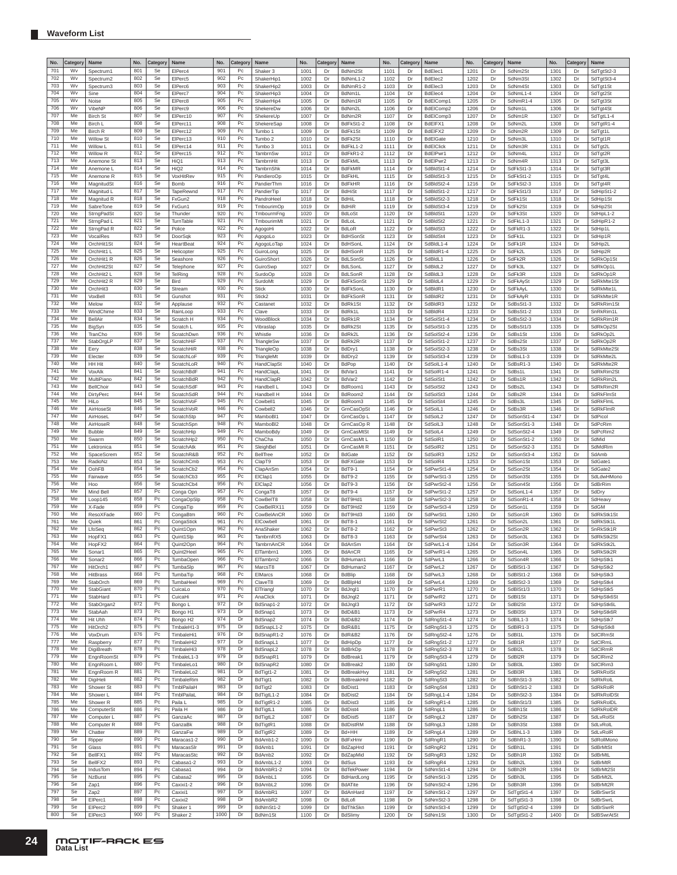| No.        | Category | Name                        | No.        | Categor              | Name                     | No.        | Category                          | Name                    | No.          | Category | Name                            | No.          | Category | Name                                | No.          | Category | Name                         | No.          | Category | Name                    |
|------------|----------|-----------------------------|------------|----------------------|--------------------------|------------|-----------------------------------|-------------------------|--------------|----------|---------------------------------|--------------|----------|-------------------------------------|--------------|----------|------------------------------|--------------|----------|-------------------------|
| 701        | Wv       | Spectrum1                   | 801        | Se                   | ElPerc4                  | 901        | Pc                                | Shaker 3                | 1001         | Dr       | BdNm2St                         | 1101         | Dr       | BdElec1                             | 1201         | Dr       | SdNm2St                      | 1301         | Dr       | SdTgtSt2-3              |
| 702        | Wv       | Spectrum <sub>2</sub>       | 802        | Se                   | ElPerc5                  | 902        | Pc                                | ShakerHip1              | 1002         | Dr       | BdNmL1-2                        | 1102         | Dr       | BdElec2                             | 1202         | Dr       | SdNm3St                      | 1302         | Dr       | SdTgtSt3-4              |
| 703        | Wv       | Spectrum3                   | 803        | Se                   | ElPerc6                  | 903        | Pc                                | ShakerHip2              | 1003         | Dr       | BdNmR1-2                        | 1103         | Dr       | BdElec3                             | 1203         | Dr       | SdNm4St                      | 1303         | Dr       | SdTgt1St                |
| 704        | Wv       | Sine                        | 804        | Se                   | ElPerc7                  | 904        | Pc                                | ShakerHip3              | 1004         | D)       | BdNm1L                          | 1104         | Dr       | BdElec4                             | 1204         | Dr       | SdNmL1-4                     | 1304         | Dr       | SdTgt2St                |
| 705        | Wv       | Noise                       | 805        | Se                   | ElPerc8                  | 905        | Pc                                | ShakerHip4              | 1005         | Dr       | BdNm1R                          | 1105         | Dr       | BdEIComp1                           | 1205         | Dr       | SdNmR1-4                     | 1305         | Dr       | SdTgt3S                 |
| 706        | Wv       | VibeNF                      | 806        | Se                   | ElPerc9                  | 906        | Pc                                | ShekereDw               | 1006         | Dr       | BdNm2L                          | 1106         | Dr       | BdEIComp2                           | 1206         | Dr       | SdNm1L                       | 1306         | Dr       | SdTgt4St                |
| 707        | Me       | <b>Birch St</b>             | 807        | Se                   | ElPerc10                 | 907        | Pc                                | ShekereUp               | 1007         | Dr       | BdNm2R                          | 1107         | Dr       | BdEIComp3                           | 1207         | Dr       | SdNm1R                       | 1307         | Dr       | SdTgtL1-4               |
| 708        | Me       | Birch L                     | 808        | Se                   | ElPerc11                 | 908        | Pc                                | ShekereSap              | 1008         | Dr       | BdFkSt1-2                       | 1108         | Dr       | BdEIFX1                             | 1208         | Dr       | SdNm2L                       | 1308         | Dr       | SdTgtR1-4               |
| 709<br>710 | Me<br>Me | <b>Birch R</b>              | 809<br>810 | Se<br>Se             | ElPerc12                 | 909<br>910 | Pc<br>Pc                          | Tumbo 1                 | 1009         | Dr       | BdFk1St                         | 1109         | Dr       | BdEIFX2                             | 1209         | Dr       | SdNm <sub>2R</sub>           | 1309         | Dr       | SdTgt1l                 |
| 711        | Me       | Willow St<br>Willow L       | 811        | Se                   | ElPerc13<br>ElPerc14     | 911        | Pc                                | Tumbo 2<br>Tumbo 3      | 1010<br>1011 | Dr<br>Dr | BdFk2St<br>BdFkL1-2             | 1110<br>111' | Dr<br>Dr | <b>BdEIGate</b><br><b>BdEIClick</b> | 1210<br>1211 | Dr<br>Dr | SdNm3L<br>SdNm3R             | 1310<br>1311 | Dr<br>Dr | SdTgt1R<br>SdTgt2L      |
| 712        | Me       | Willow R                    | 812        | Se                   | ElPerc15                 | 912        | Pc                                | TambrnSw                | 1012         | Dr       | BdFkR1-2                        | 1112         | Dr       | BdElPwr1                            | 1212         | Dr       | SdNm4L                       | 1312         | Dr       | SdTgt2R                 |
| 713        | Me       | Anemone St                  | 813        | Se                   | HiQ1                     | 913        | Pc                                | TambrnHit               | 1013         | Dr       | <b>BdFkML</b>                   | 1113         | Dr       | BdElPwr2                            | 1213         | Dr       | SdNm4R                       | 1313         | Dr       | SdTgt3L                 |
| 714        | Me       | Anemone L                   | 814        | Se                   | HiQ2                     | 914        | $\widetilde{P}c$                  | TambrnShk               | 1014         | Dr       | <b>BdFkMR</b>                   | 1114         | Dr       | SdBldSt1-4                          | 1214         | Dr       | SdFkSt1-3                    | 1314         | Dr       | SdTgt3R                 |
| 715        | Me       | Anemone R                   | 815        | Se                   | VoxHitRev                | 915        | Pc                                | PandieroOp              | 1015         | Dr       | <b>BdFkHL</b>                   | 1115         | Dr       | SdBldSt1-3                          | 1215         | Dr       | SdFkSt1-2                    | 1315         | Dr       | SdTgt4L                 |
| 716        | Me       | MagnitudSt                  | 816        | Se                   | Bomb                     | 916        | Pc                                | PandierThm              | 1016         | Dr       | <b>BdFkHR</b>                   | 1116         | Dr       | SdBldSt2-4                          | 1216         | Dr       | SdFkSt2-3                    | 1316         | Dr       | SdTgt4R                 |
| 717        | Me       | Magnitud L                  | 817        | Se                   | TapeRewnd                | 917        | Pc                                | PandierTip              | 1017         | Dr       | <b>BdHiSt</b>                   | 1117         | Dr       | SdBldSt1-2                          | 1217         | Dr       | SdFkSt1/3                    | 1317         | Dr       | SdHipSt1-2              |
| 718        | Me       | Magnitud R                  | 818        | Se                   | FxGun2                   | 918        | Pc                                | PandroHee               | 1018         | Dr       | BdHiL                           | 1118         | Dr       | SdBldSt2-3                          | 1218         | Dr       | SdFk1St                      | 1318         | Dr       | SdHip1St                |
| 719        | Me       | SabreTone                   | 819        | Se                   | FxGun1                   | 919        | Pc                                | TmbourimOp              | 1019         | D)       | <b>BdHiR</b>                    | 1119         | Dr       | SdBldSt3-4                          | 1219         | Dr       | SdFk2St                      | 1319         | Dr       | SdHip2St                |
| 720        | Me       | StrngPadSt                  | 820        | Se                   | Thunde                   | 920        | Pc                                | TmbourmFng              | 1020         | Dr       | <b>BdLoSt</b>                   | 1120         | Dr       | SdBldSt1                            | 1220         | Dr       | SdFk3St                      | 1320         | Dr       | SdHipL1-2               |
| 721        | Me       | StrngPad                    | 821        | Se                   | <b>TurnTable</b>         | 921        | Pc                                | TmbourimMt              | 1021         | Dr       | BdLol                           | 1121         | Dr       | SdBldSt2                            | 1221         | Dr       | SdFkL1-3                     | 1321         | Dr       | SdHipR1-2               |
| 722<br>723 | Me<br>Me | StrngPad R                  | 822<br>823 | Se<br>Se             | Police                   | 922<br>923 | Pc<br>Pc                          | AgogoHi                 | 1022         | Dr<br>Dr | BdLoR                           | 1122         | Dr<br>Dr | SdBldSt3                            | 1222         | Dr<br>Dr | SdFkR1-3                     | 1322         | Dr       | SdHip1L                 |
| 724        | Me       | VocalRes                    | 824        | Se                   | DoorSqk<br>HeartBeat     | 924        | Pc                                | AgogoLo                 | 1023<br>1024 | Dr       | <b>BdHSonSt</b>                 | 1123         | Dr       | SdBldSt4<br>SdBldL1-4               | 1223         | Dr       | SdFk1L<br>SdFk1R             | 1323<br>1324 | Dr<br>Dr | SdHip1R                 |
| 725        | Me       | OrchHit1St                  | 825        | Se                   |                          | 925        | Pc                                | AgogoLoTap              | 1025         |          | BdHSonl                         | 1124<br>1125 | Dr       | SdBldR1-4                           | 1224<br>1225 | Dr       |                              | 1325         |          | SdHip2L                 |
| 726        | Me       | OrchHit1 L<br>OrchHit1 R    | 826        | Se                   | Helicopter<br>Seashore   | 926        | Pc                                | GuiroLong<br>GuiroShort | 1026         | Dr<br>Dr | BdHSonR<br><b>BdLSonSt</b>      | 1126         | Dr       | SdBldL1                             | 1226         | Dr       | SdFk2L<br>SdFk2R             | 1326         | Dr<br>Dr | SdHip2R<br>SdRkOp1St    |
| 727        | Me       | OrchHit2St                  | 827        | Se                   | Telephone                | 927        | Pc                                | GuiroSwp                | 1027         | Dr       | BdLSonL                         | 1127         | Dr       | SdBldL2                             | 1227         | Dr       | SdFk3L                       | 1327         | Dr       | SdRkOp1I                |
| 728        | Me       | OrchHit2 L                  | 828        | Se                   | TelRing                  | 928        | Po                                | SurdoOp                 | 1028         | Dr       | <b>BdLSonR</b>                  | 1128         | Dr       | SdBldL3                             | 1228         | Dr       | SdFk3R                       | 1328         | Dr       | SdRkOp1R                |
| 729        | Me       | OrchHit2 R                  | 829        | Se                   | Bird                     | 929        | Pc                                | SurdoMt                 | 1029         | Dr       | <b>BdFkSonSt</b>                | 1129         | Dr       | SdBldL4                             | 1229         | Dr       | SdFkAySt                     | 1329         | Dr       | SdRkMte1St              |
| 730        | Me       | OrchHit3                    | 830        | Se                   | Stream                   | 930        | Pc                                | <b>Stick</b>            | 1030         | Dr       | BdFkSonL                        | 1130         | Dr       | SdBldR1                             | 1230         | Dr       | SdFkAyL                      | 1330         | Dr       | SdRkMte1L               |
| 731        | Me       | VoxBell                     | 831        | Se                   | Gunshot                  | 931        | Pc                                | Stick <sub>2</sub>      | 1031         | Dr       | BdFkSonR                        | 1131         | Dr       | SdBldR2                             | 1231         | Dr       | SdFkAyR                      | 1331         | Dr       | SdRkMte1R               |
| 732        | Me       | Melow                       | 832        | Se                   | Applause                 | 932        | Pc                                | Castanet                | 1032         | Dr       | BdRk1St                         | 1132         | Dr       | SdBldR3                             | 1232         | Dr       | SdBsSt1-3                    | 1332         | Dr       | SdRkRim1St              |
| 733        | Me       | WindChime                   | 833        | Se                   | RainLoop                 | 933        | Pc                                | Clave                   | 1033         | Dr       | BdRk1L                          | 1133         | Dr       | SdBldR4                             | 1233         | Dr       | SdBsSt1-2                    | 1333         | Dı       | SnRkRim1L               |
| 734        | Me       | <b>BellAir</b>              | 834        | Se                   | Scratch H                | 934        | Pc                                | WoodBlock               | 1034         | D)       | BdRk1R                          | 1134         | Dr       | SdSolSt1-4                          | 1234         | Dr       | SdBsSt2-3                    | 1334         | Dr       | SdRkRim1R               |
| 735        | Me       | BigSyn                      | 835        | Se                   | Scratch I                | 935        | Pc                                | Vibraslap               | 1035         | Dr       | BdRk2St                         | 1135         | Dr       | SdSolSt1-3                          | 1235         | Dr       | SdBsSt1/3                    | 1335         | Dr       | SdRkOp2St               |
| 736        | Me       | TranCho                     | 836        | Se                   | ScratchDwn               | 936        | Pc                                | Whistle                 | 1036         | Dr       | BdRk2L                          | 1136         | Dr       | SdSolSt2-4                          | 1236         | Dr       | SdBs1St                      | 1336         | Dr       | SdRkOp2I                |
| 737        | Me       | StabOrgLP                   | 837        | Se                   | ScratchHiF               | 937        | Pc                                | TriangleSw              | 1037         | Dr       | BdRk2R                          | 1137         | Dr       | SdSolSt1-2                          | 1237         | Dr       | SdBs2St                      | 1337         | Dı       | SdRkOp2R                |
| 738<br>739 | Me<br>Me | Eery                        | 838<br>839 | Se<br>Se             | ScratchHiR<br>ScratchLoF | 938<br>939 | Pc<br>Pc                          | TriangleOp              | 1038<br>1039 | Dr<br>Dr | BdDry1                          | 1138         | Dr<br>Dr | SdSolSt2-3                          | 1238         | Dr<br>Dr | SdBs3St                      | 1338         | Dr<br>Dr | SdRkMte2St<br>SdRkMte2L |
| 740        | Me       | Electer                     | 840        | Se                   | ScratchLoR               | 940        | Pc                                | TriangleMt              |              |          | BdDry2                          | 1139         | Dr       | SdSolSt3-4                          | 1239         |          | SdBsL1-3                     | 1339<br>1340 |          |                         |
| 741        | Me       | HH Hit<br>VoxAlk            | 841        | Se                   | ScratchBdF               | 941        | Pc                                | HandClapSt<br>HandClapL | 1040<br>1041 | Dr<br>Dr | <b>BdPop</b><br>BdVar1          | 1140<br>1141 | Dr       | SdSolL1-4<br>SdSolR1-4              | 1240<br>1241 | Dr<br>Dr | SdBsR1-3<br>SdBs1L           | 1341         | Dr<br>Dr | SdRkMte2R<br>SdRkRim2St |
| 742        | Me       | MultiPiano                  | 842        | Se                   | ScratchBdR               | 942        | Pc                                | HandClapR               | 1042         | Dr       | BdVar2                          | 1142         | Dr       | SdSolSt1                            | 1242         | Dr       | SdBs1R                       | 1342         | Dr       | SdRkRim2L               |
| 743        | Me       | BellChoir                   | 843        | Se                   | ScratchSdF               | 943        | Po                                | Handbell L              | 1043         | Dr       | BdRoom1                         | 1143         | Dr       | SdSolSt2                            | 1243         | Dr       | SdBs2L                       | 1343         | Dr       | SdRkRim2R               |
| 744        | Me       | <b>DirtyPerc</b>            | 844        | Se                   | ScratchSdR               | 944        | Pc                                | Handbell H              | 1044         | Dr       | BdRoom2                         | 1144         | Dr       | SdSolSt3                            | 1244         | Dr       | SdBs2R                       | 1344         | Dr       | SdRkFlmSt               |
| 745        | Me       | HiLo                        | 845        | Se                   | <b>ScratchVoF</b>        | 945        | Pc                                | Cowbell1                | 1045         | Dr       | BdRoom3                         | 1145         | Dr       | SdSolSt4                            | 1245         | Dr       | SdBs3L                       | 1345         | Dr       | SdRkFlmL                |
| 746        | Me       | AirHoseSt                   | 846        | Se                   | <b>ScratchVoR</b>        | 946        | Pc                                | Cowbell <sub>2</sub>    | 1046         | Dr       | GrnCasOpSt                      | 1146         | Dr       | SdSolL1                             | 1246         | Dr       | SdBs3R                       | 1346         | Dr       | SdRkFlmR                |
| 747        | Me       | AirHoseL                    | 847        | Se                   | ScratchStp               | 947        | Pc                                | MamboBI1                | 1047         | Dr       | GrnCasOp I                      | 1147         | Dr       | SdSolL2                             | 1247         | Dr       | SdSonSt1-4                   | 1347         | Dr       | SdPicol                 |
| 748        | Me       | AirHoseR                    | 848        | Se                   | ScratchSpn               | 948        | $\overline{\mathsf{P}}\mathsf{c}$ | MamboBI2                | 1048         | Dr       | GrnCasOp R                      | 1148         | Dr       | SdSolL3                             | 1248         | Dr       | SdSonSt1-3                   | 1348         | Dı       | SdPcRim                 |
| 749        | Me       | <b>Bubble</b>               | 849        | Se                   | ScratchHip               | 949        | Pc                                | MamboBdy                | 1049         | D)       | GrnCasMtSt                      | 1149         | Dr       | SdSolL4                             | 1249         | Dr       | SdSonSt2-4                   | 1349         | Dr       | SdPcRim2                |
| 750        | Me       | Swarm                       | 850        | Se                   | ScratchHp2               | 950        | Pc                                | ChaCha                  | 1050         | Dr       | GrnCasMt                        | 1150         | Dr       | SdSolR1                             | 1250         | Dr       | SdSonSt1-2                   | 1350         | Dr       | SdMid                   |
| 751        | Me       | Lektronica                  | 851        | Se                   | ScratchAtk               | 951        | Pc                                | SleighBel               | 1051         | Dr       | GrnCasMt R                      | 1151         | Dr       | SdSolR2                             | 1251         | Dr       | SdSonSt2-3                   | 1351         | Dr       | SdMdRim                 |
| 752        | Me       | SpaceScrem                  | 852        | Se                   | ScratchR&B               | 952        | Pc                                | <b>BellTree</b>         | 1052         | Dr       | <b>BdGate</b>                   | 1152         | Dr       | SdSolR3                             | 1252         | Dr       | SdSonSt3-4                   | 1352         | Dr       | SdAmb                   |
| 753        | Me       | RadioNz                     | 853        | Se                   | ScratchCmb               | 953<br>954 | Pc                                | ClapT9                  | 1053         | Dr       | <b>BdFXGate</b>                 | 1153         | Dr       | SdSolR4                             | 1253         | Dr       | SdSon1St                     | 1353         | Dr       | SdGate1                 |
| 754<br>755 | Me<br>Me | OohFB                       | 854<br>855 | Se<br>Se             | ScratchCb2               | 955        | Pc<br>Pc                          | ClapAnSm                | 1054         | Dr       | <b>BdT9-1</b>                   | 1154         | Dr       | SdPwrSt1-4                          | 1254         | Dr       | SdSon2St                     | 1354         | Dr       | SdGate2                 |
| 756        | Me       | Fairwave<br>Hoo             | 856        | Se                   | ScratchCb3<br>ScratchCb4 | 956        | Pc                                | EIClap1<br>ElClap2      | 1055<br>1056 | Dr<br>Dr | <b>BdT9-2</b><br>BdT9-3         | 1155<br>1156 | Dr<br>Dr | SdPwrSt1-3<br>SdPwrSt2-4            | 1255<br>1256 | Dr<br>Dr | SdSon3St<br>SdSon4St         | 1355<br>1356 | Dr<br>Dr | SdLdwHMono<br>SdBrRim   |
| 757        | Me       | Mind Bel                    | 857        | Pc                   | Conga Opn                | 957        | Pc                                | CongaT8                 | 1057         | Dr       | <b>BdT9-4</b>                   | 1157         | Dr       | SdPwrSt1-2                          | 1257         | Dr       | SdSonL1-4                    | 1357         | Dr       | SdDry                   |
| 758        | Me       | Loop145                     | 858        | Pc                   | CongaOpSlp               | 958        | Pc                                | CowBelT8                | 1058         | Dr       | BdT9Hd <sup>®</sup>             | 1158         | Dr       | SdPwrSt2-3                          | 1258         | Dr       | SdSonR1-4                    | 1358         | Dr       | SdHeavy                 |
| 759        | Me       | X-Fade                      | 859        | Pc                   | CongaTip                 | 959        | Pc                                | CowBelRX11              | 1059         | Dr       | BdT9Hd2                         | 1159         | Dr       | SdPwrSt3-4                          | 1259         | Dr       | SdSon1L                      | 1359         | Dr       | SdGM                    |
| 760        | Me       | ResoXFade                   | 860        | Pc                   | CongaBtm                 | 960        | Pc                                | CowBelAnCR              | 1060         | Dr       | BdT9Hd3                         | 1160         | Dr       | SdPwrSt1                            | 1260         | Dr       | SdSon1R                      | 1360         | Dr       | SdRkStk1St              |
| 761        | Me       | Quiek                       | 861        | Pc                   | CongaStick               | 961        | Pc                                | ElCowbell               | 1061         | Dr       | <b>BdT8-1</b>                   | 1161         | Dr       | SdPwrSt2                            | 1261         | Dr       | SdSon2L                      | 1361         | Dr       | SdRkStk1L               |
| 762        | Me       | LfoSeq                      | 862        | Pc                   | Quint1Opn                | 962        | Pc                                | AnaShaker               | 1062         | D)       | <b>BdT8-2</b>                   | 1162         | Dr       | SdPwrSt3                            | 1262         | Dr       | SdSon2R                      | 1362         | Dr       | SnRkStk1R               |
| 763        | Me       | HopFX1                      | 863        | Pc                   | Quint1Slp                | 963        | Pc                                | TambrnRX5               | 1063         | Dı       | <b>BdT8-3</b>                   | 1163         | Dr       | SdPwrSt4                            | 1263         | Dr       | SdSon3L                      | 1363         | Dr       | SdRkStk2St              |
| 764        | Me       | HopFX2                      | 864        | Pc                   | Quint2Opn                | 964        | Pc                                | TambrnAnCR              | 1064         | D)       | <b>BdAnSm</b>                   | 1164         | Dr       | SdPwrL1-4                           | 1264         | Dr       | SdSon3R                      | 1364         | Dr       | SdRkStk2L               |
| 765<br>766 | Me<br>Me | Sonar1                      | 865<br>866 | Pc<br>Pc             | Quint2Heel               | 965<br>966 | Pc<br>Pc                          | ElTambrn1               | 1065         | Dı       | <b>BdAnCR</b>                   | 1165         | Dr       | SdPwrR1-4                           | 1265         | Dr       | SdSon4L                      | 1365         | Dı       | SdRkStk2F               |
|            |          | Sonar2                      |            |                      | <b>TumbaOpen</b>         |            |                                   | ElTambrn2               | 1066         | Dr       | BdHuman1                        | 1166         | Dr       | SdPwrL1                             | 1266         | Dr       | SdSon4R                      | 1366         | Dr       | SdHpStk1                |
| 767<br>768 | Me<br>Me | HitOrch1<br><b>HitBrass</b> | 867<br>868 | Pc<br>Pc             | TumbaSlp<br>TumbaTip     | 967<br>968 | Pc<br>Pc                          | MarcsT8<br>ElMarcs      | 1067<br>1068 | Dr<br>Dr | BdHuman2<br><b>BdBlip</b>       | 1167<br>1168 | Dr<br>Dr | SdPwrL2<br>SdPwrL3                  | 1267<br>1268 | Dr<br>Dr | SdBISt1-3<br>SdBISt1-2       | 1367<br>1368 | Dr<br>Dr | SdHpStk2<br>SdHpStk3    |
| 769        | Me       | StabOrch                    | 869        | Pc                   | TumbaHeel                | 969        | Pc                                | ClaveT8                 | 1069         | Dr       | BdBlpHd                         | 1169         | Dr       | SdPwrL4                             | 1269         | Dr       | SdBISt2-3                    | 1369         | Dr       | SdHpStk4                |
| 770        | Me       | StabGiant                   | 870        | Pc                   | CuicaLo                  | 970        | Pc                                | ElTriangl               | 1070         | Dr       | BdJngl1                         | 1170         | Dr       | SdPwrR1                             | 1270         | Dr       | SdBISt1/3                    | 1370         | Dr       | SdHpStk5                |
| 771        | Me       | StabHard                    | 871        | Pc                   | CuicaHi                  | 971        | Pc                                | AnaClick                | 1071         | Dr       | BdJngl2                         | 1171         | Dr       | SdPwrR2                             | 1271         | Dr       | SdBI1St                      | 1371         | Dr       | SdHpStk6St              |
| 772        | Me       | StabOrgan2                  | 872        | P <sub>C</sub>       | Bongo L                  | 972        | Dr                                | BdSnap1-2               | 1072         | Dr       | BdJngl3                         | 1172         | Dr       | SdPwrR3                             | 1272         | Dr       | SdBI2St                      | 1372         | Dr       | SdHpStk6L               |
| 773        | Me       | StabAah                     | 873        | Pc                   | Bongo H1                 | 973        | Dr                                | BdSnap1                 | 1073         | Dr       | BdD&B <sup>®</sup>              | 1173         | Dr       | SdPwrR4                             | 1273         | Dr       | SdBI3St                      | 1373         | Dr       | SdHpStk6R               |
| 774        | Me       | Hit Uhh                     | 874        | Pc                   | Bongo H <sub>2</sub>     | 974        | Dr                                | BdSnap2                 | 1074         | Dr       | BdD&B2                          | 1174         | Dr       | SdRngSt1-4                          | 1274         | Dr       | SdBIL1-3                     | 1374         | Dr       | SdHpStk7                |
| 775        | Me       | HitOrch2                    | 875        | Pc                   | TmbaleH1-3               | 975        | Dr                                | BdSnapL1-2              | 1075         | Dr       | BdR&B1                          | 1175         | Dr       | SdRngSt1-3                          | 1275         | Dr       | SdBIR1-3                     | 1375         | Dr       | SdHipStk8               |
| 776        | Me       | VoxDrum                     | 876        | Pc                   | TimbaleHi1               | 976        | Dr                                | BdSnapR1-2              | 1076         | Dr       | BdR&B2                          | 1176         | Dr       | SdRngSt2-4                          | 1276         | Dr       | SdBI1L                       | 1376         | Dr       | SdCIRmSt                |
| 777        | Me       | Raspberry                   | 877        | Pc                   | TimbaleHi2               | 977        | Dr                                | BdSnapL1                | 1077         | Dr       | BdHipDp                         | 1177         | Dr       | SdRngSt1-2                          | 1277         | Dr       | SdBI1R                       | 1377         | Dr       | SdCIRmL                 |
| 778<br>779 | Me<br>Me | DigiBreath                  | 878<br>879 | P <sub>C</sub><br>Pc | TimbaleHi3               | 978<br>979 | Dr<br>Dr                          | BdSnapL2                | 1078         | Dr<br>Đı | <b>BdBrkDp</b>                  | 1178         | Dr       | SdRngSt2-3                          | 1278         | Dr       | SdBI2L                       | 1378         | Dr       | SdCIRmR                 |
| 780        | Me       | EngnRoomSt<br>EngnRoom I    | 880        | Pc                   | TmbaleL1-3<br>TimbaleLo1 | 980        | Dr                                | BdSnapR1<br>BdSnapR2    | 1079<br>1080 | Dr       | BdBreak1<br>BdBreak2            | 1179<br>1180 | Dr<br>Dr | SdRngSt3-4<br>SdRngSt1              | 1279<br>1280 | Dr<br>Dr | SdBI2R<br>SdBI3L             | 1379<br>1380 | Dr<br>Dr | SdCIRim2<br>SdClRim3    |
| 781        | Me       | EngnRoom R                  | 881        | Pc                   | TimbaleLo2               | 981        | Dr                                | BdTigt1-2               | 1081         | Dr       | BdBreakHvy                      | 1181         | Dr       | SdRngSt2                            | 1281         | Dr       | SdBI3R                       | 1381         | Dr       | SdRkRolSt               |
| 782        | Me       | DigiHeli                    | 882        | Pc                   | TimbaleRim               | 982        | Dr                                | BdTigt1                 | 1082         | Dr       | BdBreakHrd                      | 1182         | Dr       | SdRngSt3                            | 1282         | Dr       | SdBhSt1-3                    | 1382         | Dr       | SdRkRoll                |
| 783        | Me       | Shower St                   | 883        | Pc                   | TmblPailaH               | 983        | Dr                                | BdTigt2                 | 1083         | Dr       | BdDist1                         | 1183         | Dr       | SdRngSt4                            | 1283         | Dr       | SdBhSt1-2                    | 1383         | Dr       | SdRkRolR                |
| 784        | Me       | Shower L                    | 884        | Pc                   | TmblPailaL               | 984        | Dr                                | BdTigtL1-2              | 1084         | Dr       | BdDist2                         | 1184         | Dr       | SdRngL1-4                           | 1284         | Dr       | SdBhSt2-3                    | 1384         | Dr       | SdRkRoIDS               |
| 785        | Me       | Shower <sub>R</sub>         | 885        | Pc                   | Paila L                  | 985        | Dr                                | BdTigtR1-2              | 1085         | Dr       | BdDist3                         | 1185         | Dr       | SdRngR1-4                           | 1285         | Dr       | SdBhSt1/3                    | 1385         | Dr       | SdRkRolDL               |
| 786        | Me       | ComputerSt                  | 886        | Pc                   | Paila H                  | 986        | Dr                                | BdTigtL1                | 1086         | Dr       | BdDist4                         | 1186         | Dr       | SdRngL1                             | 1286         | Dr       | SdBh1St                      | 1386         | Dr       | SdRkRoIDR               |
| 787        | Me       | Computer L                  | 887        | Pc                   | GanzaAc                  | 987        | Dr                                | BdTigtL2                | 1087         | Dr       | BdDist5                         | 1187         | Dr       | SdRngL2                             | 1287         | Dr       | SdBh2St                      | 1387         | Dr       | SdLvRolSt               |
| 788        | Me       | Computer R                  | 888        | Pc                   | GanzaBk                  | 988        | Dr                                | BdTigtR1                | 1088         | Dr       | <b>BdDistRM</b>                 | 1188         | Dr       | SdRngL3                             | 1288         | Dr       | SdBh3St                      | 1388         | Dr       | SdLvRoll                |
| 789        | Me       | Chatter                     | 889        | Pc                   | GanzaFw                  | 989        | Dr                                | BdTigtR2                | 1089         | Dr       | Bd+HH                           | 1189         | Dr       | SdRngL4                             | 1289         | Dr       | SdBhL1-3                     | 1389         | Dr       | SdLvRolR                |
| 790        | Se       | Ripper                      | 890        | Pc                   | Maracas1-2               | 990        | Dr                                | BdAmb1-2                | 1090         | Dr       | BdFxHmr                         | 1190         | Dr       | SdRngR1                             | 1290         | Dr       | SdBhR1-3                     | 1390         | Dr       | SdRollMono              |
| 791        | Se       | Glass                       | 891        | Pc                   | MaracasSlr               | 991        | Dr                                | BdAmb1                  | 1091         | Dr       | BdZapHrd                        | 1191         | Dr       | SdRngR2                             | 1291         | Dr       | SdBh1L                       | 1391         | Dr       | SdBrMtSt                |
| 792<br>793 | Se       | BellFX1                     | 892<br>893 | Pc<br>P <sub>C</sub> | MaracasStc               | 992<br>993 | Dı                                | BdAmb2                  | 1092         | Dr       | BdZapMid                        | 1192         | Dr       | SdRngR3                             | 1292         | Dr       | SdBh1R                       | 1392         | Dr       | SdBrMtL                 |
| 794        | Se<br>Se | BellFX2                     | 894        | Pc                   | Cabasa1-2                | 994        | Dr<br>Dr                          | BdAmbL1-2               | 1093         | Dr<br>D) | <b>BdSus</b>                    | 1193         | Dr       | SdRngR4                             | 1293         | Dr       | SdBh2L                       | 1393         | Dr       | SdBrMtR                 |
| 795        | Se       | IndusTom<br>NzBurst         | 895        | Pc                   | Cabasa1<br>Cabasa2       | 995        | Dr                                | BdAmbR1-2<br>BdAmbL1    | 1094<br>1095 | Dr       | <b>BdTekPower</b><br>BdHardLong | 1194<br>1195 | Dr<br>Dr | SdNmSt1-4<br>SdNmSt1-3              | 1294<br>1295 | Dr<br>Dr | SdBh <sub>2R</sub><br>SdBh3L | 1394<br>1395 | Dr<br>Dr | SdBrMt2St<br>SdBrMt2L   |
| 796        | Se       | Zap1                        | 896        | Pc                   | Caxixi1-2                | 996        | Dr                                | BdAmbL2                 | 1096         | Dr       | <b>BdATite</b>                  | 1196         | Dr       | SdNmSt2-4                           | 1296         | Dr       | SdBh3R                       | 1396         | Dr       | SdBrMt2R                |
| 797        | Se       | Zap2                        | 897        | Pc                   | Caxixi1                  | 997        | Dr                                | BdAmbR1                 | 1097         | Dr       | BdAnHard                        | 1197         | Dr       | SdNmSt1-2                           | 1297         | Dr       | SdTgtSt1-4                   | 1397         | Dr       | SdBrSwrSt               |
| 798        | Se       | ElPerc1                     | 898        | Pc                   | Caxixi2                  | 998        | Dr                                | BdAmbR2                 | 1098         | Dr       | BdLofi                          | 1198         | Dr       | SdNmSt2-3                           | 1298         | Dr       | SdTgtSt1-3                   | 1398         | Dr       | SdBrSwrL                |
| 799        | Se       | ElPerc2                     | 899        | Pc                   | Shaker 1                 | 999        | Dr                                | BdNmSt1-2               | 1099         | Dı       | <b>BdThkSkn</b>                 | 1199         | Dr       | SdNmSt3-4                           | 1299         | Dr       | SdTgtSt2-4                   | 1399         | Dı       | SdBrSwrR                |
| 800        | Se       | ElPerc3                     | 900        | Pc                   | Shaker 2                 | 1000       | Dr                                | BdNm1St                 | 1100         | Dr       | BdSlimy                         | 1200         | Dr       | SdNm1St                             | 1300         | Dr       | SdTgtSt1-2                   | 1400         | Dr       | SdBSwrAtSt              |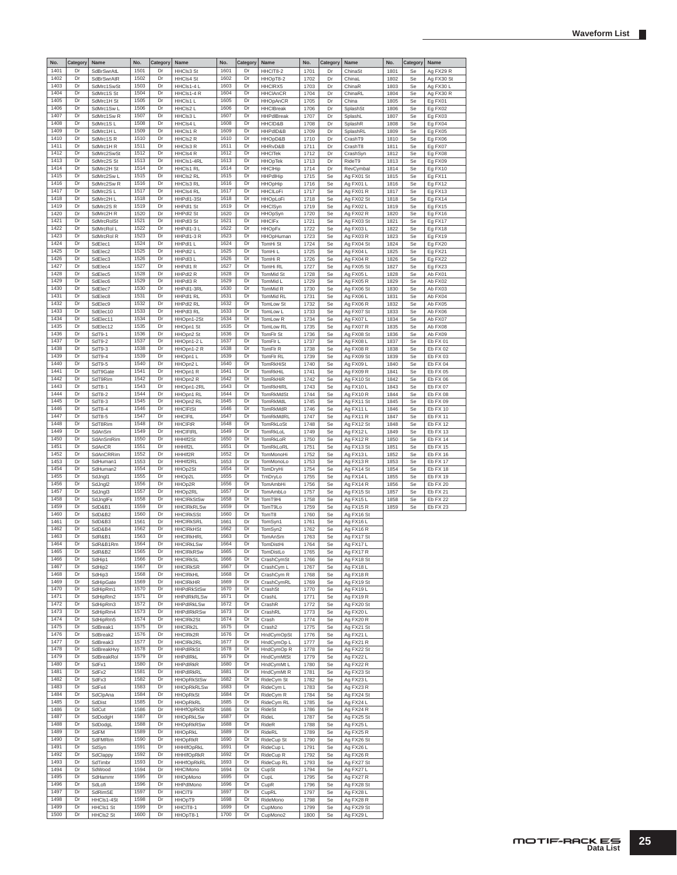| No.          | Category | Name                  | No.          | Category | Name                                 | No.          | Category | Name                    | No.          | Category | Name                    | No.  | Category | Name                 |
|--------------|----------|-----------------------|--------------|----------|--------------------------------------|--------------|----------|-------------------------|--------------|----------|-------------------------|------|----------|----------------------|
| 1401         | Dr       | SdBrSwrAtL            | 1501         | Dr       | HHCls3 St                            | 1601         | Dr       | HHCIT8-2                | 1701         | Dr       | ChinaSt                 | 1801 | Se       | Ag FX29 R            |
| 1402         | Dr       | SdBrSwrAtR            | 1502         | Dr       | <b>HHCIs4 St</b>                     | 1602         | Dr       | HHOpT8-2                | 1702         | Dr       | ChinaL                  | 1802 | Se       | Ag FX30 St           |
| 1403         | Dr       | SdMrc1SwSt            | 1503         | Dr       | HHCls1-4 L                           | 1603         | Dr       | HHCIRX5                 | 1703         | Dr       | ChinaR                  | 1803 | Se       | Ag FX30 L            |
| 1404         | Dr       | SdMrc1S St            | 1504         | Dr       | HHCls1-4 R                           | 1604         | Dr       | <b>HHCIAnCR</b>         | 1704         | Dr       | ChinaRL                 | 1804 | Se       | Ag FX30 R            |
| 1405         | Dr       | SdMrc1H St            | 1505         | Dr       | HHCIs1 L                             | 1605         | Dr       | <b>HHOpAnCR</b>         | 1705         | Dr       | China                   | 1805 | Se       | Eg FX01              |
| 1406         | Dr       | SdMrc1SwL             | 1506         | Dr       | HHCIs2 L                             | 1606         | Dr       | <b>HHCIBreak</b>        | 1706         | Dr       | SplashSt                | 1806 | Se       | Eg FX02              |
| 1407         | Dr       | SdMrc1Sw <sub>R</sub> | 1507         | Dr       | HHCIs3 L                             | 1607         | Dr       | <b>HHPdlBreak</b>       | 1707         | Dr       | SplashL                 | 1807 | Se       | Eg FX03              |
| 1408         | Dr       | SdMrc1SL              | 1508         | Dr       | HHCIs4 L                             | 1608         | Dr       | HHCID&B                 | 1708         | Dr       | SplashR                 | 1808 | Se       | Eg FX04              |
| 1409         | Dr       | SdMrc1HL              | 1509         | Dr       | HHCls1 R                             | 1609         | Dr       | HHPdID&B                | 1709         | Dr       | SplashRL                | 1809 | Se       | Eg FX05              |
| 1410         | Dr       | SdMrc1SR              | 1510         | Dr       | HHCIs2 R                             | 1610         | Dr       | HHOpD&B                 | 1710         | Dr       | CrashT9                 | 1810 | Se       | Eg FX06              |
| 1411         | Dr       | SdMrc1HR              | 1511         | Dr       | HHCIs3 R                             | 1611         | Dr       | HHRvD&B                 | 1711         | Dr       | CrashT8                 | 1811 | Se       | Eg FX07              |
| 1412         | Dr       | SdMrc2SwSt            | 1512         | Dr       | HHCls4 R                             | 1612         | Dr       | <b>HHCITek</b>          | 1712         | Dr       | CrashSyn                | 1812 | Se       | Eg FX08              |
| 1413         | Dr       | SdMrc2S St            | 1513         | Dr       | HHCls1-4RL                           | 1613         | Dr       | <b>HHOpTek</b>          | 1713         | Dr       | RideT9                  | 1813 | Se       | Eg FX09              |
| 1414         | Dr       | SdMrc2H St            | 1514         | Dr       | HHCIs1 RL                            | 1614         | Dr       | <b>HHClHip</b>          | 1714         | Dr       | RevCymbal               | 1814 | Se       | Eg FX10              |
| 1415         | Dr       | SdMrc2SwL             | 1515         | Dr       | HHCIs2 RL                            | 1615         | Dr       | <b>HHPdlHip</b>         | 1715         | Se       | Ag FX01 St              | 1815 | Se       | Eg FX11              |
| 1416         | Dr       | SdMrc2Sw R            | 1516         | Dr       | HHCIs3 RL                            | 1616         | Dr       | <b>HHOpHip</b>          | 1716         | Se       | Ag FX01 L               | 1816 | Se       | Eg FX12              |
| 1417         | Dr       | SdMrc2SL              | 1517         | Dr       | <b>HHCIs4 RL</b>                     | 1617         | Dr       | <b>HHCILoFi</b>         | 1717         | Se       | Ag FX01 R               | 1817 | Se       | Eg FX13              |
| 1418         | Dr       | SdMrc2H L             | 1518         | Dr       | HHPdl1-3St                           | 1618         | Dr       | HHOpLoFi                | 1718         | Se       | Ag FX02 St              | 1818 | Se       | Eg FX14              |
| 1419         | Dr       | SdMrc2S <sub>R</sub>  | 1519         | Dr       | HHPdl1 St                            | 1619         | Dr       | <b>HHCISyn</b>          | 1719         | Se       | Ag FX02 L               | 1819 | Se       | Eg FX15              |
| 1420         | Dr       | SdMrc2H R             | 1520         | Dr       | HHPdl2 St                            | 1620         | Dr       | <b>HHOpSyn</b>          | 1720         | Se       | Ag FX02 R               | 1820 | Se       | Eg FX16              |
| 1421         | Dr       | SdMrcRolSt            | 1521         | Dr       | HHPdI3 St                            | 1621         | Dr       | <b>HHCIFx</b>           | 1721         | Se       | Ag FX03 St              | 1821 | Se       | Eg FX17              |
| 1422         | Dr       | SdMrcRol L            | 1522         | Dr       | HHPdl1-3L                            | 1622         | Dr       | <b>HHOpFx</b>           | 1722         | Se       | Ag FX03L                | 1822 | Se       | Eg FX18              |
| 1423         | Dr       | SdMrcRol R            | 1523         | Dr       | HHPdI1-3 R                           | 1623         | Dr       | <b>HHOpHuman</b>        | 1723         | Se       | Ag FX03 R               | 1823 | Se       | Eg FX19              |
| 1424         | Dr       | SdElec1               | 1524         | Dr       | HHPdI1 L                             | 1624         | Dr       | TomHi St                | 1724         | Se       | Ag FX04 St              | 1824 | Se       | Eg FX20              |
| 1425         | Dr       | SdElec2               | 1525         | Dr       | HHPdl2 L                             | 1625         | Dr       | TomHi L                 | 1725         | Se       | Ag FX04 L               | 1825 | Se       | Eg FX21              |
| 1426         | Dr       | SdElec3               | 1526         | Dr       | HHPdI3 L                             | 1626         | Dr       | TomHi <sub>R</sub>      | 1726         | Se       | Ag FX04 R               | 1826 | Se       | Eg FX22              |
| 1427         | Dr       | SdElec4               | 1527         | Dr       | HHPdl1 R                             | 1627         | Dr       | TomHi RL                | 1727         | Se       | Ag FX05 St              | 1827 | Se       | Eg FX23              |
| 1428         | Dr       | SdElec5               | 1528         | Dr       | HHPdl2 R                             | 1628         | Dr       | TomMid St               | 1728         | Se       | Ag FX05L                | 1828 | Se       | Ab FX01              |
| 1429         | Dr       | SdElec6               | 1529         | Dr       | HHPdI3 R                             | 1629         | Dr       | TomMid L                | 1729         | Se       | Ag FX05 R               | 1829 | Se       | Ab FX02              |
| 1430         | Dr       | SdElec7               | 1530         | Dr       | HHPdl1-3RL                           | 1630         | Dr       | TomMid R                | 1730         | Se       | Ag FX06 St              | 1830 | Se       | Ab FX03              |
| 1431         | Dr       | SdElec8               | 1531         | Dr       | HHPdl1 RL                            | 1631         | Dr       | TomMid RL               | 1731         | Se       | Ag FX06 L               | 1831 | Se       | Ab FX04              |
| 1432         | Dr       | SdElec9               | 1532         | Dr       | HHPdl2 RL                            | 1632         | Dı       | TomLow St               | 1732         | Se       | Ag FX06 R               | 1832 | Se       | Ab FX05              |
| 1433         | Dr       | SdElec10              | 1533         | Dr       | HHPdI3 RL                            | 1633         | Dr       | TomLow L                | 1733         | Se       | Ag FX07 St              | 1833 | Se       | Ab FX06              |
| 1434         | Dr       | SdElec11              | 1534         | Dr       | HHOpn1-2St                           | 1634         | Dr       | TomLow R                | 1734         | Se       | Ag FX07 L               | 1834 | Se       | Ab FX07              |
| 1435         | Dr       | SdElec12              | 1535         | Dr       | HHOpn1 St                            | 1635         | Dr       | TomLow RL               | 1735         | Se       | Ag FX07 R               | 1835 | Se       | Ab FX08              |
| 1436         | Dr       | SdT9-1                | 1536         | Dr       | HHOpn2 St                            | 1636         | Dr       | TomFlr St               | 1736         | Se       | Ag FX08 St              | 1836 | Se       | Ab FX09              |
| 1437         | Dr       | SdT9-2                | 1537         | Dr       | HHOpn1-2 L                           | 1637         | Dr       | TomFIr L                | 1737         | Se       | Ag FX08L                | 1837 | Se       | Eb FX 01             |
| 1438         | Dr       | SdT9-3                | 1538         | Dr       | HHOpn1-2 R                           | 1638         | Dr       | TomFlr R                | 1738         | Se       | Ag FX08 R               | 1838 | Se       | Eb FX 02             |
| 1439         | Dr       | SdT9-4                | 1539         | Dr       | HHOpn1 L                             | 1639         | Dr       | TomFIr RL               | 1739         | Se       | Ag FX09 St              | 1839 | Se       | Eb FX 03             |
| 1440         | Dr       | SdT9-5                | 1540         | Dr       | HHOpn2 L                             | 1640         | Dr       | <b>TomRkHiSt</b>        | 1740         | Se       | Ag FX09L                | 1840 | Se       | Eb FX 04             |
| 1441         | Dr       | SdT9Gate              | 1541         | Dr       | HHOpn1 R                             | 1641         | Dr       | <b>TomRkHiL</b>         | 1741         | Se       | Ag FX09 R               | 1841 | Se       | Eb FX 05             |
| 1442         | Dr       | SdT9Rim               | 1542         | Dr       | HHOpn2 R                             | 1642         | Dr       | TomRkHiR                | 1742         | Se       | Ag FX10 St              | 1842 | Se       | Eb FX 06             |
| 1443         | Dr       | SdT8-1                | 1543         | Dr       | HHOpn1-2RL                           | 1643         | Dr       | TomRkHiRL               | 1743         | Se       | Ag FX10L                | 1843 | Se       | Eb FX 07             |
| 1444         | Dr       | SdT8-2                | 1544         | Dr       | HHOpn1 RL                            | 1644         | Dr       | TomRkMdSt               | 1744         | Se       | Ag FX10 R               | 1844 | Se       | Eb FX 08             |
| 1445         | Dr       | SdT8-3                | 1545         | Dr       | HHOpn2 RL                            | 1645         | Dr       | TomRkMdL                | 1745         | Se       | Ag FX11 St              | 1845 | Se       | Eb FX 09             |
| 1446         | Dr       | SdT8-4                | 1546         | Dr       | <b>HHCIFtSt</b>                      | 1646         | Dr       | TomRkMdR                | 1746         | Se       | Ag FX11 L               | 1846 | Se       | Eb FX 10             |
| 1447         | Dr       | SdT8-5                | 1547         | Dı       | <b>HHCIFtL</b>                       | 1647         | Dı       | TomRkMdRL               | 1747         | Se       |                         | 1847 |          |                      |
| 1448         | Dr       | SdT8Rim               | 1548         | Dr       | <b>HHCIFtR</b>                       | 1648         | Dr       | TomRkLoSt               | 1748         | Se       | Ag FX11 R<br>Ag FX12 St | 1848 | Se<br>Se | Eb FX 11<br>Eb FX 12 |
| 1449         | Dr       | SdAnSm                | 1549         | Dr       | <b>HHCIFtRL</b>                      | 1649         | Dr       | TomRkLoL                | 1749         | Se       | Ag FX12L                | 1849 | Se       | Eb FX 13             |
| 1450         | Dr       | SdAnSmRim             | 1550         | Dr       | HHHIf2St                             | 1650         | Dr       | TomRkLoR                | 1750         | Se       | Ag FX12 R               | 1850 | Se       | Eb FX 14             |
| 1451         | Dr       | SdAnCR                | 1551         | Dr       | HHHIf2L                              | 1651         | Dr       | TomRkLoRL               | 1751         | Se       | Ag FX13 St              | 1851 | Se       | Eb FX 15             |
| 1452         | Dr       | SdAnCRRim             | 1552         | Dr       | HHHIf2R                              | 1652         | Dr       | <b>TomMonoHi</b>        | 1752         | Se       | Ag FX13L                | 1852 | Se       | Eb FX 16             |
| 1453         | Dr       | SdHuman1              | 1553         | Dr       | HHHIf2RL                             | 1653         | Dr       | TomMonoLo               | 1753         | Se       | Ag FX13R                | 1853 | Se       | Eb FX 17             |
| 1454         | Dr       | SdHuman2              | 1554         | Dr       | HHOp2St                              | 1654         | Dr       | TomDryHi                | 1754         |          |                         | 1854 |          | Eb FX 18             |
| 1455         | Dr       |                       | 1555         | Dr       |                                      | 1655         | Dr       |                         |              | Se       | Ag FX14 St              |      | Se       |                      |
| 1456         | Dr       | SdJngl1               | 1556         | Dr       | HHOp2L                               | 1656         | Dr       | TmDryLo                 | 1755         | Se       | Ag FX14 L               | 1855 | Se       | Eb FX 19             |
| 1457         | Dr       | SdJngl2               | 1557         | Dr       | HHOp2R                               | 1657         | Dr       | <b>TomAmbHi</b>         | 1756         | Se       | Ag FX14 R               | 1856 | Se       | <b>Eb FX 20</b>      |
| 1458         | Dr       | SdJngl3               | 1558         | Dr       | HHOp2RL                              | 1658         | Dr       | TomAmbLo                | 1757         | Se<br>Se | Ag FX15 St              | 1857 | Se<br>Se | Eb FX 21             |
| 1459         | Dr       | SdJngIFx              | 1559         | Dr       | <b>HHCIRkStSw</b>                    | 1659         | Dr       | TomT9Hi                 | 1758         |          | Ag FX15L                | 1858 |          | Eb FX 22             |
| 1460         | Dr       | SdD&B1<br>SdD&B2      | 1560         | Dr       | <b>HHCIRKRLSw</b>                    | 1660         | Dr       | TomT9Lo                 | 1759<br>1760 | Se<br>Se | Ag FX15 R               | 1859 | Se       | Eb FX 23             |
| 1461         | Dr       |                       | 1561         | Dr       | <b>HHCIRkSSt</b>                     | 1661         | Dr       | TomT8<br>TomSyn1        |              |          | Ag FX16 St              |      |          |                      |
| 1462         | Dr       | SdD&B3                | 1562         | Dı       | <b>HHCIRKSRL</b>                     | 1662         | Dı       |                         | 1761         | Se       | Ag FX16L                |      |          |                      |
|              |          | SdD&B4                |              |          | <b>HHCIRkHSt</b>                     |              |          | TomSyn2                 | 1762         | Se       | Ag FX16 R               |      |          |                      |
| 1463<br>1464 | Dr<br>Dr | SdR&B1                | 1563<br>1564 | Dr<br>Dr | <b>HHCIRKHRL</b>                     | 1663<br>1664 | Dr<br>Dr | TomAnSm                 | 1763         | Se       | Ag FX17 St              |      |          |                      |
|              |          | SdR&B1Rm              |              |          | <b>HHCIRkLSw</b><br><b>HHCIRkRSw</b> |              |          | TomDistHi<br>TomDistl o | 1764         | Se       | Ag FX17L                |      |          |                      |
| 1465<br>1466 | Dr<br>Dr | SdR&B2                | 1565<br>1566 | Dr<br>Dr |                                      | 1665<br>1666 | Dr<br>Dr |                         | 1765         | Se       | Ag FX17 R               |      |          |                      |
|              |          | SdHip1                |              |          | <b>HHCIRKSL</b>                      |              |          | CrashCymSt              | 1766         | Se       | Ag FX18 St              |      |          |                      |
| 1467<br>1468 | Dr<br>Dr | SdHip2                | 1567<br>1568 | Dr<br>Dr | <b>HHCIRKSR</b><br><b>HHCIRKHL</b>   | 1667<br>1668 | Dr<br>Dr | CrashCym L              | 1767         | Se       | Ag FX18L                |      |          |                      |
|              |          | SdHip3                |              |          |                                      |              |          | CrashCym R              | 1768         | Se       | Ag FX18 R               |      |          |                      |
| 1469<br>1470 | Dr<br>Dr | SdHipGate             | 1569<br>1570 | Dr<br>Dr | <b>HHCIRKHR</b>                      | 1669<br>1670 | Dr<br>Dr | CrashCymRL              | 1769         | Se       | Ag FX19 St              |      |          |                      |
| 1471         | Dr       | SdHipRm1              | 1571         | Dr       | <b>HHPdRkStSw</b>                    | 1671         | Dr       | CrashSt                 | 1770         | Se       | Ag FX19L                |      |          |                      |
| 1472         | Dr       | SdHipRm2              | 1572         | Dr       | <b>HHPdRkRLSw</b>                    | 1672         | Dr       | CrashL                  | 1771         | Se       | Ag FX19 R               |      |          |                      |
| 1473         | Dr       | SdHipRm3<br>SdHipRm4  | 1573         | Dr       | <b>HHPdIRkLSw</b>                    | 1673         | Dr       | CrashR                  | 1772         | Se       | Ag FX20 St              |      |          |                      |
| 1474         | Dr       |                       | 1574         | Dr       | <b>HHPdIRkRSw</b>                    | 1674         | Dr       | CrashRL                 | 1773         | Se       | Ag FX20 L               |      |          |                      |
| 1475         | Dr       | SdHipRm5<br>SdBreak1  | 1575         | Dr       | <b>HHCIRk2St</b>                     | 1675         | Dr       | Crash                   | 1774         | Se       | Ag FX20 R               |      |          |                      |
| 1476         | Dr       |                       | 1576         | Dr       | HHCIRk2L<br>HHCIRk2R                 | 1676         | Dr       | Crash2                  | 1775         | Se       | Ag FX21 St              |      |          |                      |
| 1477         | Dr       | SdBreak2              | 1577         |          |                                      | 1677         |          | HndCymOpSt              | 1776         | Se       | Ag FX21 L               |      |          |                      |
| 1478         | Dr       | SdBreak3              | 1578         | Dr       | <b>HHCIRk2RL</b>                     |              | Dr       | HndCymOp L              | 1777         | Se       | Ag FX21 R               |      |          |                      |
| 1479         | Dr       | SdBreakHvy            | 1579         | Dr       | <b>HHPdIRkSt</b>                     | 1678<br>1679 | Dr       | HndCymOp R              | 1778         | Se       | Ag FX22 St              |      |          |                      |
|              |          | SdBreakRol            |              | Dr       | <b>HHPdIRkL</b>                      |              | Dr       | HndCymMtSt              | 1779         | Se       | Ag FX22 L               |      |          |                      |
| 1480         | Dr       | SdFx1                 | 1580         | Dr       | <b>HHPdIRkR</b>                      | 1680         | Dr       | HndCymMt L              | 1780         | Se       | Ag FX22 R               |      |          |                      |
| 1481         | Dr       | SdFx2                 | 1581         | Dr       | HHPdIRkRL                            | 1681         | Dr       | HndCymMt R              | 1781         | Se       | Ag FX23 St              |      |          |                      |
| 1482         | Dr       | SdFx3                 | 1582         | Dr       | <b>HHOpRkStSw</b>                    | 1682         | Dr       | RideCym St              | 1782         | Se       | Ag FX23 L               |      |          |                      |
| 1483         | Dr       | SdFx4                 | 1583         | Dr       | <b>HHOpRkRLSw</b>                    | 1683         | Dr       | RideCym L               | 1783         | Se       | Ag FX23 R               |      |          |                      |
| 1484         | Dr       | SdClpAna              | 1584         | Dr       | <b>HHOpRkSt</b>                      | 1684         | Dr       | RideCym R               | 1784         | Se       | Ag FX24 St              |      |          |                      |
| 1485         | Dr       | SdDist                | 1585         | Dr       | HHOpRkRL                             | 1685         | Dr       | RideCym RL              | 1785         | Se       | Ag FX24 L               |      |          |                      |
| 1486         | Dr       | SdCut                 | 1586         | Dr       | <b>HHHfOpRkSt</b>                    | 1686         | Dr       | <b>RideSt</b>           | 1786         | Se       | Ag FX24 R               |      |          |                      |
| 1487         | Dr       | SdDodgH               | 1587         | Dr       | <b>HHOpRkLSw</b>                     | 1687         | Dr       | RideL                   | 1787         | Se       | Ag FX25 St              |      |          |                      |
| 1488         | Dr       | SdDodgL               | 1588         | Dr       | <b>HHOpRkRSw</b>                     | 1688         | Dr       | RideR                   | 1788         | Se       | Ag FX25 L               |      |          |                      |
| 1489         | Dr       | SdFM                  | 1589         | Dr       | <b>HHOpRkL</b>                       | 1689         | Dr       | RideRL                  | 1789         | Se       | Ag FX25 R               |      |          |                      |
| 1490         | Dr       | SdFMRim               | 1590         | Dr       | <b>HHOpRkR</b>                       | 1690         | Dr       | RideCup St              | 1790         | Se       | Ag FX26 St              |      |          |                      |
| 1491         | Dr       | SdSyn                 | 1591         | Dr       | HHHIfOpRkL                           | 1691         | Dr       | RideCup L               | 1791         | Se       | Ag FX26 L               |      |          |                      |
| 1492         | Dr       | SdClappy              | 1592         | Dr       | <b>HHHIfOpRkR</b>                    | 1692         | Dr       | RideCup R               | 1792         | Se       | Ag FX26 R               |      |          |                      |
| 1493         | Dr       | SdTimbr               | 1593         | Dr       | HHHfOpRkRL                           | 1693         | Dr       | RideCup RL              | 1793         | Se       | Ag FX27 St              |      |          |                      |
| 1494         | Dr       | SdWood                | 1594         | Dr       | <b>HHCIMono</b>                      | 1694         | Dr       | CupSt                   | 1794         | Se       | Ag FX27 L               |      |          |                      |
| 1495         | Dr       | SdHammr               | 1595         | Dr       | <b>HHOpMono</b>                      | 1695         | Dr       | CupL                    | 1795         | Se       | Ag FX27 R               |      |          |                      |
| 1496         | Dr       | SdLofi                | 1596         | Dr       | HHPdlMono                            | 1696         | Dr       | CupR                    | 1796         | Se       | Ag FX28 St              |      |          |                      |
| 1497         | Dr       | SdRimSE               | 1597         | Dr       | HHCIT9                               | 1697         | Dr       | CupRL                   | 1797         | Se       | Ag FX28 L               |      |          |                      |
| 1498         | Dr       | HHCls1-4St            | 1598         | Dr       | HHOpT9                               | 1698         | Dr       | RideMono                | 1798         | Se       | Ag FX28 R               |      |          |                      |
| 1499         | Dr       | HHCls1 St             | 1599         | Dr       | HHCIT8-1                             | 1699         | Dr       | CupMono                 | 1799         | Se       | Ag FX29 St              |      |          |                      |
| 1500         | Dr       | HHCls2 St             | 1600         | Dr       | HHOpT8-1                             | 1700         | Dr       | CupMono2                | 1800         | Se       | Ag FX29 L               |      |          |                      |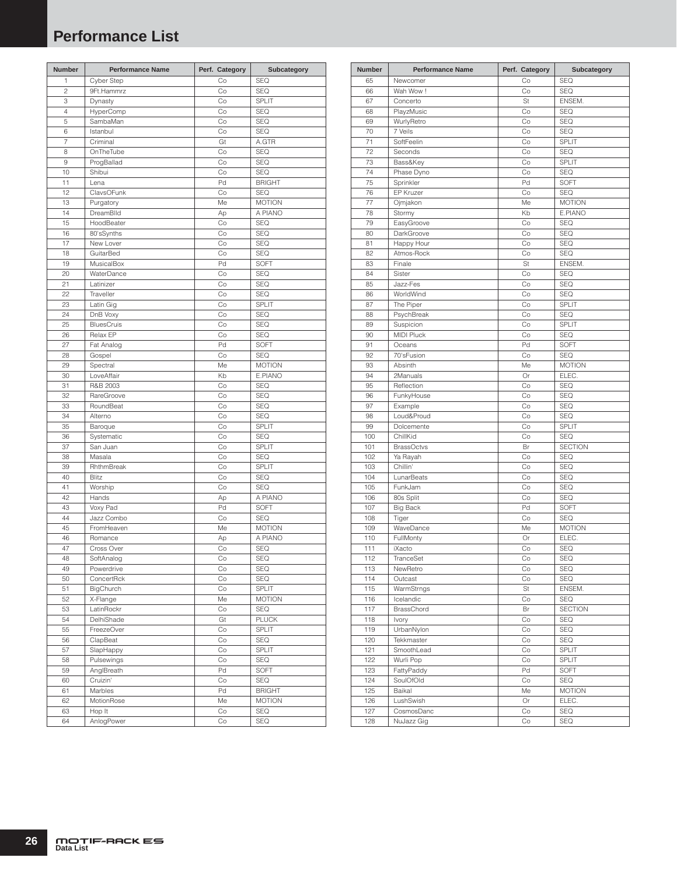# <span id="page-25-0"></span>**Performance List**

| Number         | <b>Performance Name</b> | Perf. Category | Subcategory   |
|----------------|-------------------------|----------------|---------------|
| 1              | Cyber Step              | Co             | <b>SEQ</b>    |
| $\overline{c}$ | 9Ft.Hammrz              | Co             | <b>SEQ</b>    |
| 3              | Dynasty                 | Co             | SPLIT         |
| $\overline{4}$ | HyperComp               | Co             | <b>SEQ</b>    |
| 5              | SambaMan                | Co             | <b>SEQ</b>    |
| 6              | Istanbul                | Co             | <b>SEQ</b>    |
| $\overline{7}$ | Criminal                | Gt             | A.GTR         |
| 8              | OnTheTube               | Co             | <b>SEQ</b>    |
| 9              | ProgBallad              | Co             | <b>SEQ</b>    |
| 10             | Shibui                  | Co             | SEQ           |
| 11             | Lena                    | Pd             | <b>BRIGHT</b> |
| 12             | ClavsOFunk              | Co             | <b>SEQ</b>    |
| 13             | Purgatory               | Me             | <b>MOTION</b> |
| 14             | DreamBlld               | Ap             | A PIANO       |
| 15             | HoodBeater              | Co             | <b>SEQ</b>    |
| 16             | 80'sSynths              | Co             | <b>SEQ</b>    |
| 17             | New Lover               | Co             | SEQ           |
| 18             | GuitarBed               | Co             | <b>SEQ</b>    |
| 19             | MusicalBox              | Pd             | <b>SOFT</b>   |
| 20             | WaterDance              | Co             | SEQ           |
| 21             | Latinizer               | Co             | <b>SEQ</b>    |
| 22             | Traveller               | Co             | <b>SEQ</b>    |
| 23             | Latin Gig               | Co             | <b>SPLIT</b>  |
| 24             | DnB Voxy                | Co             | <b>SEQ</b>    |
| 25             | <b>BluesCruis</b>       | Co             | SEQ           |
| 26             | Relax EP                | Co             | SEQ           |
| 27             | Fat Analog              | Pd             | SOFT          |
| 28             | Gospel                  | Co             | SEQ           |
| 29             | Spectral                | Me             | <b>MOTION</b> |
| 30             | LoveAffair              | Kb             | E.PIANO       |
| 31             | R&B 2003                | Co             | <b>SEQ</b>    |
| 32             | RareGroove              | Co             | <b>SEQ</b>    |
| 33             | RoundBeat               | Co             | SEQ           |
| 34             | Alterno                 | Co             | <b>SEQ</b>    |
| 35             | Baroque                 | Co             | SPLIT         |
| 36             | Systematic              | Co             | <b>SEQ</b>    |
| 37             | San Juan                | Co             | SPLIT         |
| 38             | Masala                  | Co             | <b>SEQ</b>    |
| 39             | RhthmBreak              | Co             | SPLIT         |
| 40             | <b>Blitz</b>            | Co             | SEQ           |
| 41             | Worship                 | Co             | SEQ           |
| 42             | Hands                   | Ap             | A PIANO       |
| 43             | Voxy Pad                | Pd             | SOFT          |
| 44             | Jazz Combo              | Co             | <b>SEQ</b>    |
| 45             | FromHeaven              | Me             | <b>MOTION</b> |
| 46             | Romance                 | Ap             | A PIANO       |
| 47             | Cross Over              | Co             | <b>SEQ</b>    |
| 48             | SoftAnalog              | Co             | SEQ           |
| 49             | Powerdrive              | Co             | SEQ           |
| 50             | ConcertRck              | Co             | SEQ           |
| 51             | BigChurch               | Co             | SPLIT         |
| 52             | X-Flange                | Me             | <b>MOTION</b> |
| 53             | LatinRockr              | Co             | SEQ           |
| 54             | DelhiShade              | Gt             | <b>PLUCK</b>  |
| 55             | FreezeOver              | Co             | SPLIT         |
| 56             | ClapBeat                | Co             | SEQ           |
| 57             | SlapHappy               | Co             | SPLIT         |
| 58             | Pulsewings              | Co             | SEQ           |
| 59             | AnglBreath              | Pd             | SOFT          |
| 60             | Cruizin'                | Co             | SEQ           |
| 61             | Marbles                 | Pd             | <b>BRIGHT</b> |
| 62             | MotionRose              | Me             | <b>MOTION</b> |
| 63             | Hop It                  | Co             | SEQ           |
| 64             | AnlogPower              | Co             | SEQ           |
|                |                         |                |               |

| <b>Number</b> | <b>Performance Name</b> | Perf. Category | Subcategory    |
|---------------|-------------------------|----------------|----------------|
| 65            | Newcomer                | Co             | <b>SEQ</b>     |
| 66            | Wah Wow!                | Co             | <b>SEQ</b>     |
| 67            | Concerto                | St             | ENSEM.         |
| 68            | PlayzMusic              | Co             | <b>SEQ</b>     |
| 69            | WurlyRetro              | Co             | <b>SEQ</b>     |
| 70            | 7 Veils                 | Co             | <b>SEQ</b>     |
| 71            | SoftFeelin              | Co             | SPLIT          |
| 72            | Seconds                 | Co             | <b>SEQ</b>     |
| 73            | Bass&Key                | Co             | SPLIT          |
| 74            | Phase Dyno              | Co             | <b>SEQ</b>     |
| 75            | Sprinkler               | Pd             | <b>SOFT</b>    |
| 76            | <b>EP Kruzer</b>        | Co             | <b>SEQ</b>     |
| 77            | Ojmjakon                | Me             | <b>MOTION</b>  |
| 78            | Stormy                  | Kb             | E.PIANO        |
| 79            | EasyGroove              | Co             | <b>SEQ</b>     |
| 80            | DarkGroove              | Co             | <b>SEQ</b>     |
| 81            | Happy Hour              | Co             | <b>SEQ</b>     |
| 82            | Atmos-Rock              | Co             | <b>SEQ</b>     |
| 83            | Finale                  | St             | ENSEM.         |
| 84            | Sister                  | Co             | <b>SEQ</b>     |
| 85            | Jazz-Fes                | Co             | <b>SEQ</b>     |
| 86            | WorldWind               | Co             | <b>SEQ</b>     |
| 87            | The Piper               | Co             | SPLIT          |
| 88            | PsychBreak              | Co             | <b>SEQ</b>     |
| 89            | Suspicion               | Co             | <b>SPLIT</b>   |
| 90            | <b>MIDI Pluck</b>       | Co             | <b>SEQ</b>     |
| 91            | Oceans                  | Pd             | <b>SOFT</b>    |
| 92            | 70'sFusion              | Co             | <b>SEQ</b>     |
| 93            | Absinth                 | Me             | <b>MOTION</b>  |
| 94            | 2Manuals                | Or             | ELEC.          |
| 95            | Reflection              | Co             | <b>SEQ</b>     |
| 96            | FunkyHouse              | Co             | <b>SEQ</b>     |
| 97            | Example                 | Co             | <b>SEQ</b>     |
| 98            | Loud&Proud              | Co             | <b>SEQ</b>     |
| 99            | Dolcemente              | Co             | SPLIT          |
| 100           | ChillKid                | Co             | <b>SEQ</b>     |
| 101           | <b>BrassOctvs</b>       | Br             | <b>SECTION</b> |
| 102           | Ya Rayah                | Co             | <b>SEQ</b>     |
| 103           | Chillin'                | Co             | <b>SEQ</b>     |
| 104           | LunarBeats              | Co             | <b>SEQ</b>     |
| 105           | FunkJam                 | Co             | <b>SEQ</b>     |
| 106           | 80s Split               | Co             | <b>SEQ</b>     |
| 107           | <b>Big Back</b>         | Pd             | SOFT           |
| 108           | Tiger                   | Co             | <b>SEQ</b>     |
| 109           | WaveDance               | Me             | <b>MOTION</b>  |
| 110           | FullMonty               | Or             | ELEC.          |
| 111           | iXacto                  | Co             | <b>SEQ</b>     |
| 112           | TranceSet               | Co             | SEQ            |
| 113           | NewRetro                | Co             | SEQ            |
| 114           | Outcast                 | Co             | SEQ            |
| 115           | WarmStrngs              | St             | ENSEM.         |
| 116           | Icelandic               | Co             | <b>SEQ</b>     |
| 117           | <b>BrassChord</b>       | Br             | <b>SECTION</b> |
| 118           | Ivory                   | Co             | SEQ            |
| 119           | UrbanNylon              | Co             | SEQ            |
| 120           | Tekkmaster              | Co             | SEQ            |
| 121           | SmoothLead              | Co             | SPLIT          |
| 122           | Wurli Pop               | Co             | SPLIT          |
| 123           | FattyPaddy              | Pd             | SOFT           |
| 124           | SoulOfOld               | Co             | SEQ            |
| 125           | Baikal                  | Me             | <b>MOTION</b>  |
| 126           | LushSwish               | Or             | ELEC.          |
| 127           | CosmosDanc              | Co             | SEQ            |
| 128           | NuJazz Gig              | Co             | SEQ            |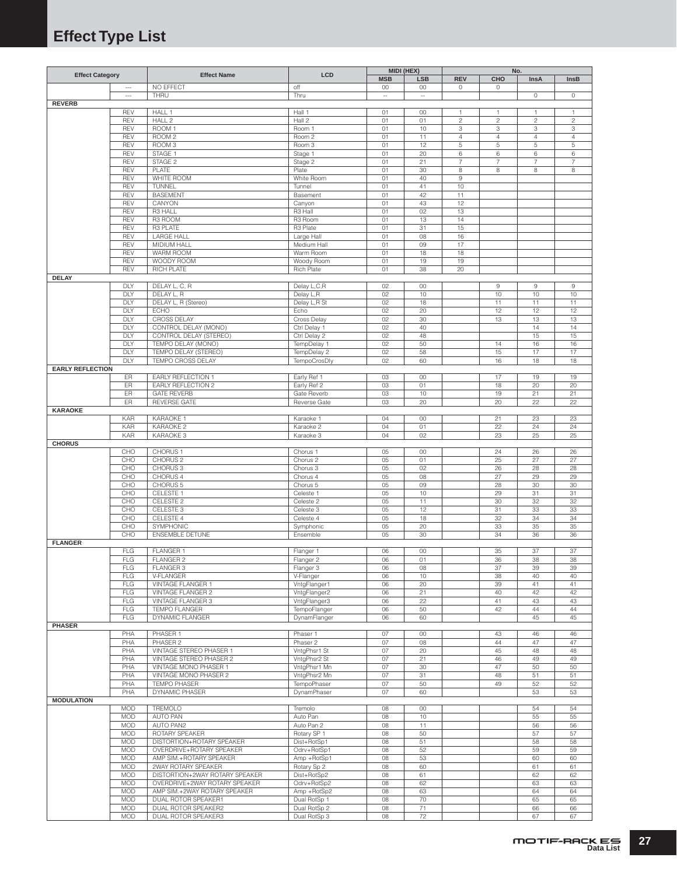# <span id="page-26-0"></span>**Effect Type List**

| <b>Effect Category</b>  |                          | <b>Effect Name</b>             | LCD          | MIDI (HEX) |                          |                |                         | No.                     |                |
|-------------------------|--------------------------|--------------------------------|--------------|------------|--------------------------|----------------|-------------------------|-------------------------|----------------|
|                         |                          |                                |              | <b>MSB</b> | <b>LSB</b>               | <b>REV</b>     | CHO                     | InsA                    | InsB           |
|                         | $\overline{\phantom{a}}$ | NO EFFECT                      | off          | 00         | 00                       | $\mathbb O$    | 0                       |                         |                |
|                         | $\overline{a}$           | THRU                           | Thru         | $\sim$     | $\overline{\phantom{a}}$ |                |                         | $\circ$                 | 0              |
| <b>REVERB</b>           |                          |                                |              |            |                          |                |                         |                         |                |
|                         | <b>REV</b>               | HALL 1                         | Hall 1       | 01         | 00                       | $\mathbf{1}$   | $\mathbf{1}$            | 1                       | 1              |
|                         | REV                      | HALL <sub>2</sub>              | Hall 2       | 01         | 01                       | $\overline{c}$ | $\overline{\mathbf{c}}$ | $\overline{\mathbf{c}}$ | $\sqrt{2}$     |
|                         | REV                      | ROOM 1                         | Room 1       | 01         | 10                       | 3              | 3                       | 3                       | 3              |
|                         | REV                      | ROOM <sub>2</sub>              | Room 2       | 01         | 11                       | $\overline{4}$ | $\overline{4}$          | 4                       | $\overline{4}$ |
|                         | REV                      | ROOM <sub>3</sub>              | Room 3       | 01         | 12                       | $\,$ 5         | 5                       | 5                       | 5              |
|                         | REV                      | STAGE 1                        | Stage 1      | 01         | 20                       | $\,6$          | 6                       | 6                       | 6              |
|                         | REV                      | STAGE 2                        | Stage 2      | 01         | 21                       | $\overline{7}$ | $\overline{7}$          | $\overline{7}$          | $\overline{7}$ |
|                         | REV                      | PLATE                          | Plate        | 01         | 30                       | 8              | 8                       | 8                       | 8              |
|                         | REV                      | WHITE ROOM                     | White Room   | 01         | 40                       | $\,9$          |                         |                         |                |
|                         | REV                      | TUNNEL                         | Tunnel       | 01         | 41                       | 10             |                         |                         |                |
|                         | REV                      | <b>BASEMENT</b>                | Basement     | 01         | 42                       | 11             |                         |                         |                |
|                         | REV                      | CANYON                         | Canyon       | 01         | 43                       | 12             |                         |                         |                |
|                         | REV                      | R3 HALL                        | R3 Hall      | 01         | 02                       | 13             |                         |                         |                |
|                         | REV                      | R3 ROOM                        | R3 Room      | 01         | 13                       | 14             |                         |                         |                |
|                         | REV                      | R3 PLATE                       | R3 Plate     | 01         | 31                       | 15             |                         |                         |                |
|                         | REV                      | <b>LARGE HALL</b>              |              | 01         | 08                       | 16             |                         |                         |                |
|                         |                          |                                | Large Hall   |            |                          |                |                         |                         |                |
|                         | REV                      | MIDIUM HALL                    | Medium Hall  | 01         | 09                       | 17             |                         |                         |                |
|                         | REV                      | WARM ROOM                      | Warm Room    | 01         | 18                       | 18             |                         |                         |                |
|                         | REV                      | WOODY ROOM                     | Woody Room   | 01         | 19                       | 19             |                         |                         |                |
|                         | REV                      | RICH PLATE                     | Rich Plate   | 01         | 38                       | 20             |                         |                         |                |
| <b>DELAY</b>            |                          |                                |              |            |                          |                |                         |                         |                |
|                         | DLY                      | DELAY L, C, R                  | Delay L,C,R  | 02         | 00                       |                | 9                       | 9                       | 9              |
|                         | DLY                      | DELAY L, R                     | Delay L,R    | 02         | 10                       |                | 10                      | 10                      | 10             |
|                         | DLY                      | DELAY L, R (Stereo)            | Delay L,R St | 02         | 18                       |                | 11                      | 11                      | 11             |
|                         | DLY                      | <b>ECHO</b>                    | Echo         | 02         | 20                       |                | 12                      | 12                      | 12             |
|                         | DLY                      | CROSS DELAY                    | Cross Delay  | 02         | 30                       |                | 13                      | 13                      | 13             |
|                         | DLY                      | CONTROL DELAY (MONO)           | Ctrl Delay 1 | 02         | 40                       |                |                         | 14                      | 14             |
|                         | DLY                      | CONTROL DELAY (STEREO)         | Ctrl Delay 2 | 02         | 48                       |                |                         | 15                      | 15             |
|                         | DLY                      | TEMPO DELAY (MONO)             | TempDelay 1  | 02         | 50                       |                | 14                      | 16                      | 16             |
|                         | DLY                      | TEMPO DELAY (STEREO)           | TempDelay 2  | 02         | 58                       |                | 15                      | 17                      | 17             |
|                         | DLY                      | TEMPO CROSS DELAY              | TempoCrosDly | 02         | 60                       |                | 16                      | 18                      | 18             |
| <b>EARLY REFLECTION</b> |                          |                                |              |            |                          |                |                         |                         |                |
|                         | ER                       | EARLY REFLECTION 1             | Early Ref 1  | 03         | 00                       |                | 17                      | 19                      | 19             |
|                         |                          |                                |              |            |                          |                |                         | 20                      |                |
|                         | ER                       | EARLY REFLECTION 2             | Early Ref 2  | 03         | 01                       |                | 18                      |                         | 20             |
|                         | ER                       | <b>GATE REVERB</b>             | Gate Reverb  | 03         | 10                       |                | 19                      | 21                      | 21             |
|                         | ER                       | <b>REVERSE GATE</b>            | Reverse Gate | 03         | 20                       |                | 20                      | 22                      | 22             |
| <b>KARAOKE</b>          |                          |                                |              |            |                          |                |                         |                         |                |
|                         | <b>KAR</b>               | KARAOKE 1                      | Karaoke 1    | 04         | 00                       |                | 21                      | 23                      | 23             |
|                         | KAR                      | KARAOKE <sub>2</sub>           | Karaoke 2    | 04         | 01                       |                | 22                      | 24                      | 24             |
|                         | <b>KAR</b>               | KARAOKE 3                      | Karaoke 3    | 04         | 02                       |                | 23                      | 25                      | 25             |
| <b>CHORUS</b>           |                          |                                |              |            |                          |                |                         |                         |                |
|                         | CHO                      | CHORUS <sub>1</sub>            | Chorus 1     | 05         | 00                       |                | 24                      | 26                      | 26             |
|                         | CHO                      | CHORUS <sub>2</sub>            | Chorus 2     | 05         | 01                       |                | 25                      | 27                      | 27             |
|                         | CHO                      | CHORUS <sub>3</sub>            | Chorus 3     | 05         | 02                       |                | 26                      | 28                      | 28             |
|                         | CHO                      | CHORUS 4                       | Chorus 4     | 05         | 08                       |                | 27                      | 29                      | 29             |
|                         | CHO                      | CHORUS <sub>5</sub>            | Chorus 5     | 05         | 09                       |                | 28                      | 30                      | 30             |
|                         | CHO                      | CELESTE 1                      | Celeste 1    | 05         | 10                       |                | 29                      | 31                      | 31             |
|                         | CHO                      | CELESTE 2                      | Celeste 2    | 05         | 11                       |                | 30                      | 32                      | 32             |
|                         | CHO                      | CELESTE 3                      | Celeste 3    | 05         | 12                       |                | 31                      | 33                      | 33             |
|                         | CHO                      | CELESTE 4                      | Celeste 4    | 05         | 18                       |                | 32                      | 34                      | 34             |
|                         | CHO                      | SYMPHONIC                      | Symphonic    | 05         | 20                       |                | 33                      | 35                      | 35             |
|                         | CHO                      | <b>ENSEMBLE DETUNE</b>         | Ensemble     | 05         | 30                       |                | 34                      | 36                      | 36             |
|                         |                          |                                |              |            |                          |                |                         |                         |                |
| <b>FLANGER</b>          |                          |                                |              |            |                          |                |                         |                         |                |
|                         | FLG                      | FLANGER 1                      | Flanger 1    | 06         | 00                       |                | 35                      | 37                      | 37             |
|                         | <b>FLG</b>               | <b>FLANGER 2</b>               | Flanger 2    | 06         | 01                       |                | 36                      | 38                      | 38             |
|                         | FLG                      | FLANGER 3                      | Flanger 3    | 06         | 08                       |                | 37                      | 39                      | 39             |
|                         | <b>FLG</b>               | V-FLANGER                      | V-Flanger    | 06         | 10                       |                | 38                      | 40                      | 40             |
|                         | FLG                      | VINTAGE FLANGER 1              | VntgFlanger1 | 06         | 20                       |                | 39                      | 41                      | 41             |
|                         | <b>FLG</b>               | VINTAGE FLANGER 2              | VntgFlanger2 | 06         | 21                       |                | 40                      | 42                      | 42             |
|                         | <b>FLG</b>               | VINTAGE FLANGER 3              | VntgFlanger3 | 06         | 22                       |                | 41                      | 43                      | 43             |
|                         | <b>FLG</b>               | <b>TEMPO FLANGER</b>           | TempoFlanger | 06         | 50                       |                | 42                      | 44                      | 44             |
|                         | <b>FLG</b>               | DYNAMIC FLANGER                | DynamFlanger | 06         | 60                       |                |                         | 45                      | 45             |
| <b>PHASER</b>           |                          |                                |              |            |                          |                |                         |                         |                |
|                         | PHA                      | PHASER 1                       | Phaser 1     | 07         | 00                       |                | 43                      | 46                      | 46             |
|                         | PHA                      | PHASER 2                       | Phaser 2     | 07         | 08                       |                | 44                      | 47                      | 47             |
|                         | PHA                      | VINTAGE STEREO PHASER 1        | VntgPhsr1 St | 07         | 20                       |                | 45                      | 48                      | 48             |
|                         | PHA                      | VINTAGE STEREO PHASER 2        | VntgPhsr2 St | 07         | 21                       |                | 46                      | 49                      | 49             |
|                         | PHA                      | VINTAGE MONO PHASER 1          | VntgPhsr1 Mn | 07         | 30                       |                | 47                      | 50                      | 50             |
|                         | PHA                      | VINTAGE MONO PHASER 2          | VntgPhsr2 Mn | 07         | 31                       |                | 48                      | 51                      | 51             |
|                         | PHA                      | <b>TEMPO PHASER</b>            | TempoPhaser  | 07         | 50                       |                | 49                      | 52                      | 52             |
|                         | PHA                      | <b>DYNAMIC PHASER</b>          | DynamPhaser  | 07         | 60                       |                |                         | 53                      | 53             |
| <b>MODULATION</b>       |                          |                                |              |            |                          |                |                         |                         |                |
|                         | <b>MOD</b>               | TREMOLO                        | Tremolo      | 08         | 00                       |                |                         | 54                      | 54             |
|                         | MOD                      | AUTO PAN                       | Auto Pan     | 08         | 10                       |                |                         | 55                      | 55             |
|                         | MOD                      | AUTO PAN2                      | Auto Pan 2   | 08         | 11                       |                |                         | 56                      | 56             |
|                         |                          |                                |              |            |                          |                |                         |                         |                |
|                         | MOD                      | ROTARY SPEAKER                 | Rotary SP 1  | 08         | 50                       |                |                         | 57                      | 57             |
|                         | <b>MOD</b>               | DISTORTION+ROTARY SPEAKER      | Dist+RotSp1  | 08         | 51                       |                |                         | 58                      | 58             |
|                         | <b>MOD</b>               | OVERDRIVE+ROTARY SPEAKER       | Odrv+RotSp1  | 08         | 52                       |                |                         | 59                      | 59             |
|                         | <b>MOD</b>               | AMP SIM.+ROTARY SPEAKER        | Amp +RotSp1  | 08         | 53                       |                |                         | 60                      | 60             |
|                         | MOD                      | 2WAY ROTARY SPEAKER            | Rotary Sp 2  | 08         | 60                       |                |                         | 61                      | 61             |
|                         | <b>MOD</b>               | DISTORTION+2WAY ROTARY SPEAKER | Dist+RotSp2  | 08         | 61                       |                |                         | 62                      | 62             |
|                         | <b>MOD</b>               | OVERDRIVE+2WAY ROTARY SPEAKER  | Odrv+RotSp2  | 08         | 62                       |                |                         | 63                      | 63             |
|                         | <b>MOD</b>               | AMP SIM.+2WAY ROTARY SPEAKER   | Amp +RotSp2  | 08         | 63                       |                |                         | 64                      | 64             |
|                         | <b>MOD</b>               | DUAL ROTOR SPEAKER1            | Dual RotSp 1 | 08         | 70                       |                |                         | 65                      | 65             |
|                         | <b>MOD</b>               | DUAL ROTOR SPEAKER2            | Dual RotSp 2 | 08         | 71                       |                |                         | 66                      | 66             |
|                         | MOD                      | DUAL ROTOR SPEAKER3            | Dual RotSp 3 | 08         | 72                       |                |                         | 67                      | 67             |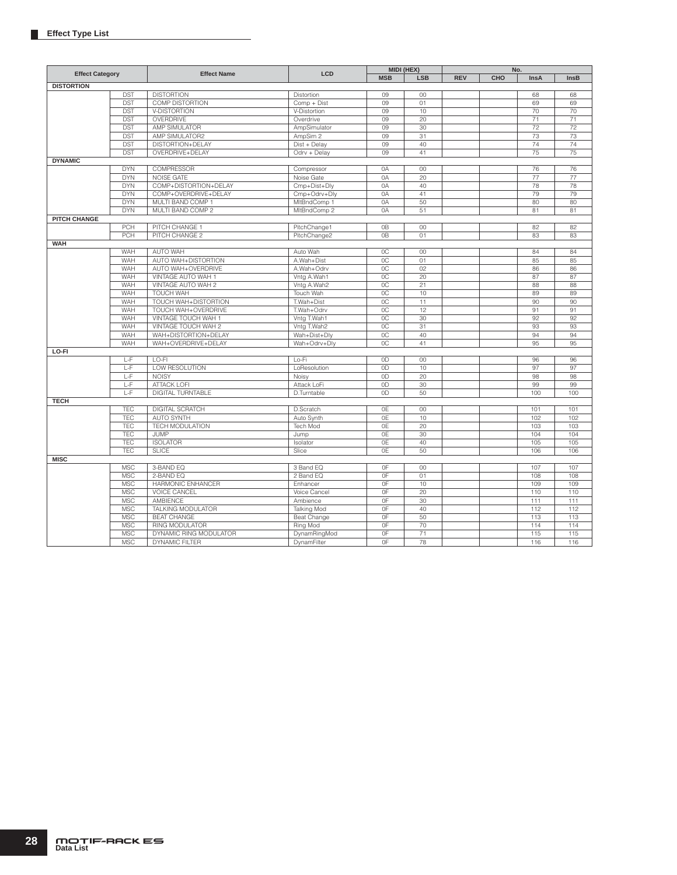|                        |            |                        |                    |                | MIDI (HEX) |            |     | No.         |             |
|------------------------|------------|------------------------|--------------------|----------------|------------|------------|-----|-------------|-------------|
| <b>Effect Category</b> |            | <b>Effect Name</b>     | <b>LCD</b>         | <b>MSB</b>     | <b>LSB</b> | <b>REV</b> | CHO | <b>InsA</b> | <b>InsB</b> |
| <b>DISTORTION</b>      |            |                        |                    |                |            |            |     |             |             |
|                        | <b>DST</b> | <b>DISTORTION</b>      | Distortion         | 09             | 00         |            |     | 68          | 68          |
|                        | <b>DST</b> | <b>COMP DISTORTION</b> | Comp + Dist        | 09             | 01         |            |     | 69          | 69          |
|                        | <b>DST</b> | V-DISTORTION           | V-Distortion       | 09             | 10         |            |     | 70          | 70          |
|                        | <b>DST</b> | OVERDRIVE              | Overdrive          | 09             | 20         |            |     | 71          | 71          |
|                        | <b>DST</b> | AMP SIMULATOR          | AmpSimulator       | 09             | 30         |            |     | 72          | 72          |
|                        | <b>DST</b> | AMP SIMULATOR2         | AmpSim 2           | 09             | 31         |            |     | 73          | 73          |
|                        | <b>DST</b> | DISTORTION+DELAY       | Dist + Delay       | 09             | 40         |            |     | 74          | 74          |
|                        | <b>DST</b> | OVERDRIVE+DELAY        | Odrv + Delay       | 09             | 41         |            |     | 75          | 75          |
| <b>DYNAMIC</b>         |            |                        |                    |                |            |            |     |             |             |
|                        | <b>DYN</b> | COMPRESSOR             | Compressor         | 0A             | 00         |            |     | 76          | 76          |
|                        | <b>DYN</b> | NOISE GATE             | Noise Gate         | 0A             | 20         |            |     | 77          | 77          |
|                        | <b>DYN</b> | COMP+DISTORTION+DELAY  | Cmp+Dist+Dly       | 0A             | 40         |            |     | 78          | 78          |
|                        | <b>DYN</b> | COMP+OVERDRIVE+DELAY   | Cmp+Odrv+Dly       | 0A             | 41         |            |     | 79          | 79          |
|                        | <b>DYN</b> | MULTI BAND COMP 1      | MItBndComp 1       | 0A             | 50         |            |     | 80          | 80          |
|                        | <b>DYN</b> | MULTI BAND COMP 2      | MItBndComp 2       | 0A             | 51         |            |     | 81          | 81          |
| <b>PITCH CHANGE</b>    |            |                        |                    |                |            |            |     |             |             |
|                        | PCH        | PITCH CHANGE 1         | PitchChange1       | 0B             | 00         |            |     | 82          | 82          |
|                        | PCH        | PITCH CHANGE 2         | PitchChange2       | 0 <sub>B</sub> | 01         |            |     | 83          | 83          |
| <b>WAH</b>             |            |                        |                    |                |            |            |     |             |             |
|                        | WAH        | <b>AUTO WAH</b>        | Auto Wah           | OC             | 00         |            |     | 84          | 84          |
|                        | WAH        | AUTO WAH+DISTORTION    | A.Wah+Dist         | OC             | 01         |            |     | 85          | 85          |
|                        | WAH        | AUTO WAH+OVERDRIVE     | A.Wah+Odrv         | 0C             | 02         |            |     | 86          | 86          |
|                        | WAH        |                        |                    |                |            |            |     |             |             |
|                        |            | VINTAGE AUTO WAH 1     | Vntg A.Wah1        | 0C             | 20         |            |     | 87          | 87          |
|                        | WAH        | VINTAGE AUTO WAH 2     | Vntg A.Wah2        | OC             | 21         |            |     | 88          | 88          |
|                        | WAH        | <b>TOUCH WAH</b>       | Touch Wah          | OC             | 10         |            |     | 89          | 89          |
|                        | WAH        | TOUCH WAH+DISTORTION   | T.Wah+Dist         | 0C             | 11         |            |     | 90          | 90          |
|                        | WAH        | TOUCH WAH+OVERDRIVE    | T.Wah+Odrv         | OC             | 12         |            |     | 91          | 91          |
|                        | WAH        | VINTAGE TOUCH WAH 1    | Vntg T.Wah1        | OC             | 30         |            |     | 92          | 92          |
|                        | WAH        | VINTAGE TOUCH WAH 2    | Vntg T.Wah2        | OC             | 31         |            |     | 93          | 93          |
|                        | WAH        | WAH+DISTORTION+DELAY   | Wah+Dist+Dly       | OC             | 40         |            |     | 94          | 94          |
|                        | WAH        | WAH+OVERDRIVE+DELAY    | Wah+Odrv+Dly       | 0C             | 41         |            |     | 95          | 95          |
| LO-FI                  |            |                        |                    |                |            |            |     |             |             |
|                        | L-F        | LO-FI                  | Lo-Fi              | 0D             | 00         |            |     | 96          | 96          |
|                        | L-F        | LOW RESOLUTION         | LoResolution       | 0D             | 10         |            |     | 97          | 97          |
|                        | L-F        | <b>NOISY</b>           | Noisy              | 0D             | 20         |            |     | 98          | 98          |
|                        | L-F        | <b>ATTACK LOFI</b>     | Attack LoFi        | 0D             | 30         |            |     | 99          | 99          |
|                        | L-F        | DIGITAL TURNTABLE      | D.Turntable        | 0 <sub>D</sub> | 50         |            |     | 100         | 100         |
| <b>TECH</b>            |            |                        |                    |                |            |            |     |             |             |
|                        | TEC        | DIGITAL SCRATCH        | D.Scratch          | 0E             | 00         |            |     | 101         | 101         |
|                        | TEC        | <b>AUTO SYNTH</b>      | Auto Synth         | 0E             | 10         |            |     | 102         | 102         |
|                        | TEC        | <b>TECH MODULATION</b> | Tech Mod           | 0E             | 20         |            |     | 103         | 103         |
|                        | TEC        | <b>JUMP</b>            | Jump               | 0E             | 30         |            |     | 104         | 104         |
|                        | <b>TEC</b> | <b>ISOLATOR</b>        | Isolator           | 0E             | 40         |            |     | 105         | 105         |
|                        | <b>TEC</b> | <b>SLICE</b>           | Slice              | 0E             | 50         |            |     | 106         | 106         |
| <b>MISC</b>            |            |                        |                    |                |            |            |     |             |             |
|                        | <b>MSC</b> | 3-BAND EQ              | 3 Band EQ          | OF             | 00         |            |     | 107         | 107         |
|                        | <b>MSC</b> | 2-BAND EQ              | 2 Band EQ          | 0F             | 01         |            |     | 108         | 108         |
|                        | <b>MSC</b> | HARMONIC ENHANCER      | Enhancer           | OF             | 10         |            |     | 109         | 109         |
|                        | <b>MSC</b> | <b>VOICE CANCEL</b>    | Voice Cancel       | 0F             | 20         |            |     | 110         | 110         |
|                        | <b>MSC</b> | <b>AMBIENCE</b>        | Ambience           | 0F             | 30         |            |     | 111         | 111         |
|                        | <b>MSC</b> | TALKING MODULATOR      | <b>Talking Mod</b> | OF             | 40         |            |     | 112         | 112         |
|                        | <b>MSC</b> | <b>BEAT CHANGE</b>     | Beat Change        | 0F             | 50         |            |     | 113         | 113         |
|                        | <b>MSC</b> | RING MODULATOR         | Ring Mod           | 0F             | 70         |            |     | 114         | 114         |
|                        | <b>MSC</b> | DYNAMIC RING MODULATOR | DynamRingMod       | 0F             | 71         |            |     | 115         | 115         |
|                        | <b>MSC</b> | DYNAMIC FILTER         | DynamFilter        | 0F             | 78         |            |     | 116         | 116         |
|                        |            |                        |                    |                |            |            |     |             |             |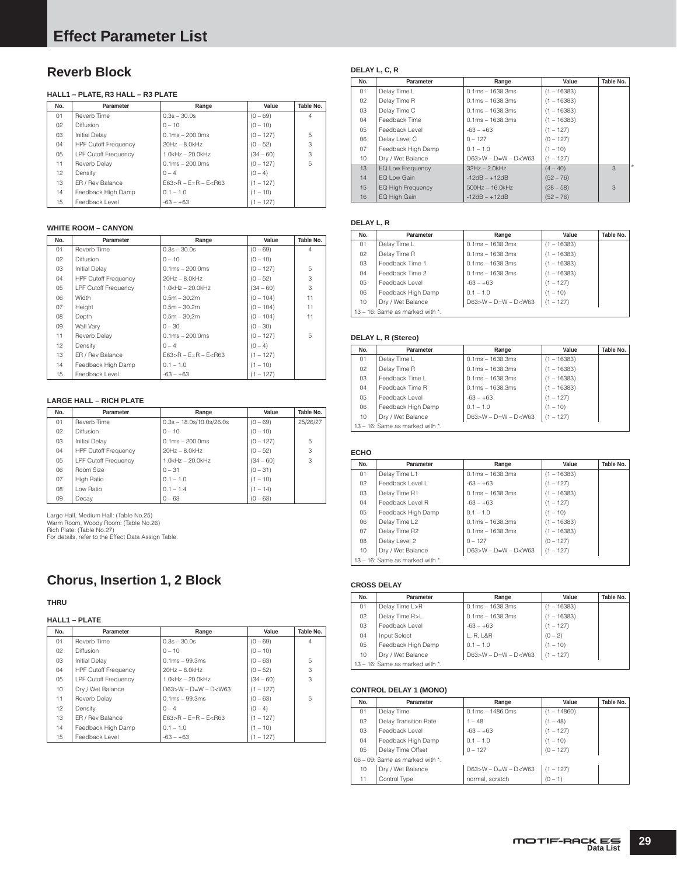# <span id="page-28-0"></span>**Reverb Block**

### **HALL1 – PLATE, R3 HALL – R3 PLATE**

| No. | Parameter                   | Range                             | Value       | Table No.      |
|-----|-----------------------------|-----------------------------------|-------------|----------------|
| 01  | Reverb Time                 | $0.3s - 30.0s$                    | $(0 - 69)$  | $\overline{4}$ |
| 02  | Diffusion                   | $0 - 10$                          | $(0 - 10)$  |                |
| 03  | <b>Initial Delav</b>        | $0.1 \text{ms} - 200.0 \text{ms}$ | $(0 - 127)$ | 5              |
| 04  | <b>HPF Cutoff Frequency</b> | $20Hz - 8.0kHz$                   | $(0 - 52)$  | 3              |
| 05  | <b>LPF Cutoff Frequency</b> | $1.0$ kHz $-$ 20.0kHz             | $(34 - 60)$ | 3              |
| 11  | Reverb Delay                | $0.1ms - 200.0ms$                 | $(0 - 127)$ | 5              |
| 12  | Density                     | $0 - 4$                           | $(0 - 4)$   |                |
| 13  | ER / Rev Balance            | $F63 > R - F = R - F < R63$       | $(1 - 127)$ |                |
| 14  | Feedback High Damp          | $0.1 - 1.0$                       | $(1 - 10)$  |                |
| 15  | Feedback Level              | $-63 - +63$                       | $(1 - 127)$ |                |

### **WHITE ROOM – CANYON**

| No. | Parameter                   | Range                       | Value       | Table No.      |
|-----|-----------------------------|-----------------------------|-------------|----------------|
| 01  | Reverb Time                 | $0.3s - 30.0s$              | $(0 - 69)$  | $\overline{4}$ |
| 02  | <b>Diffusion</b>            | $0 - 10$                    | $(0 - 10)$  |                |
| 03  | <b>Initial Delay</b>        | $0.1ms - 200.0ms$           | $(0 - 127)$ | 5              |
| 04  | <b>HPF Cutoff Frequency</b> | $20Hz - 8.0kHz$             | $(0 - 52)$  | 3              |
| 05  | <b>LPF Cutoff Frequency</b> | $1.0$ kHz $-$ 20.0kHz       | $(34 - 60)$ | 3              |
| 06  | Width                       | $0.5m - 30.2m$              | $(0 - 104)$ | 11             |
| 07  | Height                      | $0.5m - 30.2m$              | $(0 - 104)$ | 11             |
| 08  | Depth                       | $0.5m - 30.2m$              | $(0 - 104)$ | 11             |
| 09  | Wall Vary                   | $0 - 30$                    | $(0 - 30)$  |                |
| 11  | Reverb Delay                | $0.1ms - 200.0ms$           | $(0 - 127)$ | 5              |
| 12  | Density                     | $0 - 4$                     | $(0 - 4)$   |                |
| 13  | ER / Rev Balance            | $E63 > R - E = R - E < R63$ | $(1 - 127)$ |                |
| 14  | Feedback High Damp          | $0.1 - 1.0$                 | $(1 - 10)$  |                |
| 15  | Feedback Level              | $-63 - +63$                 | $(1 - 127)$ |                |

### **LARGE HALL – RICH PLATE**

| No. | Parameter                   | Range                      | Value       | Table No. |
|-----|-----------------------------|----------------------------|-------------|-----------|
| 01  | Reverb Time                 | $0.3s - 18.0s/10.0s/26.0s$ | $(0 - 69)$  | 25/26/27  |
| 02  | <b>Diffusion</b>            | $0 - 10$                   | $(0 - 10)$  |           |
| 03  | <b>Initial Delay</b>        | $0.1ms - 200.0ms$          | $(0 - 127)$ | 5         |
| 04  | <b>HPF Cutoff Frequency</b> | $20Hz - 8.0kHz$            | $(0 - 52)$  | 3         |
| 05  | <b>LPF Cutoff Frequency</b> | $1.0$ kHz $-$ 20.0kHz      | $(34 - 60)$ | 3         |
| 06  | Room Size                   | $0 - 31$                   | $(0 - 31)$  |           |
| 07  | <b>High Ratio</b>           | $0.1 - 1.0$                | $(1 - 10)$  |           |
| 08  | Low Ratio                   | $0.1 - 1.4$                | $(1 - 14)$  |           |
| 09  | Decay                       | $0 - 63$                   | $(0 - 63)$  |           |

Large Hall, Medium Hall: (Table No.25) Warm Room, Woody Room: (Table No.26) Rich Plate: (Table No.27) For details, refer to the Effect Data Assign Table.

# **Chorus, Insertion 1, 2 Block**

### **THRU**

### **HALL1 – PLATE**

| No. | Parameter                   | Range                       | Value       | Table No.      |
|-----|-----------------------------|-----------------------------|-------------|----------------|
| 01  | Reverb Time                 | $0.3s - 30.0s$              | $(0 - 69)$  | $\overline{4}$ |
| 02  | <b>Diffusion</b>            | $0 - 10$                    | $(0 - 10)$  |                |
| 03  | <b>Initial Delav</b>        | $0.1ms - 99.3ms$            | $(0 - 63)$  | 5              |
| 04  | <b>HPF Cutoff Frequency</b> | $20Hz - 8.0kHz$             | $(0 - 52)$  | 3              |
| 05  | <b>LPF Cutoff Frequency</b> | $1.0$ kHz $-$ 20.0kHz       | $(34 - 60)$ | 3              |
| 10  | Dry / Wet Balance           | $D63>W - D=W - D< W63$      | $(1 - 127)$ |                |
| 11  | Reverb Delay                | $0.1ms - 99.3ms$            | $(0 - 63)$  | 5              |
| 12  | Density                     | $0 - 4$                     | $(0 - 4)$   |                |
| 13  | ER / Rev Balance            | $F63 > R - F = R - F < R63$ | $(1 - 127)$ |                |
| 14  | Feedback High Damp          | $0.1 - 1.0$                 | $(1 - 10)$  |                |
| 15  | Feedback Level              | $-63 - +63$                 | $(1 - 127)$ |                |

### **DELAY L, C, R**

| No. | Parameter                | Range                     | Value         | Table No. |         |
|-----|--------------------------|---------------------------|---------------|-----------|---------|
| 01  | Delay Time L             | $0.1ms - 1638.3ms$        | $(1 - 16383)$ |           |         |
| 02  | Delay Time R             | $0.1ms - 1638.3ms$        | $(1 - 16383)$ |           |         |
| 03  | Delay Time C             | $0.1ms - 1638.3ms$        | $(1 - 16383)$ |           |         |
| 04  | Feedback Time            | $0.1ms - 1638.3ms$        | $(1 - 16383)$ |           |         |
| 05  | Feedback Level           | $-63 - +63$               | $(1 - 127)$   |           |         |
| 06  | Delay Level C            | $0 - 127$                 | $(0 - 127)$   |           |         |
| 07  | Feedback High Damp       | $0.1 - 1.0$               | $(1 - 10)$    |           |         |
| 10  | Dry / Wet Balance        | $D63 > W - D=W - D < W63$ | $(1 - 127)$   |           |         |
| 13  | EQ Low Frequency         | $32Hz - 2.0kHz$           | $(4 - 40)$    | 3         | $\star$ |
| 14  | EQ Low Gain              | $-12dB - +12dB$           | $(52 - 76)$   |           |         |
| 15  | <b>EQ High Frequency</b> | $500$ Hz $- 16.0$ kHz     | $(28 - 58)$   | 3         |         |
| 16  | EQ High Gain             | $-12dB - +12dB$           | $(52 - 76)$   |           |         |

#### **DELAY L, R**

| No.            | Parameter                          | Range                       | Value         | Table No. |
|----------------|------------------------------------|-----------------------------|---------------|-----------|
| 01             | Delay Time L                       | $0.1ms - 1638.3ms$          | $(1 - 16383)$ |           |
| 02             | Delay Time R                       | $0.1ms - 1638.3ms$          | $(1 - 16383)$ |           |
| 03             | Feedback Time 1                    | $0.1ms - 1638.3ms$          | $(1 - 16383)$ |           |
| 04             | Feedback Time 2                    | $0.1ms - 1638.3ms$          | $(1 - 16383)$ |           |
| 0 <sub>5</sub> | Feedback Level                     | $-63 - +63$                 | $(1 - 127)$   |           |
| 06             | Feedback High Damp                 | $0.1 - 1.0$                 | $(1 - 10)$    |           |
| 10             | Dry / Wet Balance                  | $D63 > W - D = W - D < W63$ | $(1 - 127)$   |           |
|                | 13 – 16: Same as marked with $*$ . |                             |               |           |

#### **DELAY L, R (Stereo)**

| No.                                   | Parameter          | Range                  | Value         | Table No. |
|---------------------------------------|--------------------|------------------------|---------------|-----------|
| 01                                    | Delay Time L       | $0.1ms - 1638.3ms$     | $(1 - 16383)$ |           |
| 02                                    | Delay Time R       | $0.1ms - 1638.3ms$     | $(1 - 16383)$ |           |
| 03                                    | Feedback Time L    | $0.1ms - 1638.3ms$     | $(1 - 16383)$ |           |
| 04                                    | Feedback Time R    | $0.1ms - 1638.3ms$     | $(1 - 16383)$ |           |
| 0 <sub>5</sub>                        | Feedback Level     | $-63 - +63$            | $(1 - 127)$   |           |
| 06                                    | Feedback High Damp | $0.1 - 1.0$            | $(1 - 10)$    |           |
| 10                                    | Dry / Wet Balance  | $D63>W - D=W - D< W63$ | $(1 - 127)$   |           |
| $13 - 16$ : Same as marked with $*$ . |                    |                        |               |           |

#### **ECHO**

| No. | Parameter                       | Range                  | Value         | Table No. |  |  |
|-----|---------------------------------|------------------------|---------------|-----------|--|--|
| 01  | Delay Time L1                   | $0.1ms - 1638.3ms$     | $(1 - 16383)$ |           |  |  |
| 02  | Feedback Level L                | $-63 - +63$            | $(1 - 127)$   |           |  |  |
| 03  | Delay Time R1                   | $0.1ms - 1638.3ms$     | $(1 - 16383)$ |           |  |  |
| 04  | Feedback Level R                | $-63 - +63$            | $(1 - 127)$   |           |  |  |
| 05  | Feedback High Damp              | $0.1 - 1.0$            | $(1 - 10)$    |           |  |  |
| 06  | Delay Time L2                   | $0.1ms - 1638.3ms$     | $(1 - 16383)$ |           |  |  |
| 07  | Delay Time R2                   | $0.1ms - 1638.3ms$     | $(1 - 16383)$ |           |  |  |
| 08  | Delay Level 2                   | $0 - 127$              | $(0 - 127)$   |           |  |  |
| 10  | Dry / Wet Balance               | $D63>W - D=W - D< W63$ | $(1 - 127)$   |           |  |  |
|     | 13 - 16: Same as marked with *. |                        |               |           |  |  |

### **CROSS DELAY**

| No. | Parameter                       | Range                  | Value         | Table No. |  |
|-----|---------------------------------|------------------------|---------------|-----------|--|
| 01  | Delay Time L>R                  | $0.1ms - 1638.3ms$     | $(1 - 16383)$ |           |  |
| 02  | Delay Time R>L                  | $0.1ms - 1638.3ms$     | $(1 - 16383)$ |           |  |
| 03  | Feedback Level                  | $-63 - +63$            | $(1 - 127)$   |           |  |
| 04  | Input Select                    | L. R. L&R              | $(0 - 2)$     |           |  |
| 05  | Feedback High Damp              | $0.1 - 1.0$            | $(1 - 10)$    |           |  |
| 10  | Dry / Wet Balance               | $D63>W - D=W - D< W63$ | $(1 - 127)$   |           |  |
|     | 13 - 16: Same as marked with *. |                        |               |           |  |

#### **CONTROL DELAY 1 (MONO)**

| No.                             | Parameter             | Range                  | Value         | Table No. |
|---------------------------------|-----------------------|------------------------|---------------|-----------|
| 01                              | Delay Time            | $0.1ms - 1486.0ms$     | $(1 - 14860)$ |           |
| 02                              | Delay Transition Rate | $1 - 48$               | $(1 - 48)$    |           |
| 03                              | Feedback Level        | $-63 - +63$            | $(1 - 127)$   |           |
| 04                              | Feedback High Damp    | $0.1 - 1.0$            | $(1 - 10)$    |           |
| 05                              | Delay Time Offset     | $0 - 127$              | $(0 - 127)$   |           |
| 06 - 09: Same as marked with *. |                       |                        |               |           |
| 10                              | Dry / Wet Balance     | $D63>W - D=W - D< W63$ | $(1 - 127)$   |           |
| 11                              | Control Type          | normal, scratch        | $(0 - 1)$     |           |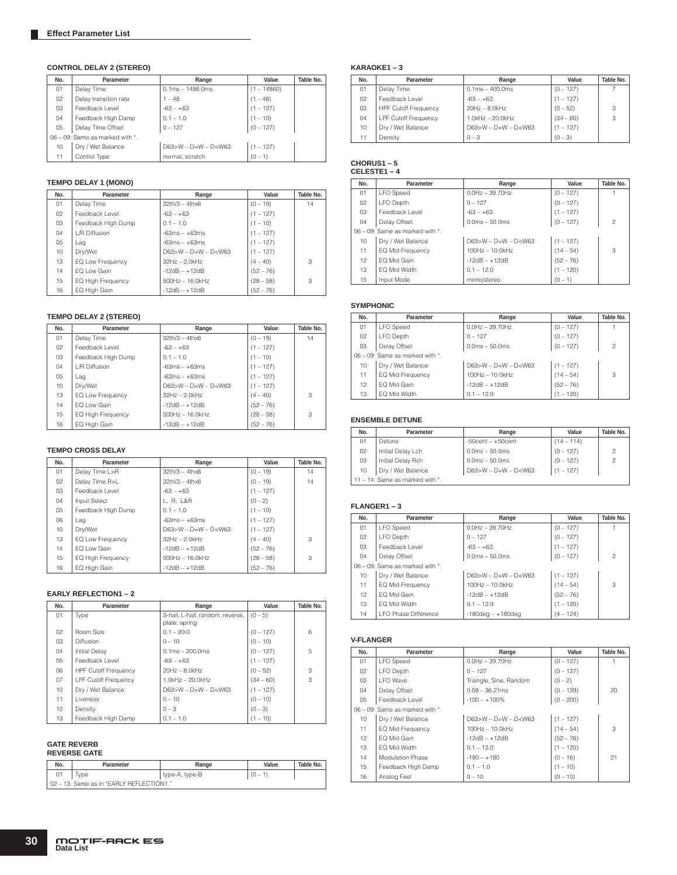### **CONTROL DELAY 2 (STEREO)**

| No. | Parameter                       | Range                  | Value         | Table No. |
|-----|---------------------------------|------------------------|---------------|-----------|
| 01  | Delay Time                      | $0.1ms - 1486.0ms$     | $(1 - 14860)$ |           |
| 02  | Delay transition rate           | $1 - 48$               | $(1 - 48)$    |           |
| 03  | Feedback Level                  | $-63 - +63$            | $(1 - 127)$   |           |
| 04  | Feedback High Damp              | $0.1 - 1.0$            | $(1 - 10)$    |           |
| 05  | Delay Time Offset               | $0 - 127$              | $(0 - 127)$   |           |
|     | 06 - 09: Same as marked with *. |                        |               |           |
| 10  | Dry / Wet Balance               | $D63>W - D=W - D< W63$ | $(1 - 127)$   |           |
|     | Control Type                    | normal, scratch        | $(0 - 1)$     |           |

#### **TEMPO DELAY 1 (MONO)**

| No.            | Parameter          | Range                       | Value       | Table No. |
|----------------|--------------------|-----------------------------|-------------|-----------|
| 01             | Delay Time         | $32th/3 - 4thx6$            | $(0 - 19)$  | 14        |
| 02             | Feedback Level     | $-63 - +63$                 | $(1 - 127)$ |           |
| 03             | Feedback High Dump | $0.1 - 1.0$                 | $(1 - 10)$  |           |
| 04             | L/R Diffusion      | $-63ms - +63ms$             | $(1 - 127)$ |           |
| 0 <sub>5</sub> | Lag                | $-63ms - +63ms$             | $(1 - 127)$ |           |
| 10             | Dry/Wet            | $D63 > W - D = W - D < W63$ | $(1 - 127)$ |           |
| 13             | EQ Low Frequency   | $32Hz - 2.0kHz$             | $(4 - 40)$  | 3         |
| 14             | FO Low Gain        | $-12dB - +12dB$             | $(52 - 76)$ |           |
| 15             | EQ High Frequency  | $500Hz - 16.0kHz$           | $(28 - 58)$ | 3         |
| 16             | EQ High Gain       | $-12dB - +12dB$             | $(52 - 76)$ |           |

### **TEMPO DELAY 2 (STEREO)**

| No.             | Parameter          | Range                  | Value       | Table No. |
|-----------------|--------------------|------------------------|-------------|-----------|
| 01              | Delay Time         | $32th/3 - 4thx6$       | $(0 - 19)$  | 14        |
| 02 <sub>2</sub> | Feedback Level     | $-63 - +63$            | $(1 - 127)$ |           |
| 03              | Feedback High Dump | $0.1 - 1.0$            | $(1 - 10)$  |           |
| 04              | L/R Diffusion      | $-63ms - +63ms$        | $(1 - 127)$ |           |
| 05              | Lag                | $-63ms - +63ms$        | $(1 - 127)$ |           |
| 10              | Dry/Wet            | $D63>W - D=W - D< W63$ | $(1 - 127)$ |           |
| 13              | EQ Low Frequency   | $32Hz - 2.0kHz$        | $(4 - 40)$  | 3         |
| 14              | FO Low Gain        | $-12dB - +12dB$        | $(52 - 76)$ |           |
| 15              | EQ High Frequency  | $500Hz - 16.0kHz$      | $(28 - 58)$ | 3         |
| 16              | EQ High Gain       | $-12dB - +12dB$        | $(52 - 76)$ |           |

### **TEMPO CROSS DELAY**

| No.             | Parameter                | Range                  | Value       | Table No. |
|-----------------|--------------------------|------------------------|-------------|-----------|
| 01              | Delay Time L>R           | $32th/3 - 4thx6$       | $(0 - 19)$  | 14        |
| 02 <sub>2</sub> | Delay Time R>L           | $32th/3 - 4thx6$       | $(0 - 19)$  | 14        |
| 03              | Feedback Level           | $-63 - +63$            | $(1 - 127)$ |           |
| 04              | Input Select             | L. R. L&R              | $(0 - 2)$   |           |
| 05              | Feedback High Dump       | $0.1 - 1.0$            | $(1 - 10)$  |           |
| 06              | Lag                      | $-63ms - +63ms$        | $(1 - 127)$ |           |
| 10              | Drv/Wet                  | $D63>W - D=W - D< W63$ | $(1 - 127)$ |           |
| 13              | EQ Low Frequency         | $32Hz - 2.0kHz$        | $(4 - 40)$  | 3         |
| 14              | EQ Low Gain              | $-12dB - +12dB$        | $(52 - 76)$ |           |
| 15              | <b>EQ High Frequency</b> | $500$ Hz $- 16.0$ kHz  | $(28 - 58)$ | 3         |
| 16              | EQ High Gain             | $-12dB - +12dB$        | $(52 - 76)$ |           |

#### **EARLY REFLECTION1 – 2**

| No. | Parameter                   | Range                                             | Value       | Table No. |
|-----|-----------------------------|---------------------------------------------------|-------------|-----------|
| 01  | Type                        | S-hall, L-hall, random, reverse,<br>plate, spring | $(0 - 5)$   |           |
| 02  | Room Size                   | $0.1 - 20.0$                                      | $(0 - 127)$ | 6         |
| 03  | <b>Diffusion</b>            | $0 - 10$                                          | $(0 - 10)$  |           |
| 04  | Initial Delav               | $0.1ms - 200.0ms$                                 | $(0 - 127)$ | 5         |
| 05  | Feedback Level              | $-63 - +63$                                       | $(1 - 127)$ |           |
| 06  | <b>HPF Cutoff Frequency</b> | $20Hz - 8.0kHz$                                   | $(0 - 52)$  | 3         |
| 07  | <b>LPF Cutoff Frequency</b> | $1.0$ kHz $-$ 20.0kHz                             | $(34 - 60)$ | 3         |
| 10  | Dry / Wet Balance           | $D63 > W - D = W - D < W63$                       | $(1 - 127)$ |           |
| 11  | I iveness                   | $0 - 10$                                          | $(0 - 10)$  |           |
| 12  | Density                     | $0 - 3$                                           | $(0 - 3)$   |           |
| 13  | Feedback High Damp          | $0.1 - 1.0$                                       | $(1 - 10)$  |           |

# **GATE REVERB REVERSE GATE**

| No. | Parameter                                | Range          | Value     | Table No. |
|-----|------------------------------------------|----------------|-----------|-----------|
|     | Type                                     | type-A, type-B | $(0 - 1)$ |           |
|     | 02 - 13: Same as in "EARLY REFLECTION1." |                |           |           |

#### **KARAOKE1 – 3**

| No. | Parameter                   | Range                       | Value       | Table No. |
|-----|-----------------------------|-----------------------------|-------------|-----------|
| 01  | Delay Time                  | $0.1ms - 400.0ms$           | $(0 - 127)$ |           |
| 02  | Feedback Level              | $-63 - +63$                 | $(1 - 127)$ |           |
| 03  | <b>HPF Cutoff Frequency</b> | $20Hz - 8.0kHz$             | $(0 - 52)$  | 3         |
| 04  | <b>LPF Cutoff Frequency</b> | $1.0$ kHz $-$ 20.0kHz       | $(34 - 60)$ | 3         |
| 10  | Dry / Wet Balance           | $D63 > W - D = W - D < W63$ | $(1 - 127)$ |           |
| 11  | Density                     | $0 - 3$                     | $(0 - 3)$   |           |

# **CHORUS1 – 5 CELESTE1 – 4**

| No. | Parameter                             | Range                  | Value       | Table No.      |
|-----|---------------------------------------|------------------------|-------------|----------------|
| 01  | <b>LFO</b> Speed                      | $0.0$ Hz $-$ 39.70Hz   | $(0 - 127)$ |                |
| 02  | LFO Depth                             | $0 - 127$              | $(0 - 127)$ |                |
| 03  | Feedback Level                        | $-63 - +63$            | $(1 - 127)$ |                |
| 04  | Delay Offset                          | $0.0ms - 50.0ms$       | $(0 - 127)$ | $\overline{c}$ |
|     | $06 - 09$ : Same as marked with $*$ . |                        |             |                |
| 10  | Dry / Wet Balance                     | $D63>W - D=W - D< W63$ | $(1 - 127)$ |                |
| 11  | EQ Mid Frequency                      | $100Hz - 10.0kHz$      | $(14 - 54)$ | 3              |
| 12  | EQ Mid Gain                           | $-12dB - +12dB$        | $(52 - 76)$ |                |
| 13  | FO Mid Width                          | $0.1 - 12.0$           | $(1 - 120)$ |                |
| 15  | Input Mode                            | mono/stereo            | $(0 - 1)$   |                |

#### **SYMPHONIC**

| No.                             | Parameter         | Range                  | Value       | Table No.      |
|---------------------------------|-------------------|------------------------|-------------|----------------|
| 01                              | <b>LFO</b> Speed  | $0.0$ Hz $-$ 39.70Hz   | $(0 - 127)$ |                |
| 02                              | LFO Depth         | $0 - 127$              | $(0 - 127)$ |                |
| 03                              | Delay Offset      | $0.0ms - 50.0ms$       | $(0 - 127)$ | $\overline{c}$ |
| 06 - 09: Same as marked with *. |                   |                        |             |                |
| 10                              | Dry / Wet Balance | $D63>W - D=W - D< W63$ | $(1 - 127)$ |                |
| 11                              | EQ Mid Frequency  | 100Hz - 10.0kHz        | $(14 - 54)$ | 3              |
| 12                              | EQ Mid Gain       | $-12dB - +12dB$        | $(52 - 76)$ |                |
| 13                              | EQ Mid Width      | $0.1 - 12.0$           | $(1 - 120)$ |                |

### **ENSEMBLE DETUNE**

| No. | Parameter                       | Range                   | Value        | Table No.      |  |
|-----|---------------------------------|-------------------------|--------------|----------------|--|
| 01  | Detune                          | $-50$ cent $- +50$ cent | $(14 - 114)$ |                |  |
| 02  | Initial Delay Lch               | $0.0ms - 50.0ms$        | $(0 - 127)$  | $\overline{c}$ |  |
| 03  | Initial Delay Rch               | $0.0ms - 50.0ms$        | $(0 - 127)$  | $\overline{c}$ |  |
| 10  | Dry / Wet Balance               | $D63>W - D=W - D< W63$  | $(1 - 127)$  |                |  |
|     | 11 - 14: Same as marked with *. |                         |              |                |  |

### **FLANGER1 – 3**

| No. | Parameter                       | Range                   | Value       | Table No.      |
|-----|---------------------------------|-------------------------|-------------|----------------|
| 01  | <b>LFO</b> Speed                | $0.0Hz - 39.70Hz$       | $(0 - 127)$ |                |
| 02  | LFO Depth                       | $0 - 127$               | $(0 - 127)$ |                |
| 03  | Feedback Level                  | $-63 - +63$             | $(1 - 127)$ |                |
| 04  | Delay Offset                    | $0.0ms - 50.0ms$        | $(0 - 127)$ | $\overline{c}$ |
|     | 06 - 09: Same as marked with *. |                         |             |                |
| 10  | Dry / Wet Balance               | $D63>W - D=W - D< W63$  | $(1 - 127)$ |                |
| 11  | EQ Mid Frequency                | $100Hz - 10.0kHz$       | $(14 - 54)$ | 3              |
| 12  | EQ Mid Gain                     | $-12dB - +12dB$         | $(52 - 76)$ |                |
| 13  | EQ Mid Width                    | $0.1 - 12.0$            | $(1 - 120)$ |                |
| 14  | LFO Phase Difference            | $-180$ deg $- +180$ deg | $(4 - 124)$ |                |

#### **V-FLANGER**

| No.             | Parameter                             | Range                  | Value       | Table No. |
|-----------------|---------------------------------------|------------------------|-------------|-----------|
| 01              | <b>LFO</b> Speed                      | $0.0$ Hz $-$ 39.70Hz   | $(0 - 127)$ |           |
| 02              | LFO Depth                             | $0 - 127$              | $(0 - 127)$ |           |
| 03              | <b>LFO</b> Wave                       | Triangle, Sine, Random | $(0 - 2)$   |           |
| 04              | Delay Offset                          | $0.09 - 36.21$ ms      | $(0 - 139)$ | 20        |
| 05              | Feedback Level                        | $-100 - +100\%$        | $(0 - 200)$ |           |
|                 | $06 - 09$ : Same as marked with $*$ . |                        |             |           |
| 10              | Dry / Wet Balance                     | $D63>W - D=W - D< W63$ | $(1 - 127)$ |           |
| 11              | EQ Mid Frequency                      | 100Hz - 10.0kHz        | $(14 - 54)$ | 3         |
| 12 <sup>2</sup> | EQ Mid Gain                           | $-12dB - +12dB$        | $(52 - 76)$ |           |
| 13              | FO Mid Width                          | $0.1 - 12.0$           | $(1 - 120)$ |           |
| 14              | <b>Modulation Phase</b>               | $-180 - +180$          | $(0 - 16)$  | 21        |
| 15              | Feedback High Damp                    | $0.1 - 1.0$            | $(1 - 10)$  |           |
| 16              | Analog Feel                           | $0 - 10$               | $(0 - 10)$  |           |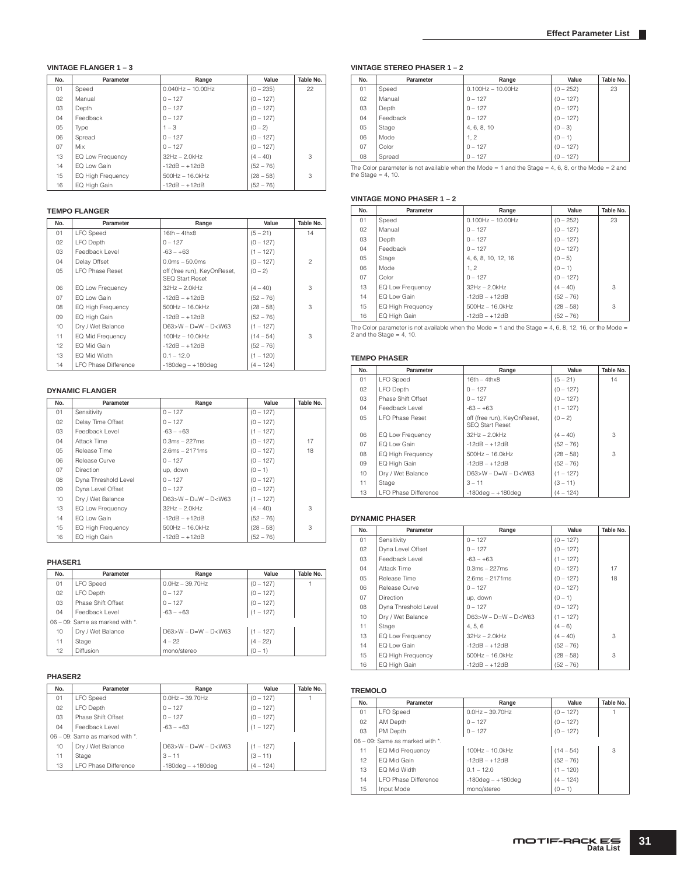### **VINTAGE FLANGER 1 – 3**

| No. | Parameter                | Range                   | Value       | Table No. |
|-----|--------------------------|-------------------------|-------------|-----------|
| 01  | Speed                    | $0.040$ Hz $- 10.00$ Hz | $(0 - 235)$ | 22        |
| 02  | Manual                   | $0 - 127$               | $(0 - 127)$ |           |
| 03  | Depth                    | $0 - 127$               | $(0 - 127)$ |           |
| 04  | Feedback                 | $0 - 127$               | $(0 - 127)$ |           |
| 05  | Type                     | $1 - 3$                 | $(0 - 2)$   |           |
| 06  | Spread                   | $0 - 127$               | $(0 - 127)$ |           |
| 07  | Mix                      | $0 - 127$               | $(0 - 127)$ |           |
| 13  | EQ Low Frequency         | $32Hz - 2.0kHz$         | $(4 - 40)$  | 3         |
| 14  | EQ Low Gain              | $-12dB - +12dB$         | $(52 - 76)$ |           |
| 15  | <b>EQ High Frequency</b> | $500$ Hz $- 16.0$ kHz   | $(28 - 58)$ | 3         |
| 16  | EQ High Gain             | $-12dB - +12dB$         | $(52 - 76)$ |           |

#### **TEMPO FLANGER**

| No.             | Parameter                   | Range                                                 | Value       | Table No.      |
|-----------------|-----------------------------|-------------------------------------------------------|-------------|----------------|
| 01              | <b>LFO</b> Speed            | $16th - 4thx8$                                        | $(5 - 21)$  | 14             |
| 02              | LFO Depth                   | $0 - 127$                                             | $(0 - 127)$ |                |
| 03              | Feedback Level              | $-63 - +63$                                           | $(1 - 127)$ |                |
| 04              | Delay Offset                | $0.0ms - 50.0ms$                                      | $(0 - 127)$ | $\mathfrak{p}$ |
| 05              | <b>I FO Phase Reset</b>     | off (free run), KeyOnReset,<br><b>SEQ Start Reset</b> | $(0 - 2)$   |                |
| 06              | EQ Low Frequency            | $32Hz - 2.0kHz$                                       | $(4 - 40)$  | 3              |
| 07              | EQ Low Gain                 | $-12dB - +12dB$                                       | $(52 - 76)$ |                |
| 08              | EQ High Frequency           | $500$ Hz $- 16.0$ kHz                                 | $(28 - 58)$ | 3              |
| 09              | EQ High Gain                | $-12dB - +12dB$                                       | $(52 - 76)$ |                |
| 10 <sup>1</sup> | Dry / Wet Balance           | $D63>W - D=W - D< W63$                                | $(1 - 127)$ |                |
| 11              | EQ Mid Frequency            | 100Hz - 10.0kHz                                       | $(14 - 54)$ | 3              |
| 12              | EQ Mid Gain                 | $-12dB - +12dB$                                       | $(52 - 76)$ |                |
| 13              | EQ Mid Width                | $0.1 - 12.0$                                          | $(1 - 120)$ |                |
| 14              | <b>LFO Phase Difference</b> | $-180$ dea - $+180$ dea                               | $(4 - 124)$ |                |

#### **DYNAMIC FLANGER**

| No.             | Parameter            | Range                  | Value       | Table No. |
|-----------------|----------------------|------------------------|-------------|-----------|
| 01              | Sensitivity          | $0 - 127$              | $(0 - 127)$ |           |
| 02 <sub>2</sub> | Delay Time Offset    | $0 - 127$              | $(0 - 127)$ |           |
| 03              | Feedback Level       | $-63 - +63$            | $(1 - 127)$ |           |
| 04              | Attack Time          | $0.3ms - 227ms$        | $(0 - 127)$ | 17        |
| 05              | Release Time         | $2.6ms - 2171ms$       | $(0 - 127)$ | 18        |
| 06              | Release Curve        | $0 - 127$              | $(0 - 127)$ |           |
| 07              | <b>Direction</b>     | up, down               | $(0 - 1)$   |           |
| 08              | Dyna Threshold Level | $0 - 127$              | $(0 - 127)$ |           |
| 09              | Dyna Level Offset    | $0 - 127$              | $(0 - 127)$ |           |
| 10              | Dry / Wet Balance    | $D63>W - D=W - D< W63$ | $(1 - 127)$ |           |
| 13              | EQ Low Frequency     | $32Hz - 2.0kHz$        | $(4 - 40)$  | 3         |
| 14              | EQ Low Gain          | $-12dB - +12dB$        | $(52 - 76)$ |           |
| 15              | EQ High Frequency    | $500$ Hz $- 16.0$ kHz  | $(28 - 58)$ | 3         |
| 16              | EQ High Gain         | $-12dB - +12dB$        | $(52 - 76)$ |           |

#### **PHASER1**

| No. | Parameter                       | Range                       | Value       | Table No. |
|-----|---------------------------------|-----------------------------|-------------|-----------|
| 01  | <b>LFO</b> Speed                | $0.0$ Hz $-$ 39.70Hz        | $(0 - 127)$ |           |
| 02  | LFO Depth                       | $0 - 127$                   | $(0 - 127)$ |           |
| 03  | Phase Shift Offset              | $0 - 127$                   | $(0 - 127)$ |           |
| 04  | Feedback Level                  | $-63 - +63$                 | $(1 - 127)$ |           |
|     | 06 - 09: Same as marked with *. |                             |             |           |
| 10  | Dry / Wet Balance               | $D63 > W - D = W - D < W63$ | $(1 - 127)$ |           |
| 11  | Stage                           | $4 - 22$                    | $(4 - 22)$  |           |
| 12  | Diffusion                       | mono/stereo                 | $(0 - 1)$   |           |

#### **PHASER2**

| No. | Parameter                             | Range                   | Value       | Table No. |
|-----|---------------------------------------|-------------------------|-------------|-----------|
| 01  | <b>LFO</b> Speed                      | $0.0$ Hz $-$ 39.70Hz    | $(0 - 127)$ |           |
| 02  | LFO Depth                             | $0 - 127$               | $(0 - 127)$ |           |
| 03  | Phase Shift Offset                    | $0 - 127$               | $(0 - 127)$ |           |
| 04  | Feedback Level                        | $-63 - +63$             | $(1 - 127)$ |           |
|     | $06 - 09$ : Same as marked with $*$ . |                         |             |           |
| 10  | Dry / Wet Balance                     | $D63>W - D=W - D< W63$  | $(1 - 127)$ |           |
| 11  | Stage                                 | $3 - 11$                | $(3 - 11)$  |           |
| 13  | <b>LFO Phase Difference</b>           | $-180$ deg $- +180$ deg | $(4 - 124)$ |           |

#### **VINTAGE STEREO PHASER 1 – 2**

| No. | Parameter | Range               | Value       | Table No. |
|-----|-----------|---------------------|-------------|-----------|
| 01  | Speed     | $0.100Hz - 10.00Hz$ | $(0 - 252)$ | 23        |
| 02  | Manual    | $0 - 127$           | $(0 - 127)$ |           |
| 03  | Depth     | $0 - 127$           | $(0 - 127)$ |           |
| 04  | Feedback  | $0 - 127$           | $(0 - 127)$ |           |
| 05  | Stage     | 4, 6, 8, 10         | $(0 - 3)$   |           |
| 06  | Mode      | 1.2                 | $(0 - 1)$   |           |
| 07  | Color     | $0 - 127$           | $(0 - 127)$ |           |
| 08  | Spread    | $0 - 127$           | $(0 - 127)$ |           |

The Color parameter is not available when the Mode = 1 and the Stage = 4, 6, 8, or the Mode = 2 and the Stage = 4, 10.

#### **VINTAGE MONO PHASER 1 – 2**

| No. | Parameter                | Range               | Value       | Table No. |
|-----|--------------------------|---------------------|-------------|-----------|
| 01  | Speed                    | $0.100Hz - 10.00Hz$ | $(0 - 252)$ | 23        |
| 02  | Manual                   | $0 - 127$           | $(0 - 127)$ |           |
| 03  | Depth                    | $0 - 127$           | $(0 - 127)$ |           |
| 04  | Feedback                 | $0 - 127$           | $(0 - 127)$ |           |
| 05  | Stage                    | 4, 6, 8, 10, 12, 16 | $(0 - 5)$   |           |
| 06  | Mode                     | 1.2                 | $(0 - 1)$   |           |
| 07  | Color                    | $0 - 127$           | $(0 - 127)$ |           |
| 13  | EQ Low Frequency         | $32Hz - 2.0kHz$     | $(4 - 40)$  | 3         |
| 14  | FO Low Gain              | $-12dB - +12dB$     | $(52 - 76)$ |           |
| 15  | <b>EQ High Frequency</b> | $500Hz - 16.0kHz$   | $(28 - 58)$ | 3         |
| 16  | EQ High Gain             | $-12dB - +12dB$     | $(52 - 76)$ |           |

The Color parameter is not available when the Mode = 1 and the Stage = 4, 6, 8, 12, 16, or the Mode = 2 and the Stage = 4, 10.

#### **TEMPO PHASER**

| No. | Parameter                   | Range                                                 | Value       | Table No. |
|-----|-----------------------------|-------------------------------------------------------|-------------|-----------|
| 01  | <b>LFO</b> Speed            | $16th - 4thx8$                                        | $(5 - 21)$  | 14        |
| 02  | LFO Depth                   | $0 - 127$                                             | $(0 - 127)$ |           |
| 03  | Phase Shift Offset          | $0 - 127$                                             | $(0 - 127)$ |           |
| 04  | Feedback Level              | $-63 - +63$                                           | $(1 - 127)$ |           |
| 05  | <b>I FO Phase Reset</b>     | off (free run), KeyOnReset,<br><b>SFO Start Reset</b> | $(0 - 2)$   |           |
| 06  | EQ Low Frequency            | $32Hz - 2.0kHz$                                       | $(4 - 40)$  | 3         |
| 07  | FO Low Gain                 | $-12dB - +12dB$                                       | $(52 - 76)$ |           |
| 08  | <b>EQ High Frequency</b>    | $500Hz - 16.0kHz$                                     | $(28 - 58)$ | 3         |
| 09  | EQ High Gain                | $-12dB - +12dB$                                       | $(52 - 76)$ |           |
| 10  | Dry / Wet Balance           | $D63 > W - D = W - D < W63$                           | $(1 - 127)$ |           |
| 11  | Stage                       | $3 - 11$                                              | $(3 - 11)$  |           |
| 13  | <b>LFO Phase Difference</b> | $-180$ dea - $+180$ dea                               | $(4 - 124)$ |           |

#### **DYNAMIC PHASER**

| No. | Parameter                | Range                       | Value       | Table No. |
|-----|--------------------------|-----------------------------|-------------|-----------|
| 01  | Sensitivity              | $0 - 127$                   | $(0 - 127)$ |           |
| 02  | Dyna Level Offset        | $0 - 127$                   | $(0 - 127)$ |           |
| 03  | Feedback Level           | $-63 - +63$                 | $(1 - 127)$ |           |
| 04  | Attack Time              | $0.3ms - 227ms$             | $(0 - 127)$ | 17        |
| 05  | Release Time             | $2.6ms - 2171ms$            | $(0 - 127)$ | 18        |
| 06  | Release Curve            | $0 - 127$                   | $(0 - 127)$ |           |
| 07  | <b>Direction</b>         | up, down                    | $(0 - 1)$   |           |
| 08  | Dyna Threshold Level     | $0 - 127$                   | $(0 - 127)$ |           |
| 10  | Dry / Wet Balance        | $D63 > W - D = W - D < W63$ | $(1 - 127)$ |           |
| 11  | Stage                    | 4, 5, 6                     | $(4-6)$     |           |
| 13  | EQ Low Frequency         | $32Hz - 2.0kHz$             | $(4 - 40)$  | 3         |
| 14  | EQ Low Gain              | $-12dB - +12dB$             | $(52 - 76)$ |           |
| 15  | <b>EQ High Frequency</b> | $500Hz - 16.0kHz$           | $(28 - 58)$ | 3         |
| 16  | EQ High Gain             | $-12dB - +12dB$             | $(52 - 76)$ |           |

#### **TREMOLO**

| No.                             | Parameter            | Range                   | Value       | Table No. |
|---------------------------------|----------------------|-------------------------|-------------|-----------|
| 01                              | <b>LFO</b> Speed     | $0.0$ Hz $-$ 39.70Hz    | $(0 - 127)$ |           |
| 02                              | AM Depth             | $0 - 127$               | $(0 - 127)$ |           |
| 03                              | PM Depth             | $0 - 127$               | $(0 - 127)$ |           |
| 06 - 09: Same as marked with *. |                      |                         |             |           |
| 11                              | EQ Mid Frequency     | 100Hz - 10.0kHz         | $(14 - 54)$ | 3         |
| 12 <sup>2</sup>                 | EQ Mid Gain          | $-12dB - +12dB$         | $(52 - 76)$ |           |
| 13                              | EQ Mid Width         | $0.1 - 12.0$            | $(1 - 120)$ |           |
| 14                              | LFO Phase Difference | $-180$ deg $- +180$ deg | $(4 - 124)$ |           |
| 15                              | Input Mode           | mono/stereo             | $(0 - 1)$   |           |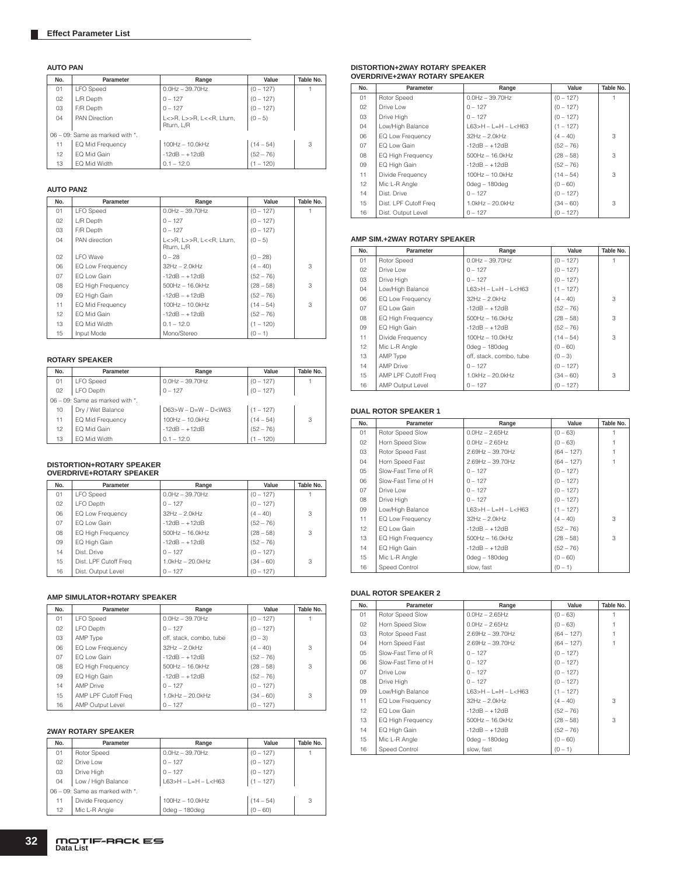#### **AUTO PAN**

| No. | Parameter                       | Range                                           | Value       | Table No. |
|-----|---------------------------------|-------------------------------------------------|-------------|-----------|
| 01  | <b>LFO</b> Speed                | $0.0$ Hz $-$ 39.70Hz                            | $(0 - 127)$ |           |
| 02  | L/R Depth                       | $0 - 127$                                       | $(0 - 127)$ |           |
| 03  | F/R Depth                       | $0 - 127$                                       | $(0 - 127)$ |           |
| 04  | <b>PAN Direction</b>            | L<>R, L>>R, L< <r, lturn,<br="">Rturn, L/R</r,> | $(0 - 5)$   |           |
|     | 06 - 09: Same as marked with *. |                                                 |             |           |
| 11  | EQ Mid Frequency                | 100Hz - 10.0kHz                                 | $(14 - 54)$ | 3         |
| 12  | EQ Mid Gain                     | $-12dB - +12dB$                                 | $(52 - 76)$ |           |
| 13  | EQ Mid Width                    | $0.1 - 12.0$                                    | $(1 - 120)$ |           |

#### **AUTO PAN2**

| No.             | Parameter         | Range                                           | Value       | Table No. |
|-----------------|-------------------|-------------------------------------------------|-------------|-----------|
| 01              | <b>LFO</b> Speed  | $0.0$ Hz $-$ 39.70Hz                            | $(0 - 127)$ |           |
| 02              | L/R Depth         | $0 - 127$                                       | $(0 - 127)$ |           |
| 03              | F/R Depth         | $0 - 127$                                       | $(0 - 127)$ |           |
| 04              | PAN direction     | L<>R, L>>R, L< <r, lturn,<br="">Rturn, L/R</r,> | $(0 - 5)$   |           |
| 02              | I FO Wave         | $0 - 28$                                        | $(0 - 28)$  |           |
| 06              | EQ Low Frequency  | $32Hz - 2.0kHz$                                 | $(4 - 40)$  | 3         |
| 07              | EQ Low Gain       | $-12dB - +12dB$                                 | $(52 - 76)$ |           |
| 08              | EQ High Frequency | $500$ Hz $- 16.0$ kHz                           | $(28 - 58)$ | 3         |
| 09              | EQ High Gain      | $-12dB - +12dB$                                 | $(52 - 76)$ |           |
| 11              | EQ Mid Frequency  | 100Hz - 10.0kHz                                 | $(14 - 54)$ | 3         |
| 12 <sup>°</sup> | EQ Mid Gain       | $-12dB - +12dB$                                 | $(52 - 76)$ |           |
| 13              | EQ Mid Width      | $0.1 - 12.0$                                    | $(1 - 120)$ |           |
| 15              | Input Mode        | Mono/Stereo                                     | $(0 - 1)$   |           |

### **ROTARY SPEAKER**

| No. | Parameter                       | Range                  | Value       | Table No. |
|-----|---------------------------------|------------------------|-------------|-----------|
| 01  | <b>LFO</b> Speed                | $0.0$ Hz $-$ 39.70Hz   | $(0 - 127)$ |           |
| 02  | LFO Depth                       | $0 - 127$              | $(0 - 127)$ |           |
|     | 06 - 09: Same as marked with *. |                        |             |           |
| 10  | Dry / Wet Balance               | $D63>W - D=W - D< W63$ | $(1 - 127)$ |           |
| 11  | EQ Mid Frequency                | 100Hz - 10.0kHz        | $(14 - 54)$ | 3         |
| 12  | EQ Mid Gain                     | $-12dB - +12dB$        | $(52 - 76)$ |           |
| 13  | EQ Mid Width                    | $0.1 - 12.0$           | $(1 - 120)$ |           |

# **DISTORTION+ROTARY SPEAKER OVERDRIVE+ROTARY SPEAKER**

| No. | Parameter             | Range                 | Value       | Table No. |
|-----|-----------------------|-----------------------|-------------|-----------|
| 01  | <b>LFO</b> Speed      | $0.0$ Hz $-$ 39.70Hz  | $(0 - 127)$ |           |
| 02  | LFO Depth             | $0 - 127$             | $(0 - 127)$ |           |
| 06  | EQ Low Frequency      | $32Hz - 2.0kHz$       | $(4 - 40)$  | 3         |
| 07  | FO Low Gain           | $-12dB - +12dB$       | $(52 - 76)$ |           |
| 80  | EQ High Frequency     | $500Hz - 16.0kHz$     | $(28 - 58)$ | 3         |
| 09  | EQ High Gain          | $-12dB - +12dB$       | $(52 - 76)$ |           |
| 14  | Dist. Drive           | $0 - 127$             | $(0 - 127)$ |           |
| 15  | Dist. LPF Cutoff Freq | $1.0$ kHz $-$ 20.0kHz | $(34 - 60)$ | 3         |
| 16  | Dist. Output Level    | $0 - 127$             | $(0 - 127)$ |           |

#### **AMP SIMULATOR+ROTARY SPEAKER**

| No. | Parameter           | Range                   | Value       | Table No. |
|-----|---------------------|-------------------------|-------------|-----------|
| 01  | <b>LFO</b> Speed    | $0.0$ Hz $-$ 39.70Hz    | $(0 - 127)$ |           |
| 02  | LFO Depth           | $0 - 127$               | $(0 - 127)$ |           |
| 03  | AMP Type            | off, stack, combo, tube | $(0 - 3)$   |           |
| 06  | EQ Low Frequency    | $32Hz - 2.0kHz$         | $(4 - 40)$  | 3         |
| 07  | FO Low Gain         | $-12dB - +12dB$         | $(52 - 76)$ |           |
| 08  | EQ High Frequency   | $500Hz - 16.0kHz$       | $(28 - 58)$ | 3         |
| 09  | EQ High Gain        | $-12dB - +12dB$         | $(52 - 76)$ |           |
| 14  | <b>AMP Drive</b>    | $0 - 127$               | $(0 - 127)$ |           |
| 15  | AMP LPF Cutoff Freq | $1.0$ kHz $-$ 20.0kHz   | $(34 - 60)$ | 3         |
| 16  | AMP Output Level    | $0 - 127$               | $(0 - 127)$ |           |

#### **2WAY ROTARY SPEAKER**

| No. | Parameter                       | Range                                                                          | Value       | Table No. |
|-----|---------------------------------|--------------------------------------------------------------------------------|-------------|-----------|
| 01  | Rotor Speed                     | $0.0$ Hz $-$ 39.70Hz                                                           | $(0 - 127)$ |           |
| 02  | Drive Low                       | $0 - 127$                                                                      | $(0 - 127)$ |           |
| 03  | Drive High                      | $0 - 127$                                                                      | $(0 - 127)$ |           |
| 04  | Low / High Balance              | $L63$ >H - L=H - L <h63< td=""><td><math>(1 - 127)</math></td><td></td></h63<> | $(1 - 127)$ |           |
|     | 06 - 09: Same as marked with *. |                                                                                |             |           |
| 11  | Divide Frequency                | 100Hz - 10.0kHz                                                                | $(14 - 54)$ | 3         |
| 12  | Mic L-R Angle                   | 0dea - 180dea                                                                  | $(0 - 60)$  |           |

# **DISTORTION+2WAY ROTARY SPEAKER OVERDRIVE+2WAY ROTARY SPEAKER**

| No. | Parameter                | Range                       | Value       | Table No. |
|-----|--------------------------|-----------------------------|-------------|-----------|
| 01  | Rotor Speed              | $0.0$ Hz $-$ 39.70Hz        | $(0 - 127)$ |           |
| 02  | Drive Low                | $0 - 127$                   | $(0 - 127)$ |           |
| 03  | Drive High               | $0 - 127$                   | $(0 - 127)$ |           |
| 04  | Low/High Balance         | $L63 > H - L = H - L < H63$ | $(1 - 127)$ |           |
| 06  | EQ Low Frequency         | $32Hz - 2.0kHz$             | $(4 - 40)$  | 3         |
| 07  | FO Low Gain              | $-12dB - +12dB$             | $(52 - 76)$ |           |
| 08  | <b>EQ High Frequency</b> | $500Hz - 16.0kHz$           | $(28 - 58)$ | 3         |
| 09  | EQ High Gain             | $-12dB - +12dB$             | $(52 - 76)$ |           |
| 11  | Divide Frequency         | 100Hz - 10.0kHz             | $(14 - 54)$ | 3         |
| 12  | Mic L-R Angle            | 0dea - 180dea               | $(0 - 60)$  |           |
| 14  | Dist. Drive              | $0 - 127$                   | $(0 - 127)$ |           |
| 15  | Dist. LPF Cutoff Freq    | $1.0$ kHz $-$ 20.0kHz       | $(34 - 60)$ | 3         |
| 16  | Dist. Output Level       | $0 - 127$                   | $(0 - 127)$ |           |

#### **AMP SIM.+2WAY ROTARY SPEAKER**

| No. | Parameter                | Range                                                                       | Value       | Table No. |
|-----|--------------------------|-----------------------------------------------------------------------------|-------------|-----------|
| 01  | Rotor Speed              | $0.0$ Hz $-$ 39.70Hz                                                        | $(0 - 127)$ |           |
| 02  | Drive Low                | $0 - 127$                                                                   | $(0 - 127)$ |           |
| 03  | Drive High               | $0 - 127$                                                                   | $(0 - 127)$ |           |
| 04  | Low/High Balance         | L63>H - L=H - L <h63< td=""><td><math>(1 - 127)</math></td><td></td></h63<> | $(1 - 127)$ |           |
| 06  | EQ Low Frequency         | $32Hz - 2.0kHz$                                                             | $(4 - 40)$  | 3         |
| 07  | EQ Low Gain              | $-12dB - +12dB$                                                             | $(52 - 76)$ |           |
| 08  | <b>EQ High Frequency</b> | $500Hz - 16.0kHz$                                                           | $(28 - 58)$ | 3         |
| 09  | EQ High Gain             | $-12dB - +12dB$                                                             | $(52 - 76)$ |           |
| 11  | Divide Frequency         | 100Hz - 10.0kHz                                                             | $(14 - 54)$ | 3         |
| 12  | Mic L-R Angle            | $0$ deg - 180 $deq$                                                         | $(0 - 60)$  |           |
| 13  | AMP Type                 | off, stack, combo, tube                                                     | $(0 - 3)$   |           |
| 14  | <b>AMP Drive</b>         | $0 - 127$                                                                   | $(0 - 127)$ |           |
| 15  | AMP LPF Cutoff Frea      | $1.0$ kHz $-$ 20.0kHz                                                       | $(34 - 60)$ | 3         |
| 16  | AMP Output Level         | $0 - 127$                                                                   | $(0 - 127)$ |           |

#### **DUAL ROTOR SPEAKER 1**

| No. | Parameter                | Range                                                                       | Value        | Table No. |
|-----|--------------------------|-----------------------------------------------------------------------------|--------------|-----------|
| 01  | Rotor Speed Slow         | $0.0$ Hz $- 2.65$ Hz                                                        | $(0 - 63)$   |           |
| 02  | Horn Speed Slow          | $0.0$ Hz $- 2.65$ Hz                                                        | $(0 - 63)$   |           |
| 03  | Rotor Speed Fast         | 2.69Hz - 39.70Hz                                                            | $(64 - 127)$ |           |
| 04  | Horn Speed Fast          | $2.69$ Hz $- 39.70$ Hz                                                      | $(64 - 127)$ |           |
| 05  | Slow-Fast Time of R      | $0 - 127$                                                                   | $(0 - 127)$  |           |
| 06  | Slow-Fast Time of H      | $0 - 127$                                                                   | $(0 - 127)$  |           |
| 07  | Drive Low                | $0 - 127$                                                                   | $(0 - 127)$  |           |
| 08  | Drive High               | $0 - 127$                                                                   | $(0 - 127)$  |           |
| 09  | Low/High Balance         | L63>H - L=H - L <h63< td=""><td><math>(1 - 127)</math></td><td></td></h63<> | $(1 - 127)$  |           |
| 11  | EQ Low Frequency         | $32Hz - 2.0kHz$                                                             | $(4 - 40)$   | 3         |
| 12  | EQ Low Gain              | $-12dB - +12dB$                                                             | $(52 - 76)$  |           |
| 13  | <b>EQ High Frequency</b> | $500Hz - 16.0kHz$                                                           | $(28 - 58)$  | 3         |
| 14  | EQ High Gain             | $-12dB - +12dB$                                                             | $(52 - 76)$  |           |
| 15  | Mic L-R Angle            | $0$ deg - 180 deg                                                           | $(0 - 60)$   |           |
| 16  | Speed Control            | slow, fast                                                                  | $(0 - 1)$    |           |

### **DUAL ROTOR SPEAKER 2**

| No. | Parameter           | Range                       | Value        | Table No. |
|-----|---------------------|-----------------------------|--------------|-----------|
| 01  | Rotor Speed Slow    | $0.0$ Hz $- 2.65$ Hz        | $(0 - 63)$   |           |
| 02  | Horn Speed Slow     | $0.0$ Hz $- 2.65$ Hz        | $(0 - 63)$   |           |
| 03  | Rotor Speed Fast    | $2.69$ Hz $- 39.70$ Hz      | $(64 - 127)$ |           |
| 04  | Horn Speed Fast     | $2.69$ Hz $- 39.70$ Hz      | $(64 - 127)$ |           |
| 05  | Slow-Fast Time of R | $0 - 127$                   | $(0 - 127)$  |           |
| 06  | Slow-Fast Time of H | $0 - 127$                   | $(0 - 127)$  |           |
| 07  | Drive Low           | $0 - 127$                   | $(0 - 127)$  |           |
| 08  | Drive High          | $0 - 127$                   | $(0 - 127)$  |           |
| 09  | Low/High Balance    | $L63 > H - L = H - L < H63$ | $(1 - 127)$  |           |
| 11  | EQ Low Frequency    | $32Hz - 2.0kHz$             | $(4 - 40)$   | 3         |
| 12  | EQ Low Gain         | $-12dB - +12dB$             | $(52 - 76)$  |           |
| 13  | EQ High Frequency   | $500Hz - 16.0kHz$           | $(28 - 58)$  | 3         |
| 14  | EQ High Gain        | $-12dB - +12dB$             | $(52 - 76)$  |           |
| 15  | Mic L-R Angle       | $0$ deg - 180 $deq$         | $(0 - 60)$   |           |
| 16  | Speed Control       | slow, fast                  | $(0 - 1)$    |           |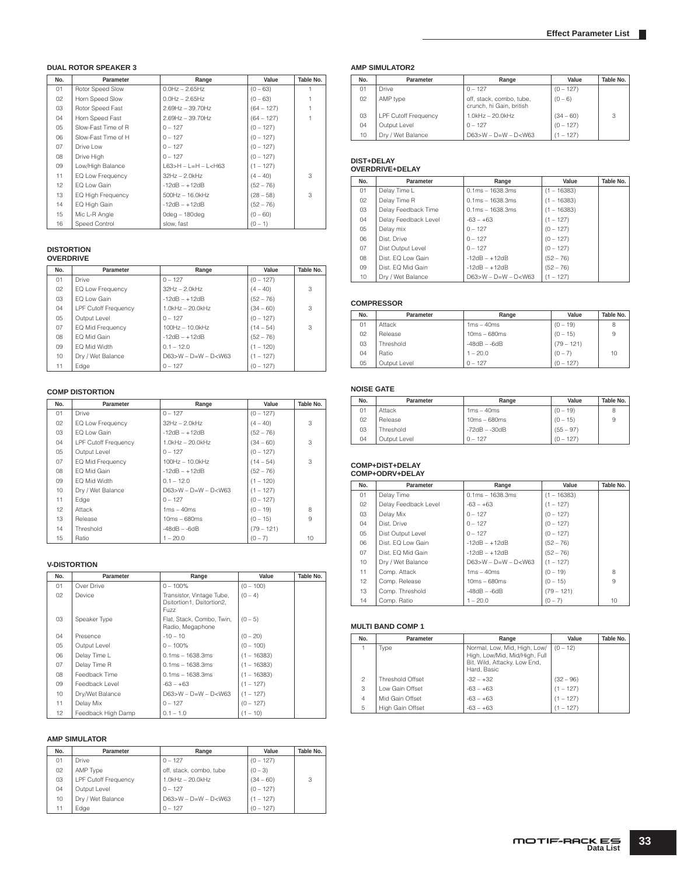### **DUAL ROTOR SPEAKER 3**

| No. | Parameter           | Range                       | Value        | Table No. |
|-----|---------------------|-----------------------------|--------------|-----------|
| 01  | Rotor Speed Slow    | $0.0$ Hz $- 2.65$ Hz        | $(0 - 63)$   |           |
| 02  | Horn Speed Slow     | $0.0$ Hz $- 2.65$ Hz        | $(0 - 63)$   |           |
| 03  | Rotor Speed Fast    | $2.69$ Hz - 39.70Hz         | $(64 - 127)$ |           |
| 04  | Horn Speed Fast     | $2.69$ Hz - 39.70Hz         | $(64 - 127)$ |           |
| 05  | Slow-Fast Time of R | $0 - 127$                   | $(0 - 127)$  |           |
| 06  | Slow-Fast Time of H | $0 - 127$                   | $(0 - 127)$  |           |
| 07  | Drive Low           | $0 - 127$                   | $(0 - 127)$  |           |
| 08  | Drive High          | $0 - 127$                   | $(0 - 127)$  |           |
| 09  | Low/High Balance    | $L63 > H - L = H - L < H63$ | $(1 - 127)$  |           |
| 11  | EQ Low Frequency    | $32Hz - 2.0kHz$             | $(4 - 40)$   | 3         |
| 12  | EQ Low Gain         | $-12dB - +12dB$             | $(52 - 76)$  |           |
| 13  | EQ High Frequency   | $500$ Hz $- 16.0$ kHz       | $(28 - 58)$  | 3         |
| 14  | EQ High Gain        | $-12dB - +12dB$             | $(52 - 76)$  |           |
| 15  | Mic L-R Angle       | 0dea - 180dea               | $(0 - 60)$   |           |
| 16  | Speed Control       | slow, fast                  | $(0 - 1)$    |           |

# **DISTORTION OVERDRIVE**

| No.             | Parameter                   | Range                       | Value       | Table No. |
|-----------------|-----------------------------|-----------------------------|-------------|-----------|
| 01              | Drive                       | $0 - 127$                   | $(0 - 127)$ |           |
| 02 <sub>2</sub> | EQ Low Frequency            | $32Hz - 2.0kHz$             | $(4 - 40)$  | 3         |
| 03              | FO Low Gain                 | $-12dB - +12dB$             | $(52 - 76)$ |           |
| 04              | <b>LPF Cutoff Frequency</b> | $1.0$ kHz $-$ 20.0kHz       | $(34 - 60)$ | 3         |
| 05              | Output Level                | $0 - 127$                   | $(0 - 127)$ |           |
| 07              | EQ Mid Frequency            | $100Hz - 10.0kHz$           | $(14 - 54)$ | 3         |
| 80              | EQ Mid Gain                 | $-12dB - +12dB$             | $(52 - 76)$ |           |
| 09              | EQ Mid Width                | $0.1 - 12.0$                | $(1 - 120)$ |           |
| 10              | Dry / Wet Balance           | $D63 > W - D = W - D < W63$ | $(1 - 127)$ |           |
| 11              | Edge                        | $0 - 127$                   | $(0 - 127)$ |           |

#### **COMP DISTORTION**

| No. | Parameter                   | Range                  | Value        | Table No. |
|-----|-----------------------------|------------------------|--------------|-----------|
| 01  | <b>Drive</b>                | $0 - 127$              | $(0 - 127)$  |           |
| 02  | EQ Low Frequency            | $32Hz - 2.0kHz$        | $(4 - 40)$   | 3         |
| 03  | EQ Low Gain                 | $-12dB - +12dB$        | $(52 - 76)$  |           |
| 04  | <b>LPF Cutoff Frequency</b> | $1.0$ kHz $-$ 20.0kHz  | $(34 - 60)$  | 3         |
| 05  | Output Level                | $0 - 127$              | $(0 - 127)$  |           |
| 07  | EQ Mid Frequency            | 100Hz - 10.0kHz        | $(14 - 54)$  | 3         |
| 08  | EQ Mid Gain                 | $-12dB - +12dB$        | $(52 - 76)$  |           |
| 09  | EQ Mid Width                | $0.1 - 12.0$           | $(1 - 120)$  |           |
| 10  | Dry / Wet Balance           | $D63>W - D=W - D< W63$ | $(1 - 127)$  |           |
| 11  | Edge                        | $0 - 127$              | $(0 - 127)$  |           |
| 12  | Attack                      | $1ms - 40ms$           | $(0 - 19)$   | 8         |
| 13  | Release                     | $10ms - 680ms$         | $(0 - 15)$   | 9         |
| 14  | Threshold                   | $-48dB - -6dB$         | $(79 - 121)$ |           |
| 15  | Ratio                       | $1 - 20.0$             | $(0 - 7)$    | 10        |

#### **V-DISTORTION**

| No. | Parameter          | Range                                                          | Value         | Table No. |
|-----|--------------------|----------------------------------------------------------------|---------------|-----------|
| 01  | Over Drive         | $0 - 100\%$                                                    | $(0 - 100)$   |           |
| 02  | Device             | Transistor, Vintage Tube,<br>Dsitortion1, Dsitortion2,<br>Fuzz | $(0 - 4)$     |           |
| 03  | Speaker Type       | Flat, Stack, Combo, Twin,<br>Radio, Megaphone                  | $(0 - 5)$     |           |
| 04  | Presence           | $-10 - 10$                                                     | $(0 - 20)$    |           |
| 05  | Output Level       | $0 - 100\%$                                                    | $(0 - 100)$   |           |
| 06  | Delay Time L       | $0.1ms - 1638.3ms$                                             | $(1 - 16383)$ |           |
| 07  | Delay Time R       | $0.1ms - 1638.3ms$                                             | $(1 - 16383)$ |           |
| 08  | Feedback Time      | $0.1ms - 1638.3ms$                                             | $(1 - 16383)$ |           |
| 09  | Feedback Level     | $-63 - +63$                                                    | $(1 - 127)$   |           |
| 10  | Dry/Wet Balance    | $D63>W - D=W - D< W63$                                         | $(1 - 127)$   |           |
| 11  | Delay Mix          | $0 - 127$                                                      | $(0 - 127)$   |           |
| 12  | Feedback High Damp | $0.1 - 1.0$                                                    | $(1 - 10)$    |           |

### **AMP SIMULATOR**

| No. | Parameter                   | Range                   | Value       | Table No. |
|-----|-----------------------------|-------------------------|-------------|-----------|
| 01  | Drive                       | $0 - 127$               | $(0 - 127)$ |           |
| 02  | AMP Type                    | off, stack, combo, tube | $(0 - 3)$   |           |
| 03  | <b>LPF Cutoff Frequency</b> | $1.0$ kHz $-$ 20.0kHz   | $(34 - 60)$ | 3         |
| 04  | Output Level                | $0 - 127$               | $(0 - 127)$ |           |
| 10  | Dry / Wet Balance           | $D63>W - D=W - D< W63$  | $(1 - 127)$ |           |
| 11  | Edge                        | $0 - 127$               | $(0 - 127)$ |           |

#### **AMP SIMULATOR2**

| No. | Parameter                   | Range                                                | Value       | Table No. |
|-----|-----------------------------|------------------------------------------------------|-------------|-----------|
| 01  | Drive                       | $0 - 127$                                            | $(0 - 127)$ |           |
| 02  | AMP type                    | off, stack, combo, tube,<br>crunch, hi Gain, british | $(0 - 6)$   |           |
| 03  | <b>LPF Cutoff Frequency</b> | $1.0kHz - 20.0kHz$                                   | $(34 - 60)$ | 3         |
| 04  | Output Level                | $0 - 127$                                            | $(0 - 127)$ |           |
| 10  | Dry / Wet Balance           | $D63 > W - D = W - D < W63$                          | $(1 - 127)$ |           |

# **DIST+DELAY OVERDRIVE+DELAY**

| No. | Parameter            | Range                       | Value         | Table No. |
|-----|----------------------|-----------------------------|---------------|-----------|
| 01  | Delay Time L         | $0.1ms - 1638.3ms$          | $(1 - 16383)$ |           |
| 02  | Delay Time R         | $0.1ms - 1638.3ms$          | $(1 - 16383)$ |           |
| 03  | Delay Feedback Time  | $0.1ms - 1638.3ms$          | $(1 - 16383)$ |           |
| 04  | Delay Feedback Level | $-63 - +63$                 | $(1 - 127)$   |           |
| 05  | Delay mix            | $0 - 127$                   | $(0 - 127)$   |           |
| 06  | Dist. Drive          | $0 - 127$                   | $(0 - 127)$   |           |
| 07  | Dist Output Level    | $0 - 127$                   | $(0 - 127)$   |           |
| 08  | Dist. EQ Low Gain    | $-12dB - +12dB$             | $(52 - 76)$   |           |
| 09  | Dist. EQ Mid Gain    | $-12dB - +12dB$             | $(52 - 76)$   |           |
| 10  | Dry / Wet Balance    | $D63 > W - D = W - D < W63$ | $(1 - 127)$   |           |

### **COMPRESSOR**

| No. | Parameter    | Range          | Value        | Table No. |
|-----|--------------|----------------|--------------|-----------|
| 01  | Attack       | $1ms - 40ms$   | $(0 - 19)$   | 8         |
| 02  | Release      | $10ms - 680ms$ | $(0 - 15)$   | 9         |
| 03  | Threshold    | $-48dB - -6dB$ | $(79 - 121)$ |           |
| 04  | Ratio        | $1 - 20.0$     | $(0 - 7)$    | 10        |
| 05  | Output Level | $0 - 127$      | $(0 - 127)$  |           |

### **NOISE GATE**

| No. | Parameter    | Range           | Value       | Table No. |
|-----|--------------|-----------------|-------------|-----------|
| 01  | Attack       | $1ms - 40ms$    | $(0 - 19)$  | 8         |
| 02  | Release      | $10ms - 680ms$  | $(0 - 15)$  | 9         |
| 03  | Threshold    | $-72dB - -30dB$ | $(55 - 97)$ |           |
| 04  | Output Level | $0 - 127$       | $(0 - 127)$ |           |

# **COMP+DIST+DELAY COMP+ODRV+DELAY**

| No. | Parameter            | Range                       | Value         | Table No. |
|-----|----------------------|-----------------------------|---------------|-----------|
| 01  | Delay Time           | $0.1ms - 1638.3ms$          | $(1 - 16383)$ |           |
| 02  | Delay Feedback Level | $-63 - +63$                 | $(1 - 127)$   |           |
| 03  | Delay Mix            | $0 - 127$                   | $(0 - 127)$   |           |
| 04  | Dist. Drive          | $0 - 127$                   | $(0 - 127)$   |           |
| 05  | Dist Output Level    | $0 - 127$                   | $(0 - 127)$   |           |
| 06  | Dist. EQ Low Gain    | $-12dB - +12dB$             | $(52 - 76)$   |           |
| 07  | Dist. EQ Mid Gain    | $-12dB - +12dB$             | $(52 - 76)$   |           |
| 10  | Dry / Wet Balance    | $D63 > W - D = W - D < W63$ | $(1 - 127)$   |           |
| 11  | Comp. Attack         | $1ms - 40ms$                | $(0 - 19)$    | 8         |
| 12  | Comp. Release        | $10ms - 680ms$              | $(0 - 15)$    | 9         |
| 13  | Comp. Threshold      | $-48dB - -6dB$              | $(79 - 121)$  |           |
| 14  | Comp. Ratio          | $1 - 20.0$                  | $(0 - 7)$     | 10        |

### **MULTI BAND COMP 1**

| No.            | Parameter               | Range                                                                                                        | Value       | Table No. |
|----------------|-------------------------|--------------------------------------------------------------------------------------------------------------|-------------|-----------|
|                | Type                    | Normal, Low, Mid, High, Low/<br>High, Low/Mid, Mid/High, Full<br>Bit, Wild, Attacky, Low End,<br>Hard, Basic | $(0 - 12)$  |           |
| $\mathfrak{p}$ | <b>Threshold Offset</b> | $-32 - +32$                                                                                                  | $(32 - 96)$ |           |
| 3              | Low Gain Offset         | $-63 - +63$                                                                                                  | $(1 - 127)$ |           |
| $\overline{4}$ | Mid Gain Offset         | $-63 - +63$                                                                                                  | $(1 - 127)$ |           |
| 5              | High Gain Offset        | $-63 - +63$                                                                                                  | $(1 - 127)$ |           |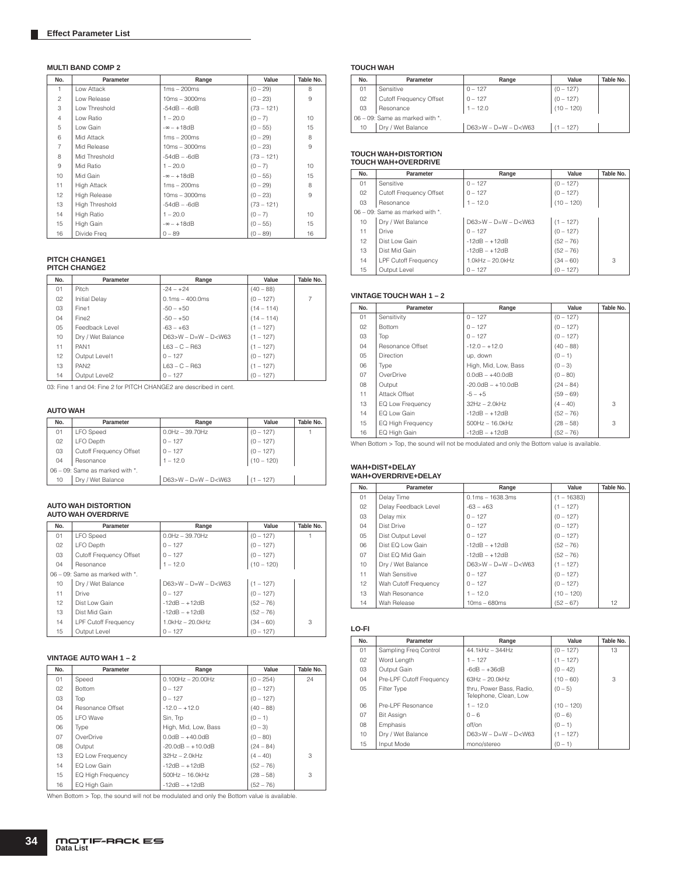#### **MULTI BAND COMP 2**

| No.            | Parameter             | Range             | Value        | Table No. |
|----------------|-----------------------|-------------------|--------------|-----------|
| 1              | Low Attack            | $1ms - 200ms$     | $(0 - 29)$   | 8         |
| $\overline{c}$ | Low Release           | $10ms - 3000ms$   | $(0 - 23)$   | 9         |
| 3              | Low Threshold         | $-54dB - -6dB$    | $(73 - 121)$ |           |
| $\overline{4}$ | Low Ratio             | $1 - 20.0$        | $(0 - 7)$    | 10        |
| 5              | Low Gain              | $-\infty - +18dB$ | $(0 - 55)$   | 15        |
| 6              | Mid Attack            | $1ms - 200ms$     | $(0 - 29)$   | 8         |
| $\overline{7}$ | Mid Release           | $10ms - 3000ms$   | $(0 - 23)$   | 9         |
| 8              | Mid Threshold         | $-54dB - -6dB$    | $(73 - 121)$ |           |
| $\overline{9}$ | Mid Ratio             | $1 - 20.0$        | $(0 - 7)$    | 10        |
| 10             | Mid Gain              | $-\infty - +18dB$ | $(0 - 55)$   | 15        |
| 11             | <b>High Attack</b>    | $1ms - 200ms$     | $(0 - 29)$   | 8         |
| 12             | <b>High Release</b>   | $10ms - 3000ms$   | $(0 - 23)$   | 9         |
| 13             | <b>High Threshold</b> | $-54dB - -6dB$    | $(73 - 121)$ |           |
| 14             | High Ratio            | $1 - 20.0$        | $(0 - 7)$    | 10        |
| 15             | High Gain             | $-\infty - +18dB$ | $(0 - 55)$   | 15        |
| 16             | Divide Freq           | $0 - 89$          | $(0 - 89)$   | 16        |

# **PITCH CHANGE1 PITCH CHANGE2**

| No. | Parameter            | Range                             | Value        | Table No. |
|-----|----------------------|-----------------------------------|--------------|-----------|
| 01  | Pitch                | $-24-+24$                         | $(40 - 88)$  |           |
| 02  | <b>Initial Delay</b> | $0.1 \text{ms} - 400.0 \text{ms}$ | $(0 - 127)$  |           |
| 03  | Fine1                | $-50 - +50$                       | $(14 - 114)$ |           |
| 04  | Fine2                | $-50 - +50$                       | $(14 - 114)$ |           |
| 05  | Feedback Level       | $-63 - +63$                       | $(1 - 127)$  |           |
| 10  | Dry / Wet Balance    | $D63>W - D=W - D< W63$            | $(1 - 127)$  |           |
| 11  | PAN <sub>1</sub>     | $L63 - C - R63$                   | $(1 - 127)$  |           |
| 12  | Output Level1        | $0 - 127$                         | $(0 - 127)$  |           |
| 13  | PAN <sub>2</sub>     | $L63 - C - R63$                   | $(1 - 127)$  |           |
| 14  | Output Level2        | $0 - 127$                         | $(0 - 127)$  |           |

03: Fine 1 and 04: Fine 2 for PITCH CHANGE2 are described in cent.

#### **AUTO WAH**

| No. | Parameter                             | Range                  | Value        | Table No. |
|-----|---------------------------------------|------------------------|--------------|-----------|
| 01  | <b>LFO</b> Speed                      | $0.0Hz - 39.70Hz$      | $(0 - 127)$  |           |
| 02  | LFO Depth                             | $0 - 127$              | $(0 - 127)$  |           |
| 03  | Cutoff Frequency Offset               | $0 - 127$              | $(0 - 127)$  |           |
| 04  | Resonance                             | $1 - 12.0$             | $(10 - 120)$ |           |
|     | $06 - 09$ : Same as marked with $*$ . |                        |              |           |
| 10  | Dry / Wet Balance                     | $D63>W - D=W - D< W63$ | $(1 - 127)$  |           |

# **AUTO WAH DISTORTION AUTO WAH OVERDRIVE**

| No.             | Parameter                       | Range                  | Value        | Table No. |
|-----------------|---------------------------------|------------------------|--------------|-----------|
| 01              | <b>LFO</b> Speed                | $0.0$ Hz $-$ 39.70Hz   | $(0 - 127)$  |           |
| 02              | LFO Depth                       | $0 - 127$              | $(0 - 127)$  |           |
| 03              | Cutoff Frequency Offset         | $0 - 127$              | $(0 - 127)$  |           |
| 04              | Resonance                       | $1 - 12.0$             | $(10 - 120)$ |           |
|                 | 06 - 09: Same as marked with *. |                        |              |           |
| 10              | Dry / Wet Balance               | $D63>W - D=W - D< W63$ | $(1 - 127)$  |           |
| 11              | Drive                           | $0 - 127$              | $(0 - 127)$  |           |
| 12 <sup>7</sup> | Dist Low Gain                   | $-12dB - +12dB$        | $(52 - 76)$  |           |
| 13              | Dist Mid Gain                   | $-12dB - +12dB$        | $(52 - 76)$  |           |
| 14              | <b>LPF Cutoff Frequency</b>     | $1.0$ kHz $-$ 20.0kHz  | $(34 - 60)$  | 3         |
| 15              | Output Level                    | $0 - 127$              | $(0 - 127)$  |           |

### **VINTAGE AUTO WAH 1 – 2**

| No. | Parameter                | Range                 | Value       | Table No. |
|-----|--------------------------|-----------------------|-------------|-----------|
| 01  | Speed                    | $0.100Hz - 20.00Hz$   | $(0 - 254)$ | 24        |
| 02  | <b>Bottom</b>            | $0 - 127$             | $(0 - 127)$ |           |
| 03  | Top                      | $0 - 127$             | $(0 - 127)$ |           |
| 04  | Resonance Offset         | $-12.0 - +12.0$       | $(40 - 88)$ |           |
| 05  | I FO Wave                | Sin. Trp              | $(0 - 1)$   |           |
| 06  | Type                     | High, Mid, Low, Bass  | $(0 - 3)$   |           |
| 07  | OverDrive                | $0.0dB - +40.0dB$     | $(0 - 80)$  |           |
| 08  | Output                   | $-20.0dB - +10.0dB$   | $(24 - 84)$ |           |
| 13  | EQ Low Frequency         | $32Hz - 2.0kHz$       | $(4 - 40)$  | 3         |
| 14  | EQ Low Gain              | $-12dB - +12dB$       | $(52 - 76)$ |           |
| 15  | <b>EQ High Frequency</b> | $500$ Hz $- 16.0$ kHz | $(28 - 58)$ | 3         |
| 16  | EQ High Gain             | $-12dB - +12dB$       | $(52 - 76)$ |           |

When Bottom > Top, the sound will not be modulated and only the Bottom value is available.

#### **TOUCH WAH**

| No.                             | Parameter               | Range                       | Value        | Table No. |
|---------------------------------|-------------------------|-----------------------------|--------------|-----------|
| 01                              | Sensitive               | $0 - 127$                   | $(0 - 127)$  |           |
| 02                              | Cutoff Frequency Offset | $0 - 127$                   | $(0 - 127)$  |           |
| 03                              | Resonance               | $1 - 12.0$                  | $(10 - 120)$ |           |
| 06 - 09: Same as marked with *. |                         |                             |              |           |
| 10                              | Dry / Wet Balance       | $D63 > W - D = W - D < W63$ | $(1 - 127)$  |           |

# **TOUCH WAH+DISTORTION TOUCH WAH+OVERDRIVE**

| No. | Parameter                       | Range                       | Value        | Table No. |
|-----|---------------------------------|-----------------------------|--------------|-----------|
| 01  | Sensitive                       | $0 - 127$                   | $(0 - 127)$  |           |
| 02  | Cutoff Frequency Offset         | $0 - 127$                   | $(0 - 127)$  |           |
| 03  | Resonance                       | $1 - 12.0$                  | $(10 - 120)$ |           |
|     | 06 - 09: Same as marked with *. |                             |              |           |
| 10  | Dry / Wet Balance               | $D63 > W - D = W - D < W63$ | $(1 - 127)$  |           |
| 11  | <b>Drive</b>                    | $0 - 127$                   | $(0 - 127)$  |           |
| 12  | Dist Low Gain                   | $-12dB - +12dB$             | $(52 - 76)$  |           |
| 13  | Dist Mid Gain                   | $-12dB - +12dB$             | $(52 - 76)$  |           |
| 14  | <b>LPF Cutoff Frequency</b>     | $1.0$ kHz $-$ 20.0kHz       | $(34 - 60)$  | 3         |
| 15  | Output Level                    | $0 - 127$                   | $(0 - 127)$  |           |

#### **VINTAGE TOUCH WAH 1 – 2**

| No. | Parameter                | Range                       | Value       | Table No. |
|-----|--------------------------|-----------------------------|-------------|-----------|
| 01  | Sensitivity              | $0 - 127$                   | $(0 - 127)$ |           |
| 02  | <b>Bottom</b>            | $0 - 127$                   | $(0 - 127)$ |           |
| 03  | Top                      | $0 - 127$                   | $(0 - 127)$ |           |
| 04  | Resonance Offset         | $-12.0 - +12.0$             | $(40 - 88)$ |           |
| 05  | <b>Direction</b>         | up, down                    | $(0 - 1)$   |           |
| 06  | Type                     | High, Mid, Low, Bass        | $(0 - 3)$   |           |
| 07  | OverDrive                | $0.0dB - +40.0dB$           | $(0 - 80)$  |           |
| 08  | Output                   | $-20.0$ d $B - +10.0$ d $B$ | $(24 - 84)$ |           |
| 11  | Attack Offset            | $-5 - +5$                   | $(59 - 69)$ |           |
| 13  | EQ Low Frequency         | $32Hz - 2.0kHz$             | $(4 - 40)$  | 3         |
| 14  | EQ Low Gain              | $-12dB - +12dB$             | $(52 - 76)$ |           |
| 15  | <b>EQ High Frequency</b> | $500Hz - 16.0kHz$           | $(28 - 58)$ | 3         |
| 16  | EQ High Gain             | $-12dB - +12dB$             | $(52 - 76)$ |           |

When Bottom > Top, the sound will not be modulated and only the Bottom value is available.

# **WAH+DIST+DELAY WAH+OVERDRIVE+DELAY**

| No. | Parameter            | Range                     | Value         | Table No. |
|-----|----------------------|---------------------------|---------------|-----------|
| 01  | Delay Time           | $0.1ms - 1638.3ms$        | $(1 - 16383)$ |           |
| 02  | Delay Feedback Level | $-63 - +63$               | $(1 - 127)$   |           |
| 03  | Delay mix            | $0 - 127$                 | $(0 - 127)$   |           |
| 04  | Dist Drive           | $0 - 127$                 | $(0 - 127)$   |           |
| 05  | Dist Output Level    | $0 - 127$                 | $(0 - 127)$   |           |
| 06  | Dist FO Low Gain     | $-12dB - +12dB$           | $(52 - 76)$   |           |
| 07  | Dist EQ Mid Gain     | $-12dB - +12dB$           | $(52 - 76)$   |           |
| 10  | Dry / Wet Balance    | $D63 > W - D=W - D <$ W63 | $(1 - 127)$   |           |
| 11  | Wah Sensitive        | $0 - 127$                 | $(0 - 127)$   |           |
| 12  | Wah Cutoff Frequency | $0 - 127$                 | $(0 - 127)$   |           |
| 13  | Wah Resonance        | $1 - 12.0$                | $(10 - 120)$  |           |
| 14  | Wah Release          | $10ms - 680ms$            | $(52 - 67)$   | 12        |

#### **LO-FI**

| No. | Parameter                | Range                                             | Value        | Table No. |
|-----|--------------------------|---------------------------------------------------|--------------|-----------|
| 01  | Sampling Freg Control    | 44.1kHz - 344Hz                                   | $(0 - 127)$  | 13        |
| 02  | Word Length              | $1 - 127$                                         | $(1 - 127)$  |           |
| 03  | Output Gain              | $-6dB - +36dB$                                    | $(0 - 42)$   |           |
| 04  | Pre-LPF Cutoff Frequency | $63Hz - 20.0kHz$                                  | $(10 - 60)$  | 3         |
| 05  | Filter Type              | thru, Power Bass, Radio,<br>Telephone, Clean, Low | $(0 - 5)$    |           |
| 06  | Pre-I PF Resonance       | $1 - 12.0$                                        | $(10 - 120)$ |           |
| 07  | <b>Bit Assign</b>        | $0 - 6$                                           | $(0 - 6)$    |           |
| 08  | Emphasis                 | off/on                                            | $(0 - 1)$    |           |
| 10  | Dry / Wet Balance        | $D63 > W - D = W - D < W63$                       | $(1 - 127)$  |           |
| 15  | Input Mode               | mono/stereo                                       | $(0 - 1)$    |           |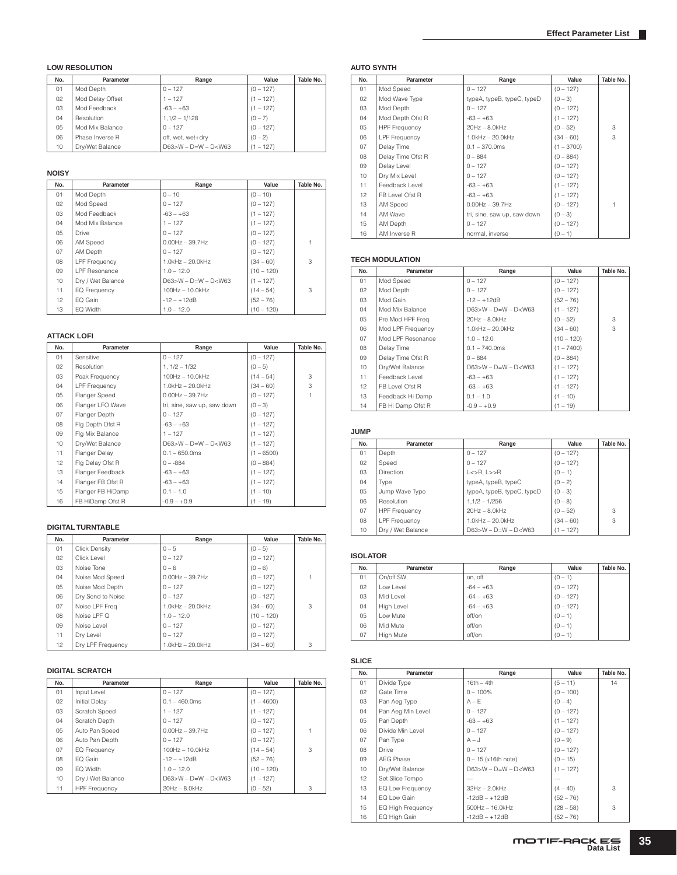### **LOW RESOLUTION**

| No. | Parameter        | Range                  | Value       | Table No. |
|-----|------------------|------------------------|-------------|-----------|
| 01  | Mod Depth        | $0 - 127$              | $(0 - 127)$ |           |
| 02  | Mod Delay Offset | $1 - 127$              | $(1 - 127)$ |           |
| 03  | Mod Feedback     | $-63 - +63$            | $(1 - 127)$ |           |
| 04  | Resolution       | $1,1/2 - 1/128$        | $(0 - 7)$   |           |
| 05  | Mod Mix Balance  | $0 - 127$              | $(0 - 127)$ |           |
| 06  | Phase Inverse R  | off, wet, wet+drv      | $(0 - 2)$   |           |
| 10  | Drv/Wet Balance  | $D63>W - D=W - D< W63$ | $(1 - 127)$ |           |

#### **NOISY**

| No.             | Parameter            | Range                  | Value        | Table No. |
|-----------------|----------------------|------------------------|--------------|-----------|
| 01              | Mod Depth            | $0 - 10$               | $(0 - 10)$   |           |
| 02 <sub>2</sub> | Mod Speed            | $0 - 127$              | $(0 - 127)$  |           |
| 03              | Mod Feedback         | $-63 - +63$            | $(1 - 127)$  |           |
| 04              | Mod Mix Balance      | $1 - 127$              | $(1 - 127)$  |           |
| 05              | Drive                | $0 - 127$              | $(0 - 127)$  |           |
| 06              | AM Speed             | $0.00$ Hz $-$ 39.7Hz   | $(0 - 127)$  |           |
| 07              | AM Depth             | $0 - 127$              | $(0 - 127)$  |           |
| 08              | <b>LPF Frequency</b> | $1.0$ kHz $-$ 20.0kHz  | $(34 - 60)$  | 3         |
| 09              | <b>LPF</b> Resonance | $1.0 - 12.0$           | $(10 - 120)$ |           |
| 10              | Dry / Wet Balance    | $D63>W - D=W - D< W63$ | $(1 - 127)$  |           |
| 11              | <b>EQ Frequency</b>  | 100Hz - 10.0kHz        | $(14 - 54)$  | 3         |
| 12              | EQ Gain              | $-12 - +12dB$          | $(52 - 76)$  |           |
| 13              | EQ Width             | $1.0 - 12.0$           | $(10 - 120)$ |           |

#### **ATTACK LOFI**

| No. | Parameter            | Range                       | Value        | Table No. |
|-----|----------------------|-----------------------------|--------------|-----------|
| 01  | Sensitive            | $0 - 127$                   | $(0 - 127)$  |           |
| 02  | Resolution           | $1, 1/2 - 1/32$             | $(0 - 5)$    |           |
| 03  | Peak Frequency       | 100Hz - 10.0kHz             | $(14 - 54)$  | 3         |
| 04  | <b>LPF Frequency</b> | $1.0$ kHz $-$ 20.0kHz       | $(34 - 60)$  | 3         |
| 05  | Flanger Speed        | $0.00Hz - 39.7Hz$           | $(0 - 127)$  |           |
| 06  | Flanger LFO Wave     | tri, sine, saw up, saw down | $(0 - 3)$    |           |
| 07  | Flanger Depth        | $0 - 127$                   | $(0 - 127)$  |           |
| 08  | Flg Depth Ofst R     | $-63 - +63$                 | $(1 - 127)$  |           |
| 09  | Flg Mix Balance      | $1 - 127$                   | $(1 - 127)$  |           |
| 10  | Dry/Wet Balance      | $D63>W - D=W - D< W63$      | $(1 - 127)$  |           |
| 11  | Flanger Delay        | $0.1 - 650.0$ ms            | $(1 - 6500)$ |           |
| 12  | Flg Delay Ofst R     | $0 - -884$                  | $(0 - 884)$  |           |
| 13  | Flanger Feedback     | $-63 - +63$                 | $(1 - 127)$  |           |
| 14  | Flanger FB Ofst R    | $-63 - +63$                 | $(1 - 127)$  |           |
| 15  | Flanger FB HiDamp    | $0.1 - 1.0$                 | $(1 - 10)$   |           |
| 16  | FB HiDamp Ofst R     | $-0.9 - +0.9$               | $(1 - 19)$   |           |

### **DIGITAL TURNTABLE**

| No. | Parameter            | Range                 | Value        | Table No. |
|-----|----------------------|-----------------------|--------------|-----------|
| 01  | <b>Click Density</b> | $0 - 5$               | $(0 - 5)$    |           |
| 02  | Click Level          | $0 - 127$             | $(0 - 127)$  |           |
| 03  | Noise Tone           | $0 - 6$               | $(0 - 6)$    |           |
| 04  | Noise Mod Speed      | $0.00$ Hz $- 39.7$ Hz | $(0 - 127)$  |           |
| 05  | Noise Mod Depth      | $0 - 127$             | $(0 - 127)$  |           |
| 06  | Dry Send to Noise    | $0 - 127$             | $(0 - 127)$  |           |
| 07  | Noise LPF Frea       | $1.0$ kHz $-$ 20.0kHz | $(34 - 60)$  | 3         |
| 08  | Noise LPF Q          | $1.0 - 12.0$          | $(10 - 120)$ |           |
| 09  | Noise Level          | $0 - 127$             | $(0 - 127)$  |           |
| 11  | Dry Level            | $0 - 127$             | $(0 - 127)$  |           |
| 12  | Drv LPF Frequency    | $1.0$ kHz $-$ 20.0kHz | $(34 - 60)$  | 3         |

#### **DIGITAL SCRATCH**

| No. | Parameter            | Range                  | Value        | Table No. |
|-----|----------------------|------------------------|--------------|-----------|
| 01  | Input Level          | $0 - 127$              | $(0 - 127)$  |           |
| 02  | Initial Delav        | $0.1 - 460.0$ ms       | $(1 - 4600)$ |           |
| 03  | Scratch Speed        | $1 - 127$              | $(1 - 127)$  |           |
| 04  | Scratch Depth        | $0 - 127$              | $(0 - 127)$  |           |
| 05  | Auto Pan Speed       | $0.00$ Hz $-$ 39.7Hz   | $(0 - 127)$  |           |
| 06  | Auto Pan Depth       | $0 - 127$              | $(0 - 127)$  |           |
| 07  | <b>EQ Frequency</b>  | 100Hz - 10.0kHz        | $(14 - 54)$  | 3         |
| 08  | EQ Gain              | $-12 - +12$ dB         | $(52 - 76)$  |           |
| 0.9 | EQ Width             | $1.0 - 12.0$           | $(10 - 120)$ |           |
| 10  | Dry / Wet Balance    | $D63>W - D=W - D< W63$ | $(1 - 127)$  |           |
| 11  | <b>HPF Frequency</b> | $20Hz - 8.0kHz$        | $(0 - 52)$   | 3         |

### **AUTO SYNTH**

| No. | Parameter            | Range                       | Value        | Table No. |
|-----|----------------------|-----------------------------|--------------|-----------|
| 01  | Mod Speed            | $0 - 127$                   | $(0 - 127)$  |           |
| 02  | Mod Wave Type        | typeA, typeB, typeC, typeD  | $(0 - 3)$    |           |
| 03  | Mod Depth            | $0 - 127$                   | $(0 - 127)$  |           |
| 04  | Mod Depth Ofst R     | $-63 - +63$                 | $(1 - 127)$  |           |
| 05  | <b>HPF Frequency</b> | $20Hz - 8.0kHz$             | $(0 - 52)$   | 3         |
| 06  | <b>LPF Frequency</b> | $1.0$ kHz $-$ 20.0kHz       | $(34 - 60)$  | 3         |
| 07  | Delay Time           | $0.1 - 370.0$ ms            | $(1 - 3700)$ |           |
| 08  | Delay Time Ofst R    | $0 - 884$                   | $(0 - 884)$  |           |
| 09  | Delay Level          | $0 - 127$                   | $(0 - 127)$  |           |
| 10  | Dry Mix Level        | $0 - 127$                   | $(0 - 127)$  |           |
| 11  | Feedback Level       | $-63 - +63$                 | $(1 - 127)$  |           |
| 12  | FB Level Ofst R      | $-63 - +63$                 | $(1 - 127)$  |           |
| 13  | AM Speed             | $0.00$ Hz $-$ 39.7Hz        | $(0 - 127)$  |           |
| 14  | AM Wave              | tri, sine, saw up, saw down | $(0 - 3)$    |           |
| 15  | AM Depth             | $0 - 127$                   | $(0 - 127)$  |           |
| 16  | AM Inverse R         | normal, inverse             | $(0 - 1)$    |           |

#### **TECH MODULATION**

| No. | Parameter         | Range                       | Value        | Table No. |
|-----|-------------------|-----------------------------|--------------|-----------|
| 01  | Mod Speed         | $0 - 127$                   | $(0 - 127)$  |           |
| 02  | Mod Depth         | $0 - 127$                   | $(0 - 127)$  |           |
| 03  | Mod Gain          | $-12 - +12$ dB              | $(52 - 76)$  |           |
| 04  | Mod Mix Balance   | $D63 > W - D=W - D <$ W63   | $(1 - 127)$  |           |
| 05  | Pre Mod HPF Frea  | $20Hz - 8.0kHz$             | $(0 - 52)$   | 3         |
| 06  | Mod LPF Frequency | 1.0kHz - 20.0kHz            | $(34 - 60)$  | 3         |
| 07  | Mod LPF Resonance | $1.0 - 12.0$                | $(10 - 120)$ |           |
| 08  | Delay Time        | $0.1 - 740.0$ ms            | $(1 - 7400)$ |           |
| 09  | Delay Time Ofst R | $0 - 884$                   | $(0 - 884)$  |           |
| 10  | Dry/Wet Balance   | $D63 > W - D = W - D < W63$ | $(1 - 127)$  |           |
| 11  | Feedback Level    | $-63 - +63$                 | $(1 - 127)$  |           |
| 12  | FB Level Ofst R   | $-63 - +63$                 | $(1 - 127)$  |           |
| 13  | Feedback Hi Damp  | $0.1 - 1.0$                 | $(1 - 10)$   |           |
| 14  | FB Hi Damp Ofst R | $-0.9 - +0.9$               | $(1 - 19)$   |           |

#### **JUMP**

| No. | Parameter            | Range                       | Value       | Table No. |
|-----|----------------------|-----------------------------|-------------|-----------|
| 01  | Depth                | $0 - 127$                   | $(0 - 127)$ |           |
| 02  | Speed                | $0 - 127$                   | $(0 - 127)$ |           |
| 03  | Direction            | $L < > R$ , $L >> R$        | $(0 - 1)$   |           |
| 04  | Type                 | typeA, typeB, typeC         | $(0 - 2)$   |           |
| 05  | Jump Wave Type       | typeA, typeB, typeC, typeD  | $(0 - 3)$   |           |
| 06  | Resolution           | $1,1/2 - 1/256$             | $(0 - 8)$   |           |
| 07  | <b>HPF Frequency</b> | $20Hz - 8.0kHz$             | $(0 - 52)$  | 3         |
| 08  | <b>LPF Frequency</b> | $1.0$ kHz $-$ 20.0kHz       | $(34 - 60)$ | 3         |
| 10  | Drv / Wet Balance    | $D63 > W - D = W - D < W63$ | $(1 - 127)$ |           |

#### **ISOLATOR**

| No. | <b>Parameter</b> | Range       | Value       | Table No. |
|-----|------------------|-------------|-------------|-----------|
| 01  | On/off SW        | on. off     | $(0 - 1)$   |           |
| 02  | Low Level        | $-64 - +63$ | $(0 - 127)$ |           |
| 03  | Mid Level        | $-64 - +63$ | $(0 - 127)$ |           |
| 04  | High Level       | $-64 - +63$ | $(0 - 127)$ |           |
| 05  | Low Mute         | off/on      | $(0 - 1)$   |           |
| 06  | Mid Mute         | off/on      | $(0 - 1)$   |           |
| 07  | High Mute        | off/on      | $(0 - 1)$   |           |

#### **SLICE**

| No. | Parameter                | Range                     | Value       | Table No. |
|-----|--------------------------|---------------------------|-------------|-----------|
| 01  | Divide Type              | $16th - 4th$              | $(5 - 11)$  | 14        |
| 02  | Gate Time                | $0 - 100\%$               | $(0 - 100)$ |           |
| 03  | Pan Aeg Type             | $A - E$                   | $(0 - 4)$   |           |
| 04  | Pan Aeg Min Level        | $0 - 127$                 | $(0 - 127)$ |           |
| 05  | Pan Depth                | $-63 - +63$               | $(1 - 127)$ |           |
| 06  | Divide Min Level         | $0 - 127$                 | $(0 - 127)$ |           |
| 07  | Pan Type                 | $A - J$                   | $(0 - 9)$   |           |
| 08  | Drive                    | $0 - 127$                 | $(0 - 127)$ |           |
| 09  | AEG Phase                | $0 - 15$ ( $x$ 16th note) | $(0 - 15)$  |           |
| 10  | Dry/Wet Balance          | $D63>W - D=W - D< W63$    | $(1 - 127)$ |           |
| 12  | Set Slice Tempo          | $- - -$                   |             |           |
| 13  | EQ Low Frequency         | $32Hz - 2.0kHz$           | $(4 - 40)$  | 3         |
| 14  | EQ Low Gain              | $-12dB - +12dB$           | $(52 - 76)$ |           |
| 15  | <b>EQ High Frequency</b> | $500Hz - 16.0kHz$         | $(28 - 58)$ | 3         |
| 16  | EQ High Gain             | $-12dB - +12dB$           | $(52 - 76)$ |           |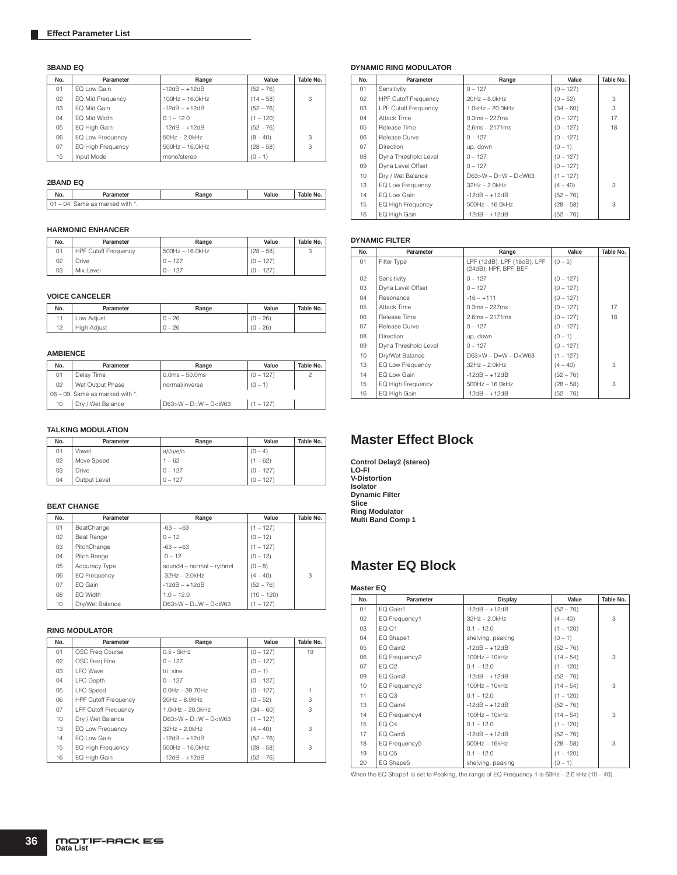#### **3BAND EQ**

| No. | Parameter         | Range             | Value       | Table No. |
|-----|-------------------|-------------------|-------------|-----------|
| 01  | EQ Low Gain       | $-12dB - +12dB$   | $(52 - 76)$ |           |
| 02  | EQ Mid Frequency  | 100Hz - 16.0kHz   | $(14 - 58)$ | 3         |
| 03  | EQ Mid Gain       | $-12dB - +12dB$   | $(52 - 76)$ |           |
| 04  | EQ Mid Width      | $0.1 - 12.0$      | $(1 - 120)$ |           |
| 05  | EQ High Gain      | $-12dB - +12dB$   | $(52 - 76)$ |           |
| 06  | EQ Low Frequency  | $50Hz - 2.0kHz$   | $(8 - 40)$  | 3         |
| 07  | EQ High Frequency | $500Hz - 16.0kHz$ | $(28 - 58)$ | 3         |
| 15  | Input Mode        | mono/stereo       | $(0 - 1)$   |           |

#### **2BAND EQ**

| No.                             | ameter                      | .kange | Value | Table No. |
|---------------------------------|-----------------------------|--------|-------|-----------|
| 04:<br>$\overline{\phantom{a}}$ | . with<br>Same as<br>marked |        |       |           |

### **HARMONIC ENHANCER**

| No. | Parameter                   | Range                | Value       | Table No. |
|-----|-----------------------------|----------------------|-------------|-----------|
| 01  | <b>HPF Cutoff Frequency</b> | $500$ Hz $-16.0$ kHz | $(28 - 58)$ | J         |
| 02  | <b>Drive</b>                | $0 - 127$            | $(0 - 127)$ |           |
| 03  | Mix Level                   | $0 - 127$            | $(0 - 127)$ |           |

#### **VOICE CANCELER**

| No. | Parameter   | Range    | Value      | Table No. |
|-----|-------------|----------|------------|-----------|
|     | Low Adjust  | $0 - 26$ | $(0 - 26)$ |           |
| 12  | High Adjust | $0 - 26$ | $(0 - 26)$ |           |

#### **AMBIENCE**

| No.    | Parameter                       | Range                       | Value       | Table No. |  |  |
|--------|---------------------------------|-----------------------------|-------------|-----------|--|--|
| 01     | Delay Time                      | $0.0ms - 50.0ms$            | $(0 - 127)$ |           |  |  |
| 02     | Wet Output Phase                | normal/inverse              | $(0 - 1)$   |           |  |  |
|        | 06 - 09: Same as marked with *. |                             |             |           |  |  |
| $10 -$ | Dry / Wet Balance               | $D63 > W - D = W - D < W63$ | $(1 - 127)$ |           |  |  |

### **TALKING MODULATION**

| No. | Parameter    | Range     | Value       | Table No. |
|-----|--------------|-----------|-------------|-----------|
| 01  | Vowel        | a/i/u/e/o | $(0 - 4)$   |           |
| 02  | Move Speed   | $1 - 62$  | $(1 - 62)$  |           |
| 03  | <b>Drive</b> | $0 - 127$ | $(0 - 127)$ |           |
| 04  | Output Level | $0 - 127$ | $(0 - 127)$ |           |

#### **BEAT CHANGE**

| No. | Parameter           | Range                          | Value        | Table No. |
|-----|---------------------|--------------------------------|--------------|-----------|
| 01  | BeatChange          | $-63 - +63$                    | $(1 - 127)$  |           |
| 02  | Beat Range          | $0 - 12$                       | $(0 - 12)$   |           |
| 03  | PitchChange         | $-63 - +63$                    | $(1 - 127)$  |           |
| 04  | Pitch Range         | $0 - 12$                       | $(0 - 12)$   |           |
| 05  | Accuracy Type       | sound $4$ – normal – rythm $4$ | $(0 - 8)$    |           |
| 06  | <b>EQ Frequency</b> | $32Hz - 2.0kHz$                | $(4 - 40)$   | 3         |
| 07  | EQ Gain             | $-12dB - +12dB$                | $(52 - 76)$  |           |
| 80  | EQ Width            | $1.0 - 12.0$                   | $(10 - 120)$ |           |
| 10  | Dry/Wet Balance     | $D63>W - D=W - D< W63$         | $(1 - 127)$  |           |

#### **RING MODULATOR**

| No.    | Parameter                   | Range                       | Value       | Table No. |
|--------|-----------------------------|-----------------------------|-------------|-----------|
| 01     | OSC Freq Course             | $0.5 - 5kHz$                | $(0 - 127)$ | 19        |
| 02     | OSC Freq Fine               | $0 - 127$                   | $(0 - 127)$ |           |
| 03     | I FO Wave                   | tri, sine                   | $(0 - 1)$   |           |
| 04     | <b>LFO Depth</b>            | $0 - 127$                   | $(0 - 127)$ |           |
| 05     | <b>LFO</b> Speed            | $0.0$ Hz $-$ 39.70Hz        | $(0 - 127)$ |           |
| 06     | <b>HPF Cutoff Frequency</b> | $20Hz - 8.0kHz$             | $(0 - 52)$  | 3         |
| 07     | <b>LPF Cutoff Frequency</b> | $1.0$ kHz $-$ 20.0kHz       | $(34 - 60)$ | 3         |
| 10     | Dry / Wet Balance           | $D63 > W - D = W - D < W63$ | $(1 - 127)$ |           |
| 13     | EQ Low Frequency            | $32Hz - 2.0kHz$             | $(4 - 40)$  | 3         |
| 14     | EQ Low Gain                 | $-12dB - +12dB$             | $(52 - 76)$ |           |
| $15 -$ | EQ High Frequency           | $500$ Hz $- 16.0$ kHz       | $(28 - 58)$ | 3         |
| 16     | EQ High Gain                | $-12dB - +12dB$             | $(52 - 76)$ |           |

### **DYNAMIC RING MODULATOR**

| No. | Parameter                   | Range                       | Value       | Table No. |
|-----|-----------------------------|-----------------------------|-------------|-----------|
| 01  | Sensitivity                 | $0 - 127$                   | $(0 - 127)$ |           |
| 02  | <b>HPF Cutoff Frequency</b> | $20Hz - 8.0kHz$             | $(0 - 52)$  | 3         |
| 03  | <b>LPF Cutoff Frequency</b> | 1.0kHz - 20.0kHz            | $(34 - 60)$ | 3         |
| 04  | Attack Time                 | $0.3ms - 227ms$             | $(0 - 127)$ | 17        |
| 05  | Release Time                | $2.6ms - 2171ms$            | $(0 - 127)$ | 18        |
| 06  | Release Curve               | $0 - 127$                   | $(0 - 127)$ |           |
| 07  | <b>Direction</b>            | up, down                    | $(0 - 1)$   |           |
| 08  | Dyna Threshold Level        | $0 - 127$                   | $(0 - 127)$ |           |
| 09  | Dyna Level Offset           | $0 - 127$                   | $(0 - 127)$ |           |
| 10  | Dry / Wet Balance           | $D63 > W - D = W - D < W63$ | $(1 - 127)$ |           |
| 13  | EQ Low Frequency            | $32Hz - 2.0kHz$             | $(4 - 40)$  | 3         |
| 14  | EQ Low Gain                 | $-12dB - +12dB$             | $(52 - 76)$ |           |
| 15  | EQ High Frequency           | $500Hz - 16.0kHz$           | $(28 - 58)$ | 3         |
| 16  | EQ High Gain                | $-12dB - +12dB$             | $(52 - 76)$ |           |

#### **DYNAMIC FILTER**

| No. | Parameter                | Range                                                | Value       | Table No. |
|-----|--------------------------|------------------------------------------------------|-------------|-----------|
| 01  | Filter Type              | LPF (12dB), LPF (18dB), LPF<br>(24dB), HPF, BPF, BEF | $(0 - 5)$   |           |
| 02  | Sensitivity              | $0 - 127$                                            | $(0 - 127)$ |           |
| 03  | Dyna Level Offset        | $0 - 127$                                            | $(0 - 127)$ |           |
| 04  | Resonance                | $-16 - +111$                                         | $(0 - 127)$ |           |
| 05  | Attack Time              | $0.3ms - 227ms$                                      | $(0 - 127)$ | 17        |
| 06  | Release Time             | $2.6ms - 2171ms$                                     | $(0 - 127)$ | 18        |
| 07  | Release Curve            | $0 - 127$                                            | $(0 - 127)$ |           |
| 08  | <b>Direction</b>         | up, down                                             | $(0 - 1)$   |           |
| 09  | Dyna Threshold Level     | $0 - 127$                                            | $(0 - 127)$ |           |
| 10  | Dry/Wet Balance          | $D63>W - D=W - D< W63$                               | $(1 - 127)$ |           |
| 13  | EQ Low Frequency         | $32Hz - 2.0kHz$                                      | $(4 - 40)$  | 3         |
| 14  | EQ Low Gain              | $-12dB - +12dB$                                      | $(52 - 76)$ |           |
| 15  | <b>EQ High Frequency</b> | $500Hz - 16.0kHz$                                    | $(28 - 58)$ | 3         |
| 16  | EQ High Gain             | $-12dB - +12dB$                                      | $(52 - 76)$ |           |

# **Master Effect Block**

**Control Delay2 (stereo) LO-FI V-Distortion Isolator Dynamic Filter Slice Ring Modulator Multi Band Comp 1**

## **Master EQ Block**

#### **Master EQ**

| No. | Parameter     | Display           | Value       | Table No. |
|-----|---------------|-------------------|-------------|-----------|
| 01  | EQ Gain1      | $-12dB - +12dB$   | $(52 - 76)$ |           |
| 02  | EQ Frequency1 | $32Hz - 2.0kHz$   | $(4 - 40)$  | 3         |
| 03  | EQ Q1         | $0.1 - 12.0$      | $(1 - 120)$ |           |
| 04  | EQ Shape1     | shelving, peaking | $(0 - 1)$   |           |
| 05  | EQ Gain2      | $-12dB - +12dB$   | $(52 - 76)$ |           |
| 06  | EQ Frequency2 | $100Hz - 10kHz$   | $(14 - 54)$ | 3         |
| 07  | EQ 02         | $0.1 - 12.0$      | $(1 - 120)$ |           |
| 09  | EQ Gain3      | $-12dB - +12dB$   | $(52 - 76)$ |           |
| 10  | EQ Frequency3 | $100Hz - 10kHz$   | $(14 - 54)$ | 3         |
| 11  | EQ Q3         | $0.1 - 12.0$      | $(1 - 120)$ |           |
| 13  | EQ Gain4      | $-12dB - +12dB$   | $(52 - 76)$ |           |
| 14  | EQ Frequency4 | $100Hz - 10kHz$   | $(14 - 54)$ | 3         |
| 15  | EQ Q4         | $0.1 - 12.0$      | $(1 - 120)$ |           |
| 17  | EQ Gain5      | $-12dB - +12dB$   | $(52 - 76)$ |           |
| 18  | EQ Frequency5 | $500Hz - 16kHz$   | $(28 - 58)$ | 3         |
| 19  | EQ Q5         | $0.1 - 12.0$      | $(1 - 120)$ |           |
| 20  | EQ Shape5     | shelving, peaking | $(0 - 1)$   |           |

When the EQ Shape1 is set to Peaking, the range of EQ Frequency 1 is 63Hz – 2.0 kHz (10 – 40).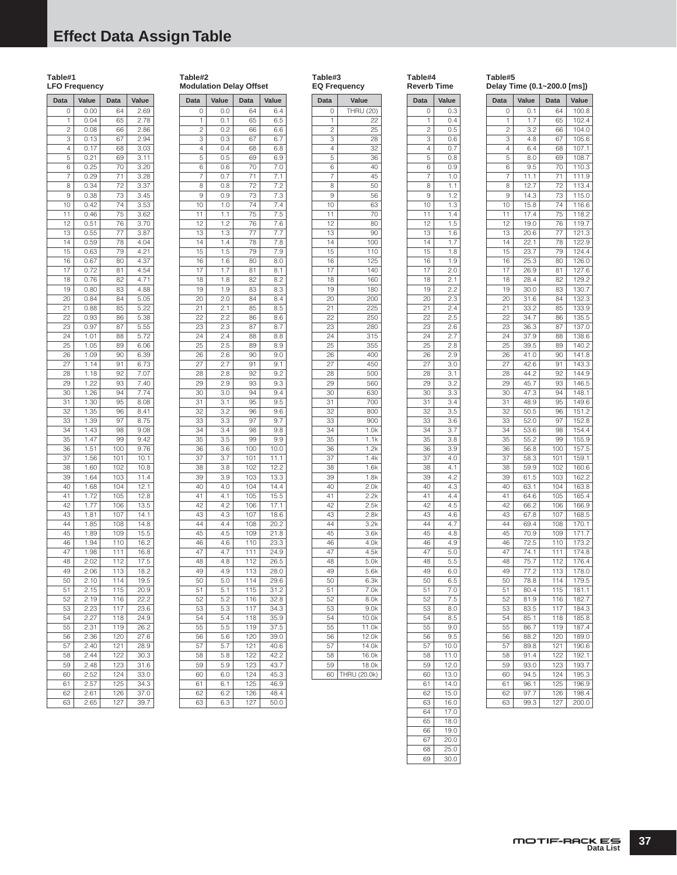# **Effect Data Assign Table**

### **Table#1 LFO Frequency Data Value Data Value** 0 0.00 64 2.69<br>1 0.04 65 2.78  $0.04$

 $6$  0.25

 $11 0.46$ 

 $\begin{array}{|c|c|c|}\n\hline\n24 & 1.01 \\
\hline\n25 & 1.05\n\end{array}$ 

 $42 \ 1.77$ 

43 1.81 1.07 1.41 44 1.85 108 14.8<br>45 1.89 109 15.5  $1.89$ 46 1.94 110 16.2<br>47 1.98 111 16.8 1.98 48 2.02 112 17.5 49 2.06 113 18.2 50 2.10 114 19.5<br>51 2.15 115 20.9 2.15 115 20.9<br>2.19 116 22.2

 $\overline{52}$  2.19 116 53 2.23 117 23.6 54 2.27 118 24.9 55 2.31 119 26.2  $2.36$ 57 2.40 121 28.9 58 2.44 122 30.3 59 2.48 123 31.6  $2.52$ 61 2.57 125 34.3 62 2.61 126 37.0 63 2.65 127 39.7

 0.08 66 2.86 0.13 67 2.94 4 0.17 68 3.03<br>5 0.21 69 3.11 0.21 69 3.11

7 0.29 71 3.28 8 0.34 72 3.37<br>9 0.38 73 3.45 9 0.38 73 10 0.42 74 3.53<br>11 0.46 75 3.62

12 0.51 76 3.70<br>13 0.55 77 3.87 13 0.55 77 3.87  $0.59$ 15 0.63 79 4.21 16 0.67 80 4.37 17 0.72 81 4.54<br>18 0.76 82 4.71 18 0.76 82<br>19 0.80 83 19 0.80 83 4.88 20 0.84 84 5.05<br>21 0.88 85 5.22 21 0.88 85 5.22 22 0.93 86 5.38<br>23 0.97 87 5.55 23 0.97 87 5.55<br>24 1.01 88 5.72

25 1.05 89 6.06 26 1.09 90 6.39<br>27 1.14 91 6.73  $1.14$ 28 1.18 92 7.07<br>29 1.22 93 7.40 1.22 93 7.40 30 1.26 94 7.74 31 1.30 95 8.08 32 1.35 96 8.41 33 1.39 97 8.75 34 1.43 98 9.08 35 1.47 99 9.42 36 1.51 100 9.76<br>37 1.56 101 10.1 37 1.56 101 10.1<br>38 1.60 102 10.8  $1.60$ 39 1.64 103 11.4 40 1.68 104 12.1 41 1.72 105 12.8<br>42 1.77 106 13.5

#### **Table#2 Modulation Delay Offset**

 $1 0.1$ 

 $6$  0.6

**Data Value Data Value** 0 0.0 64 6.4<br>1 0.1 65 6.5

> 2 0.2 66 6.6 3 0.3 67 6.7 4 0.4 68 6.8<br>5 0.5 69 6.9 0.5 69 6.9<br>0.6 70 7.0

7 0.7 71 7.1 8 0.8 72 7.2<br>9 0.9 73 7.3 9 0.9 73 7.3 10 1.0 74 7.4 11 1.1 75 7.5 12 1.2 76 7.6 13 1.3 77 7.7<br>14 1.4 78 7.8  $1.4$ 15 1.5 79 7.9 16 1.6 80 8.0 17 1.7 81 8.1 18 1.8 82 8.2<br>19 1.9 83 8.3 19 1.9 83<br>20 2.0 84 20 2.0 84 8.4<br>21 2.1 85 8.5

 $85 \ 8.5$ 

 $\overline{102}$  12.2

 $\overline{111}$  24.9

 $\overline{116}$  32.8

 $39.0$ 

45.3

 $17.1$ 

39 3.9 103 13.3 40 4.0 104 14.4 41 4.1 105 15.5<br>42 4.2 106 17.1

43 4.3 107 18.6 44 4.4 108 20.2 45 4.5 109 21.8<br>46 4.6 110 23.3 46 4.6 110 23.3<br>47 4.7 111 24.9

48 4.8 112 26.5 49 4.9 113 28.0 50 5.0 114 29.6 51 5.1 115 31.2

53 5.3 117 34.3 54 5.4 118 35.9 55 5.5 119 37.5<br>56 5.6 120 39.0

57 5.7 121 40.6 58 5.8 122 42.2 59 5.9 123 43.7

61 6.1 125 46.9 62 6.2 126 48.4 63 6.3 127 50.0

22 2.2 86 8.6<br>23 2.3 87 8.7 23 2.3 87 8.7<br>24 2.4 88 8.8

25 2.5 89 8.9 26 2.6 90 9.0 27 2.7 91 9.1 28 2.8 92 9.2<br>29 2.9 93 9.3  $2.9$ 30 3.0 94 9.4 31 3.1 95 9.5 32 3.2 96 9.6<br>33 3.3 97 9.7 33 3.3 97<br>34 3.4 98 34 3.4 98 9.8 35 3.5 99 9.9<br>36 3.6 100 10.0 36 3.6 100 10.0<br>37 3.7 101 11.1 37 3.7 101 11.1<br>38 3.8 102 12.2

 $\begin{array}{|c|c|c|}\n\hline\n24 & 2.4 \\
\hline\n25 & 2.5 \\
\hline\n\end{array}$ 

#### **Table#3 EQ Frequency**

|                 | ٠.               |
|-----------------|------------------|
| Data            | Value            |
| 0               | <b>THRU (20)</b> |
| 1               | 22               |
| 2               | 25               |
| 3               | 28               |
| 4               | 32               |
| 5               | 36               |
| 6               | 40               |
| 7               | 45               |
| 8               | 50               |
| 9               | 56               |
| 10              | 63               |
| 11              | 70               |
| 12              | 80               |
|                 |                  |
| 13              | 90               |
| 14              | 100              |
| 15              | 110              |
| 16              | 125              |
| $\overline{17}$ | 140              |
| 18              | 160              |
| 19              | 180              |
| 20              | 200              |
| 21              | 225              |
| 22              | 250              |
| 23              | 280              |
| 24              | 315              |
| 25              | 355              |
| 26              | 400              |
|                 |                  |
| 27              | 450              |
| 28              | 500              |
| 29              | 560              |
| 30              | 630              |
| 31              | 700              |
| 32              | 800              |
| 33              | 900              |
| 34              | 1.0k             |
| 35              | 1.1k             |
| 36              | 1.2k             |
| 37              | 1.4k             |
| 38              | 1.6k             |
| 39              | 1.8k             |
| 40              | 2.0k             |
|                 | 2.2k             |
| 41              |                  |
| 42              | 2.5k             |
| 43              | 2.8k             |
| 44              | 3.2k             |
| 45              | 3.6k             |
| 46              | 4.0k             |
| 47              | 4.5k             |
| 48              | 5.0k             |
| 49              | 5.6k             |
| 50              | 6.3k             |
| 51              | 7.0k             |
| 52              | 8.0k             |
| 53              |                  |
|                 | 9.0k             |
| 54              | 10.0k            |
| 55              | 11.0k            |
| 56              | 12.0k            |
| 57              | 14.0k            |
| 58              | 16.0k            |
| 59              | 18.0k            |
| 60              | THRU<br>(20.0k)  |
|                 |                  |

|                 | Reverb Time       |
|-----------------|-------------------|
| Data            | Value             |
| 0               | 0.3               |
| 1               | 0.4               |
| $\overline{c}$  | 0.5               |
| 3               | 0.6               |
|                 |                   |
| 4               | 0.7               |
| 5               | 0.8               |
| 6               | 0.9               |
| 7               | 1.0               |
| 8               | 1.1               |
| 9               | 1.2               |
| 10              | 1.3               |
| 11              | 1.4               |
| 12              | 1.5               |
|                 |                   |
| 13              | 1.6               |
| 14              | 1.7               |
| $1\overline{5}$ | 1.8               |
| 16              | 1.9               |
| 17              | 2.0               |
| 18              | 2.1               |
| 19              | 2.2               |
| 20              | 2.3               |
| 21              | 2.4               |
|                 |                   |
| 22              | 2.5               |
| $\overline{23}$ | 2.6               |
| 24              | 2.7               |
| 25              | 2.8               |
| 26              | 2.9               |
| 27              | $\overline{3.0}$  |
| 28              | 3.1               |
| 29              | 3.2               |
|                 |                   |
| 30              | $3.\overline{3}$  |
| 31              | 3.4               |
| 32              | 3.5               |
| 33              | 3.6               |
| 34              | 3.7               |
| 35              | 3.8               |
| 36              | 3.9               |
| 37              | 4.0               |
| 38              |                   |
|                 | 4.1               |
| 39              | 4.2               |
| 40              | 4.3               |
| 41              | 4.4               |
| 42              | 4.5               |
| 43              | 4.6               |
| 44              | 4.7               |
| 45              | 4.8               |
| 46              | 4.9               |
| 47              | 5.0               |
| 48              | $5.\bar{5}$       |
|                 |                   |
| 49              | 6.0               |
| 50              | 6.5               |
| 51              | 7.0               |
| 52              | 7.5               |
| 53              | 8.0               |
| 54              | 8.5               |
| 55              | 9.0               |
| 56              | 9.5               |
| 57              | 10.0              |
| 58              | 11.0              |
|                 |                   |
| 59              | 12.0              |
| 60              | $\overline{13.0}$ |
| $\overline{6}1$ | 14.0              |
| 62              | 15.0              |
| $6\bar{3}$      | 16.0              |
| 64              | 17.0              |
| 65              | 18.0              |
| 66              | 19.0              |
| 67              | 20.0              |
|                 |                   |
|                 | $\frac{1}{25.0}$  |
| 68<br>69        | $\frac{1}{30.0}$  |

| Data | Value | Data | Value |
|------|-------|------|-------|
| 0    | 0.1   | 64   | 100.8 |
| 1    | 1.7   | 65   | 102.4 |
| 2    | 3.2   | 66   | 104.0 |
| 3    | 4.8   | 67   | 105.6 |
| 4    | 6.4   | 68   | 107.1 |
| 5    | 8.0   | 69   | 108.7 |
| 6    | 9.5   | 70   | 110.3 |
| 7    | 11.1  | 71   | 111.9 |
| 8    | 12.7  | 72   | 113.4 |
| 9    | 14.3  | 73   | 115.0 |
| 10   | 15.8  | 74   | 116.6 |
| 11   | 17.4  | 75   | 118.2 |
| 12   | 19.0  | 76   | 119.7 |
| 13   | 20.6  | 77   | 121.3 |
| 14   | 22.1  | 78   | 122.9 |
| 15   | 23.7  | 79   | 124.4 |
| 16   | 25.3  | 80   | 126.0 |
| 17   | 26.9  | 81   | 127.6 |
| 18   | 28.4  | 82   | 129.2 |
| 19   | 30.0  | 83   | 130.7 |
| 20   | 31.6  | 84   | 132.3 |
| 21   | 33.2  | 85   | 133.9 |
| 22   | 34.7  | 86   | 135.5 |
| 23   | 36.3  | 87   | 137.0 |
| 24   | 37.9  | 88   | 138.6 |
| 25   | 39.5  | 89   | 140.2 |
| 26   | 41.0  | 90   | 141.8 |
| 27   | 42.6  | 91   | 143.3 |
| 28   | 44.2  | 92   | 144.9 |
| 29   | 45.7  | 93   | 146.5 |
| 30   | 47.3  | 94   | 148.1 |
| 31   | 48.9  | 95   | 149.6 |
| 32   | 50.5  | 96   | 151.2 |
| 33   | 52.0  | 97   | 152.8 |
| 34   | 53.6  | 98   | 154.4 |
| 35   | 55.2  | 99   | 155.9 |
| 36   | 56.8  | 100  | 157.5 |
| 37   | 58.3  | 101  | 159.1 |
| 38   | 59.9  | 102  | 160.6 |
| 39   | 61.5  | 103  | 162.2 |
| 40   | 63.1  | 104  | 163.8 |
| 41   | 64.6  | 105  | 165.4 |
| 42   | 66.2  | 106  | 166.9 |
| 43   | 67.8  | 107  | 168.5 |
| 44   | 69.4  | 108  | 170.1 |
| 45   | 70.9  | 109  | 171.7 |
| 46   | 72.5  | 110  | 173.2 |
| 47   | 74.1  | 111  | 174.8 |
| 48   | 75.7  | 112  | 176.4 |
| 49   | 77.2  | 113  | 178.0 |
| 50   | 78.8  | 114  | 179.5 |
| 51   | 80.4  | 115  | 181.1 |
| 52   | 81.9  | 116  | 182.7 |
| 53   | 83.5  | 117  | 184.3 |
| 54   | 85.1  | 118  | 185.8 |
| 55   | 86.7  | 119  | 187.4 |
| 56   | 88.2  | 120  | 189.0 |
| 57   | 89.8  | 121  | 190.6 |
| 58   | 91.4  | 122  | 192.1 |
| 59   | 93.0  | 123  | 193.7 |

60 94.5 124 195.3 61 96.1 125 196.9<br>62 97.7 126 198.4  $62$  97.7 126 1984 63 99.3 127 200.0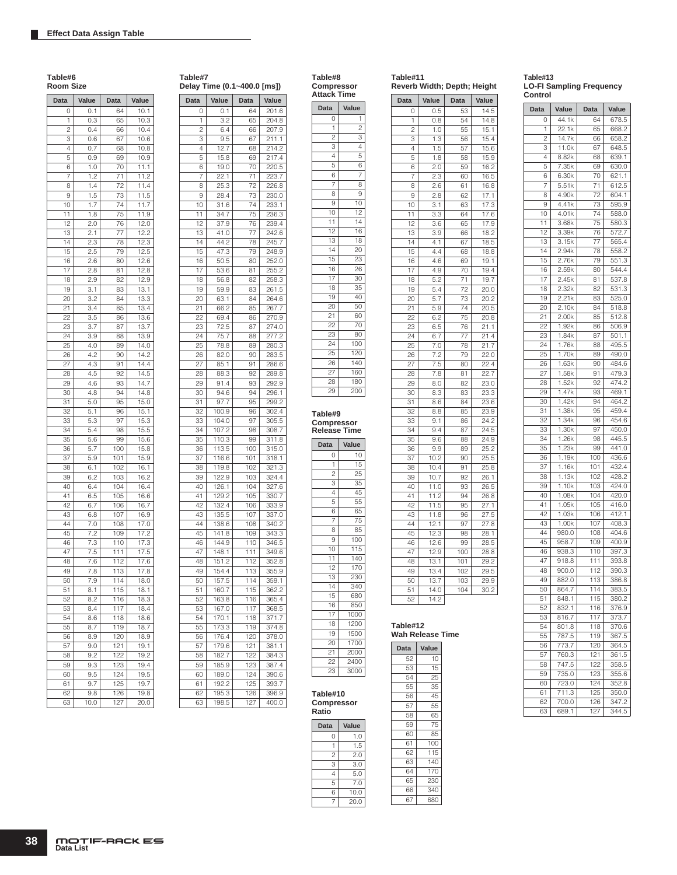| Table#6<br>Room Size |                  |            |              |  |
|----------------------|------------------|------------|--------------|--|
| Data                 | Value            | Data       | Value        |  |
| 0                    | 0.1              | 64         | 10.1         |  |
| 1                    | 0.3              | 65         | 10.3         |  |
| 2                    | 0.4              | 66         | 10.4         |  |
| 3                    | 0.6              | 67         | 10.6         |  |
| 4<br>5               | 0.7              | 68         | 10.8<br>10.9 |  |
| 6                    | 0.9<br>1.0       | 69<br>70   | 11.1         |  |
| 7                    | 1.2              | 71         | 11.2         |  |
| 8                    | 1.4              | 72         | 11.4         |  |
| 9                    | 1.5              | 73         | 11.5         |  |
| 10                   | 1.7              | 74         | 11.7         |  |
| 11                   | 1.8              | 75         | 11.9         |  |
| 12                   | 2.0              | 76         | 12.0         |  |
| 13                   | 2.1              | 77         | 12.2         |  |
| 14                   | 2.3              | 78         | 12.3         |  |
| 15                   | 2.5              | 79         | 12.5         |  |
| 16                   | 2.6              | 80         | 12.6         |  |
| 17                   | 2.8              | 81         | 12.8         |  |
| 18                   | 2.9              | 82         | 12.9         |  |
| 19                   | 3.1              | 83         | 13.1         |  |
| 20                   | 3.2              | 84         | 13.3         |  |
| 21                   | 3.4              | 85         | 13.4         |  |
| 22                   | 3.5              | 86         | 13.6         |  |
| 23                   | 3.7              | 87         | 13.7         |  |
| 24                   | 3.9              | 88         | 13.9         |  |
| 25                   | 4.0              | 89         | 14.0         |  |
| 26                   | 4.2              | 90         | 14.2         |  |
| 27                   | 4.3              | 91         | 14.4         |  |
| 28                   | 4.5              | 92         | 14.5         |  |
| 29                   | 4.6              | 93         | 14.7         |  |
| 30                   | 4.8              | 94         | 14.8         |  |
| 31                   | 5.0              | 95         | 15.0         |  |
| 32                   | 5.1              | 96         | 15.1         |  |
| 33                   | 5.3              | 97         | 15.3         |  |
| 34                   | 5.4              | 98         | 15.5         |  |
| 35                   | 5.6              | 99         | 15.6         |  |
| 36                   | 5.7              | 100        | 15.8         |  |
| 37<br>38             | 5.9              | 101<br>102 | 15.9         |  |
| 39                   | 6.1<br>6.2       | 103        | 16.1<br>16.2 |  |
| 40                   | 6.4              | 104        | 16.4         |  |
| 41                   | 6.5              | 105        | 16.6         |  |
| 42                   | 6.7              | 106        | 16.7         |  |
| 43                   | 6.8              | 107        | 16.9         |  |
| 44                   | 7.0              | 108        | 17.0         |  |
| 45                   | 7.2              | 109        | 17.2         |  |
| 46                   | 7.3              | 110        | 17.3         |  |
| 47                   | 7.5              | 111        | 17.5         |  |
| 48                   | 7.6              | 112        | 17.6         |  |
| 49                   | 7.8              | 113        | 17.8         |  |
| 50                   | 7.9              | 114        | 18.0         |  |
| 51                   | 8.1              | 115        | 18.1         |  |
| 52                   | $8.\overline{2}$ | 116        | 18.3         |  |
| 53                   | 8.4              | 117        | 18.4         |  |
| 54                   | 8.6              | 118        | 18.6         |  |
| 55                   | 8.7              | 119        | 18.7         |  |
| 56                   | 8.9              | 120        | 18.9         |  |
| 57                   | 9.0              | 121        | 19.1         |  |
| 58                   | 9.2              | 122        | 19.2         |  |
| 59                   | 9.3              | 123        | 19.4         |  |
| 60                   | 9.5              | 124        | 19.5         |  |
| 61                   | 9.7              | 125        | 19.7         |  |
| 62                   | 9.8              | 126        | 19.8         |  |
| 63                   | 10.0             | 127        | 20.0         |  |

| Table#7<br>Delay Time (0.1~400.0 [ms]) |                |                  |                   |  |
|----------------------------------------|----------------|------------------|-------------------|--|
| Data                                   | Value          | Data             | Value             |  |
| 0                                      | $_{0.1}$       | 64               | 201.6             |  |
| 1                                      | 3.2            | 65               | 204.8             |  |
| 2                                      | 6.4            | 66               | 207.9             |  |
| 3                                      | 9.5            | 67               | 211.1             |  |
| 4                                      | 12.7           | 68               | 214.2             |  |
| 5                                      | 15.8           | 69               | 217.4             |  |
| 6<br>7                                 | 19.0<br>22.1   | 70<br>71         | 220.5<br>223.7    |  |
| 8                                      | 25.3           | 72               | 226.8             |  |
| 9                                      | 28.4           | 73               | 230.0             |  |
| 10                                     | 31.6           | 74               | 233.1             |  |
| 11                                     | 34.7           | 75               | 236.3             |  |
| 12                                     | 37.9           | 76               | 239.4             |  |
| 13                                     | 41.0           | 77               | 242.6             |  |
| 14                                     | 44.2           | 78               | 245.7             |  |
| 15                                     | 47.3           | 79               | 248.9             |  |
| 16                                     | 50.5           | 80               | 252.0             |  |
| 17                                     | 53.6           | 81               | 255.2             |  |
| 18                                     | 56.8           | 82               | 258.3             |  |
| 19                                     | 59.9           | 83               | 261.5             |  |
| 20<br>21                               | 63.1<br>66.2   | 84<br>85         | 264.6<br>267.7    |  |
| 22                                     | 69.4           | 86               | 270.9             |  |
| 23                                     | 72.5           | 87               | 274.0             |  |
| 24                                     | 75.7           | 88               | 277.2             |  |
| 25                                     | 78.8           | 89               | 280.3             |  |
| 26                                     | 82.0           | 90               | 283.5             |  |
| 27                                     | 85.1           | 91               | 286.6             |  |
| 28                                     | 88.3           | 92               | 289.8             |  |
| 29                                     | 91.4           | 93               | 292.9             |  |
| 30                                     | 94.6           | 94               | 296.1             |  |
| 31                                     | 97.7           | 95               | 299.2             |  |
| 32                                     | 100.9          | 96               | 302.4             |  |
| 33<br>34                               | 104.0<br>107.2 | 97<br>98         | 305.5<br>308.7    |  |
| 35                                     | 110.3          | 99               | 311.8             |  |
| 36                                     | 113.5          | 100              | 315.0             |  |
| 37                                     | 116.6          | 101              | 318.1             |  |
| 38                                     | 119.8          | 102              | 321.3             |  |
| 39                                     | 122.9          | 103              | 324.4             |  |
| 40                                     | 126.1          | 104              | 327.6             |  |
| 41                                     | 129.2          | 105              | 330.7             |  |
| 42                                     | 132.4          | 106              | 333.9             |  |
| 43                                     | 135.5          | 107              | 337.0             |  |
| 44                                     | 138.6          | 108              | 340.2             |  |
| 45                                     | 141.8<br>144.9 | 109              | 343.3<br>346.5    |  |
| 46<br>47                               | 148.1          | 110<br>111       | 349.6             |  |
| 48                                     | 151.2          | 112              | 352.8             |  |
| 49                                     | 154.4          | 113              | 355.9             |  |
| 50                                     | 157.5          | 114              | 359.1             |  |
| 51                                     | 160.7          | 115              | 362.2             |  |
| 52                                     | 163.8          | 116              | 365.4             |  |
| 53                                     | 167.0          | 117              | 368.5             |  |
| 54                                     | 170.1          | $\overline{118}$ | $\frac{1}{371.7}$ |  |
| 55                                     | 173.3          | 119              | 374.8             |  |
| 56                                     | 176.4          | 120              | 378.0             |  |
| 57                                     | 179.6          | 121              | 381.1             |  |
| 58                                     | 182.7          | 122              | 384.3             |  |
| 59                                     | 185.9<br>189.0 | 123              | 387.4             |  |
| 60<br>61                               | 192.2          | 124<br>125       | 390.6<br>393.7    |  |
| 62                                     | 195.3          | 126              | 396.9             |  |
| 63                                     | 198.5          | 127              | 400.0             |  |

| ompre;<br>Attack          | Time         |
|---------------------------|--------------|
| Data                      | Value        |
| 0                         | 1            |
| 1                         | 2            |
| $\overline{c}$            | 3            |
| 3                         | 4            |
|                           | 5            |
| 4                         |              |
| 5                         | 6            |
| 6                         | 7            |
| 7                         | 8            |
| 8                         | 9            |
| 9                         | 10           |
| 10                        | 12           |
| 11                        | 14           |
| 12                        | 16           |
| 13                        | 18           |
|                           |              |
| 14                        | 20           |
| 15                        | 23           |
| 16                        | 26           |
| 17                        | 30           |
| 18                        | 35           |
| 19                        | 40           |
| 20                        | 50           |
| 21                        | 60           |
| 22                        | 70           |
|                           |              |
| 23                        | 80           |
| 24                        | 100          |
| 25                        | 120          |
| 26                        | 140          |
|                           |              |
| $\overline{27}$           | 160          |
|                           |              |
| 28<br>29                  | 180<br>200   |
| Table#9                   |              |
| Compressor                | Release Time |
|                           | Value        |
| O                         | 10           |
| 1                         | 15           |
| $\overline{c}$            | 25           |
|                           |              |
| $\overline{\overline{3}}$ | 35           |
| 4                         | 45           |
| 5                         | 55           |
| 6                         | 65           |
| 7                         | 75           |
|                           |              |
| 8                         | 85           |
| 9                         | 100          |
| 10                        | 115          |
| 11                        | 140          |
| $\overline{12}$           | 70<br>1      |
| 13                        | 230          |
| 14                        | 340          |
| 15                        | 680          |
| Data                      |              |
| 16                        | 850          |
| 17                        | 1000         |
| 18                        | 1200         |
| 19                        | 1500         |
| 20                        | 1700         |
| 21                        | 2000         |
| 22                        | 2400         |
| 23                        | 3000         |

| 0              | 0.5  | 53  | 14.5 |
|----------------|------|-----|------|
| 1              | 0.8  | 54  | 14.8 |
| $\overline{c}$ | 1.0  | 55  | 15.1 |
| 3              | 1.3  | 56  | 15.4 |
| 4              | 1.5  | 57  | 15.6 |
| 5              | 1.8  | 58  | 15.9 |
| 6              | 2.0  | 59  | 16.2 |
| 7              | 2.3  | 60  | 16.5 |
| 8              | 2.6  | 61  | 16.8 |
| 9              | 2.8  | 62  | 17.1 |
| 10             | 3.1  | 63  | 17.3 |
| 11             | 3.3  | 64  | 17.6 |
| 12             | 3.6  | 65  | 17.9 |
| 13             | 3.9  | 66  | 18.2 |
| 14             | 4.1  | 67  | 18.5 |
| 15             | 4.4  | 68  | 18.8 |
| 16             | 4.6  | 69  | 19.1 |
| 17             | 4.9  | 70  | 19.4 |
| 18             | 5.2  | 71  | 19.7 |
| 19             | 5.4  | 72  | 20.0 |
| 20             | 5.7  | 73  | 20.2 |
| 21             | 5.9  | 74  | 20.5 |
| 22             | 6.2  | 75  | 20.8 |
| 23             | 6.5  | 76  | 21.1 |
| 24             | 6.7  | 77  | 21.4 |
| 25             | 7.0  | 78  | 21.7 |
| 26             | 7.2  | 79  | 22.0 |
| 27             | 7.5  | 80  | 22.4 |
| 28             | 7.8  | 81  | 22.7 |
| 29             | 8.0  | 82  | 23.0 |
| 30             | 8.3  | 83  | 23.3 |
| 31             | 8.6  | 84  | 23.6 |
| 32             | 8.8  | 85  | 23.9 |
| 33             | 9.1  | 86  | 24.2 |
| 34             | 9.4  | 87  | 24.5 |
| 35             | 9.6  | 88  | 24.9 |
| 36             | 9.9  | 89  | 25.2 |
| 37             | 10.2 | 90  | 25.5 |
| 38             | 10.4 | 91  | 25.8 |
| 39             | 10.7 | 92  | 26.1 |
| 40             | 11.0 | 93  | 26.5 |
| 41             | 11.2 | 94  | 26.8 |
| 42             | 11.5 | 95  | 27.1 |
| 43             | 11.8 | 96  | 27.5 |
| 44             | 12.1 | 97  | 27.8 |
| 45             | 12.3 | 98  | 28.1 |
| 46             | 12.6 | 99  | 28.5 |
| 47             | 12.9 | 100 | 28.8 |
| 48             | 13.1 | 101 | 29.2 |
| 49             | 13.4 | 102 | 29.5 |
| 50             | 13.7 | 103 | 29.9 |
| 51             | 14.0 | 104 | 30.2 |
| 52             | 14.2 |     |      |

**Data Value**  $\begin{array}{|c|c|c|}\n\hline\n52 & 10 \\
\hline\n53 & 15\n\end{array}$  $\begin{array}{|c|c|c|}\n\hline\n53 & 15 \\
\hline\n54 & 25 \\
\hline\n\end{array}$  $rac{54}{55}$ 

> 56 45<br>57 55<br>58 65 57 55 58 65 59 75 60 85<br>61 100  $\begin{array}{|c|c|c|}\n\hline\n61 & 100 \\
> \hline\n62 & 115 \\
> \hline\n\end{array}$  $\begin{array}{|c|c|c|}\n\hline\n62 & 115 \\
> \hline\n63 & 140\n\end{array}$ 63 140<br>64 170 170 65 230<br>66 340 66 340<br>67 680 680

 $\frac{1}{35}$ 

**Table#11**

**Reverb Width; Depth; Height**

**Data Value Data Value**

# **Table#13 LO-FI Sampling Frequency Control**

| Data     | Value                       | Data       | Value              |
|----------|-----------------------------|------------|--------------------|
| 0        | 44.1k                       | 64         | 678.5              |
| 1        | 22.1k                       | 65         | 668.2              |
| 2        | 14.7k                       | 66         | 658.2              |
| 3        | 11.0k                       | 67         | 648.5              |
| 4        | 8.82k                       | 68         | 639.1              |
| 5        | 7.35k                       | 69         | 630.0              |
| 6        | 6.30k                       | 70         | 621.1              |
| 7        | 5.51k                       | 71         | 612.5              |
| 8        | 4.90k                       | 72         | 604.1              |
| 9        | 4.41k                       | 73         | 595.9              |
| 10       | 4.01k                       | 74         | 588.0              |
| 11       | 3.68k                       | 75         | 580.3              |
| 12<br>13 | 3.39k<br>3.15k              | 76<br>77   | 572.7<br>565.4     |
| 14       | 2.94k                       | 78         | 558.2              |
| 15       | 2.76k                       | 79         | $\overline{5}51.3$ |
| 16       | 2.59k                       | 80         | 544.4              |
| 17       | 2.45k                       | 81         | 537.8              |
| 18       | 2.32k                       | 82         | 531.3              |
| 19       | 2.21k                       | 83         | 525.0              |
| 20       | 2.10k                       | 84         | 518.8              |
| 21       | 2.00k                       | 85         | 512.8              |
| 22       | 1.92k                       | 86         | 506.9              |
| 23       | 1.84k                       | 87         | 501.1              |
| 24       | 1.76k                       | 88         | 495.5              |
| 25       | 1.70k                       | 89         | 490.0              |
| 26       | 1.63k                       | 90         | 484.6              |
| 27       | 1.58k                       | 91         | 479.3              |
| 28       | 1.52k                       | 92         | 474.2              |
| 29       | 1.47k                       | 93         | 469.1              |
| 30       | 1.42k                       | 94         | 464.2              |
| 31       | 1.38k                       | 95         | 459.4              |
| 32       | 1.34k                       | 96         | 454.6              |
| 33       | 1.30k                       | 97         | 450.0              |
| 34       | 1.26k                       | 98         | 445.5              |
| 35       | 1.23k                       | 99         | 441.0              |
| 36       | 1.19k                       | 100        | 436.6              |
| 37       | 1.16k                       | 101        | 432.4              |
| 38       | 1.13k                       | 102        | 428.2              |
| 39       | 1.10k                       | 103        | 424.0              |
| 40       | 1.08k<br>$\overline{1.05k}$ | 104        | 420.0              |
| 41       |                             | 105        | 416.0<br>412.1     |
| 42<br>43 | 1.03k<br>1.00k              | 106<br>107 | 408.3              |
| 44       | 980.0                       | 108        | 404.6              |
| 45       | 958.7                       | 109        | 400.9              |
| 46       | 938.3                       | 110        | 397.3              |
| 47       | 918.8                       | 111        | 393.8              |
| 48       | 900.0                       | 112        | 390.3              |
| 49       | 882.0                       | 113        | 386.8              |
| 50       | 864.7                       | 114        | 383.5              |
| 51       | 848.1                       | 115        | 380.2              |
| 52       | 832.1                       | 116        | 376.9              |
| 53       | 816.7                       | 117        | 373.7              |
| 54       | 801.8                       | 118        | 370.6              |
| 55       | 787.5                       | 119        | 367.5              |
| 56       | 773.7                       | 120        | 364.5              |
| 57       | 760.3                       | 121        | 361.5              |
| 58       | 747.5                       | 122        | 358.5              |
| 59       | 735.0                       | 123        | 355.6              |
| 60       | 723.0                       | 124        | 352.8              |
| 61       | 711.3                       | 125        | 350.0              |
| 62       | 700.0                       | 126        | 347.2              |
| 63       | 689.1                       | 127        | 344.5              |

**Table#10 Compressor Ratio**

| Data | Value |
|------|-------|
| O    | 1.0   |
|      | 1.5   |
| 2    | 2.0   |
| 3    | 3.0   |
| 4    | 5.0   |
| 5    | 7.0   |
| 6    | 10.0  |
|      | 20.0  |

| MOTIF-RACK ES |
|---------------|
| Data List     |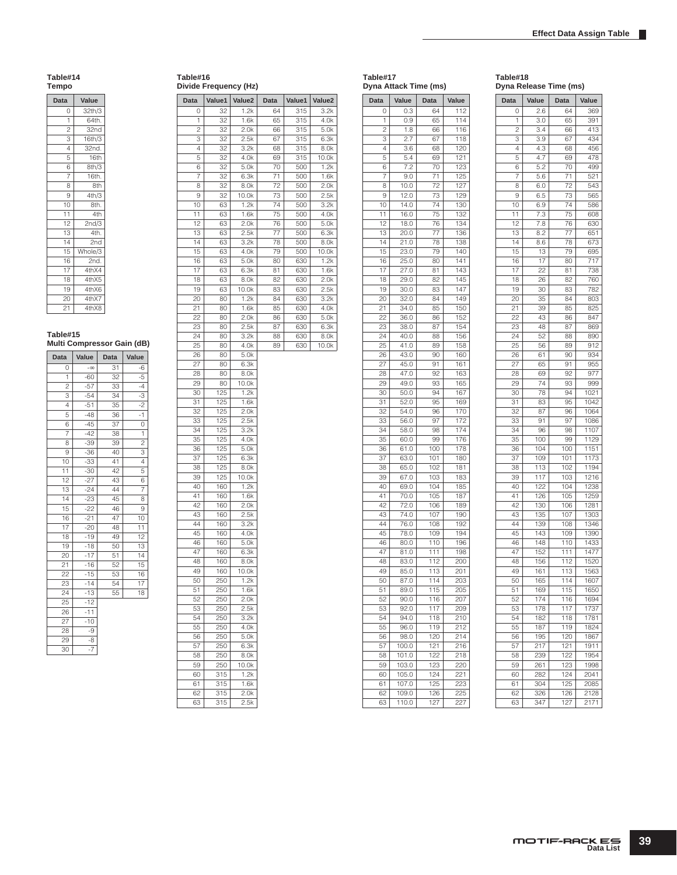#### **Table#14 Tempo**

| Data            | Value               |
|-----------------|---------------------|
| 0               | 32th/3              |
| 1               | 64th.               |
| $\overline{c}$  | 32nd                |
| $\overline{3}$  | $\frac{1}{16}$ th/3 |
| 4               | 32nd.               |
| 5               | 16th                |
| 6               | 8th/3               |
| 7               | 16th.               |
| 8               | 8th                 |
| $\mathbf{Q}$    | 4th/3               |
| 10              | 8th.                |
| 11              | 4th                 |
| 12              | 2nd/3               |
| $\overline{13}$ | 4th.                |
| 14              | 2nd                 |
| 15              | Whole/3             |
| 16              | 2nd.                |
| 17              | 4thX4               |
| 18              | 4thX5               |
| 19              | 4thX6               |
| 20              | 4thX7               |
| 21              | 4thX8               |

#### **Table#15 Multi Compressor Gain (dB)**

| <b>Data</b>    | Value     | Data            | Value          |
|----------------|-----------|-----------------|----------------|
| 0              | $-\infty$ | 31              | $-6$           |
| 1              | $-60$     | 32              | $-5$           |
| $\overline{c}$ | $-57$     | 33              | $-4$           |
| 3              | $-54$     | 34              | -3             |
| 4              | $-51$     | 35              | $-2$           |
| 5              | $-48$     | 36              | $-1$           |
| 6              | $-45$     | 37              | 0              |
| 7              | $-42$     | 38              | 1              |
| 8              | $-39$     | 39              | $\overline{2}$ |
| 9              | $-36$     | 40              | з              |
| 10             | $-33$     | 41              | 4              |
| 11             | $-30$     | 42              | 5              |
| 12             | $-27$     | 43              | 6              |
| 13             | $-24$     | 44              | 7              |
| 14             | $-23$     | 45              | 8              |
| 15             | $-22$     | 46              | 9              |
| 16             | $-21$     | $4\overline{7}$ | 10             |
| 17             | $-20$     | 48              | 11             |
| 18             | $-19$     | 49              | 12             |
| 19             | $-18$     | 50              | 13             |
| 20             | $-17$     | 51              | 14             |
| 21             | $-16$     | 52              | 15             |
| 22             | $-15$     | 53              | 16             |
| 23             | $-14$     | 54              | 17             |
| 24             | $-13$     | 55              | 18             |
| 25             | $-12$     |                 |                |
| 26             | $-11$     |                 |                |
| 27             | $-10$     |                 |                |
| 28             | -9        |                 |                |
| 29             | $-8$      |                 |                |
| 30             | $-7$      |                 |                |

| Data                    | Value1     | Value <sub>2</sub> | Data     | Value1     | Value2           |
|-------------------------|------------|--------------------|----------|------------|------------------|
| 0                       | 32         | 1.2k               | 64       | 315        | 3.2k             |
| 1                       | 32         | 1.6k               | 65       | 315        | 4.0k             |
| $\overline{\mathbf{c}}$ | 32         | 2.0k               | 66       | 315        | 5.0k             |
| 3                       | 32         | 2.5k               | 67       | 315        | 6.3k             |
| 4                       | 32         | 3.2k               | 68       | 315        | 8.0k             |
| 5                       | 32         | 4.0k               | 69       | 315        | 10.0k            |
| 6                       | 32         | 5.0k               | 70       | 500        | 1.2k             |
| $\overline{7}$          | 32         | 6.3k               | 71       | 500        | 1.6k             |
| 8                       | 32         | 8.0k               | 72       | 500        | 2.0 <sub>k</sub> |
| 9                       | 32         | 10.0k              | 73<br>74 | 500<br>500 | 2.5k<br>3.2k     |
| 10                      | 63<br>63   | 1.2k               | 75       |            |                  |
| 11<br>12                | 63         | 1.6k<br>2.0k       | 76       | 500<br>500 | 4.0k<br>5.0k     |
| 13                      | 63         | 2.5k               | 77       | 500        | 6.3k             |
| 14                      | 63         | 3.2k               | 78       | 500        | 8.0k             |
| 15                      | 63         | 4.0k               | 79       | 500        | 10.0k            |
| 16                      | 63         | 5.0k               | 80       | 630        | 1.2k             |
| 17                      | 63         | 6.3k               | 81       | 630        | 1.6k             |
| 18                      | 63         | 8.0k               | 82       | 630        | 2.0k             |
| 19                      | 63         | 10.0k              | 83       | 630        | 2.5k             |
| 20                      | 80         | 1.2k               | 84       | 630        | 3.2k             |
| 21                      | 80         | 1.6k               | 85       | 630        | 4.0k             |
| 22                      | 80         | 2.0k               | 86       | 630        | 5.0k             |
| 23                      | 80         | 2.5k               | 87       | 630        | 6.3k             |
| 24                      | 80         | 3.2k               | 88       | 630        | 8.0k             |
| 25                      | 80         | 4.0k               | 89       | 630        | 10.0k            |
| 26                      | 80         | 5.0k               |          |            |                  |
| 27                      | 80         | 6.3k               |          |            |                  |
| 28                      | 80         | 8.0k               |          |            |                  |
| 29<br>30                | 80<br>125  | 10.0k<br>1.2k      |          |            |                  |
| 31                      | 125        | 1.6k               |          |            |                  |
| 32                      | 125        | 2.0k               |          |            |                  |
| 33                      | 125        | 2.5k               |          |            |                  |
| 34                      | 125        | 3.2k               |          |            |                  |
| 35                      | 125        | 4.0k               |          |            |                  |
| 36                      | 125        | 5.0k               |          |            |                  |
| 37                      | 125        | 6.3k               |          |            |                  |
| 38                      | 125        | 8.0k               |          |            |                  |
| 39                      | 125        | 10.0k              |          |            |                  |
| 40                      | 160        | 1.2k               |          |            |                  |
| 41                      | 160        | 1.6k               |          |            |                  |
| 42                      | 160        | 2.0k               |          |            |                  |
| 43                      | 160        | 2.5k               |          |            |                  |
| 44<br>45                | 160<br>160 | 3.2k<br>4.0k       |          |            |                  |
| 46                      | 160        | 5.0k               |          |            |                  |
| 47                      | 160        | 6.3k               |          |            |                  |
| 48                      | 160        | 8.0k               |          |            |                  |
| 49                      | 160        | 10.0k              |          |            |                  |
| 50                      | 250        | 1.2k               |          |            |                  |
| 51                      | 250        | 1.6k               |          |            |                  |
| 52                      | 250        | 2.0k               |          |            |                  |
| 53                      | 250        | 2.5k               |          |            |                  |
| 54                      | 250        | 3.2k               |          |            |                  |
| 55                      | 250        | 4.0k               |          |            |                  |
| 56                      | 250        | 5.0k               |          |            |                  |
| 57                      | 250        | 6.3k               |          |            |                  |
| 58                      | 250        | 8.0k               |          |            |                  |
| 59                      | 250        | 10.0k              |          |            |                  |
| 60                      | 315        | 1.2k               |          |            |                  |
| 61<br>62                | 315<br>315 | 1.6k<br>2.0k       |          |            |                  |
| 63                      | 315        | 2.5k               |          |            |                  |
|                         |            |                    |          |            |                  |

**Table#16**

**Divide Frequency (Hz)**

| Data           | Value          | Data       | Value            |
|----------------|----------------|------------|------------------|
| 0              | 0.3            | 64         | 112              |
| 1              | 0.9            | 65         | 114              |
| $\overline{c}$ | 1.8            | 66         | 116              |
| 3              | 2.7            | 67         | 118              |
| $\overline{4}$ | 3.6            | 68         | 120              |
| 5              | 5.4            | 69         | 121              |
| 6              | 7.2            | 70         | 123              |
| 7              | 9.0            | 71         | 125              |
| 8              | 10.0           | 72         | 127              |
| 9              | 12.0           | 73         | 129              |
| 10             | 14.0           | 74         | 130              |
| 11             | 16.0           | 75         | 132              |
| 12             | 18.0           | 76         | 134              |
| 13             | 20.0           | 77         | 136              |
| 14             | 21.0           | 78         | 138              |
| 15             | 23.0           | 79         | 140              |
| 16             | 25.0           | 80         | 141              |
| 17             | 27.0           | 81         | 143              |
| 18             | 29.0           | 82         | 145              |
| 19             | 30.0           | 83         | 147              |
| 20             | 32.0           | 84         | 149              |
| 21             | 34.0           | 85         | 150              |
| 22             | 36.0           | 86         | 152              |
| 23             | 38.0           | 87         | 154              |
| 24             | 40.0           | 88         | 156              |
| 25             | 41.0           | 89         | 158              |
| 26             | 43.0           | 90         | 160              |
| 27             | 45.0           | 91         | 161              |
| 28             | 47.0           | 92         | 163              |
| 29             | 49.0           | 93         | 165              |
| 30             | 50.0           | 94         | 167              |
| 31             | 52.0           | 95         | 169              |
| 32             | 54.0           | 96         | 170              |
| 33             | 56.0           | 97         | 172              |
| 34             | 58.0           | 98         | 174              |
| 35             | 60.0           | 99         | 176              |
| 36             | 61.0           | 100        | 178              |
| 37             | 63.0           | 101        | 180              |
| 38             | 65.0           | 102        | 181              |
| 39             | 67.0           | 103        | 183              |
| 40             | 69.0           | 104        | 185              |
| 41             | 70.0           | 105        | 187              |
| 42             | 72.0           | 106        | 189              |
| 43             | 74.0           | 107        | 190              |
| 44             | 76.0           | 108        | 192              |
| 45             | 78.0           | 109        | 194              |
| 46             | 80.0           | 110        | 196              |
|                |                | 111        |                  |
| 47             | 81.0           | 112        | 198<br>200       |
| 48             | 83.0           |            |                  |
| 49             | 85.0           | 113        | 201              |
| 50             | 87.0           | 114        | 203              |
| 51             | 89.0           | 115        | 205              |
| 52             | 90.0           | 116        | 207              |
| 53             | 92.0           | 117        | 209              |
| 54             | 94.0           | 118        | 210              |
| 55             | 96.0           | 119        | $21\overline{2}$ |
| 56             | 98.0           | 120        | 214              |
| 57             | 100.0          | 121        | 216              |
| 58             | 101.0          | 122        | 218              |
| 59             | 103.0          | 123        | 220              |
| 60             | 105.0          | 124        | 221              |
| 61             | 107.0          | 125        | 223              |
| 62             | 109.0<br>110.0 | 126<br>127 | 225<br>227       |
| 63             |                |            |                  |

|                 | Dyna Release Time (ms) |                 |       |
|-----------------|------------------------|-----------------|-------|
| Data            | Value                  | Data            | Value |
| 0               | 2.6                    | 64              | 369   |
| 1               | 3.0                    | 65              | 391   |
| 2               | 3.4                    | 66              | 413   |
| 3               | 3.9                    | 67              | 434   |
| 4               | 4.3                    | 68              | 456   |
| 5               | 4.7                    | 69              | 478   |
| 6               | 5.2                    | 70              | 499   |
| 7               | 5.6                    | 71              | 521   |
| 8               | 6.0                    | 72              | 543   |
| 9               | 6.5                    | 73              | 565   |
| 10              | 6.9                    | 74              | 586   |
| 11              | 7.3                    | 75              | 608   |
| 12              | 7.8                    | 76              | 630   |
| 13              | 8.2                    | 77              | 651   |
| 14              | 8.6                    | 78              | 673   |
| 15              | 13                     | 79              | 695   |
| 16              | 17                     | 80              | 717   |
| 17              | 22                     | 81              | 738   |
| 18              | 26                     | 82              | 760   |
|                 |                        |                 |       |
| 19              | 30                     | 83              | 782   |
| 20              | 35                     | 84              | 803   |
| $\overline{21}$ | 39                     | 85              | 825   |
| 22              | 43                     | 86              | 847   |
| 23              | 48                     | 87              | 869   |
| 24              | 52                     | 88              | 890   |
| 25              | 56                     | 89              | 912   |
| 26              | 61                     | 90              | 934   |
| 27              | 65                     | 91              | 955   |
| 28              | 69                     | 92              | 977   |
| 29              | 74                     | 93              | 999   |
| 30              | 78                     | 94              | 1021  |
| 31              | 83                     | 95              | 1042  |
| 32              | 87                     | 96              | 1064  |
| 33              | 91                     | 97              | 1086  |
| 34              | 96                     | 98              | 1107  |
| 35              | 100                    | 99              | 1129  |
| 36              | 104                    | 100             | 1151  |
| 37              | 109                    | 101             | 1173  |
| 38              | 113                    | 102             | 1194  |
| 39              | 117                    | 103             | 1216  |
| 40              | 122                    | 104             | 1238  |
| 41              | 126                    | 105             | 1259  |
| 42              | 130                    | 106             | 1281  |
| 43              | 135                    | 107             | 1303  |
| 44              | 139                    | 108             | 1346  |
| 45              | 143                    | 109             | 1390  |
|                 |                        | 110             |       |
| 46              | 148                    |                 | 1433  |
| 47              | 152                    | 111             | 1477  |
| 48              | 156                    | 112             | 1520  |
| 49              | 161                    | 113             | 1563  |
| 50              | 165                    | 114             | 1607  |
| 51              | 169                    | 115             | 1650  |
| 52              | 174                    | 116             | 1694  |
| 53              | 178                    | 117             | 1737  |
| 54              | 182                    | 118             | 1781  |
| 55              | 187                    | 119             | 1824  |
| 56              | 195                    | 120             | 1867  |
| 57              | 217                    | 121             | 1911  |
| 58              | 239                    | 122             | 1954  |
| 59              | 261                    | 123             | 1998  |
| 60              | 282                    | i <sub>24</sub> | 2041  |
| 61              | 304                    | 125             | 2085  |
| 62              | 326                    | 126             | 2128  |
| 63              | 347                    | 127             | 2171  |
|                 |                        |                 |       |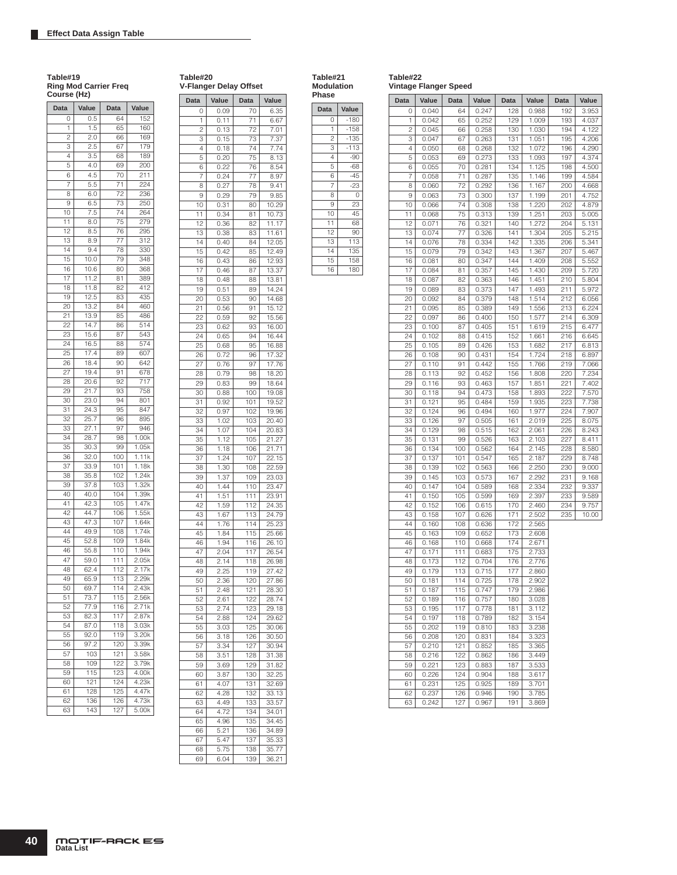**Table#19 Ring Mod Carrier Freq** 

# **Table#20**

 $1 0.11$ 

**V-Flanger Delay Offset Data Value Data Value**

0 0.09 70 6.35<br>1 0.11 71 6.67

2 0.13 72 7.01<br>3 0.15 73 7.37 3 0.15 73 7.37 4 0.18 74 7.74<br>5 0.20 75 8.13 0.20 75 8.13<br>0.22 76 8.54

6 0.22 76<br>7 0.24 77 7 0.24 77 8.97 **Table#21 Modulation**  **Table#22**

**Vintage Flanger Speed**

| Phase          |        |
|----------------|--------|
| Data           | Value  |
| 0              | $-180$ |
| 1              | $-158$ |
| $\overline{c}$ | $-135$ |
| 3              | $-113$ |
| 4              | $-90$  |
| 5              | $-68$  |
| 6              | $-45$  |
| 7              | $-23$  |
| 8              | 0      |
| 9              | 23     |
| 10             | 45     |
| 11             | 68     |
| 12             | 90     |
| 13             | 113    |
| 14             | 135    |
| 15             | 158    |

| Data | Value | Data             | Value | Data | Value | Data | Value |
|------|-------|------------------|-------|------|-------|------|-------|
| 0    | 0.040 | 64               | 0.247 | 128  | 0.988 | 192  | 3.953 |
| 1    | 0.042 | 65               | 0.252 | 129  | 1.009 | 193  | 4.037 |
| 2    | 0.045 | 66               | 0.258 | 130  | 1.030 | 194  | 4.122 |
| З    | 0.047 | 67               | 0.263 | 131  | 1.051 | 195  | 4.206 |
| 4    | 0.050 | 68               | 0.268 | 132  | 1.072 | 196  | 4.290 |
| 5    | 0.053 | 69               | 0.273 | 133  | 1.093 | 197  | 4.374 |
| 6    | 0.055 | 70               | 0.281 | 134  | 1.125 | 198  | 4.500 |
| 7    | 0.058 | 71               | 0.287 | 135  | 1.146 | 199  | 4.584 |
| 8    | 0.060 | 72               | 0.292 | 136  | 1.167 | 200  | 4.668 |
| 9    | 0.063 | 73               | 0.300 | 137  | 1.199 | 201  | 4.752 |
| 10   | 0.066 | 74               | 0.308 | 138  | 1.220 | 202  | 4.879 |
| 11   | 0.068 | 75               | 0.313 | 139  | 1.251 | 203  | 5.005 |
| 12   | 0.071 | 76               | 0.321 | 140  | 1.272 | 204  | 5.131 |
| 13   | 0.074 | 77               | 0.326 | 141  | 1.304 | 205  | 5.215 |
| 14   | 0.076 | 78               | 0.334 | 142  | 1.335 | 206  | 5.341 |
| 15   | 0.079 | 79               | 0.342 | 143  | 1.367 | 207  | 5.467 |
| 16   | 0.081 | 80               | 0.347 | 144  | 1.409 | 208  | 5.552 |
| 17   | 0.084 | 81               | 0.357 | 145  | 1.430 | 209  | 5.720 |
| 18   | 0.087 | 82               | 0.363 | 146  | 1.451 | 210  | 5.804 |
| 19   | 0.089 | 83               | 0.373 | 147  | 1.493 | 211  | 5.972 |
| 20   | 0.092 | 84               | 0.379 | 148  | 1.514 | 212  | 6.056 |
| 21   | 0.095 | 85               | 0.389 | 149  | 1.556 | 213  | 6.224 |
| 22   | 0.097 | 86               | 0.400 | 150  | 1.577 | 214  | 6.309 |
| 23   | 0.100 | 87               | 0.405 | 151  | 1.619 | 215  | 6.477 |
| 24   | 0.102 | 88               | 0.415 | 152  | 1.661 | 216  | 6.645 |
| 25   | 0.105 | 89               | 0.426 | 153  | 1.682 | 217  | 6.813 |
| 26   | 0.108 | 90               | 0.431 | 154  | 1.724 | 218  | 6.897 |
| 27   | 0.110 | 91               | 0.442 | 155  | 1.766 | 219  | 7.066 |
| 28   | 0.113 | 92               | 0.452 | 156  | 1.808 | 220  | 7.234 |
| 29   | 0.116 | 93               | 0.463 | 157  | 1.851 | 221  | 7.402 |
| 30   | 0.118 | 94               | 0.473 | 158  | 1.893 | 222  | 7.570 |
| 31   | 0.121 | 95               | 0.484 | 159  | 1.935 | 223  | 7.738 |
| 32   | 0.124 | 96               | 0.494 | 160  | 1.977 | 224  | 7.907 |
| 33   | 0.126 | 97               | 0.505 | 161  | 2.019 | 225  | 8.075 |
| 34   | 0.129 | 98               | 0.515 | 162  | 2.061 | 226  | 8.243 |
| 35   | 0.131 | 99               | 0.526 | 163  | 2.103 | 227  | 8.411 |
| 36   | 0.134 | 100              | 0.562 | 164  | 2.145 | 228  | 8.580 |
| 37   | 0.137 | 101              | 0.547 | 165  | 2.187 | 229  | 8.748 |
| 38   | 0.139 | 102              | 0.563 | 166  | 2.250 | 230  | 9.000 |
| 39   | 0.145 | 103              | 0.573 | 167  | 2.292 | 231  | 9.168 |
| 40   | 0.147 | 104              | 0.589 | 168  | 2.334 | 232  | 9.337 |
| 41   | 0.150 | 105              | 0.599 | 169  | 2.397 | 233  | 9.589 |
| 42   | 0.152 | 106              | 0.615 | 170  | 2.460 | 234  | 9.757 |
| 43   | 0.158 | 107              | 0.626 | 171  | 2.502 | 235  | 10.00 |
| 44   | 0.160 | 108              | 0.636 | 172  | 2.565 |      |       |
| 45   | 0.163 | 109              | 0.652 | 173  | 2.608 |      |       |
| 46   | 0.168 | 110              | 0.668 | 174  | 2.671 |      |       |
| 47   | 0.171 | 111              | 0.683 | 175  | 2.733 |      |       |
| 48   | 0.173 | 112              | 0.704 | 176  | 2.776 |      |       |
| 49   | 0.179 | 113              | 0.715 | 177  | 2.860 |      |       |
| 50   | 0.181 | 114              | 0.725 | 178  | 2.902 |      |       |
| 51.  | 0.187 | 115              | 0.747 | 179  | 2.986 |      |       |
| 52   | 0.189 | 116              | 0.757 | 180  | 3.028 |      |       |
| 53   | 0.195 | 117              | 0.778 | 181  | 3.112 |      |       |
| 54   | 0.197 | 118              | 0.789 | 182  | 3.154 |      |       |
| 55   | 0.202 | 119              | 0.810 | 183  | 3.238 |      |       |
| 56   | 0.208 | 120              | 0.831 | 184  | 3.323 |      |       |
| 57   | 0.210 | 121              | 0.852 | 185  | 3.365 |      |       |
| 58   | 0.216 | $\overline{122}$ | 0.862 | 186  | 3.449 |      |       |
| 59   | 0.221 | 123              | 0.883 | 187  | 3.533 |      |       |
| 60   | 0.226 | 124              | 0.904 | 188  | 3.617 |      |       |
| 61   | 0.231 | 125              | 0.925 | 189  | 3.701 |      |       |
| 62   | 0.237 | 126              | 0.946 | 190  | 3.785 |      |       |
| 63   | 0.242 | 127              | 0.967 | 191  | 3.869 |      |       |
|      |       |                  |       |      |       |      |       |

| Course (Hz)     |       |            |                |
|-----------------|-------|------------|----------------|
| Data            | Value | Data       | Value          |
| 0               | 0.5   | 64         | 152            |
| 1               | 1.5   | 65         | 160            |
| 2               | 2.0   | 66         | 169            |
| 3               | 2.5   | 67         | 179            |
| 4               | 3.5   | 68         | 189            |
| 5               | 4.0   | 69         | 200            |
| 6               | 4.5   | 70         | 211            |
| $\sqrt{2}$      | 5.5   | 71         | 224            |
| 8               | 6.0   | 72         | 236            |
| 9               | 6.5   | 73         | 250            |
| 10              | 7.5   | 74         | 264            |
| 11              | 8.0   | 75         | 279            |
| 12              | 8.5   | 76         | 295            |
| 13              | 8.9   | 77         | 312            |
| 14              | 9.4   | 78         | 330            |
| 15              | 10.0  | 79         | 348            |
| 16              | 10.6  | 80         | 368            |
| 17              | 11.2  | 81         | 389            |
| 18              | 11.8  | 82         | 412            |
| 19              | 12.5  | 83         | 435            |
| 20              | 13.2  | 84         | 460            |
| 21              | 13.9  | 85         | 486            |
| 22              | 14.7  | 86         | 514            |
| 23              | 15.6  | 87         | 543            |
| 24              | 16.5  | 88         | 574            |
| 25              | 17.4  | 89         | 607            |
| 26              | 18.4  | 90         | 642            |
| 27              | 19.4  | 91         | 678            |
| 28              | 20.6  | 92         | 717            |
| 29              | 21.7  | 93         | 758            |
| 30              | 23.0  | 94         | 801            |
| 31              | 24.3  | 95         | 847            |
|                 | 25.7  | 96         | 895            |
| 32<br>33        |       |            |                |
|                 | 27.1  | 97         | 946            |
| 34              | 28.7  | 98         | 1.00k          |
| 35              | 30.3  | 99         | 1.05k          |
| 36              | 32.0  | 100        | 1.11k          |
| 37              | 33.9  | 101        | 1.18k<br>1.24k |
| 38              | 35.8  | 102<br>103 |                |
| 39              | 37.8  |            | 1.32k          |
| 40              | 40.0  | 104        | 1.39k          |
| 41              | 42.3  | 105        | 1.47k          |
| 42              | 44.7  | 106        | 1.55k          |
| 43<br>44        | 47.3  | 107        | 1.64k          |
|                 | 49.9  | 108        | 1.74k          |
| 45              | 52.8  | 109        | 1.84k          |
| 46              | 55.8  | 110        | 1.94k          |
| 47              | 59.0  | 111        | 2.05k          |
| 48              | 62.4  | 112        | 2.17k          |
| 49              | 65.9  | 113        | 2.29k          |
| 50              | 69.7  | l 14       | 2.43k          |
| 51              | 73.7  | 115        | 2.56k          |
| 52              | 77.9  | 116        | 2.71k          |
| 53              | 82.3  | 117        | 2.87k          |
| 54              | 87.0  | 118        | 3.03k          |
| 55              | 92.0  | 119        | 3.20k          |
| 56              | 97.2  | 120        | 3.39k          |
| $5\overline{7}$ | 103   | 121        | 3.58k          |
| 58              | 109   | 122        | 3.79k          |
| 59              | 115   | 123        | 4.00k          |
| 60              | 121   | 124        | 4.23k          |
| 61              | 128   | 125        | 4.47k          |
|                 |       |            |                |
| 62<br>63        | 136   | 126<br>127 | 4.73k<br>5.00k |

| 8  | 0.27 | 78  | 9.41  |
|----|------|-----|-------|
| 9  | 0.29 | 79  | 9.85  |
| 10 | 0.31 | 80  | 10.29 |
| 11 | 0.34 | 81  | 10.73 |
| 12 | 0.36 | 82  | 11.17 |
| 13 | 0.38 | 83  | 11.61 |
| 14 | 0.40 | 84  | 12.05 |
| 15 | 0.42 | 85  | 12.49 |
| 16 | 0.43 | 86  | 12.93 |
| 17 | 0.46 | 87  | 13.37 |
| 18 | 0.48 | 88  | 13.81 |
| 19 | 0.51 | 89  | 14.24 |
| 20 | 0.53 | 90  | 14.68 |
| 21 | 0.56 | 91  | 15.12 |
| 22 | 0.59 | 92  | 15.56 |
| 23 | 0.62 | 93  | 16.00 |
| 24 | 0.65 | 94  | 16.44 |
| 25 | 0.68 | 95  | 16.88 |
| 26 | 0.72 | 96  | 17.32 |
| 27 | 0.76 | 97  | 17.76 |
| 28 | 0.79 | 98  | 18.20 |
| 29 | 0.83 | 99  | 18.64 |
| 30 | 0.88 | 100 | 19.08 |
| 31 | 0.92 | 101 | 19.52 |
| 32 | 0.97 | 102 | 19.96 |
| 33 | 1.02 | 103 | 20.40 |
| 34 | 1.07 | 104 | 20.83 |
| 35 | 1.12 | 105 | 21.27 |
| 36 | 1.18 | 106 | 21.71 |
| 37 | 1.24 | 107 | 22.15 |
| 38 | 1.30 | 108 | 22.59 |
| 39 | 1.37 | 109 | 23.03 |
| 40 | 1.44 | 110 | 23.47 |
| 41 | 1.51 | 111 | 23.91 |
| 42 | 1.59 | 112 | 24.35 |
| 43 | 1.67 | 113 | 24.79 |
| 44 | 1.76 | 114 | 25.23 |
| 45 | 1.84 | 115 | 25.66 |
| 46 | 1.94 | 116 | 26.10 |
| 47 | 2.04 | 117 | 26.54 |
| 48 | 2.14 | 118 | 26.98 |
| 49 | 2.25 | 119 | 27.42 |
| 50 | 2.36 | 120 | 27.86 |
| 51 | 2.48 | 121 | 28.30 |
| 52 | 2.61 | 122 | 28.74 |
| 53 | 2.74 | 123 | 29.18 |
| 54 | 2.88 | 124 | 29.62 |
| 55 | 3.03 | 125 | 30.06 |
| 56 | 3.18 | 126 | 30.50 |
| 57 | 3.34 | 127 | 30.94 |
| 58 | 3.51 | 128 | 31.38 |
| 59 | 3.69 | 129 | 31.82 |
| 60 | 3.87 | 130 | 32.25 |
| 61 | 4.07 | 131 | 32.69 |
| 62 | 4.28 | 132 | 33.13 |
| 63 | 4.49 | 133 | 33.57 |
| 64 | 4.72 | 134 | 34.01 |
| 65 | 4.96 | 135 | 34.45 |
| 66 | 5.21 | 136 | 34.89 |
| 67 | 5.47 | 137 | 35.33 |
| 68 | 5.75 | 138 | 35.77 |
| 69 | 6.04 | 139 | 36.21 |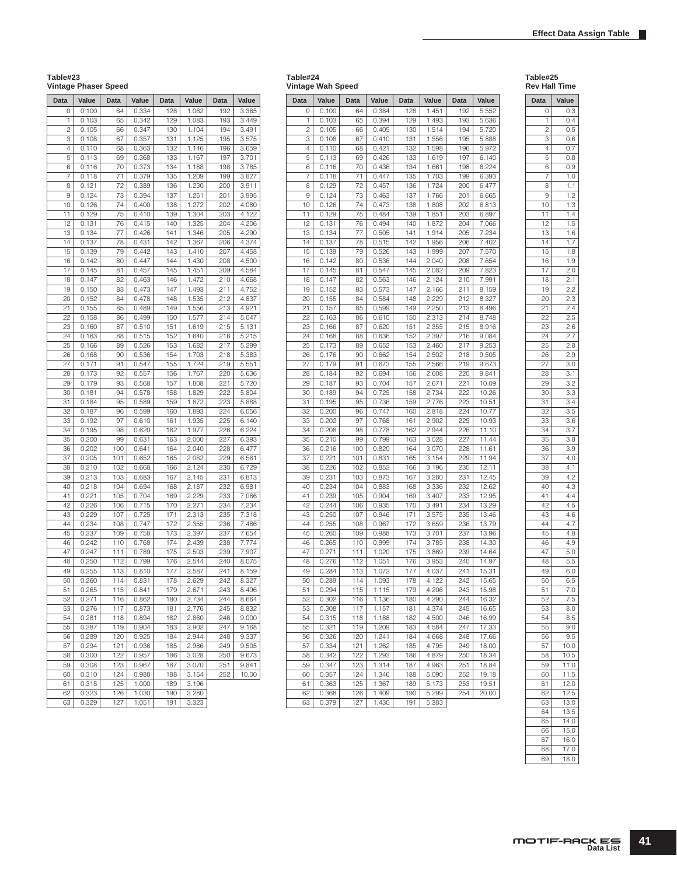П

# **Table#23**

# **Vintage Phaser Speed**

| <b>Data</b>    | Value          | Data       | Value          | Data       | Value          | Data       | Value          |
|----------------|----------------|------------|----------------|------------|----------------|------------|----------------|
| 0              | 0.100          | 64         | 0.334          | 128        | 1.062          | 192        | 3.365          |
| 1              | 0.103          | 65         | 0.342          | 129        | 1.083          | 193        | 3.449          |
| $\overline{c}$ | 0.105          | 66         | 0.347          | 130        | 1.104          | 194        | 3.491          |
| 3              | 0.108          | 67         | 0.357          | 131        | 1.125          | 195        | 3.575          |
| 4              | 0.110          | 68         | 0.363          | 132        | 1.146          | 196        | 3.659          |
| 5              | 0.113          | 69         | 0.368          | 133        | 1.167          | 197        | 3.701          |
| 6              | 0.116          | 70         | 0.373          | 134        | 1.188          | 198        | 3.785          |
| 7              | 0.118          | 71         | 0.379          | 135        | 1.209          | 199        | 3.827          |
| 8              | 0.121          | 72         | 0.389          | 136        | 1.230          | 200        | 3.911          |
| 9              | 0.124          | 73         | 0.394          | 137        | 1.251          | 201        | 3.995          |
| 10             | 0.126          | 74         | 0.400          | 138        | 1.272          | 202        | 4.080          |
| 11             | 0.129          | 75         | 0.410          | 139        | 1.304          | 203        | 4.122          |
| 12             | 0.131          | 76         | 0.415          | 140        | 1.325          | 204        | 4.206          |
| 13             | 0.134          | 77         | 0.426          | 141        | 1.346          | 205        | 4.290<br>4.374 |
| 14<br>15       | 0.137<br>0.139 | 78<br>79   | 0.431<br>0.442 | 142<br>143 | 1.367<br>1.410 | 206<br>207 | 4.458          |
| 16             | 0.142          | 80         | 0.447          | 144        | 1.430          | 208        | 4.500          |
| 17             | 0.145          | 81         | 0.457          | 145        | 1.451          | 209        | 4.584          |
| 18             | 0.147          | 82         | 0.463          | 146        | 1.472          | 210        | 4.668          |
| 19             | 0.150          | 83         | 0.473          | 147        | 1.493          | 211        | 4.752          |
| 20             | 0.152          | 84         | 0.478          | 148        | 1.535          | 212        | 4.837          |
| 21             | 0.155          | 85         | 0.489          | 149        | 1.556          | 213        | 4.921          |
| 22             | 0.158          | 86         | 0.499          | 150        | 1.577          | 214        | 5.047          |
| 23             | 0.160          | 87         | 0.510          | 151        | 1.619          | 215        | 5.131          |
| 24             | 0.163          | 88         | 0.515          | 152        | 1.640          | 216        | 5.215          |
| 25             | 0.166          | 89         | 0.526          | 153        | 1.682          | 217        | 5.299          |
| 26             | 0.168          | 90         | 0.536          | 154        | 1.703          | 218        | 5.383          |
| 27             | 0.171          | 91         | 0.547          | 155        | 1.724          | 219        | 5.551          |
| 28             | 0.173          | 92         | 0.557          | 156        | 1.767          | 220        | 5.636          |
| 29             | 0.179          | 93         | 0.568          | 157        | 1.808          | 221        | 5.720          |
| 30             | 0.181          | 94         | 0.578          | 158        | 1.829          | 222        | 5.804          |
| 31             | 0.184          | 95         | 0.589          | 159        | 1.872          | 223        | 5.888          |
| 32             | 0.187          | 96         | 0.599          | 160        | 1.893          | 224        | 6.056          |
| 33             | 0.192          | 97         | 0.610          | 161        | 1.935          | 225        | 6.140          |
| 34             | 0.195          | 98         | 0.620          | 162        | 1.977          | 226        | 6.224          |
| 35             | 0.200          | 99         | 0.631          | 163        | 2.000          | 227        | 6.393          |
| 36             | 0.202          | 100        | 0.641          | 164        | 2.040          | 228        | 6.477          |
| 37             | 0.205          | 101        | 0.652          | 165        | 2.082          | 229        | 6.561          |
| 38             | 0.210          | 102        | 0.668          | 166        | 2.124          | 230        | 6.729          |
| 39             | 0.213          | 103        | 0.683          | 167        | 2.145          | 231        | 6.813          |
| 40             | 0.218          | 104        | 0.694          | 168        | 2.187          | 232        | 6.981          |
| 41             | 0.221          | 105        | 0.704          | 169        | 2.229          | 233        | 7.066          |
| 42             | 0.226          | 106        | 0.715          | 170        | 2.271          | 234        | 7.234          |
| 43             | 0.229          | 107        | 0.725          | 171<br>172 | 2.313          | 235        | 7.318          |
| 44<br>45       | 0.234<br>0.237 | 108<br>109 | 0.747<br>0.758 | 173        | 2.355<br>2.397 | 236<br>237 | 7.486<br>7.654 |
| 46             | 0.242          | 110        | 0.768          | 174        | 2.439          | 238        | 7.774          |
| 47             | 0.247          | 111        | 0.789          | 175        | 2.503          | 239        | 7.907          |
| 48             | 0.250          | 112        | 0.799          | 176        | 2.544          | 240        | 8.075          |
| 49             | 0.255          | 113        | 0.810          | 177        | 2.587          | 241        | 8.159          |
| 50             | 0.260          | 114        | 0.831          | 178        | 2.629          | 242        | 8.327          |
| 51             | 0.265          | 115        | 0.841          | 179        | 2.671          | 243        | 8.496          |
| 52             | 0.271          | 116        | 0.862          | 180        | 2.734          | 244        | 8.664          |
| 53             | 0.276          | 117        | 0.873          | 181        | 2.776          | 245        | 8.832          |
| 54             | 0.281          | 118        | 0.894          | 182        | 2.860          | 246        | 9.000          |
| 55             | 0.287          | 119        | 0.904          | 183        | 2.902          | 247        | 9.168          |
| 56             | 0.289          | 120        | 0.925          | 184        | 2.944          | 248        | 9.337          |
| 57             | 0.294          | 121        | 0.936          | 185        | 2.986          | 249        | 9.505          |
| 58             | 0.300          | 122        | 0.957          | 186        | 3.028          | 250        | 9.673          |
| 59             | 0.308          | 123        | 0.967          | 187        | 3.070          | 251        | 9.841          |
| 60             | 0.310          | 124        | 0.988          | 188        | 3.154          | 252        | 10.00          |
| 61             | 0.318          | 125        | 1.000          | 189        | 3.196          |            |                |
| 62             | 0.323          | 126        | 1.030          | 190        | 3.280          |            |                |
| 63             | 0.329          | 127        | 1.051          | 191        | 3.323          |            |                |
|                |                |            |                |            |                |            |                |

# **Table#24**

| Data<br>Value<br>Value<br><b>Data</b><br>Value<br>Data<br>Value<br>Data<br>0.384<br>0<br>0.100<br>64<br>128<br>1.451<br>192<br>5.552<br>129<br>1<br>0.103<br>65<br>0.394<br>1.493<br>193<br>5.636<br>$\overline{c}$<br>0.105<br>0.405<br>130<br>1.514<br>194<br>5.720<br>66<br>3<br>0.108<br>67<br>0.410<br>131<br>1.556<br>195<br>5.888<br>68<br>0.421<br>132<br>5.972<br>4<br>0.110<br>1.598<br>196<br>5<br>0.113<br>69<br>0.426<br>133<br>1.619<br>197<br>6.140<br>70<br>1.661<br>6<br>0.116<br>0.436<br>134<br>198<br>6.224<br>$\overline{7}$<br>71<br>0.118<br>0.447<br>135<br>1.703<br>199<br>6.393<br>0.129<br>72<br>0.457<br>1.724<br>6.477<br>8<br>136<br>200<br>9<br>0.124<br>73<br>0.463<br>137<br>1.766<br>201<br>6.665<br>10<br>0.126<br>74<br>0.473<br>138<br>1.808<br>6.813<br>202<br>11<br>0.129<br>75<br>0.484<br>139<br>1.851<br>6.897<br>203<br>12<br>0.131<br>76<br>0.494<br>140<br>1.872<br>204<br>7.066<br>13<br>77<br>0.134<br>0.505<br>141<br>1.914<br>205<br>7.234<br>14<br>0.137<br>78<br>0.515<br>142<br>1.956<br>7.402<br>206<br>15<br>0.139<br>79<br>0.526<br>143<br>1.999<br>207<br>7.570<br>80<br>0.536<br>144<br>2.040<br>7.654<br>16<br>0.142<br>208<br>17<br>0.145<br>81<br>0.547<br>145<br>2.082<br>209<br>7.823<br>82<br>2.124<br>7.991<br>18<br>0.147<br>0.563<br>146<br>210<br>19<br>0.152<br>83<br>0.573<br>147<br>2.166<br>211<br>8.159<br>20<br>0.155<br>84<br>0.584<br>148<br>2.229<br>212<br>8.327<br>21<br>2.250<br>0.157<br>85<br>0.599<br>149<br>213<br>8.496<br>22<br>86<br>150<br>2.313<br>214<br>8.748<br>0.163<br>0.610<br>23<br>0.166<br>87<br>0.620<br>151<br>2.355<br>215<br>8.916<br>24<br>2.397<br>0.168<br>88<br>0.636<br>152<br>216<br>9.084<br>25<br>0.173<br>89<br>0.652<br>153<br>2.460<br>217<br>9.253<br>26<br>0.176<br>90<br>154<br>2.502<br>218<br>9.505<br>0.662<br>27<br>0.179<br>91<br>0.673<br>155<br>2.566<br>219<br>9.673<br>28<br>92<br>2.608<br>220<br>9.841<br>0.184<br>0.694<br>156<br>29<br>0.187<br>93<br>0.704<br>157<br>2.671<br>221<br>10.09<br>2.734<br>222<br>10.26<br>30<br>0.189<br>94<br>0.725<br>158<br>223<br>31<br>0.195<br>95<br>0.736<br>159<br>2.776<br>10.51<br>32<br>0.200<br>96<br>0.747<br>2.818<br>224<br>10.77<br>160<br>33<br>0.202<br>97<br>0.768<br>161<br>2.902<br>225<br>10.93<br>34<br>98<br>0.778<br>162<br>2.944<br>226<br>11.10<br>0.208<br>35<br>0.210<br>99<br>0.799<br>3.028<br>227<br>11.44<br>163<br>36<br>0.216<br>100<br>0.820<br>164<br>3.070<br>228<br>11.61<br>37<br>0.221<br>101<br>0.831<br>165<br>3.154<br>229<br>11.94<br>38<br>0.226<br>102<br>0.852<br>3.196<br>12.11<br>166<br>230<br>39<br>0.231<br>103<br>0.873<br>167<br>3.280<br>231<br>12.45<br>40<br>0.234<br>0.883<br>3.336<br>232<br>12.62<br>104<br>168<br>41<br>0.239<br>105<br>0.904<br>169<br>3.407<br>233<br>12.95<br>42<br>13.29<br>0.244<br>106<br>0.935<br>170<br>3.491<br>234<br>43<br>0.250<br>107<br>0.946<br>171<br>3.575<br>235<br>13.46<br>44<br>0.255<br>108<br>0.967<br>172<br>3.659<br>13.79<br>236<br>45<br>0.260<br>109<br>0.988<br>173<br>3.701<br>237<br>13.96<br>46<br>0.265<br>110<br>0.999<br>174<br>3.785<br>238<br>14.30<br>47<br>0.271<br>111<br>1.020<br>175<br>3.869<br>239<br>14.64<br>48<br>0.276<br>112<br>1.051<br>176<br>3.953<br>240<br>14.97<br>49<br>177<br>15.31<br>0.284<br>113<br>1.072<br>4.037<br>241<br>50<br>0.289<br>114<br>178<br>4.122<br>242<br>15.65<br>1.093<br>51<br>0.294<br>115<br>1.115<br>179<br>4.206<br>243<br>15.98<br>52<br>0.302<br>116<br>1.136<br>180<br>4.290<br>244<br>16.32<br>4.374<br>245<br>53<br>0.308<br>117<br>1.157<br>181<br>16.65<br>54<br>0.315<br>118<br>1.188<br>182<br>4.500<br>246<br>16.99<br>55<br>0.321<br>17.33<br>119<br>1.209<br>183<br>4.584<br>247<br>0.326<br>120<br>56<br>1.241<br>184<br>4.668<br>248<br>17.66<br>57<br>0.334<br>121<br>1.262<br>185<br>4.795<br>249<br>18.00<br>122<br>250<br>18.34<br>58<br>0.342<br>1.293<br>186<br>4.879<br>0.347<br>123<br>4.963<br>251<br>59<br>1.314<br>187<br>18.84<br>60<br>0.357<br>124<br>1.346<br>188<br>5.090<br>252<br>19.18<br>125<br>5.173<br>61<br>0.363<br>1.367<br>189<br>253<br>19.51<br>5.299<br>62<br>0.368<br>126<br>1.409<br>190<br>254<br>20.00 |    | Vintage Wah Speed |     |       |     |       |  |
|--------------------------------------------------------------------------------------------------------------------------------------------------------------------------------------------------------------------------------------------------------------------------------------------------------------------------------------------------------------------------------------------------------------------------------------------------------------------------------------------------------------------------------------------------------------------------------------------------------------------------------------------------------------------------------------------------------------------------------------------------------------------------------------------------------------------------------------------------------------------------------------------------------------------------------------------------------------------------------------------------------------------------------------------------------------------------------------------------------------------------------------------------------------------------------------------------------------------------------------------------------------------------------------------------------------------------------------------------------------------------------------------------------------------------------------------------------------------------------------------------------------------------------------------------------------------------------------------------------------------------------------------------------------------------------------------------------------------------------------------------------------------------------------------------------------------------------------------------------------------------------------------------------------------------------------------------------------------------------------------------------------------------------------------------------------------------------------------------------------------------------------------------------------------------------------------------------------------------------------------------------------------------------------------------------------------------------------------------------------------------------------------------------------------------------------------------------------------------------------------------------------------------------------------------------------------------------------------------------------------------------------------------------------------------------------------------------------------------------------------------------------------------------------------------------------------------------------------------------------------------------------------------------------------------------------------------------------------------------------------------------------------------------------------------------------------------------------------------------------------------------------------------------------------------------------------------------------------------------------------------------------------------------------------------------------------------------------------------------------------------------------------------------------------------------------------------------------------------------------------------------------------------------------------------------------------------------------------------------------------------------------------------------------------------------------------------------------------------------------------------------------------------------------------------------------------------------------------------------------------------------------------------------------------------------------------------------------------------------------------------------------------------------------------------------------------------------------------------------------------------------------------------------------------------------------|----|-------------------|-----|-------|-----|-------|--|
|                                                                                                                                                                                                                                                                                                                                                                                                                                                                                                                                                                                                                                                                                                                                                                                                                                                                                                                                                                                                                                                                                                                                                                                                                                                                                                                                                                                                                                                                                                                                                                                                                                                                                                                                                                                                                                                                                                                                                                                                                                                                                                                                                                                                                                                                                                                                                                                                                                                                                                                                                                                                                                                                                                                                                                                                                                                                                                                                                                                                                                                                                                                                                                                                                                                                                                                                                                                                                                                                                                                                                                                                                                                                                                                                                                                                                                                                                                                                                                                                                                                                                                                                                                                      |    |                   |     |       |     |       |  |
|                                                                                                                                                                                                                                                                                                                                                                                                                                                                                                                                                                                                                                                                                                                                                                                                                                                                                                                                                                                                                                                                                                                                                                                                                                                                                                                                                                                                                                                                                                                                                                                                                                                                                                                                                                                                                                                                                                                                                                                                                                                                                                                                                                                                                                                                                                                                                                                                                                                                                                                                                                                                                                                                                                                                                                                                                                                                                                                                                                                                                                                                                                                                                                                                                                                                                                                                                                                                                                                                                                                                                                                                                                                                                                                                                                                                                                                                                                                                                                                                                                                                                                                                                                                      |    |                   |     |       |     |       |  |
|                                                                                                                                                                                                                                                                                                                                                                                                                                                                                                                                                                                                                                                                                                                                                                                                                                                                                                                                                                                                                                                                                                                                                                                                                                                                                                                                                                                                                                                                                                                                                                                                                                                                                                                                                                                                                                                                                                                                                                                                                                                                                                                                                                                                                                                                                                                                                                                                                                                                                                                                                                                                                                                                                                                                                                                                                                                                                                                                                                                                                                                                                                                                                                                                                                                                                                                                                                                                                                                                                                                                                                                                                                                                                                                                                                                                                                                                                                                                                                                                                                                                                                                                                                                      |    |                   |     |       |     |       |  |
|                                                                                                                                                                                                                                                                                                                                                                                                                                                                                                                                                                                                                                                                                                                                                                                                                                                                                                                                                                                                                                                                                                                                                                                                                                                                                                                                                                                                                                                                                                                                                                                                                                                                                                                                                                                                                                                                                                                                                                                                                                                                                                                                                                                                                                                                                                                                                                                                                                                                                                                                                                                                                                                                                                                                                                                                                                                                                                                                                                                                                                                                                                                                                                                                                                                                                                                                                                                                                                                                                                                                                                                                                                                                                                                                                                                                                                                                                                                                                                                                                                                                                                                                                                                      |    |                   |     |       |     |       |  |
|                                                                                                                                                                                                                                                                                                                                                                                                                                                                                                                                                                                                                                                                                                                                                                                                                                                                                                                                                                                                                                                                                                                                                                                                                                                                                                                                                                                                                                                                                                                                                                                                                                                                                                                                                                                                                                                                                                                                                                                                                                                                                                                                                                                                                                                                                                                                                                                                                                                                                                                                                                                                                                                                                                                                                                                                                                                                                                                                                                                                                                                                                                                                                                                                                                                                                                                                                                                                                                                                                                                                                                                                                                                                                                                                                                                                                                                                                                                                                                                                                                                                                                                                                                                      |    |                   |     |       |     |       |  |
|                                                                                                                                                                                                                                                                                                                                                                                                                                                                                                                                                                                                                                                                                                                                                                                                                                                                                                                                                                                                                                                                                                                                                                                                                                                                                                                                                                                                                                                                                                                                                                                                                                                                                                                                                                                                                                                                                                                                                                                                                                                                                                                                                                                                                                                                                                                                                                                                                                                                                                                                                                                                                                                                                                                                                                                                                                                                                                                                                                                                                                                                                                                                                                                                                                                                                                                                                                                                                                                                                                                                                                                                                                                                                                                                                                                                                                                                                                                                                                                                                                                                                                                                                                                      |    |                   |     |       |     |       |  |
|                                                                                                                                                                                                                                                                                                                                                                                                                                                                                                                                                                                                                                                                                                                                                                                                                                                                                                                                                                                                                                                                                                                                                                                                                                                                                                                                                                                                                                                                                                                                                                                                                                                                                                                                                                                                                                                                                                                                                                                                                                                                                                                                                                                                                                                                                                                                                                                                                                                                                                                                                                                                                                                                                                                                                                                                                                                                                                                                                                                                                                                                                                                                                                                                                                                                                                                                                                                                                                                                                                                                                                                                                                                                                                                                                                                                                                                                                                                                                                                                                                                                                                                                                                                      |    |                   |     |       |     |       |  |
|                                                                                                                                                                                                                                                                                                                                                                                                                                                                                                                                                                                                                                                                                                                                                                                                                                                                                                                                                                                                                                                                                                                                                                                                                                                                                                                                                                                                                                                                                                                                                                                                                                                                                                                                                                                                                                                                                                                                                                                                                                                                                                                                                                                                                                                                                                                                                                                                                                                                                                                                                                                                                                                                                                                                                                                                                                                                                                                                                                                                                                                                                                                                                                                                                                                                                                                                                                                                                                                                                                                                                                                                                                                                                                                                                                                                                                                                                                                                                                                                                                                                                                                                                                                      |    |                   |     |       |     |       |  |
|                                                                                                                                                                                                                                                                                                                                                                                                                                                                                                                                                                                                                                                                                                                                                                                                                                                                                                                                                                                                                                                                                                                                                                                                                                                                                                                                                                                                                                                                                                                                                                                                                                                                                                                                                                                                                                                                                                                                                                                                                                                                                                                                                                                                                                                                                                                                                                                                                                                                                                                                                                                                                                                                                                                                                                                                                                                                                                                                                                                                                                                                                                                                                                                                                                                                                                                                                                                                                                                                                                                                                                                                                                                                                                                                                                                                                                                                                                                                                                                                                                                                                                                                                                                      |    |                   |     |       |     |       |  |
|                                                                                                                                                                                                                                                                                                                                                                                                                                                                                                                                                                                                                                                                                                                                                                                                                                                                                                                                                                                                                                                                                                                                                                                                                                                                                                                                                                                                                                                                                                                                                                                                                                                                                                                                                                                                                                                                                                                                                                                                                                                                                                                                                                                                                                                                                                                                                                                                                                                                                                                                                                                                                                                                                                                                                                                                                                                                                                                                                                                                                                                                                                                                                                                                                                                                                                                                                                                                                                                                                                                                                                                                                                                                                                                                                                                                                                                                                                                                                                                                                                                                                                                                                                                      |    |                   |     |       |     |       |  |
|                                                                                                                                                                                                                                                                                                                                                                                                                                                                                                                                                                                                                                                                                                                                                                                                                                                                                                                                                                                                                                                                                                                                                                                                                                                                                                                                                                                                                                                                                                                                                                                                                                                                                                                                                                                                                                                                                                                                                                                                                                                                                                                                                                                                                                                                                                                                                                                                                                                                                                                                                                                                                                                                                                                                                                                                                                                                                                                                                                                                                                                                                                                                                                                                                                                                                                                                                                                                                                                                                                                                                                                                                                                                                                                                                                                                                                                                                                                                                                                                                                                                                                                                                                                      |    |                   |     |       |     |       |  |
|                                                                                                                                                                                                                                                                                                                                                                                                                                                                                                                                                                                                                                                                                                                                                                                                                                                                                                                                                                                                                                                                                                                                                                                                                                                                                                                                                                                                                                                                                                                                                                                                                                                                                                                                                                                                                                                                                                                                                                                                                                                                                                                                                                                                                                                                                                                                                                                                                                                                                                                                                                                                                                                                                                                                                                                                                                                                                                                                                                                                                                                                                                                                                                                                                                                                                                                                                                                                                                                                                                                                                                                                                                                                                                                                                                                                                                                                                                                                                                                                                                                                                                                                                                                      |    |                   |     |       |     |       |  |
|                                                                                                                                                                                                                                                                                                                                                                                                                                                                                                                                                                                                                                                                                                                                                                                                                                                                                                                                                                                                                                                                                                                                                                                                                                                                                                                                                                                                                                                                                                                                                                                                                                                                                                                                                                                                                                                                                                                                                                                                                                                                                                                                                                                                                                                                                                                                                                                                                                                                                                                                                                                                                                                                                                                                                                                                                                                                                                                                                                                                                                                                                                                                                                                                                                                                                                                                                                                                                                                                                                                                                                                                                                                                                                                                                                                                                                                                                                                                                                                                                                                                                                                                                                                      |    |                   |     |       |     |       |  |
|                                                                                                                                                                                                                                                                                                                                                                                                                                                                                                                                                                                                                                                                                                                                                                                                                                                                                                                                                                                                                                                                                                                                                                                                                                                                                                                                                                                                                                                                                                                                                                                                                                                                                                                                                                                                                                                                                                                                                                                                                                                                                                                                                                                                                                                                                                                                                                                                                                                                                                                                                                                                                                                                                                                                                                                                                                                                                                                                                                                                                                                                                                                                                                                                                                                                                                                                                                                                                                                                                                                                                                                                                                                                                                                                                                                                                                                                                                                                                                                                                                                                                                                                                                                      |    |                   |     |       |     |       |  |
|                                                                                                                                                                                                                                                                                                                                                                                                                                                                                                                                                                                                                                                                                                                                                                                                                                                                                                                                                                                                                                                                                                                                                                                                                                                                                                                                                                                                                                                                                                                                                                                                                                                                                                                                                                                                                                                                                                                                                                                                                                                                                                                                                                                                                                                                                                                                                                                                                                                                                                                                                                                                                                                                                                                                                                                                                                                                                                                                                                                                                                                                                                                                                                                                                                                                                                                                                                                                                                                                                                                                                                                                                                                                                                                                                                                                                                                                                                                                                                                                                                                                                                                                                                                      |    |                   |     |       |     |       |  |
|                                                                                                                                                                                                                                                                                                                                                                                                                                                                                                                                                                                                                                                                                                                                                                                                                                                                                                                                                                                                                                                                                                                                                                                                                                                                                                                                                                                                                                                                                                                                                                                                                                                                                                                                                                                                                                                                                                                                                                                                                                                                                                                                                                                                                                                                                                                                                                                                                                                                                                                                                                                                                                                                                                                                                                                                                                                                                                                                                                                                                                                                                                                                                                                                                                                                                                                                                                                                                                                                                                                                                                                                                                                                                                                                                                                                                                                                                                                                                                                                                                                                                                                                                                                      |    |                   |     |       |     |       |  |
|                                                                                                                                                                                                                                                                                                                                                                                                                                                                                                                                                                                                                                                                                                                                                                                                                                                                                                                                                                                                                                                                                                                                                                                                                                                                                                                                                                                                                                                                                                                                                                                                                                                                                                                                                                                                                                                                                                                                                                                                                                                                                                                                                                                                                                                                                                                                                                                                                                                                                                                                                                                                                                                                                                                                                                                                                                                                                                                                                                                                                                                                                                                                                                                                                                                                                                                                                                                                                                                                                                                                                                                                                                                                                                                                                                                                                                                                                                                                                                                                                                                                                                                                                                                      |    |                   |     |       |     |       |  |
|                                                                                                                                                                                                                                                                                                                                                                                                                                                                                                                                                                                                                                                                                                                                                                                                                                                                                                                                                                                                                                                                                                                                                                                                                                                                                                                                                                                                                                                                                                                                                                                                                                                                                                                                                                                                                                                                                                                                                                                                                                                                                                                                                                                                                                                                                                                                                                                                                                                                                                                                                                                                                                                                                                                                                                                                                                                                                                                                                                                                                                                                                                                                                                                                                                                                                                                                                                                                                                                                                                                                                                                                                                                                                                                                                                                                                                                                                                                                                                                                                                                                                                                                                                                      |    |                   |     |       |     |       |  |
|                                                                                                                                                                                                                                                                                                                                                                                                                                                                                                                                                                                                                                                                                                                                                                                                                                                                                                                                                                                                                                                                                                                                                                                                                                                                                                                                                                                                                                                                                                                                                                                                                                                                                                                                                                                                                                                                                                                                                                                                                                                                                                                                                                                                                                                                                                                                                                                                                                                                                                                                                                                                                                                                                                                                                                                                                                                                                                                                                                                                                                                                                                                                                                                                                                                                                                                                                                                                                                                                                                                                                                                                                                                                                                                                                                                                                                                                                                                                                                                                                                                                                                                                                                                      |    |                   |     |       |     |       |  |
|                                                                                                                                                                                                                                                                                                                                                                                                                                                                                                                                                                                                                                                                                                                                                                                                                                                                                                                                                                                                                                                                                                                                                                                                                                                                                                                                                                                                                                                                                                                                                                                                                                                                                                                                                                                                                                                                                                                                                                                                                                                                                                                                                                                                                                                                                                                                                                                                                                                                                                                                                                                                                                                                                                                                                                                                                                                                                                                                                                                                                                                                                                                                                                                                                                                                                                                                                                                                                                                                                                                                                                                                                                                                                                                                                                                                                                                                                                                                                                                                                                                                                                                                                                                      |    |                   |     |       |     |       |  |
|                                                                                                                                                                                                                                                                                                                                                                                                                                                                                                                                                                                                                                                                                                                                                                                                                                                                                                                                                                                                                                                                                                                                                                                                                                                                                                                                                                                                                                                                                                                                                                                                                                                                                                                                                                                                                                                                                                                                                                                                                                                                                                                                                                                                                                                                                                                                                                                                                                                                                                                                                                                                                                                                                                                                                                                                                                                                                                                                                                                                                                                                                                                                                                                                                                                                                                                                                                                                                                                                                                                                                                                                                                                                                                                                                                                                                                                                                                                                                                                                                                                                                                                                                                                      |    |                   |     |       |     |       |  |
|                                                                                                                                                                                                                                                                                                                                                                                                                                                                                                                                                                                                                                                                                                                                                                                                                                                                                                                                                                                                                                                                                                                                                                                                                                                                                                                                                                                                                                                                                                                                                                                                                                                                                                                                                                                                                                                                                                                                                                                                                                                                                                                                                                                                                                                                                                                                                                                                                                                                                                                                                                                                                                                                                                                                                                                                                                                                                                                                                                                                                                                                                                                                                                                                                                                                                                                                                                                                                                                                                                                                                                                                                                                                                                                                                                                                                                                                                                                                                                                                                                                                                                                                                                                      |    |                   |     |       |     |       |  |
|                                                                                                                                                                                                                                                                                                                                                                                                                                                                                                                                                                                                                                                                                                                                                                                                                                                                                                                                                                                                                                                                                                                                                                                                                                                                                                                                                                                                                                                                                                                                                                                                                                                                                                                                                                                                                                                                                                                                                                                                                                                                                                                                                                                                                                                                                                                                                                                                                                                                                                                                                                                                                                                                                                                                                                                                                                                                                                                                                                                                                                                                                                                                                                                                                                                                                                                                                                                                                                                                                                                                                                                                                                                                                                                                                                                                                                                                                                                                                                                                                                                                                                                                                                                      |    |                   |     |       |     |       |  |
|                                                                                                                                                                                                                                                                                                                                                                                                                                                                                                                                                                                                                                                                                                                                                                                                                                                                                                                                                                                                                                                                                                                                                                                                                                                                                                                                                                                                                                                                                                                                                                                                                                                                                                                                                                                                                                                                                                                                                                                                                                                                                                                                                                                                                                                                                                                                                                                                                                                                                                                                                                                                                                                                                                                                                                                                                                                                                                                                                                                                                                                                                                                                                                                                                                                                                                                                                                                                                                                                                                                                                                                                                                                                                                                                                                                                                                                                                                                                                                                                                                                                                                                                                                                      |    |                   |     |       |     |       |  |
|                                                                                                                                                                                                                                                                                                                                                                                                                                                                                                                                                                                                                                                                                                                                                                                                                                                                                                                                                                                                                                                                                                                                                                                                                                                                                                                                                                                                                                                                                                                                                                                                                                                                                                                                                                                                                                                                                                                                                                                                                                                                                                                                                                                                                                                                                                                                                                                                                                                                                                                                                                                                                                                                                                                                                                                                                                                                                                                                                                                                                                                                                                                                                                                                                                                                                                                                                                                                                                                                                                                                                                                                                                                                                                                                                                                                                                                                                                                                                                                                                                                                                                                                                                                      |    |                   |     |       |     |       |  |
|                                                                                                                                                                                                                                                                                                                                                                                                                                                                                                                                                                                                                                                                                                                                                                                                                                                                                                                                                                                                                                                                                                                                                                                                                                                                                                                                                                                                                                                                                                                                                                                                                                                                                                                                                                                                                                                                                                                                                                                                                                                                                                                                                                                                                                                                                                                                                                                                                                                                                                                                                                                                                                                                                                                                                                                                                                                                                                                                                                                                                                                                                                                                                                                                                                                                                                                                                                                                                                                                                                                                                                                                                                                                                                                                                                                                                                                                                                                                                                                                                                                                                                                                                                                      |    |                   |     |       |     |       |  |
|                                                                                                                                                                                                                                                                                                                                                                                                                                                                                                                                                                                                                                                                                                                                                                                                                                                                                                                                                                                                                                                                                                                                                                                                                                                                                                                                                                                                                                                                                                                                                                                                                                                                                                                                                                                                                                                                                                                                                                                                                                                                                                                                                                                                                                                                                                                                                                                                                                                                                                                                                                                                                                                                                                                                                                                                                                                                                                                                                                                                                                                                                                                                                                                                                                                                                                                                                                                                                                                                                                                                                                                                                                                                                                                                                                                                                                                                                                                                                                                                                                                                                                                                                                                      |    |                   |     |       |     |       |  |
|                                                                                                                                                                                                                                                                                                                                                                                                                                                                                                                                                                                                                                                                                                                                                                                                                                                                                                                                                                                                                                                                                                                                                                                                                                                                                                                                                                                                                                                                                                                                                                                                                                                                                                                                                                                                                                                                                                                                                                                                                                                                                                                                                                                                                                                                                                                                                                                                                                                                                                                                                                                                                                                                                                                                                                                                                                                                                                                                                                                                                                                                                                                                                                                                                                                                                                                                                                                                                                                                                                                                                                                                                                                                                                                                                                                                                                                                                                                                                                                                                                                                                                                                                                                      |    |                   |     |       |     |       |  |
|                                                                                                                                                                                                                                                                                                                                                                                                                                                                                                                                                                                                                                                                                                                                                                                                                                                                                                                                                                                                                                                                                                                                                                                                                                                                                                                                                                                                                                                                                                                                                                                                                                                                                                                                                                                                                                                                                                                                                                                                                                                                                                                                                                                                                                                                                                                                                                                                                                                                                                                                                                                                                                                                                                                                                                                                                                                                                                                                                                                                                                                                                                                                                                                                                                                                                                                                                                                                                                                                                                                                                                                                                                                                                                                                                                                                                                                                                                                                                                                                                                                                                                                                                                                      |    |                   |     |       |     |       |  |
|                                                                                                                                                                                                                                                                                                                                                                                                                                                                                                                                                                                                                                                                                                                                                                                                                                                                                                                                                                                                                                                                                                                                                                                                                                                                                                                                                                                                                                                                                                                                                                                                                                                                                                                                                                                                                                                                                                                                                                                                                                                                                                                                                                                                                                                                                                                                                                                                                                                                                                                                                                                                                                                                                                                                                                                                                                                                                                                                                                                                                                                                                                                                                                                                                                                                                                                                                                                                                                                                                                                                                                                                                                                                                                                                                                                                                                                                                                                                                                                                                                                                                                                                                                                      |    |                   |     |       |     |       |  |
|                                                                                                                                                                                                                                                                                                                                                                                                                                                                                                                                                                                                                                                                                                                                                                                                                                                                                                                                                                                                                                                                                                                                                                                                                                                                                                                                                                                                                                                                                                                                                                                                                                                                                                                                                                                                                                                                                                                                                                                                                                                                                                                                                                                                                                                                                                                                                                                                                                                                                                                                                                                                                                                                                                                                                                                                                                                                                                                                                                                                                                                                                                                                                                                                                                                                                                                                                                                                                                                                                                                                                                                                                                                                                                                                                                                                                                                                                                                                                                                                                                                                                                                                                                                      |    |                   |     |       |     |       |  |
|                                                                                                                                                                                                                                                                                                                                                                                                                                                                                                                                                                                                                                                                                                                                                                                                                                                                                                                                                                                                                                                                                                                                                                                                                                                                                                                                                                                                                                                                                                                                                                                                                                                                                                                                                                                                                                                                                                                                                                                                                                                                                                                                                                                                                                                                                                                                                                                                                                                                                                                                                                                                                                                                                                                                                                                                                                                                                                                                                                                                                                                                                                                                                                                                                                                                                                                                                                                                                                                                                                                                                                                                                                                                                                                                                                                                                                                                                                                                                                                                                                                                                                                                                                                      |    |                   |     |       |     |       |  |
|                                                                                                                                                                                                                                                                                                                                                                                                                                                                                                                                                                                                                                                                                                                                                                                                                                                                                                                                                                                                                                                                                                                                                                                                                                                                                                                                                                                                                                                                                                                                                                                                                                                                                                                                                                                                                                                                                                                                                                                                                                                                                                                                                                                                                                                                                                                                                                                                                                                                                                                                                                                                                                                                                                                                                                                                                                                                                                                                                                                                                                                                                                                                                                                                                                                                                                                                                                                                                                                                                                                                                                                                                                                                                                                                                                                                                                                                                                                                                                                                                                                                                                                                                                                      |    |                   |     |       |     |       |  |
|                                                                                                                                                                                                                                                                                                                                                                                                                                                                                                                                                                                                                                                                                                                                                                                                                                                                                                                                                                                                                                                                                                                                                                                                                                                                                                                                                                                                                                                                                                                                                                                                                                                                                                                                                                                                                                                                                                                                                                                                                                                                                                                                                                                                                                                                                                                                                                                                                                                                                                                                                                                                                                                                                                                                                                                                                                                                                                                                                                                                                                                                                                                                                                                                                                                                                                                                                                                                                                                                                                                                                                                                                                                                                                                                                                                                                                                                                                                                                                                                                                                                                                                                                                                      |    |                   |     |       |     |       |  |
|                                                                                                                                                                                                                                                                                                                                                                                                                                                                                                                                                                                                                                                                                                                                                                                                                                                                                                                                                                                                                                                                                                                                                                                                                                                                                                                                                                                                                                                                                                                                                                                                                                                                                                                                                                                                                                                                                                                                                                                                                                                                                                                                                                                                                                                                                                                                                                                                                                                                                                                                                                                                                                                                                                                                                                                                                                                                                                                                                                                                                                                                                                                                                                                                                                                                                                                                                                                                                                                                                                                                                                                                                                                                                                                                                                                                                                                                                                                                                                                                                                                                                                                                                                                      |    |                   |     |       |     |       |  |
|                                                                                                                                                                                                                                                                                                                                                                                                                                                                                                                                                                                                                                                                                                                                                                                                                                                                                                                                                                                                                                                                                                                                                                                                                                                                                                                                                                                                                                                                                                                                                                                                                                                                                                                                                                                                                                                                                                                                                                                                                                                                                                                                                                                                                                                                                                                                                                                                                                                                                                                                                                                                                                                                                                                                                                                                                                                                                                                                                                                                                                                                                                                                                                                                                                                                                                                                                                                                                                                                                                                                                                                                                                                                                                                                                                                                                                                                                                                                                                                                                                                                                                                                                                                      |    |                   |     |       |     |       |  |
|                                                                                                                                                                                                                                                                                                                                                                                                                                                                                                                                                                                                                                                                                                                                                                                                                                                                                                                                                                                                                                                                                                                                                                                                                                                                                                                                                                                                                                                                                                                                                                                                                                                                                                                                                                                                                                                                                                                                                                                                                                                                                                                                                                                                                                                                                                                                                                                                                                                                                                                                                                                                                                                                                                                                                                                                                                                                                                                                                                                                                                                                                                                                                                                                                                                                                                                                                                                                                                                                                                                                                                                                                                                                                                                                                                                                                                                                                                                                                                                                                                                                                                                                                                                      |    |                   |     |       |     |       |  |
|                                                                                                                                                                                                                                                                                                                                                                                                                                                                                                                                                                                                                                                                                                                                                                                                                                                                                                                                                                                                                                                                                                                                                                                                                                                                                                                                                                                                                                                                                                                                                                                                                                                                                                                                                                                                                                                                                                                                                                                                                                                                                                                                                                                                                                                                                                                                                                                                                                                                                                                                                                                                                                                                                                                                                                                                                                                                                                                                                                                                                                                                                                                                                                                                                                                                                                                                                                                                                                                                                                                                                                                                                                                                                                                                                                                                                                                                                                                                                                                                                                                                                                                                                                                      |    |                   |     |       |     |       |  |
|                                                                                                                                                                                                                                                                                                                                                                                                                                                                                                                                                                                                                                                                                                                                                                                                                                                                                                                                                                                                                                                                                                                                                                                                                                                                                                                                                                                                                                                                                                                                                                                                                                                                                                                                                                                                                                                                                                                                                                                                                                                                                                                                                                                                                                                                                                                                                                                                                                                                                                                                                                                                                                                                                                                                                                                                                                                                                                                                                                                                                                                                                                                                                                                                                                                                                                                                                                                                                                                                                                                                                                                                                                                                                                                                                                                                                                                                                                                                                                                                                                                                                                                                                                                      |    |                   |     |       |     |       |  |
|                                                                                                                                                                                                                                                                                                                                                                                                                                                                                                                                                                                                                                                                                                                                                                                                                                                                                                                                                                                                                                                                                                                                                                                                                                                                                                                                                                                                                                                                                                                                                                                                                                                                                                                                                                                                                                                                                                                                                                                                                                                                                                                                                                                                                                                                                                                                                                                                                                                                                                                                                                                                                                                                                                                                                                                                                                                                                                                                                                                                                                                                                                                                                                                                                                                                                                                                                                                                                                                                                                                                                                                                                                                                                                                                                                                                                                                                                                                                                                                                                                                                                                                                                                                      |    |                   |     |       |     |       |  |
|                                                                                                                                                                                                                                                                                                                                                                                                                                                                                                                                                                                                                                                                                                                                                                                                                                                                                                                                                                                                                                                                                                                                                                                                                                                                                                                                                                                                                                                                                                                                                                                                                                                                                                                                                                                                                                                                                                                                                                                                                                                                                                                                                                                                                                                                                                                                                                                                                                                                                                                                                                                                                                                                                                                                                                                                                                                                                                                                                                                                                                                                                                                                                                                                                                                                                                                                                                                                                                                                                                                                                                                                                                                                                                                                                                                                                                                                                                                                                                                                                                                                                                                                                                                      |    |                   |     |       |     |       |  |
|                                                                                                                                                                                                                                                                                                                                                                                                                                                                                                                                                                                                                                                                                                                                                                                                                                                                                                                                                                                                                                                                                                                                                                                                                                                                                                                                                                                                                                                                                                                                                                                                                                                                                                                                                                                                                                                                                                                                                                                                                                                                                                                                                                                                                                                                                                                                                                                                                                                                                                                                                                                                                                                                                                                                                                                                                                                                                                                                                                                                                                                                                                                                                                                                                                                                                                                                                                                                                                                                                                                                                                                                                                                                                                                                                                                                                                                                                                                                                                                                                                                                                                                                                                                      |    |                   |     |       |     |       |  |
|                                                                                                                                                                                                                                                                                                                                                                                                                                                                                                                                                                                                                                                                                                                                                                                                                                                                                                                                                                                                                                                                                                                                                                                                                                                                                                                                                                                                                                                                                                                                                                                                                                                                                                                                                                                                                                                                                                                                                                                                                                                                                                                                                                                                                                                                                                                                                                                                                                                                                                                                                                                                                                                                                                                                                                                                                                                                                                                                                                                                                                                                                                                                                                                                                                                                                                                                                                                                                                                                                                                                                                                                                                                                                                                                                                                                                                                                                                                                                                                                                                                                                                                                                                                      |    |                   |     |       |     |       |  |
|                                                                                                                                                                                                                                                                                                                                                                                                                                                                                                                                                                                                                                                                                                                                                                                                                                                                                                                                                                                                                                                                                                                                                                                                                                                                                                                                                                                                                                                                                                                                                                                                                                                                                                                                                                                                                                                                                                                                                                                                                                                                                                                                                                                                                                                                                                                                                                                                                                                                                                                                                                                                                                                                                                                                                                                                                                                                                                                                                                                                                                                                                                                                                                                                                                                                                                                                                                                                                                                                                                                                                                                                                                                                                                                                                                                                                                                                                                                                                                                                                                                                                                                                                                                      |    |                   |     |       |     |       |  |
|                                                                                                                                                                                                                                                                                                                                                                                                                                                                                                                                                                                                                                                                                                                                                                                                                                                                                                                                                                                                                                                                                                                                                                                                                                                                                                                                                                                                                                                                                                                                                                                                                                                                                                                                                                                                                                                                                                                                                                                                                                                                                                                                                                                                                                                                                                                                                                                                                                                                                                                                                                                                                                                                                                                                                                                                                                                                                                                                                                                                                                                                                                                                                                                                                                                                                                                                                                                                                                                                                                                                                                                                                                                                                                                                                                                                                                                                                                                                                                                                                                                                                                                                                                                      |    |                   |     |       |     |       |  |
|                                                                                                                                                                                                                                                                                                                                                                                                                                                                                                                                                                                                                                                                                                                                                                                                                                                                                                                                                                                                                                                                                                                                                                                                                                                                                                                                                                                                                                                                                                                                                                                                                                                                                                                                                                                                                                                                                                                                                                                                                                                                                                                                                                                                                                                                                                                                                                                                                                                                                                                                                                                                                                                                                                                                                                                                                                                                                                                                                                                                                                                                                                                                                                                                                                                                                                                                                                                                                                                                                                                                                                                                                                                                                                                                                                                                                                                                                                                                                                                                                                                                                                                                                                                      |    |                   |     |       |     |       |  |
|                                                                                                                                                                                                                                                                                                                                                                                                                                                                                                                                                                                                                                                                                                                                                                                                                                                                                                                                                                                                                                                                                                                                                                                                                                                                                                                                                                                                                                                                                                                                                                                                                                                                                                                                                                                                                                                                                                                                                                                                                                                                                                                                                                                                                                                                                                                                                                                                                                                                                                                                                                                                                                                                                                                                                                                                                                                                                                                                                                                                                                                                                                                                                                                                                                                                                                                                                                                                                                                                                                                                                                                                                                                                                                                                                                                                                                                                                                                                                                                                                                                                                                                                                                                      |    |                   |     |       |     |       |  |
|                                                                                                                                                                                                                                                                                                                                                                                                                                                                                                                                                                                                                                                                                                                                                                                                                                                                                                                                                                                                                                                                                                                                                                                                                                                                                                                                                                                                                                                                                                                                                                                                                                                                                                                                                                                                                                                                                                                                                                                                                                                                                                                                                                                                                                                                                                                                                                                                                                                                                                                                                                                                                                                                                                                                                                                                                                                                                                                                                                                                                                                                                                                                                                                                                                                                                                                                                                                                                                                                                                                                                                                                                                                                                                                                                                                                                                                                                                                                                                                                                                                                                                                                                                                      |    |                   |     |       |     |       |  |
|                                                                                                                                                                                                                                                                                                                                                                                                                                                                                                                                                                                                                                                                                                                                                                                                                                                                                                                                                                                                                                                                                                                                                                                                                                                                                                                                                                                                                                                                                                                                                                                                                                                                                                                                                                                                                                                                                                                                                                                                                                                                                                                                                                                                                                                                                                                                                                                                                                                                                                                                                                                                                                                                                                                                                                                                                                                                                                                                                                                                                                                                                                                                                                                                                                                                                                                                                                                                                                                                                                                                                                                                                                                                                                                                                                                                                                                                                                                                                                                                                                                                                                                                                                                      |    |                   |     |       |     |       |  |
|                                                                                                                                                                                                                                                                                                                                                                                                                                                                                                                                                                                                                                                                                                                                                                                                                                                                                                                                                                                                                                                                                                                                                                                                                                                                                                                                                                                                                                                                                                                                                                                                                                                                                                                                                                                                                                                                                                                                                                                                                                                                                                                                                                                                                                                                                                                                                                                                                                                                                                                                                                                                                                                                                                                                                                                                                                                                                                                                                                                                                                                                                                                                                                                                                                                                                                                                                                                                                                                                                                                                                                                                                                                                                                                                                                                                                                                                                                                                                                                                                                                                                                                                                                                      |    |                   |     |       |     |       |  |
|                                                                                                                                                                                                                                                                                                                                                                                                                                                                                                                                                                                                                                                                                                                                                                                                                                                                                                                                                                                                                                                                                                                                                                                                                                                                                                                                                                                                                                                                                                                                                                                                                                                                                                                                                                                                                                                                                                                                                                                                                                                                                                                                                                                                                                                                                                                                                                                                                                                                                                                                                                                                                                                                                                                                                                                                                                                                                                                                                                                                                                                                                                                                                                                                                                                                                                                                                                                                                                                                                                                                                                                                                                                                                                                                                                                                                                                                                                                                                                                                                                                                                                                                                                                      |    |                   |     |       |     |       |  |
|                                                                                                                                                                                                                                                                                                                                                                                                                                                                                                                                                                                                                                                                                                                                                                                                                                                                                                                                                                                                                                                                                                                                                                                                                                                                                                                                                                                                                                                                                                                                                                                                                                                                                                                                                                                                                                                                                                                                                                                                                                                                                                                                                                                                                                                                                                                                                                                                                                                                                                                                                                                                                                                                                                                                                                                                                                                                                                                                                                                                                                                                                                                                                                                                                                                                                                                                                                                                                                                                                                                                                                                                                                                                                                                                                                                                                                                                                                                                                                                                                                                                                                                                                                                      |    |                   |     |       |     |       |  |
|                                                                                                                                                                                                                                                                                                                                                                                                                                                                                                                                                                                                                                                                                                                                                                                                                                                                                                                                                                                                                                                                                                                                                                                                                                                                                                                                                                                                                                                                                                                                                                                                                                                                                                                                                                                                                                                                                                                                                                                                                                                                                                                                                                                                                                                                                                                                                                                                                                                                                                                                                                                                                                                                                                                                                                                                                                                                                                                                                                                                                                                                                                                                                                                                                                                                                                                                                                                                                                                                                                                                                                                                                                                                                                                                                                                                                                                                                                                                                                                                                                                                                                                                                                                      |    |                   |     |       |     |       |  |
|                                                                                                                                                                                                                                                                                                                                                                                                                                                                                                                                                                                                                                                                                                                                                                                                                                                                                                                                                                                                                                                                                                                                                                                                                                                                                                                                                                                                                                                                                                                                                                                                                                                                                                                                                                                                                                                                                                                                                                                                                                                                                                                                                                                                                                                                                                                                                                                                                                                                                                                                                                                                                                                                                                                                                                                                                                                                                                                                                                                                                                                                                                                                                                                                                                                                                                                                                                                                                                                                                                                                                                                                                                                                                                                                                                                                                                                                                                                                                                                                                                                                                                                                                                                      |    |                   |     |       |     |       |  |
|                                                                                                                                                                                                                                                                                                                                                                                                                                                                                                                                                                                                                                                                                                                                                                                                                                                                                                                                                                                                                                                                                                                                                                                                                                                                                                                                                                                                                                                                                                                                                                                                                                                                                                                                                                                                                                                                                                                                                                                                                                                                                                                                                                                                                                                                                                                                                                                                                                                                                                                                                                                                                                                                                                                                                                                                                                                                                                                                                                                                                                                                                                                                                                                                                                                                                                                                                                                                                                                                                                                                                                                                                                                                                                                                                                                                                                                                                                                                                                                                                                                                                                                                                                                      |    |                   |     |       |     |       |  |
|                                                                                                                                                                                                                                                                                                                                                                                                                                                                                                                                                                                                                                                                                                                                                                                                                                                                                                                                                                                                                                                                                                                                                                                                                                                                                                                                                                                                                                                                                                                                                                                                                                                                                                                                                                                                                                                                                                                                                                                                                                                                                                                                                                                                                                                                                                                                                                                                                                                                                                                                                                                                                                                                                                                                                                                                                                                                                                                                                                                                                                                                                                                                                                                                                                                                                                                                                                                                                                                                                                                                                                                                                                                                                                                                                                                                                                                                                                                                                                                                                                                                                                                                                                                      |    |                   |     |       |     |       |  |
|                                                                                                                                                                                                                                                                                                                                                                                                                                                                                                                                                                                                                                                                                                                                                                                                                                                                                                                                                                                                                                                                                                                                                                                                                                                                                                                                                                                                                                                                                                                                                                                                                                                                                                                                                                                                                                                                                                                                                                                                                                                                                                                                                                                                                                                                                                                                                                                                                                                                                                                                                                                                                                                                                                                                                                                                                                                                                                                                                                                                                                                                                                                                                                                                                                                                                                                                                                                                                                                                                                                                                                                                                                                                                                                                                                                                                                                                                                                                                                                                                                                                                                                                                                                      |    |                   |     |       |     |       |  |
|                                                                                                                                                                                                                                                                                                                                                                                                                                                                                                                                                                                                                                                                                                                                                                                                                                                                                                                                                                                                                                                                                                                                                                                                                                                                                                                                                                                                                                                                                                                                                                                                                                                                                                                                                                                                                                                                                                                                                                                                                                                                                                                                                                                                                                                                                                                                                                                                                                                                                                                                                                                                                                                                                                                                                                                                                                                                                                                                                                                                                                                                                                                                                                                                                                                                                                                                                                                                                                                                                                                                                                                                                                                                                                                                                                                                                                                                                                                                                                                                                                                                                                                                                                                      |    |                   |     |       |     |       |  |
|                                                                                                                                                                                                                                                                                                                                                                                                                                                                                                                                                                                                                                                                                                                                                                                                                                                                                                                                                                                                                                                                                                                                                                                                                                                                                                                                                                                                                                                                                                                                                                                                                                                                                                                                                                                                                                                                                                                                                                                                                                                                                                                                                                                                                                                                                                                                                                                                                                                                                                                                                                                                                                                                                                                                                                                                                                                                                                                                                                                                                                                                                                                                                                                                                                                                                                                                                                                                                                                                                                                                                                                                                                                                                                                                                                                                                                                                                                                                                                                                                                                                                                                                                                                      |    |                   |     |       |     |       |  |
|                                                                                                                                                                                                                                                                                                                                                                                                                                                                                                                                                                                                                                                                                                                                                                                                                                                                                                                                                                                                                                                                                                                                                                                                                                                                                                                                                                                                                                                                                                                                                                                                                                                                                                                                                                                                                                                                                                                                                                                                                                                                                                                                                                                                                                                                                                                                                                                                                                                                                                                                                                                                                                                                                                                                                                                                                                                                                                                                                                                                                                                                                                                                                                                                                                                                                                                                                                                                                                                                                                                                                                                                                                                                                                                                                                                                                                                                                                                                                                                                                                                                                                                                                                                      |    |                   |     |       |     |       |  |
|                                                                                                                                                                                                                                                                                                                                                                                                                                                                                                                                                                                                                                                                                                                                                                                                                                                                                                                                                                                                                                                                                                                                                                                                                                                                                                                                                                                                                                                                                                                                                                                                                                                                                                                                                                                                                                                                                                                                                                                                                                                                                                                                                                                                                                                                                                                                                                                                                                                                                                                                                                                                                                                                                                                                                                                                                                                                                                                                                                                                                                                                                                                                                                                                                                                                                                                                                                                                                                                                                                                                                                                                                                                                                                                                                                                                                                                                                                                                                                                                                                                                                                                                                                                      |    |                   |     |       |     |       |  |
|                                                                                                                                                                                                                                                                                                                                                                                                                                                                                                                                                                                                                                                                                                                                                                                                                                                                                                                                                                                                                                                                                                                                                                                                                                                                                                                                                                                                                                                                                                                                                                                                                                                                                                                                                                                                                                                                                                                                                                                                                                                                                                                                                                                                                                                                                                                                                                                                                                                                                                                                                                                                                                                                                                                                                                                                                                                                                                                                                                                                                                                                                                                                                                                                                                                                                                                                                                                                                                                                                                                                                                                                                                                                                                                                                                                                                                                                                                                                                                                                                                                                                                                                                                                      |    |                   |     |       |     |       |  |
|                                                                                                                                                                                                                                                                                                                                                                                                                                                                                                                                                                                                                                                                                                                                                                                                                                                                                                                                                                                                                                                                                                                                                                                                                                                                                                                                                                                                                                                                                                                                                                                                                                                                                                                                                                                                                                                                                                                                                                                                                                                                                                                                                                                                                                                                                                                                                                                                                                                                                                                                                                                                                                                                                                                                                                                                                                                                                                                                                                                                                                                                                                                                                                                                                                                                                                                                                                                                                                                                                                                                                                                                                                                                                                                                                                                                                                                                                                                                                                                                                                                                                                                                                                                      |    |                   |     |       |     |       |  |
|                                                                                                                                                                                                                                                                                                                                                                                                                                                                                                                                                                                                                                                                                                                                                                                                                                                                                                                                                                                                                                                                                                                                                                                                                                                                                                                                                                                                                                                                                                                                                                                                                                                                                                                                                                                                                                                                                                                                                                                                                                                                                                                                                                                                                                                                                                                                                                                                                                                                                                                                                                                                                                                                                                                                                                                                                                                                                                                                                                                                                                                                                                                                                                                                                                                                                                                                                                                                                                                                                                                                                                                                                                                                                                                                                                                                                                                                                                                                                                                                                                                                                                                                                                                      |    |                   |     |       |     |       |  |
|                                                                                                                                                                                                                                                                                                                                                                                                                                                                                                                                                                                                                                                                                                                                                                                                                                                                                                                                                                                                                                                                                                                                                                                                                                                                                                                                                                                                                                                                                                                                                                                                                                                                                                                                                                                                                                                                                                                                                                                                                                                                                                                                                                                                                                                                                                                                                                                                                                                                                                                                                                                                                                                                                                                                                                                                                                                                                                                                                                                                                                                                                                                                                                                                                                                                                                                                                                                                                                                                                                                                                                                                                                                                                                                                                                                                                                                                                                                                                                                                                                                                                                                                                                                      |    |                   |     |       |     |       |  |
|                                                                                                                                                                                                                                                                                                                                                                                                                                                                                                                                                                                                                                                                                                                                                                                                                                                                                                                                                                                                                                                                                                                                                                                                                                                                                                                                                                                                                                                                                                                                                                                                                                                                                                                                                                                                                                                                                                                                                                                                                                                                                                                                                                                                                                                                                                                                                                                                                                                                                                                                                                                                                                                                                                                                                                                                                                                                                                                                                                                                                                                                                                                                                                                                                                                                                                                                                                                                                                                                                                                                                                                                                                                                                                                                                                                                                                                                                                                                                                                                                                                                                                                                                                                      | 63 | 0.379             | 127 | 1.430 | 191 | 5.383 |  |

| Hall<br>Rev      | Time                |
|------------------|---------------------|
| Data             | Value               |
| 0                | 0.3                 |
| 1                | 0.4                 |
| $\overline{c}$   | 0.5                 |
|                  |                     |
| 3                | 0.6                 |
| 4                | 0.7                 |
| 5                | 0.8                 |
| 6                | 0.9                 |
| 7                | 1.0                 |
|                  |                     |
| 8                | $\sqrt{1.1}$        |
| 9                | 1.2                 |
| 10               | 1.3                 |
| 11               | 1<br>$\overline{A}$ |
| 12               | 1.5                 |
| 13               | 1.6                 |
|                  |                     |
| 14               | 1.7                 |
| 15               | 1.8                 |
| 16               | 1.9                 |
| 17               | $\overline{2.0}$    |
| 18               | 2.1                 |
|                  |                     |
| 19               | 2.2                 |
| 20               | 2.3                 |
| 21               | 2.4                 |
| 22               | $\bar{2}.5$         |
| 23               | 2.6                 |
| 24               | 2.7                 |
|                  |                     |
| 25               | 2.8                 |
| 26               | 2.9                 |
| .<br>27          | 3.0                 |
| 28               | 3.1                 |
| 29               | $\overline{3.2}$    |
|                  |                     |
| 30               | 3.3                 |
| 31               | $\overline{3.4}$    |
| 32               | 3.5                 |
| 33               | 3.6                 |
| 34               | 3.7                 |
| 35               | 3.8                 |
| 36               | 3.9                 |
|                  |                     |
| 37               | 4.0                 |
| 38               | $\overline{4.1}$    |
| 39               | 4.2                 |
| 40               | $4.\overline{3}$    |
| 41               | 4.4                 |
| 42               | 4.5                 |
|                  |                     |
| 43               | 4.6                 |
| 44               | 4.7                 |
| 45               | 4.8                 |
| 46               | 4.9                 |
| 47               | 5.0                 |
| 48               | $\overline{5.5}$    |
|                  |                     |
| 49               | 6.0                 |
| 50               | 6.5                 |
| $\overline{5}$ 1 | $\overline{7}.0$    |
| 52               | $\overline{7.5}$    |
| 53               | 8.0                 |
| 54               | 8.5                 |
| 55               |                     |
|                  | $9.\overline{0}$    |
| 56               | 9.5                 |
| 57               | 10.0                |
| 58               | 10.5                |
| 59               | 1.0<br>1            |
|                  |                     |
| 60               | 11.5                |
| 61               | $\overline{1}2.0$   |
| 62               | 12.5                |
| 63               | 13.0                |
| 64               | $\overline{13.5}$   |
| 65               | 14.0                |
|                  |                     |

66 15.0<br>67 16.0 67 16.0 68 17.0 69 18.0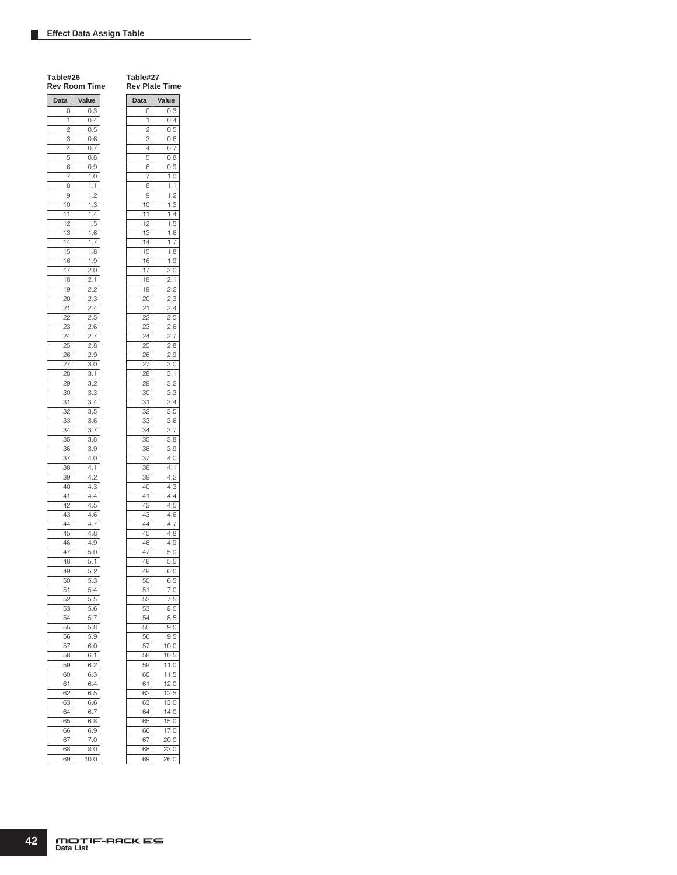**Table#27 Rev Plate Time Data Value**  $\begin{array}{|c|c|} \hline 0 & 0.3 \\ \hline 1 & 0.4 \\ \hline \end{array}$  $0.4$  $\overline{2}$  0.5

| Data            | Value             |
|-----------------|-------------------|
| 0               | 0.3               |
| 1               | 0.4               |
| $\overline{c}$  | 0.5               |
| 3               | 0.6               |
| 4               | 0.7               |
| 5               | 0.8               |
| 6               | 0.9               |
| 7               | 1.0               |
| 8               | 1.1               |
| 9               | 1.2               |
| 10              | 1.3               |
| 11              | 1.4               |
| 12              | 1.5               |
| 13              | 1.6               |
| $\overline{14}$ | 1.7               |
| 15              | 1.8               |
| 16              | 1.9               |
| 17              | 2.0               |
| 18              | 2.1               |
| 19              | $\overline{2.2}$  |
| 20              | 2.3               |
| 21              | 2.4               |
| 22              | 2.5               |
| 23              | 2.6               |
| 24              | 2.7               |
| 25              | $\overline{2}$ .8 |
| 26              | 2.9               |
| 27              | 3.0               |
| 28              | 3.1               |
| 29              | 3.2               |
| 30              | 3.3               |
| 31              | $\overline{3.4}$  |
| 32              | 3.5               |
| 33              | 3.6               |
| 34              | 3.7               |
| 35              | 3.8               |
| 36              | 3.9               |
| 37              | 4.0               |
| 38              | $4.\overline{1}$  |
| 39              | 4.2               |
| 40              | 4.3               |
| 41              | 4.4               |
| 42              | 4.5               |
| 43              | 4.6               |
| 44              | 4.7               |
| 45              | 4.8               |
| 46              | 4.9               |
| 47              | 5.0               |
| 48              | 5.1               |
| 49              | 5.2               |
| 50              | 5.3               |
| .<br>51         | 5.4               |
| 52              | 5.5               |
| 53              | 5.6               |
| -<br>54         | 5.7               |
| 55              | $\overline{5.8}$  |
| 56              | 5.9               |
| .<br>57         | 6.0               |
| 58              | 6.1               |
| 59              | 6.2               |
| 60              | 6.3               |
| 61              | 6.4               |
| 62              | 6.5               |
| 63              | 6.6               |
| 64              | 6.7               |
| 65              | 6.8               |
| 66              | 6.9               |
| 67              | 7.0               |
| 68              | 8.0               |

| 3       | 0.6               |
|---------|-------------------|
| 4       | 0.7               |
| 5       | 0.8               |
| 6       | 0.9               |
| 7       | 1.0               |
| 8       | 1.1               |
| 9       | 1.2               |
| 10      | $1.\overline{3}$  |
| 11      | 1.4               |
| 12      | 1.5               |
| 13      | 1.6               |
| 14      | 1.7               |
| 15      |                   |
|         | $\frac{1.8}{1}$   |
| 16      | 1.9               |
| 17      | 2.0               |
| 18      | 2.1               |
| 19      | 2.2               |
| 20      | 2.3               |
| $^{21}$ | 2.4               |
| 22      | 2.5               |
| 23      | 2.6               |
| 24      | 2.7               |
| 25      | 2.8               |
| 26      | 2.9               |
| 27      | 3.0               |
| 28      | 3.1               |
| 29      | 3.2               |
| 30      | 3.3               |
| 31      | 3.4               |
| 32      | 3.5               |
| 33      | $\overline{3.6}$  |
| 34      |                   |
|         | 3.7               |
| 35      | 3.8               |
| 36      | 3.9               |
| 37      | 4.0               |
| 38      | 4.1               |
| 39      | 4.2               |
| 40      | 4.3               |
| 41      | 4.4               |
| 42      | 4.5               |
| 43      | 4.6               |
| 44      | 4.7               |
| 45      | 4.8               |
| 46      | 4.9               |
| 47      | 5.0               |
| 48      | 5.5               |
| 49      | 6.0               |
| 50      | 6.5               |
| 51      | 7.0               |
| 52      | $rac{1}{7.5}$     |
| 53      | 8.0               |
| 54      | 8.5               |
|         |                   |
| 55      | 9.0               |
| 56      | 9.5               |
| 57      | 10.0              |
| 58      | 10.5              |
| 59      | 11.0              |
| 60      | 11.5              |
| 61      | 12.0              |
| 62      | 12.5              |
| 63      | 13.0              |
| 64      | 14.0              |
| 65      | 15.0              |
| 66      | 17.0              |
| 67      | 20.0              |
| 68      | $\overline{23.0}$ |
| 69      | $\overline{2}6.0$ |
|         |                   |

69 10.0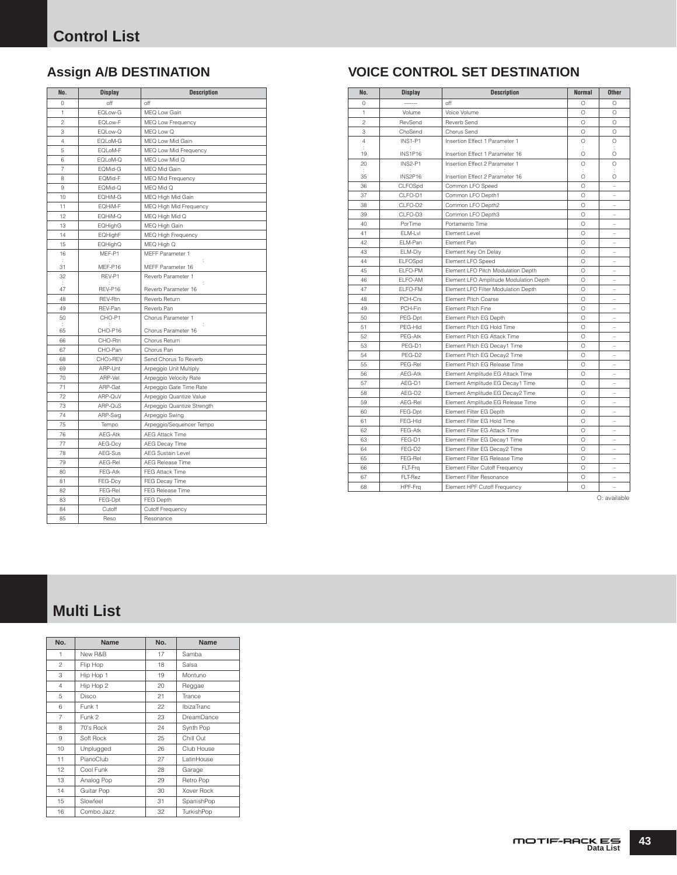| No.            | <b>Display</b> | <b>Description</b>         |
|----------------|----------------|----------------------------|
| 0              | off            | off                        |
| 1              | EQLow-G        | MEQ Low Gain               |
| $\mathfrak{p}$ | EQLow-F        | MEQ Low Frequency          |
| 3              | EQLow-Q        | MEQ Low Q                  |
| 4              | EQLoM-G        | MEQ Low Mid Gain           |
| 5              | EQLoM-F        | MEQ Low Mid Frequency      |
| 6              | EQLoM-Q        | MEQ Low Mid Q              |
| $\overline{7}$ | EQMid-G        | MEQ Mid Gain               |
| 8              | EQMid-F        | <b>MEQ Mid Frequency</b>   |
| 9              | EQMid-Q        | MEQ Mid Q                  |
| 10             | EQHIM-G        | MEQ High Mid Gain          |
| 11             | EQHIM-F        | MEQ High Mid Frequency     |
| 12             | EQHIM-Q        | MEQ High Mid Q             |
| 13             | EQHighG        | MEQ High Gain              |
| 14             | EQHighF        | <b>MEQ High Frequency</b>  |
| 15             | EQHighQ        | MEQ High Q                 |
| 16             | MEF-P1         | MEFF Parameter 1           |
| 31             | MEF-P16        | MEFF Parameter 16          |
| 32             | REV-P1         | Reverb Parameter 1         |
| ÷<br>47        | REV-P16        | ÷<br>Reverb Parameter 16   |
| 48             | <b>REV-Rtn</b> | Reverb Return              |
| 49             | REV-Pan        | Reverb Pan                 |
| 50             | CHO-P1         | Chorus Parameter 1         |
| 65             | CHO-P16        | Chorus Parameter 16        |
| 66             | CHO-Rtn        | Chorus Return              |
| 67             | CHO-Pan        | Chorus Pan                 |
| 68             | CHO>REV        | Send Chorus To Reverb      |
| 69             | ARP-Unt        | Arpeggio Unit Multiply     |
| 70             | ARP-Vel        | Arpeggio Velocity Rate     |
| 71             | ARP-Gat        | Arpeggio Gate Time Rate    |
| 72             | ARP-QuV        | Arpeggio Quantize Value    |
| 73             | ARP-QuS        | Arpeggio Quantize Strength |
| 74             | ARP-Swg        | Arpeggio Swing             |
| 75             | Tempo          | Arpeggio/Sequencer Tempo   |
| 76             | AEG-Atk        | <b>AEG Attack Time</b>     |
| 77             | AEG-Dcy        | AEG Decay Time             |
| 78             | AEG-Sus        | <b>AEG Sustain Level</b>   |
| 79             | AEG-Rel        | <b>AEG Release Time</b>    |
| 80             | FEG-Atk        | FEG Attack Time            |
| 81             | FEG-Dcy        | FEG Decay Time             |
| 82             | FEG-Rel        | FEG Release Time           |
| 83             | FEG-Dpt        | FEG Depth                  |
| 84             | Cutoff         | Cutoff Frequency           |
| 85             | Reso           | Resonance                  |

# **Assign A/B DESTINATION VOICE CONTROL SET DESTINATION**

| No.            | <b>Display</b> | <b>Description</b>                     | <b>Normal</b> | <b>Other</b> |
|----------------|----------------|----------------------------------------|---------------|--------------|
| 0              |                | off                                    | $\bigcirc$    | O            |
| $\mathbf{1}$   | Volume         | Voice Volume                           | $\bigcirc$    | $\bigcirc$   |
| $\overline{c}$ | RevSend        | Reverb Send                            | $\circ$       | $\bigcirc$   |
| 3              | ChoSend        | Chorus Send                            | $\circ$       | $\circ$      |
| $\overline{4}$ | INS1-P1        | Insertion Effect 1 Parameter 1         | $\bigcirc$    | $\circ$      |
| ÷<br>19        | INS1P16        | Insertion Effect 1 Parameter 16        | ÷<br>$\circ$  | ÷<br>O       |
| 20             | INS2-P1        | Insertion Effect 2 Parameter 1         | $\circ$       | $\circ$      |
| ÷              |                |                                        | ÷             | ÷            |
| 35             | INS2P16        | Insertion Effect 2 Parameter 16        | $\circ$       | O            |
| 36             | CLFOSpd        | Common LFO Speed                       | $\Omega$      |              |
| 37             | CLFO-D1        | Common LFO Depth1                      | $\bigcirc$    |              |
| 38             | CLFO-D2        | Common LFO Depth2                      | $\circ$       |              |
| 39             | CLFO-D3        | Common LFO Depth3                      | $\bigcirc$    |              |
| 40             | PorTime        | Portamento Time                        | $\bigcirc$    |              |
| 41             | ELM-Lvl        | Element Level                          | $\bigcirc$    | -            |
| 42             | ELM-Pan        | Element Pan                            | $\bigcirc$    | ۳            |
| 43             | ELM-Dly        | Element Key On Delay                   | $\bigcirc$    |              |
| 44             | ELFOSpd        | Element LFO Speed                      | $\bigcirc$    | ۳            |
| 45             | ELFO-PM        | Element LFO Pitch Modulation Depth     | $\bigcirc$    |              |
| 46             | ELFO-AM        | Element LFO Amplitude Modulation Depth | $\circ$       | ۳            |
| 47             | ELFO-FM        | Element LFO Filter Modulation Depth    | $\bigcirc$    |              |
| 48             | PCH-Crs        | Element Pitch Coarse                   | $\bigcirc$    | ÷,           |
| 49             | PCH-Fin        | Element Pitch Fine                     | O             |              |
| 50             | PEG-Dpt        | Element Pitch EG Depth                 | $\bigcirc$    |              |
| 51             | PEG-HId        | Element Pitch EG Hold Time             | $\bigcirc$    | L,           |
| 52             | PEG-Atk        | Element Pitch EG Attack Time           | $\circ$       | ۳            |
| 53             | PEG-D1         | Element Pitch EG Decay1 Time           | $\bigcirc$    | -            |
| 54             | PEG-D2         | Element Pitch EG Decay2 Time           | $\bigcirc$    |              |
| 55             | PEG-Rel        | Element Pitch EG Release Time          | O             |              |
| 56             | AEG-Atk        | Element Amplitude EG Attack Time       | $\circ$       |              |
| 57             | AEG-D1         | Element Amplitude EG Decay1 Time       | $\bigcirc$    |              |
| 58             | AEG-D2         | Element Amplitude EG Decay2 Time       | $\bigcirc$    | $\equiv$     |
| 59             | AEG-Rel        | Element Amplitude EG Release Time      | $\circ$       | ۳            |
| 60             | FEG-Dpt        | Element Filter EG Depth                | $\bigcirc$    | L.           |
| 61             | FEG-HId        | Element Filter EG Hold Time            | $\circ$       |              |
| 62             | FEG-Atk        | Element Filter EG Attack Time          | O             |              |
| 63             | FEG-D1         | Element Filter EG Decay1 Time          | $\bigcirc$    |              |
| 64             | FEG-D2         | Element Filter EG Decay2 Time          | $\bigcirc$    |              |
| 65             | FEG-Rel        | Element Filter EG Release Time         | $\circ$       | -            |
| 66             | FLT-Frg        | Element Filter Cutoff Frequency        | $\Omega$      | ۳            |
| 67             | FLT-Rez        | Element Filter Resonance               | O             |              |
| 68             | HPF-Frq        | Element HPF Cutoff Frequency           | $\circ$       | L.           |

O: available

# **Multi List**

| No.            | <b>Name</b> | No. | Name              |
|----------------|-------------|-----|-------------------|
| 1              | New R&B     | 17  | Samba             |
| $\overline{c}$ | Flip Hop    | 18  | Salsa             |
| 3              | Hip Hop 1   | 19  | Montuno           |
| $\overline{4}$ | Hip Hop 2   | 20  | Reggae            |
| 5              | Disco       | 21  | Trance            |
| 6              | Funk 1      | 22  | IbizaTranc        |
| $\overline{7}$ | Funk 2      | 23  | DreamDance        |
| 8              | 70's Rock   | 24  | Synth Pop         |
| 9              | Soft Rock   | 25  | Chill Out         |
| 10             | Unplugged   | 26  | Club House        |
| 11             | PianoClub   | 27  | LatinHouse        |
| 12             | Cool Funk   | 28  | Garage            |
| 13             | Analog Pop  | 29  | Retro Pop         |
| 14             | Guitar Pop  | 30  | <b>Xover Rock</b> |
| 15             | Slowfeel    | 31  | SpanishPop        |
| 16             | Combo Jazz  | 32  | TurkishPop        |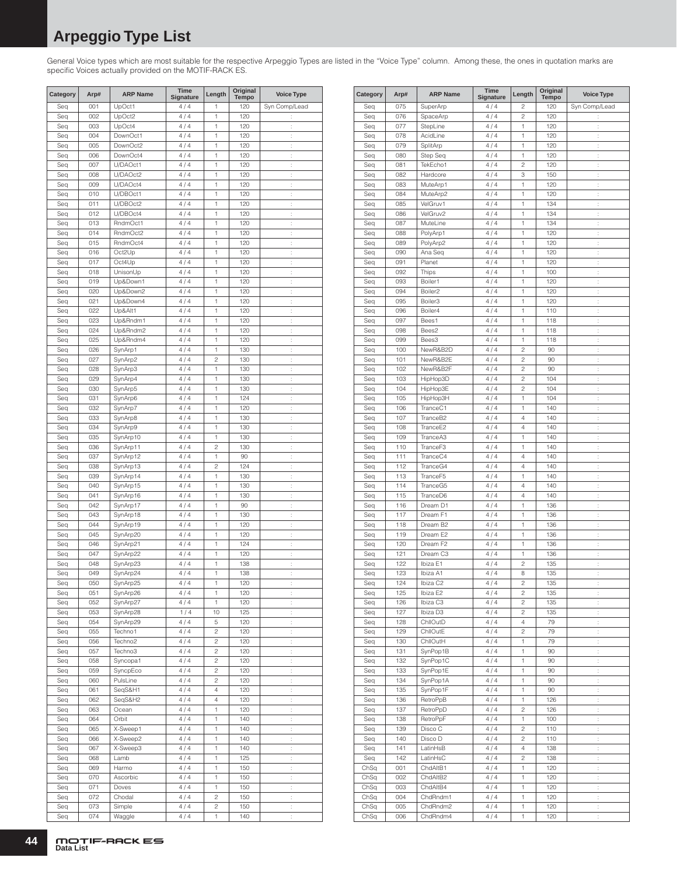# **Arpeggio Type List**

General Voice types which are most suitable for the respective Arpeggio Types are listed in the "Voice Type" column. Among these, the ones in quotation marks are specific Voices actually provided on the MOTIF-RACK ES.

| Category   | Arp#       | <b>ARP Name</b>      | Time<br><b>Signature</b> | Length                  | Original<br><b>Tempo</b> | <b>Voice Type</b>    |
|------------|------------|----------------------|--------------------------|-------------------------|--------------------------|----------------------|
| Seq        | 001        | UpOct1               | 4/4                      | 1                       | 120                      | Syn Comp/Lead        |
| Seq        | 002        | UpOct2               | 4/4                      | 1                       | 120                      | t,                   |
| Seq        | 003        | UpOct4               | 4/4                      | 1                       | 120                      | $\vdots$             |
| Seq        | 004        | DownOct1             | 4/4                      | 1                       | 120                      | t,                   |
| Seq        | 005        | DownOct2             | 4/4                      | 1                       | 120                      | $\vdots$             |
| Seq        | 006        | DownOct4             | 4/4                      | 1                       | 120                      | $\vdots$             |
| Seq        | 007        | U/DAOct1             | 4/4                      | 1                       | 120                      | $\vdots$             |
| Seq        | 008        | U/DAOct2             | 4/4                      | 1                       | 120                      | Ì                    |
| Seq        | 009        | U/DAOct4             | 4/4                      | 1                       | 120                      | $\ddot{\phantom{a}}$ |
| Seq        | 010        | U/DBOct1             | 4/4                      | 1                       | 120                      | $\vdots$             |
| Seq        | 011<br>012 | U/DBOct2<br>U/DBOct4 | 4/4                      | 1<br>1                  | 120<br>120               | ÷                    |
| Seq<br>Seq | 013        | RndmOct1             | 4/4<br>4/4               | 1                       | 120                      | $\vdots$<br>÷        |
| Seq        | 014        | RndmOct2             | 4/4                      | 1                       | 120                      | $\vdots$             |
| Seq        | 015        | RndmOct4             | 4/4                      | 1                       | 120                      | t.                   |
| Seq        | 016        | Oct2Up               | 4/4                      | 1                       | 120                      | t,                   |
| Seq        | 017        | Oct4Up               | 4/4                      | 1                       | 120                      | ł.                   |
| Seq        | 018        | UnisonUp             | 4/4                      | 1                       | 120                      | $\vdots$             |
| Seq        | 019        | Up&Down1             | 4/4                      | 1                       | 120                      | t,                   |
| Seq        | 020        | Up&Down2             | 4/4                      | 1                       | 120                      | $\ddot{\phantom{a}}$ |
| Seq        | 021        | Up&Down4             | 4/4                      | 1                       | 120                      | $\vdots$             |
| Seq        | 022        | Up&Alt1              | 4/4                      | 1                       | 120                      | $\vdots$             |
| Seq        | 023        | Up&Rndm1             | 4/4                      | 1                       | 120                      | Ì                    |
| Seq        | 024        | Up&Rndm2             | 4/4                      | 1                       | 120                      | $\ddot{\phantom{a}}$ |
| Seq        | 025        | Up&Rndm4             | 4/4                      | 1                       | 120                      | $\vdots$             |
| Seq        | 026        | SynArp1              | 4/4                      | 1                       | 130                      | ÷                    |
| Seq        | 027        | SynArp2              | 4/4                      | $\overline{c}$          | 130                      | $\vdots$             |
| Seq        | 028        | SynArp3              | 4/4                      | 1                       | 130                      | ÷                    |
| Seq        | 029        | SynArp4              | 4/4                      | 1                       | 130                      | t                    |
| Seq        | 030        | SynArp5              | 4/4                      | 1                       | 130                      | t.                   |
| Seq        | 031        | SynArp6              | 4/4                      | 1                       | 124                      | t,                   |
| Seq        | 032        | SynArp7              | 4/4                      | 1                       | 120                      | ł.                   |
| Seq        | 033        | SynArp8              | 4/4                      | 1                       | 130                      | Ì.                   |
| Seq        | 034        | SynArp9              | 4/4                      | 1<br>1                  | 130                      | t,                   |
| Seq<br>Seq | 035<br>036 | SynArp10             | 4/4<br>4/4               | $\overline{c}$          | 130<br>130               | $\ddot{\phantom{a}}$ |
| Seq        | 037        | SynArp11<br>SynArp12 | 4/4                      | 1                       | 90                       | Ì.<br>$\vdots$       |
| Seq        | 038        | SynArp13             | 4/4                      | $\overline{c}$          | 124                      | Ì                    |
| Seq        | 039        | SynArp14             | 4/4                      | 1                       | 130                      | $\ddot{\phantom{a}}$ |
| Seq        | 040        | SynArp15             | 4/4                      | 1                       | 130                      | $\vdots$             |
| Seq        | 041        | SynArp16             | 4/4                      | 1                       | 130                      | ÷                    |
| Seq        | 042        | SynArp17             | 4/4                      | 1                       | 90                       | $\vdots$             |
| Seq        | 043        | SynArp18             | 4/4                      | 1                       | 130                      | ÷                    |
| Seq        | 044        | SynArp19             | 4/4                      | 1                       | 120                      | İ.                   |
| Seq        | 045        | SynArp20             | 4/4                      | 1                       | 120                      | t.                   |
| Seq        | 046        | SynArp21             | 4/4                      | 1                       | 124                      | t,                   |
| Seq        | 047        | SynArp22             | 4/4                      | 1                       | 120                      | ł.                   |
| Seq        | 048        | SynArp23             | 4/4                      | 1                       | 138                      | t,                   |
| Seq        | 049        | SynArp24             | 4/4                      | 1                       | 138                      | $\ddot{\phantom{a}}$ |
| Seq        | 050        | SynArp25             | 4/4                      | 1                       | 120                      |                      |
| Seq        | 051        | SynArp26             | 4/4                      | 1                       | 120                      | Ì,                   |
| Seq        | 052        | SynArp27             | 4/4                      | 1                       | 120                      | t,                   |
| Seq        | 053        | SynArp28             | 1/4                      | 10                      | 125                      | Ì,                   |
| Seq<br>Seq | 054<br>055 | SynArp29<br>Techno1  | 4/4<br>4/4               | 5<br>$\overline{c}$     | 120<br>120               | t,<br>t,             |
| Seq        | 056        | Techno <sub>2</sub>  | 4/4                      | $\overline{\mathbf{c}}$ | 120                      | t,                   |
| Seq        | 057        | Techno3              | 4/4                      | 2                       | 120                      | t,                   |
| Seq        | 058        | Syncopa1             | 4/4                      | $\overline{c}$          | 120                      | ł.                   |
| Seq        | 059        | SyncpEco             | 4/4                      | 2                       | 120                      | t,                   |
| Seq        | 060        | PulsLine             | 4/4                      | 2                       | 120                      | ł.                   |
| Seq        | 061        | SeqS&H1              | 4/4                      | 4                       | 120                      | t,                   |
| Seq        | 062        | SeqS&H2              | 4/4                      | 4                       | 120                      | ÷.                   |
| Seq        | 063        | Ocean                | 4/4                      | 1                       | 120                      | ţ.                   |
| Seq        | 064        | Orbit                | 4/4                      | 1                       | 140                      | t,                   |
| Seq        | 065        | X-Sweep1             | 4/4                      | 1                       | 140                      | t,                   |
| Seq        | 066        | X-Sweep2             | 4/4                      | 1                       | 140                      | t,                   |
| Seq        | 067        | X-Sweep3             | 4/4                      | 1                       | 140                      | t,                   |
| Seq        | 068        | Lamb                 | 4/4                      | 1                       | 125                      | Ì,                   |
| Seq        | 069        | Harmo                | 4/4                      | 1                       | 150                      | t,                   |
| Seq        | 070        | Ascorbic             | 4/4                      | 1                       | 150                      | t,                   |
| Seq        | 071        | Doves                | 4/4                      | 1                       | 150                      | t,                   |
| Seq        | 072        | Chodal               | 4/4                      | 2                       | 150                      | ţ.                   |
| Seq        | 073        | Simple               | 4/4                      | 2                       | 150                      | ł.                   |
| Seq        | 074        | Waggle               | 4/4                      | 1                       | 140                      | $\vdots$             |

| Category   | Arp#       | <b>ARP Name</b>      | Time<br>Signature | Length              | Original<br><b>Tempo</b> | <b>Voice Type</b>    |
|------------|------------|----------------------|-------------------|---------------------|--------------------------|----------------------|
| Seq        | 075        | SuperArp             | 4/4               | $\overline{c}$      | 120                      | Syn Comp/Lead        |
| Seq        | 076        | SpaceArp             | 4/4               | $\overline{c}$      | 120                      | $\ddot{\phantom{a}}$ |
| Seq        | 077        | StepLine             | 4/4               | 1                   | 120                      | t                    |
| Seq        | 078        | AcidLine             | 4/4               | 1                   | 120                      | ÷                    |
| Seq        | 079        | SplitArp             | 4/4<br>4/4        | 1                   | 120                      | t                    |
| Seq<br>Seq | 080<br>081 | Step Seq<br>TekEcho1 | 4/4               | 1<br>$\overline{c}$ | 120<br>120               | t<br>ł.              |
| Seq        | 082        | Hardcore             | 4/4               | 3                   | 150                      | İ,                   |
| Seq        | 083        | MuteArp1             | 4/4               | 1                   | 120                      | t                    |
| Seq        | 084        | MuteArp2             | 4/4               | 1                   | 120                      | $\ddot{\phantom{a}}$ |
| Seq        | 085        | VelGruv1             | 4/4               | 1                   | 134                      | ÷                    |
| Seq        | 086        | VelGruv2             | 4/4               | 1                   | 134                      | $\ddot{\phantom{a}}$ |
| Seq        | 087        | MuteLine             | 4/4               | 1                   | 134                      | ÷                    |
| Seq        | 088        | PolyArp1             | 4/4               | 1                   | 120                      | t                    |
| Seq        | 089<br>090 | PolyArp2             | 4/4<br>4/4        | 1<br>1              | 120<br>120               | ÷                    |
| Seq<br>Seq | 091        | Ana Seq<br>Planet    | 4/4               | 1                   | 120                      | t<br>t               |
| Seq        | 092        | <b>Thips</b>         | 4/4               | 1                   | 100                      | t                    |
| Seq        | 093        | Boiler1              | 4/4               | 1                   | 120                      | ÷                    |
| Seq        | 094        | Boiler <sub>2</sub>  | 4/4               | 1                   | 120                      | t                    |
| Seq        | 095        | Boiler3              | 4/4               | 1                   | 120                      | t                    |
| Seq        | 096        | Boiler4              | 4/4               | 1                   | 110                      | ł.                   |
| Seq        | 097        | Bees1                | 4/4               | 1                   | 118                      | t                    |
| Seq        | 098        | Bees2                | 4/4               | 1                   | 118                      | t                    |
| Seq        | 099        | Bees3                | 4/4               | 1                   | 118                      | $\ddot{\phantom{a}}$ |
| Seq        | 100        | NewR&B2D             | 4/4               | $\overline{c}$      | 90                       | ÷                    |
| Seq        | 101        | NewR&B2E             | 4/4               | $\overline{c}$      | 90                       | $\ddot{\phantom{a}}$ |
| Seq        | 102        | NewR&B2F             | 4/4               | $\overline{c}$      | 90                       | ÷                    |
| Seq        | 103        | HipHop3D             | 4/4               | $\overline{c}$      | 104                      | ÷                    |
| Seq        | 104<br>105 | HipHop3E             | 4/4<br>4/4        | $\overline{c}$<br>1 | 104<br>104               | ÷                    |
| Seq        | 106        | HipHop3H<br>TranceC1 | 4/4               | 1                   | 140                      | t<br>t               |
| Seq<br>Seq | 107        | TranceB2             | 4/4               | $\overline{4}$      | 140                      | t                    |
| Seq        | 108        | TranceE2             | 4/4               | $\overline{4}$      | 140                      | ÷                    |
| Seq        | 109        | TranceA3             | 4/4               | 1                   | 140                      | t                    |
| Seq        | 110        | TranceF3             | 4/4               | 1                   | 140                      | t                    |
| Seq        | 111        | TranceC4             | 4/4               | 4                   | 140                      | ł.                   |
| Seq        | 112        | TranceG4             | 4/4               | $\overline{4}$      | 140                      | t                    |
| Seq        | 113        | TranceF5             | 4/4               | 1                   | 140                      | t                    |
| Seq        | 114        | TranceG5             | 4/4               | $\overline{4}$      | 140                      | $\ddot{\phantom{a}}$ |
| Seq        | 115        | TranceD6             | 4/4               | $\overline{4}$      | 140                      | ÷                    |
| Seq        | 116        | Dream D1             | 4/4               | 1                   | 136                      | $\ddot{\phantom{a}}$ |
| Seq        | 117        | Dream F1             | 4/4               | 1                   | 136                      | ÷                    |
| Seq        | 118<br>119 | Dream B2<br>Dream E2 | 4/4               | 1<br>1              | 136                      | ÷                    |
| Seq<br>Seq | 120        | Dream F <sub>2</sub> | 4/4<br>4/4        | 1                   | 136<br>136               | ÷<br>t               |
| Seq        | 121        | Dream C3             | 4/4               | 1                   | 136                      | t                    |
| Seq        | 122        | Ibiza E1             | 4/4               | $\overline{c}$      | 135                      | t                    |
| Seq        | 123        | Ibiza A1             | 4/4               | 8                   | 135                      | ÷                    |
| Seq        | 124        | Ibiza C2             | 4/4               | 2                   | 135                      | t                    |
| Seq        | 125        | Ibiza E2             | 4/4               | 2                   | 135                      | ł.                   |
| Seq        | 126        | Ibiza C3             | 4/4               | 2                   | 135                      | ÷.                   |
| Seq        | 127        | Ibiza D3             | 4/4               | $\overline{c}$      | 135                      | $\ddot{\cdot}$       |
| Seq        | 128        | ChllOutD             | 4/4               | 4                   | 79                       | ÷.                   |
| Seq        | 129        | ChllOutE             | 4/4               | $\overline{c}$      | 79                       | t,                   |
| Seq        | 130        | ChllOutH             | 4/4               | 1                   | 79                       | ł.                   |
| Seq        | 131        | SynPop1B             | 4/4               | 1                   | 90                       | t,                   |
| Seq        | 132        | SynPop1C             | 4/4               | 1                   | 90                       | ł.                   |
| Seq        | 133<br>134 | SynPop1E<br>SynPop1A | 4/4<br>4/4        | 1<br>1              | 90<br>90                 | t,                   |
| Seq<br>Seq | 135        | SynPop1F             | 4/4               | 1                   | 90                       | t,<br>ţ.             |
| Seq        | 136        | RetroPpB             | 4/4               | 1                   | 126                      | t,                   |
| Seq        | 137        | RetroPpD             | 4/4               | $\overline{c}$      | 126                      | ÷.                   |
| Seq        | 138        | RetroPpF             | 4/4               | 1                   | 100                      | ł.                   |
| Seq        | 139        | Disco C              | 4/4               | 2                   | 110                      | ÷.                   |
| Seq        | 140        | Disco D              | 4/4               | 2                   | 110                      | ł.                   |
| Seq        | 141        | LatinHsB             | 4/4               | 4                   | 138                      | ÷.                   |
| Seq        | 142        | LatinHsC             | 4/4               | 2                   | 138                      | t,                   |
| ChSq       | 001        | ChdAltB1             | 4/4               | 1                   | 120                      | ł,                   |
| ChSq       | 002        | ChdAltB2             | 4/4               | 1                   | 120                      | t,                   |
| ChSq       | 003        | ChdAltB4             | 4/4               | 1                   | 120                      | ł.                   |
| ChSq       | 004        | ChdRndm1             | 4/4               | 1                   | 120                      | t,                   |
| ChSq       | 005        | ChdRndm2             | 4/4               | 1                   | 120                      | ł,                   |
| ChSq       | 006        | ChdRndm4             | 4/4               | 1                   | 120                      | t,                   |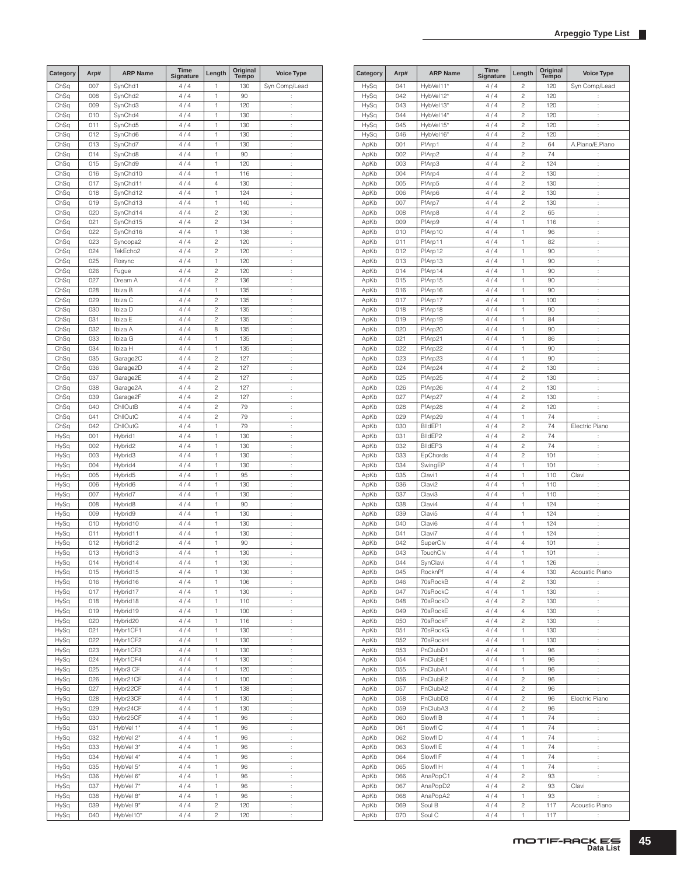| Category | Arp#       | <b>ARP Name</b> | Time<br>Signature | Length         | Original<br><b>Tempo</b> | <b>Voice Type</b>    |
|----------|------------|-----------------|-------------------|----------------|--------------------------|----------------------|
| ChSq     | 007        | SynChd1         | 4/4               | 1              | 130                      | Syn Comp/Lead        |
| ChSq     | 008        | SynChd2         | 4/4               | 1              | 90                       | t                    |
| ChSq     | 009        | SynChd3         | 4/4               | 1              | 120                      | t                    |
| ChSq     | 010        | SynChd4         | 4/4               | 1              | 130                      | ÷                    |
| ChSq     | 011        | SynChd5         | 4/4               | 1              | 130                      | ÷                    |
| ChSq     | 012        | SynChd6         | 4/4               | 1              | 130                      | ÷                    |
| ChSq     | 013        | SynChd7         | 4/4               | 1              | 130                      | ÷                    |
| ChSq     | 014        | SynChd8         | 4/4               | 1              | 90                       | $\ddot{\cdot}$       |
| ChSq     | 015        | SynChd9         | 4/4               | 1              | 120                      | ÷                    |
| ChSq     | 016        | SynChd10        | 4/4               | 1              | 116                      | Ì,                   |
| ChSq     | 017        | SynChd11        | 4/4               | $\overline{4}$ | 130                      | ÷                    |
| ChSq     | 018        | SynChd12        | 4/4               | 1              | 124                      | $\vdots$             |
| ChSq     | 019        | SynChd13        | 4/4               | 1              | 140                      | ÷                    |
| ChSq     | 020        | SynChd14        | 4/4               | $\overline{c}$ | 130                      | ÷                    |
| ChSq     | 021        | SynChd15        | 4/4               | $\overline{c}$ | 134                      | ÷                    |
| ChSq     | 022        | SynChd16        | 4/4               | 1              | 138                      | t                    |
| ChSq     | 023        | Syncopa2        | 4/4               | $\overline{c}$ | 120                      | ÷                    |
| ChSq     | 024        | TekEcho2        | 4/4               | $\overline{c}$ | 120                      | ÷                    |
| ChSq     | 025        | Rosync          | 4/4               | $\mathbf{1}$   | 120                      | ÷                    |
| ChSq     | 026        | Fugue           | 4/4               | $\overline{c}$ | 120                      | ÷                    |
| ChSq     | 027        | Dream A         | 4/4               | $\overline{c}$ | 136                      | ÷                    |
| ChSq     | 028        | Ibiza B         | 4/4               | 1              | 135                      | ÷                    |
| ChSq     | 029        | Ibiza C         | 4/4               | $\overline{c}$ | 135                      | $\ddot{\cdot}$       |
| ChSq     | 030        | Ibiza D         | 4/4               | $\overline{c}$ | 135                      | ÷                    |
| ChSq     | 031        | Ibiza E         | 4/4               | $\overline{c}$ | 135                      | Ì,                   |
| ChSq     | 032        | Ibiza A         | 4/4               | 8              | 135                      | ÷                    |
| ChSq     | 033        | Ibiza G         | 4/4               | 1              | 135                      | $\vdots$             |
| ChSq     | 034        | Ibiza H         | 4/4               | 1              | 135                      | ÷                    |
| ChSq     | 035        | Garage2C        | 4/4               | $\overline{c}$ | 127                      | ÷                    |
| ChSq     | 036        | Garage2D        | 4/4               | $\overline{c}$ | 127                      | ÷                    |
| ChSq     | 037        | Garage2E        | 4/4               | $\overline{c}$ | 127                      | t                    |
| ChSq     | 038        | Garage2A        | 4/4               | $\overline{c}$ | 127                      | ÷                    |
| ChSq     | 039        | Garage2F        | 4/4               | $\overline{c}$ | 127                      | ÷                    |
| ChSq     | 040        | ChllOutB        | 4/4               | $\overline{c}$ | 79                       | ÷                    |
| ChSq     | 041        | ChllOutC        | 4/4               | $\overline{c}$ | 79                       | ÷                    |
| ChSq     | 042        | ChllOutG        | 4/4               | 1              | 79                       | ÷                    |
| HySq     | 001        | Hybrid1         | 4/4               | 1              | 130                      | ÷                    |
|          | 002        |                 | 4/4               | 1              | 130                      |                      |
| HySq     | 003        | Hybrid2         |                   | 1              | 130                      | $\ddot{\cdot}$       |
| HySq     |            | Hybrid3         | 4/4               |                |                          | Ì,                   |
| HySq     | 004        | Hybrid4         | 4/4               | 1              | 130                      | Ì,                   |
| HySq     | 005        | Hybrid5         | 4/4               | 1              | 95                       | ÷                    |
| HySq     | 006        | Hybrid6         | 4/4               | 1              | 130                      | $\vdots$             |
| HySq     | 007        | Hybrid7         | 4/4               | 1<br>1         | 130<br>90                | ÷                    |
| HySq     | 008        | Hybrid8         | 4/4               | 1              |                          | $\vdots$             |
| HySq     | 009        | Hybrid9         | 4/4               |                | 130                      | ÷                    |
| HySq     | 010        | Hybrid10        | 4/4               | 1              | 130                      | Ì,                   |
| HySq     | 011<br>012 | Hybrid11        | 4/4               | 1              | 130                      | ł.                   |
| HySq     |            | Hybrid12        | 4/4               | 1              | 90                       | t                    |
| HySq     | 013        | Hybrid13        | 4/4               | 1              | 130                      | ÷                    |
| HySq     | 014        | Hybrid 14       | 4/4               | 1              | 130                      |                      |
| HySq     | 015        | Hybrid15        | 4/4               | 1              | 130                      | ÷                    |
| HySq     | 016        | Hybrid16        | 4/4               | 1              | 106                      | $\ddot{\cdot}$       |
| HySq     | 017        | Hybrid17        | 4/4               | 1              | 130                      | ÷.                   |
| HySq     | 018        | Hybrid18        | 4/4               | 1              | 110                      | ÷                    |
| HySq     | 019        | Hybrid19        | 4/4               | 1              | 100                      | $\ddot{\cdot}$       |
| HySq     | 020        | Hybrid20        | 4/4               | 1              | 116                      | ÷                    |
| HySq     | 021        | Hybr1CF1        | 4/4               | 1              | 130                      | $\ddot{\cdot}$       |
| HySq     | 022        | Hybr1CF2        | 4/4               | 1              | 130                      | ÷                    |
| HySq     | 023        | Hybr1CF3        | 4/4               | 1              | 130                      | ţ.                   |
| HySq     | 024        | Hybr1CF4        | 4/4               | 1              | 130                      | ÷                    |
| HySq     | 025        | Hybr3 CF        | 4/4               | 1              | 120                      | ţ.                   |
| HySq     | 026        | Hybr21CF        | 4/4               | 1              | 100                      | ÷                    |
| HySq     | 027        | Hybr22CF        | 4/4               | 1              | 138                      | $\ddot{\phantom{a}}$ |
| HySq     | 028        | Hybr23CF        | 4/4               | 1              | 130                      | ÷                    |
| HySq     | 029        | Hybr24CF        | 4/4               | 1              | 130                      | ÷                    |
| HySq     | 030        | Hybr25CF        | 4/4               | 1              | 96                       | ÷.                   |
| HySq     | 031        | HybVel 1*       | 4/4               | 1              | 96                       | $\ddot{\cdot}$       |
| HySq     | 032        | HybVel 2*       | 4/4               | 1              | 96                       | ÷.                   |
| HySq     | 033        | HybVel 3*       | 4/4               | 1              | 96                       | ÷                    |
| HySq     | 034        | HybVel 4*       | 4/4               | 1              | 96                       | $\ddot{\cdot}$       |
| HySq     | 035        | HybVel 5*       | 4/4               | 1              | 96                       | ÷                    |
| HySq     | 036        | HybVel 6*       | 4/4               | 1              | 96                       | $\ddot{\cdot}$       |
| HySq     | 037        | HybVel 7*       | 4/4               | 1              | 96                       | ÷                    |
| HySq     | 038        | HybVel 8*       | 4/4               | 1              | 96                       | ţ.                   |
| HySq     | 039        | HybVel 9*       | 4/4               | $\mathbf{2}$   | 120                      | ÷.                   |
| HySq     | 040        | HybVel10*       | 4/4               | $\overline{c}$ | 120                      | $\ddot{\phantom{a}}$ |

| Category | Arp# | <b>ARP Name</b>    | Time<br>Signature | Length                  | Original<br>Tempo | <b>Voice Type</b> |
|----------|------|--------------------|-------------------|-------------------------|-------------------|-------------------|
| HySq     | 041  | HybVel11*          | 4/4               | 2                       | 120               | Syn Comp/Lead     |
| HySq     | 042  | HybVel12*          | 4/4               | $\overline{c}$          | 120               |                   |
| HySq     | 043  | HybVel13*          | 4/4               | $\overline{c}$          | 120               | ÷                 |
| HySq     | 044  | HybVel14*          | 4/4               | $\overline{c}$          | 120               | ÷                 |
| HySq     | 045  | HybVel15*          | 4/4               | $\overline{c}$          | 120               | ÷                 |
| HySq     | 046  | HybVel16*          | 4/4               | $\overline{c}$          | 120               | ÷                 |
| ApKb     | 001  | PfArp1             | 4/4               | $\overline{\mathbf{c}}$ | 64                | A.Piano/E.Piano   |
|          |      |                    |                   |                         |                   |                   |
| ApKb     | 002  | PfArp2             | 4/4               | $\overline{c}$          | 74                | ÷                 |
| ApKb     | 003  | PfArp3             | 4/4               | $\overline{c}$          | 124               | t,                |
| ApKb     | 004  | PfArp4             | 4/4               | $\overline{c}$          | 130               | t                 |
| ApKb     | 005  | PfArp5             | 4/4               | $\overline{c}$          | 130               | ł,                |
| ApKb     | 006  | PfArp6             | 4 / 4             | $\overline{c}$          | 130               | t                 |
| ApKb     | 007  | PfArp7             | 4/4               | $\overline{c}$          | 130               | t                 |
| ApKb     | 008  | PfArp8             | 4/4               | $\overline{\mathbf{c}}$ | 65                | t                 |
| ApKb     | 009  | PfArp9             | 4/4               | 1                       | 116               | t                 |
| ApKb     | 010  | PfArp10            | 4/4               | 1                       | 96                | ÷                 |
| ApKb     | 011  | PfArp11            | 4/4               | 1                       | 82                | ÷                 |
| ApKb     | 012  | PfArp12            | 4/4               | 1                       | 90                | ÷                 |
| ApKb     | 013  | PfArp13            | 4/4               | 1                       | 90                | ÷                 |
| ApKb     | 014  | PfArp14            | 4/4               | 1                       | 90                | ÷                 |
|          |      |                    | 4/4               | 1                       | 90                |                   |
| ApKb     | 015  | PfArp15            |                   |                         |                   | t                 |
| ApKb     | 016  | PfArp16            | 4/4               | 1                       | 90                | ł.                |
| ApKb     | 017  | PfArp17            | 4/4               | 1                       | 100               | ÷                 |
| ApKb     | 018  | PfArp18            | 4/4               | 1                       | 90                | t,                |
| ApKb     | 019  | PfArp19            | 4/4               | 1                       | 84                | t                 |
| ApKb     | 020  | PfArp20            | 4/4               | 1                       | 90                | ł,                |
| ApKb     | 021  | PfArp21            | 4/4               | 1                       | 86                | t                 |
| ApKb     | 022  | PfArp22            | 4/4               | 1                       | 90                | t                 |
| ApKb     | 023  | PfArp23            | 4/4               | 1                       | 90                | t                 |
| ApKb     | 024  | PfArp24            | 4/4               | $\overline{\mathbf{c}}$ | 130               | İ,                |
| ApKb     | 025  | PfArp25            | 4/4               | $\overline{c}$          | 130               | ÷                 |
| ApKb     | 026  | PfArp26            | 4/4               | $\overline{c}$          | 130               | ÷                 |
| ApKb     | 027  | PfArp27            | 4/4               | $\overline{c}$          | 130               | ÷                 |
|          |      |                    |                   |                         |                   |                   |
| ApKb     | 028  | PfArp28            | 4/4               | $\overline{c}$          | 120               | ÷                 |
| ApKb     | 029  | PfArp29            | 4/4               | 1                       | 74                | ÷                 |
| ApKb     | 030  | BIIdEP1            | 4/4               | $\overline{c}$          | 74                | Electric Piano    |
| ApKb     | 031  | BlidEP2            | 4/4               | $\overline{\mathbf{c}}$ | 74                | t                 |
| ApKb     | 032  | BlldEP3            | 4/4               | $\overline{c}$          | 74                | ÷                 |
| ApKb     | 033  | EpChords           | 4/4               | $\overline{c}$          | 101               | t,                |
| ApKb     | 034  | SwingEP            | 4/4               | 1                       | 101               | t                 |
| ApKb     | 035  | Clavi1             | 4/4               | 1                       | 110               | Clavi             |
| ApKb     | 036  | Clavi2             | 4/4               | 1                       | 110               | ÷                 |
| ApKb     | 037  | Clavi3             | 4/4               | 1                       | 110               | t                 |
| ApKb     | 038  | Clavi4             | 4/4               | 1                       | 124               | t                 |
| ApKb     | 039  | Clavi <sub>5</sub> | 4/4               | 1                       | 124               | İ,                |
| ApKb     | 040  | Clavi6             | 4/4               | 1                       | 124               | t                 |
| ApKb     | 041  | Clavi7             | 4/4               | 1                       | 124               | ÷                 |
|          | 042  |                    | 4/4               | 4                       | 101               |                   |
| ApKb     |      | SuperClv           |                   |                         |                   | ÷                 |
| ApKb     | 043  | TouchClv           | 4/4               | 1                       | 101               | ÷                 |
| ApKb     | 044  | SvnClavi           | 4/4               | 1                       | 126               |                   |
| ApKb     | 045  | RocknPf            | 4/4               | 4                       | 130               | Acoustic Piano    |
| ApKb     | 046  | 70sRockB           | 4/4               | 2                       | 130               | ÷                 |
| ApKb     | 047  | 70sRockC           | 4/4               | 1                       | 130               | ÷                 |
| ApKb     | 048  | 70sRockD           | 4/4               | 2                       | 130               | t,                |
| ApKb     | 049  | 70sRockE           | 4/4               | 4                       | 130               | ţ.                |
| ApKb     | 050  | 70sRockF           | 4/4               | $\overline{c}$          | 130               | t                 |
| ApKb     | 051  | 70sRockG           | 4/4               | 1                       | 130               | ÷                 |
| ApKb     | 052  | 70sRockH           | 4/4               | 1                       | 130               | ÷                 |
| ApKb     | 053  | PnClubD1           | 4/4               | 1                       | 96                | t,                |
| ApKb     | 054  | PnClubE1           | 4/4               | 1                       | 96                | ţ.                |
| ApKb     | 055  | PnClubA1           | 4/4               | 1                       | 96                | ţ.                |
|          |      | PnClubE2           |                   |                         |                   |                   |
| ApKb     | 056  |                    | 4/4               | 2                       | 96                | ÷                 |
| ApKb     | 057  | PnClubA2           | 4/4               | 2                       | 96                | ÷.                |
| ApKb     | 058  | PnClubD3           | 4/4               | 2                       | 96                | Electric Piano    |
| ApKb     | 059  | PnClubA3           | 4/4               | 2                       | 96                | ÷                 |
| ApKb     | 060  | Slowfl B           | 4/4               | 1                       | 74                | t,                |
| ApKb     | 061  | Slowfl C           | 4/4               | 1                       | 74                | t,                |
| ApKb     | 062  | Slowfl D           | 4/4               | 1                       | 74                | ÷.                |
| ApKb     | 063  | Slowfl E           | 4/4               | 1                       | 74                | t,                |
| ApKb     | 064  | Slowfl F           | 4/4               | 1                       | 74                | t,                |
| ApKb     | 065  | Slowfl H           | 4/4               | 1                       | 74                | t,                |
|          |      |                    |                   | $\overline{\mathbf{c}}$ |                   | ÷                 |
| ApKb     | 066  | AnaPopC1           | 4/4               |                         | 93                |                   |
| ApKb     | 067  | AnaPopD2           | 4/4               | 2                       | 93                | Clavi             |
| ApKb     | 068  | AnaPopA2           | 4/4               | 1                       | 93                | ÷                 |
| ApKb     | 069  | Soul B             | 4/4               | 2                       | 117               | Acoustic Piano    |
| ApKb     | 070  | Soul C             | 4 / 4             | 1                       | 117               | ÷                 |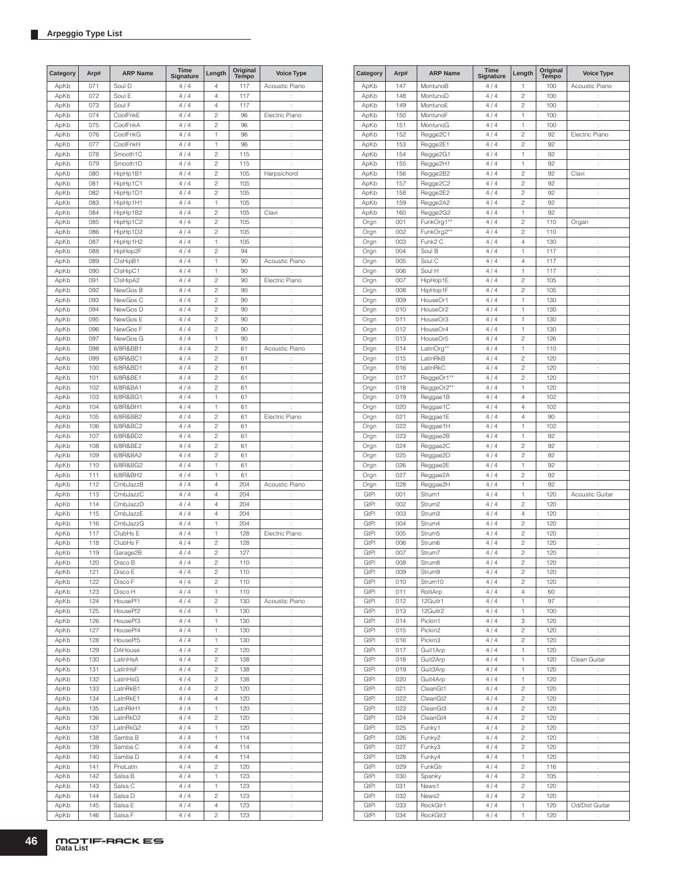| Category | Arp# | <b>ARP Name</b> | Time<br>Signature | Length         | Original<br>Tempo | <b>Voice Type</b>    |
|----------|------|-----------------|-------------------|----------------|-------------------|----------------------|
| ApKb     | 071  | Soul D          | 4/4               | 4              | 117               | Acoustic Piano       |
| ApKb     | 072  | Soul E          | 4/4               | 4              | 117               | ÷                    |
| ApKb     | 073  | Soul F          | 4 / 4             | 4              | 117               | İ.                   |
| ApKb     | 074  | CoolFnkE        | 4/4               | 2              | 96                | Electric Piano       |
| ApKb     | 075  | CoolFnkA        | 4/4               | $\overline{c}$ | 96                | İ.                   |
| ApKb     | 076  | CoolFnkG        | 4/4               | 1              | 96                | ÷                    |
| ApKb     | 077  | CoolFnkH        | 4/4               | 1              | 96                | ÷                    |
| ApKb     | 078  | Smooth1C        | 4/4               | 2              | 115               | ÷                    |
| ApKb     | 079  | Smooth1D        | 4/4               | $\overline{c}$ | 115               | ÷                    |
| ApKb     | 080  | HipHp1B1        | 4/4               | $\overline{c}$ | 105               | Harpsichord          |
| ApKb     | 081  | HipHp1C1        | 4/4               | $\overline{c}$ | 105               | ÷                    |
| ApKb     | 082  | HipHp1D1        | 4/4               | 2              | 105               | ÷                    |
| ApKb     | 083  | HipHp1H1        | 4/4               | 1              | 105               | ţ.                   |
| ApKb     | 084  | HipHp1B2        | 4/4               | $\overline{c}$ | 105               | Clavi                |
| ApKb     | 085  | HipHp1C2        | 4/4               | $\overline{c}$ | 105               | İ.                   |
| ApKb     | 086  | HipHp1D2        | 4/4               | $\overline{c}$ | 105               | $\ddot{\phantom{a}}$ |
| ApKb     | 087  | HipHp1H2        | 4/4               | 1              | 105               | t,                   |
| ApKb     | 088  | HipHop2F        | 4 / 4             | $\overline{c}$ | 94                | ÷                    |
| ApKb     | 089  | ClsHipB1        | 4/4               | 1              | 90                | Acoustic Piano       |
| ApKb     | 090  | ClsHipC1        | 4/4               | 1              | 90                | t                    |
|          | 091  | ClsHipA2        | 4/4               | $\overline{c}$ | 90                | Electric Piano       |
| ApKb     |      | NewGos B        |                   | $\overline{c}$ |                   |                      |
| ApKb     | 092  |                 | 4/4               |                | 90                | ÷                    |
| ApKb     | 093  | NewGos C        | 4/4               | 2              | 90                | ÷                    |
| ApKb     | 094  | NewGos D        | 4/4               | $\overline{c}$ | 90                | $\ddot{\phantom{a}}$ |
| ApKb     | 095  | NewGos E        | 4/4               | $\overline{c}$ | 90                | ÷                    |
| ApKb     | 096  | NewGos F        | 4/4               | $\overline{c}$ | 90                | ÷                    |
| ApKb     | 097  | NewGos G        | 4/4               | 1              | 90                | ÷                    |
| ApKb     | 098  | 6/8R&BB1        | 4/4               | $\overline{c}$ | 61                | Acoustic Piano       |
| ApKb     | 099  | 6/8R&BC1        | 4/4               | $\overline{c}$ | 61                | t                    |
| ApKb     | 100  | 6/8R&BD1        | 4/4               | $\overline{c}$ | 61                | t                    |
| ApKb     | 101  | 6/8R&BE1        | 4/4               | $\overline{c}$ | 61                | $\ddot{\phantom{a}}$ |
| ApKb     | 102  | 6/8R&BA1        | 4/4               | $\overline{c}$ | 61                | t,                   |
| ApKb     | 103  | 6/8R&BG1        | 4 / 4             | 1              | 61                | t                    |
| ApKb     | 104  | 6/8R&BH1        | 4/4               | 1              | 61                | ÷                    |
| ApKb     | 105  | 6/8R&BB2        | 4/4               | $\overline{c}$ | 61                | Electric Piano       |
| ApKb     | 106  | 6/8R&BC2        | 4/4               | $\overline{c}$ | 61                | t                    |
| ApKb     | 107  | 6/8R&BD2        | 4/4               | $\overline{c}$ | 61                | ÷                    |
| ApKb     | 108  | 6/8R&BE2        | 4/4               | 2              | 61                | ÷                    |
| ApKb     | 109  | 6/8R&BA2        | 4/4               | $\overline{c}$ | 61                | ÷                    |
| ApKb     | 110  | 6/8R&BG2        | 4/4               | 1              | 61                | ÷                    |
| ApKb     | 111  | 6/8R&BH2        | 4/4               | 1              | 61                | ÷                    |
| ApKb     | 112  | CmbJazzB        | 4/4               | 4              | 204               | Acoustic Piano       |
| ApKb     | 113  | CmbJazzC        | 4/4               | 4              | 204               | ÷                    |
| ApKb     | 114  | CmbJazzD        | 4/4               | 4              | 204               | $\ddot{\phantom{a}}$ |
| ApKb     | 115  | CmbJazzE        | 4/4               | 4              | 204               | t,                   |
| ApKb     | 116  | CmbJazzG        | 4/4               | 1              | 204               | ÷                    |
| ApKb     | 117  | ClubHs E        | 4/4               | 1              | 128               | Electric Piano       |
| ApKb     | 118  | ClubHs F        | 4 / 4             | $\overline{c}$ | 128               | $\ddot{\phantom{a}}$ |
| ApKb     | 119  | Garage2B        | 4/4               | 2              | 127               | Ì,                   |
| ApKb     | 120  | Disco B         | 4 / 4             | $\mathfrak{p}$ | 110               |                      |
| ApKb     | 121  | Disco E         | 4 / 4             | 2              | 110               | ÷                    |
| ApKb     | 122  | Disco F         | 4/4               | 2              | 110               | ÷                    |
| ApKb     | 123  | Disco H         | 4/4               | 1              | 110               | ÷                    |
| ApKb     | 124  | HousePf1        | 4/4               | 2              | 130               | Acoustic Piano       |
| ApKb     | 125  | HousePf2        | 4/4               | 1              | 130               | ÷                    |
| ApKb     | 126  | HousePf3        | 4/4               | 1              | 130               | ÷                    |
| ApKb     | 127  | HousePf4        | 4/4               | 1              | 130               | ÷                    |
| ApKb     | 128  | HousePf5        | 4/4               | 1              | 130               | ÷,                   |
| ApKb     | 129  | DAHouse         | 4/4               | 2              | 120               | ÷                    |
| ApKb     | 130  | LatinHsA        | 4/4               | 2              | 138               | ţ.                   |
| ApKb     | 131  | LatinHsF        | 4/4               | 2              | 138               | ÷                    |
| ApKb     | 132  | LatinHsG        | 4/4               | 2              | 138               | ÷,                   |
| ApKb     | 133  | LatnRkB1        | 4/4               | 2              | 120               | ţ.                   |
| ApKb     | 134  | LatnRkE1        | 4/4               | 4              | 120               | ţ.                   |
| ApKb     | 135  | LatnRkH1        | 4 / 4             | 1              | 120               | ÷,                   |
| ApKb     | 136  | LatnRkD2        | 4/4               | 2              | 120               | ÷                    |
| ApKb     | 137  | LatnRkG2        | 4/4               | 1              | 120               | ÷                    |
|          | 138  | Samba B         |                   | 1              | 114               | ÷                    |
| ApKb     |      |                 | 4/4               | 4              |                   |                      |
| ApKb     | 139  | Samba C         | 4/4               |                | 114               | ÷                    |
| ApKb     | 140  | Samba D         | 4/4               | 4              | 114               | ÷                    |
| ApKb     | 141  | PnoLatin        | 4/4               | 2              | 120               | ÷                    |
| ApKb     | 142  | Salsa B         | 4/4               | 1              | 123               | ÷                    |
| ApKb     | 143  | Salsa C         | 4/4               | 1              | 123               | ÷,                   |
| ApKb     | 144  | Salsa D         | 4/4               | 2              | 123               | ÷                    |
| ApKb     | 145  | Salsa E         | 4/4               | 4              | 123               | İ,                   |
| ApKb     | 146  | Salsa F         | 4 / 4             | 2              | 123               | ÷                    |

| Category     | Arp#       | <b>ARP Name</b>              | <b>Time</b><br>Signature | Length                           | Original<br><b>Tempo</b> | <b>Voice Type</b>    |
|--------------|------------|------------------------------|--------------------------|----------------------------------|--------------------------|----------------------|
| ApKb         | 147        | MontunoB                     | 4/4                      | 1                                | 100                      | Acoustic Piano       |
| ApKb         | 148        | MontunoD                     | 4/4                      | $\overline{c}$                   | 100                      | ÷                    |
| ApKb         | 149        | MontunoE                     | 4/4                      | $\overline{c}$                   | 100                      | ł.                   |
| ApKb         | 150        | MontunoF                     | 4/4                      | 1                                | 100                      | ł.                   |
| ApKb         | 151        | MontunoG                     | 4/4                      | 1                                | 100                      | ÷                    |
| ApKb         | 152        | Regge2C1                     | 4/4                      | $\overline{c}$                   | 92                       | Electric Piano       |
| ApKb         | 153        | Regge2E1                     | 4/4                      | $\overline{c}$                   | 92                       | ł,                   |
| ApKb         | 154        | Regge2G1                     | 4/4                      | 1                                | 92                       | t                    |
| ApKb         | 155        | Regge2H1                     | 4/4                      | 1                                | 92                       | ł,                   |
| ApKb         | 156        | Regge2B2                     | 4/4                      | $\overline{c}$                   | 92                       | Clavi                |
| ApKb         | 157        | Regge2C2                     | 4/4                      | $\overline{c}$                   | 92                       | t                    |
| ApKb         | 158<br>159 | Regge2E2                     | 4/4<br>4/4               | $\overline{c}$<br>$\overline{c}$ | 92<br>92                 | t                    |
| ApKb<br>ApKb | 160        | Regge2A2<br>Regge2G2         | 4/4                      | 1                                | 92                       | ÷<br>ł.              |
| Orgn         | 001        | FunkOrg1**                   | 4/4                      | $\overline{c}$                   | 110                      | Organ                |
| Orgn         | 002        | FunkOrg2**                   | 4/4                      | $\overline{c}$                   | 110                      | t                    |
| Orgn         | 003        | Funk2 C                      | 4/4                      | 4                                | 130                      | t                    |
| Orgn         | 004        | Soul B                       | 4/4                      | 1                                | 117                      | ł.                   |
| Orgn         | 005        | Soul C                       | 4/4                      | $\overline{4}$                   | 117                      | ł.                   |
| Orgn         | 006        | Soul H                       | 4/4                      | 1                                | 117                      | t,                   |
| Orgn         | 007        | HipHop1E                     | 4/4                      | $\overline{c}$                   | 105                      | t                    |
| Orgn         | 008        | HipHop1F                     | 4/4                      | $\overline{c}$                   | 105                      | t                    |
| Orgn         | 009        | HouseOr1                     | 4/4                      | 1                                | 130                      | ÷                    |
| Orgn         | 010        | HouseOr2                     | 4/4                      | 1                                | 130                      | t                    |
| Orgn         | 011        | HouseOr3                     | 4/4                      | 1                                | 130                      | ÷                    |
| Orgn         | 012        | HouseOr4                     | 4/4                      | 1                                | 130<br>126               | t                    |
| Orgn         | 013        | HouseOr5                     | 4/4                      | $\overline{c}$<br>1              |                          | t                    |
| Orgn<br>Orgn | 014<br>015 | LatinOrg**<br>LatinRkB       | 4/4<br>4/4               | $\overline{c}$                   | 110<br>120               | t<br>ł.              |
| Orgn         | 016        | LatinRkC                     | 4/4                      | $\overline{c}$                   | 120                      | ł.                   |
| Orgn         | 017        | ReggeOr1**                   | 4/4                      | $\overline{c}$                   | 120                      | ł.                   |
| Orgn         | 018        | ReggeOr2**                   | 4/4                      | 1                                | 120                      | ÷                    |
| Orgn         | 019        | Reggae1B                     | 4/4                      | $\overline{4}$                   | 102                      | ł.                   |
| Orgn         | 020        | Reggae1C                     | 4/4                      | $\overline{4}$                   | 102                      | ł.                   |
| Orgn         | 021        | Reggae1E                     | 4/4                      | 4                                | 90                       | t,                   |
| Orgn         | 022        | Reggae1H                     | 4/4                      | 1                                | 102                      | t                    |
| Orgn         | 023        | Reggae2B                     | 4/4                      | 1                                | 92                       | t                    |
| Orgn         | 024        | Reggae2C                     | 4/4                      | $\overline{c}$                   | 92                       | ÷                    |
| Orgn         | 025        | Reggae2D                     | 4/4                      | $\overline{c}$                   | 92                       | t                    |
| Orgn         | 026        | Reggae2E                     | 4/4                      | 1                                | 92                       | ł.                   |
| Orgn         | 027        | Reggae2A                     | 4/4                      | $\overline{c}$                   | 92                       | t                    |
| Orgn         | 028        | Reggae2H                     | 4/4                      | 1                                | 92                       | ÷                    |
| GtPI<br>GtPl | 001<br>002 | Strum1<br>Strum <sub>2</sub> | 4/4<br>4/4               | 1<br>$\overline{c}$              | 120<br>120               | Acoustic Guitar<br>t |
| <b>GtPI</b>  | 003        | Strum3                       | 4/4                      | $\overline{4}$                   | 120                      | ł.                   |
| GtPI         | 004        | Strum4                       | 4/4                      | $\overline{c}$                   | 120                      | ł.                   |
| <b>GtPI</b>  | 005        | Strum <sub>5</sub>           | 4/4                      | $\overline{c}$                   | 120                      | ÷                    |
| GtPI         | 006        | Strum6                       | 4/4                      | $\overline{c}$                   | 120                      | t,                   |
| <b>GtPI</b>  | 007        | Strum7                       | 4/4                      | $\overline{c}$                   | 120                      | ł.                   |
| GtPl         | 008        | Strum8                       | 4/4                      | 2                                | 120                      | ÷                    |
| GtPI         | 009        | Strum9                       | 4/4                      | 2                                | 120                      | ł.                   |
| GtPl         | 010        | Strum10                      | 4/4                      | $\overline{\mathbf{c}}$          | 120                      | $\vdots$             |
| GtPI         | 011        | RolliArp                     | 4/4                      | 4                                | 60                       | ł.                   |
| GtPI         | 012        | 12Guitr1                     | 4/4                      | 1                                | 97                       | ł,                   |
| GtPI         | 013        | 12Guitr2                     | 4/4                      | 1                                | 100                      | ł.                   |
| GtPI         | 014        | Pickin1                      | 4/4                      | 3                                | 120                      | t,                   |
| GtPI         | 015        | Pickin <sub>2</sub>          | 4/4                      | 2                                | 120                      | t,                   |
| GtPI<br>GtPI | 016<br>017 | Pickin3<br>Guit1Arp          | 4/4<br>4/4               | $\overline{c}$<br>1              | 120<br>120               | ÷<br>÷               |
| GtPI         | 018        | Guit2Arp                     | 4/4                      | 1                                | 120                      | Clean Guitar         |
| GtPI         | 019        | Guit3Arp                     | 4/4                      | 1                                | 120                      | ÷                    |
| GtPI         | 020        | Guit4Arp                     | 4/4                      | 1                                | 120                      | ÷                    |
| GtPI         | 021        | CleanGt1                     | 4/4                      | 2                                | 120                      | t,                   |
| GtPI         | 022        | CleanGt2                     | 4/4                      | $\overline{c}$                   | 120                      | ÷.                   |
| GtPI         | 023        | CleanGt3                     | 4/4                      | 2                                | 120                      | t,                   |
| GtPI         | 024        | CleanGt4                     | 4/4                      | $\overline{c}$                   | 120                      | t,                   |
| GtPI         | 025        | Funky1                       | 4/4                      | $\overline{\mathbf{c}}$          | 120                      | $\ddot{\cdot}$       |
| GtPI         | 026        | Funky2                       | 4/4                      | 2                                | 120                      | ł,                   |
| GtPI         | 027        | Funky3                       | 4/4                      | $\mathbf{2}$                     | 120                      | ł,                   |
| GtPI         | 028        | Funky4                       | 4/4                      | 1                                | 120                      | $\ddot{\phantom{a}}$ |
| GtPI         | 029        | FunkGtr                      | 4/4                      | $\sqrt{2}$                       | 116                      | t,                   |
| GtPI         | 030        | Spanky                       | 4/4                      | 2                                | 105                      | t,                   |
| GtPI         | 031        | News1                        | 4/4                      | $\overline{c}$                   | 120                      | ÷                    |
| GtPl         | 032        | News2                        | 4/4                      | $\overline{c}$                   | 120                      | ÷                    |
| GtPl<br>GtPI | 033<br>034 | RockGtr1<br>RockGtr2         | $4\ / \ 4$<br>4 / 4      | 1<br>1                           | 120<br>120               | Od/Dist Guitar       |
|              |            |                              |                          |                                  |                          | ÷                    |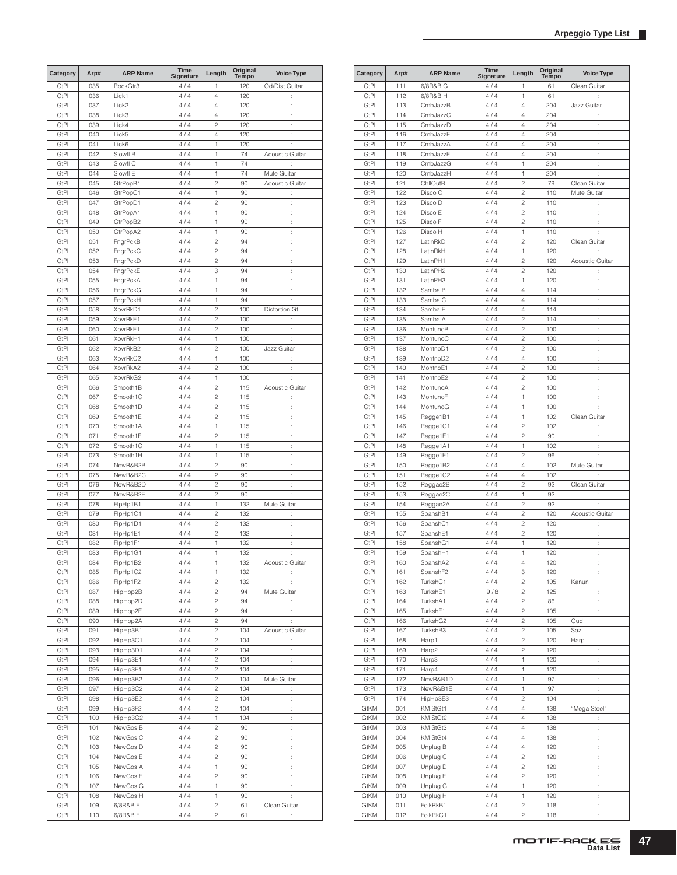| Category     | Arp# | <b>ARP Name</b>      | <b>Time</b><br>Signature | Length                  | Original<br>Tempo | <b>Voice Type</b>    |
|--------------|------|----------------------|--------------------------|-------------------------|-------------------|----------------------|
| GtPl         | 035  | RockGtr3             | 4/4                      | 1                       | 120               | Od/Dist Guitar       |
| GtPI         | 036  | Lick1                | 4/4                      | 4                       | 120               | ÷                    |
| GtPI         | 037  | Lick2                | 4/4                      | 4                       | 120               | ÷                    |
| GtPI         | 038  | Lick3                | 4/4                      | 4                       | 120               | ÷                    |
| GtPI         | 039  | Lick4                | 4/4                      | $\overline{c}$          | 120               | $\ddot{\phantom{a}}$ |
| GtPI         | 040  | Lick5                | 4/4                      | 4                       | 120               | ÷                    |
| GtPI         | 041  | Lick6                | 4/4                      | 1                       | 120               | $\ddot{\phantom{a}}$ |
| GtPI         | 042  | Slowfl B             | 4/4                      | 1                       | 74                | Acoustic Guitar      |
| GtPI         | 043  | Slowfl C             | 4/4                      | 1                       | 74                | ÷                    |
| GtPI         | 044  | Slowfl E             | 4/4                      | 1                       | 74                | Mute Guitar          |
| GtPI         | 045  | GtrPopB1             | 4/4                      | $\overline{c}$          | 90                | Acoustic Guitar      |
| GtPI         | 046  | GtrPopC1             | 4/4                      | 1                       | 90                | $\vdots$             |
| GtPI         | 047  |                      |                          | $\overline{c}$          | 90                |                      |
|              |      | GtrPopD1<br>GtrPopA1 | 4 / 4                    |                         |                   | t                    |
| GtPI         | 048  |                      | 4/4                      | 1                       | 90                | $\vdots$             |
| GtPI         | 049  | GtrPopB2             | 4/4                      | 1                       | 90                | ÷                    |
| GtPI         | 050  | GtrPopA2             | 4/4                      | 1                       | 90                | t                    |
| GtPI         | 051  | FngrPckB             | 4/4                      | $\overline{c}$          | 94                | ÷                    |
| GtPl         | 052  | FngrPckC             | 4/4                      | $\overline{c}$          | 94                | ÷                    |
| GtPI         | 053  | FngrPckD             | 4/4                      | $\overline{c}$          | 94                | ÷                    |
| GtPI         | 054  | FngrPckE             | 4/4                      | 3                       | 94                | t                    |
| GtPI         | 055  | FngrPckA             | 4/4                      | 1                       | 94                | ÷                    |
| GtPI         | 056  | FngrPckG             | 4/4                      | 1                       | 94                | $\ddot{\phantom{a}}$ |
| GtPI         | 057  | FngrPckH             | 4/4                      | 1                       | 94                | ÷                    |
| GtPI         | 058  | XovrRkD1             | 4/4                      | $\overline{c}$          | 100               | Distortion Gt        |
| GtPI         | 059  | XovrRkE1             | 4/4                      | $\overline{c}$          | 100               | t                    |
| GtPI         | 060  | XovrRkF1             | 4/4                      | $\overline{c}$          | 100               | $\ddot{\phantom{a}}$ |
| GtPI         | 061  | XovrRkH1             | 4/4                      | 1                       | 100               | t                    |
| GtPI         | 062  | XovrRkB2             | 4/4                      | $\overline{c}$          | 100               | Jazz Guitar          |
| GtPI         | 063  | XovrRkC2             | 4/4                      | 1                       | 100               | t.                   |
| GtPI         | 064  | XovrRkA2             | 4/4                      | $\overline{c}$          | 100               | ÷                    |
| GtPI         | 065  | XovrRkG2             | 4/4                      | 1                       | 100               | ÷                    |
|              |      |                      |                          | $\overline{c}$          |                   |                      |
| GtPI         | 066  | Smooth1B             | 4/4                      |                         | 115               | Acoustic Guitar      |
| GtPl         | 067  | Smooth1C             | 4/4                      | $\overline{c}$          | 115               | ÷                    |
| GtPI         | 068  | Smooth1D             | 4/4                      | $\overline{c}$          | 115               | ÷                    |
| GtPI         | 069  | Smooth1E             | 4/4                      | $\overline{c}$          | 115               | $\ddot{\phantom{a}}$ |
| GtPI         | 070  | Smooth1A             | 4/4                      | 1                       | 115               | ÷                    |
| GtPI         | 071  | Smooth1F             | 4/4                      | $\overline{c}$          | 115               | $\ddot{\phantom{a}}$ |
| GtPI         | 072  | Smooth1G             | 4/4                      | 1                       | 115               | ÷                    |
| GtPI         | 073  | Smooth1H             | 4/4                      | 1                       | 115               | t                    |
| GtPI         | 074  | NewR&B2B             | 4/4                      | $\overline{c}$          | 90                | ÷                    |
| GtPl         | 075  | NewR&B2C             | 4/4                      | $\overline{c}$          | 90                | ÷                    |
| GtPI         | 076  | NewR&B2D             | 4/4                      | $\overline{c}$          | 90                | ÷                    |
| GtPI         | 077  | NewR&B2E             | 4 / 4                    | $\overline{c}$          | 90                | ÷                    |
| GtPI         | 078  | FipHp1B1             | 4/4                      | 1                       | 132               | Mute Guitar          |
| GtPI         | 079  | FipHp1C1             | 4/4                      | $\overline{c}$          | 132               | $\vdots$             |
| GtPI         | 080  | FlpHp1D1             | 4/4                      | $\overline{c}$          | 132               | t                    |
| GtPI         | 081  | FipHp1E1             | 4/4                      | $\overline{c}$          | 132               | ÷                    |
| GtPI         | 082  | FipHp1F1             | 4/4                      | 1                       | 132               | $\ddot{\phantom{a}}$ |
| GtPI         | 083  | FlpHp1G1             | 4/4                      | 1                       | 132               | ÷                    |
| GtPl         | 084  | FipHp1B2             | 4 / 4                    | 1                       | 132               | Acoustic Guitar      |
| GtPI         | 085  | FlpHp1C2             | 4/4                      | 1                       | 132               | ÷                    |
|              | 086  |                      |                          |                         | 132               |                      |
| GtPI         |      | FipHp1F2<br>HipHop2B | 4/4<br>4/4               | 2<br>$\mathbf{2}$       |                   | ÷                    |
| GtPl<br>GtPI | 087  |                      |                          |                         | 94                | Mute Guitar          |
|              | 088  | HipHop2D             | 4/4                      | $\mathbf{2}$            | 94                | ÷                    |
| GtPI         | 089  | HipHop2E             | 4/4                      | $\overline{c}$          | 94                | ÷,                   |
| GtPI         | 090  | HipHop2A             | 4/4                      | $\overline{\mathbf{c}}$ | 94                | ÷                    |
| GtPl         | 091  | HipHp3B1             | 4/4                      | $\mathbf{2}$            | 104               | Acoustic Guitar      |
| GtPl         | 092  | HipHp3C1             | 4/4                      | $\overline{\mathbf{c}}$ | 104               | ÷                    |
| GtPI         | 093  | HipHp3D1             | 4/4                      | 2                       | 104               | Ì,                   |
| GtPI         | 094  | HipHp3E1             | 4/4                      | $\overline{c}$          | 104               | ÷                    |
| GtPI         | 095  | HipHp3F1             | 4/4                      | 2                       | 104               | ţ.                   |
| GtPI         | 096  | HipHp3B2             | 4/4                      | $\mathbf{2}$            | 104               | Mute Guitar          |
| GtPI         | 097  | HipHp3C2             | 4/4                      | $\overline{c}$          | 104               | ÷.                   |
| GtPl         | 098  | HipHp3E2             | 4/4                      | $\overline{c}$          | 104               | ÷                    |
| GtPl         | 099  | HipHp3F2             | 4/4                      | $\overline{c}$          | 104               | $\ddot{\phantom{a}}$ |
| GtPl         | 100  | HipHp3G2             | 4/4                      | 1                       | 104               | ÷                    |
| GtPI         | 101  | NewGos B             | 4/4                      | $\overline{c}$          | 90                | ÷,                   |
| GtPl         | 102  | NewGos C             | 4/4                      | 2                       | 90                | ÷.                   |
| GtPI         | 103  | NewGos D             | 4/4                      | $\overline{\mathbf{c}}$ | 90                | ÷,                   |
| GtPI         | 104  | NewGos E             | 4/4                      | $\overline{\mathbf{c}}$ | 90                | $\ddot{\cdot}$       |
|              |      |                      |                          | 1                       |                   |                      |
| GtPI         | 105  | NewGos A             | 4/4                      |                         | 90                | ÷                    |
| GtPl         | 106  | NewGos F             | 4/4                      | 2                       | 90                | $\ddot{\cdot}$       |
| GtPl         | 107  | NewGos G             | 4/4                      | 1                       | 90                | $\ddot{\cdot}$       |
| GtPI         | 108  | NewGos H             | 4/4                      | 1                       | 90                | $\ddot{\cdot}$       |
| GtPl         | 109  | 6/8R&B E             | 4/4                      | $\overline{\mathbf{c}}$ | 61                | Clean Guitar         |
| GtPl         | 110  | 6/8R&B F             | 4 / 4                    | 2                       | 61                | t                    |

| Category     | Arp# | <b>ARP Name</b>      | Time<br>Signature | Length                           | Original<br>Tempo | <b>Voice Type</b>      |
|--------------|------|----------------------|-------------------|----------------------------------|-------------------|------------------------|
| GtPl         | 111  | 6/8R&B G             | 4/4               | 1                                | 61                | Clean Guitar           |
| GtPl         | 112  | 6/8R&B H             | 4/4               | 1                                | 61                | t                      |
| GtPl         | 113  | CmbJazzB             | 4/4               | 4                                | 204               | Jazz Guitar            |
| GtPl         | 114  | CmbJazzC             | 4/4               | 4                                | 204               |                        |
| GtPl         | 115  | CmbJazzD             | 4/4               | $\overline{4}$                   | 204               | $\ddot{\phantom{a}}$   |
| GtPl         | 116  | CmbJazzE             | 4/4               | $\overline{4}$                   | 204               | $\ddot{\phantom{a}}$   |
| GtPI         | 117  | CmbJazzA             | 4/4               | $\overline{4}$                   | 204               | ÷                      |
| GtPI         | 118  | CmbJazzF             | 4/4               | $\overline{4}$                   | 204               | ÷                      |
| GtPl         | 119  | CmbJazzG             | 4/4               | 1                                | 204               | ÷                      |
| GtPl         | 120  | CmbJazzH             | 4/4               | 1                                | 204               | t                      |
| GtPI         | 121  | ChilOutB             | 4/4               | 2                                | 79                | Clean Guitar           |
| GtPl         | 122  | Disco C              | 4/4               | $\overline{c}$                   | 110               | Mute Guitar            |
| GtPI         | 123  | Disco D              | 4/4               | $\overline{c}$                   | 110               | ÷                      |
| GtPl         | 124  | Disco E              | 4/4               | $\overline{c}$                   | 110               | $\ddot{\phantom{a}}$   |
| GtPI         | 125  | Disco F              | 4/4               | $\overline{c}$                   | 110               | t                      |
| GtPl         | 126  | Disco H              | 4/4               | 1                                | 110               | t                      |
| GtPl         | 127  | LatinRkD             | 4/4               | 2                                | 120               | Clean Guitar           |
| GtPl         | 128  | LatinRkH             | 4/4               | 1                                | 120               |                        |
| GtPl         | 129  | LatinPH1             | 4/4               | $\overline{c}$                   | 120               | <b>Acoustic Guitar</b> |
| GtPl         | 130  | LatinPH2             | 4/4               | $\overline{c}$                   | 120               | t,                     |
| GtPl         | 131  | LatinPH3             | 4/4               | 1                                | 120               | t                      |
| GtPI         | 132  | Samba B              | 4/4               | $\overline{4}$                   | 114               | $\ddot{\phantom{a}}$   |
| GtPI         | 133  | Samba C              | 4/4               | $\overline{4}$                   | 114               | t                      |
| GtPl         | 134  | Samba E              | 4/4               | 4                                | 114               | ÷                      |
|              |      |                      |                   |                                  |                   |                        |
| GtPl<br>GtPI | 135  | Samba A<br>MontunoB  | 4/4<br>4/4        | $\overline{c}$<br>$\overline{c}$ | 114               | t                      |
|              | 136  |                      |                   |                                  | 100               | ÷                      |
| GtPl         | 137  | MontunoC             | 4/4               | $\overline{c}$                   | 100               | $\ddot{\phantom{a}}$   |
| GtPI         | 138  | MontnoD1             | 4/4               | $\overline{c}$                   | 100               | ÷                      |
| GtPl         | 139  | MontnoD <sub>2</sub> | 4/4               | $\overline{4}$                   | 100               | $\ddot{\phantom{a}}$   |
| GtPI         | 140  | MontnoE1             | 4/4               | 2                                | $100 -$           | $\ddot{\phantom{a}}$   |
| GtPI         | 141  | MontnoE2             | 4/4               | 2                                | 100               | ÷                      |
| GtPl         | 142  | MontunoA             | 4/4               | 2                                | 100               | $\ddot{\phantom{a}}$   |
| GtPl         | 143  | MontunoF             | 4/4               | 1                                | 100               | $\ddot{\cdot}$         |
| GtPl         | 144  | MontunoG             | 4/4               | 1                                | 100               | t                      |
| GtPl         | 145  | Regge1B1             | 4/4               | 1                                | 102               | Clean Guitar           |
| GtPl         | 146  | Regge1C1             | 4/4               | $\overline{c}$                   | 102               | t                      |
| GtPI         | 147  | Regge1E1             | 4/4               | $\overline{c}$                   | 90                | ÷                      |
| GtPI         | 148  | Regge1A1             | 4/4               | 1                                | 102               | t                      |
| GtPI         | 149  | Regge1F1             | 4/4               | $\overline{c}$                   | 96                | ÷                      |
| GtPl         | 150  | Regge1B2             | 4/4               | 4                                | 102               | Mute Guitar            |
| GtPl         | 151  | Regge1C2             | 4/4               | 4                                | 102               | t.                     |
| GtPl         | 152  | Reggae2B             | 4/4               | $\overline{c}$                   | 92                | Clean Guitar           |
| GtPI         | 153  | Reggae2C             | 4/4               | 1                                | 92                | ÷                      |
| GtPl         | 154  | Reggae2A             | 4/4               | $\overline{c}$                   | 92                | ÷                      |
| GtPI         | 155  | SpanshB1             | 4/4               | $\overline{c}$                   | 120               | Acoustic Guitar        |
| GtPI         | 156  | SpanshC1             | 4/4               | $\overline{c}$                   | 120               | t                      |
| GtPl         | 157  | SpanshE1             | 4/4               | 2                                | 120               | t                      |
|              |      |                      | 4/4               | 1                                |                   |                        |
| GtPl         | 158  | SpanshG1             |                   |                                  | 120               | $\ddot{\cdot}$         |
| GtPl         | 159  | SpanshH1             | 4 / 4             | 1                                | 120               | t                      |
| GtPl         | 160  | SpanshA2             | 4 / 4             | 4                                | 120               |                        |
| GtPI         | 161  | SpanshF2             | 4/4               | 3                                | 120               | $\ddot{\cdot}$         |
| GtPI         | 162  | TurkshC1             | 4/4               | 2                                | 105               | Kanun                  |
| GtPI         | 163  | TurkshE1             | 9/8               | 2                                | 125               | ÷                      |
| GtPI         | 164  | TurkshA1             | 4/4               | $\overline{c}$                   | 86                | ÷                      |
| GtPI         | 165  | TurkshF1             | 4/4               | $\overline{c}$                   | 105               | ÷                      |
| GtPI         | 166  | TurkshG2             | 4/4               | 2                                | 105               | Oud                    |
| GtPI         | 167  | TurkshB3             | 4/4               | $\overline{\mathbf{c}}$          | 105               | Saz                    |
| <b>GtPI</b>  | 168  | Harp1                | 4/4               | $\overline{c}$                   | 120               | Harp                   |
| GtPI         | 169  | Harp2                | 4/4               | $\overline{c}$                   | 120               | $\ddot{\cdot}$         |
| GtPI         | 170  | Harp3                | 4/4               | 1                                | 120               | $\ddot{\phantom{a}}$   |
| GtPI         | 171  | Harp4                | 4/4               | 1                                | 120               | ÷                      |
| GtPI         | 172  | NewR&B1D             | 4/4               | 1                                | 97                | $\ddot{\phantom{a}}$   |
| GtPI         | 173  | NewR&B1E             | 4 / 4             | 1                                | 97                | ÷                      |
| GtPI         | 174  | HipHp3E3             | 4/4               | $\overline{\mathbf{c}}$          | 104               | ł,                     |
| GtKM         | 001  | KM StGt1             | 4/4               | 4                                | 138               | "Mega Steel"           |
| GtKM         | 002  | KM StGt2             | 4/4               | 4                                | 138               |                        |
|              | 003  |                      |                   | 4                                |                   | ţ.                     |
| GtKM         |      | KM StGt3             | 4/4               |                                  | 138               | $\ddot{\phantom{a}}$   |
| GtKM         | 004  | KM StGt4             | 4/4               | 4                                | 138               | $\ddot{\phantom{a}}$   |
| GtKM         | 005  | Unplug B             | 4/4               | 4                                | 120               | ÷                      |
| GtKM         | 006  | Unplug C             | 4/4               | $\overline{c}$                   | 120               | ÷                      |
| GtKM         | 007  | Unplug D             | 4/4               | 2                                | 120               | ÷                      |
| GtKM         | 008  | Unplug E             | 4/4               | $\sqrt{2}$                       | 120               | $\ddot{\phantom{a}}$   |
| GtKM         | 009  | Unplug G             | 4/4               | 1                                | 120               | ÷                      |
| GtKM         | 010  | Unplug H             | 4/4               | 1                                | 120               | $\ddot{\phantom{a}}$   |
| GtKM         | 011  | FolkRkB1             | 4/4               | $\overline{c}$                   | 118               | $\ddot{\phantom{a}}$   |
| GtKM         | 012  | FolkRkC1             | 4/4               | $\overline{\mathbf{c}}$          | 118               | ÷                      |
|              |      |                      |                   |                                  |                   |                        |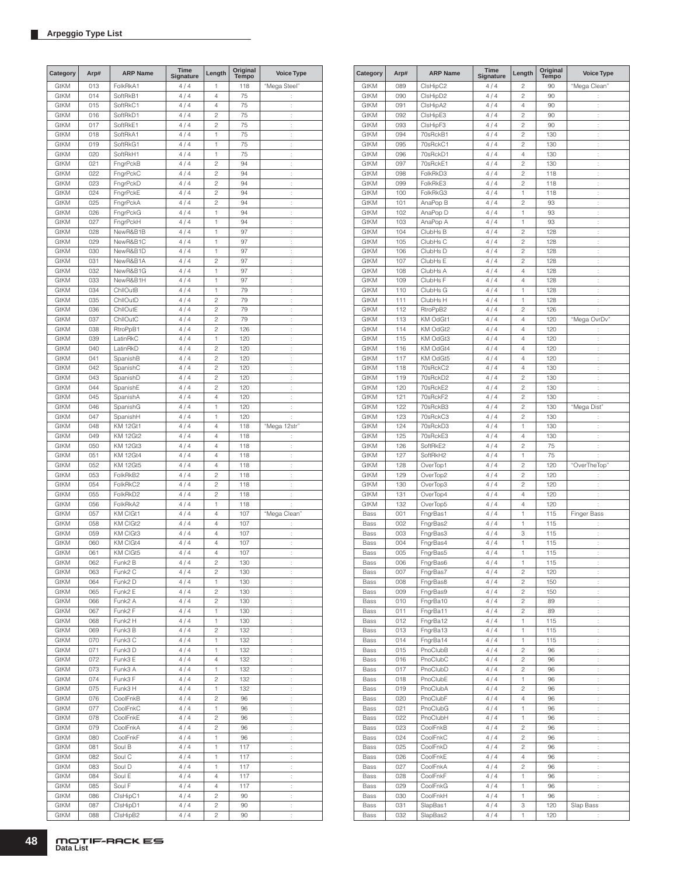| Category                   | Arp#       | <b>ARP Name</b>      | Time<br><b>Signature</b> | Length                           | Original<br>Tempo | <b>Voice Type</b>    |
|----------------------------|------------|----------------------|--------------------------|----------------------------------|-------------------|----------------------|
| <b>GtKM</b>                | 013        | FolkRkA1             | 4/4                      | 1                                | 118               | "Mega Steel"         |
| <b>GtKM</b>                | 014        | SoftRkB1             | 4/4                      | 4                                | 75                | ÷                    |
| <b>GtKM</b>                | 015        | SoftRkC1             | 4/4                      | 4                                | 75                | $\vdots$             |
| <b>GtKM</b>                | 016        | SoftRkD1             | 4/4                      | $\overline{c}$                   | 75                | t,                   |
| <b>GtKM</b>                | 017        | SoftRkE1             | 4/4                      | $\overline{c}$                   | 75                | t.                   |
| <b>GtKM</b>                | 018        | SoftRkA1             | 4/4                      | 1                                | 75                | ÷                    |
| <b>GtKM</b>                | 019        | SoftRkG1             | 4/4                      | 1                                | 75                | t,                   |
| <b>GtKM</b>                | 020        | SoftRkH1             | 4/4                      | 1                                | 75                | t,                   |
| <b>GtKM</b>                | 021        | FngrPckB             | 4/4                      | $\overline{c}$                   | 94                | t.                   |
| <b>GtKM</b>                | 022        | FngrPckC             | 4/4                      | $\overline{c}$                   | 94                | t,                   |
| <b>GtKM</b><br><b>GtKM</b> | 023<br>024 | FngrPckD<br>FngrPckE | 4/4<br>4/4               | $\overline{c}$<br>$\overline{c}$ | 94<br>94          | t,<br>t,             |
| <b>GtKM</b>                | 025        | FngrPckA             | 4/4                      | $\overline{c}$                   | 94                | t,                   |
| <b>GtKM</b>                | 026        | FngrPckG             | 4/4                      | 1                                | 94                | t,                   |
| <b>GtKM</b>                | 027        | FngrPckH             | 4/4                      | 1                                | 94                | ÷                    |
| <b>GtKM</b>                | 028        | NewR&B1B             | 4/4                      | 1                                | 97                | ÷                    |
| <b>GtKM</b>                | 029        | NewR&B1C             | 4/4                      | 1                                | 97                | Ì.                   |
| <b>GtKM</b>                | 030        | NewR&B1D             | 4/4                      | 1                                | 97                | t,                   |
| <b>GtKM</b>                | 031        | NewR&B1A             | 4/4                      | $\overline{c}$                   | 97                | t,                   |
| <b>GtKM</b>                | 032        | NewR&B1G             | 4/4                      | 1                                | 97                | t,                   |
| <b>GtKM</b>                | 033        | NewR&B1H             | 4/4                      | 1                                | 97                | ÷                    |
| <b>GtKM</b>                | 034        | ChllOutB             | 4/4                      | 1                                | 79                | t,                   |
| GtKM                       | 035        | ChllOutD             | 4/4                      | $\overline{c}$                   | 79                | t,                   |
| GtKM                       | 036        | ChllOutE             | 4/4                      | $\overline{c}$                   | 79                | t.                   |
| <b>GtKM</b>                | 037        | ChllOutC             | 4/4                      | $\overline{c}$                   | 79                | t,                   |
| <b>GtKM</b>                | 038        | RtroPpB1             | 4/4                      | $\overline{c}$                   | 126               | t,                   |
| <b>GtKM</b>                | 039        | LatinRkC             | 4/4                      | 1                                | 120               | t,                   |
| <b>GtKM</b>                | 040        | LatinRkD             | 4/4                      | $\overline{c}$                   | 120               | t,                   |
| <b>GtKM</b>                | 041        | SpanishB             | 4/4                      | $\overline{c}$                   | 120               | t,                   |
| <b>GtKM</b>                | 042        | SpanishC             | 4/4                      | $\overline{c}$                   | 120               | ÷                    |
| <b>GtKM</b>                | 043        | SpanishD             | 4/4                      | $\overline{c}$                   | 120               | ÷                    |
| <b>GtKM</b>                | 044        | SpanishE             | 4/4                      | $\overline{c}$                   | 120               | $\vdots$             |
| <b>GtKM</b>                | 045        | SpanishA             | 4/4                      | 4                                | 120               | t,                   |
| <b>GtKM</b>                | 046        | SpanishG             | 4/4                      | 1                                | 120               | t,                   |
| <b>GtKM</b>                | 047        | SpanishH             | 4/4                      | 1                                | 120               | t.                   |
| <b>GtKM</b>                | 048        | <b>KM 12Gt1</b>      | 4/4                      | 4                                | 118               | "Mega 12str"         |
| <b>GtKM</b>                | 049        | <b>KM 12Gt2</b>      | 4/4                      | 4                                | 118               | İ.                   |
| <b>GtKM</b>                | 050        | KM 12Gt3             | 4/4                      | 4                                | 118               | t,                   |
| GtKM                       | 051        | <b>KM 12Gt4</b>      | 4/4                      | 4                                | 118               | t,                   |
| <b>GtKM</b>                | 052        | <b>KM 12Gt5</b>      | 4/4                      | $\overline{4}$                   | 118               | t,                   |
| <b>GtKM</b>                | 053        | FolkRkB2             | 4/4                      | $\overline{c}$                   | 118               | t,                   |
| <b>GtKM</b>                | 054        | FolkRkC2             | 4/4                      | $\overline{c}$                   | 118               | t,                   |
| <b>GtKM</b>                | 055        | FolkRkD2             | 4/4                      | $\overline{c}$                   | 118               | Ì                    |
| <b>GtKM</b>                | 056        | FolkRkA2             | 4/4                      | 1                                | 118               |                      |
| <b>GtKM</b>                | 057        | KM CIGt1             | 4/4                      | 4                                | 107               | "Mega Clean"         |
| <b>GtKM</b>                | 058        | KM CIGt2             | 4/4                      | 4                                | 107               | $\vdots$             |
| <b>GtKM</b>                | 059        | KM CIGt3             | 4/4                      | 4                                | 107               | $\vdots$             |
| <b>GtKM</b>                | 060        | KM CIGt4             | 4/4                      | $\overline{4}$                   | 107               | t,                   |
| <b>GtKM</b>                | 061        | KM CIGt5             | 4/4                      | 4                                | 107               | $\vdots$             |
| <b>GtKM</b>                | 062        | Funk2 B              | 4 / 4                    | $\overline{c}$                   | 130               |                      |
| GtKM                       | 063        | Funk2 C              | 4/4                      | 2                                | 130               | ÷                    |
| GtKM                       | 064        | Funk2 D              | 4/4                      | 1                                | 130               | t.                   |
| <b>GtKM</b>                | 065        | Funk2 E              | 4/4                      | 2                                | 130               | t,                   |
| GtKM                       | 066        | Funk <sub>2</sub> A  | 4/4                      | 2                                | 130               | t,                   |
| GtKM                       | 067        | Funk2 F<br>Funk2 H   | 4/4<br>4/4               | 1<br>1                           | 130               | t.                   |
| GtKM<br>GtKM               | 068<br>069 | Funk3 B              | 4/4                      | $\overline{\mathbf{c}}$          | 130<br>132        | ţ.<br>t,             |
| GtKM                       | 070        | Funk3 C              | 4/4                      | 1                                | 132               | Ì,                   |
| GtKM                       | 071        | Funk3 D              | 4/4                      | 1                                | 132               | t,                   |
| GtKM                       | 072        | Funk3 E              | 4/4                      | 4                                | 132               | t,                   |
| GtKM                       | 073        | Funk3 A              | 4/4                      | 1                                | 132               | $\vdots$             |
| GtKM                       | 074        | Funk3 F              | 4/4                      | 2                                | 132               | t,                   |
| GtKM                       | 075        | Funk3 H              | 4/4                      | 1                                | 132               | t,                   |
| GtKM                       | 076        | CoolFnkB             | 4/4                      | 2                                | 96                | t,                   |
| GtKM                       | 077        | CoolFnkC             | 4/4                      | 1                                | 96                | ÷.                   |
| GtKM                       | 078        | CoolFnkE             | 4/4                      | $\overline{c}$                   | 96                | ÷                    |
| GtKM                       | 079        | CoolFnkA             | 4/4                      | 2                                | 96                | t.                   |
| GtKM                       | 080        | CoolFnkF             | 4/4                      | 1                                | 96                | t,                   |
| GtKM                       | 081        | Soul B               | 4/4                      | 1                                | 117               | ţ.                   |
| GtKM                       | 082        | Soul C               | 4 / 4                    | 1                                | 117               | ţ.                   |
| GtKM                       | 083        | Soul D               | 4/4                      | 1                                | 117               | ţ.                   |
| GtKM                       | 084        | Soul E               | 4 / 4                    | 4                                | 117               | t,                   |
| GtKM                       | 085        | Soul F               | 4/4                      | 4                                | 117               | t,                   |
| GtKM                       | 086        | ClsHipC1             | 4/4                      | 2                                | 90                | ţ.                   |
| GtKM                       | 087        | ClsHipD1             | 4/4                      | 2                                | 90                | t,                   |
| GtKM                       | 088        | CIsHipB2             | 4/4                      | 2                                | 90                | $\ddot{\phantom{a}}$ |

| Category                   | Arp#       | <b>ARP Name</b>      | <b>Time</b><br>Signature | Length                           | Original<br>Tempo | <b>Voice Type</b>    |
|----------------------------|------------|----------------------|--------------------------|----------------------------------|-------------------|----------------------|
| GtKM                       | 089        | ClsHipC2             | 4/4                      | 2                                | 90                | "Mega Clean"         |
| <b>GtKM</b>                | 090        | CIsHipD2             | 4/4                      | $\overline{c}$                   | 90                | ÷                    |
| <b>GtKM</b>                | 091        | CIsHipA2             | 4/4                      | 4                                | 90                | $\vdots$             |
| <b>GtKM</b>                | 092        | CIsHipE3             | 4/4                      | $\overline{c}$                   | 90                | t                    |
| <b>GtKM</b>                | 093        | CIsHipF3             | 4/4                      | $\overline{c}$                   | 90                | $\ddot{\phantom{a}}$ |
| <b>GtKM</b>                | 094        | 70sRckB1             | 4/4                      | $\overline{c}$                   | 130               | ł.                   |
| GtKM                       | 095        | 70sRckC1             | 4/4                      | $\overline{c}$                   | 130               | ÷                    |
| <b>GtKM</b>                | 096        | 70sRckD1             | 4/4                      | 4                                | 130               | ł.                   |
| <b>GtKM</b><br><b>GtKM</b> | 097<br>098 | 70sRckE1<br>FolkRkD3 | 4/4<br>4/4               | $\overline{c}$<br>$\overline{c}$ | 130<br>118        | t<br>ł.              |
| <b>GtKM</b>                | 099        | FolkRkE3             | 4/4                      | $\overline{c}$                   | 118               | t                    |
| GtKM                       | 100        | FolkRkG3             | 4/4                      | 1                                | 118               | t,                   |
| GtKM                       | 101        | AnaPop B             | 4/4                      | $\overline{c}$                   | 93                | t                    |
| <b>GtKM</b>                | 102        | AnaPop D             | 4/4                      | 1                                | 93                | t                    |
| GtKM                       | 103        | AnaPop A             | 4/4                      | 1                                | 93                | ł,                   |
| <b>GtKM</b>                | 104        | ClubHs B             | 4/4                      | $\overline{c}$                   | 128               | t                    |
| <b>GtKM</b>                | 105        | ClubHs C             | 4/4                      | $\overline{c}$                   | 128               | ÷                    |
| <b>GtKM</b>                | 106        | ClubHs D             | 4/4                      | $\overline{c}$                   | 128               | t                    |
| <b>GtKM</b>                | 107        | ClubHs E             | 4/4                      | $\overline{c}$                   | 128               | t                    |
| <b>GtKM</b>                | 108        | ClubHs A             | 4/4                      | 4                                | 128               | $\ddot{\phantom{a}}$ |
| <b>GtKM</b>                | 109        | ClubHs F             | 4/4                      | 4                                | 128               | ł.                   |
| GtKM                       | 110        | ClubHs G<br>ClubHs H | 4/4<br>4/4               | 1                                | 128               | t                    |
| <b>GtKM</b><br><b>GtKM</b> | 111<br>112 | RtroPpB2             | 4/4                      | 1<br>$\overline{c}$              | 128<br>126        | ł.<br>÷              |
| <b>GtKM</b>                | 113        | KM OdGt1             | 4/4                      | 4                                | 120               | "Mega OvrDv"         |
| <b>GtKM</b>                | 114        | KM OdGt2             | 4/4                      | 4                                | 120               | ÷                    |
| GtKM                       | 115        | KM OdGt3             | 4/4                      | 4                                | 120               | t,                   |
| GtKM                       | 116        | KM OdGt4             | 4/4                      | 4                                | 120               | t                    |
| <b>GtKM</b>                | 117        | KM OdGt5             | 4/4                      | 4                                | 120               | t                    |
| GtKM                       | 118        | 70sRckC2             | 4/4                      | 4                                | 130               | ÷                    |
| <b>GtKM</b>                | 119        | 70sRckD2             | 4/4                      | $\overline{c}$                   | 130               | t                    |
| <b>GtKM</b>                | 120        | 70sRckE2             | 4/4                      | $\overline{c}$                   | 130               | ÷                    |
| <b>GtKM</b>                | 121        | 70sRckF2             | 4/4                      | $\overline{c}$                   | 130               | ÷                    |
| <b>GtKM</b>                | 122        | 70sRckB3             | 4/4                      | $\overline{c}$                   | 130               | "Mega Dist"          |
| <b>GtKM</b>                | 123        | 70sRckC3             | 4/4                      | $\overline{c}$                   | 130               | t                    |
| <b>GtKM</b>                | 124        | 70sRckD3             | 4/4                      | 1                                | 130               | t                    |
| GtKM                       | 125        | 70sRckE3             | 4/4                      | 4                                | 130               | ÷                    |
| <b>GtKM</b><br><b>GtKM</b> | 126<br>127 | SoftRkE2<br>SoftRkH2 | 4/4<br>4/4               | $\overline{c}$<br>1              | 75<br>75          | ł.<br>t              |
| <b>GtKM</b>                | 128        | OverTop1             | 4/4                      | $\overline{c}$                   | 120               | "OverTheTop"         |
| <b>GtKM</b>                | 129        | OverTop2             | 4/4                      | $\overline{c}$                   | 120               | t                    |
| GtKM                       | 130        | OverTop3             | 4/4                      | $\overline{c}$                   | 120               | ţ.                   |
| <b>GtKM</b>                | 131        | OverTop4             | 4/4                      | 4                                | 120               | ÷                    |
| <b>GtKM</b>                | 132        | OverTop5             | 4/4                      | 4                                | 120               | ł.                   |
| Bass                       | 001        | FngrBas1             | 4/4                      | 1                                | 115               | <b>Finger Bass</b>   |
| Bass                       | 002        | FngrBas2             | 4/4                      | 1                                | 115               | t                    |
| Bass                       | 003        | FngrBas3             | 4/4                      | 3                                | 115               | t                    |
| Bass                       | 004        | FngrBas4             | 4/4                      | 1                                | 115               | t                    |
| Bass                       | 005        | FngrBas5             | 4/4                      | 1                                | 115               | t                    |
| Bass                       | 006        | FngrBas6             | 4/4                      | 1                                | 115               | ĵ.                   |
| Bass                       | 007        | FngrBas7<br>FngrBas8 | 4/4                      | $\overline{c}$<br>$\overline{c}$ | 120               | ţ.                   |
| Bass<br>Bass               | 008<br>009 | FngrBas9             | 4/4<br>4/4               | $\overline{c}$                   | 150<br>150        | ÷<br>ł.              |
| Bass                       | 010        | FngrBa10             | 4/4                      | $\overline{c}$                   | 89                | ÷                    |
| Bass                       | 011        | FngrBa11             | 4/4                      | $\overline{c}$                   | 89                | ł.                   |
| Bass                       | 012        | FngrBa12             | 4/4                      | 1                                | 115               | ł.                   |
| Bass                       | 013        | FngrBa13             | 4/4                      | 1                                | 115               | ÷.                   |
| Bass                       | 014        | FngrBa14             | 4/4                      | 1                                | 115               | t,                   |
| Bass                       | 015        | PnoClubB             | 4/4                      | $\overline{\mathbf{c}}$          | 96                | $\ddot{\cdot}$       |
| Bass                       | 016        | PnoClubC             | 4/4                      | $\overline{c}$                   | 96                | ł.                   |
| Bass                       | 017        | PnoClubD             | 4/4                      | $\overline{\mathbf{c}}$          | 96                | ţ.                   |
| Bass                       | 018        | PnoClubE             | 4/4                      | 1                                | 96                | ł.                   |
| Bass                       | 019        | PnoClubA             | 4/4                      | $\overline{\mathbf{c}}$          | 96                | ţ.                   |
| Bass                       | 020        | PnoClubF             | 4/4                      | 4                                | 96                | t,                   |
| Bass                       | 021        | PnoClubG             | 4/4                      | 1                                | 96                | ţ.                   |
| Bass                       | 022        | PnoClubH             | 4/4                      | 1                                | 96                | t,                   |
| Bass                       | 023<br>024 | CoolFnkB             | 4/4<br>4/4               | $\overline{c}$<br>$\overline{c}$ | 96<br>96          | ÷<br>ł.              |
| Bass<br>Bass               | 025        | CoolFnkC<br>CoolFnkD | 4/4                      | $\overline{c}$                   | 96                | ÷                    |
| Bass                       | 026        | CoolFnkE             | 4/4                      | 4                                | 96                | t,                   |
| Bass                       | 027        | CoolFnkA             | 4/4                      | $\overline{c}$                   | 96                | ł.                   |
| Bass                       | 028        | CoolFnkF             | 4/4                      | 1                                | 96                | ÷.                   |
| Bass                       | 029        | CoolFnkG             | 4/4                      | 1                                | 96                | ÷                    |
| Bass                       | 030        | CoolFnkH             | 4/4                      | 1                                | 96                | ł.                   |
| Bass                       | 031        | SlapBas1             | 4/4                      | 3                                | 120               | Slap Bass            |
| Bass                       | 032        | SlapBas2             | 4/4                      | 1                                | 120               | ţ.                   |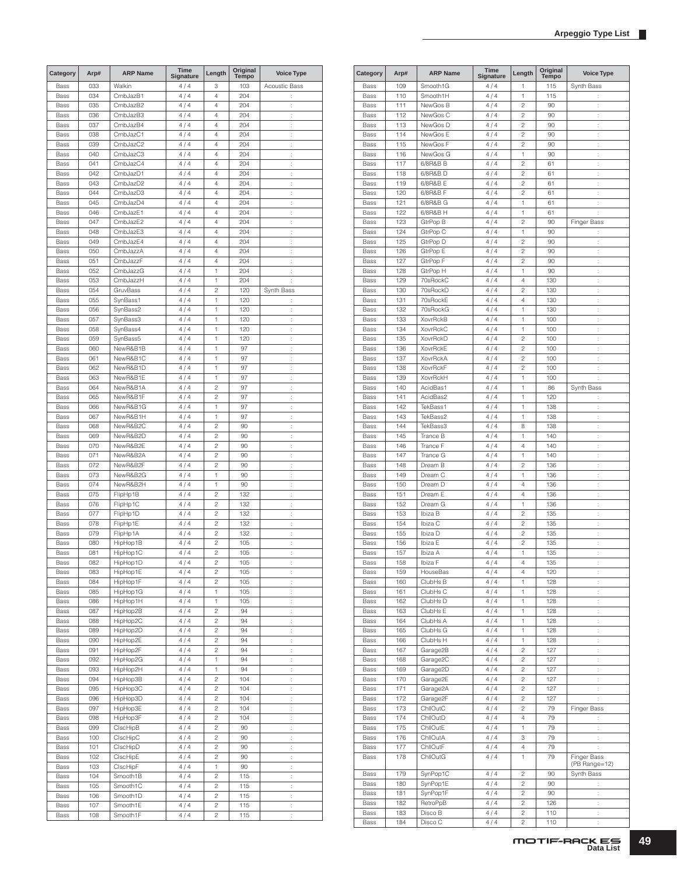| Category | Arp# | <b>ARP Name</b> | Time<br>Signature | Length                  | Original<br><b>Tempo</b> | <b>Voice Type</b>    |
|----------|------|-----------------|-------------------|-------------------------|--------------------------|----------------------|
| Bass     | 033  | Walkin          | 4 / 4             | 3                       | 103                      | Acoustic Bass        |
| Bass     | 034  | CmbJazB1        | 4/4               | $\overline{4}$          | 204                      | t.                   |
| Bass     | 035  | CmbJazB2        | 4/4               | $\overline{4}$          | 204                      | $\ddot{\phantom{a}}$ |
| Bass     | 036  | CmbJazB3        | 4/4               | $\overline{4}$          | 204                      | ÷                    |
| Bass     | 037  | CmbJazB4        | 4/4               | 4                       | 204                      | t                    |
| Bass     | 038  | CmbJazC1        | 4/4               | 4                       | 204                      | Ì,                   |
| Bass     | 039  | CmbJazC2        | 4 / 4             | 4                       | 204                      | ÷                    |
| Bass     | 040  | CmbJazC3        | 4/4               | $\overline{4}$          | 204                      | ÷                    |
| Bass     | 041  | CmbJazC4        | 4/4               | $\overline{4}$          | 204                      | ÷                    |
| Bass     | 042  | CmbJazD1        | 4/4               | $\overline{4}$          | 204                      | ÷                    |
| Bass     | 043  | CmbJazD2        | 4/4               | $\overline{4}$          | 204                      | ÷                    |
| Bass     | 044  | CmbJazD3        | 4/4               | 4                       | 204                      | ÷                    |
| Bass     | 045  | CmbJazD4        | 4/4               | $\overline{4}$          | 204                      | ÷                    |
| Bass     | 046  | CmbJazE1        | 4 / 4             | 4                       | 204                      | t,                   |
| Bass     | 047  | CmbJazE2        | 4/4               | $\overline{4}$          | 204                      | ÷                    |
| Bass     | 048  | CmbJazE3        | 4/4               | $\overline{4}$          | 204                      | t                    |
| Bass     | 049  | CmbJazE4        | 4/4               | $\overline{4}$          | 204                      | ÷                    |
| Bass     | 050  | CmbJazzA        | 4/4               | $\overline{4}$          | 204                      | ÷                    |
|          |      |                 |                   |                         |                          |                      |
| Bass     | 051  | CmbJazzF        | 4/4               | $\overline{4}$          | 204                      | ÷                    |
| Bass     | 052  | CmbJazzG        | 4/4               | 1                       | 204                      | t                    |
| Bass     | 053  | CmbJazzH        | 4/4               | 1                       | 204                      | ÷                    |
| Bass     | 054  | GruvBass        | 4 / 4             | $\overline{c}$          | 120                      | Synth Bass           |
| Bass     | 055  | SynBass1        | 4/4               | 1                       | 120                      | ÷                    |
| Bass     | 056  | SynBass2        | 4/4               | 1                       | 120                      | ÷                    |
| Bass     | 057  | SynBass3        | 4/4               | 1                       | 120                      | ÷                    |
| Bass     | 058  | SynBass4        | 4/4               | 1                       | 120                      | ÷                    |
| Bass     | 059  | SynBass5        | 4/4               | 1                       | 120                      | ÷                    |
| Bass     | 060  | NewR&B1B        | 4/4               | 1                       | 97                       | ÷                    |
| Bass     | 061  | NewR&B1C        | 4/4               | 1                       | 97                       | t,                   |
| Bass     | 062  | NewR&B1D        | 4/4               | 1                       | 97                       | ÷                    |
| Bass     | 063  | NewR&B1E        | 4/4               | 1                       | 97                       | t                    |
| Bass     | 064  | NewR&B1A        | 4/4               | $\overline{c}$          | 97                       | ÷                    |
| Bass     | 065  | NewR&B1F        | 4/4               | $\overline{c}$          | 97                       | ÷                    |
| Bass     | 066  | NewR&B1G        | 4/4               | 1                       | 97                       | ÷                    |
| Bass     | 067  | NewR&B1H        | 4/4               | 1                       | 97                       | t                    |
|          |      |                 | 4/4               | $\overline{c}$          |                          |                      |
| Bass     | 068  | NewR&B2C        |                   |                         | 90                       | Ì,                   |
| Bass     | 069  | NewR&B2D        | 4 / 4             | $\overline{c}$          | 90                       | ÷                    |
| Bass     | 070  | NewR&B2E        | 4/4               | $\overline{c}$          | 90                       | ÷                    |
| Bass     | 071  | NewR&B2A        | 4/4               | $\overline{c}$          | 90                       | ÷                    |
| Bass     | 072  | NewR&B2F        | 4/4               | $\overline{c}$          | 90                       | ÷                    |
| Bass     | 073  | NewR&B2G        | 4/4               | 1                       | 90                       | ÷                    |
| Bass     | 074  | NewR&B2H        | 4/4               | 1                       | 90                       | ÷                    |
| Bass     | 075  | FlipHp1B        | 4/4               | $\overline{c}$          | 132                      | ÷                    |
| Bass     | 076  | FlipHp1C        | 4 / 4             | $\overline{c}$          | 132                      | t,                   |
| Bass     | 077  | FlipHp1D        | 4/4               | $\overline{c}$          | 132                      | ÷                    |
| Bass     | 078  | FlipHp1E        | 4/4               | $\overline{c}$          | 132                      | ÷                    |
| Bass     | 079  | FlipHp1A        | 4/4               | $\overline{c}$          | 132                      | ÷                    |
| Bass     | 080  | HipHop1B        | 4/4               | $\overline{c}$          | 105                      | $\ddot{\phantom{a}}$ |
| Bass     | 081  | HipHop1C        | 4/4               | $\overline{c}$          | 105                      | ÷                    |
| Bass     | 082  | HipHop1D        | 4/4               | $\overline{\mathbf{c}}$ | 105                      |                      |
| Bass     | 083  | HipHop1E        | 4/4               | 2                       | 105                      | Ì,                   |
| Bass     | 084  | HipHop1F        | 4/4               | 2                       | 105                      | $\ddot{\cdot}$       |
| Bass     | 085  | HipHop1G        | 4/4               | 1                       | 105                      | $\ddot{\cdot}$       |
| Bass     | 086  | HipHop1H        | 4/4               | 1                       | 105                      | $\ddot{\cdot}$       |
| Bass     | 087  | HipHop2B        | 4/4               | $\overline{c}$          | 94                       | $\ddot{\cdot}$       |
| Bass     | 088  | HipHop2C        | 4/4               | $\overline{c}$          | 94                       | $\ddot{\cdot}$       |
| Bass     | 089  | HipHop2D        | 4/4               | $\overline{c}$          | 94                       | $\ddot{\cdot}$       |
|          |      |                 | 4/4               | $\overline{c}$          | 94                       | ÷                    |
| Bass     | 090  | HipHop2E        | 4/4               |                         |                          |                      |
| Bass     | 091  | HipHop2F        |                   | 2                       | 94                       | $\ddot{\phantom{a}}$ |
| Bass     | 092  | HipHop2G        | 4/4               | 1                       | 94                       | ÷.                   |
| Bass     | 093  | HipHop2H        | 4/4               | 1                       | 94                       | ÷                    |
| Bass     | 094  | HipHop3B        | 4/4               | $\overline{c}$          | 104                      | ÷.                   |
| Bass     | 095  | HipHop3C        | 4/4               | $\overline{c}$          | 104                      | ÷,                   |
| Bass     | 096  | HipHop3D        | 4/4               | $\overline{c}$          | 104                      | $\ddot{\cdot}$       |
| Bass     | 097  | HipHop3E        | 4/4               | $\overline{c}$          | 104                      | $\ddot{\cdot}$       |
| Bass     | 098  | HipHop3F        | 4/4               | $\overline{c}$          | 104                      | $\ddot{\cdot}$       |
| Bass     | 099  | ClscHipB        | 4/4               | 2                       | 90                       | ÷                    |
| Bass     | 100  | ClscHipC        | 4/4               | $\overline{c}$          | 90                       | Ì,                   |
| Bass     | 101  | ClscHipD        | 4/4               | $\overline{c}$          | 90                       | $\ddot{\cdot}$       |
| Bass     | 102  | ClscHipE        | 4/4               | $\overline{c}$          | 90                       | ţ.                   |
| Bass     | 103  | ClscHipF        | 4/4               | 1                       | 90                       | $\ddot{\cdot}$       |
| Bass     | 104  | Smooth1B        | 4/4               | $\overline{c}$          | 115                      | $\ddot{\cdot}$       |
| Bass     | 105  | Smooth1C        | 4/4               | $\overline{c}$          | 115                      | ÷                    |
| Bass     | 106  | Smooth1D        | 4 / 4             | 2                       | 115                      | $\ddot{\phantom{a}}$ |
| Bass     | 107  | Smooth1E        | 4/4               | 2                       | 115                      | ÷.                   |
| Bass     | 108  | Smooth1F        | 4 / 4             | $\overline{\mathbf{c}}$ | 115                      | $\vdots$             |
|          |      |                 |                   |                         |                          |                      |

| Category | Arp# | <b>ARP Name</b> | Time<br><b>Signature</b> | Length                  | Original<br>Tempo | <b>Voice Type</b>            |
|----------|------|-----------------|--------------------------|-------------------------|-------------------|------------------------------|
| Bass     | 109  | Smooth1G        | 4/4                      | 1                       | 115               | Synth Bass                   |
| Bass     | 110  | Smooth1H        | 4/4                      | 1                       | 115               | t                            |
| Bass     | 111  | NewGos B        | 4/4                      | 2                       | 90                | ÷                            |
| Bass     | 112  | NewGos C        | 4/4                      | 2                       | 90                | t                            |
| Bass     | 113  | NewGos D        | 4/4                      | 2                       | 90                | t,                           |
|          |      |                 | 4/4                      |                         |                   |                              |
| Bass     | 114  | NewGos E        |                          | $\overline{c}$          | 90                | t.                           |
| Bass     | 115  | NewGos F        | 4/4                      | $\overline{c}$          | 90                | ÷                            |
| Bass     | 116  | NewGos G        | 4/4                      | 1                       | 90                | t                            |
| Bass     | 117  | 6/8R&B B        | 4/4                      | 2                       | 61                | $\vdots$                     |
| Bass     | 118  | 6/8R&B D        | 4/4                      | 2                       | 61                | t                            |
| Bass     | 119  | 6/8R&B E        | 4/4                      | 2                       | 61                | $\vdots$                     |
| Bass     | 120  | 6/8R&B F        | 4 / 4                    | 2                       | 61                | $\ddot{\cdot}$               |
| Bass     | 121  | 6/8R&B G        | 4/4                      | 1                       | 61                | $\ddot{\cdot}$               |
| Bass     | 122  | 6/8R&B H        | 4/4                      | 1                       | 61                | t                            |
| Bass     | 123  | GtrPop B        | 4/4                      | $\overline{c}$          | 90                | <b>Finger Bass</b>           |
| Bass     | 124  | GtrPop C        | 4/4                      | 1                       | 90                | t                            |
|          |      |                 |                          |                         |                   |                              |
| Bass     | 125  | GtrPop D        | 4/4                      | $\overline{c}$          | 90                | t                            |
| Bass     | 126  | GtrPop E        | 4/4                      | 2                       | 90                | ÷                            |
| Bass     | 127  | GtrPop F        | 4/4                      | 2                       | 90                | t                            |
| Bass     | 128  | GtrPop H        | 4/4                      | 1                       | 90                | t,                           |
| Bass     | 129  | 70sRockC        | 4/4                      | 4                       | 130               | t.                           |
| Bass     | 130  | 70sRockD        | 4/4                      | $\overline{c}$          | 130               | ÷                            |
| Bass     | 131  | 70sRockE        | 4/4                      | 4                       | 130               | t                            |
| Bass     | 132  | 70sRockG        | 4/4                      | 1                       | 130               | $\vdots$                     |
| Bass     | 133  | <b>XovrRckB</b> | 4/4                      | 1                       | 100               | t                            |
| Bass     | 134  | <b>XovrRckC</b> | 4/4                      | 1                       | 100               | $\vdots$                     |
|          | 135  | <b>XovrRckD</b> |                          | 2                       | 100               |                              |
| Bass     |      |                 | 4/4                      |                         |                   | t                            |
| Bass     | 136  | <b>XovrRckE</b> | 4/4                      | 2                       | 100               | t                            |
| Bass     | 137  | <b>XovrRckA</b> | 4/4                      | $\overline{c}$          | 100               | ÷                            |
| Bass     | 138  | <b>XovrRckF</b> | 4/4                      | $\overline{c}$          | 100               | t                            |
| Bass     | 139  | <b>XovrRckH</b> | 4/4                      | 1                       | 100               | t.                           |
| Bass     | 140  | AcidBas1        | 4/4                      | 1                       | 86                | Synth Bass                   |
| Bass     | 141  | AcidBas2        | 4/4                      | 1                       | 120               | t,                           |
| Bass     | 142  | TekBass1        | 4/4                      | 1                       | 138               | t                            |
| Bass     | 143  | TekBass2        | 4/4                      | 1                       | 138               | t,                           |
| Bass     | 144  | TekBass3        | 4/4                      | 8                       | 138               | t.                           |
| Bass     | 145  | Trance B        | 4/4                      | 1                       | 140               | ÷                            |
|          | 146  | Trance F        |                          | 4                       | 140               |                              |
| Bass     |      |                 | 4/4                      |                         |                   | t                            |
| Bass     | 147  | Trance G        | 4/4                      | 1                       | 140               | $\vdots$                     |
| Bass     | 148  | Dream B         | 4/4                      | 2                       | 136               | $\vdots$                     |
| Bass     | 149  | Dream C         | 4/4                      | 1                       | 136               | $\vdots$                     |
| Bass     | 150  | Dream D         | 4/4                      | 4                       | 136               | t                            |
| Bass     | 151  | Dream E         | 4/4                      | 4                       | 136               | t                            |
| Bass     | 152  | Dream G         | 4/4                      | 1                       | 136               | t                            |
| Bass     | 153  | Ibiza B         | 4/4                      | $\overline{c}$          | 135               | $\vdots$                     |
| Bass     | 154  | Ibiza C         | 4/4                      | $\overline{c}$          | 135               | t                            |
| Bass     | 155  | Ibiza D         | 4/4                      | $\overline{c}$          | 135               | t                            |
| Bass     | 156  | Ibiza E         | 4/4                      | 2                       | 135               | t.                           |
|          |      |                 |                          |                         |                   |                              |
| Bass     | 157  | Ibiza A         | 4/4                      | 1                       | 135               | t                            |
| Bass     | 158  | Ibiza F         | 4/4                      | 4                       | 135               |                              |
| Bass     | 159  | HouseBas        | 4/4                      | 4                       | 120               | t,                           |
| Bass     | 160  | ClubHs B        | 4/4                      | 1                       | 128               | ţ.                           |
| Bass     | 161  | ClubHs C        | 4/4                      | 1                       | 128               | ÷                            |
| Bass     | 162  | ClubHs D        | 4/4                      | 1                       | 128               | t,                           |
| Bass     | 163  | ClubHs E        | 4/4                      | 1                       | 128               | ţ.                           |
| Bass     | 164  | ClubHs A        | 4/4                      | 1                       | 128               | Ì.                           |
| Bass     | 165  | ClubHs G        | 4 / 4                    | 1                       | 128               | t,                           |
| Bass     | 166  | ClubHs H        | 4/4                      | 1                       | 128               | $\vdots$                     |
| Bass     | 167  | Garage2B        | 4/4                      | $\overline{\mathbf{c}}$ | 127               | t                            |
|          |      | Garage2C        |                          | $\overline{\mathbf{c}}$ |                   |                              |
| Bass     | 168  |                 | 4/4                      |                         | 127               | Ì.                           |
| Bass     | 169  | Garage2D        | 4/4                      | 2                       | 127               | ţ.                           |
| Bass     | 170  | Garage2E        | 4/4                      | 2                       | 127               | t,                           |
| Bass     | 171  | Garage2A        | 4/4                      | 2                       | 127               | ÷.                           |
| Bass     | 172  | Garage2F        | 4/4                      | 2                       | 127               | t.                           |
| Bass     | 173  | ChllOutC        | 4 / 4                    | 2                       | 79                | Finger Bass                  |
| Bass     | 174  | ChllOutD        | 4/4                      | 4                       | 79                | t,                           |
| Bass     | 175  | ChllOutE        | 4/4                      | 1                       | 79                | ÷.                           |
| Bass     | 176  | ChllOutA        | 4/4                      | 3                       | 79                | ÷.                           |
| Bass     | 177  | ChllOutF        | 4 / 4                    | 4                       | 79                | ÷                            |
| Bass     | 178  | ChllOutG        | 4/4                      | 1                       | 79                | Finger Bass<br>(PB Range=12) |
| Bass     |      |                 | 4/4                      |                         | 90                |                              |
|          | 179  | SynPop1C        |                          | 2                       |                   | Synth Bass                   |
| Bass     | 180  | SynPop1E        | 4/4                      | $\overline{c}$          | 90                | ÷                            |
| Bass     | 181  | SynPop1F        | 4/4                      | 2                       | 90                | ţ.                           |
| Bass     | 182  | RetroPpB        | 4/4                      | 2                       | 126               | ţ.                           |
| Bass     | 183  | Disco B         | 4 / 4                    | 2                       | 110               | $\vdots$                     |
| Bass     | 184  | Disco C         | 4 / 4                    | $\overline{c}$          | 110               | ł.                           |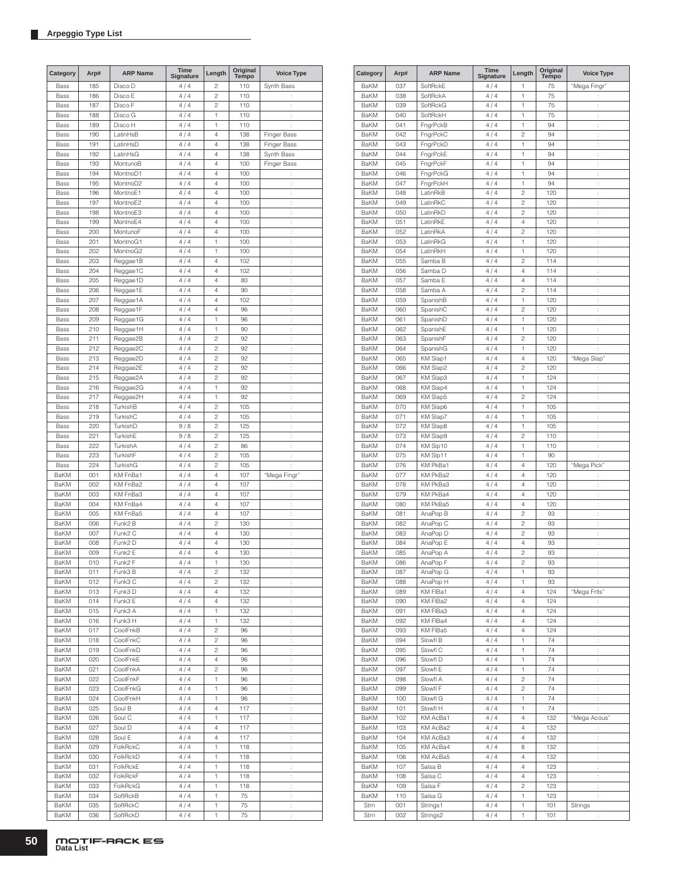| Category    | Arp# | <b>ARP Name</b>     | Time<br>Signature | Length         | Original<br>Tempo | <b>Voice Type</b>    |
|-------------|------|---------------------|-------------------|----------------|-------------------|----------------------|
| Bass        | 185  | Disco D             | 4/4               | $\overline{c}$ | 110               | Synth Bass           |
| Bass        | 186  | Disco E             | 4/4               | $\overline{c}$ | 110               | $\vdots$             |
| Bass        | 187  | Disco F             | 4/4               | $\overline{c}$ | 110               | t                    |
| Bass        | 188  | Disco G             | 4/4               | 1              | 110               | ÷                    |
| Bass        | 189  | Disco H             | 4/4               | 1              | 110               | ÷                    |
| Bass        | 190  | LatinHsB            | 4/4               | 4              | 138               | Finger Bass          |
| Bass        | 191  | LatinHsD            | 4/4               | 4              | 138               | Finger Bass          |
| Bass        | 192  | LatinHsG            | 4/4               | 4              | 138               | Synth Bass           |
| Bass        | 193  | MontunoB            | 4/4               | 4              | 100               | Finger Bass          |
| Bass        | 194  | MontnoD1            | 4/4               | 4              | 100               | ÷                    |
| Bass        | 195  | MontnoD2            | 4/4               | 4              | 100               | ţ.                   |
| Bass        | 196  | MontnoE1            | 4/4               | 4              | 100               | t                    |
| Bass        | 197  | MontnoE2            | 4/4               | 4              | 100               | t,                   |
| Bass        | 198  | MontnoE3            | 4/4               | 4              | 100               | $\ddot{\phantom{a}}$ |
| Bass        | 199  | MontnoE4            | 4/4               | 4              | 100               | ÷                    |
| Bass        | 200  | MontunoF            | 4/4               | 4              | 100               | $\ddot{\cdot}$       |
| Bass        | 201  | MontnoG1            | 4/4               | 1              | 100               | $\vdots$             |
| Bass        | 202  | MontnoG2            |                   | 1              | 100               |                      |
|             |      |                     | 4/4               | 4              |                   | t                    |
| Bass        | 203  | Reggae1B            | 4/4               |                | 102               | ÷                    |
| Bass        | 204  | Reggae1C            | 4/4               | 4              | 102               | $\ddot{\phantom{a}}$ |
| Bass        | 205  | Reggae1D            | 4/4               | 4              | 80                | t                    |
| Bass        | 206  | Reggae1E            | 4/4               | 4              | 90                | t                    |
| Bass        | 207  | Reggae1A            | 4/4               | 4              | 102               | t                    |
| Bass        | 208  | Reggae1F            | 4/4               | 4              | 96                | ÷                    |
| Bass        | 209  | Reggae1G            | 4/4               | 1              | 96                | ÷                    |
| Bass        | 210  | Reggae1H            | 4/4               | 1              | 90                | $\vdots$             |
| Bass        | 211  | Reggae2B            | 4/4               | $\overline{c}$ | 92                | t                    |
| Bass        | 212  | Reggae2C            | 4/4               | $\overline{c}$ | 92                | l.                   |
| Bass        | 213  | Reggae2D            | 4/4               | $\overline{c}$ | 92                | $\ddot{\phantom{a}}$ |
| Bass        | 214  | Reggae2E            | 4/4               | $\overline{c}$ | 92                | ÷                    |
| Bass        | 215  | Reggae2A            | 4/4               | $\overline{c}$ | 92                | $\ddot{\cdot}$       |
| Bass        | 216  | Reggae2G            | 4/4               | 1              | 92                | $\vdots$             |
| Bass        | 217  | Reggae2H            | 4/4               | 1              | 92                | t                    |
| Bass        | 218  | TurkishB            | 4/4               | $\overline{c}$ | 105               | ÷                    |
| Bass        | 219  | TurkishC            | 4/4               | $\overline{c}$ | 105               | $\ddot{\phantom{a}}$ |
| Bass        | 220  | TurkishD            | 9/8               | $\overline{c}$ | 125               | t                    |
| Bass        | 221  | TurkishE            | 9/8               | $\overline{c}$ | 125               | t                    |
| Bass        | 222  | TurkishA            | 4/4               | $\overline{c}$ | 86                | t                    |
| Bass        | 223  | TurkishF            | 4/4               | $\overline{c}$ | 105               | ÷                    |
| Bass        | 224  | TurkishG            | 4/4               | $\overline{c}$ | 105               | İ.                   |
| <b>BaKM</b> | 001  | KM FnBa1            | 4/4               | 4              | 107               | "Mega Fingr"         |
| <b>BaKM</b> | 002  | KM FnBa2            | 4/4               | 4              | 107               | t                    |
| <b>BaKM</b> | 003  | KM FnBa3            | 4/4               | 4              | 107               | t,                   |
| BaKM        | 004  | KM FnBa4            | 4/4               | 4              | 107               | $\ddot{\phantom{a}}$ |
| BaKM        | 005  | KM FnBa5            | 4/4               | 4              | 107               | ÷                    |
| BaKM        | 006  | Funk2 B             | 4/4               | $\overline{c}$ | 130               | $\ddot{\cdot}$       |
| BaKM        | 007  | Funk <sub>2</sub> C | 4/4               | 4              | 130               | $\vdots$             |
| <b>BaKM</b> | 008  | Funk2 D             | 4/4               | 4              | 130               | t                    |
| <b>BaKM</b> | 009  | Funk2 E             | 4/4               | 4              | 130               | $\vdots$             |
| BaKM        | 010  | Funk <sub>2</sub> F | 4 / 4             | 1              | 130               |                      |
| BaKM        | 011  | Funk3 B             | 4/4               | 2              | 132               | ÷                    |
| BaKM        | 012  | Funk3 C             | 4/4               | 2              | 132               | t.                   |
| BaKM        | 013  | Funk3 D             | 4/4               | 4              | 132               | t,                   |
| BaKM        | 014  | Funk3 E             | 4/4               | 4              | 132               | ÷.                   |
| BaKM        | 015  | Funk3 A             | 4/4               | 1              | 132               | ÷                    |
| BaKM        | 016  | Funk3 H             | 4/4               | 1              | 132               | ÷.                   |
| BaKM        | 017  | CoolFnkB            | 4/4               | 2              | 96                | ţ.                   |
| BaKM        | 018  | CoolFnkC            | 4/4               | 2              | 96                | t,                   |
| BaKM        | 019  | CoolFnkD            | 4/4               | 2              | 96                | t                    |
| BaKM        | 020  | CoolFnkE            | 4/4               | 4              | 96                | t,                   |
| BaKM        | 021  | CoolFnkA            | 4 / 4             | 2              | 96                | $\ddot{\cdot}$       |
| BaKM        | 022  | CoolFnkF            | 4/4               | 1              | 96                | ţ.                   |
| BaKM        | 023  | CoolFnkG            | 4/4               | 1              | 96                | ţ.                   |
| BaKM        | 024  | CoolFnkH            | 4 / 4             | 1              | 96                | t,                   |
| BaKM        | 025  | Soul B              | 4/4               | 4              | 117               | ÷                    |
| BaKM        | 026  | Soul C              | 4/4               | 1              | 117               | t.                   |
| BaKM        | 027  | Soul D              | 4/4               | 4              | 117               | t.                   |
| BaKM        | 028  | Soul E              | 4/4               | 4              | 117               | t,                   |
| BaKM        | 029  | FolkRckC            | 4/4               | 1              | 118               | ÷.                   |
| BaKM        | 030  | FolkRckD            |                   | 1              | 118               |                      |
|             |      |                     | 4 / 4             |                |                   | ÷,                   |
| BaKM        | 031  | FolkRckE            | 4/4               | 1              | 118               | ÷,                   |
| BaKM        | 032  | FolkRckF            | 4/4               | 1              | 118               | ţ.                   |
| BaKM        | 033  | <b>FolkRckG</b>     | 4/4               | 1              | 118               | t,                   |
| BaKM        | 034  | SoftRckB            | 4/4               | 1              | 75                | t                    |
| BaKM        | 035  | SoftRckC            | 4 / 4             | 1              | 75                | $\vdots$             |
| BaKM        | 036  | SoftRckD            | 4/4               | 1              | 75                | Ì.                   |

| Category     | Arp#       | <b>ARP Name</b>      | <b>Time</b><br>Signature | Length                  | Original<br>Tempo | <b>Voice Type</b>    |
|--------------|------------|----------------------|--------------------------|-------------------------|-------------------|----------------------|
| BaKM         | 037        | SoftRckE             | 4 / 4                    | 1                       | 75                | "Mega Fingr"         |
| BaKM         | 038        | SoftRckA             | 4/4                      | 1                       | 75                |                      |
| BaKM         | 039        | SoftRckG             | 4 / 4                    | 1                       | 75                | $\vdots$             |
| BaKM         | 040        | SoftRckH             | 4 / 4                    | 1                       | 75                | t                    |
| BaKM         | 041        | FngrPckB             | 4/4                      | 1                       | 94                | $\ddot{\phantom{a}}$ |
| BaKM         | 042        | FngrPckC             | 4/4                      | $\overline{c}$          | 94                | ł.                   |
| BaKM         | 043        | FngrPckD             | 4/4                      | 1                       | 94                | ÷                    |
| BaKM         | 044        | FngrPckE             | 4/4                      | 1                       | 94                | ł.                   |
| BaKM<br>BaKM | 045        | FngrPckF             | 4 / 4<br>4/4             | 1<br>1                  | 94                | t<br>ł.              |
| BaKM         | 046<br>047 | FngrPckG<br>FngrPckH | 4/4                      | 1                       | 94<br>94          | t                    |
| <b>BaKM</b>  | 048        | LatinRkB             | 4/4                      | $\overline{c}$          | 120               | t,                   |
| BaKM         | 049        | LatinRkC             | 4/4                      | $\overline{c}$          | 120               | t                    |
| BaKM         | 050        | LatinRkD             | 4/4                      | $\overline{c}$          | 120               | t                    |
| BaKM         | 051        | LatinRkE             | 4/4                      | $\overline{4}$          | 120               | ċ                    |
| BaKM         | 052        | LatinRkA             | 4 / 4                    | 2                       | 120               | ÷                    |
| BaKM         | 053        | LatinRkG             | 4 / 4                    | 1                       | 120               | ÷                    |
| BaKM         | 054        | LatinRkH             | 4 / 4                    | 1                       | 120               | $\vdots$             |
| BaKM         | 055        | Samba B              | 4 / 4                    | $\overline{c}$          | 114               | t                    |
| BaKM         | 056        | Samba D              | 4/4                      | 4                       | 114               | $\ddot{\phantom{a}}$ |
| BaKM         | 057        | Samba E              | 4/4                      | 4                       | 114               | ł.                   |
| BaKM         | 058        | Samba A              | 4/4                      | $\overline{c}$          | 114               | ÷                    |
| BaKM         | 059        | SpanishB             | 4/4                      | 1                       | 120               | ł.                   |
| BaKM<br>BaKM | 060        | SpanishC             | 4 / 4<br>4/4             | $\overline{c}$<br>1     | 120<br>120        | t<br>ł.              |
| BaKM         | 061<br>062 | SpanishD<br>SpanishE | 4 / 4                    | 1                       | 120               | ł.                   |
| <b>BaKM</b>  | 063        | SpanishF             | 4/4                      | $\overline{c}$          | 120               | ł.                   |
| BaKM         | 064        | SpanishG             | 4/4                      | 1                       | 120               | t                    |
| BaKM         | 065        | KM Slap1             | 4/4                      | 4                       | 120               | "Mega Slap"          |
| BaKM         | 066        | KM Slap2             | 4/4                      | $\overline{c}$          | 120               | t                    |
| BaKM         | 067        | KM Slap3             | 4 / 4                    | 1                       | 124               | t                    |
| BaKM         | 068        | KM Slap4             | 4 / 4                    | 1                       | 124               | ÷                    |
| BaKM         | 069        | <b>KM Slap5</b>      | 4 / 4                    | $\overline{c}$          | 124               | $\vdots$             |
| BaKM         | 070        | KM Slap6             | 4 / 4                    | 1                       | 105               | t                    |
| BaKM         | 071        | KM Slap7             | 4/4                      | 1                       | 105               | $\ddot{\phantom{a}}$ |
| BaKM         | 072        | KM Slap8             | 4/4                      | 1                       | 105               | ÷                    |
| BaKM         | 073        | KM Slap9             | 4 / 4                    | $\overline{c}$          | 110               | ÷                    |
| BaKM         | 074        | KM Slp10             | 4/4                      | 1                       | 110               | ÷                    |
| BaKM<br>BaKM | 075<br>076 | KM Slp11<br>KM PkBa1 | 4 / 4<br>4/4             | 1<br>4                  | 90<br>120         | t<br>"Mega Pick"     |
| BaKM         | 077        | KM PkBa2             | 4 / 4                    | 4                       | 120               | t,                   |
| <b>BaKM</b>  | 078        | KM PkBa3             | 4/4                      | 4                       | 120               | t,                   |
| BaKM         | 079        | KM PkBa4             | 4/4                      | 4                       | 120               | t                    |
| BaKM         | 080        | KM PkBa5             | 4/4                      | 4                       | 120               | t                    |
| BaKM         | 081        | AnaPop B             | 4/4                      | $\overline{c}$          | 93                | ċ                    |
| BaKM         | 082        | AnaPop C             | 4 / 4                    | $\overline{\mathbf{c}}$ | 93                | $\vdots$             |
| BaKM         | 083        | AnaPop D             | 4 / 4                    | $\overline{c}$          | 93                | ÷                    |
| BaKM         | 084        | AnaPop E             | 4 / 4                    | 4                       | 93                | $\vdots$             |
| <b>BaKM</b>  | 085        | AnaPop A             | 4/4                      | $\overline{c}$          | 93                | t                    |
| BaKM         | 086        | AnaPop F             | 4/4                      | 2                       | 93                |                      |
| BaKM         | 087        | AnaPop G             | 4/4                      | 1                       | 93                | ţ.                   |
| BaKM         | 088        | AnaPop H             | 4/4                      | 1                       | 93                | ÷                    |
| BaKM         | 089        | KM FIBa1<br>KM FIBa2 | 4/4<br>4/4               | 4                       | 124               | "Mega Frtls"         |
| BaKM<br>BaKM | 090<br>091 | KM FIBa3             | 4/4                      | 4<br>4                  | 124<br>124        | ÷.<br>÷.             |
| <b>BaKM</b>  | 092        | KM FIBa4             | 4/4                      | 4                       | 124               | ÷                    |
| BaKM         | 093        | KM FIBa5             | 4/4                      | 4                       | 124               | t,                   |
| BaKM         | 094        | Slowfl B             | 4/4                      | 1                       | 74                | ł.                   |
| BaKM         | 095        | Slowfl C             | 4/4                      | 1                       | 74                | ţ.                   |
| BaKM         | 096        | Slowfl D             | 4/4                      | 1                       | 74                | ł,                   |
| BaKM         | 097        | Slowfl E             | 4/4                      | 1                       | 74                | ţ.                   |
| BaKM         | 098        | Slowfl A             | 4/4                      | $\overline{c}$          | 74                | ł.                   |
| BaKM         | 099        | Slowfl F             | 4/4                      | $\overline{\mathbf{c}}$ | 74                | ţ.                   |
| BaKM         | 100        | Slowfl G             | 4/4                      | 1                       | 74                | $\vdots$             |
| BaKM         | 101        | Slowfl H             | 4/4                      | 1                       | 74                | ÷                    |
| BaKM         | 102        | KM AcBa1             | 4/4                      | 4                       | 132               | "Mega Acous"         |
| BaKM         | 103        | KM AcBa2             | 4 / 4                    | 4                       | 132               | t,                   |
| BaKM         | 104        | KM AcBa3             | 4/4                      | 4                       | 132               | ł.                   |
| BaKM<br>BaKM | 105<br>106 | KM AcBa4<br>KM AcBa5 | 4 / 4<br>4/4             | 8<br>4                  | 132<br>132        | ÷                    |
| BaKM         | 107        | Salsa B              | 4/4                      | 4                       | 123               | t,<br>ł.             |
| BaKM         | 108        | Salsa C              | 4/4                      | 4                       | 123               | ÷.                   |
| BaKM         | 109        | Salsa F              | 4/4                      | $\overline{c}$          | 123               | ÷.                   |
| BaKM         | 110        | Salsa G              | 4/4                      | 1                       | 123               | t,                   |
| Strn         | 001        | Strings1             | 4 / 4                    | 1                       | 101               | Strings              |
| Strn         | 002        | Strings2             | 4 / 4                    | 1                       | 101               | ţ.                   |
|              |            |                      |                          |                         |                   |                      |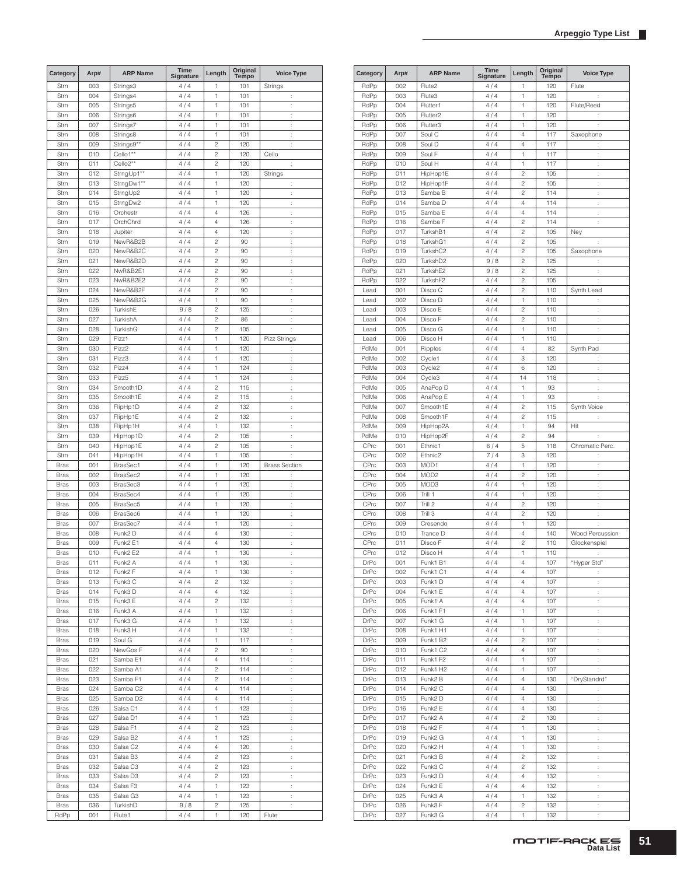| Category    | Arp# | <b>ARP Name</b>       | Time<br>Signature | Length         | Original<br><b>Tempo</b> | <b>Voice Type</b>    |
|-------------|------|-----------------------|-------------------|----------------|--------------------------|----------------------|
| Strn        | 003  | Strings3              | 4/4               | 1              | 101                      | Strings              |
| Strn        | 004  | Strings4              | 4/4               | 1              | 101                      | $\ddot{\phantom{a}}$ |
| Strn        | 005  | Strings5              | 4/4               | 1              | 101                      | t                    |
| Strn        | 006  | Strings6              | 4/4               | 1              | 101                      | ÷                    |
| Strn        | 007  | Strings7              | 4/4               | 1              | 101                      | ÷                    |
| Strn        | 008  | Strings8              | 4/4               | 1              | 101                      | t                    |
| Strn        | 009  | Strings9**            | 4/4               | $\overline{c}$ | 120                      | ÷                    |
| Strn        | 010  | Cello1**              | 4/4               | $\overline{c}$ | 120                      | Cello                |
| Strn        | 011  | Cello <sub>2</sub> ** | 4/4               | $\overline{c}$ | 120                      | ÷                    |
| Strn        | 012  | StrngUp1**            | 4/4               | 1              | 120                      | Strings              |
| Strn        | 013  | StrngDw1**            | 4/4               | 1              | 120                      | t                    |
| Strn        | 014  | StrngUp2              | 4/4               | 1              | 120                      | ÷                    |
| Strn        | 015  | StrngDw2              | 4/4               | 1              | 120                      | ÷                    |
| Strn        | 016  | Orchestr              | 4/4               | 4              | 126                      | t                    |
| Strn        | 017  | OrchChrd              | 4/4               | $\overline{4}$ | 126                      | ÷                    |
| Strn        | 018  | Jupiter               | 4/4               | $\overline{4}$ | 120                      | t                    |
| Strn        | 019  | NewR&B2B              | 4/4               | $\overline{c}$ | 90                       | ÷                    |
| Strn        | 020  | NewR&B2C              | 4/4               | $\overline{c}$ | 90                       | ÷                    |
| Strn        | 021  | NewR&B2D              | 4/4               | $\overline{c}$ | 90                       | ÷                    |
| Strn        | 022  | NwR&B2E1              | 4/4               | $\overline{c}$ | 90                       | ÷                    |
| Strn        | 023  | NwR&B2E2              | 4/4               | $\overline{c}$ | 90                       | Ì,                   |
|             |      |                       |                   | $\overline{c}$ |                          |                      |
| Strn        | 024  | NewR&B2F              | 4/4               |                | 90                       | ÷                    |
| Strn        | 025  | NewR&B2G              | 4/4               | 1              | 90                       | ÷                    |
| Strn        | 026  | TurkishE              | 9/8               | $\overline{c}$ | 125                      | ÷                    |
| Strn        | 027  | TurkishA              | 4/4               | $\overline{c}$ | 86                       | ÷                    |
| Strn        | 028  | TurkishG              | 4/4               | $\overline{c}$ | 105                      | ÷                    |
| Strn        | 029  | Pizz1                 | 4/4               | 1              | 120                      | Pizz Strings         |
| Strn        | 030  | Pizz2                 | 4/4               | 1              | 120                      | ÷                    |
| Strn        | 031  | Pizz3                 | 4/4               | 1              | 120                      | t                    |
| Strn        | 032  | Pizz4                 | 4/4               | 1              | 124                      | ÷                    |
| Strn        | 033  | Pizz <sub>5</sub>     | 4/4               | 1              | 124                      | t                    |
| Strn        | 034  | Smooth1D              | 4/4               | $\overline{c}$ | 115                      | ÷                    |
| Strn        | 035  | Smooth1E              | 4/4               | $\overline{c}$ | 115                      | ÷                    |
| Strn        | 036  | FlipHp1D              | 4/4               | $\overline{c}$ | 132                      | ÷                    |
| Strn        | 037  | FlipHp1E              | 4/4               | $\overline{c}$ | 132                      | ÷                    |
| Strn        | 038  | FlipHp1H              | 4/4               | 1              | 132                      | Ì,                   |
| Strn        | 039  | HipHop1D              | 4/4               | $\overline{c}$ | 105                      | ÷                    |
| Strn        | 040  | HipHop1E              | 4/4               | $\overline{c}$ | 105                      | ÷                    |
| Strn        | 041  | HipHop1H              | 4/4               | 1              | 105                      | $\ddot{\cdot}$       |
| <b>Bras</b> | 001  | BrasSec1              | 4/4               | 1              | 120                      | <b>Brass Section</b> |
| <b>Bras</b> | 002  | BrasSec2              | 4/4               | 1              | 120                      | ÷                    |
| <b>Bras</b> | 003  | BrasSec3              | 4/4               | 1              | 120                      | ÷                    |
| <b>Bras</b> | 004  | BrasSec4              | 4/4               | 1              | 120                      | ÷                    |
| <b>Bras</b> | 005  | BrasSec5              | 4/4               | 1              | 120                      | t                    |
|             | 006  | BrasSec6              | 4/4               | 1              | 120                      |                      |
| <b>Bras</b> |      |                       |                   |                |                          | ÷                    |
| <b>Bras</b> | 007  | BrasSec7              | 4/4               | 1              | 120                      | ÷                    |
| <b>Bras</b> | 008  | Funk2 D               | 4/4               | $\overline{4}$ | 130                      | ÷                    |
| <b>Bras</b> | 009  | Funk2 E1              | 4/4               | $\overline{4}$ | 130                      | t                    |
| <b>Bras</b> | 010  | Funk2 E2              | 4/4               | 1              | 130                      | ÷                    |
| <b>Bras</b> | 011  | Funk2 A               | 4/4               | 1              | 130                      |                      |
| <b>Bras</b> | 012  | Funk2 F               | 4/4               | 1              | 130                      | ŧ                    |
| Bras        | 013  | Funk3 C               | 4/4               | 2              | 132                      | $\vdots$             |
| <b>Bras</b> | 014  | Funk3 D               | 4/4               | 4              | 132                      | $\ddot{\cdot}$       |
| Bras        | 015  | Funk3 E               | 4/4               | 2              | 132                      | $\ddot{\cdot}$       |
| Bras        | 016  | Funk3 A               | 4/4               | 1              | 132                      | $\ddot{\cdot}$       |
| Bras        | 017  | Funk3 G               | 4/4               | 1              | 132                      | ţ.                   |
| <b>Bras</b> | 018  | Funk3 H               | $4\,/\,4$         | 1              | 132                      | ţ.                   |
| Bras        | 019  | Soul G                | 4/4               | 1              | 117                      | ÷                    |
| Bras        | 020  | NewGos F              | 4/4               | 2              | 90                       | ÷                    |
| Bras        | 021  | Samba E1              | 4/4               | 4              | 114                      | ÷                    |
| Bras        | 022  | Samba A1              | 4/4               | 2              | 114                      | $\ddot{\phantom{a}}$ |
| Bras        | 023  | Samba F1              | 4/4               | 2              | 114                      | ÷.                   |
| <b>Bras</b> | 024  | Samba C2              | 4/4               | 4              | 114                      | ţ.                   |
| <b>Bras</b> | 025  | Samba D <sub>2</sub>  | 4/4               | 4              | 114                      | $\ddot{\cdot}$       |
| Bras        | 026  | Salsa C1              | 4/4               | 1              | 123                      | ţ.                   |
| Bras        | 027  | Salsa D1              | 4/4               | 1              | 123                      | $\ddot{\cdot}$       |
| Bras        | 028  | Salsa F1              | 4 / 4             | 2              | 123                      | $\vdots$             |
|             |      |                       |                   |                |                          |                      |
| Bras        | 029  | Salsa B <sub>2</sub>  | 4/4               | 1              | 123                      | $\ddot{\cdot}$       |
| Bras        | 030  | Salsa C2              | 4/4               | 4              | 120                      | $\ddot{\cdot}$       |
| Bras        | 031  | Salsa B3              | 4/4               | 2              | 123                      | ţ.                   |
| Bras        | 032  | Salsa C3              | 4 / 4             | $\overline{c}$ | 123                      | $\ddot{\phantom{a}}$ |
| Bras        | 033  | Salsa D3              | 4 / 4             | $\overline{c}$ | 123                      | ţ.                   |
| Bras        | 034  | Salsa F3              | 4/4               | 1              | 123                      | ÷                    |
| Bras        | 035  | Salsa G3              | 4/4               | 1              | 123                      | ÷                    |
| Bras        | 036  | TurkishD              | 9/8               | 2              | 125                      | ÷.                   |
| RdPp        | 001  | Flute1                | 4 / 4             | 1              | 120                      | Flute                |

| Category     | Arp#       | <b>ARP Name</b>      | <b>Time</b><br>Signature | Length                  | Original<br>Tempo | <b>Voice Type</b>    |
|--------------|------------|----------------------|--------------------------|-------------------------|-------------------|----------------------|
| RdPp         | 002        | Flute2               | 4/4                      | 1                       | 120               | Flute                |
| RdPp         | 003        | Flute3               | 4/4                      | 1                       | 120               | t                    |
| RdPp         | 004        | Flutter1             | 4/4                      | 1                       | 120               | Flute/Reed           |
| RdPp         | 005        | Flutter <sub>2</sub> | 4/4                      | 1                       | 120               | t                    |
| RdPp         | 006        | Flutter3             | 4 / 4                    | 1                       | 120               | t                    |
| RdPp         | 007        | Soul C               | 4/4                      | 4                       | 117               | Saxophone            |
| RdPp         | 008        | Soul D               | 4/4                      | 4                       | 117               | $\ddot{\phantom{a}}$ |
| RdPp         | 009        | Soul F               | 4/4                      | 1                       | 117               | t                    |
| RdPp         | 010        | Soul H<br>HipHop1E   | 4/4<br>4/4               | 1<br>$\overline{c}$     | 117<br>105        | t                    |
| RdPp<br>RdPp | 011<br>012 | HipHop1F             | 4/4                      | $\overline{c}$          | 105               | t<br>ł.              |
| RdPp         | 013        | Samba B              | 4/4                      | $\overline{c}$          | 114               | ÷                    |
| RdPp         | 014        | Samba D              | 4/4                      | 4                       | 114               | ł.                   |
| RdPp         | 015        | Samba E              | 4/4                      | 4                       | 114               | t                    |
| RdPp         | 016        | Samba F              | 4/4                      | $\overline{c}$          | 114               | ÷.                   |
| RdPp         | 017        | TurkshB1             | 4/4                      | $\overline{c}$          | 105               | Ney                  |
| RdPp         | 018        | TurkshG1             | 4/4                      | $\overline{c}$          | 105               | ÷                    |
| RdPp         | 019        | TurkshC2             | 4/4                      | $\overline{c}$          | 105               | Saxophone            |
| RdPp         | 020        | TurkshD2             | 9/8                      | $\overline{c}$          | 125               | $\ddot{\phantom{a}}$ |
| RdPp         | 021        | TurkshE2             | 9/8                      | $\overline{c}$          | 125               | $\ddot{\phantom{a}}$ |
| RdPp         | 022        | TurkshF2             | 4/4                      | $\overline{c}$          | 105               | ÷                    |
| Lead<br>Lead | 001<br>002 | Disco C<br>Disco D   | 4/4                      | $\overline{c}$<br>1     | 110               | Synth Lead           |
| Lead         | 003        | Disco E              | 4/4<br>4/4               | $\overline{c}$          | 110<br>110        | t<br>t               |
| Lead         | 004        | Disco F              | 4/4                      | $\overline{c}$          | 110               | t                    |
| Lead         | 005        | Disco G              | 4/4                      | 1                       | 110               | ł.                   |
| Lead         | 006        | Disco H              | 4 / 4                    | 1                       | 110               | t                    |
| PdMe         | 001        | Ripples              | 4/4                      | 4                       | 82                | Synth Pad            |
| PdMe         | 002        | Cycle1               | 4/4                      | 3                       | 120               | t                    |
| PdMe         | 003        | Cycle2               | 4/4                      | 6                       | 120               | ÷                    |
| PdMe         | 004        | Cycle3               | 4/4                      | 14                      | 118               | t                    |
| PdMe         | 005        | AnaPop D             | 4/4                      | 1                       | 93                | ł.                   |
| PdMe         | 006        | AnaPop E             | 4/4                      | 1                       | 93                | t                    |
| PdMe         | 007        | Smooth1E             | 4/4                      | $\overline{c}$          | 115               | Synth Voice          |
| PdMe         | 008        | Smooth1F             | 4 / 4                    | $\overline{c}$          | 115               | t                    |
| PdMe         | 009        | HipHop2A             | 4/4                      | 1                       | 94                | Hit                  |
| PdMe         | 010        | HipHop2F             | 4/4                      | $\overline{c}$          | 94                | t                    |
| CPrc<br>CPrc | 001<br>002 | Ethnic1<br>Ethnic2   | 6/4<br>7/4               | 5<br>3                  | 118<br>120        | Chromatic Perc.<br>t |
| CPrc         | 003        | MOD1                 | 4/4                      | 1                       | 120               | t                    |
| CPrc         | 004        | MOD <sub>2</sub>     | 4/4                      | $\overline{c}$          | 120               | ł.                   |
| CPrc         | 005        | MOD3                 | 4 / 4                    | 1                       | 120               | t                    |
| CPrc         | 006        | Trill 1              | 4/4                      | 1                       | 120               | ł.                   |
| CPrc         | 007        | Trill 2              | 4/4                      | $\overline{c}$          | 120               | t                    |
| CPrc         | 008        | Trill 3              | 4/4                      | $\overline{c}$          | 120               | ÷.                   |
| CPrc         | 009        | Cresendo             | 4/4                      | 1                       | 120               | ÷                    |
| CPrc         | 010        | Trance D             | 4/4                      | 4                       | 140               | Wood Percussion      |
| CPrc         | 011        | Disco F              | 4/4                      | $\overline{c}$          | 110               | Glockenspiel         |
| CPrc         | 012        | Disco H              | 4/4                      | 1                       | 110               | t                    |
| DrPc         | 001        | Funk1 B1             | 4/4                      | 4                       | 107               | "Hyper Std"          |
| DrPc         | 002        | Funk1 C1             | 4/4                      | 4                       | 107               | ÷                    |
| DrPc<br>DrPc | 003        | Funk1D<br>Funk1 E    | 4/4<br>4/4               | 4                       | 107               | $\ddot{\phantom{a}}$ |
| DrPc         | 004<br>005 | Funk1 A              | 4/4                      | 4<br>4                  | 107<br>107        | $\ddot{\cdot}$<br>t, |
| <b>DrPc</b>  | 006        | Funk1 F1             | 4/4                      | 1                       | 107               | t,                   |
| DrPc         | 007        | Funk1 G              | 4/4                      | 1                       | 107               | ÷.                   |
| DrPc         | 008        | Funk1 H1             | 4/4                      | 1                       | 107               | ÷.                   |
| DrPc         | 009        | Funk1 B2             | 4/4                      | 2                       | 107               | ÷.                   |
| DrPc         | 010        | Funk1 C2             | 4/4                      | 4                       | 107               | ÷.                   |
| DrPc         | 011        | Funk1 F2             | 4/4                      | 1                       | 107               | ÷.                   |
| DrPc         | 012        | Funk1 H2             | 4/4                      | 1                       | 107               | $\ddot{\phantom{a}}$ |
| DrPc         | 013        | Funk2 B              | 4/4                      | 4                       | 130               | "DryStandrd"         |
| DrPc         | 014        | Funk2 C              | 4/4                      | 4                       | 130               | ÷                    |
| DrPc         | 015        | Funk2 D              | 4/4                      | 4                       | 130               | ţ.                   |
| DrPc         | 016        | Funk2 E              | 4/4                      | 4                       | 130               | t                    |
| DrPc         | 017        | Funk <sub>2</sub> A  | 4/4                      | $\overline{\mathbf{c}}$ | 130               | t,                   |
| DrPc         | 018        | Funk2 F              | 4/4                      | 1                       | 130               | $\ddot{\phantom{a}}$ |
| DrPc<br>DrPc | 019<br>020 | Funk2 G<br>Funk2 H   | 4/4<br>4/4               | 1<br>1                  | 130<br>130        | $\ddot{\phantom{a}}$ |
| DrPc         | 021        | Funk3 B              | $4\,/\,4$                | 2                       | 132               | t,<br>t,             |
| DrPc         | 022        | Funk3 C              | 4/4                      | $\overline{c}$          | 132               | ł.                   |
| DrPc         | 023        | Funk3D               | 4/4                      | 4                       | 132               | ÷.                   |
| DrPc         | 024        | Funk3 E              | 4/4                      | 4                       | 132               | ÷.                   |
| DrPc         | 025        | Funk3 A              | 4/4                      | 1                       | 132               | ÷                    |
| DrPc         | 026        | Funk3 F              | 4/4                      | 2                       | 132               | $\ddot{\cdot}$       |
| DrPc         | 027        | Funk3 G              | 4/4                      | 1                       | 132               | ÷.                   |
|              |            |                      |                          |                         |                   |                      |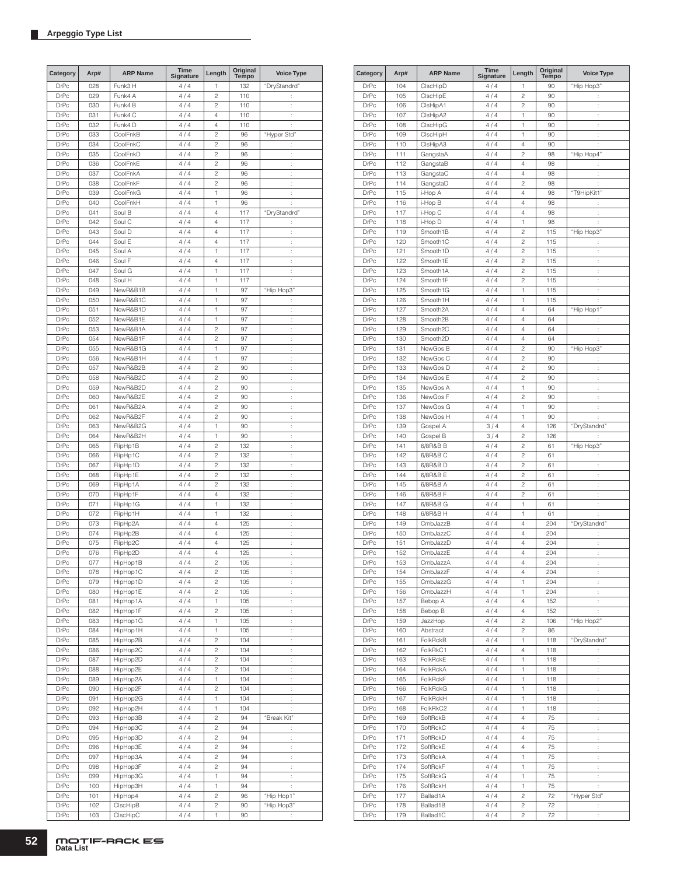| Category                   | Arp#       | <b>ARP Name</b>      | Time<br>Signature | Length                  | Original<br><b>Tempo</b> | <b>Voice Type</b>    |
|----------------------------|------------|----------------------|-------------------|-------------------------|--------------------------|----------------------|
| <b>DrPc</b>                | 028        | Funk3 H              | 4/4               | 1                       | 132                      | "DryStandrd"         |
| <b>DrPc</b>                | 029        | Funk4 A              | 4/4               | $\overline{c}$          | 110                      |                      |
| <b>DrPc</b>                | 030        | Funk4 B              | 4/4               | $\overline{c}$          | 110                      | $\ddot{\phantom{a}}$ |
| <b>DrPc</b>                | 031        | Funk4 C              | 4/4               | 4                       | 110                      | t                    |
| <b>DrPc</b>                | 032        | Funk4 D              | 4/4               | 4                       | 110                      | ÷                    |
| <b>DrPc</b>                | 033        | CoolFnkB             | 4/4               | $\overline{c}$          | 96                       | "Hyper Std"          |
| <b>DrPc</b>                | 034        | CoolFnkC             | 4/4               | $\overline{c}$          | 96                       | t,                   |
| <b>DrPc</b>                | 035        | CoolFnkD             | 4/4               | $\overline{c}$          | 96                       | $\ddot{\phantom{a}}$ |
| <b>DrPc</b>                | 036        | CoolFnkE             | 4/4               | $\overline{c}$          | 96                       | t,                   |
| <b>DrPc</b>                | 037        | CoolFnkA             | 4/4               | $\overline{c}$          | 96                       | $\vdots$             |
| <b>DrPc</b>                | 038        | CoolFnkF             | 4/4               | $\overline{c}$          | 96                       | l.                   |
| <b>DrPc</b>                | 039        | CoolFnkG             | 4/4               | 1                       | 96                       | $\ddot{\phantom{a}}$ |
| <b>DrPc</b>                | 040        | CoolFnkH             | 4/4               | 1                       | 96                       | t                    |
| <b>DrPc</b>                | 041        | Soul B               | 4/4               | 4                       | 117                      | "DryStandrd"         |
| <b>DrPc</b>                | 042        | Soul C               | 4/4               | 4                       | 117                      |                      |
| <b>DrPc</b>                | 043        | Soul D               | 4/4               | 4                       | 117                      | t                    |
| <b>DrPc</b>                | 044        | Soul E               | 4/4               | 4                       | 117                      | t                    |
| <b>DrPc</b>                | 045        | Soul A               | 4/4               | 1                       | 117                      | $\ddot{\phantom{a}}$ |
| <b>DrPc</b>                | 046        | Soul F               | 4/4               | 4                       | 117                      | t                    |
| <b>DrPc</b>                | 047        | Soul G               | 4/4               | 1                       | 117                      | t,                   |
| <b>DrPc</b>                | 048        | Soul H               | 4/4               | 1                       | 117                      | t                    |
| <b>DrPc</b>                | 049        | NewR&B1B             | 4/4               | 1                       | 97                       | "Hip Hop3"           |
| <b>DrPc</b>                | 050        | NewR&B1C             | 4/4               | 1                       | 97                       | ÷                    |
| <b>DrPc</b>                | 051        | NewR&B1D             | 4/4               | 1                       | 97                       | $\ddot{\cdot}$       |
| <b>DrPc</b>                | 052        | NewR&B1E             | 4/4               | 1                       | 97                       | $\vdots$             |
| <b>DrPc</b>                | 053        | NewR&B1A             | 4/4               | $\overline{c}$          | 97                       | l.                   |
| <b>DrPc</b>                | 054        | NewR&B1F             | 4/4               | $\overline{c}$          | 97                       | $\ddot{\phantom{a}}$ |
| <b>DrPc</b>                | 055        | NewR&B1G             | 4/4               | 1                       | 97                       | $\ddot{\phantom{a}}$ |
| <b>DrPc</b>                | 056        | NewR&B1H             | 4/4               | 1                       | 97                       | $\ddot{\cdot}$       |
| <b>DrPc</b>                | 057        | NewR&B2B             | 4/4               | $\overline{c}$          | 90                       | $\ddot{\cdot}$       |
| <b>DrPc</b>                | 058        | NewR&B2C             | 4/4               | $\overline{c}$          | 90                       | t                    |
| <b>DrPc</b>                | 059        | NewR&B2D             | 4/4               | $\overline{c}$          | 90                       | t                    |
| <b>DrPc</b>                | 060        | NewR&B2E             | 4/4               | $\overline{c}$          | 90                       | $\ddot{\phantom{a}}$ |
| <b>DrPc</b>                | 061        | NewR&B2A             | 4/4               | $\overline{c}$          | 90                       | t                    |
| <b>DrPc</b>                | 062        | NewR&B2F             | 4/4               | $\overline{c}$          | 90                       | t,                   |
| <b>DrPc</b>                | 063        | NewR&B2G             | 4/4               | 1                       | 90                       | ÷                    |
| <b>DrPc</b><br><b>DrPc</b> | 064<br>065 | NewR&B2H             | 4/4               | 1<br>$\overline{c}$     | 90<br>132                | ÷                    |
| <b>DrPc</b>                | 066        | FlipHp1B<br>FlipHp1C | 4/4<br>4/4        | $\overline{c}$          | 132                      | ÷<br>t,              |
| <b>DrPc</b>                | 067        | FlipHp1D             | 4/4               | $\overline{c}$          | 132                      | $\vdots$             |
| <b>DrPc</b>                | 068        | FlipHp1E             | 4/4               | $\overline{c}$          | 132                      | l.                   |
| <b>DrPc</b>                | 069        | FlipHp1A             | 4/4               | $\overline{c}$          | 132                      | $\ddot{\phantom{a}}$ |
| <b>DrPc</b>                | 070        | FlipHp1F             | 4/4               | 4                       | 132                      | $\ddot{\phantom{a}}$ |
| DrPc                       | 071        | FlipHp1G             | 4/4               | 1                       | 132                      | $\ddot{\cdot}$       |
| <b>DrPc</b>                | 072        | FlipHp1H             | 4/4               | 1                       | 132                      | $\ddot{\cdot}$       |
| <b>DrPc</b>                | 073        | FlipHp2A             | 4/4               | 4                       | 125                      | t                    |
| <b>DrPc</b>                | 074        | FlipHp2B             | 4/4               | 4                       | 125                      | t                    |
| <b>DrPc</b>                | 075        | FlipHp2C             | 4/4               | 4                       | 125                      | $\ddot{\phantom{a}}$ |
| <b>DrPc</b>                | 076        | FlipHp2D             | 4/4               | 4                       | 125                      | t                    |
| <b>DrPc</b>                | 077        | HipHop1B             | 4/4               | $\overline{c}$          | 105                      |                      |
| DrPc                       | 078        | HipHop1C             | 4/4               | 2                       | 105                      | İ.                   |
| DrPc                       | 079        | HipHop1D             | 4/4               | 2                       | 105                      | t,                   |
| DrPc                       | 080        | HipHop1E             | 4/4               | 2                       | 105                      | ÷                    |
| DrPc                       | 081        | HipHop1A             | 4/4               | 1                       | 105                      | t,                   |
| DrPc                       | 082        | HipHop1F             | 4/4               | 2                       | 105                      | $\ddot{\cdot}$       |
| DrPc                       | 083        | HipHop1G             | 4/4               | 1                       | 105                      | Ì,                   |
| DrPc                       | 084        | HipHop1H             | 4/4               | 1                       | 105                      | ÷                    |
| <b>DrPc</b>                | 085        | HipHop2B             | 4/4               | 2                       | 104                      | Ì.                   |
| DrPc                       | 086        | HipHop2C             | 4/4               | 2                       | 104                      | $\vdots$             |
| DrPc                       | 087        | HipHop2D             | 4/4               | 2                       | 104                      | Ì,                   |
| DrPc                       | 088        | HipHop2E             | 4/4               | $\overline{c}$          | 104                      | $\ddot{\cdot}$       |
| DrPc                       | 089        | HipHop2A             | 4/4               | 1                       | 104                      | t,                   |
| DrPc                       | 090        | HipHop2F             | 4/4               | $\overline{\mathbf{c}}$ | 104                      | ÷,                   |
| DrPc                       | 091        | HipHop2G             | 4/4               | 1                       | 104                      | t,                   |
| DrPc                       | 092        | HipHop2H             | 4/4               | 1                       | 104                      | t.                   |
| DrPc                       | 093        | HipHop3B             | 4/4               | 2                       | 94                       | "Break Kit"          |
| DrPc                       | 094        | HipHop3C             | 4/4               | 2                       | 94                       | t,                   |
| DrPc                       | 095        | HipHop3D             | 4/4               | 2                       | 94                       | $\ddot{\phantom{a}}$ |
| DrPc                       | 096        | HipHop3E             | 4/4               | 2                       | 94                       | $\ddot{\cdot}$       |
| DrPc                       | 097        | HipHop3A             | 4/4               | $\overline{\mathbf{c}}$ | 94                       | $\ddot{\cdot}$       |
| DrPc                       | 098        | HipHop3F             | 4/4               | $\overline{c}$          | 94                       | Ì,                   |
| DrPc                       | 099        | HipHop3G             | 4/4               | 1                       | 94                       | $\ddot{\cdot}$       |
| DrPc                       | 100        | HipHop3H             | 4/4               | 1                       | 94                       | t.                   |
| DrPc                       | 101        | HipHop4              | 4/4               | 2                       | 96                       | "Hip Hop1"           |
| DrPc                       | 102        | ClscHipB             | 4/4               | 2                       | 90                       | "Hip Hop3"           |
| DrPc                       | 103        | ClscHipC             | 4/4               | 1                       | 90                       |                      |

| Category    | Arp# | <b>ARP Name</b>       | <b>Time</b><br>Signature | Length                  | Original<br>Tempo | <b>Voice Type</b> |
|-------------|------|-----------------------|--------------------------|-------------------------|-------------------|-------------------|
| DrPc        | 104  | ClscHipD              | 4/4                      | 1                       | 90                | "Hip Hop3"        |
| <b>DrPc</b> | 105  | CIscHipE              | 4/4                      | $\overline{c}$          | 90                | ĵ.                |
| <b>DrPc</b> | 106  | ClsHipA1              | 4/4                      | $\overline{c}$          | 90                | t                 |
| <b>DrPc</b> | 107  | ClsHipA2              | 4/4                      | 1                       | 90                | t                 |
| <b>DrPc</b> | 108  | ClscHipG              | 4/4                      | 1                       | 90                | t.                |
| <b>DrPc</b> | 109  | ClscHipH              | 4/4                      | 1                       | 90                | ł.                |
| <b>DrPc</b> | 110  | CIsHipA3              | 4/4                      | 4                       | 90                | t                 |
| <b>DrPc</b> | 111  | GangstaA              | 4/4                      | $\overline{c}$          | 98                | "Hip Hop4"        |
| <b>DrPc</b> | 112  | GangstaB              | 4/4                      | 4                       | 98                | t,                |
| <b>DrPc</b> | 113  | GangstaC              | 4/4                      | 4                       | 98                | ÷                 |
| <b>DrPc</b> | 114  | GangstaD              | 4/4                      | $\overline{c}$          | 98                | t                 |
| <b>DrPc</b> | 115  | i-Hop A               | 4/4                      | 4                       | 98                | "T9HipKit1"       |
|             |      |                       |                          | 4                       |                   |                   |
| <b>DrPc</b> | 116  | i-Hop B               | 4/4                      |                         | 98                | ÷                 |
| <b>DrPc</b> | 117  | i-Hop C               | 4/4                      | 4                       | 98                | t                 |
| <b>DrPc</b> | 118  | i-Hop D               | 4/4                      | 1                       | 98                | t                 |
| <b>DrPc</b> | 119  | Smooth1B              | 4/4                      | $\overline{\mathbf{c}}$ | 115               | "Hip Hop3"        |
| <b>DrPc</b> | 120  | Smooth1C              | 4/4                      | $\overline{c}$          | 115               | $\ddot{\cdot}$    |
| <b>DrPc</b> | 121  | Smooth1D              | 4/4                      | $\overline{c}$          | 115               | t                 |
| <b>DrPc</b> | 122  | Smooth1E              | 4/4                      | $\overline{c}$          | 115               | t                 |
| <b>DrPc</b> | 123  | Smooth1A              | 4/4                      | $\overline{c}$          | 115               | t.                |
| <b>DrPc</b> | 124  | Smooth1F              | 4/4                      | $\overline{c}$          | 115               | ł.                |
| <b>DrPc</b> | 125  | Smooth1G              | 4/4                      | 1                       | 115               | ÷                 |
| <b>DrPc</b> | 126  | Smooth1H              | 4/4                      | 1                       | 115               | ÷                 |
| <b>DrPc</b> | 127  | Smooth <sub>2A</sub>  | 4/4                      | 4                       | 64                | "Hip Hop1"        |
| <b>DrPc</b> | 128  | Smooth <sub>2</sub> B | 4/4                      | 4                       | 64                | t,                |
| <b>DrPc</b> | 129  | Smooth <sub>2C</sub>  | 4/4                      | 4                       | 64                | t                 |
| <b>DrPc</b> | 130  | Smooth2D              | 4/4                      | 4                       | 64                | t                 |
| <b>DrPc</b> | 131  | NewGos B              | 4/4                      | $\overline{c}$          | 90                | "Hip Hop3"        |
| <b>DrPc</b> | 132  | NewGos C              | 4/4                      | 2                       | 90                | $\ddot{\cdot}$    |
| <b>DrPc</b> | 133  | NewGos D              | 4/4                      | $\overline{c}$          | 90                | t                 |
| <b>DrPc</b> | 134  | NewGos E              | 4/4                      | $\overline{c}$          | 90                | $\vdots$          |
| <b>DrPc</b> | 135  | NewGos A              | 4/4                      | 1                       | 90                |                   |
|             |      |                       |                          | $\overline{c}$          |                   | t                 |
| <b>DrPc</b> | 136  | NewGos F              | 4/4                      |                         | 90                | t                 |
| <b>DrPc</b> | 137  | NewGos G              | 4/4                      | 1                       | 90                | t                 |
| <b>DrPc</b> | 138  | NewGos H              | 4/4                      | 1                       | 90                | t                 |
| <b>DrPc</b> | 139  | Gospel A              | 3/4                      | 4                       | 126               | "DryStandrd"      |
| <b>DrPc</b> | 140  | Gospel B              | 3/4                      | $\overline{c}$          | 126               |                   |
| <b>DrPc</b> | 141  | 6/8R&B B              | 4/4                      | $\overline{c}$          | 61                | "Hip Hop3"        |
| <b>DrPc</b> | 142  | 6/8R&B C              | 4/4                      | $\overline{c}$          | 61                | t,                |
| <b>DrPc</b> | 143  | 6/8R&B D              | 4/4                      | $\overline{c}$          | 61                | ÷                 |
| <b>DrPc</b> | 144  | 6/8R&B E              | 4/4                      | $\overline{c}$          | 61                | İ,                |
| <b>DrPc</b> | 145  | 6/8R&B A              | 4/4                      | $\overline{c}$          | 61                | İ,                |
| <b>DrPc</b> | 146  | 6/8R&B F              | 4/4                      | $\overline{c}$          | 61                | ÷                 |
| <b>DrPc</b> | 147  | 6/8R&B G              | 4/4                      | 1                       | 61                | ÷                 |
| <b>DrPc</b> | 148  | 6/8R&B H              | 4/4                      | 1                       | 61                |                   |
| DrPc        | 149  | CmbJazzB              | 4/4                      | 4                       | 204               | "DryStandrd"      |
| <b>DrPc</b> | 150  | CmbJazzC              | 4/4                      | 4                       | 204               | Ì                 |
| <b>DrPc</b> | 151  | CmbJazzD              | 4 / 4                    | 4                       | 204               | t                 |
| <b>DrPc</b> | 152  | CmbJazzE              | 4/4                      | 4                       | 204               | t                 |
| DrPc        | 153  | CmbJazzA              | 4 / 4                    | 4                       | 204               |                   |
| <b>DrPc</b> | 154  | CmbJazzF              | 4 / 4                    | 4                       | 204               | ÷                 |
| <b>DrPc</b> | 155  | CmbJazzG              | 4/4                      | 1                       | 204               | t,                |
| <b>DrPc</b> | 156  | CmbJazzH              | 4/4                      | 1                       | 204               | ł.                |
| <b>DrPc</b> | 157  | Bebop A               | 4/4                      | 4                       | 152               | ÷.                |
| DrPc        | 158  | Bebop B               | 4/4                      | 4                       | 152               | ÷                 |
| DrPc        | 159  | JazzHop               | 4/4                      | $\overline{c}$          | 106               | "Hip Hop2"        |
| DrPc        | 160  | Abstract              | 4/4                      | $\overline{c}$          | 86                | ţ.                |
|             | 161  |                       |                          | 1                       | 118               | "DryStandrd"      |
| DrPc        |      | FolkRckB<br>FolkRkC1  | 4/4                      |                         |                   |                   |
| DrPc        | 162  |                       | 4/4                      | 4                       | 118               | ĵ.                |
| DrPc        | 163  | FolkRckE              | 4/4                      | 1                       | 118               | t                 |
| DrPc        | 164  | FolkRckA              | 4/4                      | 1                       | 118               | $\vdots$          |
| DrPc        | 165  | FolkRckF              | 4/4                      | 1                       | 118               | $\ddot{\cdot}$    |
| DrPc        | 166  | FolkRckG              | 4/4                      | 1                       | 118               | ţ.                |
| DrPc        | 167  | FolkRckH              | 4/4                      | 1                       | 118               | $\ddot{\cdot}$    |
| DrPc        | 168  | FolkRkC2              | 4/4                      | 1                       | 118               | ÷                 |
| <b>DrPc</b> | 169  | SoftRckB              | 4/4                      | 4                       | 75                | ÷.                |
| DrPc        | 170  | SoftRckC              | 4/4                      | 4                       | 75                | t,                |
| DrPc        | 171  | SoftRckD              | 4/4                      | 4                       | 75                | ÷.                |
| DrPc        | 172  | SoftRckE              | 4/4                      | 4                       | 75                | ÷.                |
| DrPc        | 173  | SoftRckA              | 4/4                      | 1                       | 75                | $\ddot{\cdot}$    |
| DrPc        | 174  | SoftRckF              | 4/4                      | 1                       | 75                | ÷.                |
| DrPc        | 175  | SoftRckG              | 4/4                      | 1                       | 75                | t,                |
| <b>DrPc</b> | 176  | SoftRckH              | 4/4                      | 1                       | 75                | t                 |
| DrPc        | 177  | Ballad1A              | 4/4                      | $\overline{\mathbf{c}}$ | 72                | "Hyper Std"       |
| DrPc        | 178  | Ballad1B              | 4/4                      | $\overline{\mathbf{c}}$ | 72                | ÷                 |
| DrPc        | 179  | Ballad1C              | 4 / 4                    | $\sqrt{2}$              | 72                | ţ.                |
|             |      |                       |                          |                         |                   |                   |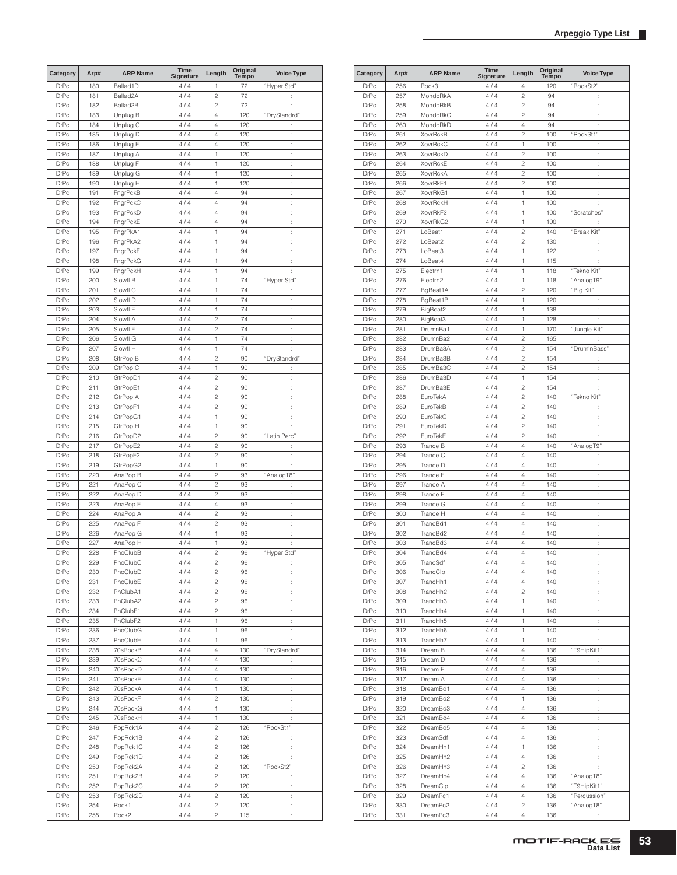| Category     | Arp#       | <b>ARP Name</b>       | <b>Time</b><br><b>Signature</b> | Length                  | Original<br>Tempo | <b>Voice Type</b>                      |
|--------------|------------|-----------------------|---------------------------------|-------------------------|-------------------|----------------------------------------|
| <b>DrPc</b>  | 180        | Ballad1D              | 4/4                             | 1                       | 72                | "Hyper Std"                            |
| <b>DrPc</b>  | 181        | Ballad <sub>2</sub> A | 4/4                             | $\overline{c}$          | 72                | $\ddot{\phantom{a}}$                   |
| <b>DrPc</b>  | 182        | Ballad <sub>2</sub> B | 4/4                             | $\overline{c}$          | 72                | ÷                                      |
| <b>DrPc</b>  | 183        | Unplug B              | 4/4                             | 4                       | 120               | "DryStandrd"                           |
| <b>DrPc</b>  | 184        | Unplug C              | 4/4                             | 4                       | 120               | t.                                     |
| <b>DrPc</b>  | 185        | Unplug D              | 4/4                             | 4                       | 120               | ÷                                      |
| <b>DrPc</b>  | 186        | Unplug E              | 4/4                             | 4                       | 120               | t,                                     |
| <b>DrPc</b>  | 187        | Unplug A              | 4/4                             | 1                       | 120               | ÷                                      |
| <b>DrPc</b>  | 188        | Unplug F              | 4/4                             | 1                       | 120               | ÷                                      |
| DrPc         | 189        | Unplug G              | 4/4                             | 1                       | 120               | ÷                                      |
| <b>DrPc</b>  | 190        | Unplug H              | 4/4                             | 1                       | 120               | ÷                                      |
| <b>DrPc</b>  | 191        | FngrPckB              | 4/4                             | 4                       | 94                | ÷                                      |
| <b>DrPc</b>  | 192        | FngrPckC              | 4/4                             | 4                       | 94                | ł,                                     |
| <b>DrPc</b>  | 193        | FngrPckD              | 4/4                             | 4                       | 94                | ÷                                      |
| <b>DrPc</b>  | 194        | FngrPckE              | 4/4                             | 4                       | 94                | ÷                                      |
| DrPc         | 195        | FngrPkA1              | 4/4                             | 1                       | 94                | $\ddot{\cdot}$                         |
| <b>DrPc</b>  | 196        | FngrPkA2              | 4/4                             | 1                       | 94                | ÷                                      |
| <b>DrPc</b>  | 197        | FngrPckF              | 4/4                             | 1                       | 94                | t                                      |
| <b>DrPc</b>  | 198        | FngrPckG              | 4/4                             | 1                       | 94                | ÷                                      |
| <b>DrPc</b>  | 199        | FngrPckH              | 4/4                             | 1                       | 94                | $\ddot{\phantom{a}}$                   |
| <b>DrPc</b>  | 200        | Slowfl B              | 4/4                             | 1                       | 74                | "Hyper Std"                            |
| <b>DrPc</b>  | 201        | Slowfl C              | 4/4                             | 1                       | 74                | t.                                     |
| <b>DrPc</b>  | 202        | Slowfl D              | 4/4                             | 1                       | 74                | ÷                                      |
| <b>DrPc</b>  | 203        | Slowfl E              | 4/4                             | 1                       | 74                | ÷                                      |
| <b>DrPc</b>  | 204        | Slowfl A              | 4/4                             | $\overline{c}$          | 74                | ÷                                      |
| <b>DrPc</b>  | 205        | Slowfl F              | 4/4                             | $\overline{c}$          | 74                | ÷                                      |
| <b>DrPc</b>  | 206        | Slowfl G              | 4/4                             | 1                       | 74                | ÷                                      |
| <b>DrPc</b>  | 207        | Slowfl H              | 4/4                             | 1                       | 74                | t                                      |
| <b>DrPc</b>  | 208        | GtrPop B              | 4/4                             | $\overline{c}$          | 90                | "DryStandrd"                           |
| <b>DrPc</b>  | 209        | GtrPop C              | 4/4                             | 1                       | 90                | $\vdots$                               |
| DrPc         | 210        | GtrPopD1              | 4/4                             | $\overline{c}$          | 90                | $\ddot{\cdot}$                         |
| <b>DrPc</b>  | 211        | GtrPopE1              | 4/4                             | $\overline{c}$          | 90                | ÷                                      |
| <b>DrPc</b>  | 212        | GtrPop A              | 4/4                             | $\overline{c}$          | 90                | t                                      |
| <b>DrPc</b>  | 213        | GtrPopF1              | 4/4                             | $\overline{c}$          | 90                | ÷                                      |
| <b>DrPc</b>  | 214        | GtrPopG1              | 4/4                             | 1                       | 90                | ÷                                      |
| <b>DrPc</b>  | 215        | GtrPop H              | 4/4                             | 1                       | 90                | ÷                                      |
| <b>DrPc</b>  | 216        | GtrPopD2              | 4/4                             | $\overline{c}$          | 90                | "Latin Perc"                           |
| <b>DrPc</b>  | 217        | GtrPopE2              | 4/4                             | $\overline{c}$          | 90                | ÷                                      |
| <b>DrPc</b>  | 218        | GtrPopF2              | 4/4                             | $\overline{c}$          | 90                | t                                      |
| <b>DrPc</b>  | 219        | GtrPopG2              | 4/4                             | 1                       | 90                | ÷                                      |
| <b>DrPc</b>  | 220        | AnaPop B              | 4/4                             | $\overline{c}$          | 93                | "AnalogT8"                             |
| <b>DrPc</b>  | 221        | AnaPop C              | 4/4                             | $\overline{c}$          | 93                | t,                                     |
| <b>DrPc</b>  | 222        | AnaPop D              | 4/4                             | $\overline{c}$          | 93                | ÷                                      |
| <b>DrPc</b>  | 223        | AnaPop E              | 4/4                             | 4                       | 93                | ÷                                      |
| <b>DrPc</b>  | 224        | AnaPop A              | 4/4                             | $\overline{c}$          | 93                | ÷                                      |
| DrPc         | 225        | AnaPop F              | 4/4                             | $\overline{c}$          | 93                | $\vdots$                               |
| <b>DrPc</b>  | 226        | AnaPop G              | 4/4                             | 1                       | 93                | ÷                                      |
| <b>DrPc</b>  | 227        | AnaPop H              | 4/4                             | 1                       | 93                | ÷                                      |
| <b>DrPc</b>  | 228        | PnoClubB              | 4/4                             | $\overline{c}$          | 96                | "Hyper Std"                            |
| DrPc         | 229        | PnoClubC              | 4 / 4                           | 2                       | 96                |                                        |
| <b>DrPc</b>  | 230        | PnoClubD              | 4/4                             | $\overline{c}$          | 96                | $\ddot{\phantom{a}}$                   |
| DrPc         | 231        | PnoClubE              | 4/4                             | 2                       | 96                | t.                                     |
| DrPc         | 232        | PnClubA1              | 4/4                             | $\overline{\mathbf{c}}$ | 96                | ÷                                      |
| <b>DrPc</b>  | 233        | PnClubA2              | 4/4                             | $\overline{c}$          | 96                | $\ddot{\cdot}$                         |
| DrPc         | 234        | PnClubF1              | 4/4                             | $\overline{c}$          | 96                | ÷.                                     |
| DrPc         | 235        | PnClubF2              | 4/4                             | 1                       | 96                | ÷,                                     |
| DrPc         | 236        | PnoClubG              | 4/4                             | 1                       | 96                | $\ddot{\cdot}$                         |
| <b>DrPc</b>  | 237        | PnoClubH              | 4/4                             | 1                       | 96                | ÷                                      |
| DrPc         | 238        | 70sRockB              | 4/4                             | 4                       | 130               | "DryStandrd"                           |
| DrPc         | 239        | 70sRockC              | 4/4                             | 4                       | 130               | ÷                                      |
| DrPc         | 240        | 70sRockD              | 4/4                             | 4                       | 130               | $\vdots$                               |
| <b>DrPc</b>  | 241        | 70sRockE              | 4/4                             | $\overline{4}$          | 130               | $\ddot{\cdot}$                         |
| DrPc         | 242        | 70sRockA              | 4/4                             | 1                       | 130               | ţ.                                     |
| DrPc         | 243        | 70sRockF              | 4/4                             | $\overline{c}$          | 130               | ÷                                      |
| DrPc         | 244        | 70sRockG              | 4 / 4                           | 1                       | 130               | ÷                                      |
| <b>DrPc</b>  | 245        | 70sRockH              | 4/4                             | 1                       | 130               | ÷                                      |
| DrPc         | 246        | PopRck1A              | 4/4                             | $\overline{c}$          | 126               | "RockSt1"                              |
| DrPc         | 247        | PopRck1B              | 4/4                             | $\mathbf{2}$            | 126               | ÷                                      |
| DrPc         | 248        | PopRck1C              | 4/4                             | $\overline{c}$          | 126               | ÷                                      |
| DrPc         | 249        | PopRck1D              | 4/4                             | 2                       | 126               | $\ddot{\phantom{a}}$                   |
| DrPc         | 250        | PopRck2A              | 4/4                             | 2                       | 120               | "RockSt2"                              |
| DrPc         | 251        | PopRck2B              | 4/4                             | $\overline{c}$          | 120               | ţ.                                     |
| DrPc         | 252        | PopRck2C              | 4/4                             | $\overline{c}$          | 120               | $\ddot{\cdot}$                         |
| DrPc         | 253<br>254 | PopRck2D              | 4/4<br>4/4                      | $\overline{c}$<br>2     | 120<br>120        | Ì,                                     |
| DrPc<br>DrPc | 255        | Rock1<br>Rock2        | 4/4                             | 2                       | 115               | $\ddot{\cdot}$<br>$\ddot{\phantom{a}}$ |
|              |            |                       |                                 |                         |                   |                                        |

| Category    | Arp# | <b>ARP Name</b> | Time<br>Signature | Length         | Original<br><b>Tempo</b> | <b>Voice Type</b>    |
|-------------|------|-----------------|-------------------|----------------|--------------------------|----------------------|
| <b>DrPc</b> | 256  | Rock3           | 4/4               | 4              | 120                      | "RockSt2"            |
| DrPc        | 257  | MondoRkA        | 4/4               | 2              | 94                       | ÷                    |
| DrPc        | 258  | MondoRkB        | 4/4               | $\overline{c}$ | 94                       | t                    |
| DrPc        | 259  | MondoRkC        | 4/4               | $\overline{c}$ | 94                       | $\ddot{\phantom{a}}$ |
| DrPc        | 260  | MondoRkD        | 4/4               | 4              | 94                       | t                    |
| <b>DrPc</b> | 261  | <b>XovrRckB</b> | 4/4               | $\overline{c}$ | 100                      | "RockSt1"            |
| DrPc        | 262  | <b>XovrRckC</b> | 4/4               | 1              | 100                      | ÷                    |
| <b>DrPc</b> | 263  | <b>XovrRckD</b> | 4/4               | $\overline{c}$ | 100                      | ÷                    |
| DrPc        | 264  | XovrRckE        | 4/4               | $\overline{c}$ | 100                      | ÷                    |
| <b>DrPc</b> | 265  | <b>XovrRckA</b> | 4/4               | 2              | 100                      | t                    |
| DrPc        | 266  | XovrRkF1        | 4 / 4             | 2              | 100                      | ÷                    |
| <b>DrPc</b> | 267  | XovrRkG1        | 4/4               | 1              | 100                      | ÷                    |
| <b>DrPc</b> | 268  | <b>XovrRckH</b> | 4/4               | 1              | 100                      | ÷                    |
| <b>DrPc</b> | 269  | XovrRkF2        | 4/4               | 1              | 100                      | "Scratches"          |
| <b>DrPc</b> | 270  | XovrRkG2        | 4/4               | 1              | 100                      |                      |
| DrPc        | 271  | LoBeat1         | 4/4               | 2              | 140                      | "Break Kit"          |
| DrPc        | 272  | LoBeat2         | 4/4               | 2              | 130                      |                      |
|             |      |                 |                   |                |                          | t                    |
| <b>DrPc</b> | 273  | LoBeat3         | 4 / 4             | 1              | 122                      | ÷                    |
| <b>DrPc</b> | 274  | LoBeat4         | 4/4               | 1              | 115                      | ÷                    |
| DrPc        | 275  | Electrn1        | 4/4               | 1              | 118                      | "Tekno Kit"          |
| <b>DrPc</b> | 276  | Electrn2        | 4/4               | 1              | 118                      | "AnalogT9"           |
| DrPc        | 277  | BgBeat1A        | 4/4               | $\overline{c}$ | 120                      | "Big Kit"            |
| DrPc        | 278  | BgBeat1B        | 4/4               | 1              | 120                      | t                    |
| <b>DrPc</b> | 279  | BigBeat2        | 4/4               | 1              | 138                      | ÷                    |
| <b>DrPc</b> | 280  | BigBeat3        | 4/4               | 1              | 128                      | ÷                    |
| DrPc        | 281  | DrumnBa1        | 4 / 4             | 1              | 170                      | "Jungle Kit"         |
| <b>DrPc</b> | 282  | DrumnBa2        | 4/4               | $\overline{c}$ | 165                      | ÷                    |
| DrPc        | 283  | DrumBa3A        | 4/4               | $\overline{c}$ | 154                      | "Drum'nBass"         |
| <b>DrPc</b> | 284  | DrumBa3B        | 4/4               | 2              | 154                      | ÷                    |
| <b>DrPc</b> | 285  | DrumBa3C        | 4/4               | $\overline{c}$ | 154                      | t                    |
| DrPc        | 286  | DrumBa3D        | 4/4               | 1              | 154                      | t                    |
| DrPc        | 287  | DrumBa3E        | 4/4               | $\overline{c}$ | 154                      | t                    |
| <b>DrPc</b> | 288  | EuroTekA        | 4 / 4             | $\overline{c}$ | 140                      | "Tekno Kit"          |
| <b>DrPc</b> | 289  | EuroTekB        | 4/4               | $\overline{c}$ | 140                      | t                    |
|             |      |                 |                   |                |                          |                      |
| DrPc        | 290  | EuroTekC        | 4/4               | $\overline{c}$ | 140                      | t                    |
| <b>DrPc</b> | 291  | EuroTekD        | 4/4               | $\overline{c}$ | 140                      | t                    |
| DrPc        | 292  | EuroTekE        | 4/4               | $\overline{c}$ | 140                      | ÷                    |
| DrPc        | 293  | Trance B        | 4/4               | 4              | 140                      | "AnalogT9"           |
| DrPc        | 294  | Trance C        | 4/4               | $\overline{4}$ | 140                      | ÷                    |
| <b>DrPc</b> | 295  | Trance D        | 4/4               | 4              | 140                      | t                    |
| DrPc        | 296  | Trance E        | 4 / 4             | 4              | 140                      | ÷                    |
| <b>DrPc</b> | 297  | Trance A        | 4/4               | 4              | 140                      | ÷                    |
| DrPc        | 298  | Trance F        | 4/4               | 4              | 140                      | ÷.                   |
| <b>DrPc</b> | 299  | Trance G        | 4/4               | 4              | 140                      | t                    |
| <b>DrPc</b> | 300  | Trance H        | 4/4               | 4              | 140                      | t                    |
| DrPc        | 301  | TrancBd1        | 4/4               | $\overline{4}$ | 140                      | t                    |
| <b>DrPc</b> | 302  | TrancBd2        | 4/4               | 4              | 140                      | ÷                    |
| DrPc        | 303  | TrancBd3        | 4 / 4             | 4              | 140                      | t                    |
| DrPc        | 304  | TrancBd4        | 4 / 4             | 4              | 140                      | ÷                    |
| DrPc        | 305  | TrancSdf        | 4 / 4             | 4              | 140                      |                      |
| DrPc        | 306  | TrancClp        | 4/4               | 4              | 140                      | ÷                    |
| DrPc        | 307  | TrancHh1        | 4/4               | 4              | 140                      | ÷                    |
| DrPc        | 308  | TrancHh2        | 4/4               | 2              | 140                      | t                    |
| DrPc        | 309  | TrancHh3        | 4/4               | 1              | 140                      | ÷                    |
| DrPc        | 310  | TrancHh4        | 4/4               | 1              | 140                      | ÷                    |
| DrPc        | 311  | TrancHh5        | 4 / 4             | 1              | 140                      | ÷                    |
|             |      |                 |                   |                |                          |                      |
| DrPc        | 312  | TrancHh6        | 4/4               | 1              | 140                      | ÷                    |
| <b>DrPc</b> | 313  | TrancHh7        | 4/4               | 1              | 140                      | ÷                    |
| DrPc        | 314  | Dream B         | 4/4               | 4              | 136                      | "T9HipKit1"          |
| DrPc        | 315  | Dream D         | 4/4               | 4              | 136                      | ÷                    |
| DrPc        | 316  | Dream E         | 4/4               | 4              | 136                      | ÷                    |
| DrPc        | 317  | Dream A         | 4/4               | 4              | 136                      | t                    |
| DrPc        | 318  | DreamBd1        | 4/4               | 4              | 136                      | t                    |
| DrPc        | 319  | DreamBd2        | 4/4               | 1              | 136                      | t                    |
| DrPc        | 320  | DreamBd3        | 4/4               | 4              | 136                      | t                    |
| DrPc        | 321  | DreamBd4        | 4/4               | 4              | 136                      | t                    |
| DrPc        | 322  | DreamBd5        | 4/4               | 4              | 136                      | ÷                    |
| DrPc        | 323  | DreamSdf        | 4/4               | 4              | 136                      | t                    |
| DrPc        | 324  | DreamHh1        | 4/4               | 1              | 136                      | ÷                    |
| DrPc        | 325  | DreamHh2        | 4/4               | 4              | 136                      | ÷                    |
| DrPc        | 326  | DreamHh3        | 4/4               | 2              | 136                      | ÷.                   |
| DrPc        | 327  | DreamHh4        | 4/4               | 4              | 136                      | "AnalogT8"           |
| <b>DrPc</b> | 328  | DreamClp        | 4/4               | 4              | 136                      | "T9HipKit1"          |
|             |      |                 |                   | 4              |                          |                      |
| DrPc        | 329  | DreamPc1        | 4/4               |                | 136                      | "Percussion"         |
| DrPc        | 330  | DreamPc2        | 4/4               | 2              | 136                      | "AnalogT8"           |
| DrPc        | 331  | DreamPc3        | 4/4               | 4              | 136                      | ÷                    |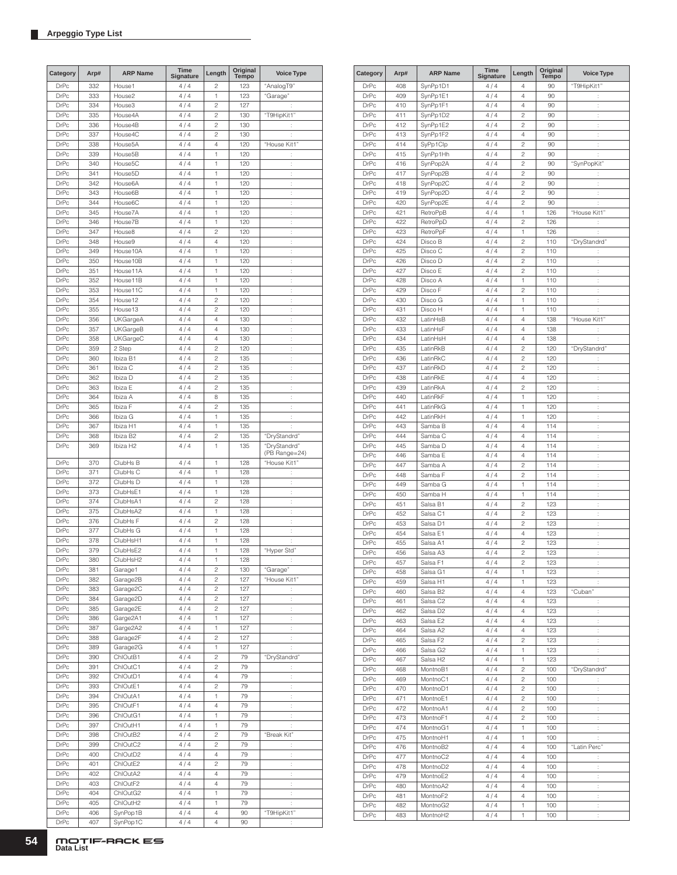| Category    | Arp# | <b>ARP Name</b>      | Time<br>Signature | Length                  | Original<br><b>Tempo</b> | <b>Voice Type</b>    |
|-------------|------|----------------------|-------------------|-------------------------|--------------------------|----------------------|
| <b>DrPc</b> | 332  | House1               | 4/4               | $\overline{c}$          | 123                      | "AnalogT9"           |
| <b>DrPc</b> | 333  | House2               | 4/4               | 1                       | 123                      | "Garage"             |
| <b>DrPc</b> | 334  | House3               | 4/4               | $\overline{c}$          | 127                      |                      |
| <b>DrPc</b> | 335  | House4A              | 4/4               | $\overline{c}$          | 130                      | "T9HipKit1"          |
| <b>DrPc</b> | 336  | House4B              | 4/4               | $\overline{c}$          | 130                      | t.                   |
| <b>DrPc</b> | 337  | House4C              | 4/4               | $\overline{c}$          | 130                      |                      |
|             |      |                      |                   |                         |                          | t                    |
| <b>DrPc</b> | 338  | House <sub>5</sub> A | 4/4               | $\overline{4}$          | 120                      | "House Kit1"         |
| <b>DrPc</b> | 339  | House5B              | 4/4               | 1                       | 120                      | ÷                    |
| <b>DrPc</b> | 340  | House <sub>5</sub> C | 4/4               | 1                       | 120                      | $\vdots$             |
| <b>DrPc</b> | 341  | House5D              | 4/4               | 1                       | 120                      | t,                   |
| <b>DrPc</b> | 342  | House6A              | 4/4               | 1                       | 120                      | t,                   |
| <b>DrPc</b> | 343  | House6B              | 4/4               | 1                       | 120                      | ÷                    |
| <b>DrPc</b> | 344  | House6C              | 4/4               | 1                       | 120                      | ÷                    |
| <b>DrPc</b> | 345  | House7A              | 4/4               | 1                       | 120                      | ÷                    |
| <b>DrPc</b> | 346  | House7B              | 4/4               | 1                       | 120                      | ÷                    |
| <b>DrPc</b> | 347  | House8               | 4/4               | $\overline{c}$          | 120                      | t                    |
| <b>DrPc</b> | 348  | House9               | 4/4               | 4                       | 120                      | ÷                    |
| <b>DrPc</b> | 349  | House10A             | 4/4               | 1                       | 120                      | $\ddot{\phantom{a}}$ |
| <b>DrPc</b> | 350  | House10B             | 4/4               | 1                       | 120                      | ÷                    |
| <b>DrPc</b> | 351  | House11A             | 4/4               | 1                       | 120                      | t,                   |
| <b>DrPc</b> | 352  | House11B             | 4/4               | 1                       | 120                      |                      |
|             |      |                      |                   |                         |                          | ÷                    |
| <b>DrPc</b> | 353  | House11C             | 4/4               | 1                       | 120                      | ÷                    |
| <b>DrPc</b> | 354  | House12              | 4/4               | $\overline{c}$          | 120                      | ÷                    |
| <b>DrPc</b> | 355  | House13              | 4/4               | $\overline{c}$          | 120                      | $\ddot{\cdot}$       |
| <b>DrPc</b> | 356  | <b>UKGargeA</b>      | 4/4               | 4                       | 130                      | ÷                    |
| <b>DrPc</b> | 357  | UKGargeB             | 4/4               | 4                       | 130                      | t,                   |
| <b>DrPc</b> | 358  | <b>UKGargeC</b>      | 4/4               | 4                       | 130                      | ÷                    |
| <b>DrPc</b> | 359  | 2 Step               | 4/4               | $\overline{c}$          | 120                      | ÷                    |
| <b>DrPc</b> | 360  | Ibiza B1             | 4/4               | $\overline{c}$          | 135                      | ÷                    |
| <b>DrPc</b> | 361  | Ibiza C              | 4/4               | $\overline{c}$          | 135                      | ÷                    |
| <b>DrPc</b> | 362  | Ibiza D              | 4/4               | $\overline{c}$          | 135                      | t                    |
| <b>DrPc</b> | 363  | Ibiza E              | 4/4               | $\overline{c}$          | 135                      | ÷                    |
|             |      |                      |                   |                         |                          |                      |
| <b>DrPc</b> | 364  | Ibiza A              | 4/4               | 8                       | 135                      | $\ddot{\phantom{a}}$ |
| <b>DrPc</b> | 365  | Ibiza F              | 4/4               | $\overline{c}$          | 135                      | ÷                    |
| <b>DrPc</b> | 366  | Ibiza G              | 4/4               | 1                       | 135                      | ÷.                   |
| <b>DrPc</b> | 367  | Ibiza H1             | 4/4               | 1                       | 135                      | ÷                    |
| <b>DrPc</b> | 368  | Ibiza B2             | 4/4               | $\overline{c}$          | 135                      | "DryStandrd"         |
| <b>DrPc</b> | 369  | Ibiza H <sub>2</sub> | 4/4               | 1                       | 135                      | "DryStandrd"         |
|             |      |                      |                   |                         |                          | (PB Range=24)        |
| <b>DrPc</b> | 370  | ClubHs B             | 4/4               | 1                       | 128                      | "House Kit1"         |
| <b>DrPc</b> | 371  | ClubHs C             | 4/4               | 1                       | 128                      | ÷                    |
| <b>DrPc</b> | 372  | ClubHs D             | 4/4               | 1                       | 128                      | ţ.                   |
| <b>DrPc</b> | 373  | ClubHsE1             | 4/4               | 1                       | 128                      | t                    |
| <b>DrPc</b> | 374  | ClubHsA1             | 4/4               | $\overline{c}$          | 128                      | $\vdots$             |
| <b>DrPc</b> | 375  | ClubHsA2             | 4/4               | 1                       | 128                      | ÷                    |
| <b>DrPc</b> | 376  | ClubHs F             | 4/4               | $\overline{c}$          | 128                      | ÷                    |
| <b>DrPc</b> | 377  | ClubHs G             | 4/4               | $\mathbf{1}$            | 128                      | ÷                    |
| <b>DrPc</b> | 378  | ClubHsH1             | 4/4               | 1                       | 128                      | t                    |
|             |      |                      |                   |                         |                          |                      |
| <b>DrPc</b> | 379  | ClubHsE2             | 4/4               | 1                       | 128                      | "Hyper Std"          |
| <b>DrPc</b> | 380  | ClubHsH2             | 4/4               | 1                       | 128                      |                      |
| DrPc        | 381  | Garage1              | 4/4               | $\overline{c}$          | 130                      | "Garage"             |
| DrPc        | 382  | Garage2B             | 4/4               | $\overline{c}$          | 127                      | "House Kit1"         |
| DrPc        | 383  | Garage2C             | 4/4               | $\overline{c}$          | 127                      | İ.                   |
| DrPc        | 384  | Garage2D             | 4/4               | $\overline{c}$          | 127                      | t,                   |
| DrPc        | 385  | Garage2E             | 4/4               | $\overline{c}$          | 127                      | $\ddot{\cdot}$       |
| DrPc        | 386  | Garge2A1             | 4/4               | 1                       | 127                      | ÷                    |
| DrPc        | 387  | Garge2A2             | 4/4               | 1                       | 127                      | ÷.                   |
| DrPc        | 388  | Garage2F             | 4/4               | $\overline{c}$          | 127                      | $\ddot{\cdot}$       |
| DrPc        | 389  | Garage2G             | 4/4               | 1                       | 127                      | t,                   |
| DrPc        | 390  | ChlOutB1             | 4/4               | $\overline{c}$          | 79                       | "DryStandrd"         |
| DrPc        | 391  | ChlOutC1             | 4/4               | 2                       | 79                       |                      |
|             |      |                      |                   |                         |                          | t,                   |
| DrPc        | 392  | ChlOutD1             | 4/4               | 4                       | 79                       | $\ddot{\cdot}$       |
| DrPc        | 393  | ChlOutE1             | 4/4               | $\overline{\mathbf{c}}$ | 79                       | t,                   |
| DrPc        | 394  | ChlOutA1             | 4/4               | 1                       | 79                       | $\ddot{\cdot}$       |
| DrPc        | 395  | ChlOutF1             | 4/4               | $\overline{4}$          | 79                       | Ì,                   |
| DrPc        | 396  | ChlOutG1             | 4/4               | 1                       | 79                       | $\ddot{\cdot}$       |
| DrPc        | 397  | ChlOutH1             | 4/4               | 1                       | 79                       | ÷                    |
| DrPc        | 398  | ChlOutB2             | 4/4               | $\overline{c}$          | 79                       | "Break Kit"          |
| DrPc        | 399  | ChlOutC2             | 4/4               | $\overline{c}$          | 79                       | t,                   |
| DrPc        | 400  | ChlOutD2             | 4/4               | $\overline{4}$          | 79                       | $\ddot{\cdot}$       |
| DrPc        | 401  | ChlOutE2             | 4/4               | $\overline{c}$          | 79                       | ÷                    |
| DrPc        | 402  | ChlOutA2             | 4/4               | 4                       | 79                       | $\ddot{\cdot}$       |
|             |      |                      |                   | 4                       | 79                       |                      |
| DrPc        | 403  | ChlOutF2             | 4/4               |                         |                          | $\ddot{\cdot}$       |
| DrPc        | 404  | ChlOutG2             | 4/4               | 1                       | 79                       | ţ.                   |
| DrPc        | 405  | ChlOutH2             | 4/4               | 1                       | 79                       | İ.                   |
| DrPc        | 406  | SynPop1B             | 4/4               | 4                       | 90                       | "T9HipKit1"          |
| DrPc        | 407  | SynPop1C             | 4/4               | 4                       | 90                       |                      |

| Category    | Arp# | <b>ARP Name</b>      | Time<br>Signature | Length                  | Original<br>Tempo | <b>Voice Type</b>    |
|-------------|------|----------------------|-------------------|-------------------------|-------------------|----------------------|
| DrPc        | 408  | SynPp1D1             | 4/4               | 4                       | 90                | "T9HipKit1"          |
| <b>DrPc</b> | 409  | SynPp1E1             | 4/4               | $\overline{4}$          | 90                | ÷                    |
| <b>DrPc</b> | 410  | SynPp1F1             | 4/4               | 4                       | 90                | ţ.                   |
| <b>DrPc</b> | 411  | SynPp1D2             | 4/4               | $\overline{c}$          | 90                | ł.                   |
| <b>DrPc</b> | 412  | SynPp1E2             | 4/4               | $\overline{c}$          | 90                | t                    |
| <b>DrPc</b> | 413  | SynPp1F2             | 4/4               | 4                       | 90                | ł,                   |
| <b>DrPc</b> | 414  | SyPp1Clp             | 4/4               | $\overline{c}$          | 90                | t                    |
| <b>DrPc</b> | 415  | SynPp1Hh             | 4/4               | $\overline{c}$          | 90                | ł.                   |
| <b>DrPc</b> | 416  | SynPop2A             | 4/4               | $\overline{c}$          | 90                | "SynPopKit"          |
| DrPc        | 417  | SynPop2B             | 4/4               | $\overline{c}$          | 90                | $\ddot{\phantom{a}}$ |
| <b>DrPc</b> | 418  | SynPop2C             | 4/4               | $\overline{c}$          | 90                | t                    |
| <b>DrPc</b> | 419  | SynPop2D             | 4/4               | $\overline{c}$          | 90                | t                    |
| <b>DrPc</b> | 420  | SynPop2E             | 4/4               | $\overline{c}$          | 90                | ł.                   |
| <b>DrPc</b> | 421  | RetroPpB             | 4/4               | 1                       | 126               | "House Kit1"         |
| <b>DrPc</b> | 422  | RetroPpD             | 4/4               | $\overline{c}$          | 126               | t.                   |
| <b>DrPc</b> | 423  | RetroPpF             | 4/4               | 1                       | 126               | t                    |
| <b>DrPc</b> | 424  | Disco B              | 4/4               | $\overline{c}$          | 110               | "DryStandrd"         |
| <b>DrPc</b> | 425  | Disco C              | 4/4               | $\overline{c}$          | 110               | ÷                    |
| <b>DrPc</b> | 426  | Disco D              | 4/4               | $\overline{c}$          | 110               | ł.                   |
| <b>DrPc</b> | 427  | Disco E              | 4/4               | $\overline{c}$          | 110               | t                    |
| <b>DrPc</b> | 428  | Disco A              | 4/4               | 1                       | 110               | ł,                   |
| <b>DrPc</b> | 429  | Disco F              | 4/4               | $\overline{c}$          | 110               | t                    |
| <b>DrPc</b> | 430  | Disco G              | 4/4               | 1                       | 110               | ł.                   |
| <b>DrPc</b> | 431  | Disco H              | 4/4               | 1                       | 110               | ÷                    |
| DrPc        | 432  | LatinHsB             | 4/4               | $\overline{4}$          | 138               | "House Kit1"         |
| <b>DrPc</b> | 433  | LatinHsF             | 4/4               | $\overline{4}$          | 138               | $\ddot{\phantom{a}}$ |
| <b>DrPc</b> | 434  | LatinHsH             | 4/4               | $\overline{4}$          | 138               | ÷                    |
| <b>DrPc</b> | 435  | LatinRkB             | 4/4               | $\overline{c}$          | 120               | "DryStandrd"         |
| <b>DrPc</b> | 436  | LatinRkC             | 4/4               | $\overline{c}$          | 120               | t,                   |
| <b>DrPc</b> | 437  | LatinRkD             | 4/4               | $\overline{c}$          | 120               | ł.                   |
| <b>DrPc</b> | 438  | LatinRkE             | 4/4               | $\overline{4}$          | 120               | t                    |
| <b>DrPc</b> | 439  | LatinRkA             | 4/4               | $\overline{c}$          | 120               | ł.                   |
| <b>DrPc</b> | 440  | LatinRkF             | 4/4               | 1                       | 120               | t,                   |
| DrPc        | 441  | LatinRkG             | 4/4               | 1                       | 120               | ł.                   |
| <b>DrPc</b> | 442  | LatinRkH             | 4/4               | 1                       | 120               | t                    |
| <b>DrPc</b> | 443  | Samba B              | 4/4               | 4                       | 114               | ł,                   |
| <b>DrPc</b> | 444  | Samba C              | 4/4               | 4                       | 114               | ÷                    |
| <b>DrPc</b> | 445  | Samba D              | 4/4               | 4                       | 114               | ÷                    |
| <b>DrPc</b> | 446  | Samba E              | 4/4               | $\overline{4}$          | 114               | t                    |
| DrPc        | 447  | Samba A              | 4/4               | $\overline{c}$          | 114               | t                    |
| <b>DrPc</b> | 448  | Samba F              | 4/4               | $\overline{c}$          | 114               | t                    |
| <b>DrPc</b> | 449  | Samba G              | 4/4               | 1                       | 114               | t                    |
| <b>DrPc</b> | 450  | Samba H              | 4/4               | 1                       | 114               | ł.                   |
| <b>DrPc</b> | 451  | Salsa B1             | 4/4               | $\overline{c}$          | 123               | t                    |
| <b>DrPc</b> | 452  | Salsa C1             | 4/4               | $\overline{c}$          | 123               | ł.                   |
| DrPc        | 453  | Salsa D1             | 4/4               | $\overline{c}$          | 123               | t                    |
| <b>DrPc</b> | 454  | Salsa E1             | 4/4               | $\overline{4}$          | 123               | ł.                   |
| <b>DrPc</b> | 455  | Salsa A1             | 4/4               | $\overline{c}$          | 123               | t,                   |
| <b>DrPc</b> | 456  | Salsa A3             | 4/4               | $\overline{c}$          | 123               | ł.                   |
| DrPc        | 457  | Salsa F1             | 4/4               | $\overline{\mathbf{c}}$ | 123               |                      |
| DrPc        | 458  | Salsa G1             | 4/4               | 1                       | 123               | $\ddot{\cdot}$       |
| DrPc        | 459  | Salsa H1             | 4/4               | 1                       | 123               |                      |
| DrPc        | 460  | Salsa B2             | 4/4               | 4                       | 123               | "Cuban"              |
| DrPc        | 461  | Salsa C2             | 4/4               | 4                       | 123               | $\ddot{\phantom{a}}$ |
| <b>DrPc</b> | 462  | Salsa D <sub>2</sub> | 4/4               | 4                       | 123               | $\vdots$             |
| DrPc        | 463  | Salsa E2             | 4/4               | 4                       | 123               | ţ.                   |
| DrPc        | 464  | Salsa A2             | 4/4               | 4                       | 123               | ţ.                   |
| <b>DrPc</b> | 465  | Salsa F2             | 4/4               | $\overline{c}$          | 123               | ł.                   |
| DrPc        | 466  | Salsa G2             | 4/4               | 1                       | 123               | ÷.                   |
| DrPc        | 467  | Salsa H2             | 4/4               | 1                       | 123               | ÷.                   |
| DrPc        | 468  | MontnoB1             | 4/4               | $\sqrt{2}$              | 100               | "DryStandrd"         |
| DrPc        | 469  | MontnoC1             | 4/4               | 2                       | 100               | ÷.                   |
| DrPc        | 470  | MontnoD1             | 4/4               | 2                       | 100               | ţ.                   |
| DrPc        | 471  | MontnoE1             | 4/4               | 2                       | 100               | t,                   |
| DrPc        | 472  | MontnoA1             | 4/4               | $\sqrt{2}$              | 100               | ţ.                   |
| DrPc        | 473  | MontnoF1             | 4/4               | $\sqrt{2}$              | 100               | $\vdots$             |
| DrPc        | 474  | MontnoG1             | 4/4               | 1                       | 100               | t,                   |
| DrPc        | 475  | MontnoH1             | 4/4               | 1                       | 100               | t,                   |
| DrPc        | 476  | MontnoB2             | 4/4               | 4                       | 100               | "Latin Perc"         |
| DrPc        | 477  | MontnoC2             | 4/4               | 4                       | 100               | ÷                    |
| DrPc        | 478  | MontnoD2             | 4/4               | 4                       | 100               | ţ.                   |
| DrPc        | 479  | MontnoE2             | 4/4               | 4                       | 100               | ţ.                   |
| <b>DrPc</b> | 480  | MontnoA2             | 4/4               | 4                       | 100               | ł.                   |
| DrPc        | 481  | MontnoF2             | 4/4               | 4                       | 100               | ÷                    |
| DrPc        | 482  | MontnoG2             | 4/4               | 1                       | 100               | t,                   |
| DrPc        | 483  | MontnoH <sub>2</sub> | 4/4               |                         | 100               |                      |
|             |      |                      |                   | 1                       |                   | ţ.                   |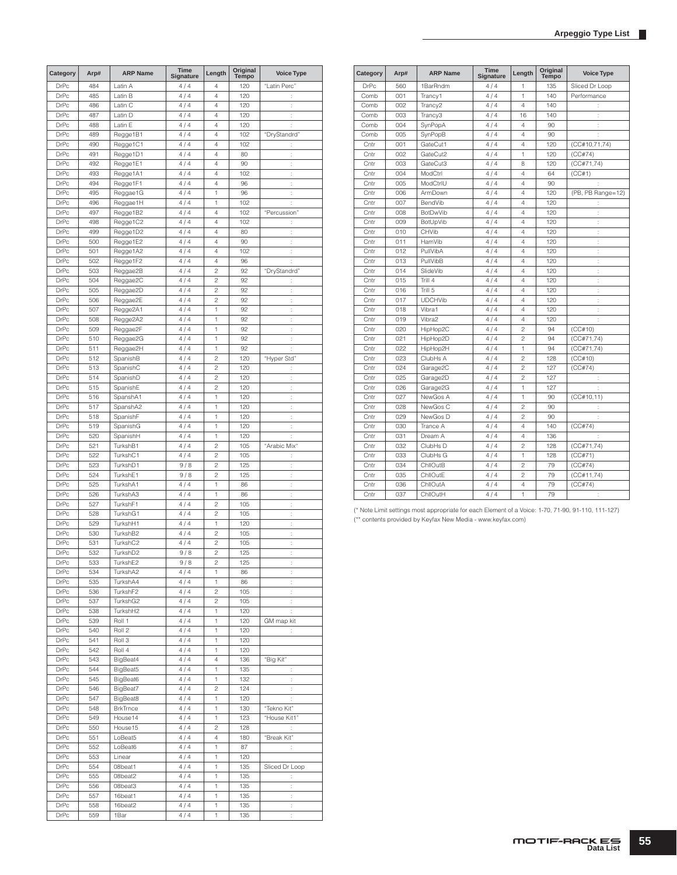| Category                   | Arp#       | <b>ARP Name</b>             | Time<br>Signature | Length                  | Original<br>Tempo | <b>Voice Type</b>           |
|----------------------------|------------|-----------------------------|-------------------|-------------------------|-------------------|-----------------------------|
| <b>DrPc</b>                | 484        | Latin A                     | 4/4               | 4                       | 120               | "Latin Perc"                |
| <b>DrPc</b>                | 485        | Latin B                     | 4/4               | 4                       | 120               | ÷                           |
| <b>DrPc</b>                | 486        | Latin C                     | 4/4               | 4                       | 120               | $\ddot{\phantom{a}}$        |
| <b>DrPc</b>                | 487        | Latin D                     | 4/4               | 4                       | 120               | ÷                           |
| <b>DrPc</b>                | 488        | Latin E                     | 4/4               | 4                       | 120               | t,                          |
| <b>DrPc</b>                | 489        | Regge1B1                    | 4/4               | 4                       | 102               | "DryStandrd"                |
| <b>DrPc</b><br><b>DrPc</b> | 490<br>491 | Regge1C1<br>Regge1D1        | 4/4<br>4/4        | 4<br>4                  | 102<br>80         | t<br>$\vdots$               |
| <b>DrPc</b>                | 492        | Regge1E1                    | 4/4               | 4                       | 90                | ÷                           |
| <b>DrPc</b>                | 493        | Regge1A1                    | 4/4               | 4                       | 102               | t.                          |
| <b>DrPc</b>                | 494        | Regge1F1                    | 4/4               | 4                       | 96                | ÷                           |
| DrPc                       | 495        | Reggae1G                    | 4/4               | 1                       | 96                | Ì,                          |
| <b>DrPc</b>                | 496        | Reggae1H                    | 4/4               | 1                       | 102               | ÷                           |
| <b>DrPc</b>                | 497        | Regge1B2                    | 4/4               | 4                       | 102               | "Percussion"                |
| <b>DrPc</b>                | 498        | Regge1C2                    | 4/4               | 4                       | 102               | ł.                          |
| <b>DrPc</b>                | 499        | Regge1D2                    | 4/4               | 4                       | 80                | İ.                          |
| <b>DrPc</b>                | 500        | Regge1E2                    | 4/4               | 4                       | 90                | ÷                           |
| <b>DrPc</b>                | 501        | Regge1A2                    | 4/4               | 4                       | 102               | t                           |
| <b>DrPc</b><br><b>DrPc</b> | 502<br>503 | Regge1F2                    | 4/4               | 4<br>$\overline{c}$     | 96<br>92          | ÷                           |
| <b>DrPc</b>                | 504        | Reggae2B<br>Reggae2C        | 4/4<br>4/4        | $\overline{c}$          | 92                | "DryStandrd"                |
| <b>DrPc</b>                | 505        | Reggae2D                    | 4/4               | $\overline{c}$          | 92                | $\vdots$<br>t,              |
| <b>DrPc</b>                | 506        | Reggae2E                    | 4/4               | $\overline{c}$          | 92                | ÷                           |
| <b>DrPc</b>                | 507        | Regge2A1                    | 4/4               | 1                       | 92                | ÷                           |
| <b>DrPc</b>                | 508        | Regge2A2                    | 4/4               | 1                       | 92                | t.                          |
| <b>DrPc</b>                | 509        | Reggae2F                    | 4/4               | 1                       | 92                | ÷                           |
| DrPc                       | 510        | Reggae2G                    | 4/4               | 1                       | 92                | Ì,                          |
| <b>DrPc</b>                | 511        | Reggae2H                    | 4/4               | 1                       | 92                | ÷                           |
| <b>DrPc</b>                | 512        | SpanishB                    | 4/4               | $\overline{c}$          | 120               | "Hyper Std"                 |
| <b>DrPc</b>                | 513        | SpanishC                    | 4/4               | $\overline{c}$          | 120               | ÷                           |
| <b>DrPc</b>                | 514        | SpanishD                    | 4/4               | $\overline{c}$          | 120               | İ.                          |
| <b>DrPc</b>                | 515        | SpanishE                    | 4/4               | $\overline{c}$          | 120               | ÷                           |
| <b>DrPc</b>                | 516        | SpanshA1                    | 4/4               | 1                       | 120               | t                           |
| <b>DrPc</b>                | 517        | SpanshA2                    | 4/4               | 1                       | 120               | ÷                           |
| <b>DrPc</b>                | 518        | SpanishF                    | 4/4               | 1                       | 120               | ţ.                          |
| <b>DrPc</b><br><b>DrPc</b> | 519<br>520 | SpanishG<br>SpanishH        | 4/4<br>4/4        | 1<br>1                  | 120<br>120        | t.                          |
| <b>DrPc</b>                | 521        | TurkshB1                    | 4/4               | $\overline{c}$          | 105               | "Arabic Mix"                |
| <b>DrPc</b>                | 522        | TurkshC1                    | 4/4               | $\overline{c}$          | 105               | $\ddot{\cdot}$              |
| <b>DrPc</b>                | 523        | TurkshD1                    | 9/8               | $\overline{c}$          | 125               | t.                          |
| <b>DrPc</b>                | 524        | TurkshE1                    | 9/8               | $\overline{c}$          | 125               | $\vdots$                    |
| DrPc                       | 525        | TurkshA1                    | 4/4               | 1                       | 86                | t                           |
| <b>DrPc</b>                | 526        | TurkshA3                    | 4/4               | 1                       | 86                | t.                          |
| <b>DrPc</b>                | 527        | TurkshF1                    | 4/4               | $\overline{c}$          | 105               | t,                          |
| <b>DrPc</b>                | 528        | TurkshG1                    | 4/4               | $\overline{c}$          | 105               | ł.                          |
| <b>DrPc</b>                | 529        | TurkshH1                    | 4/4               | 1                       | 120               | t,                          |
| <b>DrPc</b>                | 530        | TurkshB2                    | 4/4               | $\overline{c}$          | 105               | ÷                           |
| <b>DrPc</b>                | 531        | TurkshC2                    | 4/4               | $\overline{\mathbf{c}}$ | 105               | t                           |
| <b>DrPc</b>                | 532        | TurkshD2                    | 9/8               | $\overline{c}$          | 125               | ÷                           |
| DrPc<br><b>DrPc</b>        | 533        | TurkshE2                    | 9/8               | 2                       | 125               |                             |
| DrPc                       | 534<br>535 | TurkshA2<br>TurkshA4        | 4/4<br>4/4        | 1<br>1                  | 86<br>86          | ţ.<br>ţ.                    |
| DrPc                       | 536        | TurkshF2                    | 4/4               | 2                       | 105               | ÷,                          |
| DrPc                       | 537        | TurkshG2                    | 4/4               | 2                       | 105               | t,                          |
| DrPc                       | 538        | TurkshH2                    | 4/4               | 1                       | 120               | ÷                           |
| DrPc                       | 539        | Roll 1                      | 4/4               | 1                       | 120               | GM map kit                  |
| DrPc                       | 540        | Roll 2                      | 4/4               | 1                       | 120               | ÷                           |
| DrPc                       | 541        | Roll 3                      | 4/4               | 1                       | 120               |                             |
| DrPc                       | 542        | Roll 4                      | 4/4               | 1                       | 120               |                             |
| DrPc                       | 543        | BigBeat4                    | 4/4               | 4                       | 136               | "Big Kit"                   |
| DrPc                       | 544        | BigBeat5                    | 4/4               | 1                       | 135               | ÷                           |
| <b>DrPc</b>                | 545        | BigBeat6                    | 4/4               | 1                       | 132               | ÷                           |
| DrPc                       | 546        | BigBeat7                    | 4/4               | 2                       | 124               | ÷                           |
| DrPc                       | 547<br>548 | BigBeat8<br><b>BrkTrnce</b> | 4/4               | 1<br>1                  | 120<br>130        | ÷                           |
| DrPc<br>DrPc               | 549        | House14                     | 4/4<br>4/4        | 1                       | 123               | "Tekno Kit"<br>"House Kit1" |
| DrPc                       | 550        | House15                     | 4/4               | 2                       | 128               | ÷                           |
| DrPc                       | 551        | LoBeat5                     | 4/4               | 4                       | 180               | "Break Kit"                 |
| DrPc                       | 552        | LoBeat6                     | 4/4               | 1                       | 87                | ţ.                          |
| DrPc                       | 553        | Linear                      | 4/4               | 1                       | 120               |                             |
| DrPc                       | 554        | 08beat1                     | 4/4               | 1                       | 135               | Sliced Dr Loop              |
| DrPc                       | 555        | 08beat2                     | 4/4               | 1                       | 135               | t,                          |
| DrPc                       | 556        | 08beat3                     | 4/4               | 1                       | 135               | ÷                           |
| DrPc                       | 557        | 16beat1                     | 4/4               | 1                       | 135               | ÷                           |
| DrPc                       | 558        | 16beat2                     | 4/4               | 1                       | 135               | ÷                           |
| DrPc                       | 559        | 1Bar                        | 4/4               | 1                       | 135               | t,                          |

| Category    | Arp# | <b>ARP Name</b>      | <b>Time</b><br>Signature | Length         | Original<br><b>Tempo</b> | <b>Voice Type</b> |
|-------------|------|----------------------|--------------------------|----------------|--------------------------|-------------------|
| <b>DrPc</b> | 560  | 1BarRndm             | 4/4                      | 1              | 135                      | Sliced Dr Loop    |
| Comb        | 001  | Trancy1              | 4/4                      | 1              | 140                      | Performance       |
| Comb        | 002  | Trancy <sub>2</sub>  | 4/4                      | 4              | 140                      | ÷                 |
| Comb        | 003  | Trancy3              | 4/4                      | 16             | 140                      | ÷                 |
| Comb        | 004  | SynPopA              | 4/4                      | 4              | 90                       | ÷                 |
| Comb        | 005  | SynPopB              | 4/4                      | $\overline{4}$ | 90                       |                   |
| Cntr        | 001  | GateCut1             | 4/4                      | $\overline{4}$ | 120                      | (CC#10, 71, 74)   |
| Cntr        | 002  | GateCut2             | 4/4                      | 1              | 120                      | (CC#74)           |
| Cntr        | 003  | GateCut3             | 4/4                      | 8              | 120                      | (CC#71,74)        |
| Cntr        | 004  | ModCtrl              | 4/4                      | 4              | 64                       | (CC#1)            |
| Cntr        | 005  | ModCtrlU             | 4/4                      | 4              | 90                       |                   |
| Cntr        | 006  | ArmDown              | 4/4                      | $\overline{4}$ | 120                      | (PB, PB Range=12) |
| Cntr        | 007  | BendVib              | 4/4                      | $\overline{4}$ | 120                      | ÷                 |
| Cntr        | 008  | <b>BotDwVib</b>      | 4/4                      | 4              | 120                      | t                 |
| Cntr        | 009  | BotUpVib             | 4/4                      | 4              | 120                      | ÷                 |
| Cntr        | 010  | CHVib                | 4/4                      | 4              | 120                      | ÷                 |
| Cntr        | 011  | HamVib               | 4/4                      | $\overline{4}$ | 120                      | t                 |
| Cntr        | 012  | PullVibA             | 4/4                      | 4              | 120                      | t                 |
| Cntr        | 013  | PullVibB             | 4/4                      | 4              | 120                      | ċ                 |
| Cntr        | 014  | SlideVib             | 4/4                      | $\overline{4}$ | 120                      | ÷                 |
| Cntr        | 015  | Trill 4              | 4/4                      | 4              | 120                      | ÷                 |
| Cntr        | 016  | Trill 5              | 4/4                      | 4              | 120                      | ÷                 |
| Cntr        | 017  | <b>UDCHVib</b>       | 4/4                      | 4              | 120                      | ł.                |
| Cntr        | 018  | Vibra1               | 4/4                      | 4              | 120                      | ÷                 |
| Cntr        | 019  | Vibra2               | 4 / 4                    | 4              | 120                      | t                 |
| Cntr        | 020  | HipHop2C             | 4/4                      | $\overline{c}$ | 94                       | (CC#10)           |
| Cntr        | 021  | HipHop2D             | 4/4                      | $\overline{c}$ | 94                       | (CC#71,74)        |
| Cntr        | 022  | HipHop2H             | 4/4                      | 1              | 94                       | (CC#71, 74)       |
| Cntr        | 023  | ClubHs A             | 4/4                      | $\overline{c}$ | 128                      | (CC#10)           |
| Cntr        | 024  | Garage <sub>2C</sub> | 4/4                      | $\overline{c}$ | 127                      | (CC#74)           |
| Cntr        | 025  | Garage2D             | 4/4                      | $\mathfrak{p}$ | 127                      | ÷                 |
| Cntr        | 026  | Garage2G             | 4/4                      | 1              | 127                      |                   |
| Cntr        | 027  | NewGos A             | 4/4                      | 1              | 90                       | (CC#10, 11)       |
| Cntr        | 028  | NewGos C             | 4/4                      | $\overline{c}$ | 90                       |                   |
| Cntr        | 029  | NewGos D             | 4/4                      | $\overline{c}$ | 90                       | ÷                 |
| Cntr        | 030  | Trance A             | 4/4                      | 4              | 140                      | (CC#74)           |
| Cntr        | 031  | Dream A              | 4/4                      | 4              | 136                      |                   |
| Cntr        | 032  | ClubHs D             | 4/4                      | $\mathfrak{p}$ | 128                      | (CCH71, 74)       |
| Cntr        | 033  | ClubHs G             | 4/4                      | 1              | 128                      | (CC#71)           |
| Cntr        | 034  | ChilOutB             | 4/4                      | $\overline{c}$ | 79                       | (CC#74)           |
| Cntr        | 035  | ChilOutE             | 4/4                      | $\overline{c}$ | 79                       | (CC#11,74)        |
| Cntr        | 036  | ChllOutA             | 4/4                      | $\overline{4}$ | 79                       | (CC#74)           |
| Cntr        | 037  | ChllOutH             | 4/4                      | 1              | 79                       |                   |

(\* Note Limit settings most appropriate for each Element of a Voice: 1-70, 71-90, 91-110, 111-127) (\*\* contents provided by Keyfax New Media - www.keyfax.com)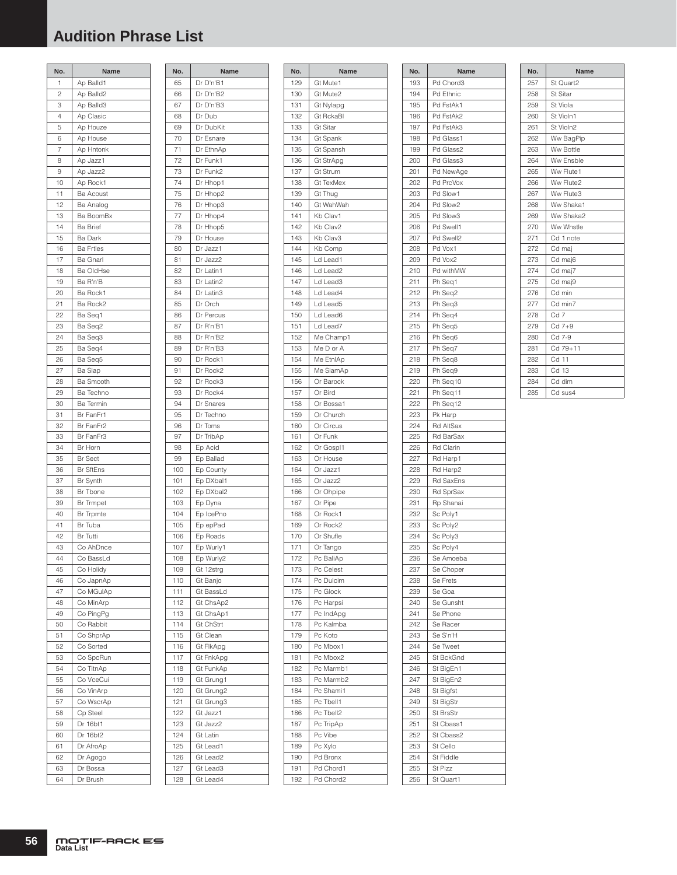# **Audition Phrase List**

| No.      | Name                                |
|----------|-------------------------------------|
| 1        | Ap Balld1                           |
| 2        | Ap Balld2                           |
| 3        | Ap Balld3                           |
| 4        | Ap Clasic                           |
| 5        | Ap Houze                            |
| 6        | Ap House                            |
| 7        | Ap Hntonk                           |
| 8        | Ap Jazz1                            |
| 9        | Ap Jazz2                            |
| 10       | Ap Rock1                            |
| 11       | Ba Acoust                           |
| 12       | Ba Analog                           |
| 13       | Ba BoomBx                           |
| 14       | <b>Ba Brief</b>                     |
| 15       | Ba Dark                             |
| 16       | <b>Ba Frtles</b>                    |
| 17<br>18 | <b>Ba Gnarl</b><br><b>Ba OldHse</b> |
| 19       | Ba R'n'B                            |
| 20       | Ba Rock1                            |
| 21       | Ba Rock2                            |
| 22       | Ba Seq1                             |
| 23       | Ba Seq2                             |
| 24       | Ba Seq3                             |
| 25       | Ba Seg4                             |
| 26       | Ba Seq5                             |
| 27       | Ba Slap                             |
| 28       | <b>Ba Smooth</b>                    |
| 29       | Ba Techno                           |
| 30       | Ba Termin                           |
| 31       | Br FanFr1                           |
| 32       | Br FanFr2                           |
| 33       | Br FanFr3                           |
| 34       | Br Horn                             |
| 35       | <b>Br</b> Sect                      |
| 36       | <b>Br SftEns</b>                    |
| 37       | Br Synth                            |
| 38       | Br Tbone                            |
| 39       | <b>Br Trmpet</b>                    |
| 40       | Br Trpmte                           |
| 41       | Br Tuba                             |
| 42       | <b>Br</b> Tutti                     |
| 43<br>44 | Co AhDnce                           |
| 45       | Co BassLd                           |
| 46       | Co Holidy<br>Co JapnAp              |
| 47       | Co MGulAp                           |
| 48       | Co MinArp                           |
| 49       | Co PingPg                           |
| 50       | Co Rabbit                           |
| 51       | Co ShprAp                           |
| 52       | Co Sorted                           |
| 53       | Co SpcRun                           |
| 54       | Co TitnAp                           |
| 55       | Co VceCui                           |
| 56       | Co VinArp                           |
| 57       | Co WscrAp                           |
| 58       | Cp Steel                            |
| 59       | Dr 16bt1                            |
| 60       | Dr 16bt2                            |
| 61       | Dr AfroAp                           |
| 62       | Dr Agogo                            |
| 63       | Dr Bossa                            |
| 64       | Dr Brush                            |

| No.        | Name                   |
|------------|------------------------|
| 65         | Dr D'n'B1              |
| 66         | Dr D'n'B2              |
| 67         | Dr D'n'B3              |
| 68         | Dr Dub                 |
| 69         | Dr DubKit              |
| 70         | Dr Esnare              |
| 71         | Dr EthnAp              |
| 72         | Dr Funk1               |
| 73         | Dr Funk2               |
| 74         | Dr Hhop1               |
| 75         | Dr Hhop2               |
| 76<br>77   | Dr Hhop3<br>Dr Hhop4   |
| 78         | Dr Hhop5               |
| 79         | Dr House               |
| 80         | Dr Jazz1               |
| 81         | Dr Jazz2               |
| 82         | Dr Latin1              |
| 83         | Dr Latin2              |
| 84         | Dr Latin3              |
| 85         | Dr Orch                |
| 86         | Dr Percus              |
| 87         | Dr R'n'B1              |
| 88         | Dr R'n'B2              |
| 89         | Dr R'n'B3              |
| 90         | Dr Rock1               |
| 91         | Dr Rock2               |
| 92         | Dr Rock3               |
| 93         | Dr Rock4               |
| 94         | Dr Snares<br>Dr Techno |
| 95<br>96   | Dr Toms                |
| 97         | Dr TribAp              |
| 98         | Ep Acid                |
| 99         | Ep Ballad              |
| 100        | Ep County              |
| 101        | Ep DXbal1              |
| 102        | Ep DXbal2              |
| 103        | Ep Dyna                |
| 104        | Ep IcePno              |
| 105        | Ep epPad               |
| 106        | Ep Roads               |
| 107        | Ep Wurly1              |
| 108        | Ep Wurly2              |
| 109        | Gt 12strg              |
| 110        | Gt Banjo<br>Gt BassLd  |
| 111<br>112 | Gt ChsAp2              |
| 113        | Gt ChsAp1              |
| 114        | <b>Gt ChStrt</b>       |
| 115        | Gt Clean               |
| 116        | Gt FlkApg              |
| 117        | Gt FnkApg              |
| 118        | Gt FunkAp              |
| 119        | Gt Grung1              |
| 120        | Gt Grung2              |
| 121        | Gt Grung3              |
| 122        | Gt Jazz1               |
| 123        | Gt Jazz2               |
| 124        | Gt Latin               |
| 125        | Gt Lead1               |
| 126        | Gt Lead2               |
| 127        | Gt Lead3               |
| 128        | Gt Lead4               |

| No.        | Name                  |
|------------|-----------------------|
| 129        | Gt Mute1              |
| 130        | Gt Mute2              |
| 131        | Gt Nylapg             |
| 132        | <b>Gt RckaBl</b>      |
| 133        | Gt Sitar              |
| 134        | Gt Spank              |
| 135<br>136 | Gt Spansh             |
| 137        | Gt StrApg<br>Gt Strum |
| 138        | Gt TexMex             |
| 139        | Gt Thug               |
| 140        | Gt WahWah             |
| 141        | Kb Clav1              |
| 142        | Kb Clav2              |
| 143        | Kb Clav3              |
| 144        | Kb Comp               |
| 145        | Ld Lead1              |
| 146        | Ld Lead2              |
| 147        | Ld Lead3              |
| 148        | Ld Lead4              |
| 149        | Ld Lead5              |
| 150        | Ld Lead6              |
| 151        | Ld Lead7              |
| 152        | Me Champ1             |
| 153        | Me D or A             |
| 154        | Me EtnlAp             |
| 155        | Me SiamAp             |
| 156        | Or Barock             |
| 157        | Or Bird               |
| 158        | Or Bossa1             |
| 159        | Or Church             |
| 160<br>161 | Or Circus<br>Or Funk  |
| 162        | Or Gospl1             |
| 163        | Or House              |
| 164        | Or Jazz1              |
| 165        | Or Jazz2              |
| 166        | Or Ohpipe             |
| 167        | Or Pipe               |
| 168        | Or Rock1              |
| 169        | Or Rock2              |
| 170        | Or Shufle             |
| 171        | Or<br>Tango           |
| 172        | Pc BaliAp             |
| 173        | Pc Celest             |
| 174        | Pc Dulcim             |
| 175        | Pc Glock              |
| 176        | Pc Harpsi             |
| 177        | Pc IndApg             |
| 178        | Pc Kalmba             |
| 179        | Pc Koto               |
| 180        | Pc Mbox1              |
| 181        | Pc Mbox2              |
| 182        | Pc Marmb1             |
| 183        | Pc Marmb2             |
| 184        | Pc Shami1             |
| 185        | Pc Tbell1             |
| 186        | Pc Tbell2             |
| 187        | Pc TripAp             |
| 188        | Pc Vibe               |
| 189        | Pc Xylo               |
| 190<br>191 | Pd Bronx<br>Pd Chord1 |
| 192        | Pd Chord2             |
|            |                       |

| No.        | Name                   |
|------------|------------------------|
| 193        | Pd Chord3              |
| 194        | Pd Ethnic              |
| 195        | Pd FstAk1              |
| 196        | Pd FstAk2              |
| 197        | Pd FstAk3              |
| 198        | Pd Glass1              |
| 199        | Pd Glass2              |
| 200        | Pd Glass3              |
| 201        | Pd NewAge              |
| 202        | Pd PrcVox              |
| 203        | Pd Slow1               |
| 204        | Pd Slow2               |
| 205        | Pd Slow3               |
| 206<br>207 | Pd Swell1<br>Pd Swell2 |
| 208        | Pd Vox1                |
| 209        | Pd Vox2                |
| 210        | Pd withMW              |
| 211        | Ph Seq1                |
| 212        | Ph Seq2                |
| 213        | Ph Seq3                |
| 214        | Ph Seq4                |
| 215        | Ph Seq5                |
| 216        | Ph Seq6                |
| 217        | Ph Seq7                |
| 218        | Ph Seq8                |
| 219        | Ph Seq9                |
| 220        | Ph Seq10               |
| 221        | Ph Seq11               |
| 222        | Ph Seq12               |
| 223        | Pk Harp                |
| 224        | Rd AltSax              |
| 225        | Rd BarSax              |
| 226        | <b>Rd Clarin</b>       |
| 227        | Rd Harp1               |
| 228        | Rd Harp2               |
| 229<br>230 | Rd SaxEns<br>Rd SprSax |
| 231        | Rp Shanai              |
| 232        | Sc Poly1               |
| 233        | Sc Poly2               |
| 234        | Sc Poly3               |
| 235        | Sc Poly4               |
| 236        | Se Amoeba              |
| 237        | Se Choper              |
| 238        | Se Frets               |
| 239        | Se Goa                 |
| 240        | Se Gunsht              |
| 241        | Se Phone               |
| 242        | Se Racer               |
| 243        | Se S'n'H               |
| 244        | Se Tweet               |
| 245        | St BckGnd              |
| 246        | St BigEn1              |
| 247        | St BigEn2              |
| 248        | St Bigfst              |
| 249        | St BigStr              |
| 250        | St BrsStr              |
| 251        | St Cbass1              |
| 252        | St Cbass2              |
| 253<br>254 | St Cello               |
| 255        | St Fiddle<br>St Pizz   |
| 256        |                        |
|            | St Quart1              |

| No. | Name            |
|-----|-----------------|
| 257 | St Quart2       |
| 258 | <b>St Sitar</b> |
| 259 | St Viola        |
| 260 | St Violn1       |
| 261 | St Violn2       |
| 262 | Ww BagPip       |
| 263 | Ww Bottle       |
| 264 | Ww Ensble       |
| 265 | Ww Flute1       |
| 266 | Ww Flute2       |
| 267 | Ww Flute3       |
| 268 | Ww Shaka1       |
| 269 | Ww Shaka2       |
| 270 | Ww Whstle       |
| 271 | Cd 1 note       |
| 272 | Cd maj          |
| 273 | Cd maj6         |
| 274 | Cd maj7         |
| 275 | Cd maj9         |
| 276 | Cd min          |
| 277 | Cd min7         |
| 278 | Cd <sub>7</sub> |
| 279 | $Cd 7+9$        |
| 280 | Cd 7-9          |
| 281 | Cd 79+11        |
| 282 | Cd 11           |
| 283 | Cd 13           |
| 284 | Cd dim          |
| 285 | Cd sus4         |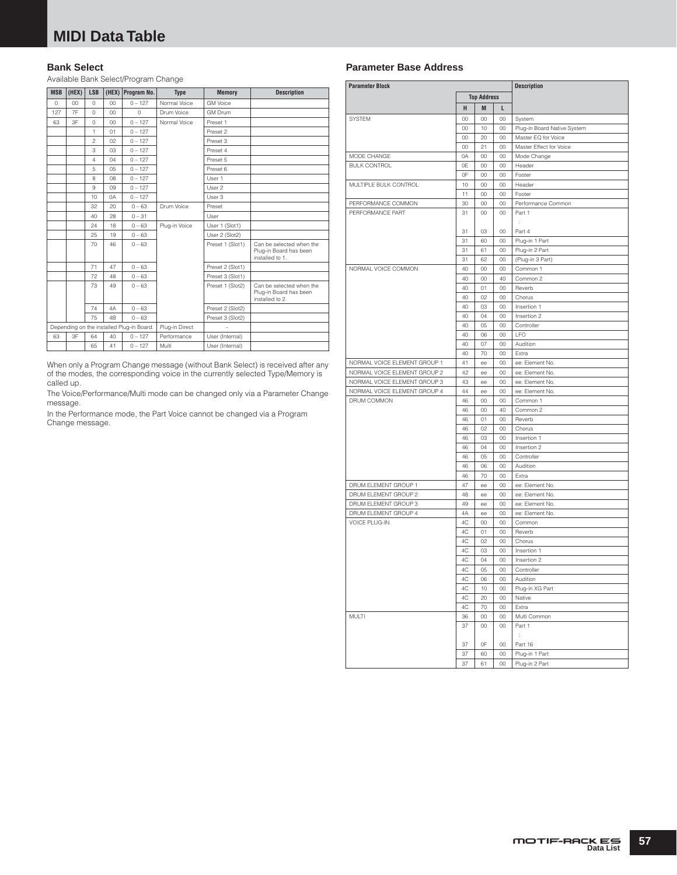### **Bank Select**

Available Bank Select/Program Change

| <b>MSB</b> | (HEX) | <b>LSB</b>     |                | (HEX) Program No.                         | <b>Type</b>    | <b>Memory</b>    | <b>Description</b>                                                    |
|------------|-------|----------------|----------------|-------------------------------------------|----------------|------------------|-----------------------------------------------------------------------|
| $\Omega$   | 00    | $\Omega$       | 00             | $0 - 127$                                 | Normal Voice   | <b>GM Voice</b>  |                                                                       |
| 127        | 7F    | $\circ$        | 00             | $\Omega$                                  | Drum Voice     | <b>GM Drum</b>   |                                                                       |
| 63         | 3F    | $\Omega$       | 00             | $0 - 127$                                 | Normal Voice   | Preset 1         |                                                                       |
|            |       | 1              | 01             | $0 - 127$                                 |                | Preset 2         |                                                                       |
|            |       | $\overline{c}$ | 02             | $0 - 127$                                 |                | Preset 3         |                                                                       |
|            |       | 3              | 03             | $0 - 127$                                 |                | Preset 4         |                                                                       |
|            |       | $\overline{4}$ | 04             | $0 - 127$                                 |                | Preset 5         |                                                                       |
|            |       | 5              | $0.5^{\circ}$  | $0 - 127$                                 |                | Preset 6         |                                                                       |
|            |       | 8              | 08             | $0 - 127$                                 |                | User 1           |                                                                       |
|            |       | 9              | 09             | $0 - 127$                                 |                | User 2           |                                                                       |
|            |       | 10             | 0A             | $0 - 127$                                 |                | User 3           |                                                                       |
|            |       | 32             | $20 -$         | $0 - 63$                                  | Drum Voice     | Preset           |                                                                       |
|            |       | 40             | 28             | $0 - 31$                                  |                | User             |                                                                       |
|            |       | 24             | 18             | $0 - 63$                                  | Plug-in Voice  | User 1 (Slot1)   |                                                                       |
|            |       | 25             | 19             | $0 - 63$                                  |                | User 2 (Slot2)   |                                                                       |
|            |       | 70             | 46             | $0 - 63$                                  |                | Preset 1 (Slot1) | Can be selected when the<br>Plug-in Board has been<br>installed to 1. |
|            |       | 71             | 47             | $0 - 63$                                  |                | Preset 2 (Slot1) |                                                                       |
|            |       | 72             | 48             | $0 - 63$                                  |                | Preset 3 (Slot1) |                                                                       |
|            |       | 73             | 49             | $0 - 63$                                  |                | Preset 1 (Slot2) | Can be selected when the<br>Plug-in Board has been<br>installed to 2. |
|            |       | 74             | 4A             | $0 - 63$                                  |                | Preset 2 (Slot2) |                                                                       |
|            |       | 75             | 4 <sub>B</sub> | $0 - 63$                                  |                | Preset 3 (Slot2) |                                                                       |
|            |       |                |                | Depending on the installed Plug-in Board. | Plug-in Direct |                  |                                                                       |
| 63         | 3F    | 64             | 40             | $0 - 127$                                 | Performance    | User (Internal)  |                                                                       |
|            |       | 65             | 41             | $0 - 127$                                 | Multi          | User (Internal)  |                                                                       |

When only a Program Change message (without Bank Select) is received after any of the modes, the corresponding voice in the currently selected Type/Memory is called up.

The Voice/Performance/Multi mode can be changed only via a Parameter Change message.

In the Performance mode, the Part Voice cannot be changed via a Program Change message.

### **Parameter Base Address**

| <b>Parameter Block</b>       |                    |          |          | <b>Description</b>          |  |
|------------------------------|--------------------|----------|----------|-----------------------------|--|
|                              | <b>Top Address</b> |          |          |                             |  |
|                              | н                  | M        | L        |                             |  |
| SYSTEM                       | 00                 | 00       | 00       | System                      |  |
|                              | 00                 | 10       | 00       | Plug-in Board Native System |  |
|                              | 00                 | 20       | 00       | Master EQ for Voice         |  |
|                              | 00                 | 21       | 00       | Master Effect for Voice     |  |
| MODE CHANGE                  | 0A                 | 00       | 00       | Mode Change                 |  |
| <b>BULK CONTROL</b>          | 0E                 | 00       | 00       | Header                      |  |
|                              | 0F                 | 00       | 00       | Footer                      |  |
| MULTIPLE BULK CONTROL        | 10                 | 00       | 00       | Header                      |  |
|                              | 11                 | 00       | 00       | Footer                      |  |
| PERFORMANCE COMMON           | 30                 | 00       | 00       | Performance Common          |  |
| PERFORMANCE PART             | 31                 | 00       | 00       | Part 1                      |  |
|                              |                    |          |          | ł,                          |  |
|                              | 31                 | 03       | 00       | Part 4                      |  |
|                              | 31                 | 60       | 00       | Plug-in 1 Part              |  |
|                              | 31                 | 61       | 00       | Plug-in 2 Part              |  |
|                              | 31                 | 62       | 00       | (Plug-in 3 Part)            |  |
| NORMAL VOICE COMMON          | 40                 | 00       | 00       | Common 1                    |  |
|                              | 40                 | 00       | 40       | Common 2                    |  |
|                              | 40                 | 01       | 00       | Reverb                      |  |
|                              | 40                 | 02       | 00       | Chorus                      |  |
|                              | 40                 | 03       | 00       | Insertion 1                 |  |
|                              | 40                 | 04       | 00       | Insertion 2                 |  |
|                              | 40<br>40           | 05<br>06 | 00<br>00 | Controller<br>LFO           |  |
|                              | 40                 | 07       | 00       | Audition                    |  |
|                              | 40                 | 70       | 00       | Extra                       |  |
| NORMAL VOICE ELEMENT GROUP 1 | 41                 | ee       | 00       | ee: Element No.             |  |
| NORMAL VOICE ELEMENT GROUP 2 | 42                 | ee       | 00       | ee: Element No.             |  |
| NORMAL VOICE ELEMENT GROUP 3 | 43                 | ee       | 00       | ee: Element No.             |  |
| NORMAL VOICE ELEMENT GROUP 4 | 44                 | ee       | 00       | ee: Element No.             |  |
| DRUM COMMON                  | 46                 | 00       | 00       | Common 1                    |  |
|                              | 46                 | 00       | 40       | Common 2                    |  |
|                              | 46                 | 01       | 00       | Reverb                      |  |
|                              | 46                 | 02       | 00       | Chorus                      |  |
|                              | 46                 | 03       | 00       | Insertion 1                 |  |
|                              | 46                 | 04       | 00       | Insertion 2                 |  |
|                              | 46                 | 05       | 00       | Controller                  |  |
|                              | 46                 | 06       | 00       | Audition                    |  |
|                              | 46                 | 70       | 00       | Extra                       |  |
| DRUM ELEMENT GROUP 1         | 47                 | ee       | 00       | ee: Element No.             |  |
| DRUM ELEMENT GROUP 2         | 48                 | ee       | 00       | ee: Element No.             |  |
| DRUM ELEMENT GROUP 3         | 49                 | ee       | 00       | ee: Element No.             |  |
| DRUM ELEMENT GROUP 4         | 4A                 | ee       | 00       | ee: Element No.             |  |
| <b>VOICE PLUG-IN</b>         | 4C                 | 00       | 00       | Common<br>Reverb            |  |
|                              | 4C<br>4C           | 01<br>02 | 00<br>00 | Chorus                      |  |
|                              | 4C                 | 03       | 00       | Insertion 1                 |  |
|                              | 4C                 | 04       | 00       | Insertion 2                 |  |
|                              | 4C                 | 05       | 00       | Controller                  |  |
|                              | 4C                 | 06       | 00       | Audition                    |  |
|                              | 4C                 | 10       | 00       | Plug-in XG Part             |  |
|                              | 4C                 | 20       | 00       | Native                      |  |
|                              | 4C                 | 70       | 00       | Extra                       |  |
| MULTI                        | 36                 | $^{00}$  | 00       | Multi Common                |  |
|                              | 37                 | $00\,$   | 00       | Part 1                      |  |
|                              |                    |          |          | ÷                           |  |
|                              | 37                 | 0F       | $00\,$   | Part 16                     |  |
|                              | 37                 | 60       | 00       | Plug-in 1 Part              |  |
|                              | 37                 | 61       | $00\,$   | Plug-in 2 Part              |  |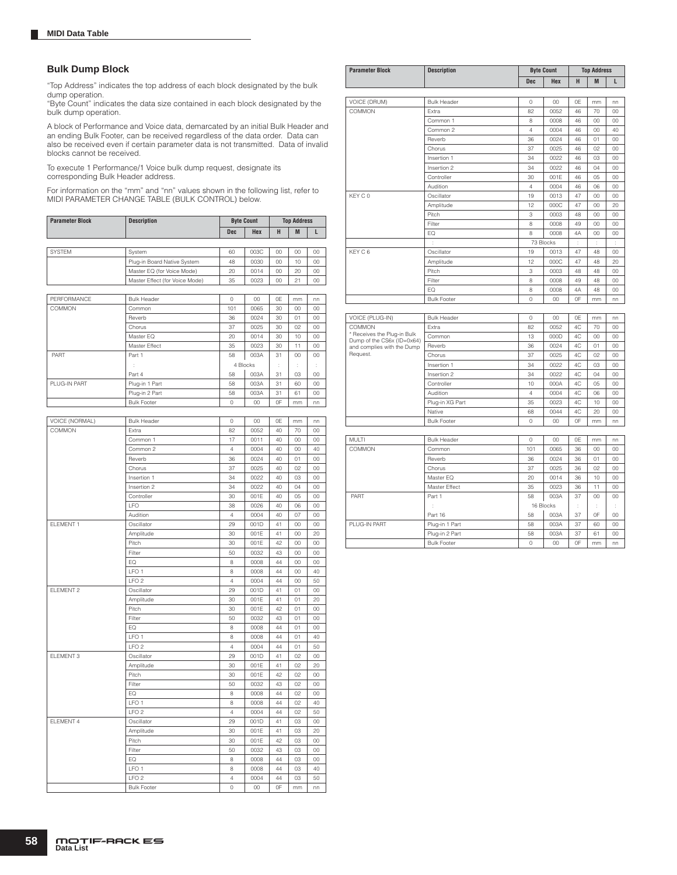#### **Bulk Dump Block**

"Top Address" indicates the top address of each block designated by the bulk dump operation.

"Byte Count" indicates the data size contained in each block designated by the bulk dump operation.

A block of Performance and Voice data, demarcated by an initial Bulk Header and an ending Bulk Footer, can be received regardless of the data order. Data can also be received even if certain parameter data is not transmitted. Data of invalid blocks cannot be received.

To execute 1 Performance/1 Voice bulk dump request, designate its corresponding Bulk Header address.

For information on the "mm" and "nn" values shown in the following list, refer to MIDI PARAMETER CHANGE TABLE (BULK CONTROL) below.

| <b>Parameter Block</b> | <b>Description</b> | <b>Byte Count</b> |     | <b>Top Address</b> |   |  |  |
|------------------------|--------------------|-------------------|-----|--------------------|---|--|--|
|                        |                    | <b>Dec</b>        | Hex | п                  | M |  |  |
|                        |                    |                   |     |                    |   |  |  |

| <b>SYSTEM</b> | System                         | 60 | 003C | 00 | CO | 00 |
|---------------|--------------------------------|----|------|----|----|----|
|               | Plug-in Board Native System    | 48 | 0030 | 00 | 10 | OO |
|               | Master EQ (for Voice Mode)     | 20 | 0014 | 00 | 20 | OO |
|               | Master Effect (for Voice Mode) | 35 | 0023 | 00 |    | OO |

| PERFORMANCE  | <b>Bulk Header</b> | 0   | 00       | 0E | mm      | nn      |
|--------------|--------------------|-----|----------|----|---------|---------|
| COMMON       | Common             | 101 | 0065     | 30 | $^{00}$ | 00      |
|              | Reverb             | 36  | 0024     | 30 | 01      | 00      |
|              | Chorus             | 37  | 0025     | 30 | 02      | $00\,$  |
|              | Master EQ          | 20  | 0014     | 30 | 10      | $00\,$  |
|              | Master Effect      | 35  | 0023     | 30 | 11      | 00      |
| PART         | Part 1             | 58  | 003A     | 31 | CO      | $00 \,$ |
|              |                    |     | 4 Blocks | J. | ٠<br>ł. |         |
|              | Part 4             | 58  | 003A     | 31 | 03      | 00      |
| PLUG-IN PART | Plug-in 1 Part     | 58  | 003A     | 31 | 60      | 00      |
|              | Plug-in 2 Part     | 58  | 003A     | 31 | 61      | $00\,$  |
|              | <b>Bulk Footer</b> | 0   | $00\,$   | 0F | mm      | nn      |

| VOICE (NORMAL) | <b>Bulk Header</b> | $\circ$        | 00     | 0E | mm      | nn      |
|----------------|--------------------|----------------|--------|----|---------|---------|
| COMMON         | Extra              | 82             | 0052   | 40 | 70      | $00\,$  |
|                | Common 1           | 17             | 0011   | 40 | 00      | $00\,$  |
|                | Common 2           | $\overline{4}$ | 0004   | 40 | 00      | 40      |
|                | Reverb             | 36             | 0024   | 40 | 01      | $00\,$  |
|                | Chorus             | 37             | 0025   | 40 | 02      | $00\,$  |
|                | Insertion 1        | 34             | 0022   | 40 | 03      | 00      |
|                | Insertion 2        | 34             | 0022   | 40 | 04      | $00\,$  |
|                | Controller         | 30             | 001E   | 40 | 05      | $00\,$  |
|                | <b>LFO</b>         | 38             | 0026   | 40 | 06      | $00\,$  |
|                | Audition           | $\overline{4}$ | 0004   | 40 | 07      | OO      |
| ELEMENT 1      | Oscillator         | 29             | 001D   | 41 | 00      | $00\,$  |
|                | Amplitude          | 30             | 001E   | 41 | 00      | 20      |
|                | Pitch              | 30             | 001E   | 42 | 00      | $00\,$  |
|                | Filter             | 50             | 0032   | 43 | $00\,$  | OO      |
|                | EQ                 | 8              | 0008   | 44 | 00      | $00\,$  |
|                | LFO <sub>1</sub>   | 8              | 0008   | 44 | 00      | 40      |
|                | LFO <sub>2</sub>   | $\overline{4}$ | 0004   | 44 | $^{00}$ | 50      |
| ELEMENT 2      | Oscillator         | 29             | 001D   | 41 | 01      | $00\,$  |
|                | Amplitude          | 30             | 001E   | 41 | 01      | 20      |
|                | Pitch              | 30             | 001E   | 42 | 01      | $00\,$  |
|                | Filter             | 50             | 0032   | 43 | 01      | 00      |
|                | EQ                 | 8              | 0008   | 44 | 01      | $^{00}$ |
|                | LFO <sub>1</sub>   | 8              | 0008   | 44 | 01      | 40      |
|                | LFO <sub>2</sub>   | $\overline{4}$ | 0004   | 44 | 01      | 50      |
| ELEMENT 3      | Oscillator         | 29             | 001D   | 41 | 02      | $00\,$  |
|                | Amplitude          | 30             | 001E   | 41 | 02      | 20      |
|                | Pitch              | 30             | 001E   | 42 | 02      | $00\,$  |
|                | Filter             | 50             | 0032   | 43 | 02      | $00\,$  |
|                | EQ                 | 8              | 0008   | 44 | 02      | $00\,$  |
|                | LFO <sub>1</sub>   | 8              | 0008   | 44 | 02      | 40      |
|                | LFO <sub>2</sub>   | $\overline{4}$ | 0004   | 44 | 02      | 50      |
| ELEMENT 4      | Oscillator         | 29             | 001D   | 41 | 03      | 00      |
|                | Amplitude          | 30             | 001E   | 41 | 03      | 20      |
|                | Pitch              | 30             | 001E   | 42 | 03      | $00\,$  |
|                | Filter             | 50             | 0032   | 43 | 03      | $00\,$  |
|                | EQ                 | 8              | 0008   | 44 | 03      | 00      |
|                | LFO <sub>1</sub>   | 8              | 0008   | 44 | 03      | 40      |
|                | LFO <sub>2</sub>   | 4              | 0004   | 44 | 03      | 50      |
|                | <b>Bulk Footer</b> | $\circ$        | $00\,$ | 0F | mm      | nn      |

| <b>Parameter Block</b>                                    | <b>Description</b>               |                | <b>Byte Count</b> | <b>Top Address</b> |          |          |  |
|-----------------------------------------------------------|----------------------------------|----------------|-------------------|--------------------|----------|----------|--|
|                                                           |                                  | <b>Dec</b>     | Hex               | н                  | M        | L        |  |
|                                                           |                                  |                |                   |                    |          |          |  |
| VOICE (DRUM)                                              | <b>Bulk Header</b>               | 0              | 00                | 0E                 | mm       | nn       |  |
| COMMON                                                    | Extra                            | 82             | 0052              | 46                 | 70       | 00       |  |
|                                                           | Common 1                         | 8              | 0008              | 46                 | 00       | 00       |  |
|                                                           | Common 2                         | $\overline{4}$ | 0004              | 46                 | 00       | 40       |  |
|                                                           | Reverb                           | 36             | 0024              | 46                 | 01       | 00       |  |
|                                                           | Chorus                           | 37             | 0025              | 46                 | 02       | 00       |  |
|                                                           | Insertion 1                      | 34             | 0022              | 46                 | 03       | 00       |  |
|                                                           | Insertion 2                      | 34             | 0022              | 46                 | 04       | 00       |  |
|                                                           | Controller                       | 30             | 001E              | 46                 | 05       | 00       |  |
|                                                           | Audition                         | $\overline{4}$ | 0004              | 46                 | 06       | 00       |  |
| KEY C 0                                                   | Oscillator                       | 19             | 0013              | 47                 | 00       | 00       |  |
|                                                           | Amplitude                        | 12             | 000C              | 47                 | 00       | 20       |  |
|                                                           | Pitch                            | 3              | 0003              | 48                 | 00       | 00       |  |
|                                                           | Filter                           | 8              | 0008              | 49                 | 00       | 00       |  |
|                                                           | EQ                               | 8              | 0008              | 4A                 | 00       | $00\,$   |  |
|                                                           | ÷                                |                | 73 Blocks         | ÷                  | ÷        | ÷        |  |
| KEY C 6                                                   | Oscillator                       | 19             | 0013              | 47                 | 48       | 0O       |  |
|                                                           | Amplitude                        | 12             | 000C              | 47                 | 48       | 20       |  |
|                                                           | Pitch                            | 3              | 0003              | 48                 | 48       | 00       |  |
|                                                           | Filter                           | 8              | 0008              | 49                 | 48       | 00       |  |
|                                                           | EQ                               | 8              | 0008              | 4A                 | 48       | 00       |  |
|                                                           | <b>Bulk Footer</b>               | $\circ$        | 00                | 0F                 | mm       | nn       |  |
|                                                           |                                  |                |                   |                    |          |          |  |
| VOICE (PLUG-IN)                                           | <b>Bulk Header</b>               | 0              | 00                | 0E                 | mm       | nn       |  |
| COMMON                                                    | Extra                            | 82             | 0052              | 4C                 | 70       | 00       |  |
| * Receives the Plug-in Bulk<br>Dump of the CS6x (ID=0x64) | Common                           | 13             | 000D              | 4C                 | 00       | 00       |  |
| and complies with the Dump                                | Reverb                           | 36             | 0024              | 4C                 | 01       | 00       |  |
| Request.                                                  | Chorus                           | 37             | 0025              | 4C                 | 02       | CO       |  |
|                                                           | Insertion 1                      | 34             | 0022              | 4C                 | 03       | 00       |  |
|                                                           | Insertion 2                      | 34             | 0022              | 4C                 | 04       | 00       |  |
|                                                           | Controller                       | 10             | 000A              | 4C                 | 05       | 00       |  |
|                                                           | Audition                         | $\overline{4}$ | 0004              | 4C                 | 06       | 00       |  |
|                                                           | Plug-in XG Part                  | 35             | 0023              | 4C                 | 10       | 00       |  |
|                                                           | Native                           | 68             | 0044              | 4C                 | 20       | 00       |  |
|                                                           | <b>Bulk Footer</b>               | $\circ$        | 00                | 0F                 | mm       | nn       |  |
|                                                           |                                  |                |                   |                    |          |          |  |
| <b>MULTI</b>                                              | <b>Bulk Header</b>               | 0              | $^{00}$           | 0E                 | mm       | nn       |  |
| COMMON                                                    | Common                           | 101            | 0065              | 36                 | 00       | 00       |  |
|                                                           | Reverb                           | 36             | 0024              | 36                 | 01       | 00       |  |
|                                                           | Chorus                           | 37             | 0025              | 36                 | 02       | 00       |  |
|                                                           | Master EQ                        | 20             | 0014              | 36                 | 10       | 00       |  |
|                                                           | Master Effect                    | 35             | 0023              | 36                 | 11       | 00       |  |
|                                                           |                                  |                |                   | 37                 | 00       | 00       |  |
| PART                                                      | Part 1                           | 58             | 003A              |                    |          |          |  |
|                                                           |                                  |                |                   | t                  | t        | ł        |  |
|                                                           |                                  |                | 16 Blocks         |                    |          |          |  |
|                                                           | Part 16                          | 58             | 003A              | 37                 | 0F       | 00       |  |
| PLUG-IN PART                                              | Plug-in 1 Part<br>Plug-in 2 Part | 58<br>58       | 003A<br>003A      | 37<br>37           | 60<br>61 | 00<br>00 |  |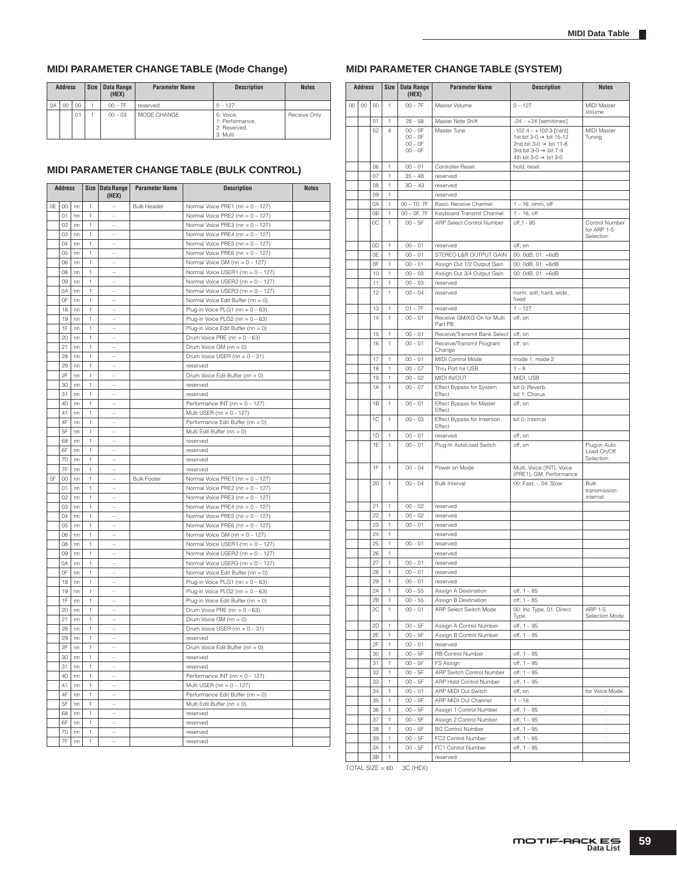# **MIDI PARAMETER CHANGE TABLE (Mode Change)**

|    | <b>Address</b> |    | <b>Size</b> | Data Range<br>(HEX) | <b>Parameter Name</b> | <b>Description</b>                                       | <b>Notes</b> |
|----|----------------|----|-------------|---------------------|-----------------------|----------------------------------------------------------|--------------|
| 0A | 00<br>00       |    |             | $00 - 7F$           | reserved              | $0 - 127$                                                |              |
|    |                | 01 |             | $00 - 03$           | MODE CHANGE           | 0: Voice,<br>1: Performance.<br>2: Reserved.<br>3: Multi | Receive Only |

### **MIDI PARAMETER CHANGE TABLE (BULK CONTROL)**

|    | <b>Address</b>      |    |              | Size Data Range<br>(HEX)         | <b>Parameter Name</b> | <b>Description</b>                  | <b>Notes</b> |
|----|---------------------|----|--------------|----------------------------------|-----------------------|-------------------------------------|--------------|
| 0E | $00\,$              | nn | 1            | $\overline{a}$                   | <b>Bulk Header</b>    | Normal Voice PRE1 (nn = 0 - 127)    |              |
|    | 01                  | nn | 1            |                                  |                       | Normal Voice PRE2 (nn = $0 - 127$ ) |              |
|    | 02                  | nn | 1            | L                                |                       | Normal Voice PRE3 (nn = 0 - 127)    |              |
|    | 03                  | nn | 1            | L,                               |                       | Normal Voice PRE4 (nn = $0 - 127$ ) |              |
|    | $\Omega$            | nn | 1            | L.                               |                       | Normal Voice PRE5 (nn = $0 - 127$ ) |              |
|    | 05                  | nn | 1            |                                  |                       | Normal Voice PRE6 (nn = 0 - 127)    |              |
|    | 06                  | nn | 1            | Ĭ.                               |                       | Normal Voice GM (nn = $0 - 127$ )   |              |
|    | 08                  | nn | $\mathbf{1}$ |                                  |                       |                                     |              |
|    | 09                  | nn | 1            |                                  |                       | Normal Voice USER1 (nn = 0 - 127)   |              |
|    |                     |    |              | L                                |                       | Normal Voice USER2 (nn = 0 - 127)   |              |
|    | 0A                  | nn | 1            |                                  |                       | Normal Voice USER3 (nn = 0 - 127)   |              |
|    | 0F                  | nn | 1            | Ĭ.                               |                       | Normal Voice Edit Buffer (nn = 0)   |              |
|    | 18                  | nn | 1            |                                  |                       | Plug-in Voice PLG1 (nn = $0 - 63$ ) |              |
|    | 19                  | nn | 1            |                                  |                       | Plug-in Voice PLG2 (nn = $0 - 63$ ) |              |
|    | 1F                  | nn | 1            | L,                               |                       | Plug-in Voice Edit Buffer (nn = 0)  |              |
|    | 20                  | nn | 1            | L.                               |                       | Drum Voice PRE (nn = $0 - 63$ )     |              |
|    | 21                  | nn | 1            |                                  |                       | Drum Voice GM (nn = 0)              |              |
|    | 28                  | nn | 1            |                                  |                       | Drum Voice USER (nn = $0 - 31$ )    |              |
|    | 29                  | nn | 1            | L                                |                       | reserved                            |              |
|    | 2F                  | nn | 1            | Ĭ.                               |                       | Drum Voice Edit Buffer (nn = 0)     |              |
|    | 30                  | nn | 1            |                                  |                       | reserved                            |              |
|    | 31                  | nn | 1            |                                  |                       | reserved                            |              |
|    | 40                  | nn | 1            | L                                |                       | Performance INT (nn = 0 - 127)      |              |
|    | 41<br>nn<br>1       |    |              | Multi USER (nn = $0 - 127$ )     |                       |                                     |              |
|    | 4F<br>1<br>nn       |    |              | Performance Edit Buffer (nn = 0) |                       |                                     |              |
|    | 5F<br>nn<br>1<br>÷, |    |              |                                  |                       |                                     |              |
|    | 68                  |    | 1            | L                                |                       | Multi Edit Buffer (nn = 0)          |              |
|    | nn<br>6F<br>1<br>nn |    |              | reserved                         |                       |                                     |              |
|    |                     |    |              |                                  |                       | reserved                            |              |
|    | 70                  | nn | 1            | L.                               |                       | reserved                            |              |
|    | 7F                  | nn | 1            | L.                               |                       | reserved                            |              |
| 0F | 00                  | nn | 1            |                                  | <b>Bulk Footer</b>    | Normal Voice PRE1 (nn = $0 - 127$ ) |              |
|    | 01                  | nn | 1            | i.                               |                       | Normal Voice PRE2 (nn = $0 - 127$ ) |              |
|    | 02                  | nn | 1            | $\overline{a}$                   |                       | Normal Voice PRE3 (nn = 0 - 127)    |              |
|    | 03                  | nn | 1            |                                  |                       | Normal Voice PRE4 (nn = $0 - 127$ ) |              |
|    | 04                  | nn | 1            | $\overline{a}$                   |                       | Normal Voice PRE5 (nn = $0 - 127$ ) |              |
|    | 05                  | nn | 1            | i.                               |                       | Normal Voice PRE6 (nn = $0 - 127$ ) |              |
|    | 06                  | nn | 1            |                                  |                       | Normal Voice GM (nn = $0 - 127$ )   |              |
|    | 08                  | nn | 1            |                                  |                       | Normal Voice USER1 (nn = 0 - 127)   |              |
|    | 09                  | nn | 1            | $\overline{a}$                   |                       | Normal Voice USER2 (nn = 0 - 127)   |              |
|    | 0A                  | nn | 1            |                                  |                       | Normal Voice USER3 (nn = 0 - 127)   |              |
|    | 0F                  | nn | 1            |                                  |                       | Normal Voice Edit Buffer (nn = 0)   |              |
|    | 18                  | nn | 1            |                                  |                       | Plug-in Voice PLG1 (nn = $0 - 63$ ) |              |
|    | 19                  | nn | 1            | L                                |                       |                                     |              |
|    |                     |    |              |                                  |                       | Plug-in Voice PLG2 (nn = $0 - 63$ ) |              |
|    | 1F                  | nn | 1            |                                  |                       | Plug-in Voice Edit Buffer (nn = 0)  |              |
|    | 20                  | nn | 1            | i.                               |                       | Drum Voice PRE ( $nn = 0 - 63$ )    |              |
|    | 21                  | nn | 1            |                                  |                       | Drum Voice GM (nn = 0)              |              |
|    | 28                  | nn | 1            | L                                |                       | Drum Voice USER (nn = $0 - 31$ )    |              |
|    | 29                  | nn | 1            |                                  |                       | reserved                            |              |
|    | 2F                  | nn | 1            | $\overline{a}$                   |                       | Drum Voice Edit Buffer (nn = 0)     |              |
|    | 30                  | nn | 1            |                                  |                       | reserved                            |              |
|    | 31                  | nn | 1            |                                  |                       | reserved                            |              |
|    | 40                  | nn | 1            |                                  |                       | Performance INT (nn = $0 - 127$ )   |              |
|    | 41                  | nn | 1            | $\overline{a}$                   |                       | Multi USER (nn = $0 - 127$ )        |              |
|    | 4F                  | nn | 1            |                                  |                       | Performance Edit Buffer (nn = 0)    |              |
|    | 5F                  | nn | 1            | $\overline{a}$                   |                       | Multi Edit Buffer (nn = 0)          |              |
|    | 68                  | nn | 1            |                                  |                       | reserved                            |              |
|    | 6F                  | nn | 1            |                                  |                       | reserved                            |              |
|    | 70                  | nn | 1            |                                  |                       | reserved                            |              |
|    |                     |    |              | L.                               |                       |                                     |              |
|    | 7F                  | nn | 1            |                                  |                       | reserved                            |              |

# **MIDI PARAMETER CHANGE TABLE (SYSTEM)**

|    | <b>Address</b> |          | <b>Size</b>    | <b>Data Range</b><br>(HEX) | <b>Parameter Name</b>                              | <b>Description</b>                                                     | <b>Notes</b>                  |
|----|----------------|----------|----------------|----------------------------|----------------------------------------------------|------------------------------------------------------------------------|-------------------------------|
| 00 | 00             | 00       | 1              | $00 - 7F$                  | Master Volume                                      | $0 - 127$                                                              | <b>MIDI</b> Master            |
|    |                |          |                |                            |                                                    |                                                                        | Volume                        |
|    |                | 01       | 1              | $28 - 58$                  | Master Note Shift                                  | $-24 - +24$ [semitones]                                                |                               |
|    |                | 02       | $\overline{4}$ | $00 - 0F$<br>$00 - 0F$     | Master Tune                                        | $-102.4 - +102.3$ [cent]<br>1st bit 3-0 $\rightarrow$ bit 15-12        | MIDI Master<br>Tuning         |
|    |                |          |                | $00 - 0F$                  |                                                    | 2nd bit 3-0 $\rightarrow$ bit 11-8                                     |                               |
|    |                |          |                | $00 - 0F$                  |                                                    | 3rd bit 3-0 $\rightarrow$ bit 7-4<br>4th bit 3-0 $\rightarrow$ bit 3-0 |                               |
|    |                | 06       | 1              | $00 - 01$                  | <b>Controller Reset</b>                            | hold, reset                                                            |                               |
|    |                | 07       | 1              | $35 - 4B$                  | reserved                                           |                                                                        |                               |
|    |                | 08       | 1              | $3D - 43$                  | reserved                                           |                                                                        |                               |
|    |                | 09       | $\mathbf{1}$   |                            | reserved                                           |                                                                        |                               |
|    |                | 0A       | 1              | $00 - 10, 7F$              | <b>Basic Receive Channel</b>                       | $1 - 16$ , omni, off                                                   |                               |
|    |                | 0B       | 1              | $00 - 0F$ , $7F$           | Keyboard Transmit Channel                          | $1 - 16$ , off                                                         |                               |
|    |                | ОC       | 1              | $00 - 5F$                  | ARP Select Control Number                          | off, 1 - 95                                                            | Control Number<br>for ARP 1-5 |
|    |                |          |                |                            |                                                    |                                                                        | Selection                     |
|    |                | 0D       | 1              | $00 - 01$                  | reserved                                           | off, on                                                                |                               |
|    |                | 0E       | 1              | $00 - 01$                  | STEREO L&R OUTPUT GAIN                             | 00: 0dB, 01: +6dB                                                      |                               |
|    |                | 0F       | 1              | $00 - 01$                  | Assign Out 1/2 Output Gain                         | 00: 0dB, 01: +6dB                                                      |                               |
|    |                | 10<br>11 | 1<br>1         | $00 - 03$<br>$00 - 03$     | Assign Out 3/4 Output Gain<br>reserved             | 00: 0dB, 01: +6dB                                                      |                               |
|    |                | 12       | 1              | $00 - 04$                  | reserved                                           | norm, soft, hard, wide,                                                |                               |
|    |                |          |                |                            |                                                    | fixed                                                                  |                               |
|    |                | 13       | 1              | $01 - 7F$                  | reserved                                           | $1 - 127$                                                              |                               |
|    |                | 14       | 1              | $00 - 01$                  | Receive GM/XG On for Multi<br>Part PB              | off, on                                                                |                               |
|    |                | 15       | 1              | $00 - 01$                  | Receive/Transmit Bank Select                       | off, on                                                                |                               |
|    |                | 16       | 1              | $00 - 01$                  | Receive/Transmit Program                           | off, on                                                                |                               |
|    |                |          |                |                            | Change                                             |                                                                        |                               |
|    | 17             |          | 1              | $00 - 01$                  | MIDI Control Mode                                  | mode 1, mode 2                                                         |                               |
|    | 18             |          | 1              | $00 - 07$                  | Thru Port for USB                                  | $1 - 8$                                                                |                               |
|    |                | 19       | 1              | $00 - 02$                  | MIDI IN/OUT                                        | MIDI, USB                                                              |                               |
|    |                | 1A       | 1              | $00 - 07$                  | Effect Bypass for System<br>Effect                 | bit 0: Reverb,<br>bit 1: Chorus                                        |                               |
|    |                | 1B       | 1              | $00 - 01$                  | Effect Bypass for Master                           | off, on                                                                |                               |
|    |                |          |                |                            | Effect                                             |                                                                        |                               |
|    |                | 1C       | 1              | $00 - 03$                  | Effect Bypass for Insertion<br>Effect              | bit 0: Internal                                                        |                               |
|    |                | 1D       | 1              | $00 - 01$                  | reserved                                           | off, on                                                                |                               |
|    |                | 1E       | 1              | $00 - 01$                  | Plug-In AutoLoad Switch                            | off, on                                                                | Plug-in Auto                  |
|    |                |          |                |                            |                                                    |                                                                        | Load On/Off<br>Selection      |
|    |                | 1F       | 1              | $00 - 04$                  | Power on Mode                                      | Multi, Voice (INT), Voice                                              |                               |
|    |                |          |                |                            |                                                    | (PRE1), GM, Performance                                                |                               |
|    |                | 20       | 1              | $00 - 04$                  | <b>Bulk Interval</b>                               | 00: Fast, -, 04: Slow                                                  | Bulk<br>transmission          |
|    |                |          |                |                            |                                                    |                                                                        | internal                      |
|    |                | 21       | 1              | $00 - 02$                  | reserved                                           |                                                                        |                               |
|    |                | 22       | 1              | $00 - 02$                  | reserved                                           |                                                                        |                               |
|    |                | 23       | 1              | $00 - 01$                  | reserved                                           |                                                                        |                               |
|    |                | 24       | 1              |                            | reserved                                           |                                                                        |                               |
|    |                | 25<br>26 | 1<br>1         | $00 - 01$                  | reserved<br>reserved                               |                                                                        |                               |
|    |                | 27       | 1              | $00 - 01$                  | reserved                                           |                                                                        |                               |
|    |                | 28       | 1              | $00 - 01$                  | reserved                                           |                                                                        |                               |
|    |                | 29       | 1              | $00 - 01$                  | reserved                                           |                                                                        |                               |
|    |                | 2A       | 1              | $00 - 55$                  | Assign A Destination                               | off, 1 - 85                                                            |                               |
|    |                | 2B       | 1              | $00 - 55$                  | Assign B Destination                               | $off, 1 - 85$                                                          |                               |
|    |                | 2C       | 1              | $00 - 01$                  | ARP Select Switch Mode                             | 00: Inc Type, 01: Direct<br>Type                                       | ARP 1-5<br>Selection Mode     |
|    |                | 2D       | 1              | $00 - 5F$                  | Assign A Control Number                            | off, 1 - 95                                                            |                               |
|    |                | 2E       | 1              | $00 - 5F$                  | Assign B Control Number                            | $off, 1 - 95$                                                          |                               |
|    |                | 2F       | 1              | $00 - 01$                  | reserved                                           |                                                                        |                               |
|    |                | 30       | 1              | $00 - 5F$                  | RB Control Number                                  | off, 1 - 95                                                            |                               |
|    |                | 31       | 1              | $00 - 5F$                  | FS Assign                                          | $off, 1 - 95$                                                          |                               |
|    |                | 32       | 1              | $00 - 5F$                  | ARP Switch Control Number                          | off, 1 - 95                                                            |                               |
|    |                | 33       | 1              | $00 - 5F$                  | ARP Hold Control Number                            | off, 1 - 95                                                            |                               |
|    |                | 34       | 1              | $00 - 01$                  | ARP MIDI Out Switch                                | off, on                                                                | for Voice Mode                |
|    |                | 35       | 1              | $00 - 0F$                  | ARP MIDI Out Channel                               | $1 - 16$                                                               | ÷                             |
|    |                | 36<br>37 | 1<br>1         | $00 - 5F$<br>$00 - 5F$     | Assign 1 Control Number<br>Assign 2 Control Number | off, 1 - 95<br>off, 1 - 95                                             | ÷<br>÷                        |
|    |                | 38       | 1              | $00 - 5F$                  | <b>BC Control Number</b>                           | off, 1 - 95                                                            | ÷.                            |
|    |                | 39       | 1              | $00 - 5F$                  | FC2 Control Number                                 | off, 1 – 95                                                            | ţ.                            |
|    |                | ЗΑ       | 1              | $00 - 5F$                  | FC1 Control Number                                 | off, 1 - 95                                                            |                               |
|    |                | 3B       | 1              |                            | reserved                                           |                                                                        |                               |

TOTAL SIZE =  $60 - 3C$  (HEX)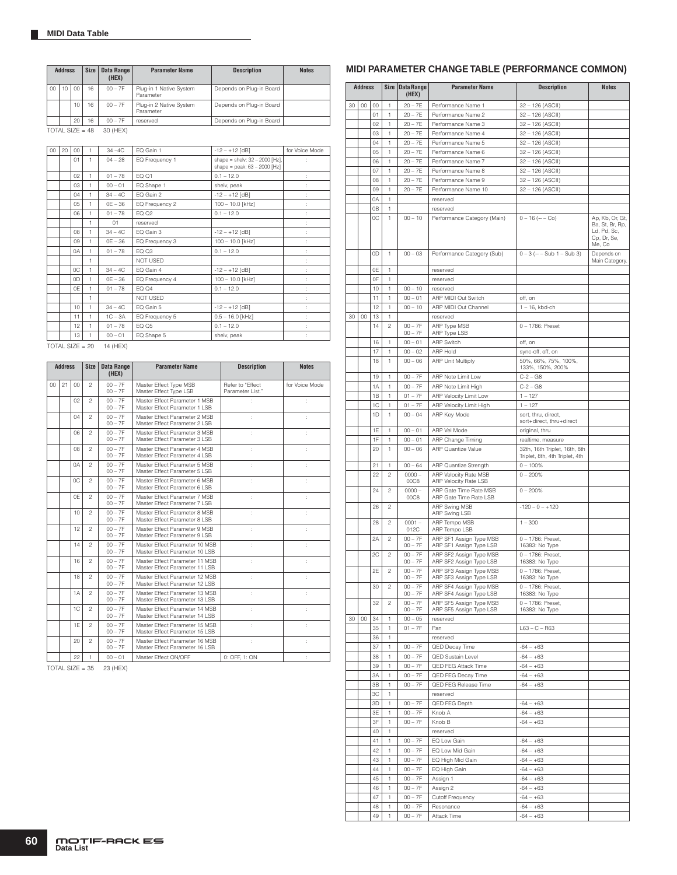|                 | <b>Address</b>    |  | Size      | Data Range<br>(HEX)                  | <b>Parameter Name</b>                | <b>Description</b>       | <b>Notes</b> |
|-----------------|-------------------|--|-----------|--------------------------------------|--------------------------------------|--------------------------|--------------|
| 00 <sub>0</sub> | CO<br>16<br>10    |  | $00 - 7F$ | Plug-in 1 Native System<br>Parameter | Depends on Plug-in Board             |                          |              |
|                 | 10<br>16          |  |           | $00 - 7F$                            | Plug-in 2 Native System<br>Parameter | Depends on Plug-in Board |              |
|                 | 20<br>16          |  | $00 - 7F$ | reserved                             | Depends on Plug-in Board             |                          |              |
|                 | TOTAL SIZE = $48$ |  |           | 30 (HEX)                             |                                      |                          |              |

| 20 | $00\,$ | 1 | $34 - 4C$ | EQ Gain 1       | $-12 - +12$ [dB]                                                   | for Voice Mode |
|----|--------|---|-----------|-----------------|--------------------------------------------------------------------|----------------|
|    | 01     | 1 | $04 - 28$ | EQ Frequency 1  | shape = shelv: $32 - 2000$ [Hz],<br>shape = peak: $63 - 2000$ [Hz] |                |
|    | 02     | 1 | $01 - 78$ | EQ 01           | $0.1 - 12.0$                                                       |                |
|    | 03     | 1 | $00 - 01$ | EQ Shape 1      | shelv, peak                                                        |                |
|    | 04     | 1 | $34 - 4C$ | EQ Gain 2       | $-12 - +12$ [dB]                                                   |                |
|    | 05     | 1 | $OE - 36$ | EQ Frequency 2  | 100 - 10.0 [kHz]                                                   |                |
|    | 06     | 1 | $01 - 78$ | EQ Q2           | $0.1 - 12.0$                                                       |                |
|    |        | 1 | 01        | reserved        |                                                                    |                |
|    | 08     | 1 | $34 - 4C$ | EQ Gain 3       | $-12 - +12$ [dB]                                                   |                |
|    | 09     | 1 | $OE - 36$ | EQ Frequency 3  | 100 - 10.0 [kHz]                                                   |                |
|    | 0A     | 1 | $01 - 78$ | EQ Q3           | $0.1 - 12.0$                                                       |                |
|    |        | 1 |           | NOT USED        |                                                                    |                |
|    | 0C     | 1 | $34 - 4C$ | EQ Gain 4       | $-12 - +12$ [dB]                                                   |                |
|    | 0D     | 1 | $OE - 36$ | EQ Frequency 4  | 100 - 10.0 [kHz]                                                   |                |
|    | 0F     | 1 | $01 - 78$ | EQ Q4           | $0.1 - 12.0$                                                       |                |
|    |        | 1 |           | <b>NOT USED</b> |                                                                    |                |
|    | 10     | 1 | $34 - 4C$ | EQ Gain 5       | $-12 - +12$ [dB]                                                   |                |
|    | 11     | 1 | $1C - 3A$ | EQ Frequency 5  | $0.5 - 16.0$ [kHz]                                                 |                |
|    | 12     | 1 | $01 - 78$ | EQ Q5           | $0.1 - 12.0$                                                       |                |
|    | 13     | 1 | $00 - 01$ | EQ Shape 5      | shelv, peak                                                        |                |
|    |        |   |           |                 |                                                                    |                |

TOTAL SIZE =  $20 - 14$  (HEX)

|                 | <b>Address</b>        |                      | <b>Size</b>    | <b>Data Range</b><br>(HEX) | <b>Parameter Name</b>                                             | <b>Description</b>                   | <b>Notes</b>   |
|-----------------|-----------------------|----------------------|----------------|----------------------------|-------------------------------------------------------------------|--------------------------------------|----------------|
| 00 <sub>0</sub> | 21                    | 00                   | $\mathfrak{p}$ | $00 - 7F$<br>$00 - 7F$     | Master Effect Type MSB<br>Master Effect Type LSB                  | Refer to "Effect<br>Parameter List." | for Voice Mode |
|                 |                       | 02                   | $\mathfrak{p}$ | $00 - 7F$<br>$00 - 7F$     | Master Effect Parameter 1 MSB<br>Master Effect Parameter 1 I SB   |                                      |                |
|                 |                       | 04                   | $\mathfrak{p}$ | $00 - 7F$<br>$00 - 7F$     | Master Effect Parameter 2 MSB<br>Master Effect Parameter 2 LSB    | ÷.                                   |                |
|                 | 06                    |                      | $\mathfrak{p}$ | $00 - 7F$<br>$00 - 7F$     | Master Effect Parameter 3 MSB<br>Master Effect Parameter 3   SB   | ÷                                    |                |
|                 | O <sub>8</sub>        |                      | $\mathfrak{p}$ | $00 - 7F$<br>$00 - 7F$     | Master Effect Parameter 4 MSB<br>Master Effect Parameter 4 I SB   | t                                    |                |
|                 | $\mathfrak{p}$<br>0A  |                      |                | $00 - 7F$<br>$00 - 7F$     | Master Effect Parameter 5 MSB<br>Master Effect Parameter 5 LSB    | ł.                                   |                |
|                 | OC.<br>$\mathfrak{p}$ |                      |                | $00 - 7F$<br>$00 - 7F$     | Master Effect Parameter 6 MSB<br>Master Effect Parameter 6 LSB    | t                                    |                |
|                 | 0F<br>$\mathfrak{p}$  |                      |                | $00 - 7F$<br>$00 - 7F$     | Master Effect Parameter 7 MSB<br>Master Effect Parameter 7 I SB   | t                                    |                |
|                 |                       | 10                   | $\mathfrak{p}$ | $00 - 7F$<br>$00 - 7F$     | Master Effect Parameter 8 MSB<br>Master Effect Parameter 8 LSB    | t                                    |                |
|                 |                       | 12                   | $\mathfrak{p}$ | $00 - 7F$<br>$00 - 7F$     | Master Effect Parameter 9 MSB<br>Master Effect Parameter 9 LSB    | t                                    |                |
|                 |                       | 14                   | $\mathfrak{p}$ | $00 - 7F$<br>$00 - 7F$     | Master Effect Parameter 10 MSB<br>Master Effect Parameter 10 I SB | ÷                                    |                |
|                 |                       | 16                   | $\mathfrak{p}$ | $00 - 7F$<br>$00 - 7F$     | Master Effect Parameter 11 MSB<br>Master Effect Parameter 11   SB | t                                    |                |
|                 |                       | 18                   | $\mathfrak{D}$ | $00 - 7F$<br>$00 - 7F$     | Master Effect Parameter 12 MSB<br>Master Effect Parameter 12 I SB | t                                    |                |
|                 |                       | 1A                   | $\mathfrak{p}$ | $00 - 7F$<br>$00 - 7F$     | Master Effect Parameter 13 MSB<br>Master Effect Parameter 13 I SB | ÷                                    |                |
|                 |                       | 1C<br>$\mathfrak{p}$ |                | $00 - 7F$<br>$00 - 7F$     | Master Effect Parameter 14 MSB<br>Master Effect Parameter 14 I SB |                                      |                |
|                 |                       | 1F                   | $\mathfrak{p}$ | $00 - 7F$<br>$00 - 7F$     | Master Effect Parameter 15 MSB<br>Master Effect Parameter 15 LSB  |                                      |                |
|                 |                       | $20 -$               | $\mathfrak{p}$ | $00 - 7F$<br>$00 - 7F$     | Master Effect Parameter 16 MSB<br>Master Effect Parameter 16 LSB  | t                                    |                |
|                 |                       | 22                   | 1              | $00 - 01$                  | Master Effect ON/OFF                                              | $0:$ OFF. 1: ON                      |                |

TOTAL SIZE = 35 23 (HEX)

# **MIDI PARAMETER CHANGE TABLE (PERFORMANCE COMMON)**

|    | <b>Address</b> |    | Size           | <b>Data Range</b><br>(HEX) | <b>Parameter Name</b>                              | <b>Description</b>                                              | <b>Notes</b>                                            |
|----|----------------|----|----------------|----------------------------|----------------------------------------------------|-----------------------------------------------------------------|---------------------------------------------------------|
| 30 | $^{00}$        | 00 | 1              | $20 - 7E$                  | Performance Name 1                                 | 32 - 126 (ASCII)                                                |                                                         |
|    |                | 01 | 1              | $20 - 7E$                  | Performance Name 2                                 | 32 - 126 (ASCII)                                                |                                                         |
|    |                | 02 | 1              | $20 - 7E$                  | Performance Name 3                                 | 32 - 126 (ASCII)                                                |                                                         |
|    |                | 03 | 1              | $20 - 7E$                  | Performance Name 4                                 | 32 - 126 (ASCII)                                                |                                                         |
|    |                | 04 | 1              | $20 - 7E$                  | Performance Name 5                                 | 32 - 126 (ASCII)                                                |                                                         |
|    |                | 05 | 1              | $20 - 7E$                  | Performance Name 6                                 | 32 - 126 (ASCII)                                                |                                                         |
|    |                | 06 | 1              | $20 - 7E$                  | Performance Name 7                                 | 32 - 126 (ASCII)                                                |                                                         |
|    |                | 07 | 1              | $20 - 7E$                  | Performance Name 8                                 | 32 - 126 (ASCII)                                                |                                                         |
|    |                | 08 | 1              | $20 - 7E$                  | Performance Name 9                                 | 32 - 126 (ASCII)                                                |                                                         |
|    |                | 09 | 1              | $20 - 7E$                  | Performance Name 10                                | 32 - 126 (ASCII)                                                |                                                         |
|    |                | 0A | 1              |                            | reserved                                           |                                                                 |                                                         |
|    |                | 0B | 1              |                            | reserved                                           |                                                                 |                                                         |
|    |                | OС | 1              | $00 - 10$                  | Performance Category (Main)                        | $0 - 16$ ( $---$ Co)                                            | Ap, Kb, Or, Gt,                                         |
|    |                |    |                |                            |                                                    |                                                                 | Ba, St, Br, Rp,<br>Ld, Pd, Sc,<br>Cp. Dr. Se.<br>Me, Co |
|    |                | 0D | 1              | $00 - 03$                  | Performance Category (Sub)                         | $0 - 3$ (-- $-$ Sub 1 $-$ Sub 3)                                | Depends on<br>Main Category.                            |
|    |                | 0E | 1              |                            | reserved                                           |                                                                 |                                                         |
|    |                | 0F | 1              |                            | reserved                                           |                                                                 |                                                         |
|    |                | 10 | 1              | $00 - 10$                  | reserved                                           |                                                                 |                                                         |
|    |                | 11 | 1              | $00 - 01$                  | ARP MIDI Out Switch                                | off, on                                                         |                                                         |
|    |                | 12 | 1              | $00 - 10$                  | ARP MIDI Out Channel                               | $1 - 16$ , kbd-ch                                               |                                                         |
| 30 | 00             | 13 | 1              |                            | reserved                                           |                                                                 |                                                         |
|    |                | 14 | $\overline{c}$ | $00 - 7F$<br>$00 - 7F$     | ARP Type MSB<br>ARP Type LSB                       | 0-1786: Preset                                                  |                                                         |
|    |                | 16 | 1              | $00 - 01$                  | <b>ARP Switch</b>                                  | off, on                                                         |                                                         |
|    | 17             |    | 1              | $00 - 02$                  | ARP Hold                                           | sync-off, off, on                                               |                                                         |
|    |                | 18 | 1              | $00 - 06$                  | <b>ARP Unit Multiply</b>                           | 50%, 66%, 75%, 100%,                                            |                                                         |
|    |                |    |                |                            |                                                    | 133%, 150%, 200%                                                |                                                         |
|    | 19             |    | 1              | $00 - 7F$                  | ARP Note Limit Low                                 | $C - 2 - G8$                                                    |                                                         |
|    | 1A             |    | 1              | $00 - 7F$                  | ARP Note Limit High                                | $C - 2 - G8$                                                    |                                                         |
|    | 1B             |    | 1              | $01 - 7F$                  | <b>ARP Velocity Limit Low</b>                      | $1 - 127$                                                       |                                                         |
|    |                | 1C | 1              | $01 - 7F$                  | ARP Velocity Limit High                            | $1 - 127$                                                       |                                                         |
|    | 1D             |    | 1              | $00 - 04$                  | ARP Key Mode                                       | sort, thru, direct,                                             |                                                         |
|    |                |    |                |                            |                                                    | sort+direct, thru+direct                                        |                                                         |
|    |                | 1E | 1              | $00 - 01$                  | ARP Vel Mode                                       | original, thru                                                  |                                                         |
|    |                | 1F | 1              | $00 - 01$                  | ARP Change Timing                                  | realtime, measure                                               |                                                         |
|    |                | 20 | 1              | $00 - 06$                  | <b>ARP Quantize Value</b>                          | 32th, 16th Triplet, 16th, 8th<br>Triplet, 8th, 4th Triplet, 4th |                                                         |
|    |                | 21 | 1              | $00 - 64$                  | ARP Quantize Strength                              | $0 - 100%$                                                      |                                                         |
|    |                | 22 | $\overline{c}$ | $0000 -$                   | ARP Velocity Rate MSB                              | $0 - 200%$                                                      |                                                         |
|    |                |    |                | 00C8                       | <b>ARP Velocity Rate LSB</b>                       |                                                                 |                                                         |
|    |                | 24 | $\mathfrak{p}$ | $0000 -$                   | ARP Gate Time Rate MSB                             | $0 - 200%$                                                      |                                                         |
|    |                |    | $\overline{c}$ | 00C8                       | ARP Gate Time Rate LSB                             |                                                                 |                                                         |
|    |                | 26 |                |                            | ARP Swing MSB<br>ARP Swing LSB                     | $-120 - 0 - +120$                                               |                                                         |
|    |                | 28 | $\mathbf{2}$   | $0001 -$<br>012C           | ARP Tempo MSB<br>ARP Tempo LSB                     | $1 - 300$                                                       |                                                         |
|    |                | 2A | $\mathfrak{p}$ | $00 - 7F$                  | ARP SF1 Assign Type MSB                            | 0 - 1786: Preset,                                               |                                                         |
|    |                |    |                | $00 - 7F$                  | ARP SF1 Assign Type LSB                            | 16383: No Type                                                  |                                                         |
|    |                | 2C | $\mathfrak{p}$ | $00 - 7F$                  | ARP SF2 Assign Type MSB                            | 0 - 1786: Preset,                                               |                                                         |
|    |                |    |                | $00 - 7F$                  | ARP SF2 Assign Type LSB                            | 16383: No Type                                                  |                                                         |
|    |                | 2E | $\overline{c}$ | $00 - 7F$<br>$00 - 7F$     | ARP SF3 Assign Type MSB<br>ARP SF3 Assign Type LSB | 0-1786: Preset,<br>16383: No Type                               |                                                         |
|    |                | 30 | $\mathbf{2}$   | $00 - 7F$                  | ARP SF4 Assign Type MSB                            | 0 - 1786: Preset,                                               |                                                         |
|    |                |    |                | $00 - 7F$                  | ARP SF4 Assign Type LSB                            | 16383: No Type                                                  |                                                         |
|    |                | 32 | $\mathbf{2}$   | $00 - 7F$                  | ARP SF5 Assign Type MSB                            | 0 - 1786: Preset,                                               |                                                         |
|    |                |    |                | $00 - 7F$                  | ARP SF5 Assign Type LSB                            | 16383: No Type                                                  |                                                         |
| 30 | 00             | 34 | 1              | $00 - 05$                  | reserved                                           |                                                                 |                                                         |
|    |                | 35 | 1              | $01 - 7F$                  | Pan                                                | $L63 - C - R63$                                                 |                                                         |
|    |                | 36 | 1              |                            | reserved                                           |                                                                 |                                                         |
|    |                | 37 | 1              | $00 - 7F$                  | QED Decay Time                                     | $-64 - +63$                                                     |                                                         |
|    |                | 38 | 1              | $00 - 7F$                  | <b>QED Sustain Level</b>                           | $-64 - +63$                                                     |                                                         |
|    |                | 39 | 1              | $00 - 7F$                  | QED FEG Attack Time                                | $-64 - +63$                                                     |                                                         |
|    |                | ЗA | 1              | $00 - 7F$                  | QED FEG Decay Time                                 | $-64 - +63$                                                     |                                                         |
|    |                | 3B | 1              | $00 - 7F$                  | QED FEG Release Time                               | $-64 - +63$                                                     |                                                         |
|    |                | 3C | 1              |                            | reserved                                           |                                                                 |                                                         |
|    |                | 3D | 1              | $00 - 7F$                  | QED FEG Depth                                      | $-64 - +63$                                                     |                                                         |
|    |                | 3E | 1              | $00 - 7F$                  | Knob A                                             | $-64 - +63$                                                     |                                                         |
|    |                | 3F | 1              | $00 - 7F$                  | Knob B                                             | $-64 - +63$                                                     |                                                         |
|    |                | 40 | 1              |                            | reserved                                           |                                                                 |                                                         |
|    |                | 41 | 1              | $00 - 7F$                  | EQ Low Gain                                        | $-64 - +63$                                                     |                                                         |
|    |                | 42 | 1              | $00 - 7F$                  | EQ Low Mid Gain                                    | $-64 - +63$                                                     |                                                         |
|    |                | 43 | 1              | $00 - 7F$                  | EQ High Mid Gain                                   | $-64 - +63$                                                     |                                                         |
|    |                | 44 | 1              | $00 - 7F$                  | EQ High Gain                                       | $-64 - +63$                                                     |                                                         |
|    |                | 45 | 1              | $00 - 7F$                  | Assign 1                                           | $-64 - +63$                                                     |                                                         |
|    |                | 46 | 1              | $00 - 7F$                  | Assign 2                                           | $-64 - +63$                                                     |                                                         |
|    |                | 47 | 1              | $00 - 7F$                  |                                                    | $-64 - +63$                                                     |                                                         |
|    |                | 48 | 1              | $00 - 7F$                  | Cutoff Frequency<br>Resonance                      | $-64 - +63$                                                     |                                                         |
|    |                | 49 | 1              | $00 - 7F$                  |                                                    | $-64 - +63$                                                     |                                                         |
|    |                |    |                |                            | Attack Time                                        |                                                                 |                                                         |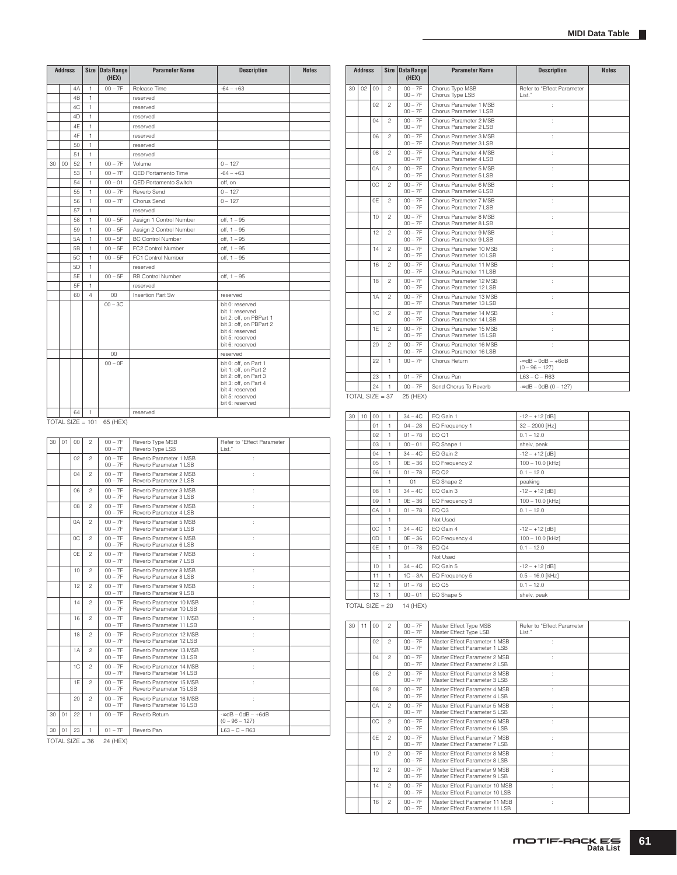**Parameter Name Description Notes** 

|    | <b>Address</b> |                |                | Size Data Range<br>(HEX)    | <b>Parameter Name</b>    | <b>Description</b>                             | <b>Notes</b> |    | <b>Address</b>    |              |                              | Size Data Range<br>(HEX) |
|----|----------------|----------------|----------------|-----------------------------|--------------------------|------------------------------------------------|--------------|----|-------------------|--------------|------------------------------|--------------------------|
|    |                | 4A             | 1              | $00 - 7F$                   | Release Time             | $-64 - +63$                                    |              | 30 | 02                | 00           | $\mathfrak{D}$               | $00 - 7F$                |
|    |                | 4 <sub>R</sub> | 1              |                             | reserved                 |                                                |              |    |                   |              |                              | $00 - 7F$                |
|    |                | 4C             | $\mathbf{1}$   |                             | reserved                 |                                                |              |    |                   | 02           | $\overline{c}$               | $00 - 7F$<br>$00 - 7F$   |
|    |                | 4D             | 1              |                             | reserved                 |                                                |              |    |                   | 04           | $\mathfrak{p}$               | $00 - 7F$                |
|    |                | 4E             | 1              |                             | reserved                 |                                                |              |    |                   |              |                              | $00 - 7F$                |
|    |                | 4F             | 1              |                             | reserved                 |                                                |              |    |                   | 06           | $\mathfrak{p}$               | $00 - 7F$                |
|    |                | 50             | 1              |                             | reserved                 |                                                |              |    |                   |              |                              | $00 - 7F$                |
|    |                | 51             | 1              |                             | reserved                 |                                                |              |    |                   | 08           | $\mathfrak{p}$               | $00 - 7F$<br>$00 - 7F$   |
| 30 | $00\,$         | 52             | 1              | $00 - 7F$                   | Volume                   | $0 - 127$                                      |              |    |                   |              | $\mathfrak{p}$               | $00 - 7F$                |
|    |                | 53             | 1              | $00 - 7F$                   | QED Portamento Time      | $-64 - +63$                                    |              |    |                   | 0A           |                              | $00 - 7F$                |
|    |                | 54             | 1              | $00 - 01$                   | QED Portamento Switch    | off. on                                        |              |    |                   | 0C           | $\overline{c}$               | $00 - 7F$                |
|    |                | 55             | 1              | $00 - 7F$                   | Reverb Send              | $0 - 127$                                      |              |    |                   |              |                              | $00 - 7F$                |
|    |                | 56             | 1              | $00 - 7F$                   | Chorus Send              | $0 - 127$                                      |              |    |                   | 0E           | $\overline{c}$               | $00 - 7F$                |
|    |                | 57             | 1              |                             | reserved                 |                                                |              |    |                   |              |                              | $00 - 7F$<br>$00 - 7F$   |
|    |                | 58             | 1              | $00 - 5F$                   | Assign 1 Control Number  | off, 1 - 95                                    |              |    |                   | 10           | $\overline{c}$               | $00 - 7F$                |
|    |                | 59             | 1              | $00 - 5F$                   | Assign 2 Control Number  | off, 1 - 95                                    |              |    |                   | 12           | $\mathfrak{p}$               | $00 - 7F$                |
|    |                | 5A             | 1              | $00 - 5F$                   | <b>BC Control Number</b> | off, 1 - 95                                    |              |    |                   |              |                              | $00 - 7F$                |
|    |                | 5 <sub>B</sub> | 1              | $00 - 5F$                   | FC2 Control Number       | off, 1 - 95                                    |              |    |                   | 14           | $\mathfrak{p}$               | $00 - 7F$                |
|    |                | 5C             | 1              | $00 - 5F$                   | FC1 Control Number       | $off, 1 - 95$                                  |              |    |                   |              |                              | $00 - 7F$                |
|    |                | 5 <sub>D</sub> | 1              |                             | reserved                 |                                                |              |    |                   | 16           | $\overline{c}$               | $00 - 7F$<br>$00 - 7F$   |
|    |                | 5E             | 1              | $00 - 5F$                   | <b>RB Control Number</b> | $off, 1 - 95$                                  |              |    |                   | 18           | $\overline{c}$               | $00 - 7F$                |
|    |                | 5F             | 1              |                             | reserved                 |                                                |              |    |                   |              |                              | $00 - 7F$                |
|    |                | 60             | $\overline{4}$ | 00                          | Insertion Part Sw        | reserved                                       |              |    |                   | 1A           | $\mathfrak{p}$               | $00 - 7F$                |
|    |                |                |                | $00 - 3C$                   |                          | bit 0: reserved<br>bit 1: reserved             |              |    |                   |              |                              | $00 - 7F$                |
|    |                |                |                |                             |                          | bit 2: off, on PBPart 1                        |              |    |                   | 1C           | $\overline{c}$               | $00 - 7F$<br>$00 - 7F$   |
|    |                |                |                |                             |                          | bit 3: off, on PBPart 2                        |              |    |                   | <b>1E</b>    | $\mathfrak{p}$               | $00 - 7F$                |
|    |                |                |                |                             |                          | bit 4: reserved<br>bit 5: reserved             |              |    |                   |              |                              | $00 - 7F$                |
|    |                |                |                |                             |                          | bit 6: reserved                                |              |    |                   | 20           | $\mathfrak{p}$               | $00 - 7F$                |
|    |                |                |                | 00                          |                          | reserved                                       |              |    |                   |              |                              | $00 - 7F$                |
|    |                |                |                | $00 - 0F$                   |                          | bit 0: off, on Part 1                          |              |    |                   | 22           | 1                            | $00 - 7F$                |
|    |                |                |                |                             |                          | bit 1: off, on Part 2<br>bit 2: off, on Part 3 |              |    |                   | 23           | $\mathbf{1}$                 | $01 - 7F$                |
|    |                |                |                |                             |                          | bit 3: off, on Part 4                          |              |    |                   | 24           | $\mathbf{1}$                 | $00 - 7F$                |
|    |                |                |                |                             |                          | bit 4: reserved<br>bit 5: reserved             |              |    | $TOTAL SIZE = 37$ |              |                              | 25 (HEX)                 |
|    |                |                |                |                             |                          | bit 6: reserved                                |              |    |                   |              |                              |                          |
|    |                | 64             | 1              |                             | reserved                 |                                                |              |    |                   |              |                              |                          |
|    |                |                |                | TOTAL SIZE = $101$ 65 (HEX) |                          |                                                |              | 30 | $10-10$           | $00\,$<br>01 | $\mathbf{1}$<br>$\mathbf{1}$ | $34 - 4C$<br>$0A - 2R$   |

|         |                | UU                     |                                                    | reserveg                                       |                   |    |                 |                |                        |                            |
|---------|----------------|------------------------|----------------------------------------------------|------------------------------------------------|-------------------|----|-----------------|----------------|------------------------|----------------------------|
|         |                | $00 - 0F$              |                                                    | bit 0: off, on Part 1<br>bit 1: off. on Part 2 |                   |    | 22              | $\mathbf{1}$   | $00 - 7F$              | Chorus Ret                 |
|         |                |                        |                                                    | bit 2: off, on Part 3                          |                   |    | 23              | 1              | $01 - 7F$              | Chorus Par                 |
|         |                |                        |                                                    | bit 3: off, on Part 4<br>bit 4: reserved       |                   |    | 24              | $\mathbf{1}$   | $00 - 7F$              | Send Chor                  |
|         |                |                        |                                                    | bit 5: reserved<br>bit 6: reserved             | $TOTAL$ SIZE = 37 |    |                 |                | 25 (HEX)               |                            |
| 64      | 1              |                        | reserved                                           |                                                | 30                | 10 | 00              | 1              | $34 - 4C$              | EQ Gain 1                  |
|         | $ZE = 101$     | 65 (HEX)               |                                                    |                                                |                   |    | 01              | $\mathbf{1}$   | $04 - 28$              | EQ Freque                  |
|         |                |                        |                                                    |                                                |                   |    | 02              | $\mathbf{1}$   | $01 - 78$              | EQ 01                      |
| $^{00}$ | $\mathfrak{p}$ | $00 - 7F$              | Reverb Type MSB                                    | Refer to "Effect Parameter                     |                   |    | 03              | $\mathbf{1}$   | $00 - 01$              | EQ Shape                   |
|         |                | $00 - 7F$              | Reverb Type LSB                                    | I ist."                                        |                   |    | 04              | $\mathbf{1}$   | $34 - 4C$              | EQ Gain 2                  |
| 02      | $\mathfrak{p}$ | $00 - 7F$<br>$00 - 7F$ | Reverb Parameter 1 MSB<br>Reverb Parameter 1 LSB   |                                                |                   |    | 0 <sub>5</sub>  | $\mathbf{1}$   | $OE - 36$              | EQ Freque                  |
| 04      | $\mathfrak{p}$ | $00 - 7F$              | Reverb Parameter 2 MSB                             |                                                |                   |    | 06              | $\mathbf{1}$   | $01 - 78$              | EQ 02                      |
|         |                | $00 - 7F$              | Reverb Parameter 2 LSB                             |                                                |                   |    |                 | $\mathbf{1}$   | 01                     | EQ Shape                   |
| 06      | $\mathfrak{p}$ | $00 - 7F$              | Reverb Parameter 3 MSB                             | ÷                                              |                   |    | 08              | $\mathbf{1}$   | $34 - 4C$              | EQ Gain 3                  |
|         |                | $00 - 7F$              | Reverb Parameter 3 LSB                             |                                                |                   |    | 0.9             | $\mathbf{1}$   | $OE - 36$              | EQ Freque                  |
| 80      | $\mathfrak{p}$ | $00 - 7F$<br>$00 - 7F$ | Reverb Parameter 4 MSB<br>Reverb Parameter 4 LSB   | ÷                                              |                   |    | 0A              | $\mathbf{1}$   | $01 - 78$              | EQ Q3                      |
| 0A      | $\mathfrak{p}$ | $00 - 7F$              | Reverb Parameter 5 MSB                             | ÷                                              |                   |    |                 | $\mathbf{1}$   |                        | Not Used                   |
|         |                | $00 - 7F$              | Reverb Parameter 5 LSB                             |                                                |                   |    | 0C              | $\mathbf{1}$   | $34 - 4C$              | EQ Gain 4                  |
| 0C      | $\mathfrak{p}$ | $00 - 7F$              | Reverb Parameter 6 MSB                             | ÷                                              |                   |    | 0D              | $\mathbf{1}$   | $OE - 36$              | EQ Freque                  |
|         |                | $00 - 7F$              | Reverb Parameter 6 LSB                             |                                                |                   |    | 0F              | $\mathbf{1}$   | $01 - 78$              | EQ Q4                      |
| 0E      | $\mathfrak{p}$ | $00 - 7F$<br>$00 - 7F$ | Reverb Parameter 7 MSB<br>Reverb Parameter 7 I SB  | ÷                                              |                   |    |                 | $\mathbf{1}$   |                        | Not Used                   |
| 10      | $\mathfrak{p}$ | $00 - 7F$              | Reverb Parameter 8 MSB                             | ÷                                              |                   |    | 10              | $\mathbf{1}$   | $34 - 4C$              | EQ Gain 5                  |
|         |                | $00 - 7F$              | Reverb Parameter 8 LSB                             |                                                |                   |    | 11              | $\mathbf{1}$   | $1C - 3A$              | EQ Freque                  |
| 12      | $\mathfrak{p}$ | $00 - 7F$              | Reverb Parameter 9 MSB                             | ÷                                              |                   |    | 12              | $\mathbf{1}$   | $01 - 78$              | EQ 05                      |
|         |                | $00 - 7F$              | Reverb Parameter 9   SB                            |                                                |                   |    | 13              | $\mathbf{1}$   | $00 - 01$              | EQ Shape                   |
| 14      | $\overline{c}$ | $00 - 7F$<br>$00 - 7F$ | Reverb Parameter 10 MSB<br>Reverb Parameter 10 LSB | ÷                                              | $TOTAL$ SIZE = 20 |    |                 |                | 14 (HEX)               |                            |
| 16      | $\mathfrak{p}$ | $00 - 7F$<br>$00 - 7F$ | Reverb Parameter 11 MSB<br>Reverb Parameter 11 LSB | ÷                                              | 30                | 11 | 00 <sub>0</sub> | $\mathfrak{p}$ | $00 - 7F$              | Master Effe                |
| 18      | $\mathfrak{p}$ | $00 - 7F$              | Reverb Parameter 12 MSB                            | ÷                                              |                   |    |                 |                | $00 - 7F$              | Master Effe                |
| 1A      | $\mathfrak{p}$ | $00 - 7F$<br>$00 - 7F$ | Reverb Parameter 12 LSB<br>Reverb Parameter 13 MSB | ÷                                              |                   |    | 02              | $\mathfrak{p}$ | $00 - 7F$<br>$00 - 7F$ | Master Effe<br>Master Effe |
|         |                | $00 - 7F$              | Reverb Parameter 13 LSB                            |                                                |                   |    | 04              | $\mathfrak{p}$ | $00 - 7F$<br>$00 - 7F$ | Master Effe<br>Master Effe |
| 1C      | $\mathfrak{p}$ | $00 - 7F$<br>$00 - 7F$ | Reverb Parameter 14 MSB<br>Reverb Parameter 14 LSB |                                                |                   |    | 06              | $\mathfrak{p}$ | $00 - 7F$              | Master Effe                |
| 1E      | $\mathfrak{p}$ | $00 - 7F$<br>$00 - 7F$ | Reverb Parameter 15 MSB<br>Reverb Parameter 15 LSB |                                                |                   |    | 08              | $\overline{c}$ | $00 - 7F$<br>$00 - 7F$ | Master Effe<br>Master Effe |

| 30 | 02 <sup>°</sup> | 00 <sub>0</sub> | 2              | $00 - 7F$<br>$00 - 7F$ | Chorus Type MSB<br>Chorus Type LSB                 | Refer to "Effect Parameter<br>List."        |  |
|----|-----------------|-----------------|----------------|------------------------|----------------------------------------------------|---------------------------------------------|--|
|    |                 | 02              | $\mathfrak{p}$ | $00 - 7F$<br>$00 - 7F$ | Chorus Parameter 1 MSB<br>Chorus Parameter 1 LSB   | ÷                                           |  |
|    |                 | 04              | $\mathfrak{p}$ | $00 - 7F$<br>$00 - 7F$ | Chorus Parameter 2 MSB<br>Chorus Parameter 2 LSB   | ÷                                           |  |
|    |                 | 06              | $\mathfrak{p}$ | $00 - 7F$<br>$00 - 7F$ | Chorus Parameter 3 MSB<br>Chorus Parameter 3 LSB   | ł.                                          |  |
|    |                 | 80              | $\mathfrak{p}$ | $00 - 7F$<br>$00 - 7F$ | Chorus Parameter 4 MSB<br>Chorus Parameter 4 LSB   |                                             |  |
|    |                 | 0A              | $\mathfrak{p}$ | $00 - 7F$<br>$00 - 7F$ | Chorus Parameter 5 MSB<br>Chorus Parameter 5 LSB   |                                             |  |
|    |                 | 0C              | $\overline{c}$ | $00 - 7F$<br>$00 - 7F$ | Chorus Parameter 6 MSB<br>Chorus Parameter 6 LSB   |                                             |  |
|    |                 | 0E              | $\overline{c}$ | $00 - 7F$<br>$00 - 7F$ | Chorus Parameter 7 MSB<br>Chorus Parameter 7 LSB   | ÷                                           |  |
|    |                 | 10              | 2              | $00 - 7F$<br>$00 - 7F$ | Chorus Parameter 8 MSB<br>Chorus Parameter 8   SB  | t,                                          |  |
|    |                 | 12              | $\overline{c}$ | $00 - 7F$<br>$00 - 7F$ | Chorus Parameter 9 MSB<br>Chorus Parameter 9 LSB   | ÷                                           |  |
|    |                 | 14              | $\mathfrak{p}$ | $00 - 7F$<br>$00 - 7F$ | Chorus Parameter 10 MSB<br>Chorus Parameter 10 LSB | ÷                                           |  |
|    |                 | 16              | $\mathfrak{p}$ | $00 - 7F$<br>$00 - 7F$ | Chorus Parameter 11 MSB<br>Chorus Parameter 11 LSB | ÷                                           |  |
|    |                 | 18              | $\mathfrak{p}$ | $00 - 7F$<br>$00 - 7F$ | Chorus Parameter 12 MSB<br>Chorus Parameter 12 LSB | ł.                                          |  |
|    |                 | 1A              | $\mathfrak{p}$ | $00 - 7F$<br>$00 - 7F$ | Chorus Parameter 13 MSB<br>Chorus Parameter 13 LSB |                                             |  |
|    |                 | 1C              | $\mathfrak{p}$ | $00 - 7F$<br>$00 - 7F$ | Chorus Parameter 14 MSB<br>Chorus Parameter 14 LSB |                                             |  |
|    |                 | 1E              | $\mathfrak{p}$ | $00 - 7F$<br>$00 - 7F$ | Chorus Parameter 15 MSB<br>Chorus Parameter 15 LSB |                                             |  |
|    |                 | 20              | $\overline{c}$ | $00 - 7F$<br>$00 - 7F$ | Chorus Parameter 16 MSB<br>Chorus Parameter 16 LSB | ÷                                           |  |
|    |                 | 22              | 1              | $00 - 7F$              | Chorus Return                                      | $-$ ∞dB - 0dB - $+6$ dB<br>$(0 - 96 - 127)$ |  |
|    |                 | 23              | 1              | $01 - 7F$              | Chorus Pan                                         | $L63 - C - R63$                             |  |
|    |                 | 24              | 1              | $00 - 7F$              | Send Chorus To Reverb                              | $-$ ∞dB $-$ 0dB (0 $-$ 127)                 |  |

| 30                  | 10 | 00 | 1            | $34 - 4C$ | EQ Gain 1      | $-12 - +12$ [dB]   |
|---------------------|----|----|--------------|-----------|----------------|--------------------|
|                     |    | 01 | 1            | $04 - 28$ | EQ Frequency 1 | $32 - 2000$ [Hz]   |
|                     |    | 02 | 1            | $01 - 78$ | EQ Q1          | $0.1 - 12.0$       |
|                     |    | 03 | 1            | $00 - 01$ | EQ Shape 1     | shelv, peak        |
|                     |    | 04 | 1            | $34 - 4C$ | EQ Gain 2      | $-12 - +12$ [dB]   |
|                     |    | 05 | 1            | $OE - 36$ | EQ Frequency 2 | $100 - 10.0$ [kHz] |
|                     |    | 06 | 1            | $01 - 78$ | EQ Q2          | $0.1 - 12.0$       |
|                     |    |    | 1            | 01        | EQ Shape 2     | peaking            |
|                     |    | 08 | 1            | $34 - 4C$ | EQ Gain 3      | $-12 - +12$ [dB]   |
|                     |    | 09 | 1            | $OE - 36$ | EQ Frequency 3 | 100 - 10.0 [kHz]   |
|                     |    | 0A | 1            | $01 - 78$ | EQ Q3          | $0.1 - 12.0$       |
|                     |    |    | 1            |           | Not Used       |                    |
|                     |    | 0C | $\mathbf{1}$ | $34 - 4C$ | EQ Gain 4      | $-12 - +12$ [dB]   |
|                     |    | 0D | 1            | $OE - 36$ | EQ Frequency 4 | 100 - 10.0 [kHz]   |
|                     |    | 0E | 1            | $01 - 78$ | EQ Q4          | $0.1 - 12.0$       |
|                     |    |    | 1            |           | Not Used       |                    |
|                     |    | 10 | 1            | $34 - 4C$ | EQ Gain 5      | $-12 - +12$ [dB]   |
|                     |    | 11 | 1            | $1C - 3A$ | EQ Frequency 5 | $0.5 - 16.0$ [kHz] |
|                     |    | 12 | 1            | $01 - 78$ | EQ Q5          | $0.1 - 12.0$       |
|                     |    | 13 | 1.           | $00 - 01$ | EQ Shape 5     | shelv, peak        |
| <b>MONTAL OLDER</b> |    |    | <b>COLOR</b> | $\cdots$  |                |                    |

| 30 | 11 | 00 | $\mathfrak{p}$ | $00 - 7F$<br>$00 - 7F$ | Master Effect Type MSB<br>Master Effect Type LSB                  | Refer to "Effect Parameter<br>List." |  |
|----|----|----|----------------|------------------------|-------------------------------------------------------------------|--------------------------------------|--|
|    |    | 02 | $\mathfrak{p}$ | $00 - 7F$<br>$00 - 7F$ | Master Effect Parameter 1 MSB<br>Master Effect Parameter 1 I SB   |                                      |  |
|    |    | 04 | $\mathfrak{p}$ | $00 - 7F$<br>$00 - 7F$ | Master Effect Parameter 2 MSB<br>Master Effect Parameter 2   SB   | ÷                                    |  |
|    |    | 06 | $\mathfrak{D}$ | $00 - 7F$<br>$00 - 7F$ | Master Effect Parameter 3 MSB<br>Master Effect Parameter 3 LSB    | ÷                                    |  |
|    |    | 08 | $\mathfrak{p}$ | $00 - 7F$<br>$00 - 7F$ | Master Effect Parameter 4 MSB<br>Master Effect Parameter 4 I SB   |                                      |  |
|    |    | 0A | $\mathfrak{D}$ | $00 - 7F$<br>$00 - 7F$ | Master Effect Parameter 5 MSB<br>Master Effect Parameter 5 LSB    | ÷                                    |  |
|    |    | 0C | $\mathfrak{p}$ | $00 - 7F$<br>$00 - 7F$ | Master Effect Parameter 6 MSB<br>Master Effect Parameter 6 LSB    | ÷                                    |  |
|    |    | 0F | $\mathfrak{p}$ | $00 - 7F$<br>$00 - 7F$ | Master Effect Parameter 7 MSB<br>Master Effect Parameter 7 I SB   |                                      |  |
|    |    | 10 | $\mathfrak{p}$ | $00 - 7F$<br>$00 - 7F$ | Master Effect Parameter 8 MSB<br>Master Effect Parameter 8 LSB    | ÷                                    |  |
|    |    | 12 | $\mathfrak{p}$ | $00 - 7F$<br>$00 - 7F$ | Master Effect Parameter 9 MSB<br>Master Effect Parameter 9 LSB    | ÷                                    |  |
|    |    | 14 | $\mathfrak{p}$ | $00 - 7F$<br>$00 - 7F$ | Master Effect Parameter 10 MSB<br>Master Effect Parameter 10 LSB  |                                      |  |
|    |    | 16 | $\mathfrak{p}$ | $00 - 7F$<br>$00 - 7F$ | Master Effect Parameter 11 MSB<br>Master Effect Parameter 11   SB |                                      |  |

30 01 23 1 01 – 7F Reverb Pan L63 – C – R63

 $TOTAL SIZE = 36 24 (HEX)$ 

 $30 01 00 2$ 

20 2 00 – 7F 00 – 7F

Reverb Parameter 16 MSB Reverb Parameter 16 LSB 30 01 22 1 00 – 7F Reverb Return -∞dB – 0dB – +6dB (0 – 96 – 127)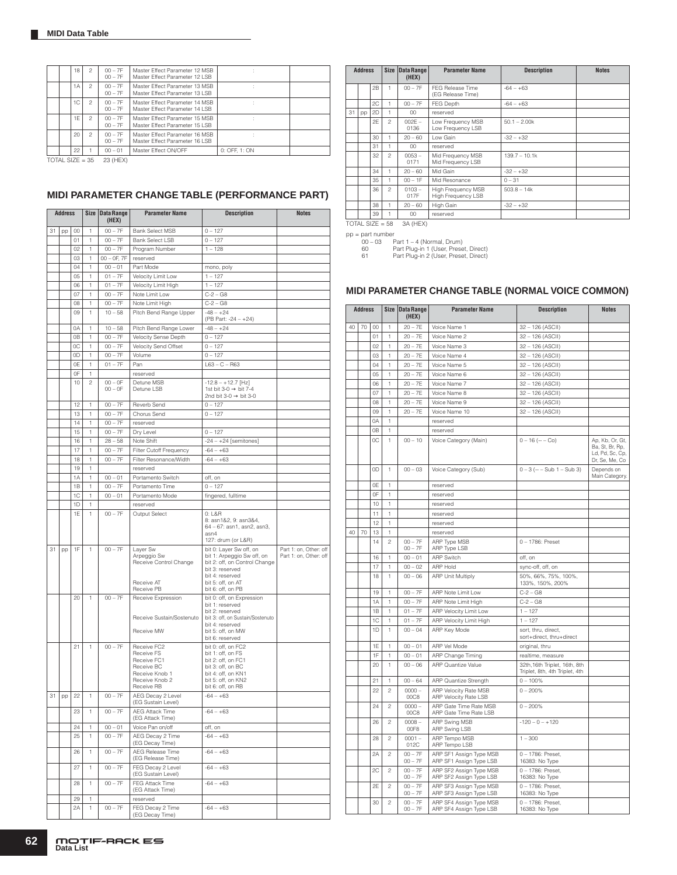|  | 18 | $\mathfrak{D}$  | $00 - 7F$<br>$00 - 7F$ | Master Effect Parameter 12 MSB<br>Master Effect Parameter 12 LSB  |               |  |
|--|----|-----------------|------------------------|-------------------------------------------------------------------|---------------|--|
|  | 1A | 2               | $00 - 7F$<br>$00 - 7F$ | Master Effect Parameter 13 MSB<br>Master Effect Parameter 13   SB |               |  |
|  | 1C | $\mathfrak{p}$  | $00 - 7F$<br>$00 - 7F$ | Master Effect Parameter 14 MSB<br>Master Effect Parameter 14 LSB  |               |  |
|  | 1F | $\mathfrak{D}$  | $00 - 7F$<br>$00 - 7F$ | Master Effect Parameter 15 MSB<br>Master Effect Parameter 15 LSB  |               |  |
|  | 20 | $\mathfrak{D}$  | $00 - 7F$<br>$00 - 7F$ | Master Effect Parameter 16 MSB<br>Master Effect Parameter 16   SB |               |  |
|  | 22 |                 | $00 - 01$              | Master Effect ON/OFF                                              | 0: OFF. 1: ON |  |
|  |    | TOTAL SIZE = 35 | 23 (HFX)               |                                                                   |               |  |

 $LSIZE = 35$  23 (HEX)

# **MIDI PARAMETER CHANGE TABLE (PERFORMANCE PART)**

|    | <b>Address</b> |                |                | Size Data Range<br>(HEX) | <b>Parameter Name</b>                                                                                    | <b>Description</b>                                                                                                                                             | <b>Notes</b>                                     |
|----|----------------|----------------|----------------|--------------------------|----------------------------------------------------------------------------------------------------------|----------------------------------------------------------------------------------------------------------------------------------------------------------------|--------------------------------------------------|
| 31 | pp             | $^{00}$        | 1              | $00 - 7F$                | <b>Bank Select MSB</b>                                                                                   | $0 - 127$                                                                                                                                                      |                                                  |
|    |                | 01             | 1              | $00 - 7F$                | <b>Bank Select LSB</b>                                                                                   | $0 - 127$                                                                                                                                                      |                                                  |
|    |                | 02             | 1              |                          |                                                                                                          |                                                                                                                                                                |                                                  |
|    |                |                |                | $00 - 7F$                | Program Number                                                                                           | $1 - 128$                                                                                                                                                      |                                                  |
|    |                | 03             | 1              | $00 - 0F$ , $7F$         | reserved                                                                                                 |                                                                                                                                                                |                                                  |
|    |                | 04             | 1              | $00 - 01$                | Part Mode                                                                                                | mono, poly                                                                                                                                                     |                                                  |
|    |                | 05             | 1              | $01 - 7F$                | Velocity Limit Low                                                                                       | $1 - 127$                                                                                                                                                      |                                                  |
|    |                | 06             | 1              | $01 - 7F$                | Velocity Limit High                                                                                      | $1 - 127$                                                                                                                                                      |                                                  |
|    |                | 07             | 1              | $00 - 7F$                | Note Limit Low                                                                                           | $C - 2 - G8$                                                                                                                                                   |                                                  |
|    |                | 08             | 1              | $00 - 7F$                | Note Limit High                                                                                          | $C - 2 - G8$                                                                                                                                                   |                                                  |
|    |                | 09             | 1              | $10 - 58$                | Pitch Bend Range Upper                                                                                   | $-48 - +24$<br>(PB Part: -24 - +24)                                                                                                                            |                                                  |
|    |                | 0A             | 1              | $10 - 58$                | Pitch Bend Range Lower                                                                                   | $-48 - +24$                                                                                                                                                    |                                                  |
|    |                | 0 <sub>B</sub> | 1              | $00 - 7F$                | Velocity Sense Depth                                                                                     | $0 - 127$                                                                                                                                                      |                                                  |
|    |                |                |                |                          |                                                                                                          |                                                                                                                                                                |                                                  |
|    |                | 0C             | 1              | $00 - 7F$                | Velocity Send Offset                                                                                     | $0 - 127$                                                                                                                                                      |                                                  |
|    |                | 0D             | 1              | $00 - 7F$                | Volume                                                                                                   | $0 - 127$                                                                                                                                                      |                                                  |
|    |                | 0E             | 1              | $01 - 7F$                | Pan                                                                                                      | $L63 - C - R63$                                                                                                                                                |                                                  |
|    |                | 0F             | 1              |                          | reserved                                                                                                 |                                                                                                                                                                |                                                  |
|    |                | 10             | $\overline{c}$ | $00 - 0F$<br>$00 - 0F$   | Detune MSB<br>Detune LSB                                                                                 | $-12.8 - +12.7$ [Hz]<br>1st bit 3-0 $\rightarrow$ bit 7-4<br>2nd bit 3-0 $\rightarrow$ bit 3-0                                                                 |                                                  |
|    |                | 12             | 1              | $00 - 7F$                | Reverb Send                                                                                              | $0 - 127$                                                                                                                                                      |                                                  |
|    |                | 13             | 1              | $00 - 7F$                | Chorus Send                                                                                              | $0 - 127$                                                                                                                                                      |                                                  |
|    |                |                |                |                          |                                                                                                          |                                                                                                                                                                |                                                  |
|    |                | 14             | 1              | $00 - 7F$                | reserved                                                                                                 |                                                                                                                                                                |                                                  |
|    |                | 15             | 1              | $00 - 7F$                | Dry Level                                                                                                | $0 - 127$                                                                                                                                                      |                                                  |
|    |                | 16             | 1              | $28 - 58$                | Note Shift                                                                                               | $-24 - +24$ [semitones]                                                                                                                                        |                                                  |
|    |                | 17             | 1              | $00 - 7F$                | Filter Cutoff Frequency                                                                                  | $-64 - +63$                                                                                                                                                    |                                                  |
|    |                | 18             | 1              | $00 - 7F$                | Filter Resonance/Width                                                                                   | $-64 - +63$                                                                                                                                                    |                                                  |
|    |                | 19             | 1              |                          | reserved                                                                                                 |                                                                                                                                                                |                                                  |
|    |                |                |                |                          |                                                                                                          |                                                                                                                                                                |                                                  |
|    |                | 1A             | 1              | $00 - 01$                | Portamento Switch                                                                                        | off, on                                                                                                                                                        |                                                  |
|    |                | 1B             | 1              | $00 - 7F$                | Portamento Time                                                                                          | $0 - 127$                                                                                                                                                      |                                                  |
|    |                | 1C             | 1              | $00 - 01$                | Portamento Mode                                                                                          | fingered, fulltime                                                                                                                                             |                                                  |
|    |                | 1D             | 1              |                          | reserved                                                                                                 |                                                                                                                                                                |                                                  |
|    |                | 1E             | 1              | $00 - 7F$                | Output Select                                                                                            | 0: L&R<br>8: asn1&2, 9: asn3&4,<br>64 - 67: asn1, asn2, asn3,<br>asn4<br>127: drum (or L&R)                                                                    |                                                  |
| 31 | pp             | 1F             | 1              | $00 - 7F$                | Layer Sw<br>Arpeggio Sw<br>Receive Control Change<br>Receive AT                                          | bit 0: Layer Sw off, on<br>bit 1: Arpeggio Sw off, on<br>bit 2: off, on Control Change<br>bit 3: reserved<br>bit 4: reserved<br>bit 5: off, on AT              | Part 1: on, Other: off<br>Part 1: on, Other: off |
|    |                |                |                |                          | Receive PB                                                                                               | bit 6: off, on PB                                                                                                                                              |                                                  |
|    |                | 20             | 1              | $00 - 7F$                | Receive Expression<br>Receive Sustain/Sostenuto<br>Receive MW                                            | bit 0: off, on Expression<br>bit 1: reserved<br>bit 2: reserved<br>bit 3: off, on Sustain/Sostenuto<br>bit 4: reserved<br>bit 5: off, on MW<br>bit 6: reserved |                                                  |
|    |                | 21             | 1              | $00 - 7F$                | Receive FC2<br>Receive FS<br>Receive FC1<br>Receive BC<br>Receive Knob 1<br>Receive Knob 2<br>Receive RB | bit 0: off, on FC2<br>bit 1: off, on FS<br>bit 2: off, on FC1<br>bit 3: off, on BC<br>bit 4: off, on KN1<br>bit 5: off, on KN2<br>bit 6: off, on RB            |                                                  |
| 31 | pp             | 22             | 1              | $00 - 7F$                | AEG Decay 2 Level<br>(EG Sustain Level)                                                                  | $-64 - +63$                                                                                                                                                    |                                                  |
|    |                | 23             | 1              | $00 - 7F$                | AEG Attack Time<br>(EG Attack Time)                                                                      | $-64 - +63$                                                                                                                                                    |                                                  |
|    |                | 24             | 1              | $00 - 01$                | Voice Pan on/off                                                                                         | off, on                                                                                                                                                        |                                                  |
|    |                | 25             | 1              | $00 - 7F$                | AEG Decay 2 Time<br>(EG Decay Time)                                                                      | $-64 - +63$                                                                                                                                                    |                                                  |
|    |                | 26             | 1              | $00 - 7F$                | AEG Release Time<br>(EG Release Time)                                                                    | $-64 - +63$                                                                                                                                                    |                                                  |
|    |                | 27             | 1              | $00 - 7F$                | FEG Decay 2 Level<br>(EG Sustain Level)                                                                  | $-64 - +63$                                                                                                                                                    |                                                  |
|    |                | 28             | 1              | $00 - 7F$                | FEG Attack Time<br>(EG Attack Time)                                                                      | $-64 - +63$                                                                                                                                                    |                                                  |
|    |                | 29             | 1              |                          | reserved                                                                                                 |                                                                                                                                                                |                                                  |
|    |                | 2A             | 1              | $00 - 7F$                | FEG Decay 2 Time<br>(EG Decay Time)                                                                      | $-64 - +63$                                                                                                                                                    |                                                  |

|    | <b>Address</b>    |    |                | Size Data Range<br>(HEX) | <b>Parameter Name</b>                           | <b>Description</b> | <b>Notes</b> |
|----|-------------------|----|----------------|--------------------------|-------------------------------------------------|--------------------|--------------|
|    |                   | 2B | 1              | $00 - 7F$                | FEG Release Time<br>(EG Release Time)           | $-64 - +63$        |              |
|    |                   | 2C | 1              | $00 - 7F$                | FEG Depth                                       | $-64 - +63$        |              |
| 31 | pp                | 2D | 1              | $00 -$                   | reserved                                        |                    |              |
|    |                   | 2E | $\mathfrak{p}$ | $002E -$<br>0136         | Low Frequency MSB<br>Low Frequency LSB          | $50.1 - 2.00k$     |              |
|    |                   | 30 | 1              | $20 - 60$                | Low Gain                                        | $-32 - +32$        |              |
|    |                   | 31 | 1              | $00 -$                   | reserved                                        |                    |              |
|    |                   | 32 | $\mathfrak{p}$ | $0053 -$<br>0171         | Mid Frequency MSB<br>Mid Frequency LSB          | $139.7 - 10.1k$    |              |
|    |                   | 34 | 1              | $20 - 60$                | Mid Gain                                        | $-32 - +32$        |              |
|    |                   | 35 | 1              | $00 - 1F$                | Mid Resonance                                   | $0 - 31$           |              |
|    |                   | 36 | $\mathfrak{p}$ | $0103 -$<br>017F         | <b>High Frequency MSB</b><br>High Frequency LSB | $503.8 - 14k$      |              |
|    |                   | 38 | 1              | $20 - 60$                | High Gain                                       | $-32 - +32$        |              |
|    |                   | 39 | 1              | $00\,$                   | reserved                                        |                    |              |
|    | TOTAL SIZE = $58$ |    |                | 3A (HEX)                 |                                                 |                    |              |

pp = part number 00 – 03 Part 1 – 4 (Normal, Drum) 60 Part Plug-in 1 (User, Preset, Direct) 61 Part Plug-in 2 (User, Preset, Direct)

### **MIDI PARAMETER CHANGE TABLE (NORMAL VOICE COMMON)**

|    | <b>Address</b> |    |                | Size Data Range<br>(HEX)            | <b>Parameter Name</b>                              | <b>Description</b>                                              | <b>Notes</b>                                                            |
|----|----------------|----|----------------|-------------------------------------|----------------------------------------------------|-----------------------------------------------------------------|-------------------------------------------------------------------------|
| 40 | 70             | 00 | 1              | $20 - 7E$<br>$20 - 7E$<br>$20 - 7E$ | Voice Name 1                                       | 32 - 126 (ASCII)                                                |                                                                         |
|    |                | 01 | 1              |                                     | Voice Name 2                                       | 32 - 126 (ASCII)                                                |                                                                         |
|    |                | 02 | 1              |                                     | Voice Name 3                                       | 32 - 126 (ASCII)                                                |                                                                         |
|    |                | 03 | 1              | $20 - 7E$                           | Voice Name 4                                       | 32 - 126 (ASCII)                                                |                                                                         |
|    |                | 04 | 1              | $20 - 7E$                           | Voice Name 5                                       | 32 - 126 (ASCII)                                                |                                                                         |
|    |                | 05 | 1              | $20 - 7E$                           | Voice Name 6                                       | 32 - 126 (ASCII)                                                |                                                                         |
|    |                | 06 | 1              | $20 - 7E$                           | Voice Name 7                                       | 32 - 126 (ASCII)                                                |                                                                         |
|    |                | 07 | 1              | $20 - 7E$                           | Voice Name 8                                       | 32 - 126 (ASCII)                                                |                                                                         |
|    |                | 08 | 1              | $20 - 7E$                           | Voice Name 9                                       | 32 - 126 (ASCII)                                                |                                                                         |
|    |                | 09 | 1              | $20 - 7E$                           | Voice Name 10                                      | 32 - 126 (ASCII)                                                |                                                                         |
|    |                | 0A | 1              |                                     | reserved                                           |                                                                 |                                                                         |
|    |                | 0B | 1              |                                     | reserved                                           |                                                                 |                                                                         |
|    |                | 0C | 1              | $00 - 10$                           | Voice Category (Main)                              | $0 - 16$ ( $- -$ Co)                                            | Ap, Kb, Or, Gt,<br>Ba, St, Br, Rp,<br>Ld, Pd, Sc, Cp,<br>Dr, Se, Me, Co |
|    |                | 0D | 1              | $00 - 03$                           | Voice Category (Sub)                               | $0 - 3$ (-- $-$ Sub 1 - Sub 3)                                  | Depends on<br>Main Category.                                            |
|    |                | 0E | $\mathbf{1}$   |                                     | reserved                                           |                                                                 |                                                                         |
|    |                | 0F | 1              |                                     | reserved                                           |                                                                 |                                                                         |
|    |                | 10 | 1              |                                     | reserved                                           |                                                                 |                                                                         |
|    |                | 11 | $\mathbf{1}$   |                                     | reserved                                           |                                                                 |                                                                         |
|    |                | 12 | 1              |                                     | reserved                                           |                                                                 |                                                                         |
| 40 | 70             | 13 | 1              |                                     | reserved                                           |                                                                 |                                                                         |
|    |                | 14 | $\overline{c}$ | $00 - 7F$<br>$00 - 7F$              | ARP Type MSB<br>ARP Type LSB                       | 0-1786: Preset                                                  |                                                                         |
|    |                | 16 | 1              | $00 - 01$                           | <b>ARP Switch</b>                                  | off, on                                                         |                                                                         |
|    |                | 17 | 1              | $00 - 02$                           | ARP Hold                                           | sync-off, off, on                                               |                                                                         |
|    |                | 18 | $\mathbf{1}$   | $00 - 06$                           | <b>ARP Unit Multiply</b>                           | 50%, 66%, 75%, 100%,<br>133%, 150%, 200%                        |                                                                         |
|    |                | 19 | 1              | $00 - 7F$                           | ARP Note Limit Low                                 | $C-2 - G8$                                                      |                                                                         |
|    |                | 1A | 1              | $00 - 7F$                           | ARP Note Limit High                                | $C - 2 - G8$                                                    |                                                                         |
|    |                | 1B | 1              | $01 - 7F$                           | <b>ARP Velocity Limit Low</b>                      | $1 - 127$                                                       |                                                                         |
|    |                | 1C | 1              | $01 - 7F$                           | <b>ARP Velocity Limit High</b>                     | $1 - 127$                                                       |                                                                         |
|    |                | 1D | 1              | $00 - 04$                           | ARP Key Mode                                       | sort, thru, direct,<br>sort+direct, thru+direct                 |                                                                         |
|    |                | 1E | 1              | $00 - 01$                           | ARP Vel Mode                                       | original, thru                                                  |                                                                         |
|    |                | 1F | 1              | $00 - 01$                           | ARP Change Timing                                  | realtime, measure                                               |                                                                         |
|    |                | 20 | 1              | $00 - 06$                           | ARP Quantize Value                                 | 32th, 16th Triplet, 16th, 8th<br>Triplet, 8th, 4th Triplet, 4th |                                                                         |
|    |                | 21 | 1              | $00 - 64$                           | ARP Quantize Strength                              | $0 - 100%$                                                      |                                                                         |
|    |                | 22 | $\overline{c}$ | $0000 -$<br>00C8                    | ARP Velocity Rate MSB<br>ARP Velocity Rate LSB     | $0 - 200%$                                                      |                                                                         |
|    |                | 24 | 2              | $0000 -$<br>00C8                    | ARP Gate Time Rate MSB<br>ARP Gate Time Rate LSB   | $0 - 200%$                                                      |                                                                         |
|    |                | 26 | $\mathfrak{p}$ | $0008 -$<br>00F8                    | <b>ARP Swing MSB</b><br>ARP Swing LSB              | $-120 - 0 - +120$                                               |                                                                         |
|    |                | 28 | $\overline{c}$ | $0001 -$<br>012C                    | ARP Tempo MSB<br>ARP Tempo LSB                     | $1 - 300$                                                       |                                                                         |
|    |                | 2A | $\overline{c}$ | $00 - 7F$<br>$00 - 7F$              | ARP SF1 Assign Type MSB<br>ARP SF1 Assign Type LSB | 0-1786: Preset,<br>16383: No Type                               |                                                                         |
|    |                | 2C | $\overline{c}$ | $00 - 7F$<br>$00 - 7F$              | ARP SF2 Assign Type MSB<br>ARP SF2 Assign Type LSB | 0 - 1786: Preset,<br>16383: No Type                             |                                                                         |
|    |                | 2E | 2              | $00 - 7F$<br>$00 - 7F$              | ARP SF3 Assign Type MSB<br>ARP SF3 Assign Type LSB | 0-1786: Preset,<br>16383: No Type                               |                                                                         |
|    |                | 30 | $\overline{c}$ | $00 - 7F$<br>$00 - 7F$              | ARP SF4 Assign Type MSB<br>ARP SF4 Assign Type LSB | 0 - 1786: Preset.<br>16383: No Type                             |                                                                         |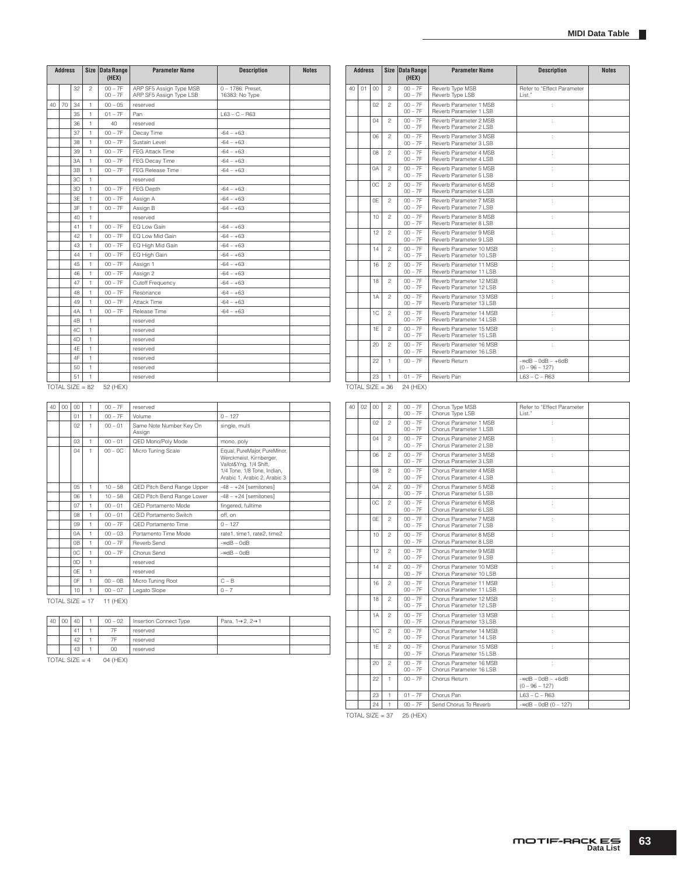|    | <b>Address</b> |    |                   | Size Data Range<br>(HEX) | <b>Parameter Name</b>                              | <b>Description</b>                  | <b>Notes</b> |    | <b>Address</b>    |        |                | Size Data Range<br>(HEX) |
|----|----------------|----|-------------------|--------------------------|----------------------------------------------------|-------------------------------------|--------------|----|-------------------|--------|----------------|--------------------------|
|    |                | 32 | $\mathfrak{p}$    | $00 - 7F$<br>$00 - 7F$   | ARP SF5 Assign Type MSB<br>ARP SF5 Assign Type LSB | 0 - 1786: Preset.<br>16383: No Type |              | 40 | 01                | $00\,$ | $\mathfrak{D}$ | $00 - 7F$<br>$00 - 7F$   |
| 40 | 70             | 34 | $\mathbf{1}$      | $00 - 05$                | reserved                                           |                                     |              |    |                   | 02     | $\mathfrak{D}$ | $00 - 7F$                |
|    |                | 35 | $\mathbf{1}$      | $01 - 7F$                | Pan                                                | $L63 - C - R63$                     |              |    |                   |        |                | $00 - 7F$                |
|    |                | 36 | $\mathbf{1}$      | 40                       | reserved                                           |                                     |              |    |                   | 04     | $\mathfrak{p}$ | $00 - 7F$<br>$00 - 7F$   |
|    |                | 37 | 1                 | $00 - 7F$                | Decay Time                                         | $-64 - +63$                         |              |    |                   | 06     | $\mathfrak{p}$ | $00 - 7F$                |
|    |                | 38 | $\mathbf{1}$      | $00 - 7F$                | Sustain Level                                      | $-64 - +63$                         |              |    |                   |        |                | $00 - 7F$                |
|    |                | 39 | $\mathbf{1}$      | $00 - 7F$                | FEG Attack Time                                    | $-64 - +63$                         |              |    |                   | 08     | $\mathfrak{p}$ | $00 - 7F$                |
|    |                | 3A | 1                 | $00 - 7F$                | FEG Decay Time                                     | $-64 - +63$                         |              |    |                   |        |                | $00 - 7F$                |
|    |                | 3B | $\mathbf{1}$      | $00 - 7F$                | <b>FEG Release Time</b>                            | $-64 - +63$                         |              |    |                   | 0A     | $\overline{c}$ | $00 - 7F$<br>$00 - 7F$   |
|    |                | 3C | $\mathbf{1}$      |                          | reserved                                           |                                     |              |    |                   | 0C     | $\mathfrak{D}$ | $00 - 7F$                |
|    |                | 3D | 1                 | $00 - 7F$                | FEG Depth                                          | $-64 - +63$                         |              |    |                   |        |                | $00 - 7F$                |
|    |                | 3E | $\mathbf{1}$      | $00 - 7F$                | Assign A                                           | $-64 - +63$                         |              |    |                   | 0E     | $\mathfrak{D}$ | $00 - 7F$                |
|    |                | 3F | 1                 | $00 - 7F$                | Assign B                                           | $-64 - +63$                         |              |    |                   |        |                | $00 - 7F$                |
|    |                | 40 | 1                 |                          | reserved                                           |                                     |              |    |                   | 10     | $\mathfrak{p}$ | $00 - 7F$<br>$00 - 7F$   |
|    | 41             |    | 1                 | $00 - 7F$                | EQ Low Gain                                        | $-64 - +63$                         |              |    |                   |        |                | $00 - 7F$                |
|    |                | 42 | $\mathbf{1}$      | $00 - 7F$                | EQ Low Mid Gain                                    | $-64 - +63$                         |              |    |                   | 12     | $\mathfrak{p}$ | $00 - 7F$                |
|    |                | 43 | $\mathbf{1}$      | $00 - 7F$                | EQ High Mid Gain                                   | $-64 - +63$                         |              |    |                   | 14     | $\mathfrak{D}$ | $00 - 7F$                |
|    |                | 44 | $\mathbf{1}$      | $00 - 7F$                | EQ High Gain                                       | $-64 - +63$                         |              |    |                   |        |                | $00 - 7F$                |
|    |                | 45 | $\mathbf{1}$      | $00 - 7F$                | Assign 1                                           | $-64 - +63$                         |              |    |                   | 16     | $\mathfrak{p}$ | $00 - 7F$                |
|    |                | 46 | $\mathbf{1}$      | $00 - 7F$                | Assign 2                                           | $-64 - +63$                         |              |    |                   |        |                | $00 - 7F$                |
|    |                | 47 | $\mathbf{1}$      | $00 - 7F$                | Cutoff Frequency                                   | $-64 - +63$                         |              |    |                   | 18     | $\mathfrak{p}$ | $00 - 7F$<br>$00 - 7F$   |
|    |                | 48 | 1                 | $00 - 7F$                | Resonance                                          | $-64 - +63$                         |              |    |                   | 1A     | $\overline{c}$ | $00 - 7F$                |
|    |                | 49 | $\mathbf{1}$      | $00 - 7F$                | Attack Time                                        | $-64 - +63$                         |              |    |                   |        |                | $00 - 7F$                |
|    |                | 4A | $\mathbf{1}$      | $00 - 7F$                | Release Time                                       | $-64 - +63$                         |              |    |                   | 1C     | $\mathfrak{D}$ | $00 - 7F$                |
|    |                | 4B | $\mathbf{1}$      |                          | reserved                                           |                                     |              |    |                   |        |                | $00 - 7F$                |
|    |                | 4C | $\mathbf{1}$      |                          | reserved                                           |                                     |              |    |                   | 1E     | $\mathfrak{D}$ | $00 - 7F$<br>$00 - 7F$   |
|    |                | 4D | $\mathbf{1}$      |                          | reserved                                           |                                     |              |    |                   | 20     | $\overline{c}$ | $00 - 7F$                |
|    |                | 4E | $\mathbf{1}$      |                          | reserved                                           |                                     |              |    |                   |        |                | $00 - 7F$                |
|    |                | 4F | $\mathbf{1}$      |                          | reserved                                           |                                     |              |    |                   | 22     | $\mathbf{1}$   | $00 - 7F$                |
|    |                | 50 | $\mathbf{1}$      |                          | reserved                                           |                                     |              |    |                   |        |                |                          |
|    |                | 51 | $\mathbf{1}$      |                          | reserved                                           |                                     |              |    |                   | 23     | $\mathbf{1}$   | $01 - 7F$                |
|    |                |    | $TOTAL SIZE = 82$ | 52 (HEX)                 |                                                    |                                     |              |    | $TOTAL$ SIZE = 36 |        |                | 24 (HEX)                 |

|    | <b>Address</b> |    | <b>Size</b>    | <b>Data Range</b><br>(HEX) | <b>Parameter Name</b>                               | <b>Description</b>                          | <b>Notes</b> |
|----|----------------|----|----------------|----------------------------|-----------------------------------------------------|---------------------------------------------|--------------|
| 40 | 01             | 00 | $\mathfrak{p}$ | $00 - 7F$<br>$00 - 7F$     | Reverb Type MSB<br>Reverb Type LSB                  | Refer to "Effect Parameter<br>List."        |              |
|    |                | 02 | $\mathfrak{p}$ | $00 - 7F$<br>$00 - 7F$     | Reverb Parameter 1 MSB<br>Reverb Parameter 1   SB   | ċ                                           |              |
|    |                | 04 | $\overline{c}$ | $00 - 7F$<br>$00 - 7F$     | Reverb Parameter 2 MSB<br>Reverb Parameter 2   SB   | t                                           |              |
|    |                | 06 | $\overline{c}$ | $00 - 7F$<br>$00 - 7F$     | Reverb Parameter 3 MSB<br>Reverb Parameter 3 LSB    | ċ                                           |              |
|    |                | 08 | $\overline{c}$ | $00 - 7F$<br>$00 - 7F$     | Reverb Parameter 4 MSB<br>Reverb Parameter 4   SB   | t                                           |              |
|    |                | 0A | $\mathfrak{p}$ | $00 - 7F$<br>$00 - 7F$     | Reverb Parameter 5 MSB<br>Reverb Parameter 5 LSB    | t                                           |              |
|    |                | 0C | $\mathfrak{p}$ | $00 - 7F$<br>$00 - 7F$     | Reverb Parameter 6 MSB<br>Reverb Parameter 6 LSB    | ċ                                           |              |
|    |                | 0F | $\mathfrak{p}$ | $00 - 7F$<br>$00 - 7F$     | Reverb Parameter 7 MSB<br>Reverb Parameter 7   SB   | ł.                                          |              |
|    |                | 10 | $\overline{c}$ | $00 - 7F$<br>$00 - 7F$     | Reverb Parameter 8 MSB<br>Reverb Parameter 8   SB   | ċ                                           |              |
|    |                | 12 | $\mathfrak{p}$ | $00 - 7F$<br>$00 - 7F$     | Reverb Parameter 9 MSB<br>Reverb Parameter 9   SB   | t                                           |              |
|    |                | 14 | $\overline{c}$ | $00 - 7F$<br>$00 - 7F$     | Reverb Parameter 10 MSB<br>Reverb Parameter 10 I SB | t                                           |              |
|    |                | 16 | $\overline{c}$ | $00 - 7F$<br>$00 - 7F$     | Reverb Parameter 11 MSB<br>Reverb Parameter 11 LSB  | t                                           |              |
|    |                | 18 | $\mathfrak{p}$ | $00 - 7F$<br>$00 - 7F$     | Reverb Parameter 12 MSB<br>Reverb Parameter 12 LSB  | t                                           |              |
|    |                | 1A | $\mathfrak{D}$ | $00 - 7F$<br>$00 - 7F$     | Reverb Parameter 13 MSB<br>Reverb Parameter 13 LSB  | ċ                                           |              |
|    |                | 1C | $\overline{c}$ | $00 - 7F$<br>$00 - 7F$     | Reverb Parameter 14 MSB<br>Reverb Parameter 14   SB | ł.                                          |              |
|    |                | 1F | $\overline{c}$ | $00 - 7F$<br>$00 - 7F$     | Reverb Parameter 15 MSB<br>Reverb Parameter 15   SB | t                                           |              |
|    |                | 20 | $\mathfrak{p}$ | $00 - 7F$<br>$00 - 7F$     | Reverb Parameter 16 MSB<br>Reverb Parameter 16   SB | t                                           |              |
|    |                | 22 | 1              | $00 - 7F$                  | Reverb Return                                       | $-$ ∞dB - 0dB - $+6$ dB<br>$(0 - 96 - 127)$ |              |
|    |                | 23 | 1              | $01 - 7F$                  | Reverb Pan                                          | $L63 - C - R63$                             |              |

| 40 | 00 | CO             | 1 | $00 - 7F$ | reserved                          |                                                                                                                                                  |
|----|----|----------------|---|-----------|-----------------------------------|--------------------------------------------------------------------------------------------------------------------------------------------------|
|    |    | 01             | 1 | $00 - 7F$ | Volume                            | $0 - 127$                                                                                                                                        |
|    |    | 02             | 1 | $00 - 01$ | Same Note Number Key On<br>Assign | single, multi                                                                                                                                    |
|    |    | 03             | 1 | $00 - 01$ | QED Mono/Poly Mode                | mono, poly                                                                                                                                       |
|    |    | 04             | 1 | $00 - 0C$ | Micro Tuning Scale                | Equal, PureMajor, PureMinor,<br>Werckmeist, Kirnberger,<br>Vallot&Yng, 1/4 Shift,<br>1/4 Tone, 1/8 Tone, Indian,<br>Arabic 1, Arabic 2, Arabic 3 |
|    |    | 05             | 1 | $10 - 58$ | QED Pitch Bend Range Upper        | $-48 - +24$ [semitones]                                                                                                                          |
|    |    | 06             | 1 | $10 - 58$ | QED Pitch Bend Range Lower        | $-48 - +24$ [semitones]                                                                                                                          |
|    |    | 07             | 1 | $00 - 01$ | OFD Portamento Mode               | fingered, fulltime                                                                                                                               |
|    |    | 08             | 1 | $00 - 01$ | QED Portamento Switch             | off. on                                                                                                                                          |
|    |    | 09             | 1 | $00 - 7F$ | OFD Portamento Time               | $0 - 127$                                                                                                                                        |
|    |    | 0A             | 1 | $00 - 03$ | Portamento Time Mode              | rate1, time1, rate2, time2                                                                                                                       |
|    |    | 0 <sub>B</sub> | 1 | $00 - 7F$ | Reverb Send                       | $-$ edB $-$ OdB                                                                                                                                  |
|    |    | 0C             | 1 | $00 - 7F$ | Chorus Send                       | $-$ ∞dB $-$ 0dB                                                                                                                                  |
|    |    | 0D             | 1 |           | reserved                          |                                                                                                                                                  |
|    |    | 0E             | 1 |           | reserved                          |                                                                                                                                                  |
|    |    | 0F             | 1 | $00 - 0B$ | Micro Tuning Root                 | $C - B$                                                                                                                                          |
|    |    | 10             | 1 | $00 - 07$ | Legato Slope                      | $0 - 7$                                                                                                                                          |

 $TOTAL SIZE = 17$  11 (HEX)

| 40 | 00 | 40 | $00 - 02$ | Insertion Connect Type | Para, $1\rightarrow 2$ , $2\rightarrow 1$ |  |
|----|----|----|-----------|------------------------|-------------------------------------------|--|
|    |    | 41 | 7F        | reserved               |                                           |  |
|    |    | 42 | 7F        | reserved               |                                           |  |
|    |    | 43 | 00        | reserved               |                                           |  |

TOTAL SIZE =  $4$  04 (HEX)

| 40 | 02 | 00  | $\overline{c}$ | $00 - 7F$<br>$00 - 7F$ | Chorus Type MSB<br>Chorus Type LSB                  | Refer to "Effect Parameter<br>List."        |
|----|----|-----|----------------|------------------------|-----------------------------------------------------|---------------------------------------------|
|    |    | 02  | $\mathfrak{p}$ | $00 - 7F$<br>$00 - 7F$ | Chorus Parameter 1 MSB<br>Chorus Parameter 1 LSB    | ÷                                           |
|    |    | 04  | $\overline{c}$ | $00 - 7F$<br>$00 - 7F$ | Chorus Parameter 2 MSB<br>Chorus Parameter 2 LSB    |                                             |
|    |    | 06  | $\mathfrak{p}$ | $00 - 7F$<br>$00 - 7F$ | Chorus Parameter 3 MSB<br>Chorus Parameter 3 LSB    |                                             |
|    |    | 08  | $\mathfrak{p}$ | $00 - 7F$<br>$00 - 7F$ | Chorus Parameter 4 MSB<br>Chorus Parameter 4 LSB    |                                             |
|    |    | 0A  | $\overline{c}$ | $00 - 7F$<br>$00 - 7F$ | Chorus Parameter 5 MSB<br>Chorus Parameter 5   SB   | ÷                                           |
|    |    | OC. | $\mathfrak{p}$ | $00 - 7F$<br>$00 - 7F$ | Chorus Parameter 6 MSB<br>Chorus Parameter 6 LSB    | ÷                                           |
|    |    | 0E  | $\overline{c}$ | $00 - 7F$<br>$00 - 7F$ | Chorus Parameter 7 MSB<br>Chorus Parameter 7 LSB    | ÷                                           |
|    |    | 10  | $\overline{c}$ | $00 - 7F$<br>$00 - 7F$ | Chorus Parameter 8 MSB<br>Chorus Parameter 8 LSB    | ÷                                           |
|    |    | 12  | $\mathfrak{p}$ | $00 - 7F$<br>$00 - 7F$ | Chorus Parameter 9 MSB<br>Chorus Parameter 9 LSB    | ÷                                           |
|    |    | 14  | $\mathfrak{p}$ | $00 - 7F$<br>$00 - 7F$ | Chorus Parameter 10 MSB<br>Chorus Parameter 10 LSB  | ÷                                           |
|    |    | 16  | $\mathfrak{p}$ | $00 - 7F$<br>$00 - 7F$ | Chorus Parameter 11 MSB<br>Chorus Parameter 11 LSB  | ÷                                           |
|    |    | 18  | $\mathfrak{p}$ | $00 - 7F$<br>$00 - 7F$ | Chorus Parameter 12 MSB<br>Chorus Parameter 12 LSB  | ÷.                                          |
|    |    | 1A  | $\overline{c}$ | $00 - 7F$<br>$00 - 7F$ | Chorus Parameter 13 MSB<br>Chorus Parameter 13 LSB  | ÷                                           |
|    |    | 1C  | $\mathfrak{p}$ | $00 - 7F$<br>$00 - 7F$ | Chorus Parameter 14 MSB<br>Chorus Parameter 14 LSB  |                                             |
|    |    | 1F  | $\overline{c}$ | $00 - 7F$<br>$00 - 7F$ | Chorus Parameter 15 MSB<br>Chorus Parameter 15 LSB  |                                             |
|    |    | 20  | $\mathfrak{p}$ | $00 - 7F$<br>$00 - 7F$ | Chorus Parameter 16 MSB<br>Chorus Parameter 16   SB |                                             |
|    |    | 22  | 1              | $00 - 7F$              | Chorus Return                                       | $-$ ∞dB - 0dB - $+6$ dB<br>$(0 - 96 - 127)$ |
|    |    | 23  | 1              | $01 - 7F$              | Chorus Pan                                          | $163 - C - B63$                             |
|    |    | 24  | $\mathbf{1}$   | $00 - 7F$              | Send Chorus To Reverb                               | $-$ ∞dB $-$ 0dB (0 $-$ 127)                 |

 $\overline{TOTAL SIZE} = 37$  25 (HEX)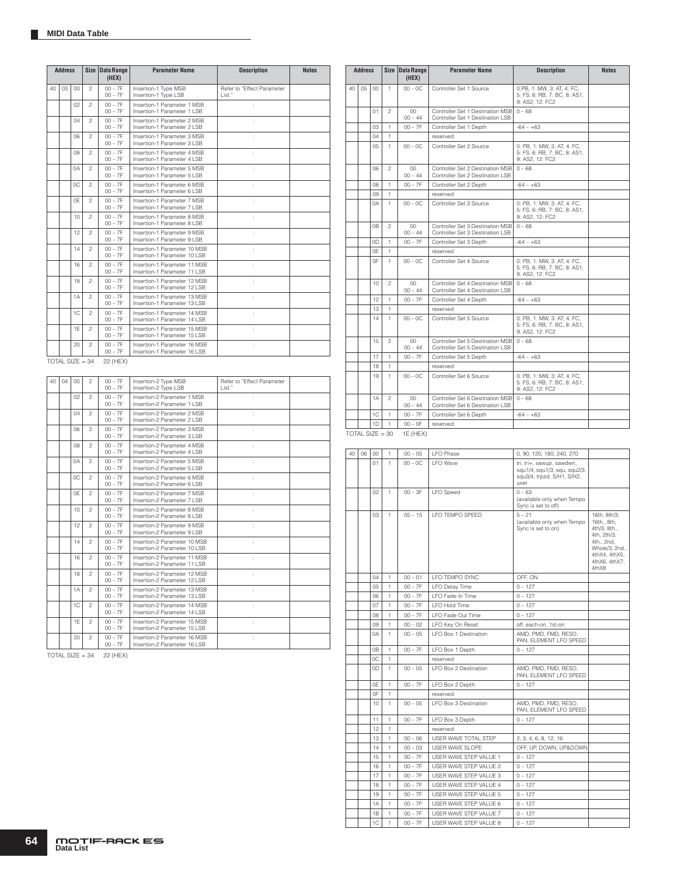|    | <b>Address</b> |     | <b>Size</b>                   | <b>Data Range</b><br>(HEX) | <b>Parameter Name</b>                                        | <b>Description</b>                    | <b>Notes</b> |
|----|----------------|-----|-------------------------------|----------------------------|--------------------------------------------------------------|---------------------------------------|--------------|
| 40 | 03             | 00  | $\mathfrak{p}$                | $00 - 7F$<br>$00 - 7F$     | Insertion-1 Type MSB<br>Insertion-1 Type LSB                 | Refer to "Effect Parameter<br>I ist." |              |
|    |                | 02  | 2                             | $00 - 7F$<br>$00 - 7F$     | Insertion-1 Parameter 1 MSB<br>Insertion-1 Parameter 1 LSB   |                                       |              |
|    |                | 04  | $\mathfrak{p}$                | $00 - 7F$<br>$00 - 7F$     | Insertion-1 Parameter 2 MSB<br>Insertion-1 Parameter 2 LSB   | ţ.                                    |              |
|    |                | 06  | $\mathfrak{p}$                | $00 - 7F$<br>$00 - 7F$     | Insertion-1 Parameter 3 MSB<br>Insertion-1 Parameter 3 LSB   |                                       |              |
|    |                | 08  | $\overline{c}$                | $00 - 7F$<br>$00 - 7F$     | Insertion-1 Parameter 4 MSB<br>Insertion-1 Parameter 4 LSB   |                                       |              |
|    |                | 0A  | $\mathfrak{p}$                | $00 - 7F$<br>$00 - 7F$     | Insertion-1 Parameter 5 MSB<br>Insertion-1 Parameter 5 LSB   |                                       |              |
|    |                | OC. | $\mathfrak{p}$                | $00 - 7F$<br>$00 - 7F$     | Insertion-1 Parameter 6 MSB<br>Insertion-1 Parameter 6 LSB   |                                       |              |
|    |                | 0F  | $\mathfrak{p}$                | $00 - 7F$<br>$00 - 7F$     | Insertion-1 Parameter 7 MSB<br>Insertion-1 Parameter 7 LSB   | t                                     |              |
|    |                | 10  | 2                             | $00 - 7F$<br>$00 - 7F$     | Insertion-1 Parameter 8 MSB<br>Insertion-1 Parameter 8 LSB   | t                                     |              |
|    |                | 12  | 2                             | $00 - 7F$<br>$00 - 7F$     | Insertion-1 Parameter 9 MSB<br>Insertion-1 Parameter 9 LSB   | ÷.                                    |              |
|    |                | 14  | 2                             | $00 - 7F$<br>$00 - 7F$     | Insertion-1 Parameter 10 MSB<br>Insertion-1 Parameter 10 LSB | ÷.                                    |              |
|    |                | 16  | $\overline{c}$                | $00 - 7F$<br>$00 - 7F$     | Insertion-1 Parameter 11 MSB<br>Insertion-1 Parameter 11 LSB | ÷.                                    |              |
|    |                | 18  | $\overline{c}$                | $00 - 7F$<br>$00 - 7F$     | Insertion-1 Parameter 12 MSB<br>Insertion-1 Parameter 12 LSB | ÷.                                    |              |
|    |                | 1A  | $\overline{c}$                | $00 - 7F$<br>$00 - 7F$     | Insertion-1 Parameter 13 MSB<br>Insertion-1 Parameter 13 LSB | ł.                                    |              |
|    |                | 1C  | $\overline{c}$                | $00 - 7F$<br>$00 - 7F$     | Insertion-1 Parameter 14 MSB<br>Insertion-1 Parameter 14 LSB | ÷.                                    |              |
|    |                | 1F  | $\mathfrak{p}$                | $00 - 7F$<br>$00 - 7F$     | Insertion-1 Parameter 15 MSB<br>Insertion-1 Parameter 15 LSB | ÷.                                    |              |
|    |                | 20  | 2                             | $00 - 7F$<br>$00 - 7F$     | Insertion-1 Parameter 16 MSB<br>Insertion-1 Parameter 16 LSB | ÷.                                    |              |
|    |                |     | $T\cap T\Delta 1$ $S17F = 3A$ | 22 (HEY)                   |                                                              |                                       |              |

TOTAL SIZE =  $34$  22 (HEX)

| 40 | 04 | 00             | $\overline{c}$ | $00 - 7F$<br>$00 - 7F$ | Insertion-2 Type MSB<br>Insertion-2 Type LSB                  | Refer to "Effect Parameter<br>List." |
|----|----|----------------|----------------|------------------------|---------------------------------------------------------------|--------------------------------------|
|    |    | $02^{1}$       | $\mathfrak{p}$ | $00 - 7F$<br>$00 - 7F$ | Insertion-2 Parameter 1 MSB<br>Insertion-2 Parameter 1 LSB    | ÷                                    |
|    |    | 04             | $\overline{c}$ | $00 - 7F$<br>$00 - 7F$ | Insertion-2 Parameter 2 MSB<br>Insertion-2 Parameter 2   SB   | ÷.                                   |
|    |    | 06             | $\mathfrak{p}$ | $00 - 7F$<br>$00 - 7F$ | Insertion-2 Parameter 3 MSB<br>Insertion-2 Parameter 3   SB   |                                      |
|    |    | O <sub>8</sub> | $\mathfrak{p}$ | $00 - 7F$<br>$00 - 7F$ | Insertion-2 Parameter 4 MSB<br>Insertion-2 Parameter 4 LSB    |                                      |
|    |    | 0A             | $\mathfrak{p}$ | $00 - 7F$<br>$00 - 7F$ | Insertion-2 Parameter 5 MSB<br>Insertion-2 Parameter 5 LSB    |                                      |
|    |    | OC.            | $\mathfrak{p}$ | $00 - 7F$<br>$00 - 7F$ | Insertion-2 Parameter 6 MSB<br>Insertion-2 Parameter 6 LSB    | ł.                                   |
|    |    | 0F             | $\mathfrak{p}$ | $00 - 7F$<br>$00 - 7F$ | Insertion-2 Parameter 7 MSB<br>Insertion-2 Parameter 7 LSB    | ÷                                    |
|    |    | 10             | $\overline{c}$ | $00 - 7F$<br>$00 - 7F$ | Insertion-2 Parameter 8 MSB<br>Insertion-2 Parameter 8   SB   | t                                    |
|    |    | 12             | $\mathfrak{p}$ | $00 - 7F$<br>$00 - 7F$ | Insertion-2 Parameter 9 MSB<br>Insertion-2 Parameter 9 LSB    |                                      |
|    |    | 14             | $\mathfrak{p}$ | $00 - 7F$<br>$00 - 7F$ | Insertion-2 Parameter 10 MSB<br>Insertion-2 Parameter 10 I SB |                                      |
|    |    | 16             | $\mathfrak{p}$ | $00 - 7F$<br>$00 - 7F$ | Insertion-2 Parameter 11 MSB<br>Insertion-2 Parameter 11 LSB  | ÷.                                   |
|    |    | 18             | $\mathfrak{p}$ | $00 - 7F$<br>$00 - 7F$ | Insertion-2 Parameter 12 MSB<br>Insertion-2 Parameter 12 LSB  | ÷.                                   |
|    |    | 1A             | $\overline{c}$ | $00 - 7F$<br>$00 - 7F$ | Insertion-2 Parameter 13 MSB<br>Insertion-2 Parameter 13 LSB  | ÷                                    |
|    |    | 1C             | $\mathfrak{p}$ | $00 - 7F$<br>$00 - 7F$ | Insertion-2 Parameter 14 MSB<br>Insertion-2 Parameter 14 LSB  | t                                    |
|    |    | 1F             | $\mathfrak{p}$ | $00 - 7F$<br>$00 - 7F$ | Insertion-2 Parameter 15 MSB<br>Insertion-2 Parameter 15   SB |                                      |
|    |    | 20             | $\overline{c}$ | $00 - 7F$<br>$00 - 7F$ | Insertion-2 Parameter 16 MSB<br>Insertion-2 Parameter 16   SB |                                      |

TOTAL SIZE =  $34$  22 (HEX)

|    | <b>Address</b> |                |                | Size Data Range<br>(HEX) | <b>Parameter Name</b>                                                | <b>Description</b>                                                             | <b>Notes</b> |
|----|----------------|----------------|----------------|--------------------------|----------------------------------------------------------------------|--------------------------------------------------------------------------------|--------------|
| 40 | 0 <sub>5</sub> | 00             | 1.             | $00 - 0C$                | Controller Set 1 Source                                              | 0:PB, 1: MW, 3: AT, 4: FC,<br>5: FS, 6: RB, 7: BC, 8: AS1,<br>9: AS2, 12: FC2  |              |
|    |                | 01             | $\mathfrak{p}$ | $00\,$<br>$00 - 44$      | Controller Set 1 Destination MSB<br>Controller Set 1 Destination LSB | $0 - 68$                                                                       |              |
|    |                | 03             | 1              | $00 - 7F$                | Controller Set 1 Depth                                               | $-64 - +63$                                                                    |              |
|    |                | 04             | $\mathbf{1}$   |                          | reserved                                                             |                                                                                |              |
|    |                | $0.5^{\circ}$  | $\mathbf{1}$   | $00 - 0C$                | Controller Set 2 Source                                              | 0: PB, 1: MW, 3: AT, 4: FC,<br>5: FS, 6: RB, 7: BC, 8: AS1,<br>9: AS2, 12: FC2 |              |
|    |                | 06             | $\mathfrak{p}$ | $00\,$<br>$00 - 44$      | Controller Set 2 Destination MSB<br>Controller Set 2 Destination LSB | $0 - 68$                                                                       |              |
|    |                | 08             | 1              | $00 - 7F$                | Controller Set 2 Depth                                               | $-64 - +63$                                                                    |              |
|    |                | 09             | 1              |                          | reserved                                                             |                                                                                |              |
|    |                | 0A             | $\mathbf{1}$   | $00 - 0C$                | Controller Set 3 Source                                              | 0: PB, 1: MW, 3: AT, 4: FC,<br>5: FS, 6: RB, 7: BC, 8: AS1,<br>9: AS2, 12: FC2 |              |
|    |                | 0 <sub>B</sub> | $\mathfrak{p}$ | $00 -$<br>$00 - 44$      | Controller Set 3 Destination MSB<br>Controller Set 3 Destination LSB | $0 - 68$                                                                       |              |
|    |                | 0D             | 1              | $00 - 7F$                | Controller Set 3 Depth                                               | $-64 - +63$                                                                    |              |
|    |                | 0E             | 1              |                          | reserved                                                             |                                                                                |              |
|    |                | 0F             | 1              | $00 - 0C$                | Controller Set 4 Source                                              | 0: PB, 1: MW, 3: AT, 4: FC,<br>5: FS, 6: RB, 7: BC, 8: AS1,<br>9: AS2, 12: FC2 |              |
|    |                | 10             | 2              | $00 -$<br>$00 - 44$      | Controller Set 4 Destination MSB<br>Controller Set 4 Destination LSB | $0 - 68$                                                                       |              |
|    |                | 12             | 1              | $00 - 7F$                | Controller Set 4 Depth                                               | $-64 - +63$                                                                    |              |
|    |                | 13             | 1              |                          | reserved                                                             |                                                                                |              |
|    |                | 14             | $\mathbf{1}$   | $00 - 0C$                | Controller Set 5 Source                                              | 0: PB, 1: MW, 3: AT, 4: FC,<br>5: FS, 6: RB, 7: BC, 8: AS1,<br>9: AS2, 12: FC2 |              |
|    |                | 15             | $\overline{c}$ | $00 -$<br>$00 - 44$      | Controller Set 5 Destination MSB<br>Controller Set 5 Destination LSB | $0 - 68$                                                                       |              |
|    |                | 17             | 1              | $00 - 7F$                | Controller Set 5 Depth                                               | $-64 - +63$                                                                    |              |
|    |                | 18             | 1              |                          | reserved                                                             |                                                                                |              |
|    |                | 19             | $\mathbf{1}$   | $00 - 0C$                | Controller Set 6 Source                                              | 0: PB, 1: MW, 3: AT, 4: FC,<br>5: FS, 6: RB, 7: BC, 8: AS1,<br>9: AS2, 12: FC2 |              |
|    |                | 1A             | $\mathfrak{p}$ | $00\,$<br>$00 - 44$      | Controller Set 6 Destination MSB<br>Controller Set 6 Destination LSB | $0 - 68$                                                                       |              |
|    |                | 1C             | $\mathbf{1}$   | $00 - 7F$                | Controller Set 6 Depth                                               | $-64 - +63$                                                                    |              |
|    |                | 1D             | $\mathbf{1}$   | $00 - 0F$                | reserved                                                             |                                                                                |              |

 $TOTAL SIZE = 30$  1E (HEX)

| 40 | 06 | $00\,$           | 1            | $00 - 05$ | LFO Phase              | 0, 90, 120, 180, 240, 270                                                                       |                                                                                                                                       |
|----|----|------------------|--------------|-----------|------------------------|-------------------------------------------------------------------------------------------------|---------------------------------------------------------------------------------------------------------------------------------------|
|    |    | 01               | 1            | $00 - 0C$ | <b>LFO</b> Wave        | tri, tri+, sawup, sawdwn,<br>squ1/4, squ1/3, squ, squ2/3,<br>squ3/4, trpzd, S/H1, S/H2,<br>user |                                                                                                                                       |
|    |    | 02               | $\mathbf{1}$ | $00 - 3F$ | <b>LFO</b> Speed       | $0 - 63$<br>(available only when Tempo<br>Sync is set to off)                                   |                                                                                                                                       |
|    |    | 03               | $\mathbf{1}$ | $05 - 15$ | LFO TEMPO SPEED        | $5 - 21$<br>(available only when Tempo<br>Sync is set to on)                                    | 16th, 8th/3,<br>16th., 8th.<br>4th/3, 8th.,<br>4th, 2th/3,<br>4th., 2nd,<br>Whole/3, 2nd.,<br>4thX4, 4thX5,<br>4thX6, 4thX7,<br>4thX8 |
|    |    | 04               | 1            | $00 - 01$ | LFO TEMPO SYNC         | OFF, ON                                                                                         |                                                                                                                                       |
|    |    | 0.5 <sub>0</sub> | 1            | $00 - 7F$ | LFO Delay Time         | $0 - 127$                                                                                       |                                                                                                                                       |
|    |    | 06               | 1            | $00 - 7F$ | LFO Fade In Time       | $0 - 127$                                                                                       |                                                                                                                                       |
|    |    | 07               | 1            | $00 - 7F$ | I FO Hold Time         | $0 - 127$                                                                                       |                                                                                                                                       |
|    |    | 08               | 1            | $00 - 7F$ | I FO Fade Out Time     | $0 - 127$                                                                                       |                                                                                                                                       |
|    |    | 09               | $\mathbf{1}$ | $00 - 02$ | LFO Key On Reset       | off, each-on, 1st-on                                                                            |                                                                                                                                       |
|    |    | 0A               | 1            | $00 - 05$ | LFO Box 1 Destination  | AMD, PMD, FMD, RESO,<br>PAN, ELEMENT LFO SPEED                                                  |                                                                                                                                       |
|    |    | 0B               | $\mathbf{1}$ | $00 - 7F$ | LFO Box 1 Depth        | $0 - 127$                                                                                       |                                                                                                                                       |
|    |    | 0C               | 1            |           | reserved               |                                                                                                 |                                                                                                                                       |
|    |    | 0D               | 1            | $00 - 05$ | LFO Box 2 Destination  | AMD, PMD, FMD, RESO,<br>PAN. ELEMENT LFO SPEED                                                  |                                                                                                                                       |
|    |    | 0E               | 1            | $00 - 7F$ | LFO Box 2 Depth        | $0 - 127$                                                                                       |                                                                                                                                       |
|    |    | 0F               | 1            |           | reserved               |                                                                                                 |                                                                                                                                       |
|    |    | 10               | 1            | $00 - 05$ | LFO Box 3 Destination  | AMD, PMD, FMD, RESO,<br>PAN, ELEMENT LFO SPEED                                                  |                                                                                                                                       |
|    |    | 11               | 1            | $00 - 7F$ | LFO Box 3 Depth        | $0 - 127$                                                                                       |                                                                                                                                       |
|    |    | 12               | $\mathbf{1}$ |           | reserved               |                                                                                                 |                                                                                                                                       |
|    |    | 13               | 1            | $00 - 06$ | USER WAVE TOTAL STEP   | 2, 3, 4, 6, 8, 12, 16                                                                           |                                                                                                                                       |
|    |    | 14               | 1            | $00 - 03$ | USER WAVE SLOPE        | OFF, UP, DOWN, UP&DOWN                                                                          |                                                                                                                                       |
|    |    | 15               | 1            | $00 - 7F$ | USER WAVE STEP VALUE 1 | $0 - 127$                                                                                       |                                                                                                                                       |
|    |    | 16               | 1            | $00 - 7F$ | USER WAVE STEP VALUE 2 | $0 - 127$                                                                                       |                                                                                                                                       |
|    |    | 17               | 1            | $00 - 7F$ | USER WAVE STEP VALUE 3 | $0 - 127$                                                                                       |                                                                                                                                       |
|    |    | 18               | 1            | $00 - 7F$ | USER WAVE STEP VALUE 4 | $0 - 127$                                                                                       |                                                                                                                                       |
|    |    | 19               | $\mathbf{1}$ | $00 - 7F$ | USER WAVE STEP VALUE 5 | $0 - 127$                                                                                       |                                                                                                                                       |
|    |    | 1A               | $\mathbf{1}$ | $00 - 7F$ | USER WAVE STEP VALUE 6 | $0 - 127$                                                                                       |                                                                                                                                       |
|    |    | 1B               | 1            | $00 - 7F$ | USER WAVE STEP VALUE 7 | $0 - 127$                                                                                       |                                                                                                                                       |
|    |    | 1C               | $\mathbf{1}$ | $00 - 7F$ | USER WAVE STEP VALUE 8 | $0 - 127$                                                                                       |                                                                                                                                       |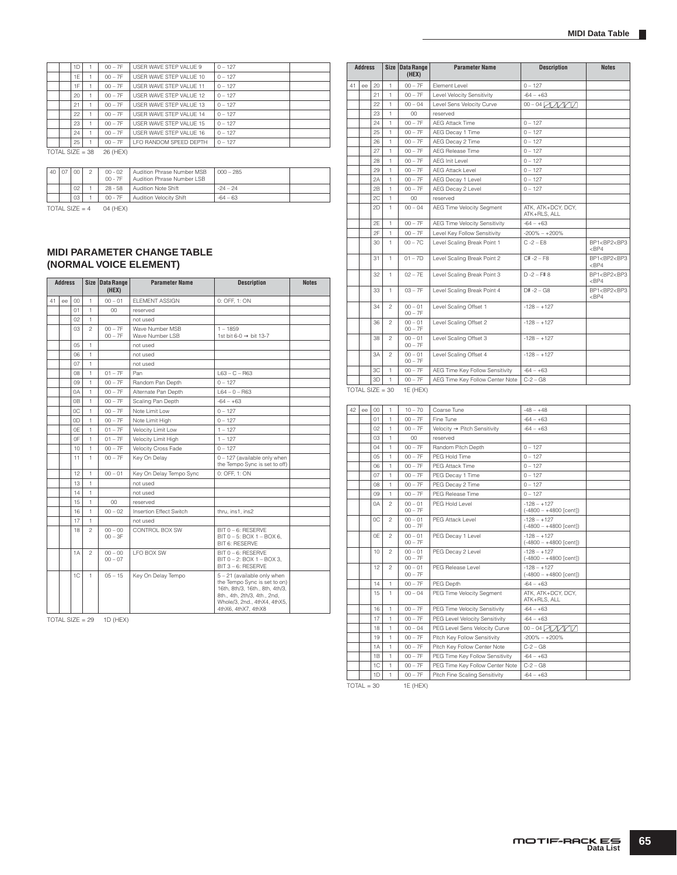|  | 1 <sub>D</sub>  |                   | $00 - 7F$ | USER WAVE STEP VALUE 9  | $0 - 127$ |  |
|--|-----------------|-------------------|-----------|-------------------------|-----------|--|
|  | 1E              |                   | $00 - 7F$ | USER WAVE STEP VALUE 10 | $0 - 127$ |  |
|  | 1F              |                   | $00 - 7F$ | USER WAVE STEP VALUE 11 | $0 - 127$ |  |
|  | 20 <sub>1</sub> |                   | $00 - 7F$ | USER WAVE STEP VALUE 12 | $0 - 127$ |  |
|  | 21              |                   | $00 - 7F$ | USER WAVE STEP VALUE 13 | $0 - 127$ |  |
|  | 22              |                   | $00 - 7F$ | USER WAVE STEP VALUE 14 | $0 - 127$ |  |
|  | 23              |                   | $00 - 7F$ | USER WAVE STEP VALUE 15 | $0 - 127$ |  |
|  | 24              |                   | $00 - 7F$ | USER WAVE STEP VALUE 16 | $0 - 127$ |  |
|  | 25              |                   | $00 - 7F$ | LFO RANDOM SPEED DEPTH  | $0 - 127$ |  |
|  |                 | TOTAL SIZE = $38$ | 26 (HEX)  |                         |           |  |

| 40 l | . 07 | $00 -$          | $00 - 02$<br>$00 - 7F$ | Audition Phrase Number MSB<br>Audition Phrase Number I SB | $000 - 285$ |  |
|------|------|-----------------|------------------------|-----------------------------------------------------------|-------------|--|
|      |      | 02              | $28 - 58$              | <b>Audition Note Shift</b>                                | $-24 - 24$  |  |
|      |      | 03 <sup>2</sup> | $00 - 7F$              | Audition Velocity Shift                                   | $-64 - 63$  |  |

 $\overline{TOTAL SIZE} = 4$  04 (HEX)

#### **MIDI PARAMETER CHANGE TABLE (NORMAL VOICE ELEMENT)**

|    | <b>Address</b> |         | <b>Size</b><br><b>Data Range</b><br><b>Parameter Name</b><br>(HEX) |                        | <b>Description</b>                 | <b>Notes</b>                                                                                                                                                                          |  |
|----|----------------|---------|--------------------------------------------------------------------|------------------------|------------------------------------|---------------------------------------------------------------------------------------------------------------------------------------------------------------------------------------|--|
| 41 | ee             | $^{00}$ | 1                                                                  | $00 - 01$              | <b>ELEMENT ASSIGN</b>              | 0: OFF. 1: ON                                                                                                                                                                         |  |
|    |                | 01      | 1                                                                  | $^{00}$                | reserved                           |                                                                                                                                                                                       |  |
|    |                | 02      | 1                                                                  |                        | not used                           |                                                                                                                                                                                       |  |
|    |                | 03      | $\overline{c}$                                                     | $00 - 7F$<br>$00 - 7F$ | Wave Number MSB<br>Wave Number LSB | $1 - 1859$<br>1st bit 6-0 $\rightarrow$ bit 13-7                                                                                                                                      |  |
|    |                | 05      | 1                                                                  |                        | not used                           |                                                                                                                                                                                       |  |
|    |                | 06      | 1                                                                  |                        | not used                           |                                                                                                                                                                                       |  |
|    |                | 07      | 1                                                                  |                        | not used                           |                                                                                                                                                                                       |  |
|    |                | 08      | 1                                                                  | $01 - 7F$              | Pan                                | $L63 - C - R63$                                                                                                                                                                       |  |
|    |                | 09      | 1                                                                  | $00 - 7F$              | Random Pan Depth                   | $0 - 127$                                                                                                                                                                             |  |
|    |                | 0A      | 1                                                                  | $00 - 7F$              | Alternate Pan Depth                | $L64 - 0 - R63$                                                                                                                                                                       |  |
|    |                | 0B      | 1                                                                  | $00 - 7F$              | Scaling Pan Depth                  | $-64 - +63$                                                                                                                                                                           |  |
|    |                | OC.     | 1                                                                  | $00 - 7F$              | Note Limit Low                     | $0 - 127$                                                                                                                                                                             |  |
|    |                | 0D      | 1                                                                  | $00 - 7F$              | Note Limit High                    | $0 - 127$                                                                                                                                                                             |  |
|    |                | 0E      | 1                                                                  | $01 - 7F$              | Velocity Limit Low                 | $1 - 127$                                                                                                                                                                             |  |
|    |                | 0F      | 1                                                                  | $01 - 7F$              | Velocity Limit High                | $1 - 127$                                                                                                                                                                             |  |
|    |                | 10      | 1                                                                  | $00 - 7F$              | Velocity Cross Fade                | $0 - 127$                                                                                                                                                                             |  |
|    |                | 11      | 1                                                                  | $00 - 7F$              | Key On Delay                       | 0 - 127 (available only when<br>the Tempo Sync is set to off)                                                                                                                         |  |
|    |                | 12      | 1                                                                  | $00 - 01$              | Key On Delay Tempo Sync            | 0: OFF. 1: ON                                                                                                                                                                         |  |
|    |                | 13      | 1                                                                  |                        | not used                           |                                                                                                                                                                                       |  |
|    |                | 14      | 1                                                                  |                        | not used                           |                                                                                                                                                                                       |  |
|    |                | 15      | 1                                                                  | 00                     | reserved                           |                                                                                                                                                                                       |  |
|    |                | 16      | 1                                                                  | $00 - 02$              | Insertion Effect Switch            | thru, ins1, ins2                                                                                                                                                                      |  |
|    |                | 17      | 1                                                                  |                        | not used                           |                                                                                                                                                                                       |  |
|    |                | 18      | $\mathfrak{p}$                                                     | $00 - 00$<br>$00 - 3F$ | CONTROL BOX SW                     | BIT 0 - 6: RESERVE<br>BIT 0 - 5: BOX 1 - BOX 6.<br><b>BIT 6: RESERVE</b>                                                                                                              |  |
|    |                | 1A      | $\mathfrak{p}$                                                     | $00 - 00$<br>$00 - 07$ | LFO BOX SW                         | BIT 0 - 6: RESERVE<br>BIT 0 - 2: BOX 1 - BOX 3.<br>BIT 3 - 6: RESERVE                                                                                                                 |  |
|    |                | 1C      | 1                                                                  | $05 - 15$              | Key On Delay Tempo                 | 5 - 21 (available only when<br>the Tempo Sync is set to on)<br>16th, 8th/3, 16th., 8th, 4th/3,<br>8th., 4th, 2th/3, 4th., 2nd,<br>Whole/3, 2nd., 4thX4, 4thX5,<br>4thX6, 4thX7, 4thX8 |  |

TOTAL SIZE =  $29$  1D (HEX)

|    | <b>Address</b>    |                |                | Size Data Range<br>(HEX) | <b>Parameter Name</b>           | <b>Description</b>                 | <b>Notes</b>                                      |
|----|-------------------|----------------|----------------|--------------------------|---------------------------------|------------------------------------|---------------------------------------------------|
| 41 | ee                | 20             | 1              | $00 - 7F$                | Flement Level                   | $0 - 127$                          |                                                   |
|    |                   | 21             | 1              | $00 - 7F$                | Level Velocity Sensitivity      | $-64 - +63$                        |                                                   |
|    |                   | 22             | 1              | $00 - 04$                | Level Sens Velocity Curve       | 00 - 04 ZDDAD                      |                                                   |
|    |                   | 23             | 1              | 00                       | reserved                        |                                    |                                                   |
|    |                   | 24             | 1              | $00 - 7F$                | <b>AEG Attack Time</b>          | $0 - 127$                          |                                                   |
|    |                   | 25             | 1              | $00 - 7F$                | AEG Decay 1 Time                | $0 - 127$                          |                                                   |
|    |                   | 26             | 1              | $00 - 7F$                | AEG Decay 2 Time                | $0 - 127$                          |                                                   |
|    |                   | 27             | 1              | $00 - 7F$                | <b>AEG Release Time</b>         | $0 - 127$                          |                                                   |
|    |                   | 28             | 1              | $00 - 7F$                | AEG Init Level                  | $0 - 127$                          |                                                   |
|    |                   | 29             | $\mathbf{1}$   | $00 - 7F$                | <b>AEG Attack Level</b>         | $0 - 127$                          |                                                   |
|    |                   | 2A             | 1              | $00 - 7F$                | AEG Decay 1 Level               | $0 - 127$                          |                                                   |
|    |                   | 2 <sub>B</sub> | 1              | $00 - 7F$                | AEG Decay 2 Level               | $0 - 127$                          |                                                   |
|    |                   | 2C             | 1              | 00                       | reserved                        |                                    |                                                   |
|    |                   | 2D             | 1              | $00 - 04$                | AEG Time Velocity Segment       | ATK, ATK+DCY, DCY,<br>ATK+RLS, ALL |                                                   |
|    |                   | 2F             | 1              | $00 - 7F$                | AEG Time Velocity Sensitivity   | $-64 - +63$                        |                                                   |
|    |                   | 2F             | 1              | $00 - 7F$                | Level Key Follow Sensitivity    | $-200\% - +200\%$                  |                                                   |
|    |                   | 30             | 1              | $00 - 7C$                | Level Scaling Break Point 1     | $C - 2 - F8$                       | BP1 <bp2<bp3<br><math>&lt;</math>BP4</bp2<bp3<br> |
|    |                   | 31             | 1.             | $01 - 7D$                | Level Scaling Break Point 2     | $C# -2 - F8$                       | BP1 <bp2<bp3<br><math>&lt;</math>BP4</bp2<bp3<br> |
|    |                   | 32             | 1              | $02 - 7F$                | Level Scaling Break Point 3     | $D - 2 - F$ #8                     | BP1 <bp2<bp3<br><math>&lt;</math>BP4</bp2<bp3<br> |
|    |                   | 33             | 1              | $03 - 7F$                | Level Scaling Break Point 4     | $D# - 2 - G8$                      | BP1 <bp2<bp3<br><math>&lt;</math>BP4</bp2<bp3<br> |
|    |                   | 34             | $\mathfrak{p}$ | $00 - 01$<br>$00 - 7F$   | Level Scaling Offset 1          | $-128 - +127$                      |                                                   |
|    |                   | 36             | $\mathfrak{p}$ | $00 - 01$<br>$00 - 7F$   | Level Scaling Offset 2          | $-128 - +127$                      |                                                   |
|    |                   | 38             | $\overline{c}$ | $00 - 01$<br>$00 - 7F$   | Level Scaling Offset 3          | $-128 - +127$                      |                                                   |
|    |                   | 3A             | $\mathfrak{p}$ | $00 - 01$<br>$00 - 7F$   | Level Scaling Offset 4          | $-128 - +127$                      |                                                   |
|    |                   | 3C             | 1              | $00 - 7F$                | AEG Time Key Follow Sensitivity | $-64 - +63$                        |                                                   |
|    |                   | 3D             | 1              | $00 - 7F$                | AEG Time Key Follow Center Note | $C - 2 - G8$                       |                                                   |
|    | $TOTAL SIZE = 30$ |                |                | 1E (HEX)                 |                                 |                                    |                                                   |

42 | ee | 00 | 1 | 10 – 70 | Coarse Tune | -48 – +48 01 | 1 | 00 – 7F | Fine Tune -64 – +63  $02 \mid 1 \mid 00 - 7F \mid$  Velocity  $\rightarrow$  Pitch Sensitivity  $-64 - +63$ 03 | 1 | 00 reserved 04 | 1 | 00 – 7F | Random Pitch Depth | 0 – 127 05 1 00 – 7F PEG Hold Time 0 – 127 06 1 00 – 7F PEG Attack Time 0 – 127 07 1 00 – 7F PEG Decay 1 Time 0 – 127 08 1 00 – 7F PEG Decay 2 Time 0 – 127 09 1 00 – 7F PEG Release Time 0A 2 00 – 01<br>00 – 7F  $PFG$  Hold Level  $-128 - +127$  $(-4800 - +4800$  [cent])  $0C$  2  $00 - 01$ 00 – 7F PEG Attack Level  $-128 - 127$ <br>(-4800 – +4800 [cent]) 0E 2 00 – 01<br>00 – 7F PEG Decay 1 Level (-4800 – +4800 [cent])  $\begin{array}{|c|c|c|c|c|} \hline 10 & 2 & 00 & -01 \\ \hline 00 & -75 & & \hline \end{array}$ PEG Decay 2 Level  $-128 - +127$ <br>(-4800 – +4800 [cent])  $\begin{array}{|c|c|c|c|c|}\n 12 & 2 & 00 & -01 \\
 & 00 & -75 & & \n\end{array}$ PEG Release Level  $-128 - +127$ <br>(-4800 – +4800 [cent]) 14 1 00 – 7F PEG Depth -64 – +63 15 1 00 – 04 PEG Time Velocity Segment ATK, ATK+DCY, DCY,<br>ATK+RLS, ALL 16 1 00 – 7F PEG Time Velocity Sensitivity -64 – +63<br>17 1 00 – 7F PEG Level Velocity Sensitivity -64 – +63 1 00 – 7F PEG Level Velocity Sensitivity -64 – +63<br>1 00 – 04 PEG Level Sens Velocity Curve 00 – 04 2000 18 1 00 – 04 PEG Level Sens Velocity Curve 19 1 00 – 7F Pitch Key Follow Sensitivity -200% – +200% 1A 1 00 – 7F Pitch Key Follow Center Note C-2 – G8 1B 1 00 – 7F PEG Time Key Follow Sensitivity -64 – +63 1C | 1 | 00 – 7F | PEG Time Key Follow Center Note | C-2 – G8 1D | 1 | 00 – 7F | Pitch Fine Scaling Sensitivity | -64 – +63

 $TOTAL = 30$  1E (HEX)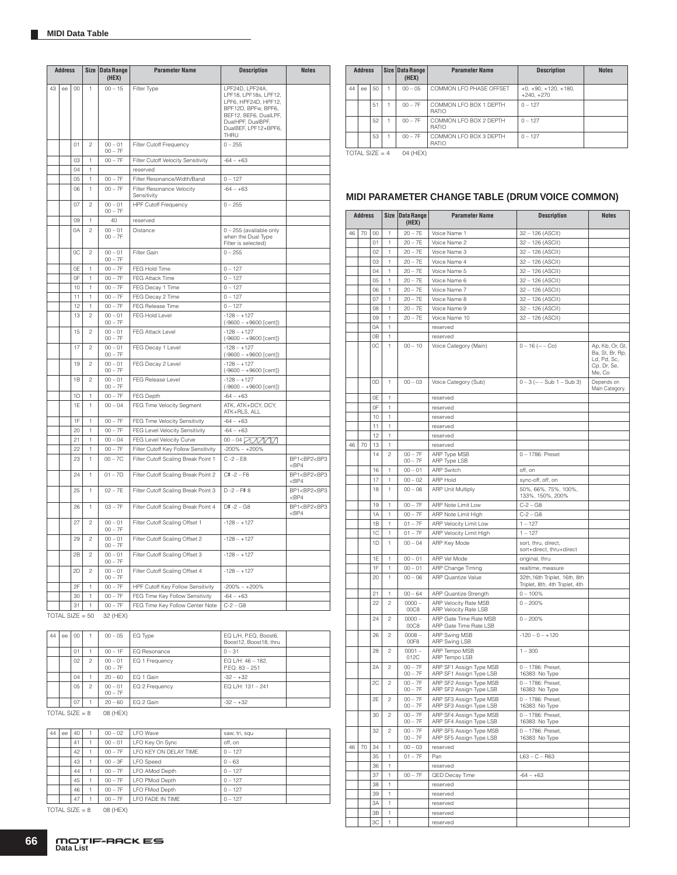|    | <b>Address</b> |                |                | Size Data Range<br>(HEX)    | <b>Parameter Name</b>                    | <b>Description</b>                                                                                                                                                    | <b>Notes</b>                                      |
|----|----------------|----------------|----------------|-----------------------------|------------------------------------------|-----------------------------------------------------------------------------------------------------------------------------------------------------------------------|---------------------------------------------------|
| 43 | ee             | 00             | 1              | $00 - 15$                   | Filter Type                              | LPF24D, LPF24A,<br>LPF18, LPF18s, LPF12,<br>LPF6, HPF24D, HPF12,<br>BPF12D, BPFw, BPF6,<br>BEF12, BEF6, DualLPF,<br>DualHPF, DualBPF,<br>DualBEF, LPF12+BPF6,<br>THRU |                                                   |
|    |                | 01             | $\overline{c}$ | $00 - 01$<br>$00 - 7F$      | Filter Cutoff Frequency                  | $0 - 255$                                                                                                                                                             |                                                   |
|    |                | 03             | 1              | $00 - 7F$                   | Filter Cutoff Velocity Sensitivity       | $-64 - +63$                                                                                                                                                           |                                                   |
|    |                | 04             | 1              |                             | reserved                                 |                                                                                                                                                                       |                                                   |
|    |                | 05             | 1              | $00 - 7F$                   | Filter Resonance/Width/Band              | $0 - 127$                                                                                                                                                             |                                                   |
|    |                | 06             | 1              | $00 - 7F$                   | Filter Resonance Velocity<br>Sensitivity | $-64 - +63$                                                                                                                                                           |                                                   |
|    |                | 07             | $\mathfrak{p}$ | $00 - 01$<br>$00 - 7F$      | <b>HPF Cutoff Frequency</b>              | $0 - 255$                                                                                                                                                             |                                                   |
|    |                | 09             | 1              | 40                          | reserved                                 |                                                                                                                                                                       |                                                   |
|    |                | 0A             | $\mathfrak{p}$ | $00 - 01$<br>$00 - 7F$      | Distance                                 | 0 - 255 (available only<br>when the Dual Type<br>Filter is selected)                                                                                                  |                                                   |
|    |                | OC.            | $\mathfrak{p}$ | $00 - 01$<br>$00 - 7F$      | Filter Gain                              | $0 - 255$                                                                                                                                                             |                                                   |
|    |                | 0E             | 1              | $00 - 7F$                   | FEG Hold Time                            | $0 - 127$                                                                                                                                                             |                                                   |
|    |                | 0F             | 1              | $00 - 7F$                   | FEG Attack Time                          | $0 - 127$                                                                                                                                                             |                                                   |
|    |                | 10             | 1              | $00 - 7F$                   | FEG Decay 1 Time                         | $0 - 127$                                                                                                                                                             |                                                   |
|    |                | 11             | 1              | $00 - 7F$                   | FEG Decay 2 Time                         | $0 - 127$                                                                                                                                                             |                                                   |
|    |                | 12             | 1              | $00 - 7F$                   | FEG Release Time                         | $0 - 127$                                                                                                                                                             |                                                   |
|    |                | 13             | $\overline{c}$ | $00 - 01$<br>$00 - 7F$      | FEG Hold Level                           | $-128 - +127$<br>$(-9600 - +9600$ [cent])                                                                                                                             |                                                   |
|    |                | 15             | 2              | $00 - 01$<br>$00 - 7F$      | FEG Attack Level                         | $-128 - +127$<br>$(-9600 - +9600$ [cent])                                                                                                                             |                                                   |
|    |                | 17             | $\mathfrak{p}$ | $00 - 01$<br>$00 - 7F$      | FEG Decay 1 Level                        | $-128 - +127$<br>$(-9600 - +9600$ [cent])                                                                                                                             |                                                   |
|    |                | 19             | $\overline{c}$ | $00 - 01$<br>$00 - 7F$      | FEG Decay 2 Level                        | $-128 - +127$<br>$(-9600 - +9600$ [cent])                                                                                                                             |                                                   |
|    |                | 1B             | $\mathfrak{p}$ | $00 - 01$<br>$00 - 7F$      | FEG Release Level                        | $-128 - +127$<br>$(-9600 - +9600$ [cent])                                                                                                                             |                                                   |
|    |                | 1 <sub>D</sub> | 1              | $00 - 7F$                   | FEG Depth                                | $-64 - +63$                                                                                                                                                           |                                                   |
|    |                | 1F             | 1              | $00 - 04$                   | FEG Time Velocity Segment                | ATK, ATK+DCY, DCY,<br>ATK+RLS, ALL                                                                                                                                    |                                                   |
|    |                | 1F             | 1              | $00 - 7F$                   | FEG Time Velocity Sensitivity            | $-64 - +63$                                                                                                                                                           |                                                   |
|    |                | 20             | 1              | $00 - 7F$                   | FEG Level Velocity Sensitivity           | $-64 - +63$                                                                                                                                                           |                                                   |
|    |                | 21             | 1              | $00 - 04$                   | FEG Level Velocity Curve                 | 00 - 04 ZQZQZ                                                                                                                                                         |                                                   |
|    |                | 22             | 1              | $00 - 7F$                   | Filter Cutoff Key Follow Sensitivity     | $-200\% - +200\%$                                                                                                                                                     |                                                   |
|    |                | 23             | 1              | $00 - 7C$                   | Filter Cutoff Scaling Break Point 1      | $C - 2 - E8$                                                                                                                                                          | BP1 <bp2<bp3<br><math>&lt;</math>BP4</bp2<bp3<br> |
|    |                | 24             | 1              | $01 - 7D$                   | Filter Cutoff Scaling Break Point 2      | $C# -2 - F8$                                                                                                                                                          | BP1 <bp2<bp3<br><math>&lt;</math>BP4</bp2<bp3<br> |
|    |                | 25             | 1              | $02 - 7E$                   | Filter Cutoff Scaling Break Point 3      | $D -2 - F# 8$                                                                                                                                                         | BP1 <bp2<bp3<br><math>&lt;</math>BP4</bp2<bp3<br> |
|    |                | 26             | 1              | $03 - 7F$                   | Filter Cutoff Scaling Break Point 4      | $D# -2 - G8$                                                                                                                                                          | BP1 <bp2<bp3<br><math>&lt;</math>BP4</bp2<bp3<br> |
|    |                | 27             | $\mathfrak{D}$ | $00 - 01$<br>$00 - 7F$      | Filter Cutoff Scaling Offset 1           | $-128 - +127$                                                                                                                                                         |                                                   |
|    |                | 29             | $\mathfrak{p}$ | $00 - 01$<br>$00 - 7F$      | Filter Cutoff Scaling Offset 2           | $-128 - +127$                                                                                                                                                         |                                                   |
|    |                | 2B             | $\overline{c}$ | $00 - 01$<br>$00 - 7F$      | Filter Cutoff Scaling Offset 3           | $-128 - +127$                                                                                                                                                         |                                                   |
|    |                | 2D             | $\mathfrak{p}$ | $00 - 01$<br>$00 - 7F$      | Filter Cutoff Scaling Offset 4           | $-128 - +127$                                                                                                                                                         |                                                   |
|    |                | 2F             | 1              | $00 - 7F$                   | HPF Cutoff Key Follow Sensitivity        | $-200\% - +200\%$                                                                                                                                                     |                                                   |
|    |                | 30             | 1              | $00 - 7F$                   | FEG Time Key Follow Sensitivity          | $-64 - +63$                                                                                                                                                           |                                                   |
|    | TOTAL CIZE     | 31             | 1<br>$E \cap$  | $00 - 7F$<br><b>22 /UEV</b> | FEG Time Key Follow Center Note          | $C - 2 - G8$                                                                                                                                                          |                                                   |

TOTAL SIZE =  $50$  32 (HEX)

| 44 | ee | 00 <sup>°</sup> |                | $00 - 05$              | EQ Type        | EQ L/H, P.EQ, Boost6,<br>Boost12, Boost18, thru |  |
|----|----|-----------------|----------------|------------------------|----------------|-------------------------------------------------|--|
|    |    | 01              |                | $00 - 1F$              | EQ Resonance   | $0 - 31$                                        |  |
|    |    | 02              | $\mathfrak{p}$ | $00 - 01$<br>$00 - 7F$ | EQ 1 Frequency | EQ L/H: 46 - 182.<br>P.EQ: 83 - 251             |  |
|    |    | 04              |                | $20 - 60$              | EQ 1 Gain      | $-32 - +32$                                     |  |
|    |    | 0.5             | 2              | $00 - 01$<br>$00 - 7F$ | EQ 2 Frequency | EQ L/H: 131 - 241                               |  |
|    |    | 07              |                | $20 - 60$              | EQ 2 Gain      | $-32 - +32$                                     |  |

TOTAL SIZE =  $8$  08 (HEX)

| 44 | ee | 40 | $00 - 02$ | <b>LFO</b> Wave       | saw, tri, squ |
|----|----|----|-----------|-----------------------|---------------|
|    |    | 41 | $00 - 01$ | LFO Key On Sync       | off. on       |
|    |    | 42 | $00 - 7F$ | LFO KEY ON DELAY TIME | $0 - 127$     |
|    |    | 43 | $00 - 3F$ | <b>LFO</b> Speed      | $0 - 63$      |
|    |    | 44 | $00 - 7F$ | LFO AMod Depth        | $0 - 127$     |
|    |    | 45 | $00 - 7F$ | LFO PMod Depth        | $0 - 127$     |
|    |    | 46 | $00 - 7F$ | LFO FMod Depth        | $0 - 127$     |
|    |    | 47 | $00 - 7F$ | LFO FADE IN TIME      | $0 - 127$     |

 $TOTAL SIZE = 8$  08 (HEX)

|    | <b>Address</b> |      | Size Data Range<br>(HEX) |           | <b>Parameter Name</b>                  | <b>Description</b>                     | <b>Notes</b> |
|----|----------------|------|--------------------------|-----------|----------------------------------------|----------------------------------------|--------------|
| 44 | ee             | . 50 |                          | $00 - 05$ | COMMON LFO PHASE OFFSET                | $+0, +90, +120, +180,$<br>$+240. +270$ |              |
|    |                | 51   |                          | $00 - 7F$ | COMMON LFO BOX 1 DEPTH<br><b>RATIO</b> | $0 - 127$                              |              |
|    |                | 52   |                          | $00 - 7F$ | COMMON LFO BOX 2 DEPTH<br><b>RATIO</b> | $0 - 127$                              |              |
|    |                | 53   |                          | $00 - 7F$ | COMMON LFO BOX 3 DEPTH<br>RATIO        | $0 - 127$                              |              |

TOTAL SIZE =  $4$  04 (HEX)

# **MIDI PARAMETER CHANGE TABLE (DRUM VOICE COMMON)**

|    | <b>Address</b> |    |                | Size Data Range<br>(HEX) | <b>Parameter Name</b>                              | <b>Description</b>                              | <b>Notes</b>                                            |
|----|----------------|----|----------------|--------------------------|----------------------------------------------------|-------------------------------------------------|---------------------------------------------------------|
| 46 | 70             | 00 | 1              | $20 - 7E$                | Voice Name 1                                       | 32 - 126 (ASCII)                                |                                                         |
|    |                | 01 | 1              | $20 - 7E$                | Voice Name 2                                       | 32 - 126 (ASCII)                                |                                                         |
|    |                | 02 | 1              | $20 - 7E$                | Voice Name 3                                       | 32 - 126 (ASCII)                                |                                                         |
|    |                | 03 | 1              | $20 - 7E$                | Voice Name 4                                       | 32 - 126 (ASCII)                                |                                                         |
|    |                | 04 | 1              | $20 - 7E$                | Voice Name 5                                       | 32 - 126 (ASCII)                                |                                                         |
|    |                | 05 | 1              | $20 - 7E$                | Voice Name 6                                       | 32 - 126 (ASCII)                                |                                                         |
|    |                | 06 | 1              | $20 - 7E$                | Voice Name 7                                       | 32 - 126 (ASCII)                                |                                                         |
|    |                | 07 | 1              | $20 - 7E$                | Voice Name 8                                       | 32 - 126 (ASCII)                                |                                                         |
|    |                | 08 | 1              | $20 - 7E$                | Voice Name 9                                       | 32 - 126 (ASCII)                                |                                                         |
|    |                | 09 | 1              | $20 - 7E$                | Voice Name 10                                      | 32 - 126 (ASCII)                                |                                                         |
|    |                | 0A | 1              |                          | reserved                                           |                                                 |                                                         |
|    |                | 0B | 1              |                          | reserved                                           |                                                 |                                                         |
|    |                | 0C | 1              | $00 - 10$                | Voice Category (Main)                              | $0 - 16$ ( $- -$ Co)                            | Ap, Kb, Or, Gt,                                         |
|    |                |    |                |                          |                                                    |                                                 | Ba, St, Br, Rp,<br>Ld, Pd, Sc,<br>Cp, Dr, Se,<br>Me, Co |
|    |                | 0D | 1              | $00 - 03$                | Voice Category (Sub)                               | $0 - 3$ (-- $-$ Sub 1 $-$ Sub 3)                | Depends on<br>Main Category.                            |
|    |                | 0E | 1              |                          | reserved                                           |                                                 |                                                         |
|    |                | 0F | 1              |                          | reserved                                           |                                                 |                                                         |
|    |                | 10 | 1              |                          | reserved                                           |                                                 |                                                         |
|    |                | 11 | 1              |                          | reserved                                           |                                                 |                                                         |
|    |                | 12 | 1              |                          | reserved                                           |                                                 |                                                         |
| 46 | 70             | 13 | 1              |                          | reserved                                           |                                                 |                                                         |
|    |                | 14 | $\mathfrak{p}$ | $00 - 7F$                | ARP Type MSB                                       | 0-1786: Preset                                  |                                                         |
|    |                |    |                | $00 - 7F$                | ARP Type LSB                                       |                                                 |                                                         |
|    |                | 16 | 1              | $00 - 01$                | <b>ARP Switch</b>                                  | off, on                                         |                                                         |
|    |                | 17 | 1              | $00 - 02$                | ARP Hold                                           | sync-off, off, on                               |                                                         |
|    |                | 18 | 1              | $00 - 06$                | <b>ARP Unit Multiply</b>                           | 50%, 66%, 75%, 100%,<br>133%, 150%, 200%        |                                                         |
|    |                | 19 | 1              | $00 - 7F$                | ARP Note Limit Low                                 | $C-2 - G8$                                      |                                                         |
|    |                |    |                | $00 - 7F$                |                                                    |                                                 |                                                         |
|    |                | 1A | 1              |                          | ARP Note Limit High                                | $C-2 - G8$                                      |                                                         |
|    |                | 1B | 1              | $01 - 7F$                | ARP Velocity Limit Low                             | $1 - 127$                                       |                                                         |
|    |                | 1C | 1              | $01 - 7F$                | ARP Velocity Limit High                            | $1 - 127$                                       |                                                         |
|    |                | 1D | $\mathbf{1}$   | $00 - 04$                | ARP Key Mode                                       | sort, thru, direct,<br>sort+direct, thru+direct |                                                         |
|    |                | 1E | 1              | $00 - 01$                | ARP Vel Mode                                       | original, thru                                  |                                                         |
|    |                | 1F | 1              | $00 - 01$                | ARP Change Timing                                  | realtime, measure                               |                                                         |
|    |                | 20 | 1              | $00 - 06$                | <b>ARP Quantize Value</b>                          | 32th, 16th Triplet, 16th, 8th                   |                                                         |
|    |                |    |                |                          |                                                    | Triplet, 8th, 4th Triplet, 4th                  |                                                         |
|    |                | 21 | 1              | $00 - 64$                | ARP Quantize Strength                              | $0 - 100%$                                      |                                                         |
|    |                | 22 | $\overline{c}$ | $0000 -$<br>00C8         | ARP Velocity Rate MSB<br>ARP Velocity Rate LSB     | $0 - 200%$                                      |                                                         |
|    |                | 24 | 2              | $0000 -$<br>00C8         | ARP Gate Time Rate MSB<br>ARP Gate Time Rate LSB   | $0 - 200%$                                      |                                                         |
|    |                | 26 | $\mathfrak{p}$ | $0008 -$<br>00F8         | ARP Swing MSB<br>ARP Swing LSB                     | $-120 - 0 - +120$                               |                                                         |
|    |                | 28 | $\overline{c}$ | $0001 -$<br>012C         | ARP Tempo MSB<br>ARP Tempo LSB                     | $1 - 300$                                       |                                                         |
|    |                | 2A | $\mathbf{2}$   | $00 - 7F$<br>$00 - 7F$   | ARP SF1 Assign Type MSB<br>ARP SF1 Assign Type LSB | 0 - 1786: Preset,<br>16383: No Type             |                                                         |
|    |                | 2C | $\mathfrak{p}$ | $00 - 7F$<br>$00 - 7F$   | ARP SF2 Assign Type MSB<br>ARP SF2 Assign Type LSB | 0 - 1786: Preset,<br>16383: No Type             |                                                         |
|    |                | 2E | $\overline{c}$ | $00 - 7F$<br>$00 - 7F$   | ARP SF3 Assign Type MSB<br>ARP SF3 ASSIGN TYPE LSB | 0 - 1786: Preset.<br>тьзвэ: імо туре            |                                                         |
|    |                | 30 | 2              | $00 - 7F$<br>$00 - 7F$   | ARP SF4 Assign Type MSB<br>ARP SF4 Assign Type LSB | 0 - 1786: Preset,<br>16383: No Type             |                                                         |
|    |                | 32 | 2              | $00 - 7F$<br>$00 - 7F$   | ARP SF5 Assign Type MSB<br>ARP SF5 Assign Type LSB | 0 - 1786: Preset,<br>16383: No Type             |                                                         |
| 46 | 70             | 34 | 1              | $00 - 03$                | reserved                                           |                                                 |                                                         |
|    |                | 35 | 1              | $01 - 7F$                | Pan                                                | $L63 - C - R63$                                 |                                                         |
|    |                | 36 | 1              |                          | reserved                                           |                                                 |                                                         |
|    |                | 37 | 1              | $00 - 7F$                | QED Decay Time                                     | $-64 - +63$                                     |                                                         |
|    |                | 38 | 1              |                          | reserved                                           |                                                 |                                                         |
|    |                | 39 | 1              |                          | reserved                                           |                                                 |                                                         |
|    |                | ЗA | 1              |                          | reserved                                           |                                                 |                                                         |
|    |                | 3B | 1              |                          | reserved                                           |                                                 |                                                         |
|    |                | 3C | 1              |                          | reserved                                           |                                                 |                                                         |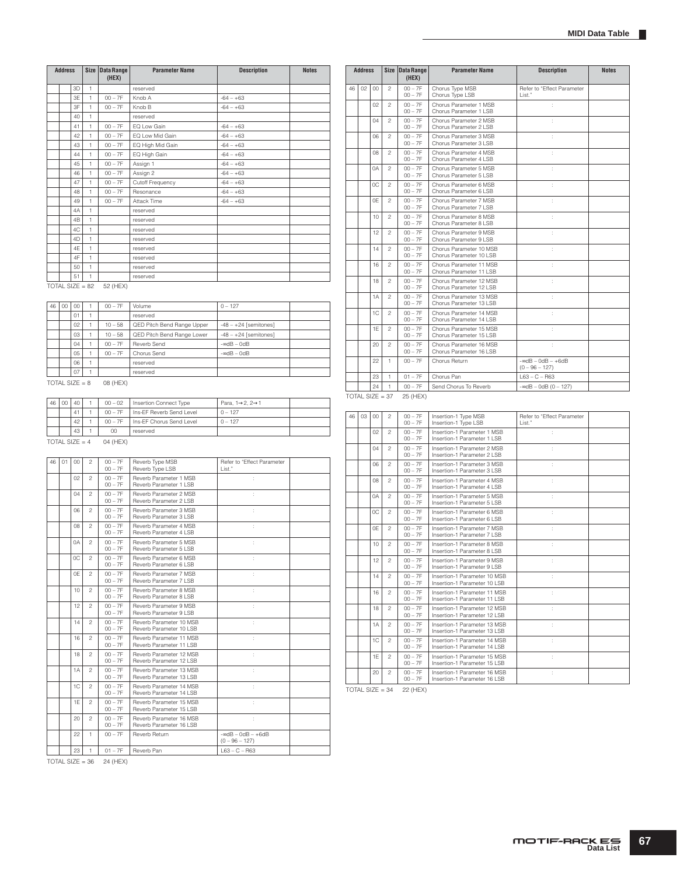|    | Address           |          |                         | Size Data Range<br>(HEX) | <b>Parameter Name</b>                              | <b>Description</b>                                      | <b>Notes</b> |                   | <b>Address</b> |    |                | Size   Data Range<br>(HEX) |           |
|----|-------------------|----------|-------------------------|--------------------------|----------------------------------------------------|---------------------------------------------------------|--------------|-------------------|----------------|----|----------------|----------------------------|-----------|
|    |                   | 3D       | 1                       |                          | reserved                                           |                                                         |              | 46                | 02             | 00 | $\overline{c}$ | $00 - 7F$<br>$00 - 7F$     | C         |
|    |                   | 3E<br>3F | $\overline{1}$<br>1     | $00 - 7F$<br>$00 - 7F$   | Knob A<br>Knob B                                   | $-64 - +63$<br>$-64 - +63$                              |              |                   |                | 02 | $\overline{c}$ | $00 - 7F$                  | С<br>C    |
|    |                   | 40       | 1                       |                          | reserved                                           |                                                         |              |                   |                | 04 | $\mathbf{2}$   | $00 - 7F$                  | С<br>C    |
|    |                   | 41       | $\mathbf{1}$            | $00 - 7F$                | EQ Low Gain                                        | $-64 - +63$                                             |              |                   |                |    |                | $00 - 7F$<br>$00 - 7F$     | С         |
|    |                   | 42<br>43 | 1<br>1                  | $00 - 7F$<br>$00 - 7F$   | EQ Low Mid Gain<br>EQ High Mid Gain                | $-64 - +63$<br>$-64 - +63$                              |              |                   |                | 06 | 2              | $00 - 7F$<br>$00 - 7F$     | C<br>С    |
|    |                   | 44       | $\mathbf{1}$            | $00 - 7F$                | EQ High Gain                                       | $-64 - +63$                                             |              |                   |                | 08 | $\overline{c}$ | $00 - 7F$                  | C         |
|    |                   | 45       | 1                       | $00 - 7F$                | Assign 1                                           | $-64 - +63$                                             |              |                   |                | 0A | 2              | $00 - 7F$<br>$00 - 7F$     | С<br>C    |
|    |                   | 46<br>47 | 1<br>$\mathbf{1}$       | $00 - 7F$                | Assign 2                                           | $-64 - +63$                                             |              |                   |                |    |                | $00 - 7F$                  | С         |
|    |                   | 48       | 1                       | $00 - 7F$<br>$00 - 7F$   | Cutoff Frequency<br>Resonance                      | $-64 - +63$<br>$-64 - +63$                              |              |                   |                | 0C | 2              | $00 - 7F$<br>$00 - 7F$     | С<br>С    |
|    |                   | 49       | 1                       | $00 - 7F$                | Attack Time                                        | $-64 - +63$                                             |              |                   |                | 0E | $\overline{c}$ | $00 - 7F$                  | C         |
|    |                   | 4A<br>4B | $\mathbf{1}$<br>1       |                          | reserved                                           |                                                         |              |                   |                | 10 | 2              | $00 - 7F$<br>$00 - 7F$     | С<br>C    |
|    |                   | 4C       | 1                       |                          | reserved<br>reserved                               |                                                         |              |                   |                |    |                | $00 - 7F$                  | С<br>C    |
|    |                   | 4D       | $\mathbf{1}$            |                          | reserved                                           |                                                         |              |                   |                | 12 | $\overline{c}$ | $00 - 7F$<br>$00 - 7F$     | С         |
|    |                   | 4E<br>4F | 1                       |                          | reserved                                           |                                                         |              |                   |                | 14 | $\overline{c}$ | $00 - 7F$<br>$00 - 7F$     | C<br>С    |
|    |                   | 50       | 1<br>$\mathbf{1}$       |                          | reserved<br>reserved                               |                                                         |              |                   |                | 16 | $\overline{c}$ | $00 - 7F$                  | С         |
|    |                   | 51       | 1                       |                          | reserved                                           |                                                         |              |                   |                | 18 | $\overline{c}$ | $00 - 7F$<br>$00 - 7F$     | С<br>C    |
|    | $TOTAL$ SIZE = 82 |          |                         | 52 (HEX)                 |                                                    |                                                         |              |                   |                |    |                | $00 - 7F$                  | С         |
| 46 | 00                | $^{00}$  | 1                       | $00 - 7F$                | Volume                                             | $0 - 127$                                               |              |                   |                | 1A | $\overline{c}$ | $00 - 7F$<br>$00 - 7F$     | C<br>С    |
|    |                   | 01       | 1                       |                          | reserved                                           |                                                         |              |                   |                | 1C | $\overline{c}$ | $00 - 7F$<br>$00 - 7F$     | C<br>С    |
|    |                   | 02       | $\mathbf{1}$            | $10 - 58$                | QED Pitch Bend Range Upper                         | $-48 - +24$ [semitones]                                 |              |                   |                | 1Е | 2              | $00 - 7F$                  | C         |
|    |                   | 03<br>04 | 1<br>1                  | $10 - 58$<br>$00 - 7F$   | QED Pitch Bend Range Lower<br>Reverb Send          | $-48 - +24$ [semitones]<br>$ \triangleleft B - 0$ d $B$ |              |                   |                |    |                | $00 - 7F$                  | С         |
|    |                   | 05       | $\overline{1}$          | $00 - 7F$                | Chorus Send                                        | $-$ ∞dB $-$ 0dB                                         |              |                   |                | 20 | $\overline{c}$ | $00 - 7F$<br>$00 - 7F$     | C<br>С    |
|    |                   | 06       | 1                       |                          | reserved                                           |                                                         |              |                   |                | 22 | 1              | $00 - 7F$                  | C         |
|    |                   | 07       | 1                       |                          | reserved                                           |                                                         |              |                   |                | 23 | 1              | $01 - 7F$                  | C         |
|    | $TOTAL SIZE = 8$  |          |                         | 08 (HEX)                 |                                                    |                                                         |              |                   |                | 24 | $\mathbf{1}$   | $00 - 7F$                  | S         |
| 46 | $00\,$            | 40       | -1                      | $00 - 02$                | Insertion Connect Type                             | Para, 1→2, 2→1                                          |              | $TOTAL SIZE = 37$ |                |    |                | 25 (HEX)                   |           |
|    |                   | 41       | 1                       | $00 - 7F$                | Ins-EF Reverb Send Level                           | $0 - 127$                                               |              | 46                | 03             | 00 | $\overline{c}$ | $00 - 7F$                  | In        |
|    |                   | 42<br>43 | 1<br>$\mathbf{1}$       | $00 - 7F$<br>$^{00}$     | Ins-EF Chorus Send Level<br>reserved               | $0 - 127$                                               |              |                   |                |    |                | $00 - 7F$                  | In        |
|    | TOTAL SIZE = $4$  |          |                         | 04 (HEX)                 |                                                    |                                                         |              |                   |                | 02 | $\overline{c}$ | $00 - 7F$<br>$00 - 7F$     | In<br>In  |
|    |                   |          |                         |                          |                                                    |                                                         |              |                   |                | 04 | 2              | $00 - 7F$<br>$00 - 7F$     | In<br>In  |
| 46 | 01                | 00       | $\overline{c}$          | $00 - 7F$<br>$00 - 7F$   | Reverb Type MSB<br>Reverb Type LSB                 | Refer to "Effect Parameter<br>List."                    |              |                   |                | 06 | $\overline{c}$ | $00 - 7F$                  | In        |
|    |                   | 02       | $\overline{\mathbf{c}}$ | $00 - 7F$                | Reverb Parameter 1 MSB                             | ÷                                                       |              |                   |                | 08 | 2              | $00 - 7F$<br>$00 - 7F$     | In<br>In  |
|    |                   | 04       | $\overline{c}$          | $00 - 7F$<br>$00 - 7F$   | Reverb Parameter 1 LSB<br>Reverb Parameter 2 MSB   | ÷                                                       |              |                   |                |    |                | $00 - 7F$                  | In        |
|    |                   |          |                         | $00 - 7F$                | Reverb Parameter 2 LSB                             |                                                         |              |                   |                | 0A | $\overline{c}$ | $00 - 7F$<br>$00 - 7F$     | In<br>In  |
|    |                   | 06       | $\overline{c}$          | $00 - 7F$<br>$00 - 7F$   | Reverb Parameter 3 MSB<br>Reverb Parameter 3 LSB   | ÷                                                       |              |                   |                | 0C | $\overline{c}$ | $00 - 7F$<br>$00 - 7F$     | In<br>In  |
|    |                   | 08       | $\overline{c}$          | $00 - 7F$<br>$00 - 7F$   | Reverb Parameter 4 MSB<br>Reverb Parameter 4 LSB   | ÷                                                       |              |                   |                | 0E | 2              | $00 - 7F$                  | In        |
|    |                   | 0A       | $\mathfrak{p}$          | $00 - 7F$                | Reverb Parameter 5 MSB                             | ÷                                                       |              |                   |                | 10 | 2              | $00 - 7F$<br>$00 - 7F$     | In<br>In  |
|    |                   | ОC       | $\overline{c}$          | $00 - 7F$<br>$00 - 7F$   | Reverb Parameter 5 LSB<br>Reverb Parameter 6 MSB   | t                                                       |              |                   |                |    |                | $00 - 7F$                  | In        |
|    |                   |          |                         | $00 - 7F$                | Reverb Parameter 6 LSB                             |                                                         |              |                   |                | 12 | $\overline{c}$ | $00 - 7F$<br>$00 - 7F$     | In<br>-In |
|    |                   | 0E       | 2                       | $00 - 7F$<br>$00 - 7F$   | Reverb Parameter 7 MSB<br>Reverb Parameter 7 LSB   | ÷                                                       |              |                   |                | 14 | $\overline{c}$ | $00 - 7F$<br>$00 - 7F$     | In<br>In  |
|    |                   | 10       | $\mathfrak{p}$          | $00 - 7F$                | Reverb Parameter 8 MSB                             | ÷                                                       |              |                   |                | 16 | $\overline{c}$ | $00 - 7F$                  | In        |
|    |                   | 12       | $\overline{c}$          | $00 - 7F$<br>$00 - 7F$   | Reverb Parameter 8 LSB<br>Reverb Parameter 9 MSB   | ÷                                                       |              |                   |                | 18 | $\overline{c}$ | $00 - 7F$<br>$00 - 7F$     | In<br>In  |
|    |                   |          |                         | $00 - 7F$                | Reverb Parameter 9 LSB                             |                                                         |              |                   |                |    |                | $00 - 7F$                  | In        |
|    |                   | 14       | $\overline{c}$          | $00 - 7F$<br>$00 - 7F$   | Reverb Parameter 10 MSB<br>Reverb Parameter 10 LSB | ÷                                                       |              |                   |                | 1A | $\mathfrak{p}$ | $00 - 7F$<br>$00 - 7F$     | In<br>In  |
|    |                   | 16       | $\overline{c}$          | $00 - 7F$<br>$00 - 7F$   | Reverb Parameter 11 MSB<br>Reverb Parameter 11 LSB | ÷                                                       |              |                   |                | 1C | $\overline{c}$ | $00 - 7F$                  | In        |
|    |                   | 18       | $\overline{c}$          | $00 - 7F$                | Reverb Parameter 12 MSB                            | ÷                                                       |              |                   |                | 1E | $\mathfrak{p}$ | $00 - 7F$<br>$00 - 7F$     | In<br>In  |
|    |                   | 1A       | $\overline{c}$          | $00 - 7F$<br>$00 - 7F$   | Reverb Parameter 12 LSB<br>Reverb Parameter 13 MSB | ÷                                                       |              |                   |                |    |                | $00 - 7F$                  | In        |
|    |                   |          |                         | $00 - 7F$                | Reverb Parameter 13 LSB                            |                                                         |              |                   |                | 20 | $\overline{c}$ | $00 - 7F$<br>$00 - 7F$     | In<br>In  |
|    |                   | 1C       | $\overline{c}$          | $00 - 7F$<br>$00 - 7F$   | Reverb Parameter 14 MSB<br>Reverb Parameter 14 LSB | ÷                                                       |              | TOTAL SIZE $= 34$ |                |    |                | 22 (HEX)                   |           |
|    |                   | 1E       | $\overline{c}$          | $00 - 7F$                | Reverb Parameter 15 MSB                            | ÷                                                       |              |                   |                |    |                |                            |           |
|    |                   | 20       | $\overline{c}$          | $00 - 7F$<br>$00 - 7F$   | Reverb Parameter 15 LSB<br>Reverb Parameter 16 MSB | ÷                                                       |              |                   |                |    |                |                            |           |
|    |                   |          |                         | $00 - 7F$                | Reverb Parameter 16 LSB                            |                                                         |              |                   |                |    |                |                            |           |
|    |                   | 22       | $\mathbf{1}$            | $00 - 7F$                | Reverb Return                                      | $-$ ∞dB $-$ 0dB $-$ +6dB<br>$(0 - 96 - 127)$            |              |                   |                |    |                |                            |           |
|    |                   | 23       | 1                       | $01 - 7F$                | Reverb Pan                                         | $L63 - C - R63$                                         |              |                   |                |    |                |                            |           |

|    | <b>Address</b> |                 |                | Size Data Range<br>(HEX) | <b>Parameter Name</b>                               | <b>Description</b>                           | <b>Notes</b> |
|----|----------------|-----------------|----------------|--------------------------|-----------------------------------------------------|----------------------------------------------|--------------|
| 46 | 02             | $00\,$          | $\overline{c}$ | $00 - 7F$<br>$00 - 7F$   | Chorus Type MSB<br>Chorus Type LSB                  | Refer to "Effect Parameter<br>List."         |              |
|    |                | 02              | 2              | $00 - 7F$<br>$00 - 7F$   | Chorus Parameter 1 MSB<br>Chorus Parameter 1 LSB    | ÷                                            |              |
|    |                | 04              | $\mathfrak{p}$ | $00 - 7F$<br>$00 - 7F$   | Chorus Parameter 2 MSB<br>Chorus Parameter 2 LSB    |                                              |              |
|    |                | 06              | $\mathfrak{p}$ | $00 - 7F$<br>$00 - 7F$   | Chorus Parameter 3 MSB<br>Chorus Parameter 3 LSB    |                                              |              |
|    |                | 80              | $\mathfrak{p}$ | $00 - 7F$<br>$00 - 7F$   | Chorus Parameter 4 MSB<br>Chorus Parameter 4 LSB    | ÷                                            |              |
|    |                | 0A              | $\mathfrak{p}$ | $00 - 7F$<br>$00 - 7F$   | Chorus Parameter 5 MSB<br>Chorus Parameter 5 LSB    | t                                            |              |
|    |                | OC.             | $\mathfrak{p}$ | $00 - 7F$<br>$00 - 7F$   | Chorus Parameter 6 MSB<br>Chorus Parameter 6 LSB    |                                              |              |
|    |                | 0F              | $\mathfrak{p}$ | $00 - 7F$<br>$00 - 7F$   | Chorus Parameter 7 MSB<br>Chorus Parameter 7 LSB    | ł                                            |              |
|    |                | 10 <sup>1</sup> | $\mathfrak{p}$ | $00 - 7F$<br>$00 - 7F$   | Chorus Parameter 8 MSB<br>Chorus Parameter 8 LSB    | ÷                                            |              |
|    |                | 12              | $\mathfrak{p}$ | $00 - 7F$<br>$00 - 7F$   | Chorus Parameter 9 MSB<br>Chorus Parameter 9   SB   | t                                            |              |
|    |                | 14              | $\mathfrak{D}$ | $00 - 7F$<br>$00 - 7F$   | Chorus Parameter 10 MSB<br>Chorus Parameter 10 LSB  | t                                            |              |
|    |                | 16              | $\mathfrak{p}$ | $00 - 7F$<br>$00 - 7F$   | Chorus Parameter 11 MSB<br>Chorus Parameter 11   SB | ÷                                            |              |
|    |                | 18              | $\mathfrak{p}$ | $00 - 7F$<br>$00 - 7F$   | Chorus Parameter 12 MSB<br>Chorus Parameter 12   SB | ÷                                            |              |
|    |                | 1A              | $\mathfrak{p}$ | $00 - 7F$<br>$00 - 7F$   | Chorus Parameter 13 MSB<br>Chorus Parameter 13   SB | t                                            |              |
|    |                | 1C              | $\mathfrak{p}$ | $00 - 7F$<br>$00 - 7F$   | Chorus Parameter 14 MSB<br>Chorus Parameter 14 LSB  |                                              |              |
|    |                | 1E              | $\mathfrak{p}$ | $00 - 7F$<br>$00 - 7F$   | Chorus Parameter 15 MSB<br>Chorus Parameter 15 LSB  | ÷                                            |              |
|    |                | 20              | $\overline{c}$ | $00 - 7F$<br>$00 - 7F$   | Chorus Parameter 16 MSB<br>Chorus Parameter 16 LSB  | t                                            |              |
|    |                | 22              | 1.             | $00 - 7F$                | Chorus Return                                       | $-$ ∞dB $-$ 0dB $-$ +6dB<br>$(0 - 96 - 127)$ |              |
|    |                | 23              | 1              | $01 - 7F$                | Chorus Pan                                          | $L63 - C - R63$                              |              |
|    |                | 24              | 1              | $00 - 7F$                | Send Chorus To Reverb                               | $-$ ∞dB $-$ 0dB (0 $-$ 127)                  |              |

| 46 | 03 | 00             | $\overline{c}$ | $00 - 7F$<br>$00 - 7F$ | Insertion-1 Type MSB<br>Insertion-1 Type LSB                  | Refer to "Effect Parameter<br>List." |
|----|----|----------------|----------------|------------------------|---------------------------------------------------------------|--------------------------------------|
|    |    | 02             | $\mathfrak{D}$ | $00 - 7F$<br>$00 - 7F$ | Insertion-1 Parameter 1 MSB<br>Insertion-1 Parameter 1 LSB    | ÷                                    |
|    |    | 04             | $\overline{c}$ | $00 - 7F$<br>$00 - 7F$ | Insertion-1 Parameter 2 MSB<br>Insertion-1 Parameter 2   SB   | ÷                                    |
|    |    | 06             | $\mathfrak{D}$ | $00 - 7F$<br>$00 - 7F$ | Insertion-1 Parameter 3 MSB<br>Insertion-1 Parameter 3   SB   | ÷                                    |
|    |    | O <sub>8</sub> | $\mathfrak{p}$ | $00 - 7F$<br>$00 - 7F$ | Insertion-1 Parameter 4 MSB<br>Insertion-1 Parameter 4 LSB    |                                      |
|    |    | 0A             | $\overline{c}$ | $00 - 7F$<br>$00 - 7F$ | Insertion-1 Parameter 5 MSB<br>Insertion-1 Parameter 5   SB   |                                      |
|    |    | OC.            | $\mathfrak{p}$ | $00 - 7F$<br>$00 - 7F$ | Insertion-1 Parameter 6 MSB<br>Insertion-1 Parameter 6 LSB    | ÷                                    |
|    |    | 0F             | $\overline{c}$ | $00 - 7F$<br>$00 - 7F$ | Insertion-1 Parameter 7 MSB<br>Insertion-1 Parameter 7 LSB    | ÷                                    |
|    |    | 10             | $\mathfrak{D}$ | $00 - 7F$<br>$00 - 7F$ | Insertion-1 Parameter 8 MSB<br>Insertion-1 Parameter 8   SB   | ÷                                    |
|    |    | 12             | $\mathfrak{p}$ | $00 - 7F$<br>$00 - 7F$ | Insertion-1 Parameter 9 MSB<br>Insertion-1 Parameter 9 LSB    |                                      |
|    |    | 14             | $\mathfrak{p}$ | $00 - 7F$<br>$00 - 7F$ | Insertion-1 Parameter 10 MSB<br>Insertion-1 Parameter 10 LSB  | ÷                                    |
|    |    | 16             | $\mathfrak{p}$ | $00 - 7F$<br>$00 - 7F$ | Insertion-1 Parameter 11 MSB<br>Insertion-1 Parameter 11 LSB  | ÷                                    |
|    |    | 18             | $\overline{c}$ | $00 - 7F$<br>$00 - 7F$ | Insertion-1 Parameter 12 MSB<br>Insertion-1 Parameter 12 LSB  | ÷                                    |
|    |    | 1A             | $\mathfrak{p}$ | $00 - 7F$<br>$00 - 7F$ | Insertion-1 Parameter 13 MSB<br>Insertion-1 Parameter 13 LSB  | ÷                                    |
|    |    | 1C             | $\mathfrak{p}$ | $00 - 7F$<br>$00 - 7F$ | Insertion-1 Parameter 14 MSB<br>Insertion-1 Parameter 14 LSB  |                                      |
|    |    | 1F             | $\overline{c}$ | $00 - 7F$<br>$00 - 7F$ | Insertion-1 Parameter 15 MSB<br>Insertion-1 Parameter 15   SB | ÷                                    |
|    |    | 20             | $\mathfrak{p}$ | $00 - 7F$<br>$00 - 7F$ | Insertion-1 Parameter 16 MSB<br>Insertion-1 Parameter 16 LSB  | t                                    |

 $TOTAL$  SIZE = 36 24 (HEX)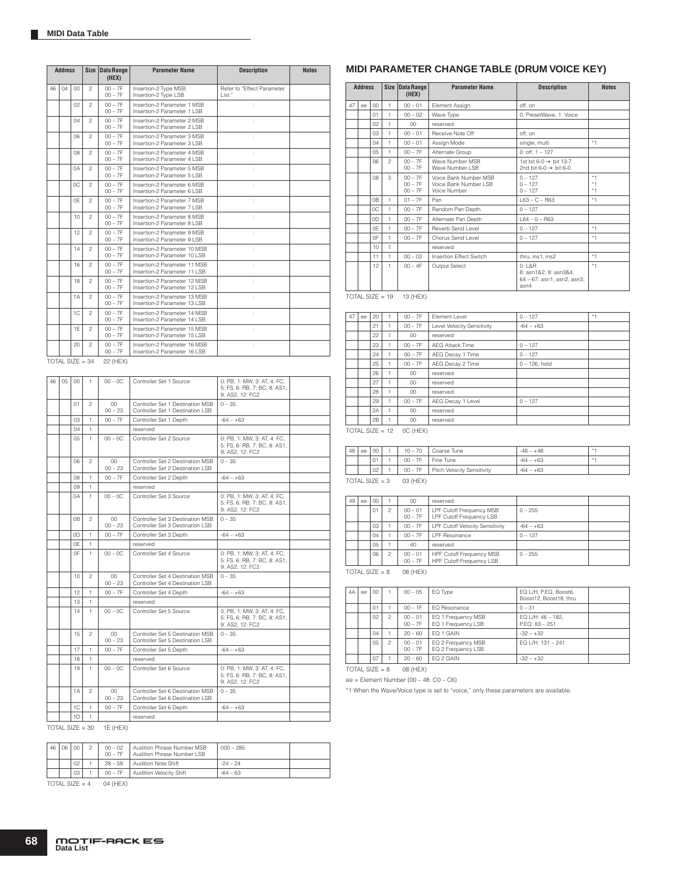|    | <b>Address</b> |    | <b>Size</b>    | <b>Data Range</b><br>(HEX) | <b>Parameter Name</b>                                         | <b>Description</b>                    | <b>Notes</b> |
|----|----------------|----|----------------|----------------------------|---------------------------------------------------------------|---------------------------------------|--------------|
| 46 | 04             | 00 | $\mathfrak{p}$ | $00 - 7F$<br>$00 - 7F$     | Insertion-2 Type MSB<br>Insertion-2 Type LSB                  | Refer to "Fffect Parameter<br>I ist." |              |
|    |                | 02 | $\mathfrak{p}$ | $00 - 7F$<br>$00 - 7F$     | Insertion-2 Parameter 1 MSB<br>Insertion-2 Parameter 1 LSB    | $\ddot{\phantom{a}}$                  |              |
|    |                | 04 | $\mathfrak{p}$ | $00 - 7F$<br>$00 - 7F$     | Insertion-2 Parameter 2 MSB<br>Insertion-2 Parameter 2   SB   | ÷.                                    |              |
|    |                | 06 | $\overline{c}$ | $00 - 7F$<br>$00 - 7F$     | Insertion-2 Parameter 3 MSB<br>Insertion-2 Parameter 3 LSB    | ÷.                                    |              |
|    |                | 08 | $\mathfrak{p}$ | $00 - 7F$<br>$00 - 7F$     | Insertion-2 Parameter 4 MSB<br>Insertion-2 Parameter 4 LSB    | t                                     |              |
|    |                | 0A | $\mathfrak{p}$ | $00 - 7F$<br>$00 - 7F$     | Insertion-2 Parameter 5 MSB<br>Insertion-2 Parameter 5 LSB    | t                                     |              |
|    |                | 0C | $\mathfrak{p}$ | $00 - 7F$<br>$00 - 7F$     | Insertion-2 Parameter 6 MSB<br>Insertion-2 Parameter 6   SB   | ł.                                    |              |
|    |                | 0F | $\mathfrak{p}$ | $00 - 7F$<br>$00 - 7F$     | Insertion-2 Parameter 7 MSB<br>Insertion-2 Parameter 7   SB   |                                       |              |
|    |                | 10 | $\mathfrak{p}$ | $00 - 7F$<br>$00 - 7F$     | Insertion-2 Parameter 8 MSB<br>Insertion-2 Parameter 8   SB   |                                       |              |
|    |                | 12 | $\mathfrak{p}$ | $00 - 7F$<br>$00 - 7F$     | Insertion-2 Parameter 9 MSB<br>Insertion-2 Parameter 9 LSB    |                                       |              |
|    |                | 14 | $\mathfrak{p}$ | $00 - 7F$<br>$00 - 7F$     | Insertion-2 Parameter 10 MSB<br>Insertion-2 Parameter 10 I SB |                                       |              |
|    |                | 16 | $\mathfrak{p}$ | $00 - 7F$<br>$00 - 7F$     | Insertion-2 Parameter 11 MSB<br>Insertion-2 Parameter 11 LSB  | t                                     |              |
|    |                | 18 | $\mathfrak{p}$ | $00 - 7F$<br>$00 - 7F$     | Insertion-2 Parameter 12 MSB<br>Insertion-2 Parameter 12   SB | t                                     |              |
|    |                | 1A | $\mathfrak{D}$ | $00 - 7F$<br>$00 - 7F$     | Insertion-2 Parameter 13 MSB<br>Insertion-2 Parameter 13 LSB  | t                                     |              |
|    |                | 1C | $\mathfrak{D}$ | $00 - 7F$<br>$00 - 7F$     | Insertion-2 Parameter 14 MSB<br>Insertion-2 Parameter 14 LSB  | t                                     |              |
|    |                | 1F | $\mathfrak{p}$ | $00 - 7F$<br>$00 - 7F$     | Insertion-2 Parameter 15 MSB<br>Insertion-2 Parameter 15 LSB  | ł.                                    |              |
|    |                | 20 | $\overline{c}$ | $00 - 7F$<br>$00 - 7F$     | Insertion-2 Parameter 16 MSB<br>Insertion-2 Parameter 16 LSB  | ł.                                    |              |

 $TOTAL SIZE = 34 22 (HEX)$ 

| 46 | 05 | $^{00}$ | 1.             | $00 - 0C$                | Controller Set 1 Source                                              | 0: PB, 1: MW, 3: AT, 4: FC,<br>5: FS, 6: RB, 7: BC, 8: AS1,<br>9: AS2, 12: FC2 |  |
|----|----|---------|----------------|--------------------------|----------------------------------------------------------------------|--------------------------------------------------------------------------------|--|
|    |    | 01      | $\mathfrak{p}$ | $^{00}$<br>$00 - 23$     | Controller Set 1 Destination MSB<br>Controller Set 1 Destination LSB | $0 - 35$                                                                       |  |
|    |    | CO.     | 1              | $00 - 7F$                | Controller Set 1 Depth                                               | $-64 - +63$                                                                    |  |
|    |    | 04      | 1              |                          | reserved                                                             |                                                                                |  |
|    |    | 05      | 1              | $00 - 0C$                | Controller Set 2 Source                                              | 0: PB, 1: MW, 3: AT, 4: FC,<br>5: FS, 6: RB, 7: BC, 8: AS1,<br>9: AS2, 12: FC2 |  |
|    |    | 06      | $\mathfrak{p}$ | CO<br>$00 - 23$          | Controller Set 2 Destination MSB<br>Controller Set 2 Destination LSB | $0 - 35$                                                                       |  |
|    |    | 08      | 1              | $00 - 7F$                | Controller Set 2 Depth                                               | $-64 - +63$                                                                    |  |
|    |    | 09      | $\mathbf{1}$   |                          | reserved                                                             |                                                                                |  |
|    |    | 0A      | 1              | $00 - 0C$                | Controller Set 3 Source                                              | 0: PB, 1: MW, 3: AT, 4: FC,<br>5: FS, 6: RB, 7: BC, 8: AS1,<br>9: AS2, 12: FC2 |  |
|    |    | 0B      | $\mathfrak{p}$ | $^{00}$<br>$00 - 23$     | Controller Set 3 Destination MSB<br>Controller Set 3 Destination LSB | $0 - 35$                                                                       |  |
|    |    | 0D      | 1              | $00 - 7F$                | Controller Set 3 Depth                                               | $-64 - +63$                                                                    |  |
|    |    | 0E      | 1              |                          | reserved                                                             |                                                                                |  |
|    |    | 0F      | 1              | $00 - 0C$                | Controller Set 4 Source                                              | 0: PB, 1: MW, 3: AT, 4: FC,<br>5: FS, 6: RB, 7: BC, 8: AS1,<br>9: AS2, 12: FC2 |  |
|    |    | 10      | $\mathfrak{p}$ | CO<br>$00 - 23$          | Controller Set 4 Destination MSB<br>Controller Set 4 Destination LSB | $0 - 35$                                                                       |  |
|    |    | 12      | 1              | $00 - 7F$                | Controller Set 4 Depth                                               | $-64 - +63$                                                                    |  |
|    |    | 13      | 1              |                          | reserved                                                             |                                                                                |  |
|    |    | 14      | 1              | $00 - 0C$                | Controller Set 5 Source                                              | 0: PB, 1: MW, 3: AT, 4: FC,<br>5: FS, 6: RB, 7: BC, 8: AS1,<br>9: AS2, 12: FC2 |  |
|    |    | 15      | $\mathfrak{p}$ | CO<br>$00 - 23$          | Controller Set 5 Destination MSB<br>Controller Set 5 Destination LSB | $0 - 35$                                                                       |  |
|    |    | 17      | 1              | $00 - 7F$                | Controller Set 5 Depth                                               | $-64 - +63$                                                                    |  |
|    |    | 18      | 1              |                          | reserved                                                             |                                                                                |  |
|    |    | 19      | 1.             | $00 - 0C$                | Controller Set 6 Source                                              | 0: PB. 1: MW. 3: AT. 4: FC.<br>5: FS, 6: RB, 7: BC, 8: AS1,<br>9: AS2, 12: FC2 |  |
|    |    | 1A      | $\overline{c}$ | $^{00}$<br>$00 - 23$     | Controller Set 6 Destination MSB<br>Controller Set 6 Destination LSB | $0 - 35$                                                                       |  |
|    |    | 1C      | 1              | $00 - 7F$                | Controller Set 6 Depth                                               | $-64 - +63$                                                                    |  |
|    |    | 1D      | 1              |                          | reserved                                                             |                                                                                |  |
|    |    |         |                | TOTAL CIZE = 20 1E (HEV) |                                                                      |                                                                                |  |

 $TOTAL SIZE = 30$  1E (HEX)

| 46 | 06 | $00 -$          | $00 - 7F$ | 00 - 02   Audition Phrase Number MSB<br>Audition Phrase Number LSB | $000 - 285$ |  |
|----|----|-----------------|-----------|--------------------------------------------------------------------|-------------|--|
|    |    | 02              |           | 28 - 58   Audition Note Shift                                      | $-24 - 24$  |  |
|    |    | 03 <sup>2</sup> |           | 00 - 7F   Audition Velocity Shift                                  | $-64 - 63$  |  |

TOTAL SIZE =  $4$  04 (HEX)

### **MIDI PARAMETER CHANGE TABLE (DRUM VOICE KEY)**

|    | <b>Address</b> |                |                | Size Data Range<br>(HEX)            | <b>Parameter Name</b>                                          | <b>Description</b>                                                      | <b>Notes</b>         |
|----|----------------|----------------|----------------|-------------------------------------|----------------------------------------------------------------|-------------------------------------------------------------------------|----------------------|
| 47 | ee             | 00             | $\mathbf{1}$   | $00 - 01$                           | Element Assian                                                 | off. on                                                                 |                      |
|    |                | 01             | 1.             | $00 - 02$                           | Wave Type                                                      | 0: PresetWave, 1: Voice                                                 |                      |
|    |                | 02             | $\mathbf{1}$   | 00                                  | reserved                                                       |                                                                         |                      |
|    |                | 03             | 1              | $00 - 01$                           | Receive Note Off                                               | off. on                                                                 |                      |
|    |                | 04             | $\mathbf{1}$   | $00 - 01$                           | Assign Mode                                                    | single, multi                                                           | $*1$                 |
|    |                | $0.5^{\circ}$  | $\mathbf{1}$   | $00 - 7F$                           | Alternate Group                                                | $0:$ off, $1 - 127$                                                     |                      |
|    |                | 06             | $\mathfrak{D}$ | $00 - 7F$<br>$00 - 7F$              | Wave Number MSB<br>Wave Number I SB                            | 1st bit 6-0 $\rightarrow$ bit 13-7<br>2nd bit 6-0 $\rightarrow$ bit 6-0 |                      |
|    |                | 08             | 3              | $00 - 7F$<br>$00 - 7F$<br>$00 - 7F$ | Voice Bank Number MSB<br>Voice Bank Number LSB<br>Voice Number | $0 - 127$<br>$0 - 127$<br>$0 - 127$                                     | $*1$<br>$*1$<br>$*1$ |
|    |                | 0 <sub>B</sub> | $\mathbf{1}$   | $01 - 7F$                           | Pan                                                            | $L63 - C - R63$                                                         | $*1$                 |
|    |                | OC.            | 1              | $00 - 7F$                           | Random Pan Depth                                               | $0 - 127$                                                               |                      |
|    |                | 0D             | 1              | $00 - 7F$                           | Alternate Pan Depth                                            | $L64 - 0 - R63$                                                         |                      |
|    |                | 0F             | 1              | $00 - 7F$                           | Reverb Send Level                                              | $0 - 127$                                                               | $*1$                 |
|    |                | 0F             | 1              | $00 - 7F$                           | Chorus Send Level                                              | $0 - 127$                                                               | $*1$                 |
|    |                | 10             | 1              |                                     | reserved                                                       |                                                                         |                      |
|    |                | 11             | 1              | $00 - 02$                           | <b>Insertion Effect Switch</b>                                 | thru, ins1, ins2                                                        | $*1$                 |
|    |                | 12             | $\mathbf{1}$   | $00 - 4F$                           | Output Select                                                  | 0:1.8R<br>8: asn1&2, 9: asn3&4,<br>64 - 67: asn1, asn2, asn3,<br>asn4   | $*1$                 |

 $TOTAL SIZE = 19$  13 (HEX)

| 47 | ee | 20 |   | $00 - 7F$ | Element Level              | $0 - 127$        | $*1$ |
|----|----|----|---|-----------|----------------------------|------------------|------|
|    |    | 21 | 1 | $00 - 7F$ | Level Velocity Sensitivity | $-64 - +63$      |      |
|    |    | 22 | 1 | $00\,$    | reserved                   |                  |      |
|    |    | 23 | 1 | $00 - 7F$ | <b>AEG Attack Time</b>     | $0 - 127$        |      |
|    |    | 24 | 1 | $00 - 7F$ | AEG Decay 1 Time           | $0 - 127$        |      |
|    |    | 25 | 1 | $00 - 7F$ | AEG Decay 2 Time           | $0 - 126$ , hold |      |
|    |    | 26 | 1 | $00\,$    | reserved                   |                  |      |
|    |    | 27 | 1 | $00\,$    | reserved                   |                  |      |
|    |    | 28 | 1 | $00\,$    | reserved                   |                  |      |
|    |    | 29 | 1 | $00 - 7F$ | AEG Decay 1 Level          | $0 - 127$        |      |
|    |    | 2A | 1 | $00\,$    | reserved                   |                  |      |
|    |    | 2B |   | $00\,$    | reserved                   |                  |      |

 $TOTAL SIZE = 12$  0C (HEX)

| 48 | ee          | $00\,$ |  | $10 - 70$ | Coarse Tune                | $-48 - +48$ |  |  |  |  |
|----|-------------|--------|--|-----------|----------------------------|-------------|--|--|--|--|
|    |             | 01     |  | $00 - 7F$ | Fine Tune                  | $-64 - +63$ |  |  |  |  |
|    |             | 02     |  | $00 - 7F$ | Pitch Velocity Sensitivity | $-64 - +63$ |  |  |  |  |
|    | ___________ |        |  |           |                            |             |  |  |  |  |

TOTAL SIZE =  $3$  03 (HEX)

| 49 | ee | 00  |   | $00\,$                 | reserved                                                           |             |  |
|----|----|-----|---|------------------------|--------------------------------------------------------------------|-------------|--|
|    |    | 01  | 2 | $00 - 01$<br>$00 - 7F$ | LPF Cutoff Frequency MSB<br>LPF Cutoff Frequency LSB               | $0 - 255$   |  |
|    |    | 03  |   | $00 - 7F$              | <b>LPF Cutoff Velocity Sensitivity</b>                             | $-64 - +63$ |  |
|    |    | 04  |   | $00 - 7F$              | <b>LPF</b> Resonance                                               | $0 - 127$   |  |
|    |    | 0.5 |   | 40                     | reserved                                                           |             |  |
|    |    | 06  | 2 | $00 - 01$<br>$00 - 7F$ | <b>HPF Cutoff Frequency MSB</b><br><b>HPF Cutoff Frequency LSB</b> | $0 - 255$   |  |

TOTAL SIZE =  $8$  08 (HEX)

| 4A | ee | $00 -$ |                | $00 - 05$              | EQ Type                                  | EQ L/H, P.EQ, Boost6,<br>Boost12, Boost18, thru |  |
|----|----|--------|----------------|------------------------|------------------------------------------|-------------------------------------------------|--|
|    |    | 01     |                | $00 - 1F$              | EQ Resonance                             | $0 - 31$                                        |  |
|    |    | 02     | 2              | $00 - 01$<br>$00 - 7F$ | EQ 1 Frequency MSB<br>EQ 1 Frequency LSB | EQ L/H: 46 - 182,<br>P.EQ: 83 - 251             |  |
|    |    | 04     |                | $20 - 60$              | EQ 1 GAIN                                | $-32 - +32$                                     |  |
|    |    | 05     | $\mathfrak{p}$ | $00 - 01$<br>$00 - 7F$ | EQ 2 Frequency MSB<br>EQ 2 Frequency LSB | EQ L/H: 131 - 241                               |  |
|    |    | 07     |                | $20 - 60$              | EQ 2 GAIN                                | $-32 - +32$                                     |  |

 $TOTAL SIZE = 8$  08 (HEX)

ee = Element Number (00 – 48: C0 – C6)

\*1 When the Wave/Voice type is set to "voice," only these parameters are available.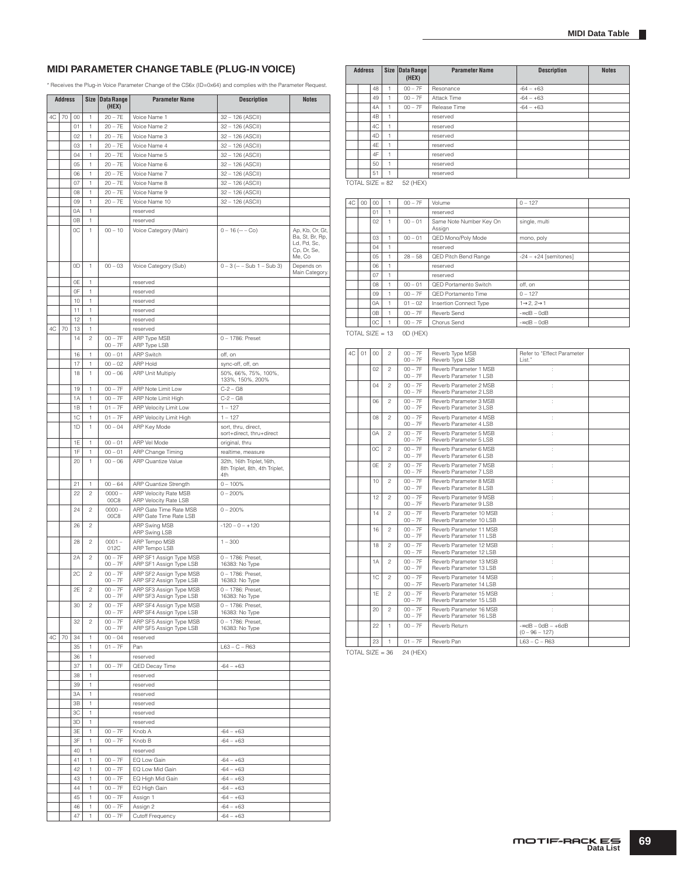### **MIDI PARAMETER CHANGE TABLE (PLUG-IN VOICE)**

\* Receives the Plug-in Voice Parameter Change of the CS6x (ID=0x64) and complies with the Parameter Request.

|    | <b>Address</b> |          |                | Size Data Range        | <b>Parameter Name</b>                              | <b>Description</b>                                                 | <b>Notes</b>                                                               |
|----|----------------|----------|----------------|------------------------|----------------------------------------------------|--------------------------------------------------------------------|----------------------------------------------------------------------------|
|    |                |          |                | (HEX)                  |                                                    |                                                                    |                                                                            |
| 4C | 70             | 00       | 1              | $20 - 7E$              | Voice Name 1                                       | 32 - 126 (ASCII)                                                   |                                                                            |
|    |                | 01       | 1              | $20 - 7E$              | Voice Name 2                                       | 32 - 126 (ASCII)                                                   |                                                                            |
|    |                | 02       | 1              | $20 - 7E$              | Voice Name 3                                       | 32 - 126 (ASCII)                                                   |                                                                            |
|    |                | 03       | 1              | $20 - 7E$<br>$20 - 7E$ | Voice Name 4<br>Voice Name 5                       | 32 - 126 (ASCII)                                                   |                                                                            |
|    |                | 04<br>05 | 1<br>1         | $20 - 7E$              | Voice Name 6                                       | 32 - 126 (ASCII)<br>32 - 126 (ASCII)                               |                                                                            |
|    |                | 06       | 1              | $20 - 7E$              | Voice Name 7                                       | 32 - 126 (ASCII)                                                   |                                                                            |
|    |                | 07       | 1              | $20 - 7E$              | Voice Name 8                                       | 32 - 126 (ASCII)                                                   |                                                                            |
|    |                | 08       | 1              | $20 - 7E$              | Voice Name 9                                       | 32 - 126 (ASCII)                                                   |                                                                            |
|    |                | 09       | 1              | $20 - 7E$              | Voice Name 10                                      | 32 - 126 (ASCII)                                                   |                                                                            |
|    |                | 0A       | 1              |                        | reserved                                           |                                                                    |                                                                            |
|    |                | 0B       | 1              |                        | reserved                                           |                                                                    |                                                                            |
|    |                | 0C       | 1              | $00 - 10$              | Voice Category (Main)                              | $0 - 16$ ( $- -$ Co)                                               | Ap, Kb, Or, Gt,<br>Ba, St, Br, Rp,<br>Ld, Pd, Sc,<br>Cp, Dr, Se,<br>Me, Co |
|    |                | 0D       | 1              | $00 - 03$              | Voice Category (Sub)                               | $0 - 3$ (-- $-$ Sub 1 $-$ Sub 3)                                   | Depends on<br>Main Category.                                               |
|    |                | 0E       | 1              |                        | reserved                                           |                                                                    |                                                                            |
|    |                | 0F       | 1              |                        | reserved                                           |                                                                    |                                                                            |
|    |                | 10       | 1              |                        | reserved                                           |                                                                    |                                                                            |
|    |                | 11<br>12 | 1<br>1         |                        | reserved<br>reserved                               |                                                                    |                                                                            |
| 4C | 70             | 13       | 1              |                        | reserved                                           |                                                                    |                                                                            |
|    |                | 14       | $\overline{c}$ | $00 - 7F$              | ARP Type MSB                                       | $0 - 1786$ : Preset                                                |                                                                            |
|    |                |          |                | $00 - 7F$              | ARP Type LSB                                       |                                                                    |                                                                            |
|    |                | 16       | 1              | $00 - 01$              | <b>ARP Switch</b>                                  | off, on                                                            |                                                                            |
|    |                | 17       | 1              | $00 - 02$              | <b>ARP Hold</b>                                    | sync-off, off, on                                                  |                                                                            |
|    |                | 18       | 1              | $00 - 06$              | <b>ARP Unit Multiply</b>                           | 50%, 66%, 75%, 100%,                                               |                                                                            |
|    |                |          |                | $00 - 7F$              |                                                    | 133%, 150%, 200%<br>$C-2 - G8$                                     |                                                                            |
|    |                | 19<br>1A | 1<br>1         | $00 - 7F$              | ARP Note Limit Low<br>ARP Note Limit High          | $C-2 - G8$                                                         |                                                                            |
|    |                | 1B       | 1              | $01 - 7F$              | <b>ARP Velocity Limit Low</b>                      | $1 - 127$                                                          |                                                                            |
|    |                | 1C       | 1              | $01 - 7F$              | ARP Velocity Limit High                            | $1 - 127$                                                          |                                                                            |
|    |                | 1D       | 1              | $00 - 04$              | ARP Key Mode                                       | sort, thru, direct,                                                |                                                                            |
|    |                |          |                |                        |                                                    | sort+direct, thru+direct                                           |                                                                            |
|    |                | 1E       | 1              | $00 - 01$              | ARP Vel Mode                                       | original, thru                                                     |                                                                            |
|    |                | 1F       | 1              | $00 - 01$              | ARP Change Timing                                  | realtime, measure                                                  |                                                                            |
|    |                | 20       | 1              | $00 - 06$              | <b>ARP Quantize Value</b>                          | 32th, 16th Triplet, 16th,<br>8th Triplet, 8th, 4th Triplet,<br>4th |                                                                            |
|    |                | 21       | 1              | $00 - 64$              | ARP Quantize Strength                              | $0 - 100\%$                                                        |                                                                            |
|    |                | 22       | $\overline{c}$ | $0000 -$<br>00C8       | ARP Velocity Rate MSB<br>ARP Velocity Rate LSB     | $0 - 200%$                                                         |                                                                            |
|    |                | 24       | $\mathfrak{p}$ | $0000 -$<br>00C8       | ARP Gate Time Rate MSB<br>ARP Gate Time Rate LSB   | $0 - 200%$                                                         |                                                                            |
|    |                | 26       | $\overline{c}$ |                        | ARP Swing MSB<br>ARP Swing LSB                     | $-120 - 0 - +120$                                                  |                                                                            |
|    |                | 28       | $\overline{c}$ | $0001 -$<br>012C       | ARP Tempo MSB<br>ARP Tempo LSB                     | $1 - 300$                                                          |                                                                            |
|    |                | 2A       | $\mathfrak{p}$ | $00 - 7F$<br>$00 - 7F$ | ARP SF1 Assign Type MSB<br>ARP SF1 Assign Type LSB | 0 - 1786: Preset,<br>16383: No Type                                |                                                                            |
|    |                | 2C       | $\mathfrak{p}$ | $00 - 7F$<br>$00 - 7F$ | ARP SF2 Assign Type MSB<br>ARP SF2 Assign Type LSB | 0 - 1786: Preset,<br>16383: No Type                                |                                                                            |
|    |                | 2E       | $\sqrt{2}$     | $00 - 7F$<br>$00 - 7F$ | ARP SF3 Assign Type MSB<br>ARP SF3 Assign Type LSB | 0 - 1786: Preset,<br>16383: No Type                                |                                                                            |
|    |                | 30       | 2              | $00 - 7F$              | ARP SF4 Assign Type MSB                            | 0 - 1786: Preset,                                                  |                                                                            |
|    |                |          |                | $00 - 7F$              | ARP SF4 Assign Type LSB                            | 16383: No Type                                                     |                                                                            |
|    |                | 32       | $\mathfrak{p}$ | $00 - 7F$<br>$00 - 7F$ | ARP SF5 Assign Type MSB<br>ARP SF5 Assign Type LSB | 0 - 1786: Preset,<br>16383: No Type                                |                                                                            |
| 4C | 70             | 34       | 1              | $00 - 04$              | reserved                                           |                                                                    |                                                                            |
|    |                | 35       | 1              | $01 - 7F$              | Pan                                                | $L63 - C - R63$                                                    |                                                                            |
|    |                | 36       | 1              |                        | reserved                                           |                                                                    |                                                                            |
|    |                | 37       | 1              | $00 - 7F$              | QED Decay Time                                     | $-64 - +63$                                                        |                                                                            |
|    |                | 38       | 1              |                        | reserved                                           |                                                                    |                                                                            |
|    |                | 39       | 1              |                        | reserved                                           |                                                                    |                                                                            |
|    |                | 3A       | 1              |                        | reserved                                           |                                                                    |                                                                            |
|    |                | 3B       | 1              |                        | reserved                                           |                                                                    |                                                                            |
|    |                | 3C       | 1              |                        | reserved                                           |                                                                    |                                                                            |
|    |                | ЗD       | 1              | $00 - 7F$              | reserved                                           |                                                                    |                                                                            |
|    |                | 3E<br>3F | 1<br>1         | $00 - 7F$              | Knob A<br>Knob B                                   | $-64 - +63$<br>$-64 - +63$                                         |                                                                            |
|    |                | 40       | 1              |                        | reserved                                           |                                                                    |                                                                            |
|    |                | 41       | 1              | $00 - 7F$              | EQ Low Gain                                        | $-64 - +63$                                                        |                                                                            |
|    |                | 42       | 1              | $00 - 7F$              | EQ Low Mid Gain                                    | $-64 - +63$                                                        |                                                                            |
|    |                | 43       | 1              | $00 - 7F$              | EQ High Mid Gain                                   | $-64 - +63$                                                        |                                                                            |
|    |                | 44       | 1              | $00 - 7F$              | EQ High Gain                                       | $-64 - +63$                                                        |                                                                            |
|    |                | 45       | 1              | $00 - 7F$              | Assign 1                                           | $-64 - +63$                                                        |                                                                            |
|    |                | 46       | 1              | $00 - 7F$              | Assign 2                                           | $-64 - +63$                                                        |                                                                            |
|    |                | 47       | 1              | $00 - 7F$              | Cutoff Frequency                                   | $-64 - +63$                                                        |                                                                            |

| <b>Address</b> |                   |   | Size Data Range<br>(HEX) | <b>Parameter Name</b> | <b>Description</b> | <b>Notes</b> |
|----------------|-------------------|---|--------------------------|-----------------------|--------------------|--------------|
|                | 48                | 1 | $00 - 7F$                | Resonance             | $-64 - +63$        |              |
|                | 49                |   | $00 - 7F$                | Attack Time           | $-64 - +63$        |              |
|                | 4A                | 1 | $00 - 7F$                | Release Time          | $-64 - +63$        |              |
|                | 4B                | 1 |                          | reserved              |                    |              |
|                | 4C                | 1 |                          | reserved              |                    |              |
|                | 4D                | 1 |                          | reserved              |                    |              |
|                | 4E                | 1 |                          | reserved              |                    |              |
|                | 4F                | 1 |                          | reserved              |                    |              |
|                | 50                | 1 |                          | reserved              |                    |              |
|                | 51                | 1 |                          | reserved              |                    |              |
|                | TOTAL SIZE = $82$ |   | 52 (HEX)                 |                       |                    |              |

| 4C | 00 | $00 -$           |    | $00 - 7F$ | Volume                            | $0 - 127$                           |  |
|----|----|------------------|----|-----------|-----------------------------------|-------------------------------------|--|
|    |    | 01               | ٠  |           | reserved                          |                                     |  |
|    |    | 02               | H. | $00 - 01$ | Same Note Number Key On<br>Assign | single, multi                       |  |
|    |    | 03               |    | $00 - 01$ | QED Mono/Poly Mode                | mono, poly                          |  |
|    |    | 04               | ٠  |           | reserved                          |                                     |  |
|    |    | 0.5 <sub>0</sub> | ٠  | $28 - 58$ | QED Pitch Bend Range              | $-24 - +24$ [semitones]             |  |
|    |    | 06               | 1  |           | reserved                          |                                     |  |
|    |    | 07               | ٠  |           | reserved                          |                                     |  |
|    |    | 08               | ۰  | $00 - 01$ | QED Portamento Switch             | off. on                             |  |
|    |    | 0.9 <sub>o</sub> | ٠  | $00 - 7F$ | QED Portamento Time               | $0 - 127$                           |  |
|    |    | 0A               |    | $01 - 02$ | Insertion Connect Type            | $1\rightarrow 2$ , $2\rightarrow 1$ |  |
|    |    | 0 <sub>B</sub>   | ۹  | $00 - 7F$ | Reverb Send                       | $-$ ∞dB – 0dB                       |  |
|    |    | 0C               |    | $00 - 7F$ | Chorus Send                       | $-$ ∞dB – 0dB                       |  |

TOTAL SIZE = 13 0D (HEX)

| 4C | 01 | 00 <sup>0</sup> | 2              | $00 - 7F$<br>$00 - 7F$ | Reverb Type MSB<br>Reverb Type LSB                  | Refer to "Effect Parameter<br>List."         |  |
|----|----|-----------------|----------------|------------------------|-----------------------------------------------------|----------------------------------------------|--|
|    |    | 02              | $\mathfrak{p}$ | $00 - 7F$<br>$00 - 7F$ | Reverb Parameter 1 MSB<br>Reverb Parameter 1 LSB    | ÷                                            |  |
|    |    | 04              | $\mathfrak{p}$ | $00 - 7F$<br>$00 - 7F$ | Reverb Parameter 2 MSB<br>Reverb Parameter 2 LSB    | ł.                                           |  |
|    |    | 06              | $\mathfrak{p}$ | $00 - 7F$<br>$00 - 7F$ | Reverb Parameter 3 MSB<br>Reverb Parameter 3 LSB    | ÷                                            |  |
|    |    | 08              | $\mathfrak{p}$ | $00 - 7F$<br>$00 - 7F$ | Reverb Parameter 4 MSB<br>Reverb Parameter 4   SB   | ÷                                            |  |
|    |    | 0A              | $\mathfrak{p}$ | $00 - 7F$<br>$00 - 7F$ | Reverb Parameter 5 MSB<br>Reverb Parameter 5 LSB    | ÷                                            |  |
|    |    | OC.             | $\mathfrak{p}$ | $00 - 7F$<br>$00 - 7F$ | Reverb Parameter 6 MSB<br>Reverb Parameter 6 LSB    | ÷                                            |  |
|    |    | 0E              | $\overline{c}$ | $00 - 7F$<br>$00 - 7F$ | Reverb Parameter 7 MSB<br>Reverb Parameter 7   SB   | ÷                                            |  |
|    |    | 10              | $\overline{c}$ | $00 - 7F$<br>$00 - 7F$ | Reverb Parameter 8 MSB<br>Reverb Parameter 8   SB   | ł.                                           |  |
|    |    | 12              | $\mathfrak{p}$ | $00 - 7F$<br>$00 - 7F$ | Reverb Parameter 9 MSB<br>Reverb Parameter 9 LSB    | ł.                                           |  |
|    |    | 14              | $\mathfrak{p}$ | $00 - 7F$<br>$00 - 7F$ | Reverb Parameter 10 MSB<br>Reverb Parameter 10   SB | ł.                                           |  |
|    |    | 16              | $\mathfrak{p}$ | $00 - 7F$<br>$00 - 7F$ | Reverb Parameter 11 MSB<br>Reverb Parameter 11 I SB | ł.                                           |  |
|    |    | 18              | $\overline{c}$ | $00 - 7F$<br>$00 - 7F$ | Reverb Parameter 12 MSB<br>Reverb Parameter 12   SB | ċ                                            |  |
|    |    | 1A              | 2              | $00 - 7F$<br>$00 - 7F$ | Reverb Parameter 13 MSB<br>Reverb Parameter 13 LSB  | t                                            |  |
|    |    | 1C              | 2              | $00 - 7F$<br>$00 - 7F$ | Reverb Parameter 14 MSB<br>Reverb Parameter 14 LSB  |                                              |  |
|    |    | 1F              | 2              | $00 - 7F$<br>$00 - 7F$ | Reverb Parameter 15 MSB<br>Reverb Parameter 15 LSB  |                                              |  |
|    |    | 20              | $\mathfrak{p}$ | $00 - 7F$<br>$00 - 7F$ | Reverb Parameter 16 MSB<br>Reverb Parameter 16 LSB  |                                              |  |
|    |    | 22              | 1.             | $00 - 7F$              | Reverb Return                                       | $-$ ∞dB $-$ 0dB $-$ +6dB<br>$(0 - 96 - 127)$ |  |
|    |    | 23              | 1              | $01 - 7F$              | Reverb Pan                                          | $L63 - C - R63$                              |  |

 $TOTAL SIZE = 36$  24 (HEX)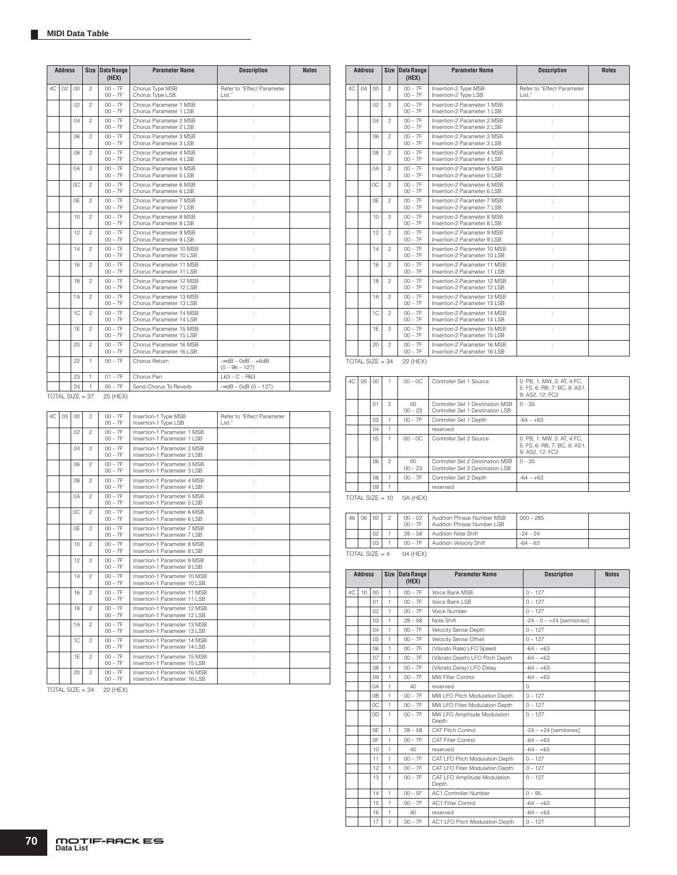|    | <b>Address</b>    |        | Size           | <b>Data Range</b><br>(HEX) | <b>Parameter Name</b>                               | <b>Description</b>                           | <b>Notes</b> |
|----|-------------------|--------|----------------|----------------------------|-----------------------------------------------------|----------------------------------------------|--------------|
| 4C | 02                | $00\,$ | $\overline{c}$ | $00 - 7F$<br>$00 - 7F$     | Chorus Type MSB<br>Chorus Type LSB                  | Refer to "Effect Parameter<br>List."         |              |
|    |                   | 02     | $\mathfrak{p}$ | $00 - 7F$<br>$00 - 7F$     | Chorus Parameter 1 MSB<br>Chorus Parameter 1 LSB    | t                                            |              |
|    |                   | 04     | $\mathfrak{p}$ | $00 - 7F$<br>$00 - 7F$     | Chorus Parameter 2 MSB<br>Chorus Parameter 2 LSB    | ÷.                                           |              |
|    |                   | 06     | $\mathfrak{p}$ | $00 - 7F$<br>$00 - 7F$     | Chorus Parameter 3 MSB<br>Chorus Parameter 3 LSB    | t                                            |              |
|    |                   | 08     | 2              | $00 - 7F$<br>$00 - 7F$     | Chorus Parameter 4 MSB<br>Chorus Parameter 4 LSB    | ÷.                                           |              |
|    |                   | 0A     | $\mathfrak{p}$ | $00 - 7F$<br>$00 - 7F$     | Chorus Parameter 5 MSB<br>Chorus Parameter 5 LSB    | t                                            |              |
|    |                   | 0C     | $\mathfrak{p}$ | $00 - 7F$<br>$00 - 7F$     | Chorus Parameter 6 MSB<br>Chorus Parameter 6 LSB    |                                              |              |
|    |                   | 0F     | $\mathfrak{p}$ | $00 - 7F$<br>$00 - 7F$     | Chorus Parameter 7 MSB<br>Chorus Parameter 7 LSB    | t                                            |              |
|    |                   | 10     | $\mathfrak{p}$ | $00 - 7F$<br>$00 - 7F$     | Chorus Parameter 8 MSB<br>Chorus Parameter 8 LSB    | ł.                                           |              |
|    |                   | 12     | $\mathfrak{p}$ | $00 - 7F$<br>$00 - 7F$     | Chorus Parameter 9 MSB<br>Chorus Parameter 9 LSB    | ÷.                                           |              |
|    |                   | 14     | $\mathfrak{p}$ | $00 - 7F$<br>$00 - 7F$     | Chorus Parameter 10 MSB<br>Chorus Parameter 10 LSB  | t                                            |              |
|    |                   | 16     | $\mathfrak{p}$ | $00 - 7F$<br>$00 - 7F$     | Chorus Parameter 11 MSB<br>Chorus Parameter 11 LSB  | ÷.                                           |              |
|    |                   | 18     | $\mathfrak{p}$ | $00 - 7F$<br>$00 - 7F$     | Chorus Parameter 12 MSB<br>Chorus Parameter 12 LSB  | ÷.                                           |              |
|    |                   | 1A     | $\mathfrak{D}$ | $00 - 7F$<br>$00 - 7F$     | Chorus Parameter 13 MSB<br>Chorus Parameter 13   SB | ÷.                                           |              |
|    |                   | 1C     | 2              | $00 - 7F$<br>$00 - 7F$     | Chorus Parameter 14 MSB<br>Chorus Parameter 14 LSB  | t                                            |              |
|    |                   | 1E     | $\overline{c}$ | $00 - 7F$<br>$00 - 7F$     | Chorus Parameter 15 MSB<br>Chorus Parameter 15 LSB  | t                                            |              |
|    |                   | 20     | $\mathfrak{p}$ | $00 - 7F$<br>$00 - 7F$     | Chorus Parameter 16 MSB<br>Chorus Parameter 16 LSB  | t                                            |              |
|    |                   | 22     | 1.             | $00 - 7F$                  | Chorus Return                                       | $-$ ∞dB $-$ 0dB $-$ +6dB<br>$(0 - 96 - 127)$ |              |
|    |                   | 23     | 1              | $01 - 7F$                  | Chorus Pan                                          | $163 - C - B63$                              |              |
|    |                   | 24     | 1              | $00 - 7F$                  | Send Chorus To Reverb                               | $-$ ∞dB - 0dB (0 - 127)                      |              |
|    | $TOTAL SIZE = 37$ |        |                | 25 (HEX)                   |                                                     |                                              |              |

| 4C | 03 | 00             | $\overline{c}$ | $00 - 7F$<br>$00 - 7F$ | Insertion-1 Type MSB<br>Insertion-1 Type LSB                 | Refer to "Effect Parameter<br>I ist." |
|----|----|----------------|----------------|------------------------|--------------------------------------------------------------|---------------------------------------|
|    |    | 02             | $\overline{c}$ | $00 - 7F$<br>$00 - 7F$ | Insertion-1 Parameter 1 MSB<br>Insertion-1 Parameter 1 I SB  |                                       |
|    |    | 04             | $\mathfrak{p}$ | $00 - 7F$<br>$00 - 7F$ | Insertion-1 Parameter 2 MSB<br>Insertion-1 Parameter 2   SB  |                                       |
|    |    | 06             | $\mathfrak{p}$ | $00 - 7F$<br>$00 - 7F$ | Insertion-1 Parameter 3 MSB<br>Insertion-1 Parameter 3 LSB   |                                       |
|    |    | 08             | $\mathfrak{p}$ | $00 - 7F$<br>$00 - 7F$ | Insertion-1 Parameter 4 MSB<br>Insertion-1 Parameter 4 LSB   | t                                     |
|    |    | 0A             | $\mathfrak{p}$ | $00 - 7F$<br>$00 - 7F$ | Insertion-1 Parameter 5 MSB<br>Insertion-1 Parameter 5 LSB   |                                       |
|    |    | 0C             | $\overline{c}$ | $00 - 7F$<br>$00 - 7F$ | Insertion-1 Parameter 6 MSB<br>Insertion-1 Parameter 6 LSB   |                                       |
|    |    | 0E             | $\overline{c}$ | $00 - 7F$<br>$00 - 7F$ | Insertion-1 Parameter 7 MSB<br>Insertion-1 Parameter 7 LSB   |                                       |
|    |    | 10             | $\overline{c}$ | $00 - 7F$<br>$00 - 7F$ | Insertion-1 Parameter 8 MSB<br>Insertion-1 Parameter 8   SB  | t                                     |
|    |    | 12             | $\overline{c}$ | $00 - 7F$<br>$00 - 7F$ | Insertion-1 Parameter 9 MSB<br>Insertion-1 Parameter 9 LSB   |                                       |
|    |    | 14             | $\mathfrak{p}$ | $00 - 7F$<br>$00 - 7F$ | Insertion-1 Parameter 10 MSB<br>Insertion-1 Parameter 10 LSB |                                       |
|    |    | 16             | $\mathfrak{p}$ | $00 - 7F$<br>$00 - 7F$ | Insertion-1 Parameter 11 MSB<br>Insertion-1 Parameter 11 LSB |                                       |
|    |    | 18             | $\overline{c}$ | $00 - 7F$<br>$00 - 7F$ | Insertion-1 Parameter 12 MSB<br>Insertion-1 Parameter 12 LSB |                                       |
|    |    | 1A             | $\overline{c}$ | $00 - 7F$<br>$00 - 7F$ | Insertion-1 Parameter 13 MSB<br>Insertion-1 Parameter 13 LSB |                                       |
|    |    | 1 <sup>C</sup> | $\mathfrak{p}$ | $00 - 7F$<br>$00 - 7F$ | Insertion-1 Parameter 14 MSB<br>Insertion-1 Parameter 14 LSB |                                       |
|    |    | 1F             | $\mathfrak{D}$ | $00 - 7F$<br>$00 - 7F$ | Insertion-1 Parameter 15 MSB<br>Insertion-1 Parameter 15 LSB | ÷.                                    |
|    |    | 20             | $\mathfrak{p}$ | $00 - 7F$<br>$00 - 7F$ | Insertion-1 Parameter 16 MSB<br>Insertion-1 Parameter 16 LSB |                                       |

 $TOTAL SIZE = 34 22 (HEX)$ 

|    | <b>Address</b>    |     | <b>Size</b>    | <b>Data Range</b><br>(HEX) | <b>Parameter Name</b>                                         | <b>Description</b>                   | <b>Notes</b> |
|----|-------------------|-----|----------------|----------------------------|---------------------------------------------------------------|--------------------------------------|--------------|
| AC | 04                | 00  | $\mathfrak{p}$ | $00 - 7F$<br>$00 - 7F$     | Insertion-2 Type MSB<br>Insertion-2 Type LSB                  | Refer to "Effect Parameter<br>List." |              |
|    |                   | 02  | $\mathfrak{p}$ | $00 - 7F$<br>$00 - 7F$     | Insertion-2 Parameter 1 MSB<br>Insertion-2 Parameter 1 LSB    |                                      |              |
|    |                   | 04  | $\mathfrak{p}$ | $00 - 7F$<br>$00 - 7F$     | Insertion-2 Parameter 2 MSB<br>Insertion-2 Parameter 2 LSB    | t                                    |              |
|    |                   | 06  | $\mathfrak{p}$ | $00 - 7F$<br>$00 - 7F$     | Insertion-2 Parameter 3 MSB<br>Insertion-2 Parameter 3 LSB    |                                      |              |
|    |                   | 80  | $\mathfrak{p}$ | $00 - 7F$<br>$00 - 7F$     | Insertion-2 Parameter 4 MSB<br>Insertion-2 Parameter 4 I SB   |                                      |              |
|    |                   | 0A  | $\mathfrak{p}$ | $00 - 7F$<br>$00 - 7F$     | Insertion-2 Parameter 5 MSB<br>Insertion-2 Parameter 5 LSB    | t                                    |              |
|    |                   | OC. | $\mathfrak{p}$ | $00 - 7F$<br>$00 - 7F$     | Insertion-2 Parameter 6 MSB<br>Insertion-2 Parameter 6 LSB    | t                                    |              |
|    |                   | 0F  | $\mathfrak{p}$ | $00 - 7F$<br>$00 - 7F$     | Insertion-2 Parameter 7 MSB<br>Insertion-2 Parameter 7 I SB   | t                                    |              |
|    |                   | 10  | $\mathfrak{p}$ | $00 - 7F$<br>$00 - 7F$     | Insertion-2 Parameter 8 MSB<br>Insertion-2 Parameter 8 LSB    | t                                    |              |
|    |                   | 12  | $\mathfrak{p}$ | $00 - 7F$<br>$00 - 7F$     | Insertion-2 Parameter 9 MSB<br>Insertion-2 Parameter 9 LSB    | ċ                                    |              |
|    |                   | 14  | $\mathfrak{p}$ | $00 - 7F$<br>$00 - 7F$     | Insertion-2 Parameter 10 MSB<br>Insertion-2 Parameter 10   SB | ċ                                    |              |
|    |                   | 16  | $\mathfrak{D}$ | $00 - 7F$<br>$00 - 7F$     | Insertion-2 Parameter 11 MSB<br>Insertion-2 Parameter 11   SB | ł.                                   |              |
|    |                   | 18  | $\mathfrak{p}$ | $00 - 7F$<br>$00 - 7F$     | Insertion-2 Parameter 12 MSB<br>Insertion-2 Parameter 12   SB | ł.                                   |              |
|    |                   | 1A  | $\mathfrak{p}$ | $00 - 7F$<br>$00 - 7F$     | Insertion-2 Parameter 13 MSB<br>Insertion-2 Parameter 13   SB | ł.                                   |              |
|    |                   | 1C  | $\mathfrak{p}$ | $00 - 7F$<br>$00 - 7F$     | Insertion-2 Parameter 14 MSB<br>Insertion-2 Parameter 14   SB | ł.                                   |              |
|    |                   | 1F  | $\mathfrak{p}$ | $00 - 7F$<br>$00 - 7F$     | Insertion-2 Parameter 15 MSB<br>Insertion-2 Parameter 15 LSB  | ÷                                    |              |
|    |                   | 20  | $\mathfrak{p}$ | $00 - 7F$<br>$00 - 7F$     | Insertion-2 Parameter 16 MSB<br>Insertion-2 Parameter 16 LSB  | ÷                                    |              |
|    | TOTAL SIZE = $34$ |     |                | 22 (HEX)                   |                                                               |                                      |              |

| 4C | 05 | 00               |                | $00 - 0C$           | Controller Set 1 Source                                              | 0: PB. 1: MW. 3: AT. 4:FC.<br>5: FS, 6: RB, 7: BC, 8: AS1,<br>9: AS2, 12: FC2 |  |
|----|----|------------------|----------------|---------------------|----------------------------------------------------------------------|-------------------------------------------------------------------------------|--|
|    |    | 01               | $\mathfrak{p}$ | $00 -$<br>$00 - 23$ | Controller Set 1 Destination MSB<br>Controller Set 1 Destination LSB | $0 - 35$                                                                      |  |
|    |    | 03               |                | $00 - 7F$           | Controller Set 1 Depth                                               | $-64 - +63$                                                                   |  |
|    |    | 04               |                |                     | reserved                                                             |                                                                               |  |
|    |    | 0.5 <sub>0</sub> | $\mathbf{1}$   | $00 - 0C$           | Controller Set 2 Source                                              | 0: PB. 1: MW. 3: AT. 4:FC.<br>5: FS, 6: RB, 7: BC, 8: AS1,<br>9: AS2, 12: FC2 |  |
|    |    | 06               | $\mathfrak{p}$ | $00\,$<br>$00 - 23$ | Controller Set 2 Destination MSB<br>Controller Set 2 Destination LSB | $0 - 35$                                                                      |  |
|    |    | 08               |                | $00 - 7F$           | Controller Set 2 Depth                                               | $-64 - +63$                                                                   |  |
|    |    | 09               |                |                     | reserved                                                             |                                                                               |  |
|    |    |                  |                |                     |                                                                      |                                                                               |  |

 $TOTAL SIZE = 10$  0A (HEX)

| 46 | 06 | 0 <sup>0</sup> | 2 | $00 - 02$<br>$00 - 7F$ | Audition Phrase Number MSB<br>Audition Phrase Number LSB | $000 - 285$ |  |
|----|----|----------------|---|------------------------|----------------------------------------------------------|-------------|--|
|    |    | 02             |   | $28 - 58$              | Audition Note Shift                                      | $-24 - 24$  |  |
|    |    | 03             |   | $00 - 7F$              | Audition Velocity Shift                                  | $-64 - 63$  |  |

 $TOTAL SIZE = 4$  04 (HEX)

|    | <b>Address</b> |                | <b>Size</b>  | <b>Data Range</b><br>(HEX) | <b>Parameter Name</b>                 | <b>Description</b>          | <b>Notes</b> |
|----|----------------|----------------|--------------|----------------------------|---------------------------------------|-----------------------------|--------------|
| 4C | 10             | 00             | $\mathbf{1}$ | $00 - 7F$                  | Voice Bank MSB                        | $0 - 127$                   |              |
|    |                | 01             | $\mathbf{1}$ | $00 - 7F$                  | Voice Bank LSB                        | $0 - 127$                   |              |
|    |                | 02             | 1            | $00 - 7F$                  | Voice Number                          | $0 - 127$                   |              |
|    |                | 03             | $\mathbf{1}$ | $28 - 58$                  | Note Shift                            | $-24 - 0 - +24$ [semitones] |              |
|    |                | 04             | $\mathbf{1}$ | $00 - 7F$                  | Velocity Sense Depth                  | $0 - 127$                   |              |
|    |                | $0.5^{\circ}$  | 1            | $00 - 7F$                  | Velocity Sense Offset                 | $0 - 127$                   |              |
|    |                | 06             | 1            | $00 - 7F$                  | (Vibrato Rate) LFO Speed              | $-64 - +63$                 |              |
|    |                | 07             | 1            | $00 - 7F$                  | (Vibrato Depth) LFO Pitch Depth       | $-64 - +63$                 |              |
|    |                | 08             | $\mathbf{1}$ | $00 - 7F$                  | (Vibrato Delay) LFO Delay             | $-64 - +63$                 |              |
|    |                | 09             | 1            | $00 - 7F$                  | MW Filter Control                     | $-64 - +63$                 |              |
|    |                | 0A             | $\mathbf{1}$ | 40                         | reserved                              | $\Omega$                    |              |
|    |                | 0 <sub>B</sub> | 1            | $00 - 7F$                  | MW LFO Pitch Modulation Depth         | $0 - 127$                   |              |
|    |                | OC.            | $\mathbf{1}$ | $00 - 7F$                  | MW LFO Filter Modulation Depth        | $0 - 127$                   |              |
|    |                | 0D             | $\mathbf{1}$ | $00 - 7F$                  | MW LFO Amplitude Modulation<br>Depth  | $0 - 127$                   |              |
|    |                | 0F             | 1            | $28 - 58$                  | CAT Pitch Control                     | $-24 - +24$ [semitones]     |              |
|    |                | 0F             | $\mathbf{1}$ | $00 - 7F$                  | <b>CAT Filter Control</b>             | $-64 - +63$                 |              |
|    |                | 10             | $\mathbf{1}$ | 40                         | reserved                              | $-64 - +63$                 |              |
|    |                | 11             | 1            | $00 - 7F$                  | CAT LFO Pitch Modulation Depth        | $0 - 127$                   |              |
|    |                | 12             | 1            | $00 - 7F$                  | CAT LFO Filter Modulation Depth       | $0 - 127$                   |              |
|    |                | 13             | 1            | $00 - 7F$                  | CAT LFO Amplitude Modulation<br>Depth | $0 - 127$                   |              |
|    |                | 14             | 1            | $00 - 5F$                  | <b>AC1 Controller Number</b>          | $0 - 95$                    |              |
|    |                | 15             | 1            | $00 - 7F$                  | <b>AC1 Filter Control</b>             | $-64 - +63$                 |              |
|    |                | 16             | 1            | 40                         | reserved                              | $-64 - +63$                 |              |
|    |                | 17             | $\mathbf{1}$ | $00 - 7F$                  | AC1 LFO Pitch Modulation Depth        | $0 - 127$                   |              |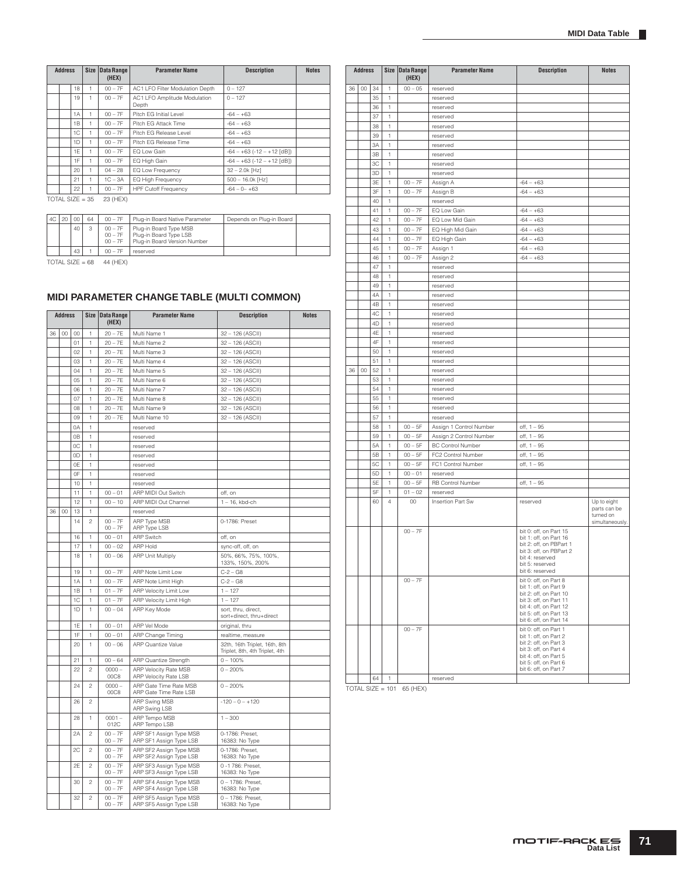| <b>Address</b> |                |        | Size Data Range<br>(HEX) | <b>Parameter Name</b>                 | <b>Description</b>          | <b>Notes</b> |
|----------------|----------------|--------|--------------------------|---------------------------------------|-----------------------------|--------------|
|                | 18             |        | $00 - 7F$                | AC1 LFO Filter Modulation Depth       | $0 - 127$                   |              |
|                | 19             |        | $00 - 7F$                | AC1 LFO Amplitude Modulation<br>Depth | $0 - 127$                   |              |
|                | 1A             | 1      | $00 - 7F$                | Pitch EG Initial Level                | $-64 - +63$                 |              |
|                | 1 <sub>B</sub> |        | $00 - 7F$                | Pitch EG Attack Time                  | $-64 - +63$                 |              |
|                | 1C             |        | $00 - 7F$                | Pitch EG Release Level                | $-64 - +63$                 |              |
|                | 1D             |        | $00 - 7F$                | Pitch EG Release Time                 | $-64 - +63$                 |              |
|                | 1E             |        | $00 - 7F$                | EQ Low Gain                           | $-64 - +63(-12 - +12$ [dB]) |              |
|                | 1F             |        | $00 - 7F$                | EQ High Gain                          | $-64 - +63(-12 - +12$ [dB]) |              |
|                | 20             |        | $04 - 28$                | EQ Low Frequency                      | $32 - 2.0k$ [Hz]            |              |
|                | 21             |        | $1C - 3A$                | EQ High Frequency                     | 500 - 16.0k [Hz]            |              |
|                | 22             |        | $00 - 7F$                | <b>HPF Cutoff Frequency</b>           | $-64 - 0 - +63$             |              |
| TOTAL OUT      |                | $\sim$ | $00$ $(11 - 10)$         |                                       |                             |              |

 $\overline{TOTAL}$  SIZE = 35 23 (HEX)

| AC | 20 | 00 | 64 | $00 - 7F$                           | Plug-in Board Native Parameter                                                   | Depends on Plug-in Board |  |
|----|----|----|----|-------------------------------------|----------------------------------------------------------------------------------|--------------------------|--|
|    |    | 40 |    | $00 - 7F$<br>$00 - 7F$<br>$00 - 7F$ | Plug-in Board Type MSB<br>Plug-in Board Type LSB<br>Plug-in Board Version Number |                          |  |
|    |    | 43 |    | $00 - 7F$                           | reserved                                                                         |                          |  |

TOTAL SIZE =  $68 - 44$  (HEX)

# **MIDI PARAMETER CHANGE TABLE (MULTI COMMON)**

|    | <b>Address</b><br><b>Size</b><br><b>Data Range</b><br><b>Parameter Name</b><br>(HEX) |                | <b>Description</b> | <b>Notes</b>           |                                                    |                                                                 |  |
|----|--------------------------------------------------------------------------------------|----------------|--------------------|------------------------|----------------------------------------------------|-----------------------------------------------------------------|--|
| 36 | 00                                                                                   | 00             | 1                  | $20 - 7E$              | Multi Name 1                                       | 32-126 (ASCII)                                                  |  |
|    |                                                                                      | 01             | 1                  | $20 - 7E$              | Multi Name 2                                       | 32 - 126 (ASCII)                                                |  |
|    |                                                                                      | 02             | 1                  | $20 - 7E$              | Multi Name 3                                       | 32 - 126 (ASCII)                                                |  |
|    |                                                                                      | 03             | 1                  | $20 - 7E$              | Multi Name 4                                       | 32-126 (ASCII)                                                  |  |
|    |                                                                                      | 04             | 1                  | $20 - 7E$              | Multi Name 5                                       | 32 - 126 (ASCII)                                                |  |
|    |                                                                                      | 05             | 1                  | $20 - 7E$              | Multi Name 6                                       | 32 - 126 (ASCII)                                                |  |
|    |                                                                                      | 06             | 1                  | $20 - 7E$              | Multi Name 7                                       | 32 - 126 (ASCII)                                                |  |
|    |                                                                                      | 07             | 1                  | $20 - 7E$              | Multi Name 8                                       | 32-126 (ASCII)                                                  |  |
|    |                                                                                      | 08             | 1                  | $20 - 7E$              | Multi Name 9                                       | 32 - 126 (ASCII)                                                |  |
|    |                                                                                      | 09             | 1                  | $20 - 7E$              | Multi Name 10                                      | 32 - 126 (ASCII)                                                |  |
|    |                                                                                      | 0A             | 1                  |                        | reserved                                           |                                                                 |  |
|    |                                                                                      | 0 <sub>B</sub> | 1                  |                        | reserved                                           |                                                                 |  |
|    |                                                                                      | 0C             | 1                  |                        | reserved                                           |                                                                 |  |
|    |                                                                                      | 0D             | 1                  |                        | reserved                                           |                                                                 |  |
|    |                                                                                      | 0E             | 1                  |                        | reserved                                           |                                                                 |  |
|    |                                                                                      | 0F             | 1                  |                        | reserved                                           |                                                                 |  |
|    |                                                                                      | 10             | 1                  |                        | reserved                                           |                                                                 |  |
|    |                                                                                      | 11             | 1                  | $00 - 01$              | ARP MIDI Out Switch                                | off, on                                                         |  |
|    |                                                                                      | 12             | 1                  | $00 - 10$              | ARP MIDI Out Channel                               | $1 - 16$ , kbd-ch                                               |  |
| 36 | 00                                                                                   | 13             | 1                  |                        | reserved                                           |                                                                 |  |
|    |                                                                                      | 14             | $\overline{c}$     | $00 - 7F$<br>$00 - 7F$ | ARP Type MSB<br>ARP Type LSB                       | 0-1786: Preset                                                  |  |
|    |                                                                                      | 16             | 1                  | $00 - 01$              | <b>ARP Switch</b>                                  | off, on                                                         |  |
|    |                                                                                      | 17             | 1                  | $00 - 02$              | <b>ARP Hold</b>                                    | sync-off, off, on                                               |  |
|    |                                                                                      | 18             | 1                  | $00 - 06$              | <b>ARP Unit Multiply</b>                           | 50%, 66%, 75%, 100%,<br>133%, 150%, 200%                        |  |
|    |                                                                                      | 19             | 1                  | $00 - 7F$              | ARP Note Limit Low                                 | $C - 2 - G8$                                                    |  |
|    |                                                                                      | 1A             | 1                  | $00 - 7F$              | ARP Note Limit High                                | $C-2 - G8$                                                      |  |
|    |                                                                                      | 1B             | 1                  | $01 - 7F$              | ARP Velocity Limit Low                             | $1 - 127$                                                       |  |
|    |                                                                                      | 1C             | 1                  | $01 - 7F$              | ARP Velocity Limit High                            | $1 - 127$                                                       |  |
|    |                                                                                      | 1D             | 1                  | $00 - 04$              | ARP Key Mode                                       | sort, thru, direct,<br>sort+direct, thru+direct                 |  |
|    |                                                                                      | 1E             | 1                  | $00 - 01$              | ARP Vel Mode                                       | original, thru                                                  |  |
|    |                                                                                      | 1F             | 1                  | $00 - 01$              | ARP Change Timing                                  | realtime, measure                                               |  |
|    |                                                                                      | 20             | 1                  | $00 - 06$              | ARP Quantize Value                                 | 32th, 16th Triplet, 16th, 8th<br>Triplet, 8th, 4th Triplet, 4th |  |
|    |                                                                                      | 21             | 1                  | $00 - 64$              | ARP Quantize Strength                              | $0 - 100%$                                                      |  |
|    |                                                                                      | 22             | $\overline{c}$     | $0000 -$<br>00C8       | ARP Velocity Rate MSB<br>ARP Velocity Rate LSB     | $0 - 200%$                                                      |  |
|    |                                                                                      | 24             | $\overline{c}$     | $0000 -$<br>00C8       | ARP Gate Time Rate MSB<br>ARP Gate Time Rate LSB   | $0 - 200%$                                                      |  |
|    |                                                                                      | 26             | $\overline{c}$     |                        | <b>ARP Swing MSB</b><br>ARP Swing LSB              | $-120 - 0 - +120$                                               |  |
|    |                                                                                      | 28             | 1                  | $0001 -$<br>012C       | ARP Tempo MSB<br>ARP Tempo LSB                     | $1 - 300$                                                       |  |
|    |                                                                                      | 2A             | $\overline{c}$     | $00 - 7F$<br>$00 - 7F$ | ARP SF1 Assign Type MSB<br>ARP SF1 Assign Type LSB | 0-1786: Preset,<br>16383: No Type                               |  |
|    |                                                                                      | 2C             | $\mathfrak{p}$     | $00 - 7F$<br>$00 - 7F$ | ARP SF2 Assign Type MSB<br>ARP SF2 Assign Type LSB | 0-1786: Preset,<br>16383: No Type                               |  |
|    |                                                                                      | 2E             | $\overline{c}$     | $00 - 7F$<br>$00 - 7F$ | ARP SF3 Assign Type MSB<br>ARP SF3 Assign Type LSB | 0 -1 786: Preset,<br>16383: No Type                             |  |
|    |                                                                                      | 30             | 2                  | $00 - 7F$<br>$00 - 7F$ | ARP SF4 Assign Type MSB<br>ARP SF4 Assign Type LSB | 0 - 1786: Preset,<br>16383: No Type                             |  |
|    |                                                                                      | 32             | $\overline{c}$     | $00 - 7F$<br>$00 - 7F$ | ARP SF5 Assign Type MSB<br>ARP SF5 Assign Type LSB | 0 - 1786: Preset.<br>16383: No Type                             |  |

|    | <b>Address</b><br>00<br>34 |    |              | Size   Data Range<br>(HEX) | <b>Parameter Name</b>    | <b>Description</b>                                                                                                                                                               | <b>Notes</b>                                                |
|----|----------------------------|----|--------------|----------------------------|--------------------------|----------------------------------------------------------------------------------------------------------------------------------------------------------------------------------|-------------------------------------------------------------|
| 36 |                            |    | 1            | $00 - 05$<br>reserved      |                          |                                                                                                                                                                                  |                                                             |
|    |                            | 35 | 1            |                            | reserved                 |                                                                                                                                                                                  |                                                             |
|    |                            | 36 | 1            |                            | reserved                 |                                                                                                                                                                                  |                                                             |
|    |                            | 37 | 1            |                            | reserved                 |                                                                                                                                                                                  |                                                             |
|    |                            | 38 | 1            |                            |                          |                                                                                                                                                                                  |                                                             |
|    |                            | 39 | 1            |                            | reserved<br>reserved     |                                                                                                                                                                                  |                                                             |
|    |                            | 3A |              |                            |                          |                                                                                                                                                                                  |                                                             |
|    |                            |    | 1            |                            | reserved                 |                                                                                                                                                                                  |                                                             |
|    |                            | 3B | 1            |                            | reserved                 |                                                                                                                                                                                  |                                                             |
|    |                            | 3C | 1            |                            | reserved                 |                                                                                                                                                                                  |                                                             |
|    |                            | 3D | 1            |                            | reserved                 |                                                                                                                                                                                  |                                                             |
|    |                            | 3E | 1            | $00 - 7F$                  | Assign A                 | $-64 - +63$                                                                                                                                                                      |                                                             |
|    |                            | 3F | 1            | $00 - 7F$                  | Assign B                 | $-64 - +63$                                                                                                                                                                      |                                                             |
|    |                            | 40 | 1            |                            | reserved                 |                                                                                                                                                                                  |                                                             |
|    |                            | 41 | 1            | $00 - 7F$                  | EQ Low Gain              | $-64 - +63$                                                                                                                                                                      |                                                             |
|    |                            | 42 | 1            | $00 - 7F$                  | EQ Low Mid Gain          | $-64 - +63$                                                                                                                                                                      |                                                             |
|    |                            | 43 | 1            | $00 - 7F$                  | EQ High Mid Gain         | $-64 - +63$                                                                                                                                                                      |                                                             |
|    |                            | 44 | 1            | $00 - 7F$                  | EQ High Gain             | $-64 - +63$                                                                                                                                                                      |                                                             |
|    |                            | 45 | 1            | $00 - 7F$                  | Assign 1                 | $-64 - +63$                                                                                                                                                                      |                                                             |
|    |                            | 46 | 1            | $00 - 7F$                  | Assign 2                 | $-64 - +63$                                                                                                                                                                      |                                                             |
|    |                            | 47 | 1            |                            | reserved                 |                                                                                                                                                                                  |                                                             |
|    |                            | 48 | 1            |                            | reserved                 |                                                                                                                                                                                  |                                                             |
|    |                            | 49 | $\mathbf{1}$ |                            | reserved                 |                                                                                                                                                                                  |                                                             |
|    |                            | 4A | 1            |                            | reserved                 |                                                                                                                                                                                  |                                                             |
|    |                            | 4B | 1            |                            | reserved                 |                                                                                                                                                                                  |                                                             |
|    |                            | 4C | 1            |                            | reserved                 |                                                                                                                                                                                  |                                                             |
|    |                            | 4D | 1            |                            | reserved                 |                                                                                                                                                                                  |                                                             |
|    |                            | 4E | 1            |                            | reserved                 |                                                                                                                                                                                  |                                                             |
|    |                            | 4F | 1            |                            | reserved                 |                                                                                                                                                                                  |                                                             |
|    |                            | 50 | 1            |                            | reserved                 |                                                                                                                                                                                  |                                                             |
|    |                            | 51 | 1            |                            | reserved                 |                                                                                                                                                                                  |                                                             |
| 36 | $00\,$                     | 52 | 1            |                            | reserved                 |                                                                                                                                                                                  |                                                             |
|    |                            | 53 | 1            |                            | reserved                 |                                                                                                                                                                                  |                                                             |
|    |                            | 54 | 1            |                            | reserved                 |                                                                                                                                                                                  |                                                             |
|    |                            | 55 | 1            |                            | reserved                 |                                                                                                                                                                                  |                                                             |
|    |                            | 56 | 1            |                            | reserved                 |                                                                                                                                                                                  |                                                             |
|    |                            | 57 | 1            |                            | reserved                 |                                                                                                                                                                                  |                                                             |
|    |                            |    |              |                            |                          |                                                                                                                                                                                  |                                                             |
|    |                            | 58 | 1            | $00 - 5F$                  | Assign 1 Control Number  | $off, 1 - 95$                                                                                                                                                                    |                                                             |
|    |                            | 59 | 1            | $00 - 5F$                  | Assign 2 Control Number  | $off, 1 - 95$                                                                                                                                                                    |                                                             |
|    |                            | 5A | 1            | $00 - 5F$                  | <b>BC Control Number</b> | off, 1 - 95                                                                                                                                                                      |                                                             |
|    |                            | 5B | $\mathbf{1}$ | $00 - 5F$                  | FC2 Control Number       | off, 1 - 95                                                                                                                                                                      |                                                             |
|    |                            | 5C | 1            | $00 - 5F$                  | FC1 Control Number       | $off, 1 - 95$                                                                                                                                                                    |                                                             |
|    |                            | 5D | 1            | $00 - 01$                  | reserved                 |                                                                                                                                                                                  |                                                             |
|    |                            | 5E | 1            | $00 - 5F$                  | RB Control Number        | $off, 1 - 95$                                                                                                                                                                    |                                                             |
|    |                            | 5F | 1            | $01 - 02$                  | reserved                 |                                                                                                                                                                                  |                                                             |
|    |                            | 60 | 4            | $00\,$                     | Insertion Part Sw        | reserved                                                                                                                                                                         | Up to eight<br>parts can be<br>turned on<br>simultaneously. |
|    |                            |    |              | $00 - 7F$                  |                          | bit 0: off, on Part 15<br>bit 1: off, on Part 16<br>bit 2: off, on PBPart 1<br>bit 3: off, on PBPart 2<br>bit 4: reserved<br>bit 5: reserved<br>bit 6: reserved                  |                                                             |
|    |                            |    |              | $00 - 7F$                  |                          | bit 0: off, on Part 8<br>bit 1: off, on Part 9<br>bit 2: off, on Part 10<br>bit 3: off, on Part 11<br>bit 4: off, on Part 12<br>bit 5: off, on Part 13<br>bit 6: off, on Part 14 |                                                             |
|    |                            |    |              | $00 - 7F$                  |                          | bit 0: off, on Part 1<br>bit 1: off, on Part 2<br>bit 2: off, on Part 3<br>bit 3: off, on Part 4<br>bit 4: off, on Part 5<br>bit 5: off, on Part 6<br>bit 6: off, on Part 7      |                                                             |
|    |                            | 64 | 1            |                            | reserved                 |                                                                                                                                                                                  |                                                             |
|    |                            |    |              |                            |                          |                                                                                                                                                                                  |                                                             |

TOTAL SIZE = 101 65 (HEX)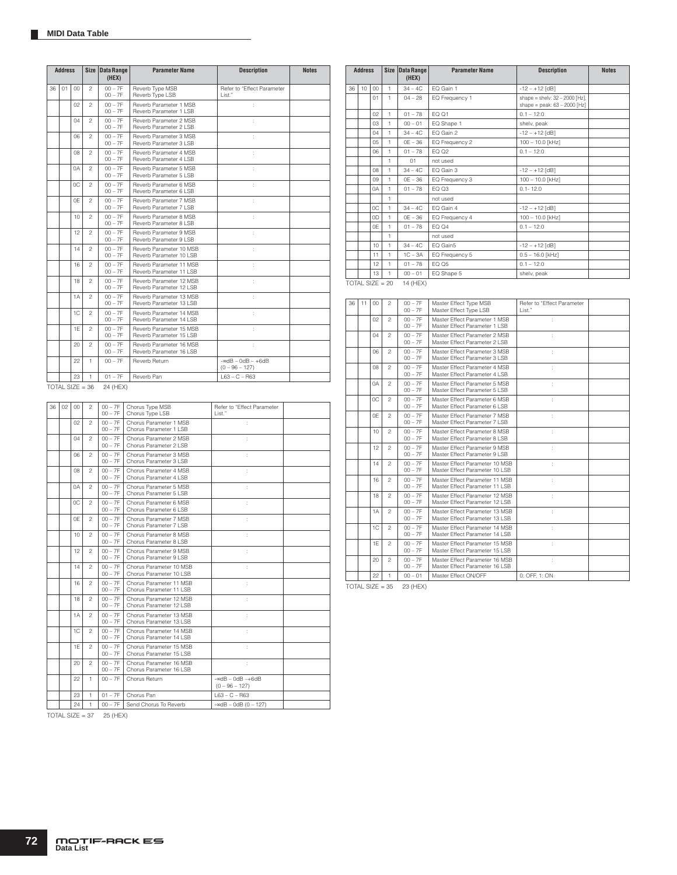|    | <b>Address</b> |        | <b>Size</b>       | <b>Data Range</b><br>(HEX) | <b>Parameter Name</b>                               | <b>Description</b>                           | <b>Notes</b> |
|----|----------------|--------|-------------------|----------------------------|-----------------------------------------------------|----------------------------------------------|--------------|
| 36 | 01             | 00     | $\mathfrak{p}$    | $00 - 7F$<br>$00 - 7F$     | Reverb Type MSB<br>Reverb Type LSB                  | Refer to "Effect Parameter<br>List."         |              |
|    |                | 02     | $\overline{c}$    | $00 - 7F$<br>$00 - 7F$     | Reverb Parameter 1 MSB<br>Reverb Parameter 1 LSB    | ÷                                            |              |
|    |                | 04     | $\mathfrak{p}$    | $00 - 7F$<br>$00 - 7F$     | Reverb Parameter 2 MSB<br>Reverb Parameter 2 LSB    | ÷.                                           |              |
|    |                | 06     | $\mathfrak{p}$    | $00 - 7F$<br>$00 - 7F$     | Reverb Parameter 3 MSB<br>Reverb Parameter 3 LSB    | ÷.                                           |              |
|    |                | 08     | $\mathfrak{p}$    | $00 - 7F$<br>$00 - 7F$     | Reverb Parameter 4 MSB<br>Reverb Parameter 4 LSB    | ł.                                           |              |
|    |                | 0A     | $\mathfrak{p}$    | $00 - 7F$<br>$00 - 7F$     | Reverb Parameter 5 MSB<br>Reverb Parameter 5 LSB    | ł.                                           |              |
|    |                | 0C     | $\mathfrak{p}$    | $00 - 7F$<br>$00 - 7F$     | Reverb Parameter 6 MSB<br>Reverb Parameter 6 LSB    | ł.                                           |              |
|    |                | 0F     | $\mathfrak{p}$    | $00 - 7F$<br>$00 - 7F$     | Reverb Parameter 7 MSB<br>Reverb Parameter 7 LSB    | ł.                                           |              |
|    |                | 10     | $\mathfrak{p}$    | $00 - 7F$<br>$00 - 7F$     | Reverb Parameter 8 MSB<br>Reverb Parameter 8 LSB    | ł.                                           |              |
|    |                | 12     | $\mathfrak{p}$    | $00 - 7F$<br>$00 - 7F$     | Reverb Parameter 9 MSB<br>Reverb Parameter 9 LSB    | ł.                                           |              |
|    |                | 14     | $\mathfrak{p}$    | $00 - 7F$<br>$00 - 7F$     | Reverb Parameter 10 MSB<br>Reverb Parameter 10 LSB  | ł.                                           |              |
|    |                | 16     | $\mathfrak{p}$    | $00 - 7F$<br>$00 - 7F$     | Reverb Parameter 11 MSB<br>Reverb Parameter 11 LSB  | ł.                                           |              |
|    |                | 18     | $\mathfrak{p}$    | $00 - 7F$<br>$00 - 7F$     | Reverb Parameter 12 MSB<br>Reverb Parameter 12 LSB  | ł.                                           |              |
|    |                | 1A     | $\mathfrak{p}$    | $00 - 7F$<br>$00 - 7F$     | Reverb Parameter 13 MSB<br>Reverb Parameter 13   SB | ł.                                           |              |
|    |                | 1C     | $\mathfrak{p}$    | $00 - 7F$<br>$00 - 7F$     | Reverb Parameter 14 MSB<br>Reverb Parameter 14 LSB  | t                                            |              |
|    |                | 1F     | $\mathfrak{p}$    | $00 - 7F$<br>$00 - 7F$     | Reverb Parameter 15 MSB<br>Reverb Parameter 15 LSB  | ÷.                                           |              |
|    |                | 20     | $\mathfrak{p}$    | $00 - 7F$<br>$00 - 7F$     | Reverb Parameter 16 MSB<br>Reverb Parameter 16 LSB  | ł.                                           |              |
|    |                | 22     | 1                 | $00 - 7F$                  | Reverb Return                                       | $-$ ∞dB $-$ 0dB $-$ +6dB<br>$(0 - 96 - 127)$ |              |
|    |                | 23     | 1                 | $01 - 7F$                  | Reverb Pan                                          | $L63 - C - R63$                              |              |
|    |                |        | $TOTAL$ SIZE = 36 | 24 (HEX)                   |                                                     |                                              |              |
| 36 | 02             | $00\,$ | $\mathfrak{p}$    | $00 - 7F$<br>$00 - 7F$     | Chorus Type MSB<br>Chorus Type LSB                  | Refer to "Effect Parameter<br>List."         |              |
|    |                | 02     | $\mathfrak{p}$    | $00 - 7F$<br>$00 - 7F$     | Chorus Parameter 1 MSB<br>Chorus Parameter 1 LSB    | ÷                                            |              |
|    |                | 04     | $\mathfrak{p}$    | $00 - 7F$<br>$00 - 7F$     | Chorus Parameter 2 MSB<br>Chorus Parameter 2 LSB    | ÷                                            |              |
|    |                | 06     | $\mathfrak{p}$    | $00 - 7F$<br>$00 - 7F$     | Chorus Parameter 3 MSB<br>Chorus Parameter 3 LSB    | ÷                                            |              |

| <b>Address</b> |                  | Size Data Range<br>(HEX) |              | <b>Parameter Name</b> | <b>Description</b> | <b>Notes</b>                                                       |  |
|----------------|------------------|--------------------------|--------------|-----------------------|--------------------|--------------------------------------------------------------------|--|
| 36             | 10 <sup>10</sup> | 00 <sub>0</sub>          | 1            | $34 - 4C$             | EQ Gain 1          | $-12 - +12$ [dB]                                                   |  |
|                |                  | 01                       | 1            | $04 - 28$             | EQ Frequency 1     | shape = shelv: $32 - 2000$ [Hz].<br>shape = peak: $63 - 2000$ [Hz] |  |
|                |                  | 02                       | $\mathbf{1}$ | $01 - 78$             | EQ Q1              | $0.1 - 12.0$                                                       |  |
|                |                  | 03                       | $\mathbf{1}$ | $00 - 01$             | EQ Shape 1         | shelv, peak                                                        |  |
|                |                  | 04                       | 1            | $34 - 4C$             | EQ Gain 2          | $-12 - +12$ [dB]                                                   |  |
|                |                  | 0.5 <sub>0</sub>         | 1            | $OE - 36$             | EQ Frequency 2     | 100 - 10.0 [kHz]                                                   |  |
|                |                  | 06                       | 1            | $01 - 78$             | EQ Q2              | $0.1 - 12.0$                                                       |  |
|                |                  |                          | $\mathbf{1}$ | 01                    | hezu ton           |                                                                    |  |
|                |                  | 08                       | 1            | $34 - 4C$             | EQ Gain 3          | $-12 - +12$ [dB]                                                   |  |
|                |                  | 0.9 <sub>o</sub>         | $\mathbf{1}$ | $OE - 36$             | EQ Frequency 3     | 100 - 10.0 [kHz]                                                   |  |
|                |                  | 0A                       | 1            | $01 - 78$             | EQ Q3              | $0.1 - 12.0$                                                       |  |
|                |                  |                          | $\mathbf{1}$ |                       | not used           |                                                                    |  |
|                |                  | OC.                      | 1            | $34 - 4C$             | EQ Gain 4          | $-12 - +12$ [dB]                                                   |  |
|                |                  | 0D                       | $\mathbf{1}$ | $OE - 36$             | EQ Frequency 4     | 100 - 10.0 [kHz]                                                   |  |
|                |                  | 0F                       | 1            | $01 - 78$             | EQ Q4              | $0.1 - 12.0$                                                       |  |
|                |                  |                          | 1            |                       | not used           |                                                                    |  |
|                |                  | 10                       | $\mathbf{1}$ | $34 - 4C$             | EQ Gain5           | $-12 - +12$ [dB]                                                   |  |
|                |                  | 11                       | 1            | $1C - 3A$             | EQ Frequency 5     | $0.5 - 16.0$ [kHz]                                                 |  |
|                |                  | 12                       | 1            | $01 - 78$             | EQ Q5              | $0.1 - 12.0$                                                       |  |
|                |                  | 13                       | 1            | $00 - 01$             | EQ Shape 5         | shelv, peak                                                        |  |
|                |                  | TOTAL SIZE = $20$        |              | 14 (HEX)              |                    |                                                                    |  |

| 36 | 11 | 00  | $\mathfrak{p}$ | $00 - 7F$<br>$00 - 7F$ | Master Effect Type MSB<br>Master Effect Type LSB                  | Refer to "Effect Parameter<br>List." |
|----|----|-----|----------------|------------------------|-------------------------------------------------------------------|--------------------------------------|
|    |    | 02  | $\mathfrak{p}$ | $00 - 7F$<br>$00 - 7F$ | Master Effect Parameter 1 MSB<br>Master Effect Parameter 1 LSB    | ÷                                    |
|    |    | 04  | $\mathfrak{p}$ | $00 - 7F$<br>$00 - 7F$ | Master Effect Parameter 2 MSB<br>Master Effect Parameter 2 LSB    | t                                    |
|    |    | 06  | $\mathfrak{p}$ | $00 - 7F$<br>$00 - 7F$ | Master Effect Parameter 3 MSB<br>Master Effect Parameter 3 LSB    | t                                    |
|    |    | 80  | $\mathfrak{p}$ | $00 - 7F$<br>$00 - 7F$ | Master Effect Parameter 4 MSB<br>Master Effect Parameter 4 I SB   | t                                    |
|    |    | 0A  | $\mathfrak{p}$ | $00 - 7F$<br>$00 - 7F$ | Master Effect Parameter 5 MSB<br>Master Effect Parameter 5   SB   | t                                    |
|    |    | OC. | $\overline{c}$ | $00 - 7F$<br>$00 - 7F$ | Master Effect Parameter 6 MSB<br>Master Effect Parameter 6 LSB    | ċ                                    |
|    |    | 0F  | $\mathfrak{p}$ | $00 - 7F$<br>$00 - 7F$ | Master Effect Parameter 7 MSB<br>Master Effect Parameter 7 LSB    | ÷                                    |
|    |    | 10  | $\mathfrak{p}$ | $00 - 7F$<br>$00 - 7F$ | Master Effect Parameter 8 MSB<br>Master Effect Parameter 8 LSB    | ł                                    |
|    |    | 12  | $\mathfrak{p}$ | $00 - 7F$<br>$00 - 7F$ | Master Effect Parameter 9 MSB<br>Master Effect Parameter 9   SB   |                                      |
|    |    | 14  | $\mathfrak{p}$ | $00 - 7F$<br>$00 - 7F$ | Master Effect Parameter 10 MSB<br>Master Effect Parameter 10 LSB  |                                      |
|    |    | 16  | $\mathfrak{p}$ | $00 - 7F$<br>$00 - 7F$ | Master Fffect Parameter 11 MSB<br>Master Effect Parameter 11 LSB  |                                      |
|    |    | 18  | $\mathfrak{p}$ | $00 - 7F$<br>$00 - 7F$ | Master Effect Parameter 12 MSB<br>Master Effect Parameter 12 LSB  |                                      |
|    |    | 1A  | $\mathfrak{p}$ | $00 - 7F$<br>$00 - 7F$ | Master Effect Parameter 13 MSB<br>Master Effect Parameter 13   SB | t                                    |
|    |    | 1C  | $\overline{c}$ | $00 - 7F$<br>$00 - 7F$ | Master Effect Parameter 14 MSB<br>Master Effect Parameter 14 LSB  | ċ                                    |
|    |    | 1E  | $\overline{c}$ | $00 - 7F$<br>$00 - 7F$ | Master Effect Parameter 15 MSB<br>Master Effect Parameter 15 LSB  |                                      |
|    |    | 20  | $\mathfrak{p}$ | $00 - 7F$<br>$00 - 7F$ | Master Effect Parameter 16 MSB<br>Master Effect Parameter 16 LSB  | t                                    |
|    |    | 22  | 1              | $00 - 01$              | Master Effect ON/OFF                                              | 0: OFF. 1: ON                        |

TOTAL SIZE =  $35$  23 (HEX)

TOTAL SIZE =  $37$  25 (HEX)

16 2 00 – 7F 00 – 7F

08 2 00 – 7F 00 – 7F Chorus Parameter 4 MSB Chorus Parameter 4 LSB 0A 2 00 – 7F 00 – 7F Chorus Parameter 5 MSB Chorus Parameter 5 LSB 0C 2 00 – 7F 00 – 7F Chorus Parameter 6 MSB Chorus Parameter 6 LSB 0E 2 00 – 7F 00 – 7F Chorus Parameter 7 MSB Chorus Parameter 7 LSB 10 2 00 – 7F 00 – 7F Chorus Parameter 8 MSB Chorus Parameter 8 LSB 12 2 00 – 7F 00 – 7F Chorus Parameter 9 MSB Chorus Parameter 9 LSB 14 2 00 – 7F 00 – 7F Chorus Parameter 10 MSB Chorus Parameter 10 LSB

18 2 00 – 7F 00 – 7F Chorus Parameter 12 MSB Chorus Parameter 12 LSB 1A 2 00 – 7F 00 – 7F Chorus Parameter 13 MSB Chorus Parameter 13 LSB 1C 2 00 – 7F 00 – 7F Chorus Parameter 14 MSB Chorus Parameter 14 LSB 1E 2 00 – 7F 00 – 7F Chorus Parameter 15 MSB Chorus Parameter 15 LSB 20 2 00 – 7F 00 – 7F Chorus Parameter 16 MSB Chorus Parameter 16 LSB  $22$  1 00 – 7F Chorus Return

Chorus Parameter 11 MSB Chorus Parameter 11 LSB

23 1 01 – 7F Chorus Pan L63 – C – R63  $24$  1 00 – 7F Send Chorus To Reverb  $-∞dB - 0dB (0 - 127)$ 

 $-\infty dB - 0dB - +6dB$ <br>(0 – 96 – 127)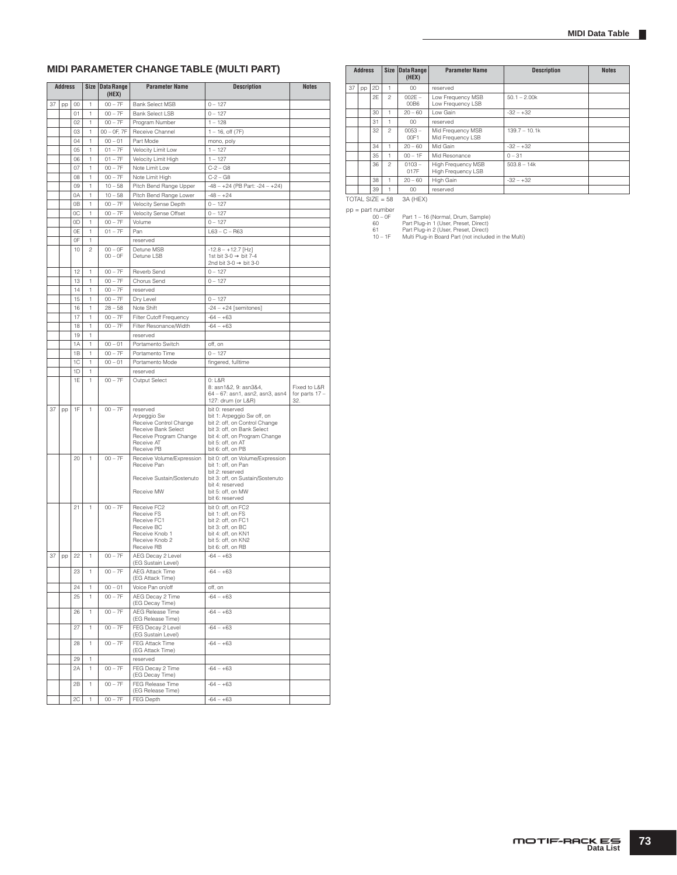## **MIDI PARAMETER CHANGE TABLE (MULTI PART)**

| <b>Address</b> |    |    | Size Data Range<br>(HEX) | <b>Parameter Name</b> | <b>Description</b>                                                                                                             | <b>Notes</b>                                                                                                                                                                            |                                         |
|----------------|----|----|--------------------------|-----------------------|--------------------------------------------------------------------------------------------------------------------------------|-----------------------------------------------------------------------------------------------------------------------------------------------------------------------------------------|-----------------------------------------|
| 37             | pp | 00 | 1                        | $00 - 7F$             | <b>Bank Select MSB</b>                                                                                                         | $0 - 127$                                                                                                                                                                               |                                         |
|                |    |    |                          |                       |                                                                                                                                |                                                                                                                                                                                         |                                         |
|                |    | 01 | 1                        | $00 - 7F$             | <b>Bank Select LSB</b>                                                                                                         | $0 - 127$                                                                                                                                                                               |                                         |
|                |    | 02 | 1                        | $00 - 7F$             | Program Number                                                                                                                 | $1 - 128$                                                                                                                                                                               |                                         |
|                |    | 03 | 1                        | $00 - 0F$ , $7F$      | Receive Channel                                                                                                                | $1 - 16$ , off (7F)                                                                                                                                                                     |                                         |
|                |    | 04 | 1                        | $00 - 01$             | Part Mode                                                                                                                      | mono, poly                                                                                                                                                                              |                                         |
|                |    | 05 | 1                        | $01 - 7F$             | Velocity Limit Low                                                                                                             | $1 - 127$                                                                                                                                                                               |                                         |
|                |    | 06 | 1                        | $01 - 7F$             | Velocity Limit High                                                                                                            | $1 - 127$                                                                                                                                                                               |                                         |
|                |    | 07 | 1                        | $00 - 7F$             | Note Limit Low                                                                                                                 | $C-2 - G8$                                                                                                                                                                              |                                         |
|                |    | 08 |                          |                       |                                                                                                                                | $C-2 - G8$                                                                                                                                                                              |                                         |
|                |    |    | 1                        | $00 - 7F$             | Note Limit High                                                                                                                |                                                                                                                                                                                         |                                         |
|                |    | 09 | 1                        | $10 - 58$             | Pitch Bend Range Upper                                                                                                         | $-48 - +24$ (PB Part: $-24 - +24$ )                                                                                                                                                     |                                         |
|                |    | 0A | 1                        | $10 - 58$             | Pitch Bend Range Lower                                                                                                         | $-48 - +24$                                                                                                                                                                             |                                         |
|                |    | 0B | 1                        | $00 - 7F$             | Velocity Sense Depth                                                                                                           | $0 - 127$                                                                                                                                                                               |                                         |
|                |    | 0C | 1                        | $00 - 7F$             | Velocity Sense Offset                                                                                                          | $0 - 127$                                                                                                                                                                               |                                         |
|                |    | 0D | 1                        | $00 - 7F$             | Volume                                                                                                                         | $0 - 127$                                                                                                                                                                               |                                         |
|                |    | 0E | 1                        | $01 - 7F$             | Pan                                                                                                                            | $L63 - C - R63$                                                                                                                                                                         |                                         |
|                |    |    |                          |                       |                                                                                                                                |                                                                                                                                                                                         |                                         |
|                |    | 0F | 1                        |                       | reserved                                                                                                                       |                                                                                                                                                                                         |                                         |
|                |    | 10 | $\overline{c}$           | $00 - 0F$             | Detune MSB                                                                                                                     | $-12.8 - +12.7$ [Hz]                                                                                                                                                                    |                                         |
|                |    |    |                          | $00 - 0F$             | Detune LSB                                                                                                                     | 1st bit 3-0 $\rightarrow$ bit 7-4                                                                                                                                                       |                                         |
|                |    |    |                          |                       |                                                                                                                                | 2nd bit 3-0 $\rightarrow$ bit 3-0                                                                                                                                                       |                                         |
|                |    | 12 | 1                        | $00 - 7F$             | Reverb Send                                                                                                                    | $0 - 127$                                                                                                                                                                               |                                         |
|                |    | 13 | 1                        | $00 - 7F$             | Chorus Send                                                                                                                    | $0 - 127$                                                                                                                                                                               |                                         |
|                |    | 14 | 1                        | $00 - 7F$             | reserved                                                                                                                       |                                                                                                                                                                                         |                                         |
|                |    | 15 | 1                        | $00 - 7F$             | Dry Level                                                                                                                      | $0 - 127$                                                                                                                                                                               |                                         |
|                |    | 16 | 1                        | $28 - 58$             | Note Shift                                                                                                                     | $-24 - +24$ [semitones]                                                                                                                                                                 |                                         |
|                |    |    |                          |                       |                                                                                                                                |                                                                                                                                                                                         |                                         |
|                |    | 17 | 1                        | $00 - 7F$             | Filter Cutoff Frequency                                                                                                        | $-64 - +63$                                                                                                                                                                             |                                         |
|                |    | 18 | 1                        | $00 - 7F$             | Filter Resonance/Width                                                                                                         | $-64 - +63$                                                                                                                                                                             |                                         |
|                |    | 19 | 1                        |                       | reserved                                                                                                                       |                                                                                                                                                                                         |                                         |
|                |    | 1A | 1                        | $00 - 01$             | Portamento Switch                                                                                                              | off, on                                                                                                                                                                                 |                                         |
|                |    | 1B | 1                        | $00 - 7F$             | Portamento Time                                                                                                                | $0 - 127$                                                                                                                                                                               |                                         |
|                |    | 1C | 1                        | $00 - 01$             | Portamento Mode                                                                                                                | fingered, fulltime                                                                                                                                                                      |                                         |
|                |    |    |                          |                       |                                                                                                                                |                                                                                                                                                                                         |                                         |
|                |    | 1D | 1                        |                       | reserved                                                                                                                       |                                                                                                                                                                                         |                                         |
|                |    | 1E | 1                        | $00 - 7F$             | Output Select                                                                                                                  | 0: L&R<br>8: asn1&2, 9: asn3&4,<br>64 - 67: asn1, asn2, asn3, asn4<br>127: drum (or L&R)                                                                                                | Fixed to L&R<br>for parts $17 -$<br>32. |
| 37             | pp | 1F | 1                        | $00 - 7F$             | reserved<br>Arpeggio Sw<br>Receive Control Change<br>Receive Bank Select<br>Receive Program Change<br>Receive AT<br>Receive PB | bit 0: reserved<br>bit 1: Arpeggio Sw off, on<br>bit 2: off, on Control Change<br>bit 3: off, on Bank Select<br>bit 4: off, on Program Change<br>bit 5: off, on AT<br>bit 6: off, on PB |                                         |
|                |    | 20 | 1                        | $00 - 7F$             | Receive Volume/Expression<br>Receive Pan<br>Receive Sustain/Sostenuto<br>Receive MW                                            | bit 0: off, on Volume/Expression<br>bit 1: off, on Pan<br>bit 2: reserved<br>bit 3: off, on Sustain/Sostenuto<br>bit 4: reserved<br>bit 5: off, on MW<br>bit 6: reserved                |                                         |
|                |    | 21 | 1                        | $00 - 7F$             | Receive FC2<br>Receive FS<br>Receive FC1<br>Receive BC<br>Receive Knob 1<br>Receive Knob 2<br>Receive RB                       | bit 0: off, on FC2<br>bit 1: off, on FS<br>bit 2: off, on FC1<br>bit 3: off, on BC<br>bit 4: off, on KN1<br>bit 5: off, on KN2<br>bit 6: off, on RB                                     |                                         |
| 37             | pp | 22 | 1                        | $00 - 7F$             | AEG Decay 2 Level<br>(EG Sustain Level)                                                                                        | $-64 - +63$                                                                                                                                                                             |                                         |
|                |    | 23 | 1                        | $00 - 7F$             | <b>AEG Attack Time</b><br>(EG Attack Time)                                                                                     | $-64 - +63$                                                                                                                                                                             |                                         |
|                |    | 24 | 1                        | $00 - 01$             | Voice Pan on/off                                                                                                               | off, on                                                                                                                                                                                 |                                         |
|                |    | 25 | 1                        | $00 - 7F$             | AEG Decay 2 Time                                                                                                               | $-64 - +63$                                                                                                                                                                             |                                         |
|                |    |    |                          |                       | (EG Decay Time)                                                                                                                |                                                                                                                                                                                         |                                         |
|                |    | 26 | 1                        | $00 - 7F$             | AEG Release Time<br>(EG Release Time)                                                                                          | $-64 - +63$                                                                                                                                                                             |                                         |
|                |    | 27 | 1                        | $00 - 7F$             | FEG Decay 2 Level<br>(EG Sustain Level)                                                                                        | $-64 - +63$                                                                                                                                                                             |                                         |
|                |    | 28 | 1                        | $00 - 7F$             | FEG Attack Time<br>(EG Attack Time)                                                                                            | $-64 - +63$                                                                                                                                                                             |                                         |
|                |    | 29 | 1                        |                       | reserved                                                                                                                       |                                                                                                                                                                                         |                                         |
|                |    | 2A | 1                        | $00 - 7F$             | FEG Decay 2 Time<br>(EG Decay Time)                                                                                            | $-64 - +63$                                                                                                                                                                             |                                         |
|                |    | 2B | 1                        | $00 - 7F$             | FEG Release Time<br>(EG Release Time)                                                                                          | $-64 - +63$                                                                                                                                                                             |                                         |
|                |    | 2C | 1                        | $00 - 7F$             | FEG Depth                                                                                                                      | $-64 - +63$                                                                                                                                                                             |                                         |

| <b>Address</b> |                   |    | <b>Size</b>    | <b>Data Range</b><br>(HEX) | <b>Parameter Name</b>                    | <b>Description</b> | <b>Notes</b> |
|----------------|-------------------|----|----------------|----------------------------|------------------------------------------|--------------------|--------------|
| 37             | pp                | 2D | 1              | 00                         | reserved                                 |                    |              |
|                |                   | 2F | $\mathfrak{p}$ | $002E -$<br>00B6           | Low Frequency MSB<br>Low Frequency LSB   | $50.1 - 2.00k$     |              |
|                |                   | 30 | 1              | $20 - 60$                  | Low Gain                                 | $-32 - +32$        |              |
|                |                   | 31 | 1              | 00                         | reserved                                 |                    |              |
|                |                   | 32 | $\mathfrak{p}$ | $0053 -$<br>OOF1           | Mid Frequency MSB<br>Mid Frequency LSB   | $139.7 - 10.1k$    |              |
|                |                   | 34 | 1              | $20 - 60$                  | Mid Gain                                 | $-32 - +32$        |              |
|                |                   | 35 | 1              | $00 - 1F$                  | Mid Resonance                            | $0 - 31$           |              |
|                |                   | 36 | $\mathfrak{D}$ | $0103 -$<br>017F           | High Frequency MSB<br>High Frequency LSB | $503.8 - 14k$      |              |
|                |                   | 38 | 1              | $20 - 60$                  | High Gain                                | $-32 - +32$        |              |
|                |                   | 39 | 1              | 00                         | reserved                                 |                    |              |
|                | TOTAL SIZE = $58$ |    |                | 3A (HEX)                   |                                          |                    |              |

pp = part number<br>
00 – 0F Part 1 – 16 (Normal, Drum, Sample)<br>
60 Part Plug-in 1 (User, Preset, Direct)<br>
61 Part Plug-in Board Part (not included in the Multi)<br>
10 – 1F Multi Plug-in Board Part (not included in the Multi)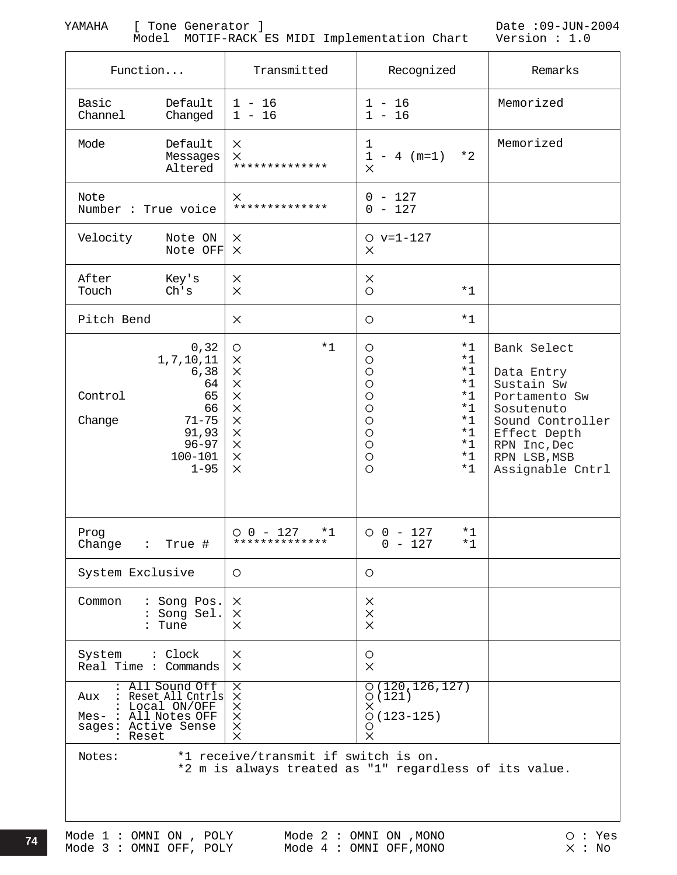Model MOTIF-RACK ES MIDI Implementation Chart Version : 1.0

YAMAHA [ Tone Generator ] Date :09-JUN-2004

| Function                                                                                                                                             | Transmitted                                                                                                                       | Recognized                                                                                                                                                                                               | Remarks                                                                                                                                                        |  |  |  |  |
|------------------------------------------------------------------------------------------------------------------------------------------------------|-----------------------------------------------------------------------------------------------------------------------------------|----------------------------------------------------------------------------------------------------------------------------------------------------------------------------------------------------------|----------------------------------------------------------------------------------------------------------------------------------------------------------------|--|--|--|--|
| Default<br>Basic<br>Channel<br>Changed                                                                                                               | $1 - 16$<br>$1 - 16$                                                                                                              | $1 - 16$<br>$1 - 16$                                                                                                                                                                                     | Memorized                                                                                                                                                      |  |  |  |  |
| Default<br>Mode<br>Messages<br>Altered                                                                                                               | $\times$<br>$\times$<br>**************                                                                                            | 1<br>$*2$<br>$1 - 4$ (m=1)<br>$\times$                                                                                                                                                                   | Memorized                                                                                                                                                      |  |  |  |  |
| Note<br>Number : True voice                                                                                                                          | $\times$<br>**************                                                                                                        | $0 - 127$<br>$0 - 127$                                                                                                                                                                                   |                                                                                                                                                                |  |  |  |  |
| Velocity<br>Note ON<br>Note OFF                                                                                                                      | $\times$<br>$\mathsf{X}$                                                                                                          | $O v=1-127$<br>$\times$                                                                                                                                                                                  |                                                                                                                                                                |  |  |  |  |
| After<br>Key's<br>Touch<br>Ch's                                                                                                                      | $\times$<br>$\times$                                                                                                              | $\times$<br>$\circ$<br>$*1$                                                                                                                                                                              |                                                                                                                                                                |  |  |  |  |
| Pitch Bend                                                                                                                                           | $\times$                                                                                                                          | $*1$<br>$\circ$                                                                                                                                                                                          |                                                                                                                                                                |  |  |  |  |
| 0, 32<br>1,7,10,11<br>6, 38<br>64<br>Control<br>65<br>66<br>$71 - 75$<br>Change<br>91,93<br>$96 - 97$<br>$100 - 101$<br>$1 - 95$                     | $*1$<br>O<br>$\times$<br>$\times$<br>$\times$<br>$\times$<br>$\times$<br>$\times$<br>$\times$<br>$\times$<br>$\times$<br>$\times$ | $*1$<br>O<br>$\circ$<br>$*1$<br>$\circ$<br>$*1$<br>$*1$<br>$\circ$<br>$\circ$<br>$*1$<br>$\circ$<br>$*1$<br>$\circ$<br>$*1$<br>$\circ$<br>$*1$<br>$\circ$<br>$*1$<br>$\circ$<br>$*1$<br>$\Omega$<br>$*1$ | Bank Select<br>Data Entry<br>Sustain Sw<br>Portamento Sw<br>Sosutenuto<br>Sound Controller<br>Effect Depth<br>RPN Inc, Dec<br>RPN LSB, MSB<br>Assignable Cntrl |  |  |  |  |
| Prog<br>Change : True #                                                                                                                              | $0 0 - 127$<br>$*1$<br>**************                                                                                             | $0 0 - 127$<br>*1<br>$0 - 127$<br>$*1$                                                                                                                                                                   |                                                                                                                                                                |  |  |  |  |
| System Exclusive                                                                                                                                     | $\circ$                                                                                                                           | $\circ$                                                                                                                                                                                                  |                                                                                                                                                                |  |  |  |  |
| Common<br>: Song Pos.<br>: Song Sel.<br>: Tune                                                                                                       | $\times$<br>$\times$<br>$\times$                                                                                                  | $\times$<br>$\times$<br>$\times$                                                                                                                                                                         |                                                                                                                                                                |  |  |  |  |
| System : Clock<br>Real Time : Commands                                                                                                               | $\times$<br>$\times$                                                                                                              | O<br>$\times$                                                                                                                                                                                            |                                                                                                                                                                |  |  |  |  |
| : All Sound Off<br>: All Sound Off X<br>Aux : Reset All Cntrls X<br>: Local ON/OFF X<br>Mes- : All Notes OFF X<br>sages: Active Sense X<br>: Reset X |                                                                                                                                   | O(120, 126, 127)<br>O(121)<br>$\times$<br>$O(123 - 125)$<br>$\circ$<br>$\times$                                                                                                                          |                                                                                                                                                                |  |  |  |  |
| *1 receive/transmit if switch is on.<br>Notes:<br>*2 m is always treated as "1" regardless of its value.                                             |                                                                                                                                   |                                                                                                                                                                                                          |                                                                                                                                                                |  |  |  |  |

**74**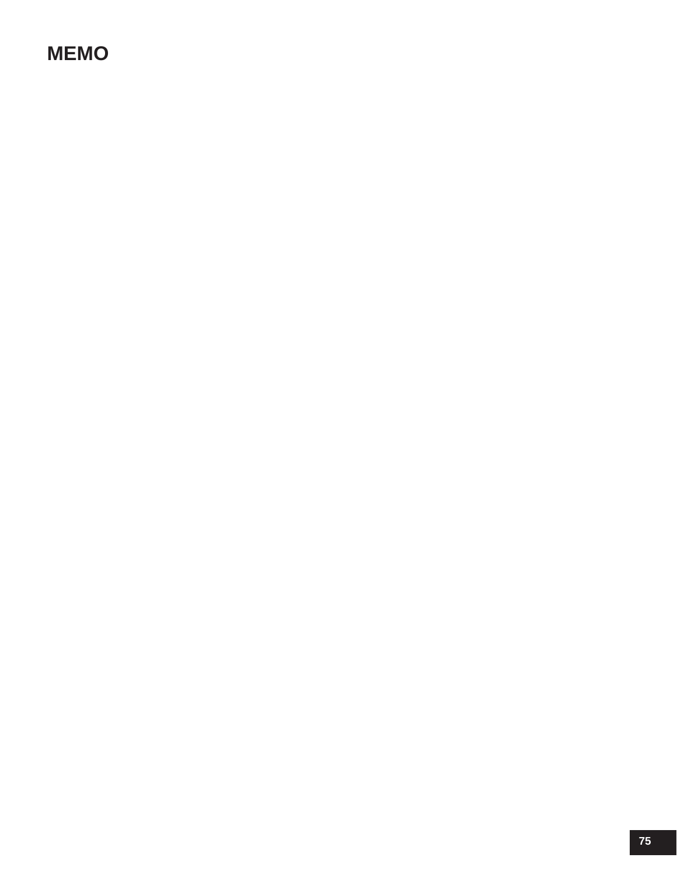## **MEMO**